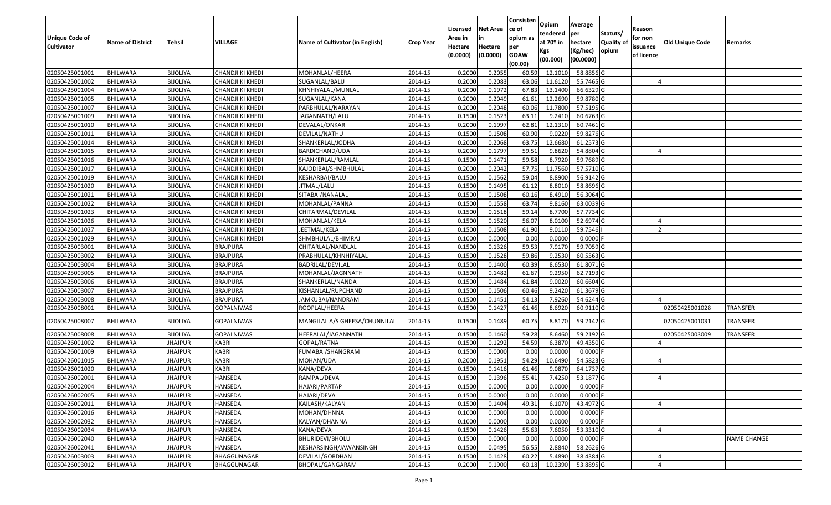|                       |                         |                 |                   |                                 |                  |          |                 | Consisten              | Opium       | Average                |                  |            |                 |                    |
|-----------------------|-------------------------|-----------------|-------------------|---------------------------------|------------------|----------|-----------------|------------------------|-------------|------------------------|------------------|------------|-----------------|--------------------|
|                       |                         |                 |                   |                                 |                  | Licensed | <b>Net Area</b> | ce of                  | tendered    | per                    | Statuts/         | Reason     |                 |                    |
| <b>Unique Code of</b> | <b>Name of District</b> | <b>Tehsil</b>   | VILLAGE           | Name of Cultivator (in English) | <b>Crop Year</b> | Area in  | in              | opium as               | at $70°$ in | hectare                | <b>Quality o</b> | for non    | Old Unique Code | Remarks            |
| <b>Cultivator</b>     |                         |                 |                   |                                 |                  | Hectare  | Hectare         | per                    | Kgs         | (Kg/hec)               | opium            | issuance   |                 |                    |
|                       |                         |                 |                   |                                 |                  | (0.0000) | (0.0000)        | <b>GOAW</b><br>(00.00) | (00.000)    | (00.0000)              |                  | of licence |                 |                    |
| 02050425001001        | <b>BHILWARA</b>         | <b>BIJOLIYA</b> | CHANDJI KI KHEDI  | MOHANLAL/HEERA                  | 2014-15          | 0.2000   | 0.2055          | 60.59                  | 12.1010     | 58.8856 G              |                  |            |                 |                    |
| 02050425001002        | <b>BHILWARA</b>         | <b>BIJOLIYA</b> | CHANDJI KI KHEDI  | SUGANLAL/BALU                   | 2014-15          | 0.2000   | 0.2083          | 63.06                  | 11.6120     | 55.7465 G              |                  |            |                 |                    |
| 02050425001004        | BHILWARA                | <b>BIJOLIYA</b> | CHANDJI KI KHEDI  | KHNHIYALAL/MUNLAL               | 2014-15          | 0.2000   | 0.1972          | 67.83                  | 13.1400     | 66.6329 G              |                  |            |                 |                    |
| 02050425001005        | <b>BHILWARA</b>         | <b>BIJOLIYA</b> | CHANDJI KI KHEDI  | SUGANLAL/KANA                   | 2014-15          | 0.2000   | 0.2049          | 61.61                  | 12.2690     | 59.8780 G              |                  |            |                 |                    |
| 02050425001007        | BHILWARA                | <b>BIJOLIYA</b> | CHANDJI KI KHEDI  | PARBHULAL/NARAYAN               | 2014-15          | 0.2000   | 0.2048          | 60.06                  | 11.7800     | 57.5195 G              |                  |            |                 |                    |
| 02050425001009        | <b>BHILWARA</b>         | <b>BIJOLIYA</b> | CHANDJI KI KHEDI  | JAGANNATH/LALU                  | 2014-15          | 0.1500   | 0.1523          | 63.1                   | 9.2410      | 60.6763 G              |                  |            |                 |                    |
| 02050425001010        | BHILWARA                | <b>BIJOLIYA</b> | CHANDJI KI KHEDI  | DEVALAL/ONKAR                   | 2014-15          | 0.2000   | 0.1997          | 62.81                  | 12.1310     | 60.7461 G              |                  |            |                 |                    |
| 02050425001011        | <b>BHILWARA</b>         | <b>BIJOLIYA</b> | CHANDJI KI KHEDI  | DEVILAL/NATHU                   | 2014-15          | 0.1500   | 0.1508          | 60.90                  | 9.0220      | 59.8276 G              |                  |            |                 |                    |
| 02050425001014        | BHILWARA                | <b>BIJOLIYA</b> | CHANDJI KI KHEDI  | SHANKERLAL/JODHA                | 2014-15          | 0.2000   | 0.2068          | 63.75                  | 12.6680     | 61.2573 G              |                  |            |                 |                    |
| 02050425001015        | <b>BHILWARA</b>         | <b>BIJOLIYA</b> | CHANDJI KI KHEDI  | BARDICHAND/UDA                  | 2014-15          | 0.2000   | 0.1797          | 59.5                   | 9.8620      | 54.8804 G              |                  |            |                 |                    |
| 02050425001016        | BHILWARA                | <b>BIJOLIYA</b> | CHANDJI KI KHEDI  | SHANKERLAL/RAMLAL               | 2014-15          | 0.1500   | 0.1471          | 59.58                  | 8.7920      | 59.7689 G              |                  |            |                 |                    |
| 02050425001017        | <b>BHILWARA</b>         | <b>BIJOLIYA</b> | CHANDJI KI KHEDI  | KAJODIBAI/SHMBHULAL             | 2014-15          | 0.2000   | 0.2042          | 57.75                  | 11.7560     | 57.5710 G              |                  |            |                 |                    |
| 02050425001019        | <b>BHILWARA</b>         | <b>BIJOLIYA</b> | CHANDJI KI KHEDI  | KESHARBAI/BALU                  | 2014-15          | 0.1500   | 0.1562          | 59.04                  | 8.8900      | 56.9142 G              |                  |            |                 |                    |
| 02050425001020        | <b>BHILWARA</b>         | <b>BIJOLIYA</b> | CHANDJI KI KHEDI  | JITMAL/LALU                     | 2014-15          | 0.1500   | 0.1495          | 61.12                  | 8.8010      | 58.8696 G              |                  |            |                 |                    |
| 02050425001021        | BHILWARA                | <b>BIJOLIYA</b> | CHANDJI KI KHEDI  | SITABAI/NANALAL                 | 2014-15          | 0.1500   | 0.1508          | 60.16                  | 8.4910      | 56.3064 G              |                  |            |                 |                    |
| 02050425001022        | <b>BHILWARA</b>         | <b>BIJOLIYA</b> | CHANDJI KI KHEDI  | MOHANLAL/PANNA                  | 2014-15          | 0.1500   | 0.1558          | 63.74                  | 9.8160      | 63.0039 G              |                  |            |                 |                    |
| 02050425001023        | <b>BHILWARA</b>         | <b>BIJOLIYA</b> | CHANDJI KI KHEDI  | CHITARMAL/DEVILAL               | 2014-15          | 0.1500   | 0.1518          | 59.14                  | 8.7700      | 57.7734 G              |                  |            |                 |                    |
| 02050425001026        | <b>BHILWARA</b>         | <b>BIJOLIYA</b> | CHANDJI KI KHEDI  | MOHANLAL/KELA                   | 2014-15          | 0.1500   | 0.1520          | 56.07                  | 8.0100      | 52.6974 G              |                  |            |                 |                    |
| 02050425001027        | <b>BHILWARA</b>         | <b>BIJOLIYA</b> | CHANDJI KI KHEDI  | JEETMAL/KELA                    | 2014-15          | 0.1500   | 0.1508          | 61.90                  | 9.0110      | 59.7546                |                  |            |                 |                    |
| 02050425001029        | <b>BHILWARA</b>         | <b>BIJOLIYA</b> | CHANDJI KI KHEDI  | SHMBHULAL/BHIMRAJ               | 2014-15          | 0.1000   | 0.0000          | 0.00                   | 0.0000      | 0.0000                 |                  |            |                 |                    |
| 02050425003001        | <b>BHILWARA</b>         | <b>BIJOLIYA</b> | <b>BRAJPURA</b>   | CHITARLAL/NANDLAL               | 2014-15          | 0.1500   | 0.1326          | 59.53                  | 7.9170      | 59.7059 G              |                  |            |                 |                    |
| 02050425003002        | BHILWARA                | <b>BIJOLIYA</b> | <b>BRAJPURA</b>   | PRABHULAL/KHNHIYALAL            | 2014-15          | 0.1500   | 0.1528          | 59.86                  | 9.2530      | 60.5563 G              |                  |            |                 |                    |
| 02050425003004        | <b>BHILWARA</b>         | <b>BIJOLIYA</b> | <b>BRAJPURA</b>   | <b>BADRILAL/DEVILAL</b>         | 2014-15          | 0.1500   | 0.1400          | 60.39                  | 8.6530      | 61.8071G               |                  |            |                 |                    |
| 02050425003005        | BHILWARA                | <b>BIJOLIYA</b> | BRAJPURA          | MOHANLAL/JAGNNATH               | 2014-15          | 0.1500   | 0.1482          | 61.67                  | 9.295       | 62.7193 G              |                  |            |                 |                    |
| 02050425003006        | <b>BHILWARA</b>         | <b>BIJOLIYA</b> | <b>BRAJPURA</b>   | SHANKERLAL/NANDA                | 2014-15          | 0.1500   | 0.1484          | 61.84                  | 9.0020      | 60.6604 G              |                  |            |                 |                    |
| 02050425003007        | BHILWARA                | <b>BIJOLIYA</b> | <b>BRAJPURA</b>   | KISHANLAL/RUPCHAND              | 2014-15          | 0.1500   | 0.1506          | 60.46                  | 9.2420      | 61.3679 G              |                  |            |                 |                    |
| 02050425003008        | <b>BHILWARA</b>         | <b>BIJOLIYA</b> | <b>BRAJPURA</b>   | JAMKUBAI/NANDRAM                | 2014-15          | 0.1500   | 0.1451          | 54.13                  | 7.9260      | 54.6244 G              |                  |            |                 |                    |
| 02050425008001        | BHILWARA                | <b>BIJOLIYA</b> | <b>GOPALNIWAS</b> | ROOPLAL/HEERA                   | 2014-15          | 0.1500   | 0.1427          | 61.46                  | 8.6920      | 60.9110 G              |                  |            | 02050425001028  | <b>TRANSFER</b>    |
| 02050425008007        | BHILWARA                | <b>BIJOLIYA</b> | <b>GOPALNIWAS</b> | MANGILAL A/S GHEESA/CHUNNILAL   | 2014-15          | 0.1500   | 0.1489          | 60.75                  | 8.8170      | 59.2142 G              |                  |            | 02050425001031  | <b>TRANSFER</b>    |
| 02050425008008        | BHILWARA                | <b>BIJOLIYA</b> | <b>GOPALNIWAS</b> | HEERALAL/JAGANNATH              | 2014-15          | 0.1500   | 0.1460          | 59.28                  | 8.6460      | 59.2192 G              |                  |            | 02050425003009  | TRANSFER           |
| 02050426001002        | BHILWARA                | JHAJPUR         | <b>KABRI</b>      | GOPAL/RATNA                     | 2014-15          | 0.1500   | 0.1292          | 54.59                  | 6.3870      | 49.4350 G              |                  |            |                 |                    |
| 02050426001009        | <b>BHILWARA</b>         | <b>JHAJPUR</b>  | <b>KABRI</b>      | FUMABAI/SHANGRAM                | 2014-15          | 0.1500   | 0.0000          | 0.00                   | 0.0000      | $0.0000$ F             |                  |            |                 |                    |
| 02050426001015        | BHILWARA                | <b>JHAJPUR</b>  | <b>KABRI</b>      | MOHAN/UDA                       | 2014-15          | 0.2000   | 0.1951          | 54.29                  | 10.6490     | 54.5823 G              |                  |            |                 |                    |
| 02050426001020        | BHILWARA                | JHAJPUR         | <b>KABRI</b>      | KANA/DEVA                       | 2014-15          | 0.1500   | 0.1416          | 61.46                  | 9.0870      | 64.1737 G              |                  |            |                 |                    |
| 02050426002001        | BHILWARA                | <b>JHAJPUR</b>  | HANSEDA           | RAMPAL/DEVA                     | 2014-15          | 0.1500   | 0.1396          | 55.41                  | 7.4250      | 53.1877 G              |                  |            |                 |                    |
| 02050426002004        | <b>BHILWARA</b>         | <b>JHAJPUR</b>  | <b>HANSEDA</b>    | HAJARI/PARTAP                   | 2014-15          | 0.1500   | 0.0000          | 0.00                   | 0.0000      | 0.0000 F               |                  |            |                 |                    |
| 02050426002005        | <b>BHILWARA</b>         | <b>JHAJPUR</b>  | HANSEDA           | HAJARI/DEVA                     | 2014-15          | 0.1500   | 0.0000          | 0.00                   | 0.0000      | $0.0000$ F             |                  |            |                 |                    |
| 02050426002011        | <b>BHILWARA</b>         | <b>JHAJPUR</b>  | HANSEDA           | KAILASH/KALYAN                  | 2014-15          | 0.1500   | 0.1404          | 49.31                  | 6.1070      | 43.4972 G              |                  |            |                 |                    |
| 02050426002016        | <b>BHILWARA</b>         | <b>JHAJPUR</b>  | <b>HANSEDA</b>    | MOHAN/DHNNA                     | 2014-15          | 0.1000   | 0.0000          | 0.00                   | 0.0000      | $0.0000$ F             |                  |            |                 |                    |
| 02050426002032        | <b>BHILWARA</b>         | <b>JHAJPUR</b>  | <b>HANSEDA</b>    | KALYAN/DHANNA                   | 2014-15          | 0.1000   | 0.0000          | 0.00                   | 0.0000      | 0.0000                 |                  |            |                 |                    |
| 02050426002034        | <b>BHILWARA</b>         | <b>JHAJPUR</b>  | <b>HANSEDA</b>    | KANA/DEVA                       | 2014-15          | 0.1500   | 0.1426          | 55.63                  | 7.6050      | 53.3310 G              |                  |            |                 |                    |
| 02050426002040        | <b>BHILWARA</b>         | <b>JHAJPUR</b>  | <b>HANSEDA</b>    | BHURIDEVI/BHOLU                 | 2014-15          | 0.1500   | 0.0000          | 0.00                   | 0.0000      | $0.0000$ F             |                  |            |                 | <b>NAME CHANGE</b> |
| 02050426002041        | <b>BHILWARA</b>         | <b>JHAJPUR</b>  | HANSEDA           | KESHARSINGH/JAWANSINGH          | 2014-15          | 0.1500   | 0.0495          | 56.55                  | 2.8840      | $\overline{58.2626}$ G |                  |            |                 |                    |
| 02050426003003        | <b>BHILWARA</b>         | <b>JHAJPUR</b>  | BHAGGUNAGAR       | DEVILAL/GORDHAN                 | 2014-15          | 0.1500   | 0.1428          | 60.22                  | 5.4890      | 38.4384 G              |                  |            |                 |                    |
| 02050426003012        | <b>BHILWARA</b>         | <b>JHAJPUR</b>  | BHAGGUNAGAR       | BHOPAL/GANGARAM                 | 2014-15          | 0.2000   | 0.1900          | 60.18                  | 10.2390     | 53.8895 G              |                  |            |                 |                    |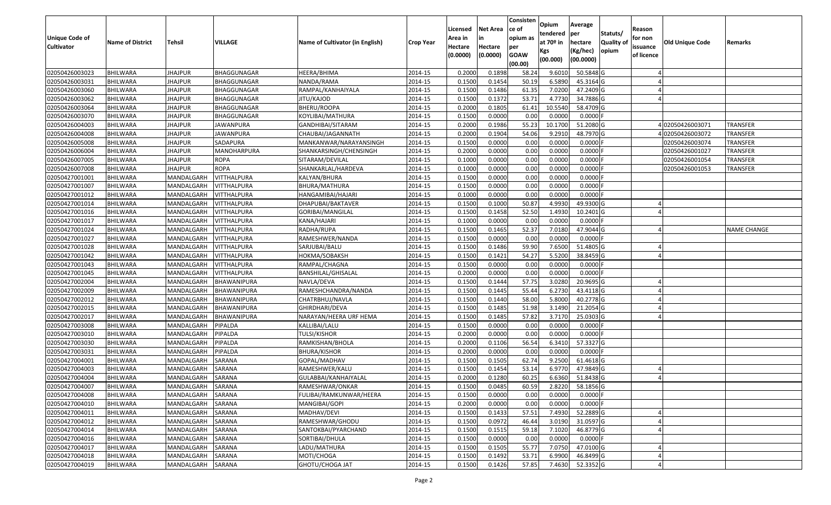| Unique Code of<br><b>Cultivator</b> | <b>Name of District</b> | Tehsil            | VILLAGE            | Name of Cultivator (in English) | <b>Crop Year</b> | Licensed<br>Area in<br>Hectare<br>(0.0000) | Net Area<br>in<br>Hectare<br>(0.0000) | Consisten<br>ce of<br>opium as<br>per<br><b>GOAW</b> | Opium<br>tendered<br>at 70º in<br>Kgs | Average<br>per<br>hectare<br>(Kg/hec)<br>(00.0000) | Statuts/<br><b>Quality of</b><br>opium | Reason<br>for non<br>issuance<br>of licence | <b>Old Unique Code</b> | Remarks            |
|-------------------------------------|-------------------------|-------------------|--------------------|---------------------------------|------------------|--------------------------------------------|---------------------------------------|------------------------------------------------------|---------------------------------------|----------------------------------------------------|----------------------------------------|---------------------------------------------|------------------------|--------------------|
|                                     |                         |                   |                    |                                 |                  |                                            |                                       | (00.00)                                              | (00.000)                              |                                                    |                                        |                                             |                        |                    |
| 02050426003023                      | <b>BHILWARA</b>         | <b>JHAJPUR</b>    | BHAGGUNAGAR        | HEERA/BHIMA                     | 2014-15          | 0.2000                                     | 0.1898                                | 58.24                                                | 9.6010                                | 50.5848 G                                          |                                        |                                             |                        |                    |
| 02050426003031                      | <b>BHILWARA</b>         | <b>JHAJPUR</b>    | BHAGGUNAGAR        | NANDA/RAMA                      | 2014-15          | 0.1500                                     | 0.1454                                | 50.19                                                | 6.5890                                | 45.3164 G                                          |                                        |                                             |                        |                    |
| 02050426003060                      | <b>BHILWARA</b>         | JHAJPUR           | BHAGGUNAGAR        | RAMPAL/KANHAIYALA               | 2014-15          | 0.1500                                     | 0.1486                                | 61.35                                                | 7.0200                                | 47.2409 G                                          |                                        |                                             |                        |                    |
| 02050426003062                      | <b>BHILWARA</b>         | <b>JHAJPUR</b>    | BHAGGUNAGAR        | JITU/KAJOD                      | 2014-15          | 0.1500                                     | 0.1372                                | 53.71                                                | 4.7730                                | 34.7886 G                                          |                                        |                                             |                        |                    |
| 02050426003064                      | BHILWARA                | <b>JHAJPUR</b>    | BHAGGUNAGAR        | BHERU/ROOPA                     | 2014-15          | 0.2000                                     | 0.1805                                | 61.41                                                | 10.5540                               | 58.4709 G                                          |                                        |                                             |                        |                    |
| 02050426003070                      | <b>BHILWARA</b>         | <b>JHAJPUR</b>    | BHAGGUNAGAR        | KOYLIBAI/MATHURA                | 2014-15          | 0.1500                                     | 0.0000                                | 0.00                                                 | 0.0000                                | $0.0000$ F                                         |                                        |                                             |                        |                    |
| 02050426004003                      | <b>BHILWARA</b>         | <b>JHAJPUR</b>    | JAWANPURA          | GANDHIBAI/SITARAM               | 2014-15          | 0.2000                                     | 0.1986                                | 55.23                                                | 10.1700                               | 51.2080 G                                          |                                        |                                             | 4 02050426003071       | TRANSFER           |
| 02050426004008                      | <b>BHILWARA</b>         | <b>JHAJPUR</b>    | <b>JAWANPURA</b>   | CHAUBAI/JAGANNATH               | 2014-15          | 0.2000                                     | 0.1904                                | 54.06                                                | 9.2910                                | 48.7970 G                                          |                                        |                                             | 402050426003072        | <b>TRANSFER</b>    |
| 02050426005008                      | <b>BHILWARA</b>         | <b>JHAJPUR</b>    | SADAPURA           | MANKANWAR/NARAYANSINGH          | 2014-15          | 0.1500                                     | 0.0000                                | 0.00                                                 | 0.0000                                | $0.0000$ F                                         |                                        |                                             | 02050426003074         | <b>TRANSFER</b>    |
| 02050426006004                      | <b>BHILWARA</b>         | <b>JHAJPUR</b>    | MANOHARPURA        | SHANKARSINGH/CHENSINGH          | 2014-15          | 0.2000                                     | 0.0000                                | 0.00                                                 | 0.0000                                | $0.0000$ F                                         |                                        |                                             | 02050426001027         | <b>TRANSFER</b>    |
| 02050426007005                      | <b>BHILWARA</b>         | JHAJPUR           | ROPA               | SITARAM/DEVILAL                 | 2014-15          | 0.1000                                     | 0.0000                                | 0.00                                                 | 0.0000                                | $0.0000$ F                                         |                                        |                                             | 02050426001054         | TRANSFER           |
| 02050426007008                      | <b>BHILWARA</b>         | <b>JHAJPUR</b>    | <b>ROPA</b>        | SHANKARLAL/HARDEVA              | 2014-15          | 0.1000                                     | 0.0000                                | 0.00                                                 | 0.0000                                | 0.0000                                             |                                        |                                             | 02050426001053         | <b>TRANSFER</b>    |
| 02050427001001                      | <b>BHILWARA</b>         | MANDALGARH        | <b>VITTHALPURA</b> | KALYAN/BHURA                    | 2014-15          | 0.1500                                     | 0.0000                                | 0.00                                                 | 0.0000                                | $0.0000$ F                                         |                                        |                                             |                        |                    |
| 02050427001007                      | <b>BHILWARA</b>         | MANDALGARH        | <b>VITTHALPURA</b> | BHURA/MATHURA                   | 2014-15          | 0.1500                                     | 0.0000                                | 0.00                                                 | 0.0000                                | $0.0000$ F                                         |                                        |                                             |                        |                    |
| 02050427001012                      | <b>BHILWARA</b>         | MANDALGARH        | VITTHALPURA        | HANGAMIBAI/HAJARI               | 2014-15          | 0.1000                                     | 0.0000                                | 0.00                                                 | 0.0000                                | $0.0000$ F                                         |                                        |                                             |                        |                    |
| 02050427001014                      | <b>BHILWARA</b>         | MANDALGARH        | <b>VITTHALPURA</b> | DHAPUBAI/BAKTAVER               | 2014-15          | 0.1500                                     | 0.1000                                | 50.87                                                | 4.9930                                | 49.9300 G                                          |                                        |                                             |                        |                    |
| 02050427001016                      | <b>BHILWARA</b>         | MANDALGARH        | VITTHALPURA        | GORIBAI/MANGILAL                | 2014-15          | 0.1500                                     | 0.1458                                | 52.50                                                | 1.4930                                | 10.2401 G                                          |                                        |                                             |                        |                    |
| 02050427001017                      | <b>BHILWARA</b>         | MANDALGARH        | <b>VITTHALPURA</b> | KANA/HAJARI                     | 2014-15          | 0.1000                                     | 0.0000                                | 0.00                                                 | 0.0000                                | $0.0000$ F                                         |                                        |                                             |                        |                    |
| 02050427001024                      | <b>BHILWARA</b>         | MANDALGARH        | VITTHALPURA        | RADHA/RUPA                      | 2014-15          | 0.1500                                     | 0.1465                                | 52.37                                                | 7.0180                                | 47.9044 G                                          |                                        |                                             |                        | <b>NAME CHANGE</b> |
| 02050427001027                      | BHILWARA                | MANDALGARH        | VITTHALPURA        | RAMESHWER/NANDA                 | 2014-15          | 0.1500                                     | 0.0000                                | 0.00                                                 | 0.0000                                | $0.0000$ F                                         |                                        |                                             |                        |                    |
| 02050427001028                      | <b>BHILWARA</b>         | MANDALGARH        | VITTHALPURA        | SARJUBAI/BALU                   | 2014-15          | 0.1500                                     | 0.1486                                | 59.90                                                | 7.6500                                | 51.4805 G                                          |                                        |                                             |                        |                    |
| 02050427001042                      | <b>BHILWARA</b>         | MANDALGARH        | VITTHALPURA        | HOKMA/SOBAKSH                   | 2014-15          | 0.1500                                     | 0.1421                                | 54.27                                                | 5.5200                                | 38.8459 G                                          |                                        |                                             |                        |                    |
| 02050427001043                      | <b>BHILWARA</b>         | MANDALGARH        | VITTHALPURA        | RAMPAL/CHAGNA                   | 2014-15          | 0.1500                                     | 0.0000                                | 0.00                                                 | 0.0000                                | $0.0000$ F                                         |                                        |                                             |                        |                    |
| 02050427001045                      | <b>BHILWARA</b>         | MANDALGARH        | VITTHALPURA        | BANSHILAL/GHISALAL              | 2014-15          | 0.2000                                     | 0.0000                                | 0.00                                                 | 0.0000                                | $0.0000$ F                                         |                                        |                                             |                        |                    |
| 02050427002004                      | <b>BHILWARA</b>         | MANDALGARH        | <b>BHAWANIPURA</b> | NAVLA/DEVA                      | 2014-15          | 0.1500                                     | 0.1444                                | 57.75                                                | 3.0280                                | 20.9695 G                                          |                                        |                                             |                        |                    |
| 02050427002009                      | <b>BHILWARA</b>         | MANDALGARH        | BHAWANIPURA        | RAMESHCHANDRA/NANDA             | 2014-15          | 0.1500                                     | 0.1445                                | 55.44                                                | 6.2730                                | 43.4118 G                                          |                                        |                                             |                        |                    |
| 02050427002012                      | <b>BHILWARA</b>         | MANDALGARH        | <b>BHAWANIPURA</b> | CHATRBHUJ/NAVLA                 | 2014-15          | 0.1500                                     | 0.1440                                | 58.00                                                | 5.8000                                | 40.2778 G                                          |                                        |                                             |                        |                    |
| 02050427002015                      | BHILWARA                | MANDALGARH        | BHAWANIPURA        | GHIRDHARI/DEVA                  | 2014-15          | 0.1500                                     | 0.1485                                | 51.98                                                | 3.1490                                | 21.2054 G                                          |                                        |                                             |                        |                    |
| 02050427002017                      | <b>BHILWARA</b>         | MANDALGARH        | BHAWANIPURA        | NARAYAN/HEERA URF HEMA          | 2014-15          | 0.1500                                     | 0.1485                                | 57.82                                                | 3.7170                                | 25.0303 G                                          |                                        |                                             |                        |                    |
| 02050427003008                      | BHILWARA                | MANDALGARH        | PIPALDA            | KALLIBAI/LALU                   | 2014-15          | 0.1500                                     | 0.0000                                | 0.00                                                 | 0.0000                                | $0.0000$ F                                         |                                        |                                             |                        |                    |
| 02050427003010                      | <b>BHILWARA</b>         | MANDALGARH        | PIPALDA            | TULSI/KISHOR                    | 2014-15          | 0.2000                                     | 0.0000                                | 0.00                                                 | 0.0000                                | $0.0000$ F                                         |                                        |                                             |                        |                    |
| 02050427003030                      | <b>BHILWARA</b>         | MANDALGARH        | PIPALDA            | RAMKISHAN/BHOLA                 | 2014-15          | 0.2000                                     | 0.1106                                | 56.54                                                | 6.3410                                | 57.3327 G                                          |                                        |                                             |                        |                    |
| 02050427003031                      | <b>BHILWARA</b>         | MANDALGARH        | PIPALDA            | <b>BHURA/KISHOR</b>             | 2014-15          | 0.2000                                     | 0.0000                                | 0.00                                                 | 0.0000                                | $0.0000$ F                                         |                                        |                                             |                        |                    |
| 02050427004001                      | <b>BHILWARA</b>         | MANDALGARH        | SARANA             | GOPAL/MADHAV                    | 2014-15          | 0.1500                                     | 0.1505                                | 62.74                                                | 9.2500                                | 61.4618 G                                          |                                        |                                             |                        |                    |
| 02050427004003                      | <b>BHILWARA</b>         | MANDALGARH        | SARANA             | RAMESHWER/KALU                  | 2014-15          | 0.1500                                     | 0.1454                                | 53.14                                                | 6.9770                                | 47.9849 G                                          |                                        |                                             |                        |                    |
| 02050427004004                      | <b>BHILWARA</b>         | MANDALGARH        | SARANA             | GULABBAI/KANHAIYALAL            | 2014-15          | 0.2000                                     | 0.1280                                | 60.25                                                | 6.6360                                | 51.8438 G                                          |                                        |                                             |                        |                    |
| 02050427004007                      | <b>BHILWARA</b>         | MANDALGARH SARANA |                    | RAMESHWAR/ONKAR                 | 2014-15          | 0.1500                                     | 0.0485                                | 60.59                                                | 2.8220                                | 58.1856 G                                          |                                        |                                             |                        |                    |
| 02050427004008                      | <b>BHILWARA</b>         | MANDALGARH        | SARANA             | FULIBAI/RAMKUNWAR/HEERA         | 2014-15          | 0.1500                                     | 0.0000                                | 0.00                                                 | 0.0000                                | $0.0000$ F                                         |                                        |                                             |                        |                    |
| 02050427004010                      | <b>BHILWARA</b>         | MANDALGARH        | SARANA             | MANGIBAI/GOPI                   | 2014-15          | 0.2000                                     | 0.0000                                | 0.00                                                 | 0.0000                                | $0.0000$ F                                         |                                        |                                             |                        |                    |
| 02050427004011                      | <b>BHILWARA</b>         | MANDALGARH        | SARANA             | MADHAV/DEVI                     | 2014-15          | 0.1500                                     | 0.1433                                | 57.51                                                | 7.4930                                | 52.2889 G                                          |                                        |                                             |                        |                    |
| 02050427004012                      | <b>BHILWARA</b>         | MANDALGARH        | SARANA             | RAMESHWAR/GHODU                 | 2014-15          | 0.1500                                     | 0.0972                                | 46.44                                                | 3.0190                                | 31.0597 G                                          |                                        |                                             |                        |                    |
| 02050427004014                      | <b>BHILWARA</b>         | MANDALGARH        | SARANA             | SANTOKBAI/PYARCHAND             | 2014-15          | 0.1500                                     | 0.1515                                | 59.18                                                | 7.1020                                | 46.8779 G                                          |                                        |                                             |                        |                    |
| 02050427004016                      | <b>BHILWARA</b>         | MANDALGARH        | SARANA             | SORTIBAI/DHULA                  | 2014-15          | 0.1500                                     | 0.0000                                | 0.00                                                 | 0.0000                                | $0.0000$ F                                         |                                        |                                             |                        |                    |
| 02050427004017                      | <b>BHILWARA</b>         | MANDALGARH        | SARANA             | LADU/MATHURA                    | 2014-15          | 0.1500                                     | 0.1505                                | 55.77                                                | 7.0750                                | 47.0100 G                                          |                                        |                                             |                        |                    |
| 02050427004018                      | <b>BHILWARA</b>         | MANDALGARH        | SARANA             | MOTI/CHOGA                      | 2014-15          | 0.1500                                     | 0.1492                                | 53.71                                                | 6.9900                                | 46.8499 G                                          |                                        |                                             |                        |                    |
| 02050427004019                      | <b>BHILWARA</b>         | MANDALGARH        | SARANA             | GHOTU/CHOGA JAT                 | 2014-15          | 0.1500                                     | 0.1426                                | 57.85                                                | 7.4630                                | 52.3352 G                                          |                                        |                                             |                        |                    |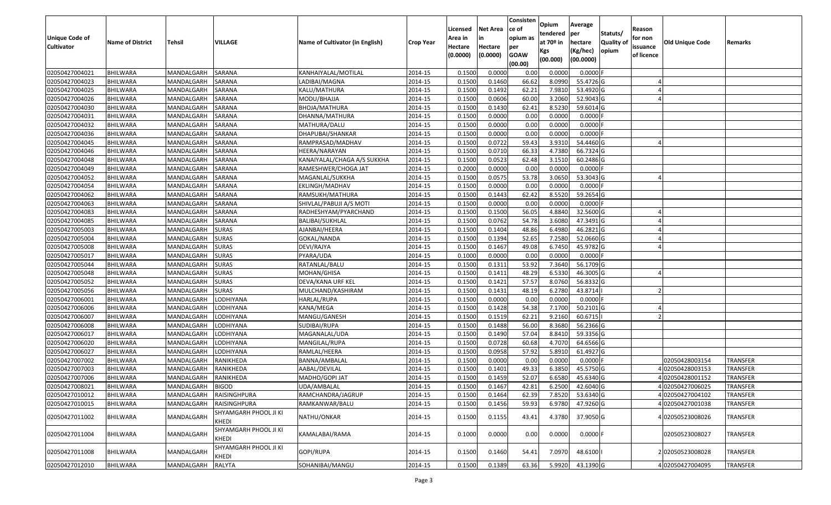| Unique Code of<br><b>Cultivator</b> | <b>Name of District</b> | Tehsil           | VILLAGE                               | Name of Cultivator (in English) | <b>Crop Year</b> | Licensed<br>Area in<br>Hectare<br>(0.0000) | Net Area<br>in<br>Hectare<br>(0.0000) | Consisten<br>ce of<br>opium as<br>per<br><b>GOAW</b><br>(00.00) | Opium<br>tendered<br>at 70º in<br>Kgs<br>(00.000) | Average<br>per<br>hectare<br>(Kg/hec)<br>(00.0000) | Statuts/<br><b>Quality of</b><br>opium | Reason<br>for non<br>issuance<br>of licence | <b>Old Unique Code</b> | Remarks         |
|-------------------------------------|-------------------------|------------------|---------------------------------------|---------------------------------|------------------|--------------------------------------------|---------------------------------------|-----------------------------------------------------------------|---------------------------------------------------|----------------------------------------------------|----------------------------------------|---------------------------------------------|------------------------|-----------------|
| 02050427004021                      | <b>BHILWARA</b>         | MANDALGARH       | SARANA                                | KANHAIYALAL/MOTILAL             | 2014-15          | 0.1500                                     | 0.0000                                | 0.00                                                            | 0.0000                                            | $0.0000$ F                                         |                                        |                                             |                        |                 |
| 02050427004023                      | <b>BHILWARA</b>         | MANDALGARH       | SARANA                                | LADIBAI/MAGNA                   | 2014-15          | 0.1500                                     | 0.1460                                | 66.62                                                           | 8.0990                                            | 55.4726 G                                          |                                        |                                             |                        |                 |
| 02050427004025                      | BHILWARA                | MANDALGARH       | SARANA                                | KALU/MATHURA                    | 2014-15          | 0.1500                                     | 0.1492                                | 62.21                                                           | 7.9810                                            | 53.4920 G                                          |                                        |                                             |                        |                 |
| 02050427004026                      | <b>BHILWARA</b>         | MANDALGARH       | SARANA                                | MODU/BHAJJA                     | 2014-15          | 0.1500                                     | 0.0606                                | 60.00                                                           | 3.2060                                            | 52.9043 G                                          |                                        |                                             |                        |                 |
| 02050427004030                      | BHILWARA                | MANDALGARH       | SARANA                                | BHOJA/MATHURA                   | 2014-15          | 0.1500                                     | 0.1430                                | 62.41                                                           | 8.5230                                            | 59.6014 G                                          |                                        |                                             |                        |                 |
| 02050427004031                      | <b>BHILWARA</b>         | MANDALGARH       | SARANA                                | DHANNA/MATHURA                  | 2014-15          | 0.1500                                     | 0.0000                                | 0.00                                                            | 0.0000                                            | $0.0000$ F                                         |                                        |                                             |                        |                 |
| 02050427004032                      | BHILWARA                | MANDALGARH       | SARANA                                | MATHURA/DALU                    | 2014-15          | 0.1500                                     | 0.0000                                | 0.00                                                            | 0.0000                                            | 0.0000                                             |                                        |                                             |                        |                 |
| 02050427004036                      | <b>BHILWARA</b>         | MANDALGARH       | SARANA                                | DHAPUBAI/SHANKAR                | 2014-15          | 0.1500                                     | 0.0000                                | 0.00                                                            | 0.0000                                            | $0.0000$ F                                         |                                        |                                             |                        |                 |
| 02050427004045                      | <b>BHILWARA</b>         | MANDALGARH       | SARANA                                | RAMPRASAD/MADHAV                | 2014-15          | 0.1500                                     | 0.0722                                | 59.43                                                           | 3.9310                                            | 54.4460 G                                          |                                        |                                             |                        |                 |
| 02050427004046                      | <b>BHILWARA</b>         | MANDALGARH       | SARANA                                | HEERA/NARAYAN                   | 2014-15          | 0.1500                                     | 0.0710                                | 66.33                                                           | 4.7380                                            | 66.7324 G                                          |                                        |                                             |                        |                 |
| 02050427004048                      | <b>BHILWARA</b>         | MANDALGARH       | SARANA                                | KANAIYALAL/CHAGA A/S SUKKHA     | 2014-15          | 0.1500                                     | 0.0523                                | 62.48                                                           | 3.1510                                            | 60.2486 G                                          |                                        |                                             |                        |                 |
| 02050427004049                      | <b>BHILWARA</b>         | MANDALGARH       | SARANA                                | RAMESHWER/CHOGA JAT             | 2014-15          | 0.2000                                     | 0.0000                                | 0.00                                                            | 0.0000                                            | $0.0000$ F                                         |                                        |                                             |                        |                 |
| 02050427004052                      | <b>BHILWARA</b>         | MANDALGARH       | SARANA                                | MAGANLAL/SUKKHA                 | 2014-15          | 0.1500                                     | 0.0575                                | 53.78                                                           | 3.0650                                            | 53.3043 G                                          |                                        |                                             |                        |                 |
| 02050427004054                      | <b>BHILWARA</b>         | MANDALGARH       | SARANA                                | EKLINGH/MADHAV                  | 2014-15          | 0.1500                                     | 0.0000                                | 0.00                                                            | 0.0000                                            | $0.0000$ F                                         |                                        |                                             |                        |                 |
| 02050427004062                      | BHILWARA                | MANDALGARH       | SARANA                                | RAMSUKH/MATHURA                 | 2014-15          | 0.1500                                     | 0.1443                                | 62.42                                                           | 8.5520                                            | 59.2654 G                                          |                                        |                                             |                        |                 |
| 02050427004063                      | <b>BHILWARA</b>         | MANDALGARH       | SARANA                                | SHIVLAL/PABUJI A/S MOTI         | 2014-15          | 0.1500                                     | 0.0000                                | 0.00                                                            | 0.0000                                            | $0.0000$ F                                         |                                        |                                             |                        |                 |
| 02050427004083                      | <b>BHILWARA</b>         | MANDALGARH       | SARANA                                | RADHESHYAM/PYARCHAND            | 2014-15          | 0.1500                                     | 0.1500                                | 56.05                                                           | 4.8840                                            | 32.5600 G                                          |                                        |                                             |                        |                 |
| 02050427004085                      | <b>BHILWARA</b>         | MANDALGARH       | SARANA                                | BALIBAI/SUKHLAL                 | 2014-15          | 0.1500                                     | 0.0762                                | 54.78                                                           | 3.6080                                            | 47.3491 G                                          |                                        |                                             |                        |                 |
| 02050427005003                      | <b>BHILWARA</b>         | MANDALGARH       | <b>SURAS</b>                          | AJANBAI/HEERA                   | 2014-15          | 0.1500                                     | 0.1404                                | 48.86                                                           | 6.4980                                            | 46.2821 G                                          |                                        |                                             |                        |                 |
| 02050427005004                      | BHILWARA                | MANDALGARH       | <b>SURAS</b>                          | GOKAL/NANDA                     | 2014-15          | 0.1500                                     | 0.1394                                | 52.65                                                           | 7.2580                                            | 52.0660 G                                          |                                        |                                             |                        |                 |
| 02050427005008                      | <b>BHILWARA</b>         | MANDALGARH       | <b>SURAS</b>                          | DEVI/RAJYA                      | 2014-15          | 0.1500                                     | 0.1467                                | 49.08                                                           | 6.7450                                            | 45.9782 G                                          |                                        |                                             |                        |                 |
| 02050427005017                      | <b>BHILWARA</b>         | MANDALGARH       | <b>SURAS</b>                          | PYARA/UDA                       | 2014-15          | 0.1000                                     | 0.0000                                | 0.00                                                            | 0.0000                                            | $0.0000$ F                                         |                                        |                                             |                        |                 |
| 02050427005044                      | <b>BHILWARA</b>         | MANDALGARH       | <b>SURAS</b>                          | RATANLAL/BALU                   | 2014-15          | 0.1500                                     | 0.1311                                | 53.92                                                           | 7.3640                                            | 56.1709 G                                          |                                        |                                             |                        |                 |
| 02050427005048                      | <b>BHILWARA</b>         | MANDALGARH       | <b>SURAS</b>                          | MOHAN/GHISA                     | 2014-15          | 0.1500                                     | 0.1411                                | 48.29                                                           | 6.5330                                            | 46.3005 G                                          |                                        |                                             |                        |                 |
| 02050427005052                      | <b>BHILWARA</b>         | MANDALGARH       | <b>SURAS</b>                          | DEVA/KANA URF KEL               | 2014-15          | 0.1500                                     | 0.1421                                | 57.57                                                           | 8.0760                                            | 56.8332 G                                          |                                        |                                             |                        |                 |
| 02050427005056                      | <b>BHILWARA</b>         | MANDALGARH       | <b>SURAS</b>                          | MULCHAND/KASHIRAM               | 2014-15          | 0.1500                                     | 0.1431                                | 48.19                                                           | 6.2780                                            | 43.8714                                            |                                        |                                             |                        |                 |
| 02050427006001                      | <b>BHILWARA</b>         | MANDALGARH       | LODHIYANA                             | HARLAL/RUPA                     | 2014-15          | 0.1500                                     | 0.0000                                | 0.00                                                            | 0.0000                                            | $0.0000$ F                                         |                                        |                                             |                        |                 |
| 02050427006006                      | BHILWARA                | MANDALGARH       | LODHIYANA                             | KANA/MEGA                       | 2014-15          | 0.1500                                     | 0.1428                                | 54.38                                                           | 7.1700                                            | 50.2101 G                                          |                                        |                                             |                        |                 |
| 02050427006007                      | <b>BHILWARA</b>         | MANDALGARH       | LODHIYANA                             | MANGU/GANESH                    | 2014-15          | 0.1500                                     | 0.1519                                | 62.21                                                           | 9.2160                                            | 60.6715                                            |                                        |                                             |                        |                 |
| 02050427006008                      | BHILWARA                | MANDALGARH       | LODHIYANA                             | SUDIBAI/RUPA                    | 2014-15          | 0.1500                                     | 0.1488                                | 56.00                                                           | 8.3680                                            | $56.2366$ G                                        |                                        |                                             |                        |                 |
| 02050427006017                      | <b>BHILWARA</b>         | MANDALGARH       | LODHIYANA                             | MAGANALAL/UDA                   | 2014-15          | 0.1500                                     | 0.1490                                | 57.04                                                           | 8.8410                                            | 59.3356 G                                          |                                        |                                             |                        |                 |
| 02050427006020                      | <b>BHILWARA</b>         | MANDALGARH       | LODHIYANA                             | MANGILAL/RUPA                   | 2014-15          | 0.1500                                     | 0.0728                                | 60.68                                                           | 4.7070                                            | 64.6566 G                                          |                                        |                                             |                        |                 |
| 02050427006027                      | <b>BHILWARA</b>         | MANDALGARH       | LODHIYANA                             | RAMLAL/HEERA                    | 2014-15          | 0.1500                                     | 0.0958                                | 57.92                                                           | 5.8910                                            | 61.4927 G                                          |                                        |                                             |                        |                 |
| 02050427007002                      | <b>BHILWARA</b>         | MANDALGARH       | RANIKHEDA                             | BANNA/AMBALAL                   | 2014-15          | 0.1500                                     | 0.0000                                | 0.00                                                            | 0.0000                                            | $0.0000$ F                                         |                                        |                                             | 02050428003154         | <b>TRANSFER</b> |
| 02050427007003                      | <b>BHILWARA</b>         | MANDALGARH       | RANIKHEDA                             | AABAL/DEVILAL                   | 2014-15          | 0.1500                                     | 0.1401                                | 49.33                                                           | 6.3850                                            | 45.5750 G                                          |                                        |                                             | 02050428003153         | TRANSFER        |
| 02050427007006                      | <b>BHILWARA</b>         | MANDALGARH       | RANIKHEDA                             | MADHO/GOPI JAT                  | 2014-15          | 0.1500                                     | 0.1459                                | 52.07                                                           | 6.6580                                            | 45.6340 G                                          |                                        |                                             | 402050428001152        | <b>TRANSFER</b> |
| 02050427008021                      | <b>BHILWARA</b>         | MANDALGARH BIGOD |                                       | UDA/AMBALAL                     | 2014-15          | 0.1500                                     | 0.1467                                | 42.81                                                           | 6.2500                                            | 42.6040 G                                          |                                        |                                             | 4 02050427006025       | TRANSFER        |
| 02050427010012                      | <b>BHILWARA</b>         | MANDALGARH       | RAISINGHPURA                          | RAMCHANDRA/JAGRUP               | 2014-15          | 0.1500                                     | 0.1464                                | 62.39                                                           | 7.8520                                            | 53.6340 G                                          |                                        |                                             | 4 02050427004102       | <b>TRANSFER</b> |
| 02050427010015                      | BHILWARA                | MANDALGARH       | RAISINGHPURA                          | RAMKANWAR/BALU                  | 2014-15          | 0.1500                                     | 0.1456                                | 59.93                                                           | 6.9780                                            | 47.9260 G                                          |                                        |                                             | 402050427001038        | <b>TRANSFER</b> |
| 02050427011002                      | <b>BHILWARA</b>         | MANDALGARH       | SHYAMGARH PHOOL JI KI<br><b>KHEDI</b> | NATHU/ONKAR                     | 2014-15          | 0.1500                                     | 0.1155                                | 43.41                                                           | 4.3780                                            | 37.9050 G                                          |                                        |                                             | 402050523008026        | <b>TRANSFER</b> |
| 02050427011004                      | <b>BHILWARA</b>         | MANDALGARH       | SHYAMGARH PHOOL JI KI<br>KHEDI        | KAMALABAI/RAMA                  | 2014-15          | 0.1000                                     | 0.0000                                | 0.00                                                            | 0.0000                                            | $0.0000$ F                                         |                                        |                                             | 02050523008027         | TRANSFER        |
| 02050427011008                      | <b>BHILWARA</b>         | MANDALGARH       | SHYAMGARH PHOOL JI KI<br>KHEDI        | GOPI/RUPA                       | 2014-15          | 0.1500                                     | 0.1460                                | 54.41                                                           | 7.0970                                            | 48.6100                                            |                                        |                                             | 202050523008028        | TRANSFER        |
| 02050427012010                      | <b>BHILWARA</b>         | MANDALGARH       | <b>RALYTA</b>                         | SOHANIBAI/MANGU                 | 2014-15          | 0.1500                                     | 0.1389                                | 63.36                                                           | 5.9920                                            | 43.1390 G                                          |                                        |                                             | 4 02050427004095       | <b>TRANSFER</b> |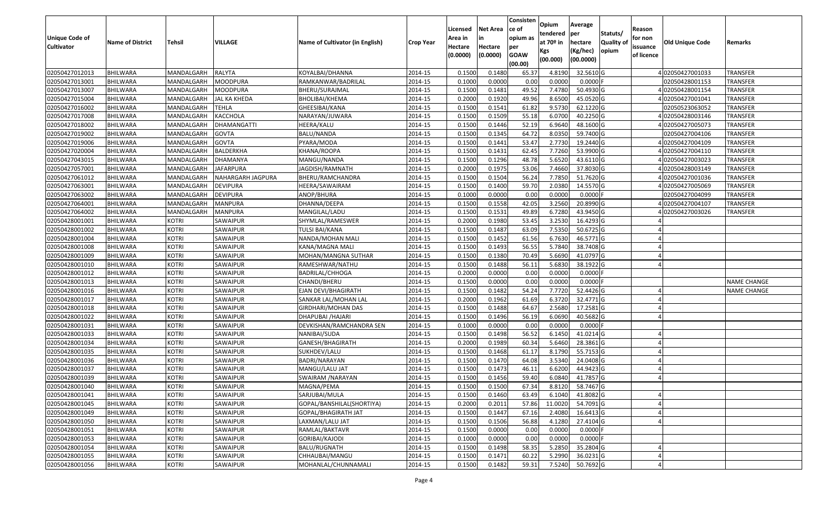| Unique Code of<br><b>Cultivator</b> | <b>Name of District</b> | Tehsil       | VILLAGE             | Name of Cultivator (in English) | Crop Year | Licensed<br>Area in<br>Hectare<br>(0.0000) | <b>Net Area</b><br>in<br>Hectare<br>(0.0000) | Consisten<br>ce of<br>opium as<br>per<br><b>GOAW</b><br>(00.00) | Opium<br>tendered<br>at $70°$ in<br>Kgs<br>(00.000) | Average<br>per<br>hectare<br>(Kg/hec)<br>(00.0000) | Statuts/<br>Quality of<br>opium | Reason<br>for non<br>issuance<br>of licence | <b>Old Unique Code</b> | Remarks            |
|-------------------------------------|-------------------------|--------------|---------------------|---------------------------------|-----------|--------------------------------------------|----------------------------------------------|-----------------------------------------------------------------|-----------------------------------------------------|----------------------------------------------------|---------------------------------|---------------------------------------------|------------------------|--------------------|
| 02050427012013                      | <b>BHILWARA</b>         | MANDALGARH   | RALYTA              | KOYALBAI/DHANNA                 | 2014-15   | 0.1500                                     | 0.1480                                       | 65.37                                                           | 4.8190                                              | 32.5610 G                                          |                                 |                                             | 402050427001033        | TRANSFER           |
| 02050427013001                      | <b>BHILWARA</b>         | MANDALGARH   | MOODPURA            | RAMKANWAR/BADRILAL              | 2014-15   | 0.1000                                     | 0.0000                                       | 0.00                                                            | 0.0000                                              | $0.0000$ F                                         |                                 |                                             | 02050428001153         | TRANSFER           |
| 02050427013007                      | <b>BHILWARA</b>         | MANDALGARH   | MOODPURA            | BHERU/SURAJMAL                  | 2014-15   | 0.1500                                     | 0.1481                                       | 49.52                                                           | 7.4780                                              | 50.4930 G                                          |                                 |                                             | 402050428001154        | TRANSFER           |
| 02050427015004                      | <b>BHILWARA</b>         | MANDALGARH   | <b>JAL KA KHEDA</b> | BHOLIBAI/KHEMA                  | 2014-15   | 0.2000                                     | 0.1920                                       | 49.96                                                           | 8.6500                                              | 45.0520 G                                          |                                 |                                             | 4 02050427001041       | TRANSFER           |
| 02050427016002                      | BHILWARA                | MANDALGARH   | TEHLA               | GHEESIBAI/KANA                  | 2014-15   | 0.1500                                     | 0.1541                                       | 61.82                                                           | 9.5730                                              | 62.1220 G                                          |                                 |                                             | 02050523063052         | TRANSFER           |
| 02050427017008                      | <b>BHILWARA</b>         | MANDALGARH   | KACCHOLA            | NARAYAN/JUWARA                  | 2014-15   | 0.1500                                     | 0.1509                                       | 55.18                                                           | 6.0700                                              | 40.2250 G                                          |                                 |                                             | 02050428003146         | TRANSFER           |
| 02050427018002                      | <b>BHILWARA</b>         | MANDALGARH   | DHAMANGATTI         | HEERA/KALU                      | 2014-15   | 0.1500                                     | 0.1446                                       | 52.19                                                           | 6.9640                                              | 48.1600 G                                          |                                 |                                             | 102050427005073        | TRANSFER           |
| 02050427019002                      | <b>BHILWARA</b>         | MANDALGARH   | <b>GOVTA</b>        | BALU/NANDA                      | 2014-15   | 0.1500                                     | 0.1345                                       | 64.72                                                           | 8.0350                                              | 59.7400 G                                          |                                 |                                             | 02050427004106         | TRANSFER           |
| 02050427019006                      | <b>BHILWARA</b>         | MANDALGARH   | <b>GOVTA</b>        | PYARA/MODA                      | 2014-15   | 0.1500                                     | 0.1441                                       | 53.47                                                           | 2.7730                                              | 19.2440 G                                          |                                 |                                             | 402050427004109        | <b>TRANSFER</b>    |
| 02050427020004                      | <b>BHILWARA</b>         | MANDALGARH   | BALDERKHA           | KHANA/ROOPA                     | 2014-15   | 0.1500                                     | 0.1431                                       | 62.45                                                           | 7.7260                                              | 53.9900 G                                          |                                 |                                             | 402050427004110        | <b>TRANSFER</b>    |
| 02050427043015                      | <b>BHILWARA</b>         | MANDALGARH   | DHAMANYA            | MANGU/NANDA                     | 2014-15   | 0.1500                                     | 0.1296                                       | 48.78                                                           | 5.6520                                              | 43.6110 G                                          |                                 |                                             | 402050427003023        | TRANSFER           |
| 02050427057001                      | <b>BHILWARA</b>         | MANDALGARH   | <b>JAFARPURA</b>    | JAGDISH/RAMNATH                 | 2014-15   | 0.2000                                     | 0.1975                                       | 53.06                                                           | 7.4660                                              | 37.8030 G                                          |                                 |                                             | 402050428003149        | TRANSFER           |
| 02050427061012                      | <b>BHILWARA</b>         | MANDALGARH   | NAHARGARH JAGPURA   | BHERU/RAMCHANDRA                | 2014-15   | 0.1500                                     | 0.1504                                       | 56.24                                                           | 7.7850                                              | 51.7620 G                                          |                                 |                                             | 402050427001036        | TRANSFER           |
| 02050427063001                      | <b>BHILWARA</b>         | MANDALGARH   | <b>DEVIPURA</b>     | HEERA/SAWAIRAM                  | 2014-15   | 0.1500                                     | 0.1400                                       | 59.70                                                           | 2.0380                                              | 14.5570 G                                          |                                 |                                             | 02050427005069         | TRANSFER           |
| 02050427063002                      | <b>BHILWARA</b>         | MANDALGARH   | <b>DEVIPURA</b>     | ANOP/BHURA                      | 2014-15   | 0.1000                                     | 0.0000                                       | 0.00                                                            | 0.0000                                              | $0.0000$ F                                         |                                 |                                             | 02050427004099         | TRANSFER           |
| 02050427064001                      | <b>BHILWARA</b>         | MANDALGARH   | <b>MANPURA</b>      | DHANNA/DEEPA                    | 2014-15   | 0.1500                                     | 0.1558                                       | 42.05                                                           | 3.2560                                              | 20.8990 G                                          |                                 |                                             | 102050427004107        | TRANSFER           |
| 02050427064002                      | <b>BHILWARA</b>         | MANDALGARH   | <b>MANPURA</b>      | MANGILAL/LADU                   | 2014-15   | 0.1500                                     | 0.1531                                       | 49.89                                                           | 6.7280                                              | 43.9450 G                                          |                                 |                                             | 02050427003026         | TRANSFER           |
| 02050428001001                      | <b>BHILWARA</b>         | KOTRI        | SAWAIPUR            | SHYMLAL/RAMESWER                | 2014-15   | 0.2000                                     | 0.1980                                       | 53.45                                                           | 3.2530                                              | 16.4293 G                                          |                                 |                                             |                        |                    |
| 02050428001002                      | <b>BHILWARA</b>         | KOTRI        | SAWAIPUR            | <b>TULSI BAI/KANA</b>           | 2014-15   | 0.1500                                     | 0.1487                                       | 63.09                                                           | 7.5350                                              | 50.6725 G                                          |                                 |                                             |                        |                    |
| 02050428001004                      | <b>BHILWARA</b>         | <b>KOTRI</b> | SAWAIPUR            | NANDA/MOHAN MALI                | 2014-15   | 0.1500                                     | 0.1452                                       | 61.56                                                           | 6.7630                                              | 46.5771 G                                          |                                 |                                             |                        |                    |
| 02050428001008                      | <b>BHILWARA</b>         | <b>KOTRI</b> | SAWAIPUR            | KANA/MAGNA MALI                 | 2014-15   | 0.1500                                     | 0.1493                                       | 56.55                                                           | 5.7840                                              | 38.7408 G                                          |                                 |                                             |                        |                    |
| 02050428001009                      | <b>BHILWARA</b>         | <b>KOTRI</b> | SAWAIPUR            | MOHAN/MANGNA SUTHAR             | 2014-15   | 0.1500                                     | 0.1380                                       | 70.49                                                           | 5.6690                                              | 41.0797 G                                          |                                 |                                             |                        |                    |
| 02050428001010                      | <b>BHILWARA</b>         | <b>KOTRI</b> | SAWAIPUR            | RAMESHWAR/NATHU                 | 2014-15   | 0.1500                                     | 0.1488                                       | 56.13                                                           | 5.6830                                              | 38.1922 G                                          |                                 |                                             |                        |                    |
| 02050428001012                      | <b>BHILWARA</b>         | <b>KOTRI</b> | SAWAIPUR            | BADRILAL/CHHOGA                 | 2014-15   | 0.2000                                     | 0.0000                                       | 0.00                                                            | 0.0000                                              | 0.0000                                             |                                 |                                             |                        |                    |
| 02050428001013                      | <b>BHILWARA</b>         | <b>KOTRI</b> | SAWAIPUR            | CHANDI/BHERU                    | 2014-15   | 0.1500                                     | 0.0000                                       | 0.00                                                            | 0.0000                                              | 0.0000                                             |                                 |                                             |                        | <b>NAME CHANGE</b> |
| 02050428001016                      | <b>BHILWARA</b>         | <b>KOTRI</b> | SAWAIPUR            | EJAN DEVI/BHAGIRATH             | 2014-15   | 0.1500                                     | 0.1482                                       | 54.24                                                           | 7.7720                                              | 52.4426 G                                          |                                 |                                             |                        | <b>NAME CHANGE</b> |
| 02050428001017                      | <b>BHILWARA</b>         | KOTRI        | SAWAIPUR            | SANKAR LAL/MOHAN LAL            | 2014-15   | 0.2000                                     | 0.1962                                       | 61.69                                                           | 6.3720                                              | 32.4771 G                                          |                                 |                                             |                        |                    |
| 02050428001018                      | <b>BHILWARA</b>         | KOTRI        | SAWAIPUR            | GIRDHARI/MOHAN DAS              | 2014-15   | 0.1500                                     | 0.1488                                       | 64.67                                                           | 2.5680                                              | 17.2581 G                                          |                                 |                                             |                        |                    |
| 02050428001022                      | <b>BHILWARA</b>         | KOTRI        | SAWAIPUR            | DHAPUBAI /HAJARI                | 2014-15   | 0.1500                                     | 0.1496                                       | 56.19                                                           | 6.0690                                              | 40.5682 G                                          |                                 |                                             |                        |                    |
| 02050428001031                      | <b>BHILWARA</b>         | <b>KOTRI</b> | SAWAIPUR            | DEVKISHAN/RAMCHANDRA SEN        | 2014-15   | 0.1000                                     | 0.0000                                       | 0.00                                                            | 0.0000                                              | $0.0000$ F                                         |                                 |                                             |                        |                    |
| 02050428001033                      | <b>BHILWARA</b>         | KOTRI        | SAWAIPUR            | NANIBAI/SUDA                    | 2014-15   | 0.1500                                     | 0.1498                                       | 56.52                                                           | 6.1450                                              | 41.0214 G                                          |                                 |                                             |                        |                    |
| 02050428001034                      | <b>BHILWARA</b>         | KOTRI        | SAWAIPUR            | GANESH/BHAGIRATH                | 2014-15   | 0.2000                                     | 0.1989                                       | 60.34                                                           | 5.6460                                              | 28.3861 G                                          |                                 |                                             |                        |                    |
| 02050428001035                      | <b>BHILWARA</b>         | <b>KOTRI</b> | SAWAIPUR            | SUKHDEV/LALU                    | 2014-15   | 0.1500                                     | 0.1468                                       | 61.17                                                           | 8.1790                                              | 55.7153 G                                          |                                 |                                             |                        |                    |
| 02050428001036                      | BHILWARA                | <b>KOTRI</b> | SAWAIPUR            | BADRI/NARAYAN                   | 2014-15   | 0.1500                                     | 0.1470                                       | 64.08                                                           | 3.5340                                              | 24.0408 G                                          |                                 |                                             |                        |                    |
| 02050428001037                      | <b>BHILWARA</b>         | <b>KOTRI</b> | SAWAIPUR            | MANGU/LALU JAT                  | 2014-15   | 0.1500                                     | 0.1473                                       | 46.1                                                            | 6.6200                                              | 44.9423 G                                          |                                 |                                             |                        |                    |
| 02050428001039                      | <b>BHILWARA</b>         | KOTRI        | SAWAIPUR            | SWAIRAM / NARAYAN               | 2014-15   | 0.1500                                     | 0.1456                                       | 59.40                                                           | 6.0840                                              | 41.7857 G                                          |                                 |                                             |                        |                    |
| 02050428001040                      | <b>BHILWARA</b>         | <b>KOTRI</b> | SAWAIPUR            | MAGNA/PEMA                      | 2014-15   | 0.1500                                     | 0.1500                                       | 67.34                                                           | 8.8120                                              | 58.7467 G                                          |                                 |                                             |                        |                    |
| 02050428001041                      | <b>BHILWARA</b>         | <b>KOTRI</b> | SAWAIPUR            | SARJUBAI/MULA                   | 2014-15   | 0.1500                                     | 0.1460                                       | 63.49                                                           | 6.1040                                              | 41.8082 G                                          |                                 |                                             |                        |                    |
| 02050428001045                      | <b>BHILWARA</b>         | <b>KOTRI</b> | SAWAIPUR            | GOPAL/BANSHILAL(SHORTIYA)       | 2014-15   | 0.2000                                     | 0.2011                                       | 57.86                                                           | 11.0020                                             | 54.7091 G                                          |                                 |                                             |                        |                    |
| 02050428001049                      | <b>BHILWARA</b>         | <b>KOTRI</b> | SAWAIPUR            | GOPAL/BHAGIRATH JAT             | 2014-15   | 0.1500                                     | 0.1447                                       | 67.16                                                           | 2.4080                                              | 16.6413 G                                          |                                 |                                             |                        |                    |
| 02050428001050                      | <b>BHILWARA</b>         | <b>KOTRI</b> | SAWAIPUR            | LAXMAN/LALU JAT                 | 2014-15   | 0.1500                                     | 0.1506                                       | 56.88                                                           | 4.1280                                              | 27.4104 G                                          |                                 |                                             |                        |                    |
| 02050428001051                      | <b>BHILWARA</b>         | <b>KOTRI</b> | SAWAIPUR            | RAMLAL/BAKTAVR                  | 2014-15   | 0.1500                                     | 0.0000                                       | 0.00                                                            | 0.0000                                              | $0.0000$ F                                         |                                 |                                             |                        |                    |
| 02050428001053                      | <b>BHILWARA</b>         | <b>KOTRI</b> | SAWAIPUR            | GORIBAI/KAJODI                  | 2014-15   | 0.1000                                     | 0.0000                                       | 0.00                                                            | 0.0000                                              | 0.0000                                             |                                 |                                             |                        |                    |
| 02050428001054                      | <b>BHILWARA</b>         | <b>KOTRI</b> | SAWAIPUR            | BALU/RUGNATH                    | 2014-15   | 0.1500                                     | 0.1498                                       | 58.35                                                           | 5.2850                                              | 35.2804 G                                          |                                 |                                             |                        |                    |
| 02050428001055                      | <b>BHILWARA</b>         | <b>KOTRI</b> | SAWAIPUR            | CHHAUBAI/MANGU                  | 2014-15   | 0.1500                                     | 0.1471                                       | 60.22                                                           | 5.2990                                              | 36.0231 G                                          |                                 |                                             |                        |                    |
| 02050428001056                      | <b>BHILWARA</b>         | <b>KOTRI</b> | SAWAIPUR            | MOHANLAL/CHUNNAMALI             | 2014-15   | 0.1500                                     | 0.1482                                       | 59.31                                                           | 7.5240                                              | 50.7692 G                                          |                                 |                                             |                        |                    |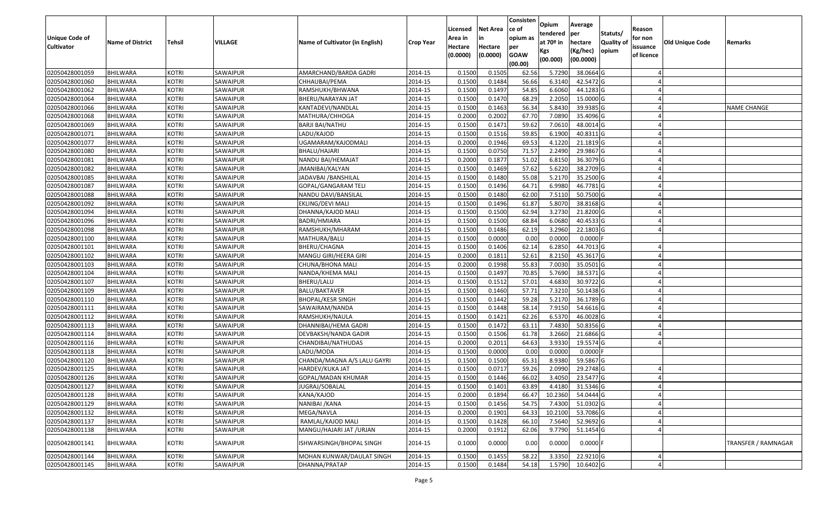| <b>Unique Code of</b><br><b>Cultivator</b> | <b>Name of District</b> | <b>Tehsil</b> | VILLAGE  | Name of Cultivator (in English) | <b>Crop Year</b> | Licensed<br>Area in<br>Hectare<br>(0.0000) | <b>Net Area</b><br>in<br>Hectare<br>(0.0000) | Consisten<br>ce of<br>opium as<br>per<br><b>GOAW</b><br>(00.00) | Opium<br>tendered<br>at 70º in<br>Kgs<br>(00.000) | Average<br><b>per</b><br>hectare<br>(Kg/hec)<br>(00.0000) | Statuts/<br><b>Quality of</b><br>opium | Reason<br>for non<br>issuance<br>of licence | <b>Old Unique Code</b> | Remarks             |
|--------------------------------------------|-------------------------|---------------|----------|---------------------------------|------------------|--------------------------------------------|----------------------------------------------|-----------------------------------------------------------------|---------------------------------------------------|-----------------------------------------------------------|----------------------------------------|---------------------------------------------|------------------------|---------------------|
| 02050428001059                             | <b>BHILWARA</b>         | <b>KOTRI</b>  | SAWAIPUR | AMARCHAND/BARDA GADRI           | 2014-15          | 0.1500                                     | 0.1505                                       | 62.56                                                           | 5.7290                                            | 38.0664 G                                                 |                                        |                                             |                        |                     |
| 02050428001060                             | <b>BHILWARA</b>         | <b>KOTRI</b>  | SAWAIPUR | CHHAUBAI/PEMA                   | 2014-15          | 0.1500                                     | 0.1484                                       | 56.66                                                           | 6.3140                                            | 42.5472 G                                                 |                                        |                                             |                        |                     |
| 02050428001062                             | BHILWARA                | KOTRI         | SAWAIPUR | RAMSHUKH/BHWANA                 | 2014-15          | 0.1500                                     | 0.1497                                       | 54.85                                                           | 6.6060                                            | 44.1283 G                                                 |                                        |                                             |                        |                     |
| 02050428001064                             | <b>BHILWARA</b>         | KOTRI         | SAWAIPUR | BHERU/NARAYAN JAT               | 2014-15          | 0.1500                                     | 0.1470                                       | 68.29                                                           | 2.2050                                            | 15.0000 G                                                 |                                        |                                             |                        |                     |
| 02050428001066                             | <b>BHILWARA</b>         | <b>KOTRI</b>  | SAWAIPUR | KANTADEVI/NANDLAL               | 2014-15          | 0.1500                                     | 0.1463                                       | 56.34                                                           | 5.8430                                            | 39.9385 G                                                 |                                        |                                             |                        | <b>NAME CHANGE</b>  |
| 02050428001068                             | <b>BHILWARA</b>         | <b>KOTRI</b>  | SAWAIPUR | MATHURA/CHHOGA                  | 2014-15          | 0.2000                                     | 0.2002                                       | 67.70                                                           | 7.0890                                            | 35.4096 G                                                 |                                        |                                             |                        |                     |
| 02050428001069                             | <b>BHILWARA</b>         | KOTRI         | SAWAIPUR | BARJI BAI/NATHU                 | 2014-15          | 0.1500                                     | 0.1471                                       | 59.62                                                           | 7.0610                                            | 48.0014 G                                                 |                                        |                                             |                        |                     |
| 02050428001071                             | <b>BHILWARA</b>         | <b>KOTRI</b>  | SAWAIPUR | LADU/KAJOD                      | 2014-15          | 0.1500                                     | 0.1516                                       | 59.85                                                           | 6.1900                                            | 40.8311 G                                                 |                                        |                                             |                        |                     |
| 02050428001077                             | <b>BHILWARA</b>         | <b>KOTRI</b>  | SAWAIPUR | UGAMARAM/KAJODMALI              | 2014-15          | 0.2000                                     | 0.1946                                       | 69.53                                                           | 4.1220                                            | 21.1819 G                                                 |                                        |                                             |                        |                     |
| 02050428001080                             | <b>BHILWARA</b>         | <b>KOTRI</b>  | SAWAIPUR | BHALU/HAJARI                    | 2014-15          | 0.1500                                     | 0.0750                                       | 71.57                                                           | 2.2490                                            | 29.9867 G                                                 |                                        |                                             |                        |                     |
| 02050428001081                             | <b>BHILWARA</b>         | KOTRI         | SAWAIPUR | NANDU BAI/HEMAJAT               | 2014-15          | 0.2000                                     | 0.1877                                       | 51.02                                                           | 6.8150                                            | 36.3079 G                                                 |                                        |                                             |                        |                     |
| 02050428001082                             | <b>BHILWARA</b>         | <b>KOTRI</b>  | SAWAIPUR | JMANIBAI/KALYAN                 | 2014-15          | 0.1500                                     | 0.1469                                       | 57.62                                                           | 5.6220                                            | 38.2709 G                                                 |                                        |                                             |                        |                     |
| 02050428001085                             | <b>BHILWARA</b>         | <b>KOTRI</b>  | SAWAIPUR | JADAVBAI /BANSHILAL             | 2014-15          | 0.1500                                     | 0.1480                                       | 55.08                                                           | 5.2170                                            | 35.2500 G                                                 |                                        |                                             |                        |                     |
| 02050428001087                             | <b>BHILWARA</b>         | <b>KOTRI</b>  | SAWAIPUR | GOPAL/GANGARAM TELI             | 2014-15          | 0.1500                                     | 0.1496                                       | 64.71                                                           | 6.9980                                            | 46.7781 G                                                 |                                        |                                             |                        |                     |
| 02050428001088                             | <b>BHILWARA</b>         | <b>KOTRI</b>  | SAWAIPUR | NANDU DAVI/BANSILAL             | 2014-15          | 0.1500                                     | 0.1480                                       | 62.00                                                           | 7.5110                                            | 50.7500 G                                                 |                                        |                                             |                        |                     |
| 02050428001092                             | <b>BHILWARA</b>         | KOTRI         | SAWAIPUR | EKLING/DEVI MALI                | 2014-15          | 0.1500                                     | 0.1496                                       | 61.87                                                           | 5.8070                                            | 38.8168 G                                                 |                                        |                                             |                        |                     |
| 02050428001094                             | <b>BHILWARA</b>         | KOTRI         | SAWAIPUR | DHANNA/KAJOD MALI               | 2014-15          | 0.1500                                     | 0.1500                                       | 62.94                                                           | 3.2730                                            | 21.8200 G                                                 |                                        |                                             |                        |                     |
| 02050428001096                             | <b>BHILWARA</b>         | KOTRI         | SAWAIPUR | BADRI/HMIARA                    | 2014-15          | 0.1500                                     | 0.1500                                       | 68.84                                                           | 6.0680                                            | 40.4533 G                                                 |                                        |                                             |                        |                     |
| 02050428001098                             | <b>BHILWARA</b>         | KOTRI         | SAWAIPUR | RAMSHUKH/MHARAM                 | 2014-15          | 0.1500                                     | 0.1486                                       | 62.19                                                           | 3.2960                                            | 22.1803 G                                                 |                                        |                                             |                        |                     |
| 02050428001100                             | <b>BHILWARA</b>         | KOTRI         | SAWAIPUR | MATHURA/BALU                    | 2014-15          | 0.1500                                     | 0.0000                                       | 0.00                                                            | 0.0000                                            | $0.0000$ F                                                |                                        |                                             |                        |                     |
| 02050428001101                             | <b>BHILWARA</b>         | KOTRI         | SAWAIPUR | BHERU/CHAGNA                    | 2014-15          | 0.1500                                     | 0.1406                                       | 62.14                                                           | 6.2850                                            | 44.7013 G                                                 |                                        |                                             |                        |                     |
| 02050428001102                             | <b>BHILWARA</b>         | KOTRI         | SAWAIPUR | MANGU GIRI/HEERA GIRI           | 2014-15          | 0.2000                                     | 0.1811                                       | 52.61                                                           | 8.2150                                            | 45.3617 G                                                 |                                        |                                             |                        |                     |
| 02050428001103                             | <b>BHILWARA</b>         | <b>KOTRI</b>  | SAWAIPUR | CHUNA/BHONA MALI                | 2014-15          | 0.2000                                     | 0.1998                                       | 55.83                                                           | 7.0030                                            | 35.0501G                                                  |                                        |                                             |                        |                     |
| 02050428001104                             | <b>BHILWARA</b>         | <b>KOTRI</b>  | SAWAIPUR | NANDA/KHEMA MALI                | 2014-15          | 0.1500                                     | 0.1497                                       | 70.85                                                           | 5.7690                                            | 38.5371 G                                                 |                                        |                                             |                        |                     |
| 02050428001107                             | <b>BHILWARA</b>         | KOTRI         | SAWAIPUR | BHERU/LALU                      | 2014-15          | 0.1500                                     | 0.1512                                       | 57.01                                                           | 4.6830                                            | 30.9722 G                                                 |                                        |                                             |                        |                     |
| 02050428001109                             | <b>BHILWARA</b>         | <b>KOTRI</b>  | SAWAIPUR | <b>BALU/BAKTAVER</b>            | 2014-15          | 0.1500                                     | 0.1460                                       | 57.71                                                           | 7.3210                                            | 50.1438 G                                                 |                                        |                                             |                        |                     |
| 02050428001110                             | <b>BHILWARA</b>         | <b>KOTRI</b>  | SAWAIPUR | <b>BHOPAL/KESR SINGH</b>        | 2014-15          | 0.1500                                     | 0.1442                                       | 59.28                                                           | 5.2170                                            | 36.1789 G                                                 |                                        |                                             |                        |                     |
| 02050428001111                             | BHILWARA                | <b>KOTRI</b>  | SAWAIPUR | SAWAIRAM/NANDA                  | 2014-15          | 0.1500                                     | 0.1448                                       | 58.14                                                           | 7.9150                                            | 54.6616 G                                                 |                                        |                                             |                        |                     |
| 02050428001112                             | <b>BHILWARA</b>         | <b>KOTRI</b>  | SAWAIPUR | RAMSHUKH/NAULA                  | 2014-15          | 0.1500                                     | 0.1421                                       | 62.26                                                           | 6.5370                                            | 46.0028 G                                                 |                                        |                                             |                        |                     |
| 02050428001113                             | <b>BHILWARA</b>         | <b>KOTRI</b>  | SAWAIPUR | DHANNIBAI/HEMA GADRI            | 2014-15          | 0.1500                                     | 0.1472                                       | 63.11                                                           | 7.4830                                            | 50.8356 G                                                 |                                        |                                             |                        |                     |
| 02050428001114                             | <b>BHILWARA</b>         | <b>KOTRI</b>  | SAWAIPUR | DEVBAKSH/NANDA GADIR            | 2014-15          | 0.1500                                     | 0.1506                                       | 61.78                                                           | 3.2660                                            | 21.6866 G                                                 |                                        |                                             |                        |                     |
| 02050428001116                             | <b>BHILWARA</b>         | KOTRI         | SAWAIPUR | CHANDIBAI/NATHUDAS              | 2014-15          | 0.2000                                     | 0.2011                                       | 64.63                                                           | 3.9330                                            | 19.5574 G                                                 |                                        |                                             |                        |                     |
| 02050428001118                             | <b>BHILWARA</b>         | <b>KOTRI</b>  | SAWAIPUR | LADU/MODA                       | 2014-15          | 0.1500                                     | 0.0000                                       | 0.00                                                            | 0.0000                                            | $0.0000$ F                                                |                                        |                                             |                        |                     |
| 02050428001120                             | <b>BHILWARA</b>         | <b>KOTRI</b>  | SAWAIPUR | CHANDA/MAGNA A/S LALU GAYRI     | 2014-15          | 0.1500                                     | 0.1500                                       | 65.31                                                           | 8.9380                                            | 59.5867 G                                                 |                                        |                                             |                        |                     |
| 02050428001125                             | BHILWARA                | KOTRI         | SAWAIPUR | HARDEV/KUKA JAT                 | 2014-15          | 0.1500                                     | 0.0717                                       | 59.26                                                           | 2.0990                                            | 29.2748 G                                                 |                                        |                                             |                        |                     |
| 02050428001126                             | <b>BHILWARA</b>         | KOTRI         | SAWAIPUR | GOPAL/MADAN KHUMAR              | 2014-15          | 0.1500                                     | 0.1446                                       | 66.02                                                           | 3.4050                                            | 23.5477 G                                                 |                                        |                                             |                        |                     |
| 02050428001127                             | BHILWARA                | <b>KOTRI</b>  | SAWAIPUR | JUGRAJ/SOBALAL                  | 2014-15          | 0.1500                                     | 0.1401                                       | 63.89                                                           | 4.4180                                            | 31.5346 G                                                 |                                        |                                             |                        |                     |
| 02050428001128                             | <b>BHILWARA</b>         | <b>KOTRI</b>  | SAWAIPUR | KANA/KAJOD                      | 2014-15          | 0.2000                                     | 0.1894                                       | 66.47                                                           | 10.2360                                           | 54.0444 G                                                 |                                        |                                             |                        |                     |
| 02050428001129                             | <b>BHILWARA</b>         | <b>KOTRI</b>  | SAWAIPUR | NANIBAI / KANA                  | 2014-15          | 0.1500                                     | 0.1456                                       | 54.75                                                           | 7.4300                                            | $51.0302$ G                                               |                                        |                                             |                        |                     |
| 02050428001132                             | <b>BHILWARA</b>         | <b>KOTRI</b>  | SAWAIPUR | MEGA/NAVLA                      | 2014-15          | 0.2000                                     | 0.1901                                       | 64.33                                                           | 10.2100                                           | 53.7086 G                                                 |                                        |                                             |                        |                     |
| 02050428001137                             | <b>BHILWARA</b>         | <b>KOTRI</b>  | SAWAIPUR | RAMLAL/KAJOD MALI               | 2014-15          | 0.1500                                     | 0.1428                                       | 66.10                                                           | 7.5640                                            | 52.9692 G                                                 |                                        |                                             |                        |                     |
| 02050428001138                             | <b>BHILWARA</b>         | KOTRI         | SAWAIPUR | MANGU/HAJARI JAT / URJAN        | 2014-15          | 0.2000                                     | 0.1912                                       | 62.06                                                           | 9.7790                                            | 51.1454 G                                                 |                                        |                                             |                        |                     |
| 02050428001141                             | <b>BHILWARA</b>         | KOTRI         | SAWAIPUR | ISHWARSINGH/BHOPAL SINGH        | 2014-15          | 0.1000                                     | 0.0000                                       | 0.00                                                            | 0.0000                                            | 0.0000F                                                   |                                        |                                             |                        | TRANSFER / RAMNAGAR |
| 02050428001144                             | BHILWARA                | <b>KOTRI</b>  | SAWAIPUR | MOHAN KUNWAR/DAULAT SINGH       | 2014-15          | 0.1500                                     | 0.1455                                       | 58.22                                                           | 3.3350                                            | 22.9210 G                                                 |                                        |                                             |                        |                     |
| 02050428001145                             | <b>BHILWARA</b>         | <b>KOTRI</b>  | SAWAIPUR | DHANNA/PRATAP                   | 2014-15          | 0.1500                                     | 0.1484                                       | 54.18                                                           | 1.5790                                            | 10.6402 G                                                 |                                        |                                             |                        |                     |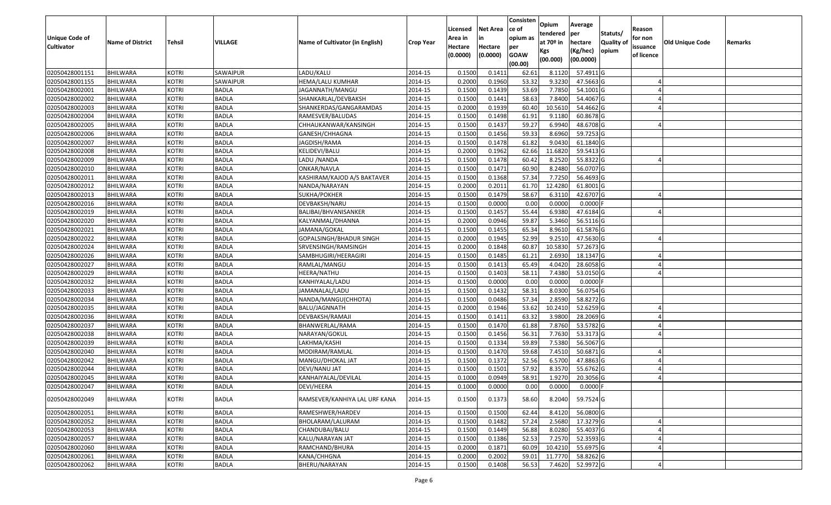| Statuts/<br>tendered<br>Unique Code of<br>opium as<br>for non<br>Area in<br>in<br>at $70°$ in<br><b>Quality o</b><br>VILLAGE<br>Name of Cultivator (in English)<br><b>Old Unique Code</b><br><b>Name of District</b><br><b>Tehsil</b><br>hectare<br><b>Crop Year</b><br>Remarks<br><b>Cultivator</b><br>Hectare<br>Hectare<br>issuance<br>per<br>opium<br>(Kg/hec)<br>Kgs<br>(0.0000)<br><b>GOAW</b><br>(0.0000)<br>of licence<br>(00.0000)<br>(00.000)<br>(00.00)<br>02050428001151<br><b>BHILWARA</b><br>SAWAIPUR<br>LADU/KALU<br>0.1500<br>0.1411<br>57.4911 G<br><b>KOTRI</b><br>2014-15<br>62.61<br>8.1120<br>02050428001155<br>0.2000<br>0.1960<br>53.32<br>9.3230<br>47.5663 G<br><b>BHILWARA</b><br><b>KOTRI</b><br>SAWAIPUR<br>HEMA/LALU KUMHAR<br>2014-15<br>53.69<br><b>KOTRI</b><br>2014-15<br>0.1500<br>0.1439<br>7.7850<br>54.1001 G<br>02050428002001<br><b>BHILWARA</b><br><b>BADLA</b><br>JAGANNATH/MANGU<br>02050428002002<br><b>BHILWARA</b><br><b>KOTRI</b><br><b>BADLA</b><br>SHANKARLAL/DEVBAKSH<br>2014-15<br>0.1500<br>0.1441<br>58.63<br>7.8400<br>54.4067 G<br>02050428002003<br><b>KOTRI</b><br><b>BADLA</b><br>2014-15<br>0.2000<br>0.1939<br>10.561<br>54.4662 G<br>BHILWARA<br>SHANKERDAS/GANGARAMDAS<br>60.40<br>02050428002004<br><b>BHILWARA</b><br><b>KOTRI</b><br><b>BADLA</b><br>2014-15<br>0.1500<br>0.1498<br>61.91<br>9.1180<br>60.8678 G<br>RAMESVER/BALUDAS<br>59.27<br><b>KOTRI</b><br><b>BADLA</b><br>2014-15<br>0.1500<br>0.1437<br>6.9940<br>48.6708 G<br>02050428002005<br>BHILWARA<br>CHHAUKANWAR/KANSINGH<br>0.1500<br>0.1456<br>59.33<br>59.7253 G<br>02050428002006<br><b>BHILWARA</b><br><b>KOTRI</b><br><b>BADLA</b><br>GANESH/CHHAGNA<br>2014-15<br>8.6960<br>02050428002007<br><b>BADLA</b><br>2014-15<br>0.1500<br>0.1478<br><b>BHILWARA</b><br><b>KOTRI</b><br>JAGDISH/RAMA<br>61.82<br>9.0430<br>61.1840 G<br>02050428002008<br><b>KOTRI</b><br><b>BADLA</b><br>2014-15<br>0.2000<br>0.1962<br>62.66<br>11.6820<br>59.5413 G<br><b>BHILWARA</b><br>KELIDEVI/BALU<br>0.1500<br>0.1478<br>60.42<br>8.2520<br><b>KOTRI</b><br><b>BADLA</b><br>2014-15<br>55.8322 G<br>02050428002009<br><b>BHILWARA</b><br>LADU /NANDA<br>02050428002010<br><b>BHILWARA</b><br><b>KOTRI</b><br><b>BADLA</b><br>2014-15<br>0.1500<br>0.1471<br>60.90<br>8.2480<br>56.0707 G<br>ONKAR/NAVLA<br>7.7250<br>02050428002011<br><b>BHILWARA</b><br><b>KOTRI</b><br><b>BADLA</b><br>KASHIRAM/KAJOD A/S BAKTAVER<br>2014-15<br>0.1500<br>0.1368<br>57.34<br>56.4693 G<br>12.4280<br>02050428002012<br><b>KOTRI</b><br><b>BADLA</b><br>2014-15<br>0.2000<br>0.2011<br>61.70<br>61.8001G<br><b>BHILWARA</b><br>NANDA/NARAYAN |  |
|---------------------------------------------------------------------------------------------------------------------------------------------------------------------------------------------------------------------------------------------------------------------------------------------------------------------------------------------------------------------------------------------------------------------------------------------------------------------------------------------------------------------------------------------------------------------------------------------------------------------------------------------------------------------------------------------------------------------------------------------------------------------------------------------------------------------------------------------------------------------------------------------------------------------------------------------------------------------------------------------------------------------------------------------------------------------------------------------------------------------------------------------------------------------------------------------------------------------------------------------------------------------------------------------------------------------------------------------------------------------------------------------------------------------------------------------------------------------------------------------------------------------------------------------------------------------------------------------------------------------------------------------------------------------------------------------------------------------------------------------------------------------------------------------------------------------------------------------------------------------------------------------------------------------------------------------------------------------------------------------------------------------------------------------------------------------------------------------------------------------------------------------------------------------------------------------------------------------------------------------------------------------------------------------------------------------------------------------------------------------------------------------------------------------------------------------------------------------------------------------------------------------------------------------------------------------------------------------------------------------------------------------------------|--|
|                                                                                                                                                                                                                                                                                                                                                                                                                                                                                                                                                                                                                                                                                                                                                                                                                                                                                                                                                                                                                                                                                                                                                                                                                                                                                                                                                                                                                                                                                                                                                                                                                                                                                                                                                                                                                                                                                                                                                                                                                                                                                                                                                                                                                                                                                                                                                                                                                                                                                                                                                                                                                                                         |  |
|                                                                                                                                                                                                                                                                                                                                                                                                                                                                                                                                                                                                                                                                                                                                                                                                                                                                                                                                                                                                                                                                                                                                                                                                                                                                                                                                                                                                                                                                                                                                                                                                                                                                                                                                                                                                                                                                                                                                                                                                                                                                                                                                                                                                                                                                                                                                                                                                                                                                                                                                                                                                                                                         |  |
|                                                                                                                                                                                                                                                                                                                                                                                                                                                                                                                                                                                                                                                                                                                                                                                                                                                                                                                                                                                                                                                                                                                                                                                                                                                                                                                                                                                                                                                                                                                                                                                                                                                                                                                                                                                                                                                                                                                                                                                                                                                                                                                                                                                                                                                                                                                                                                                                                                                                                                                                                                                                                                                         |  |
|                                                                                                                                                                                                                                                                                                                                                                                                                                                                                                                                                                                                                                                                                                                                                                                                                                                                                                                                                                                                                                                                                                                                                                                                                                                                                                                                                                                                                                                                                                                                                                                                                                                                                                                                                                                                                                                                                                                                                                                                                                                                                                                                                                                                                                                                                                                                                                                                                                                                                                                                                                                                                                                         |  |
|                                                                                                                                                                                                                                                                                                                                                                                                                                                                                                                                                                                                                                                                                                                                                                                                                                                                                                                                                                                                                                                                                                                                                                                                                                                                                                                                                                                                                                                                                                                                                                                                                                                                                                                                                                                                                                                                                                                                                                                                                                                                                                                                                                                                                                                                                                                                                                                                                                                                                                                                                                                                                                                         |  |
|                                                                                                                                                                                                                                                                                                                                                                                                                                                                                                                                                                                                                                                                                                                                                                                                                                                                                                                                                                                                                                                                                                                                                                                                                                                                                                                                                                                                                                                                                                                                                                                                                                                                                                                                                                                                                                                                                                                                                                                                                                                                                                                                                                                                                                                                                                                                                                                                                                                                                                                                                                                                                                                         |  |
|                                                                                                                                                                                                                                                                                                                                                                                                                                                                                                                                                                                                                                                                                                                                                                                                                                                                                                                                                                                                                                                                                                                                                                                                                                                                                                                                                                                                                                                                                                                                                                                                                                                                                                                                                                                                                                                                                                                                                                                                                                                                                                                                                                                                                                                                                                                                                                                                                                                                                                                                                                                                                                                         |  |
|                                                                                                                                                                                                                                                                                                                                                                                                                                                                                                                                                                                                                                                                                                                                                                                                                                                                                                                                                                                                                                                                                                                                                                                                                                                                                                                                                                                                                                                                                                                                                                                                                                                                                                                                                                                                                                                                                                                                                                                                                                                                                                                                                                                                                                                                                                                                                                                                                                                                                                                                                                                                                                                         |  |
|                                                                                                                                                                                                                                                                                                                                                                                                                                                                                                                                                                                                                                                                                                                                                                                                                                                                                                                                                                                                                                                                                                                                                                                                                                                                                                                                                                                                                                                                                                                                                                                                                                                                                                                                                                                                                                                                                                                                                                                                                                                                                                                                                                                                                                                                                                                                                                                                                                                                                                                                                                                                                                                         |  |
|                                                                                                                                                                                                                                                                                                                                                                                                                                                                                                                                                                                                                                                                                                                                                                                                                                                                                                                                                                                                                                                                                                                                                                                                                                                                                                                                                                                                                                                                                                                                                                                                                                                                                                                                                                                                                                                                                                                                                                                                                                                                                                                                                                                                                                                                                                                                                                                                                                                                                                                                                                                                                                                         |  |
|                                                                                                                                                                                                                                                                                                                                                                                                                                                                                                                                                                                                                                                                                                                                                                                                                                                                                                                                                                                                                                                                                                                                                                                                                                                                                                                                                                                                                                                                                                                                                                                                                                                                                                                                                                                                                                                                                                                                                                                                                                                                                                                                                                                                                                                                                                                                                                                                                                                                                                                                                                                                                                                         |  |
|                                                                                                                                                                                                                                                                                                                                                                                                                                                                                                                                                                                                                                                                                                                                                                                                                                                                                                                                                                                                                                                                                                                                                                                                                                                                                                                                                                                                                                                                                                                                                                                                                                                                                                                                                                                                                                                                                                                                                                                                                                                                                                                                                                                                                                                                                                                                                                                                                                                                                                                                                                                                                                                         |  |
|                                                                                                                                                                                                                                                                                                                                                                                                                                                                                                                                                                                                                                                                                                                                                                                                                                                                                                                                                                                                                                                                                                                                                                                                                                                                                                                                                                                                                                                                                                                                                                                                                                                                                                                                                                                                                                                                                                                                                                                                                                                                                                                                                                                                                                                                                                                                                                                                                                                                                                                                                                                                                                                         |  |
|                                                                                                                                                                                                                                                                                                                                                                                                                                                                                                                                                                                                                                                                                                                                                                                                                                                                                                                                                                                                                                                                                                                                                                                                                                                                                                                                                                                                                                                                                                                                                                                                                                                                                                                                                                                                                                                                                                                                                                                                                                                                                                                                                                                                                                                                                                                                                                                                                                                                                                                                                                                                                                                         |  |
|                                                                                                                                                                                                                                                                                                                                                                                                                                                                                                                                                                                                                                                                                                                                                                                                                                                                                                                                                                                                                                                                                                                                                                                                                                                                                                                                                                                                                                                                                                                                                                                                                                                                                                                                                                                                                                                                                                                                                                                                                                                                                                                                                                                                                                                                                                                                                                                                                                                                                                                                                                                                                                                         |  |
|                                                                                                                                                                                                                                                                                                                                                                                                                                                                                                                                                                                                                                                                                                                                                                                                                                                                                                                                                                                                                                                                                                                                                                                                                                                                                                                                                                                                                                                                                                                                                                                                                                                                                                                                                                                                                                                                                                                                                                                                                                                                                                                                                                                                                                                                                                                                                                                                                                                                                                                                                                                                                                                         |  |
|                                                                                                                                                                                                                                                                                                                                                                                                                                                                                                                                                                                                                                                                                                                                                                                                                                                                                                                                                                                                                                                                                                                                                                                                                                                                                                                                                                                                                                                                                                                                                                                                                                                                                                                                                                                                                                                                                                                                                                                                                                                                                                                                                                                                                                                                                                                                                                                                                                                                                                                                                                                                                                                         |  |
| 58.67<br>6.3110<br><b>KOTRI</b><br><b>BADLA</b><br>2014-15<br>0.1500<br>0.1479<br>42.6707 G<br>02050428002013<br>BHILWARA<br>SUKHA/POKHER                                                                                                                                                                                                                                                                                                                                                                                                                                                                                                                                                                                                                                                                                                                                                                                                                                                                                                                                                                                                                                                                                                                                                                                                                                                                                                                                                                                                                                                                                                                                                                                                                                                                                                                                                                                                                                                                                                                                                                                                                                                                                                                                                                                                                                                                                                                                                                                                                                                                                                               |  |
| 02050428002016<br><b>KOTRI</b><br><b>BADLA</b><br>2014-15<br>0.1500<br>0.0000<br>0.00<br>0.0000<br>$0.0000$ F<br><b>BHILWARA</b><br>DEVBAKSH/NARU                                                                                                                                                                                                                                                                                                                                                                                                                                                                                                                                                                                                                                                                                                                                                                                                                                                                                                                                                                                                                                                                                                                                                                                                                                                                                                                                                                                                                                                                                                                                                                                                                                                                                                                                                                                                                                                                                                                                                                                                                                                                                                                                                                                                                                                                                                                                                                                                                                                                                                       |  |
| 02050428002019<br><b>BADLA</b><br>2014-15<br>0.1500<br>0.1457<br>55.44<br>6.9380<br>47.6184 G<br><b>BHILWARA</b><br><b>KOTRI</b><br>BALIBAI/BHVANISANKER                                                                                                                                                                                                                                                                                                                                                                                                                                                                                                                                                                                                                                                                                                                                                                                                                                                                                                                                                                                                                                                                                                                                                                                                                                                                                                                                                                                                                                                                                                                                                                                                                                                                                                                                                                                                                                                                                                                                                                                                                                                                                                                                                                                                                                                                                                                                                                                                                                                                                                |  |
| 56.5116 G<br>02050428002020<br><b>KOTRI</b><br><b>BADLA</b><br>0.2000<br>0.0946<br>59.87<br>5.3460<br>BHILWARA<br>KALYANMAL/DHANNA<br>2014-15                                                                                                                                                                                                                                                                                                                                                                                                                                                                                                                                                                                                                                                                                                                                                                                                                                                                                                                                                                                                                                                                                                                                                                                                                                                                                                                                                                                                                                                                                                                                                                                                                                                                                                                                                                                                                                                                                                                                                                                                                                                                                                                                                                                                                                                                                                                                                                                                                                                                                                           |  |
| 0.1500<br>8.9610<br>02050428002021<br><b>KOTRI</b><br><b>BADLA</b><br>0.1455<br>65.34<br>61.5876 G<br><b>BHILWARA</b><br>2014-15<br>JAMANA/GOKAL                                                                                                                                                                                                                                                                                                                                                                                                                                                                                                                                                                                                                                                                                                                                                                                                                                                                                                                                                                                                                                                                                                                                                                                                                                                                                                                                                                                                                                                                                                                                                                                                                                                                                                                                                                                                                                                                                                                                                                                                                                                                                                                                                                                                                                                                                                                                                                                                                                                                                                        |  |
| 52.99<br>47.5630 G<br><b>KOTRI</b><br><b>BADLA</b><br>2014-15<br>0.2000<br>0.1945<br>9.2510<br>02050428002022<br>BHILWARA<br>GOPALSINGH/BHADUR SINGH                                                                                                                                                                                                                                                                                                                                                                                                                                                                                                                                                                                                                                                                                                                                                                                                                                                                                                                                                                                                                                                                                                                                                                                                                                                                                                                                                                                                                                                                                                                                                                                                                                                                                                                                                                                                                                                                                                                                                                                                                                                                                                                                                                                                                                                                                                                                                                                                                                                                                                    |  |
| 10.5830<br>57.2673 G<br>02050428002024<br><b>KOTRI</b><br><b>BADLA</b><br>2014-15<br>0.2000<br>0.1848<br>60.87<br><b>BHILWARA</b><br>SRVENSINGH/RAMSINGH                                                                                                                                                                                                                                                                                                                                                                                                                                                                                                                                                                                                                                                                                                                                                                                                                                                                                                                                                                                                                                                                                                                                                                                                                                                                                                                                                                                                                                                                                                                                                                                                                                                                                                                                                                                                                                                                                                                                                                                                                                                                                                                                                                                                                                                                                                                                                                                                                                                                                                |  |
| 02050428002026<br><b>KOTRI</b><br><b>BADLA</b><br>0.150<br>0.1485<br>61.21<br>2.693<br>18.1347 G<br><b>BHILWARA</b><br>SAMBHUGIRI/HEERAGIRI<br>2014-15                                                                                                                                                                                                                                                                                                                                                                                                                                                                                                                                                                                                                                                                                                                                                                                                                                                                                                                                                                                                                                                                                                                                                                                                                                                                                                                                                                                                                                                                                                                                                                                                                                                                                                                                                                                                                                                                                                                                                                                                                                                                                                                                                                                                                                                                                                                                                                                                                                                                                                  |  |
| 0.1500<br>02050428002027<br><b>KOTRI</b><br><b>BADLA</b><br>0.1413<br>65.49<br>4.0420<br>28.6058 G<br><b>BHILWARA</b><br>RAMLAL/MANGU<br>2014-15                                                                                                                                                                                                                                                                                                                                                                                                                                                                                                                                                                                                                                                                                                                                                                                                                                                                                                                                                                                                                                                                                                                                                                                                                                                                                                                                                                                                                                                                                                                                                                                                                                                                                                                                                                                                                                                                                                                                                                                                                                                                                                                                                                                                                                                                                                                                                                                                                                                                                                        |  |
| <b>BADLA</b><br>0.150<br>0.1403<br>58.1<br>7.4380<br>02050428002029<br><b>BHILWARA</b><br><b>KOTRI</b><br>HEERA/NATHU<br>2014-15<br>53.0150 G                                                                                                                                                                                                                                                                                                                                                                                                                                                                                                                                                                                                                                                                                                                                                                                                                                                                                                                                                                                                                                                                                                                                                                                                                                                                                                                                                                                                                                                                                                                                                                                                                                                                                                                                                                                                                                                                                                                                                                                                                                                                                                                                                                                                                                                                                                                                                                                                                                                                                                           |  |
| 0.1500<br>0.0000<br>0.0000<br>02050428002032<br><b>BHILWARA</b><br><b>KOTRI</b><br><b>BADLA</b><br>KANHIYALAL/LADU<br>2014-15<br>0.00<br>$0.0000$ F                                                                                                                                                                                                                                                                                                                                                                                                                                                                                                                                                                                                                                                                                                                                                                                                                                                                                                                                                                                                                                                                                                                                                                                                                                                                                                                                                                                                                                                                                                                                                                                                                                                                                                                                                                                                                                                                                                                                                                                                                                                                                                                                                                                                                                                                                                                                                                                                                                                                                                     |  |
| 02050428002033<br><b>BADLA</b><br>2014-15<br>0.1500<br>0.1432<br>58.31<br>56.0754 G<br>BHILWARA<br><b>KOTRI</b><br>JAMANALAL/LADU<br>8.0300                                                                                                                                                                                                                                                                                                                                                                                                                                                                                                                                                                                                                                                                                                                                                                                                                                                                                                                                                                                                                                                                                                                                                                                                                                                                                                                                                                                                                                                                                                                                                                                                                                                                                                                                                                                                                                                                                                                                                                                                                                                                                                                                                                                                                                                                                                                                                                                                                                                                                                             |  |
| 02050428002034<br><b>BHILWARA</b><br><b>KOTRI</b><br><b>BADLA</b><br>2014-15<br>0.1500<br>0.0486<br>57.34<br>2.8590<br>58.8272 G<br>NANDA/MANGU(CHHOTA)                                                                                                                                                                                                                                                                                                                                                                                                                                                                                                                                                                                                                                                                                                                                                                                                                                                                                                                                                                                                                                                                                                                                                                                                                                                                                                                                                                                                                                                                                                                                                                                                                                                                                                                                                                                                                                                                                                                                                                                                                                                                                                                                                                                                                                                                                                                                                                                                                                                                                                 |  |
| <b>BADLA</b><br>0.2000<br>0.1946<br>53.62<br>10.2410<br>52.6259 G<br>02050428002035<br>BHILWARA<br><b>KOTRI</b><br>2014-15<br>BALU/JAGNNATH                                                                                                                                                                                                                                                                                                                                                                                                                                                                                                                                                                                                                                                                                                                                                                                                                                                                                                                                                                                                                                                                                                                                                                                                                                                                                                                                                                                                                                                                                                                                                                                                                                                                                                                                                                                                                                                                                                                                                                                                                                                                                                                                                                                                                                                                                                                                                                                                                                                                                                             |  |
| 02050428002036<br><b>BHILWARA</b><br><b>KOTRI</b><br><b>BADLA</b><br>2014-15<br>0.1500<br>0.1411<br>63.32<br>3.9800<br>28.2069 G<br>DEVBAKSH/RAMAJI                                                                                                                                                                                                                                                                                                                                                                                                                                                                                                                                                                                                                                                                                                                                                                                                                                                                                                                                                                                                                                                                                                                                                                                                                                                                                                                                                                                                                                                                                                                                                                                                                                                                                                                                                                                                                                                                                                                                                                                                                                                                                                                                                                                                                                                                                                                                                                                                                                                                                                     |  |
| 53.5782 G<br>02050428002037<br><b>KOTRI</b><br><b>BADLA</b><br>2014-15<br>0.1500<br>0.1470<br>61.88<br>7.8760<br><b>BHILWARA</b><br>BHANWERLAL/RAMA                                                                                                                                                                                                                                                                                                                                                                                                                                                                                                                                                                                                                                                                                                                                                                                                                                                                                                                                                                                                                                                                                                                                                                                                                                                                                                                                                                                                                                                                                                                                                                                                                                                                                                                                                                                                                                                                                                                                                                                                                                                                                                                                                                                                                                                                                                                                                                                                                                                                                                     |  |
| 0.1500<br>02050428002038<br><b>KOTRI</b><br><b>BADLA</b><br>2014-15<br>0.1456<br>56.3<br>7.7630<br>53.3173 G<br><b>BHILWARA</b><br>NARAYAN/GOKUL                                                                                                                                                                                                                                                                                                                                                                                                                                                                                                                                                                                                                                                                                                                                                                                                                                                                                                                                                                                                                                                                                                                                                                                                                                                                                                                                                                                                                                                                                                                                                                                                                                                                                                                                                                                                                                                                                                                                                                                                                                                                                                                                                                                                                                                                                                                                                                                                                                                                                                        |  |
| 59.89<br><b>BADLA</b><br>2014-15<br>0.1500<br>0.1334<br>7.5380<br>56.5067 G<br>02050428002039<br>BHILWARA<br><b>KOTRI</b><br>LAKHMA/KASHI                                                                                                                                                                                                                                                                                                                                                                                                                                                                                                                                                                                                                                                                                                                                                                                                                                                                                                                                                                                                                                                                                                                                                                                                                                                                                                                                                                                                                                                                                                                                                                                                                                                                                                                                                                                                                                                                                                                                                                                                                                                                                                                                                                                                                                                                                                                                                                                                                                                                                                               |  |
| 50.6871 G<br>02050428002040<br><b>BHILWARA</b><br><b>KOTRI</b><br><b>BADLA</b><br>2014-15<br>0.1500<br>0.1470<br>59.68<br>7.4510<br>MODIRAM/RAMLAL                                                                                                                                                                                                                                                                                                                                                                                                                                                                                                                                                                                                                                                                                                                                                                                                                                                                                                                                                                                                                                                                                                                                                                                                                                                                                                                                                                                                                                                                                                                                                                                                                                                                                                                                                                                                                                                                                                                                                                                                                                                                                                                                                                                                                                                                                                                                                                                                                                                                                                      |  |
| 2014-15<br>0.1500<br>0.1372<br>52.56<br>6.5700<br>47.8863 G<br>02050428002042<br>BHILWARA<br><b>KOTRI</b><br><b>BADLA</b><br>MANGU/DHOKAL JAT                                                                                                                                                                                                                                                                                                                                                                                                                                                                                                                                                                                                                                                                                                                                                                                                                                                                                                                                                                                                                                                                                                                                                                                                                                                                                                                                                                                                                                                                                                                                                                                                                                                                                                                                                                                                                                                                                                                                                                                                                                                                                                                                                                                                                                                                                                                                                                                                                                                                                                           |  |
| 02050428002044<br><b>KOTRI</b><br><b>BADLA</b><br>2014-15<br>0.150<br>0.1501<br>57.92<br>8.3570<br>55.6762G<br>BHILWARA<br>DEVI/NANU JAT                                                                                                                                                                                                                                                                                                                                                                                                                                                                                                                                                                                                                                                                                                                                                                                                                                                                                                                                                                                                                                                                                                                                                                                                                                                                                                                                                                                                                                                                                                                                                                                                                                                                                                                                                                                                                                                                                                                                                                                                                                                                                                                                                                                                                                                                                                                                                                                                                                                                                                                |  |
| 58.91<br>0.1000<br>0.0949<br>1.9270<br>20.3056 G<br>02050428002045<br><b>BHILWARA</b><br><b>KOTRI</b><br><b>BADLA</b><br>2014-15<br>KANHAIYALAL/DEVILAL                                                                                                                                                                                                                                                                                                                                                                                                                                                                                                                                                                                                                                                                                                                                                                                                                                                                                                                                                                                                                                                                                                                                                                                                                                                                                                                                                                                                                                                                                                                                                                                                                                                                                                                                                                                                                                                                                                                                                                                                                                                                                                                                                                                                                                                                                                                                                                                                                                                                                                 |  |
| 02050428002047<br><b>BADLA</b><br>2014-15<br>0.1000<br>0.0000<br><b>BHILWARA</b><br><b>KOTRI</b><br>DEVI/HEERA<br>0.00<br>0.0000<br>0.0000 F                                                                                                                                                                                                                                                                                                                                                                                                                                                                                                                                                                                                                                                                                                                                                                                                                                                                                                                                                                                                                                                                                                                                                                                                                                                                                                                                                                                                                                                                                                                                                                                                                                                                                                                                                                                                                                                                                                                                                                                                                                                                                                                                                                                                                                                                                                                                                                                                                                                                                                            |  |
|                                                                                                                                                                                                                                                                                                                                                                                                                                                                                                                                                                                                                                                                                                                                                                                                                                                                                                                                                                                                                                                                                                                                                                                                                                                                                                                                                                                                                                                                                                                                                                                                                                                                                                                                                                                                                                                                                                                                                                                                                                                                                                                                                                                                                                                                                                                                                                                                                                                                                                                                                                                                                                                         |  |
| 0.1500<br>0.1373<br>02050428002049<br><b>BHILWARA</b><br><b>KOTRI</b><br><b>BADLA</b><br>RAMSEVER/KANHIYA LAL URF KANA<br>2014-15<br>58.60<br>8.2040<br>59.7524 G                                                                                                                                                                                                                                                                                                                                                                                                                                                                                                                                                                                                                                                                                                                                                                                                                                                                                                                                                                                                                                                                                                                                                                                                                                                                                                                                                                                                                                                                                                                                                                                                                                                                                                                                                                                                                                                                                                                                                                                                                                                                                                                                                                                                                                                                                                                                                                                                                                                                                       |  |
| 0.1500<br>02050428002051<br><b>KOTRI</b><br><b>BADLA</b><br>RAMESHWER/HARDEV<br>2014-15<br>0.1500<br>62.44<br>8.4120<br>56.0800 G<br><b>BHILWARA</b>                                                                                                                                                                                                                                                                                                                                                                                                                                                                                                                                                                                                                                                                                                                                                                                                                                                                                                                                                                                                                                                                                                                                                                                                                                                                                                                                                                                                                                                                                                                                                                                                                                                                                                                                                                                                                                                                                                                                                                                                                                                                                                                                                                                                                                                                                                                                                                                                                                                                                                    |  |
| 57.24<br>2.5680<br>17.3279 G<br><b>KOTRI</b><br><b>BADLA</b><br>2014-15<br>0.1500<br>0.1482<br>02050428002052<br><b>BHILWARA</b><br>BHOLARAM/LALURAM                                                                                                                                                                                                                                                                                                                                                                                                                                                                                                                                                                                                                                                                                                                                                                                                                                                                                                                                                                                                                                                                                                                                                                                                                                                                                                                                                                                                                                                                                                                                                                                                                                                                                                                                                                                                                                                                                                                                                                                                                                                                                                                                                                                                                                                                                                                                                                                                                                                                                                    |  |
| 0.1500<br>0.1449<br>56.88<br>8.0280<br>55.4037 G<br>02050428002053<br><b>BHILWARA</b><br><b>KOTRI</b><br><b>BADLA</b><br>CHANDUBAI/BALU<br>2014-15                                                                                                                                                                                                                                                                                                                                                                                                                                                                                                                                                                                                                                                                                                                                                                                                                                                                                                                                                                                                                                                                                                                                                                                                                                                                                                                                                                                                                                                                                                                                                                                                                                                                                                                                                                                                                                                                                                                                                                                                                                                                                                                                                                                                                                                                                                                                                                                                                                                                                                      |  |
| 02050428002057<br>0.1386<br>7.2570<br>52.3593 G<br><b>KOTRI</b><br><b>BADLA</b><br>2014-15<br>0.1500<br>52.53<br><b>BHILWARA</b><br>KALU/NARAYAN JAT                                                                                                                                                                                                                                                                                                                                                                                                                                                                                                                                                                                                                                                                                                                                                                                                                                                                                                                                                                                                                                                                                                                                                                                                                                                                                                                                                                                                                                                                                                                                                                                                                                                                                                                                                                                                                                                                                                                                                                                                                                                                                                                                                                                                                                                                                                                                                                                                                                                                                                    |  |
| 55.6975 G<br>0.1871<br>10.4210<br>02050428002060<br><b>KOTRI</b><br><b>BADLA</b><br>0.2000<br>60.09<br><b>BHILWARA</b><br>RAMCHAND/BHURA<br>2014-15                                                                                                                                                                                                                                                                                                                                                                                                                                                                                                                                                                                                                                                                                                                                                                                                                                                                                                                                                                                                                                                                                                                                                                                                                                                                                                                                                                                                                                                                                                                                                                                                                                                                                                                                                                                                                                                                                                                                                                                                                                                                                                                                                                                                                                                                                                                                                                                                                                                                                                     |  |
| 58.8262 G<br><b>KOTRI</b><br><b>BADLA</b><br>0.2000<br>0.2002<br>59.01<br>11.7770<br>02050428002061<br><b>BHILWARA</b><br>KANA/CHHGNA<br>2014-15                                                                                                                                                                                                                                                                                                                                                                                                                                                                                                                                                                                                                                                                                                                                                                                                                                                                                                                                                                                                                                                                                                                                                                                                                                                                                                                                                                                                                                                                                                                                                                                                                                                                                                                                                                                                                                                                                                                                                                                                                                                                                                                                                                                                                                                                                                                                                                                                                                                                                                        |  |
| 02050428002062<br>52.9972 G<br><b>KOTRI</b><br><b>BADLA</b><br>BHERU/NARAYAN<br>0.1500<br>0.1408<br>56.53<br>7.4620<br><b>BHILWARA</b><br>2014-15                                                                                                                                                                                                                                                                                                                                                                                                                                                                                                                                                                                                                                                                                                                                                                                                                                                                                                                                                                                                                                                                                                                                                                                                                                                                                                                                                                                                                                                                                                                                                                                                                                                                                                                                                                                                                                                                                                                                                                                                                                                                                                                                                                                                                                                                                                                                                                                                                                                                                                       |  |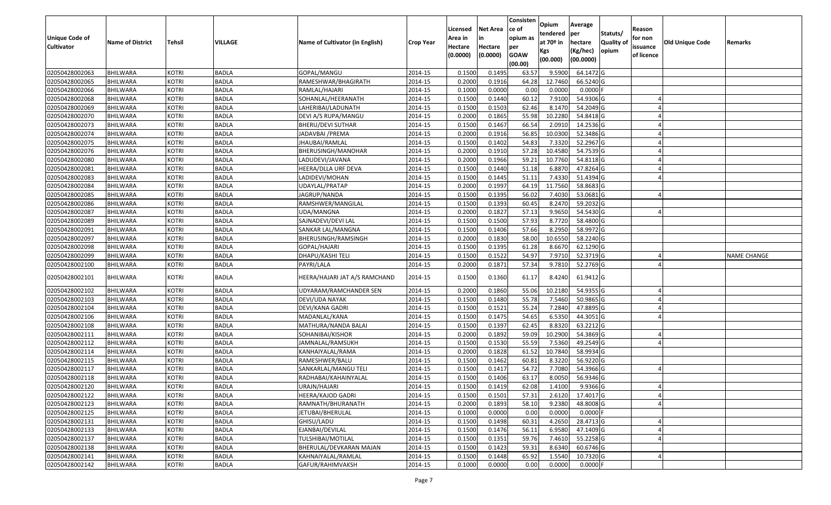| Unique Code of<br><b>Cultivator</b> | <b>Name of District</b> | <b>Tehsil</b> | VILLAGE      | Name of Cultivator (in English) | <b>Crop Year</b> | Licensed<br>Area in<br>Hectare | Net Area<br>in<br>Hectare | Consisten<br>ce of<br>opium as<br>per | Opium<br>tendered<br>at 70º in<br>Kgs | Average<br>per<br>hectare<br>(Kg/hec) | Statuts/<br><b>Quality of</b><br>opium | Reason<br>for non<br>issuance | <b>Old Unique Code</b> | Remarks            |
|-------------------------------------|-------------------------|---------------|--------------|---------------------------------|------------------|--------------------------------|---------------------------|---------------------------------------|---------------------------------------|---------------------------------------|----------------------------------------|-------------------------------|------------------------|--------------------|
|                                     |                         |               |              |                                 |                  | (0.0000)                       | (0.0000)                  | <b>GOAW</b><br>(00.00)                | (00.000)                              | (00.0000)                             |                                        | of licence                    |                        |                    |
| 02050428002063                      | <b>BHILWARA</b>         | <b>KOTRI</b>  | <b>BADLA</b> | GOPAL/MANGU                     | 2014-15          | 0.1500                         | 0.1495                    | 63.57                                 | 9.5900                                | 64.1472 G                             |                                        |                               |                        |                    |
| 02050428002065                      | <b>BHILWARA</b>         | <b>KOTRI</b>  | <b>BADLA</b> | RAMESHWAR/BHAGIRATH             | 2014-15          | 0.2000                         | 0.1916                    | 64.28                                 | 12.7460                               | 66.5240 G                             |                                        |                               |                        |                    |
| 02050428002066                      | BHILWARA                | <b>KOTRI</b>  | <b>BADLA</b> | RAMLAL/HAJARI                   | 2014-15          | 0.1000                         | 0.0000                    | 0.00                                  | 0.0000                                | $0.0000$ F                            |                                        |                               |                        |                    |
| 02050428002068                      | <b>BHILWARA</b>         | <b>KOTRI</b>  | <b>BADLA</b> | SOHANLAL/HEERANATH              | 2014-15          | 0.1500                         | 0.1440                    | 60.12                                 | 7.9100                                | 54.9306 G                             |                                        |                               |                        |                    |
| 02050428002069                      | BHILWARA                | <b>KOTRI</b>  | <b>BADLA</b> | LAHERIBAI/LADUNATH              | 2014-15          | 0.1500                         | 0.1503                    | 62.46                                 | 8.1470                                | 54.2049 G                             |                                        |                               |                        |                    |
| 02050428002070                      | <b>BHILWARA</b>         | <b>KOTRI</b>  | <b>BADLA</b> | DEVI A/S RUPA/MANGU             | 2014-15          | 0.2000                         | 0.1865                    | 55.98                                 | 10.2280                               | 54.8418 G                             |                                        |                               |                        |                    |
| 02050428002073                      | <b>BHILWARA</b>         | <b>KOTRI</b>  | <b>BADLA</b> | BHERU/DEVI SUTHAR               | 2014-15          | 0.1500                         | 0.1467                    | 66.54                                 | 2.0910                                | 14.2536 G                             |                                        |                               |                        |                    |
| 02050428002074                      | <b>BHILWARA</b>         | <b>KOTRI</b>  | <b>BADLA</b> | JADAVBAI /PREMA                 | 2014-15          | 0.2000                         | 0.1916                    | 56.85                                 | 10.0300                               | 52.3486 G                             |                                        |                               |                        |                    |
| 02050428002075                      | <b>BHILWARA</b>         | <b>KOTRI</b>  | <b>BADLA</b> | JHAUBAI/RAMLAL                  | 2014-15          | 0.1500                         | 0.1402                    | 54.83                                 | 7.3320                                | 52.2967 G                             |                                        |                               |                        |                    |
| 02050428002076                      | <b>BHILWARA</b>         | <b>KOTRI</b>  | <b>BADLA</b> | BHERUSINGH/MANOHAR              | 2014-15          | 0.2000                         | 0.1910                    | 57.28                                 | 10.4580                               | 54.7539 G                             |                                        |                               |                        |                    |
| 02050428002080                      | <b>BHILWARA</b>         | <b>KOTRI</b>  | <b>BADLA</b> | LADUDEVI/JAVANA                 | 2014-15          | 0.2000                         | 0.1966                    | 59.21                                 | 10.7760                               | 54.8118 G                             |                                        |                               |                        |                    |
| 02050428002081                      | <b>BHILWARA</b>         | <b>KOTRI</b>  | <b>BADLA</b> | HEERA/DLLA URF DEVA             | 2014-15          | 0.1500                         | 0.1440                    | 51.18                                 | 6.8870                                | 47.8264 G                             |                                        |                               |                        |                    |
| 02050428002083                      | <b>BHILWARA</b>         | <b>KOTRI</b>  | <b>BADLA</b> | LADIDEVI/MOHAN                  | 2014-15          | 0.1500                         | 0.1445                    | 51.11                                 | 7.4330                                | 51.4394 G                             |                                        |                               |                        |                    |
| 02050428002084                      | <b>BHILWARA</b>         | <b>KOTRI</b>  | <b>BADLA</b> | UDAYLAL/PRATAP                  | 2014-15          | 0.2000                         | 0.1997                    | 64.19                                 | 11.7560                               | 58.8683 G                             |                                        |                               |                        |                    |
| 02050428002085                      | BHILWARA                | <b>KOTRI</b>  | <b>BADLA</b> | JAGRUP/NANDA                    | 2014-15          | 0.1500                         | 0.1395                    | 56.02                                 | 7.4030                                | 53.0681 G                             |                                        |                               |                        |                    |
| 02050428002086                      | <b>BHILWARA</b>         | <b>KOTRI</b>  | <b>BADLA</b> | RAMSHWER/MANGILAL               | 2014-15          | 0.1500                         | 0.1393                    | 60.45                                 | 8.2470                                | 59.2032 G                             |                                        |                               |                        |                    |
| 02050428002087                      | <b>BHILWARA</b>         | <b>KOTRI</b>  | <b>BADLA</b> | UDA/MANGNA                      | 2014-15          | 0.2000                         | 0.1827                    | 57.13                                 | 9.9650                                | 54.5430 G                             |                                        |                               |                        |                    |
| 02050428002089                      | <b>BHILWARA</b>         | <b>KOTRI</b>  | <b>BADLA</b> | SAJNADEVI/DEVI LAL              | 2014-15          | 0.1500                         | 0.1500                    | 57.93                                 | 8.7720                                | 58.4800 G                             |                                        |                               |                        |                    |
| 02050428002091                      | <b>BHILWARA</b>         | <b>KOTRI</b>  | <b>BADLA</b> | SANKAR LAL/MANGNA               | 2014-15          | 0.1500                         | 0.1406                    | 57.66                                 | 8.2950                                | 58.9972 G                             |                                        |                               |                        |                    |
| 02050428002097                      | BHILWARA                | <b>KOTRI</b>  | <b>BADLA</b> | BHERUSINGH/RAMSINGH             | 2014-15          | 0.2000                         | 0.1830                    | 58.00                                 | 10.6550                               | 58.2240 G                             |                                        |                               |                        |                    |
| 02050428002098                      | <b>BHILWARA</b>         | <b>KOTRI</b>  | <b>BADLA</b> | GOPAL/HAJARI                    | 2014-15          | 0.1500                         | 0.1395                    | 61.28                                 | 8.6670                                | 62.1290 G                             |                                        |                               |                        |                    |
| 02050428002099                      | BHILWARA                | <b>KOTRI</b>  | <b>BADLA</b> | DHAPU/KASHI TELI                | 2014-15          | 0.1500                         | 0.1522                    | 54.97                                 | 7.9710                                | 52.3719 G                             |                                        |                               |                        | <b>NAME CHANGE</b> |
| 02050428002100                      | <b>BHILWARA</b>         | <b>KOTRI</b>  | <b>BADLA</b> | PAYRI/LALA                      | 2014-15          | 0.2000                         | 0.1871                    | 57.34                                 | 9.7810                                | 52.2769 G                             |                                        |                               |                        |                    |
| 02050428002101                      | BHILWARA                | <b>KOTRI</b>  | <b>BADLA</b> | HEERA/HAJARI JAT A/S RAMCHAND   | 2014-15          | 0.1500                         | 0.1360                    | 61.17                                 | 8.4240                                | 61.9412 G                             |                                        |                               |                        |                    |
| 02050428002102                      | <b>BHILWARA</b>         | <b>KOTRI</b>  | <b>BADLA</b> | UDYARAM/RAMCHANDER SEN          | 2014-15          | 0.2000                         | 0.1860                    | 55.06                                 | 10.2180                               | 54.9355 G                             |                                        |                               |                        |                    |
| 02050428002103                      | <b>BHILWARA</b>         | <b>KOTRI</b>  | <b>BADLA</b> | DEVI/UDA NAYAK                  | 2014-15          | 0.1500                         | 0.1480                    | 55.78                                 | 7.5460                                | 50.9865 G                             |                                        |                               |                        |                    |
| 02050428002104                      | BHILWARA                | <b>KOTRI</b>  | <b>BADLA</b> | DEVI/KANA GADRI                 | 2014-15          | 0.1500                         | 0.1521                    | 55.24                                 | 7.2840                                | 47.8895 G                             |                                        |                               |                        |                    |
| 02050428002106                      | <b>BHILWARA</b>         | <b>KOTRI</b>  | <b>BADLA</b> | MADANLAL/KANA                   | 2014-15          | 0.1500                         | 0.1475                    | 54.65                                 | 6.5350                                | 44.3051 G                             |                                        |                               |                        |                    |
| 02050428002108                      | BHILWARA                | <b>KOTRI</b>  | <b>BADLA</b> | MATHURA/NANDA BALAI             | 2014-15          | 0.1500                         | 0.1397                    | 62.45                                 | 8.8320                                | 63.2212 G                             |                                        |                               |                        |                    |
| 02050428002111                      | BHILWARA                | <b>KOTRI</b>  | <b>BADLA</b> | SOHANIBAI/KISHOR                | 2014-15          | 0.2000                         | 0.1892                    | 59.09                                 | 10.2900                               | 54.3869 G                             |                                        |                               |                        |                    |
| 02050428002112                      | BHILWARA                | <b>KOTRI</b>  | <b>BADLA</b> | JAMNALAL/RAMSUKH                | 2014-15          | 0.1500                         | 0.1530                    | 55.59                                 | 7.5360                                | 49.2549 G                             |                                        |                               |                        |                    |
| 02050428002114                      | <b>BHILWARA</b>         | <b>KOTRI</b>  | <b>BADLA</b> | KANHAIYALAL/RAMA                | 2014-15          | 0.2000                         | 0.1828                    | 61.52                                 | 10.7840                               | 58.9934 G                             |                                        |                               |                        |                    |
| 02050428002115                      | <b>BHILWARA</b>         | <b>KOTRI</b>  | <b>BADLA</b> | RAMESHWER/BALU                  | 2014-15          | 0.1500                         | 0.1462                    | 60.81                                 | 8.3220                                | 56.9220 G                             |                                        |                               |                        |                    |
| 02050428002117                      | BHILWARA                | <b>KOTRI</b>  | <b>BADLA</b> | SANKARLAL/MANGU TELI            | 2014-15          | 0.1500                         | 0.141                     | 54.72                                 | 7.7080                                | 54.3966 G                             |                                        |                               |                        |                    |
| 02050428002118                      | <b>BHILWARA</b>         | KOTRI         | <b>BADLA</b> | RADHABAI/KAHAINYALAL            | 2014-15          | 0.1500                         | 0.1406                    | 63.17                                 | 8.0050                                | 56.9346 G                             |                                        |                               |                        |                    |
| 02050428002120                      | <b>BHILWARA</b>         | <b>KOTRI</b>  | <b>BADLA</b> | URAJN/HAJARI                    | 2014-15          | 0.1500                         | 0.1419                    | 62.08                                 | 1.4100                                | 9.9366 G                              |                                        |                               |                        |                    |
| 02050428002122                      | <b>BHILWARA</b>         | <b>KOTRI</b>  | <b>BADLA</b> | HEERA/KAJOD GADRI               | 2014-15          | 0.1500                         | 0.1501                    | 57.31                                 | 2.6120                                | 17.4017 G                             |                                        |                               |                        |                    |
| 02050428002123                      | <b>BHILWARA</b>         | <b>KOTRI</b>  | <b>BADLA</b> | RAMNATH/BHURANATH               | 2014-15          | 0.2000                         | 0.1893                    | 58.10                                 | 9.2380                                | 48.8008 G                             |                                        |                               |                        |                    |
| 02050428002125                      | <b>BHILWARA</b>         | <b>KOTRI</b>  | <b>BADLA</b> | JETUBAI/BHERULAL                | 2014-15          | 0.1000                         | 0.0000                    | 0.00                                  | 0.0000                                | $0.0000$ F                            |                                        |                               |                        |                    |
| 02050428002131                      | <b>BHILWARA</b>         | <b>KOTRI</b>  | <b>BADLA</b> | GHISU/LADU                      | 2014-15          | 0.1500                         | 0.1498                    | 60.31                                 | 4.2650                                | 28.4713 G                             |                                        |                               |                        |                    |
| 02050428002133                      | <b>BHILWARA</b>         | <b>KOTRI</b>  | <b>BADLA</b> | EJANBAI/DEVILAL                 | 2014-15          | 0.1500                         | 0.1476                    | 56.11                                 | 6.9580                                | 47.1409 G                             |                                        |                               |                        |                    |
| 02050428002137                      | <b>BHILWARA</b>         | <b>KOTRI</b>  | <b>BADLA</b> | TULSHIBAI/MOTILAL               | 2014-15          | 0.1500                         | 0.1351                    | 59.76                                 | 7.4610                                | 55.2258 G                             |                                        |                               |                        |                    |
| 02050428002138                      | <b>BHILWARA</b>         | <b>KOTRI</b>  | <b>BADLA</b> | BHERULAL/DEVKARAN MAJAN         | 2014-15          | 0.1500                         | 0.1423                    | 59.31                                 | 8.6340                                | 60.6746 G                             |                                        |                               |                        |                    |
| 02050428002141                      | <b>BHILWARA</b>         | <b>KOTRI</b>  | <b>BADLA</b> | KAHNAIYALAL/RAMLAL              | 2014-15          | 0.1500                         | 0.1448                    | 65.92                                 | 1.5540                                | 10.7320 G                             |                                        |                               |                        |                    |
| 02050428002142                      | <b>BHILWARA</b>         | <b>KOTRI</b>  | <b>BADLA</b> | GAFUR/RAHIMVAKSH                | 2014-15          | 0.1000                         | 0.0000                    | 0.00                                  | 0.0000                                | $0.0000$ F                            |                                        |                               |                        |                    |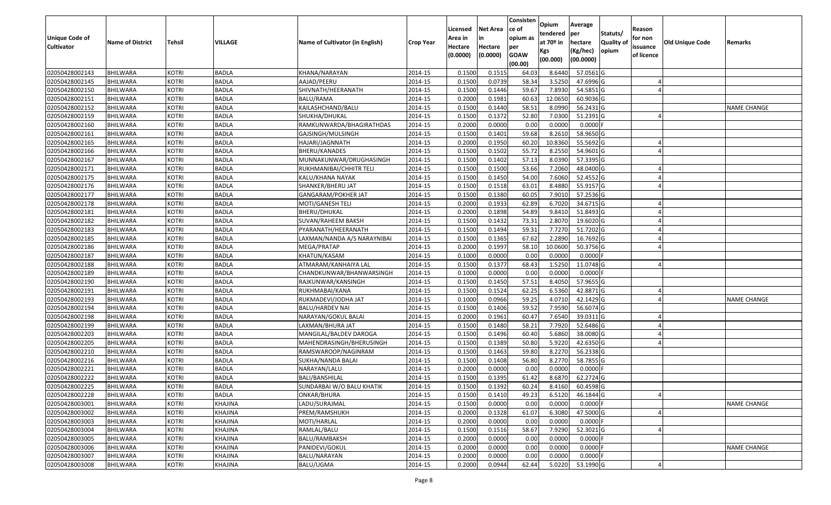| Unique Code of<br><b>Cultivator</b> | <b>Name of District</b> | Tehsil       | VILLAGE      | Name of Cultivator (in English) | <b>Crop Year</b> | Licensed<br>Area in<br>Hectare<br>(0.0000) | Net Area<br>in<br>Hectare<br>(0.0000) | Consisten<br>ce of<br>opium as<br>per<br><b>GOAW</b><br>(00.00) | Opium<br>tendered<br>at 70 <sup>o</sup> in<br>Kgs<br>(00.000) | Average<br><b>lper</b><br>hectare<br>(Kg/hec)<br>(00.0000) | Statuts/<br><b>Quality of</b><br>opium | Reason<br>for non<br>issuance<br>of licence | <b>Old Unique Code</b> | Remarks            |
|-------------------------------------|-------------------------|--------------|--------------|---------------------------------|------------------|--------------------------------------------|---------------------------------------|-----------------------------------------------------------------|---------------------------------------------------------------|------------------------------------------------------------|----------------------------------------|---------------------------------------------|------------------------|--------------------|
| 02050428002143                      | <b>BHILWARA</b>         | <b>KOTRI</b> | <b>BADLA</b> | KHANA/NARAYAN                   | 2014-15          | 0.1500                                     | 0.151                                 | 64.03                                                           | 8.6440                                                        | 57.0561 G                                                  |                                        |                                             |                        |                    |
| 02050428002145                      | <b>BHILWARA</b>         | <b>KOTRI</b> | <b>BADLA</b> | AAJAD/PEERU                     | 2014-15          | 0.1500                                     | 0.0739                                | 58.34                                                           | 3.5250                                                        | 47.6996 G                                                  |                                        |                                             |                        |                    |
| 02050428002150                      | <b>BHILWARA</b>         | <b>KOTRI</b> | <b>BADLA</b> | SHIVNATH/HEERANATH              | 2014-15          | 0.1500                                     | 0.1446                                | 59.67                                                           | 7.8930                                                        | 54.5851 G                                                  |                                        |                                             |                        |                    |
| 02050428002151                      | <b>BHILWARA</b>         | <b>KOTRI</b> | <b>BADLA</b> | <b>BALU/RAMA</b>                | 2014-15          | 0.2000                                     | 0.1981                                | 60.63                                                           | 12.0650                                                       | 60.9036 G                                                  |                                        |                                             |                        |                    |
| 02050428002152                      | <b>BHILWARA</b>         | <b>KOTRI</b> | <b>BADLA</b> | KAILASHCHAND/BALU               | 2014-15          | 0.1500                                     | 0.1440                                | 58.51                                                           | 8.0990                                                        | 56.2431 G                                                  |                                        |                                             |                        | <b>NAME CHANGE</b> |
| 02050428002159                      | <b>BHILWARA</b>         | <b>KOTRI</b> | <b>BADLA</b> | SHUKHA/DHUKAL                   | 2014-15          | 0.1500                                     | 0.1372                                | 52.80                                                           | 7.0300                                                        | 51.2391 G                                                  |                                        |                                             |                        |                    |
| 02050428002160                      | <b>BHILWARA</b>         | KOTRI        | <b>BADLA</b> | RAMKUNWARDA/BHAGIRATHDAS        | 2014-15          | 0.2000                                     | 0.0000                                | 0.00                                                            | 0.0000                                                        | $0.0000$ F                                                 |                                        |                                             |                        |                    |
| 02050428002161                      | <b>BHILWARA</b>         | <b>KOTRI</b> | <b>BADLA</b> | GAJSINGH/MULSINGH               | 2014-15          | 0.1500                                     | 0.1401                                | 59.68                                                           | 8.2610                                                        | 58.9650 G                                                  |                                        |                                             |                        |                    |
| 02050428002165                      | <b>BHILWARA</b>         | <b>KOTRI</b> | <b>BADLA</b> | HAJARI/JAGNNATH                 | 2014-15          | 0.2000                                     | 0.1950                                | 60.20                                                           | 10.8360                                                       | 55.5692 G                                                  |                                        |                                             |                        |                    |
| 02050428002166                      | <b>BHILWARA</b>         | <b>KOTRI</b> | <b>BADLA</b> | BHERU/KANADES                   | 2014-15          | 0.1500                                     | 0.1502                                | 55.72                                                           | 8.2550                                                        | 54.9601 G                                                  |                                        |                                             |                        |                    |
| 02050428002167                      | BHILWARA                | <b>KOTRI</b> | <b>BADLA</b> | MUNNAKUNWAR/DRUGHASINGH         | 2014-15          | 0.1500                                     | 0.1402                                | 57.13                                                           | 8.0390                                                        | 57.3395 G                                                  |                                        |                                             |                        |                    |
| 02050428002171                      | <b>BHILWARA</b>         | <b>KOTRI</b> | <b>BADLA</b> | RUKHMANIBAI/CHHITR TELI         | 2014-15          | 0.1500                                     | 0.1500                                | 53.66                                                           | 7.2060                                                        | 48.0400 G                                                  |                                        |                                             |                        |                    |
| 02050428002175                      | <b>BHILWARA</b>         | <b>KOTRI</b> | <b>BADLA</b> | KALU/KHANA NAYAK                | 2014-15          | 0.1500                                     | 0.1450                                | 54.00                                                           | 7.6060                                                        | 52.4552 G                                                  |                                        |                                             |                        |                    |
| 02050428002176                      | <b>BHILWARA</b>         | <b>KOTRI</b> | <b>BADLA</b> | SHANKER/BHERU JAT               | 2014-15          | 0.1500                                     | 0.1518                                | 63.01                                                           | 8.4880                                                        | 55.9157 G                                                  |                                        |                                             |                        |                    |
| 02050428002177                      | BHILWARA                | <b>KOTRI</b> | <b>BADLA</b> | GANGARAM/POKHER JAT             | 2014-15          | 0.1500                                     | 0.1380                                | 60.05                                                           | 7.9010                                                        | 57.2536 G                                                  |                                        |                                             |                        |                    |
| 02050428002178                      | <b>BHILWARA</b>         | <b>KOTRI</b> | <b>BADLA</b> | MOTI/GANESH TELI                | 2014-15          | 0.2000                                     | 0.1933                                | 62.89                                                           | 6.7020                                                        | 34.6715 G                                                  |                                        |                                             |                        |                    |
| 02050428002181                      | <b>BHILWARA</b>         | <b>KOTRI</b> | <b>BADLA</b> | <b>BHERU/DHUKAL</b>             | 2014-15          | 0.2000                                     | 0.1898                                | 54.89                                                           | 9.8410                                                        | 51.8493 G                                                  |                                        |                                             |                        |                    |
| 02050428002182                      | <b>BHILWARA</b>         | <b>KOTRI</b> | <b>BADLA</b> | SUVAN/RAHEEM BAKSH              | 2014-15          | 0.1500                                     | 0.1432                                | 73.31                                                           | 2.8070                                                        | 19.6020 G                                                  |                                        |                                             |                        |                    |
| 02050428002183                      | <b>BHILWARA</b>         | <b>KOTRI</b> | <b>BADLA</b> | PYARANATH/HEERANATH             | 2014-15          | 0.1500                                     | 0.1494                                | 59.31                                                           | 7.7270                                                        | 51.7202 G                                                  |                                        |                                             |                        |                    |
| 02050428002185                      | <b>BHILWARA</b>         | <b>KOTRI</b> | <b>BADLA</b> | LAXMAN/NANDA A/S NARAYNIBAI     | 2014-15          | 0.1500                                     | 0.1365                                | 67.62                                                           | 2.2890                                                        | 16.7692 G                                                  |                                        |                                             |                        |                    |
| 02050428002186                      | <b>BHILWARA</b>         | <b>KOTRI</b> | <b>BADLA</b> | MEGA/PRATAP                     | 2014-15          | 0.2000                                     | 0.1997                                | 58.10                                                           | 10.0600                                                       | 50.3756 G                                                  |                                        |                                             |                        |                    |
| 02050428002187                      | <b>BHILWARA</b>         | <b>KOTRI</b> | <b>BADLA</b> | KHATUN/KASAM                    | 2014-15          | 0.1000                                     | 0.0000                                | 0.00                                                            | 0.0000                                                        | $0.0000$ F                                                 |                                        |                                             |                        |                    |
| 02050428002188                      | BHILWARA                | <b>KOTRI</b> | <b>BADLA</b> | ATMARAM/KANHAIYA LAL            | 2014-15          | 0.1500                                     | 0.1377                                | 68.43                                                           | 1.5250                                                        | 11.0748 G                                                  |                                        |                                             |                        |                    |
| 02050428002189                      | <b>BHILWARA</b>         | <b>KOTRI</b> | <b>BADLA</b> | CHANDKUNWAR/BHANWARSINGH        | 2014-15          | 0.1000                                     | 0.0000                                | 0.00                                                            | 0.0000                                                        | $0.0000$ F                                                 |                                        |                                             |                        |                    |
| 02050428002190                      | <b>BHILWARA</b>         | <b>KOTRI</b> | <b>BADLA</b> | RAJKUNWAR/KANSINGH              | 2014-15          | 0.1500                                     | 0.1450                                | 57.51                                                           | 8.4050                                                        | 57.9655 G                                                  |                                        |                                             |                        |                    |
| 02050428002191                      | <b>BHILWARA</b>         | <b>KOTRI</b> | <b>BADLA</b> | RUKHMABAI/KANA                  | 2014-15          | 0.1500                                     | 0.1524                                | 62.25                                                           | 6.5360                                                        | 42.8871 G                                                  |                                        |                                             |                        |                    |
| 02050428002193                      | <b>BHILWARA</b>         | <b>KOTRI</b> | <b>BADLA</b> | RUKMADEVI/JODHA JAT             | 2014-15          | 0.1000                                     | 0.0966                                | 59.25                                                           | 4.0710                                                        | 42.1429 G                                                  |                                        |                                             |                        | <b>NAME CHANGE</b> |
| 02050428002194                      | BHILWARA                | <b>KOTRI</b> | <b>BADLA</b> | <b>BALU/HARDEV NAI</b>          | 2014-15          | 0.1500                                     | 0.1406                                | 59.52                                                           | 7.9590                                                        | 56.6074 G                                                  |                                        |                                             |                        |                    |
| 02050428002198                      | <b>BHILWARA</b>         | <b>KOTRI</b> | <b>BADLA</b> | NARAYAN/GOKUL BALAI             | 2014-15          | 0.2000                                     | 0.1961                                | 60.47                                                           | 7.6540                                                        | 39.0311G                                                   |                                        |                                             |                        |                    |
| 02050428002199                      | <b>BHILWARA</b>         | <b>KOTRI</b> | <b>BADLA</b> | LAXMAN/BHURA JAT                | 2014-15          | 0.1500                                     | 0.1480                                | 58.21                                                           | 7.7920                                                        | 52.6486 G                                                  |                                        |                                             |                        |                    |
| 02050428002203                      | <b>BHILWARA</b>         | <b>KOTRI</b> | <b>BADLA</b> | MANGILAL/BALDEV DAROGA          | 2014-15          | 0.1500                                     | 0.1496                                | 60.40                                                           | 5.6860                                                        | 38.0080 G                                                  |                                        |                                             |                        |                    |
| 02050428002205                      | BHILWARA                | <b>KOTRI</b> | <b>BADLA</b> | MAHENDRASINGH/BHERUSINGH        | 2014-15          | 0.1500                                     | 0.1389                                | 50.80                                                           | 5.9220                                                        | 42.6350 G                                                  |                                        |                                             |                        |                    |
| 02050428002210                      | <b>BHILWARA</b>         | <b>KOTRI</b> | <b>BADLA</b> | RAMSWAROOP/NAGINRAM             | 2014-15          | 0.1500                                     | 0.1463                                | 59.80                                                           | 8.2270                                                        | 56.2338 G                                                  |                                        |                                             |                        |                    |
| 02050428002216                      | <b>BHILWARA</b>         | <b>KOTRI</b> | <b>BADLA</b> | SUKHA/NANDA BALAI               | 2014-15          | 0.1500                                     | 0.1408                                | 56.80                                                           | 8.2770                                                        | 58.7855 G                                                  |                                        |                                             |                        |                    |
| 02050428002221                      | BHILWARA                | <b>KOTRI</b> | <b>BADLA</b> | NARAYAN/LALU                    | 2014-15          | 0.2000                                     | 0.0000                                | 0.00                                                            | 0.0000                                                        | $0.0000$ F                                                 |                                        |                                             |                        |                    |
| 02050428002222                      | <b>BHILWARA</b>         | KOTRI        | <b>BADLA</b> | BALI/BANSHILAL                  | 2014-15          | 0.1500                                     | 0.1395                                | 61.42                                                           | 8.6870                                                        | 62.2724 G                                                  |                                        |                                             |                        |                    |
| 02050428002225                      | <b>BHILWARA</b>         | KOTRI        | <b>BADLA</b> | SUNDARBAI W/O BALU KHATIK       | 2014-15          | 0.1500                                     | 0.1392                                | 60.24                                                           | 8.4160                                                        | 60.4598 G                                                  |                                        |                                             |                        |                    |
| 02050428002228                      | <b>BHILWARA</b>         | <b>KOTRI</b> | <b>BADLA</b> | ONKAR/BHURA                     | 2014-15          | 0.1500                                     | 0.1410                                | 49.23                                                           | 6.5120                                                        | 46.1844 G                                                  |                                        |                                             |                        |                    |
| 02050428003001                      | <b>BHILWARA</b>         | <b>KOTRI</b> | KHAJINA      | LADU/SURAJMAL                   | 2014-15          | 0.1500                                     | 0.0000                                | 0.00                                                            | 0.0000                                                        | $0.0000$ F                                                 |                                        |                                             |                        | <b>NAME CHANGE</b> |
| 02050428003002                      | <b>BHILWARA</b>         | <b>KOTRI</b> | KHAJINA      | PREM/RAMSHUKH                   | 2014-15          | 0.2000                                     | 0.1328                                | 61.07                                                           | 6.3080                                                        | 47.5000 G                                                  |                                        |                                             |                        |                    |
| 02050428003003                      | <b>BHILWARA</b>         | <b>KOTRI</b> | KHAJINA      | MOTI/HARLAL                     | 2014-15          | 0.2000                                     | 0.0000                                | 0.00                                                            | 0.0000                                                        | $0.0000$ F                                                 |                                        |                                             |                        |                    |
| 02050428003004                      | <b>BHILWARA</b>         | <b>KOTRI</b> | KHAJINA      | RAMLAL/BALU                     | 2014-15          | 0.1500                                     | 0.1516                                | 58.67                                                           | 7.9290                                                        | 52.3021 G                                                  |                                        |                                             |                        |                    |
| 02050428003005                      | <b>BHILWARA</b>         | <b>KOTRI</b> | KHAJINA      | BALU/RAMBAKSH                   | 2014-15          | 0.2000                                     | 0.0000                                | 0.00                                                            | 0.0000                                                        | $0.0000$ F                                                 |                                        |                                             |                        |                    |
| 02050428003006                      | <b>BHILWARA</b>         | <b>KOTRI</b> | KHAJINA      | PANIDEVI/GOKUL                  | 2014-15          | 0.2000                                     | 0.0000                                | 0.00                                                            | 0.0000                                                        | $0.0000$ F                                                 |                                        |                                             |                        | NAME CHANGE        |
| 02050428003007                      | <b>BHILWARA</b>         | <b>KOTRI</b> | KHAJINA      | BALU/NARAYAN                    | 2014-15          | 0.2000                                     | 0.0000                                | 0.00                                                            | 0.0000                                                        | $0.0000$ F                                                 |                                        |                                             |                        |                    |
| 02050428003008                      | <b>BHILWARA</b>         | <b>KOTRI</b> | KHAJINA      | BALU/UGMA                       | 2014-15          | 0.2000                                     | 0.0944                                | 62.44                                                           | 5.0220                                                        | 53.1990 G                                                  |                                        |                                             |                        |                    |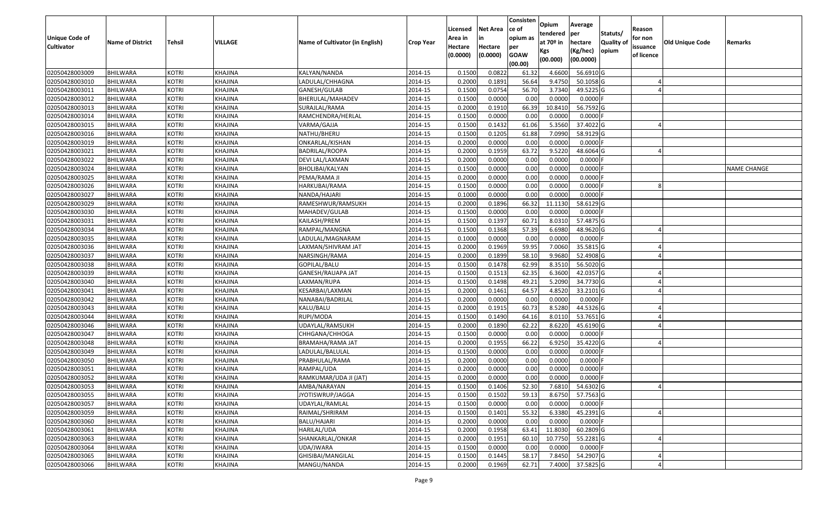| <b>Unique Code of</b><br><b>Cultivator</b> | <b>Name of District</b> | Tehsil       | VILLAGE        | Name of Cultivator (in English) | <b>Crop Year</b> | Licensed<br>Area in<br>Hectare<br>(0.0000) | Net Area<br>in<br>Hectare<br>(0.0000) | Consisten<br>ce of<br>opium as<br>per<br><b>GOAW</b> | Opium<br>tendered<br>at 70º in<br>Kgs | Average<br>per<br>hectare<br>(Kg/hec) | Statuts/<br><b>Quality of</b><br>opium | Reason<br>for non<br>issuance<br>of licence | Old Unique Code | Remarks            |
|--------------------------------------------|-------------------------|--------------|----------------|---------------------------------|------------------|--------------------------------------------|---------------------------------------|------------------------------------------------------|---------------------------------------|---------------------------------------|----------------------------------------|---------------------------------------------|-----------------|--------------------|
|                                            |                         |              |                |                                 |                  |                                            |                                       | (00.00)                                              | (00.000)                              | (00.0000)                             |                                        |                                             |                 |                    |
| 02050428003009                             | <b>BHILWARA</b>         | <b>KOTRI</b> | KHAJINA        | KALYAN/NANDA                    | 2014-15          | 0.1500                                     | 0.0822                                | 61.32                                                | 4.6600                                | 56.6910 G                             |                                        |                                             |                 |                    |
| 02050428003010                             | <b>BHILWARA</b>         | <b>KOTRI</b> | KHAJINA        | LADULAL/CHHAGNA                 | 2014-15          | 0.2000                                     | 0.1891                                | 56.64                                                | 9.4750                                | 50.1058 G                             |                                        |                                             |                 |                    |
| 02050428003011                             | BHILWARA                | <b>KOTRI</b> | KHAJINA        | GANESH/GULAB                    | 2014-15          | 0.1500                                     | 0.0754                                | 56.70                                                | 3.7340                                | 49.5225 G                             |                                        |                                             |                 |                    |
| 02050428003012                             | <b>BHILWARA</b>         | <b>KOTRI</b> | KHAJINA        | BHERULAL/MAHADEV                | 2014-15          | 0.1500                                     | 0.0000                                | 0.00                                                 | 0.0000                                | $0.0000$ F                            |                                        |                                             |                 |                    |
| 02050428003013                             | BHILWARA                | <b>KOTRI</b> | KHAJINA        | SURAJLAL/RAMA                   | 2014-15          | 0.2000                                     | 0.1910                                | 66.39                                                | 10.8410                               | 56.7592 G                             |                                        |                                             |                 |                    |
| 02050428003014                             | <b>BHILWARA</b>         | <b>KOTRI</b> | KHAJINA        | RAMCHENDRA/HERLAL               | 2014-15          | 0.1500                                     | 0.0000                                | 0.00                                                 | 0.0000                                | $0.0000$ F                            |                                        |                                             |                 |                    |
| 02050428003015                             | BHILWARA                | <b>KOTRI</b> | KHAJINA        | VARMA/GAJJA                     | 2014-15          | 0.1500                                     | 0.1432                                | 61.06                                                | 5.3560                                | 37.4022 G                             |                                        |                                             |                 |                    |
| 02050428003016                             | <b>BHILWARA</b>         | <b>KOTRI</b> | KHAJINA        | NATHU/BHERU                     | 2014-15          | 0.1500                                     | 0.1205                                | 61.88                                                | 7.0990                                | 58.9129 G                             |                                        |                                             |                 |                    |
| 02050428003019                             | BHILWARA                | <b>KOTRI</b> | KHAJINA        | ONKARLAL/KISHAN                 | 2014-15          | 0.2000                                     | 0.0000                                | 0.00                                                 | 0.0000                                | $0.0000$ F                            |                                        |                                             |                 |                    |
| 02050428003021                             | BHILWARA                | <b>KOTRI</b> | KHAJINA        | BADRILAL/ROOPA                  | 2014-15          | 0.2000                                     | 0.1959                                | 63.72                                                | 9.5220                                | 48.6064 G                             |                                        |                                             |                 |                    |
| 02050428003022                             | BHILWARA                | <b>KOTRI</b> | KHAJINA        | DEVI LAL/LAXMAN                 | 2014-15          | 0.2000                                     | 0.0000                                | 0.00                                                 | 0.0000                                | $0.0000$ F                            |                                        |                                             |                 |                    |
| 02050428003024                             | <b>BHILWARA</b>         | <b>KOTRI</b> | KHAJINA        | BHOLIBAI/KALYAN                 | 2014-15          | 0.1500                                     | 0.0000                                | 0.00                                                 | 0.0000                                | 0.0000                                |                                        |                                             |                 | <b>NAME CHANGE</b> |
| 02050428003025                             | <b>BHILWARA</b>         | <b>KOTRI</b> | KHAJINA        | PEMA/RAMA JI                    | 2014-15          | 0.2000                                     | 0.0000                                | 0.00                                                 | 0.0000                                | $0.0000$ F                            |                                        |                                             |                 |                    |
| 02050428003026                             | <b>BHILWARA</b>         | <b>KOTRI</b> | KHAJINA        | HARKUBAI/RAMA                   | 2014-15          | 0.1500                                     | 0.0000                                | 0.00                                                 | 0.0000                                | $0.0000$ F                            |                                        |                                             |                 |                    |
| 02050428003027                             | <b>BHILWARA</b>         | <b>KOTRI</b> | KHAJINA        | NANDA/HAJARI                    | 2014-15          | 0.1000                                     | 0.0000                                | 0.00                                                 | 0.0000                                | $0.0000$ F                            |                                        |                                             |                 |                    |
| 02050428003029                             | <b>BHILWARA</b>         | <b>KOTRI</b> | KHAJINA        | RAMESHWUR/RAMSUKH               | 2014-15          | 0.2000                                     | 0.1896                                | 66.32                                                | 11.1130                               | 58.6129 G                             |                                        |                                             |                 |                    |
| 02050428003030                             | <b>BHILWARA</b>         | <b>KOTRI</b> | KHAJINA        | MAHADEV/GULAB                   | 2014-15          | 0.1500                                     | 0.0000                                | 0.00                                                 | 0.0000                                | $0.0000$ F                            |                                        |                                             |                 |                    |
| 02050428003031                             | <b>BHILWARA</b>         | <b>KOTRI</b> | KHAJINA        | KAILASH/PREM                    | 2014-15          | 0.1500                                     | 0.1397                                | 60.71                                                | 8.0310                                | 57.4875 G                             |                                        |                                             |                 |                    |
| 02050428003034                             | BHILWARA                | <b>KOTRI</b> | KHAJINA        | RAMPAL/MANGNA                   | 2014-15          | 0.1500                                     | 0.1368                                | 57.39                                                | 6.6980                                | 48.9620 G                             |                                        |                                             |                 |                    |
| 02050428003035                             | BHILWARA                | <b>KOTRI</b> | KHAJINA        | LADULAL/MAGNARAM                | 2014-15          | 0.1000                                     | 0.0000                                | 0.00                                                 | 0.0000                                | $0.0000$ F                            |                                        |                                             |                 |                    |
| 02050428003036                             | <b>BHILWARA</b>         | <b>KOTRI</b> | <b>KHAJINA</b> | LAXMAN/SHIVRAM JAT              | 2014-15          | 0.2000                                     | 0.1969                                | 59.95                                                | 7.0060                                | 35.5815 G                             |                                        |                                             |                 |                    |
| 02050428003037                             | BHILWARA                | <b>KOTRI</b> | KHAJINA        | NARSINGH/RAMA                   | 2014-15          | 0.2000                                     | 0.1899                                | 58.10                                                | 9.9680                                | 52.4908 G                             |                                        |                                             |                 |                    |
| 02050428003038                             | <b>BHILWARA</b>         | <b>KOTRI</b> | KHAJINA        | GOPILAL/BALU                    | 2014-15          | 0.1500                                     | 0.1478                                | 62.99                                                | 8.3510                                | 56.5020 G                             |                                        |                                             |                 |                    |
| 02050428003039                             | <b>BHILWARA</b>         | <b>KOTRI</b> | KHAJINA        | GANESH/RAUAPA JAT               | 2014-15          | 0.1500                                     | 0.1513                                | 62.35                                                | 6.3600                                | 42.0357 G                             |                                        |                                             |                 |                    |
| 02050428003040                             | <b>BHILWARA</b>         | <b>KOTRI</b> | KHAJINA        | LAXMAN/RUPA                     | 2014-15          | 0.1500                                     | 0.1498                                | 49.21                                                | 5.2090                                | 34.7730 G                             |                                        |                                             |                 |                    |
| 02050428003041                             | <b>BHILWARA</b>         | <b>KOTRI</b> | KHAJINA        | KESARBAI/LAXMAN                 | 2014-15          | 0.2000                                     | 0.1461                                | 64.57                                                | 4.8520                                | 33.2101 G                             |                                        |                                             |                 |                    |
| 02050428003042                             | <b>BHILWARA</b>         | <b>KOTRI</b> | KHAJINA        | NANABAI/BADRILAL                | 2014-15          | 0.2000                                     | 0.0000                                | 0.00                                                 | 0.0000                                | $0.0000$ F                            |                                        |                                             |                 |                    |
| 02050428003043                             | BHILWARA                | <b>KOTRI</b> | KHAJINA        | KALU/BALU                       | 2014-15          | 0.2000                                     | 0.1915                                | 60.73                                                | 8.5280                                | 44.5326 G                             |                                        |                                             |                 |                    |
| 02050428003044                             | <b>BHILWARA</b>         | <b>KOTRI</b> | KHAJINA        | RUPI/MODA                       | 2014-15          | 0.1500                                     | 0.1490                                | 64.16                                                | 8.0110                                | 53.7651 G                             |                                        |                                             |                 |                    |
| 02050428003046                             | <b>BHILWARA</b>         | <b>KOTRI</b> | KHAJINA        | UDAYLAL/RAMSUKH                 | 2014-15          | 0.2000                                     | 0.1890                                | 62.22                                                | 8.6220                                | 45.6190 G                             |                                        |                                             |                 |                    |
| 02050428003047                             | BHILWARA                | <b>KOTRI</b> | KHAJINA        | CHHGANA/CHHOGA                  | 2014-15          | 0.1500                                     | 0.0000                                | 0.00                                                 | 0.0000                                | $0.0000$ F                            |                                        |                                             |                 |                    |
| 02050428003048                             | BHILWARA                | <b>KOTRI</b> | KHAJINA        | BRAMAHA/RAMA JAT                | 2014-15          | 0.2000                                     | 0.1955                                | 66.22                                                | 6.9250                                | 35.4220 G                             |                                        |                                             |                 |                    |
| 02050428003049                             | <b>BHILWARA</b>         | <b>KOTRI</b> | KHAJINA        | LADULAL/BALULAL                 | 2014-15          | 0.1500                                     | 0.0000                                | 0.00                                                 | 0.0000                                | $0.0000$ F                            |                                        |                                             |                 |                    |
| 02050428003050                             | BHILWARA                | <b>KOTRI</b> | KHAJINA        | PRABHULAL/RAMA                  | 2014-15          | 0.2000                                     | 0.0000                                | 0.00                                                 | 0.0000                                | 0.0000F                               |                                        |                                             |                 |                    |
| 02050428003051                             | <b>BHILWARA</b>         | <b>KOTRI</b> | KHAJINA        | RAMPAL/UDA                      | 2014-15          | 0.2000                                     | 0.0000                                | 0.00                                                 | 0.0000                                | 0.0000                                |                                        |                                             |                 |                    |
| 02050428003052                             | <b>BHILWARA</b>         | <b>KOTRI</b> | KHAJINA        | RAMKUMAR/UDA JI (JAT)           | 2014-15          | 0.2000                                     | 0.0000                                | 0.00                                                 | 0.0000                                | 0.0000                                |                                        |                                             |                 |                    |
| 02050428003053                             | <b>BHILWARA</b>         | <b>KOTRI</b> | KHAJINA        | AMBA/NARAYAN                    | 2014-15          | 0.1500                                     | 0.1406                                | 52.30                                                |                                       | 7.6810 54.6302 G                      |                                        |                                             |                 |                    |
| 02050428003055                             | <b>BHILWARA</b>         | <b>KOTRI</b> | KHAJINA        | JYOTISWRUP/JAGGA                | 2014-15          | 0.1500                                     | 0.1502                                | 59.13                                                | 8.6750                                | 57.7563 G                             |                                        |                                             |                 |                    |
| 02050428003057                             | <b>BHILWARA</b>         | <b>KOTRI</b> | KHAJINA        | UDAYLAL/RAMLAL                  | 2014-15          | 0.1500                                     | 0.0000                                | 0.00                                                 | 0.0000                                | $0.0000$ F                            |                                        |                                             |                 |                    |
| 02050428003059                             | <b>BHILWARA</b>         | <b>KOTRI</b> | <b>KHAJINA</b> | RAIMAL/SHRIRAM                  | 2014-15          | 0.1500                                     | 0.1401                                | 55.32                                                | 6.3380                                | 45.2391 G                             |                                        |                                             |                 |                    |
| 02050428003060                             | <b>BHILWARA</b>         | <b>KOTRI</b> | KHAJINA        | BALU/HAJARI                     | 2014-15          | 0.2000                                     | 0.0000                                | 0.00                                                 | 0.0000                                | $0.0000$ F                            |                                        |                                             |                 |                    |
| 02050428003061                             | <b>BHILWARA</b>         | <b>KOTRI</b> | KHAJINA        | HARILAL/UDA                     | 2014-15          | 0.2000                                     | 0.1958                                | 63.41                                                | 11.8030                               | 60.2809 G                             |                                        |                                             |                 |                    |
| 02050428003063                             | <b>BHILWARA</b>         | <b>KOTRI</b> | KHAJINA        | SHANKARLAL/ONKAR                | 2014-15          | 0.2000                                     | 0.1951                                | 60.10                                                | 10.7750                               | 55.2281 G                             |                                        |                                             |                 |                    |
| 02050428003064                             | <b>BHILWARA</b>         | <b>KOTRI</b> | KHAJINA        | UDA/JWARA                       | 2014-15          | 0.1500                                     | 0.0000                                | 0.00                                                 | 0.0000                                | $0.0000$ F                            |                                        |                                             |                 |                    |
| 02050428003065                             | <b>BHILWARA</b>         | <b>KOTRI</b> | KHAJINA        | GHISIBAI/MANGILAL               | 2014-15          | 0.1500                                     | 0.1445                                | 58.17                                                | 7.8450                                | 54.2907 G                             |                                        |                                             |                 |                    |
| 02050428003066                             | <b>BHILWARA</b>         | <b>KOTRI</b> | KHAJINA        | MANGU/NANDA                     | 2014-15          | 0.2000                                     | 0.1969                                | 62.71                                                | 7.4000                                | 37.5825 G                             |                                        |                                             |                 |                    |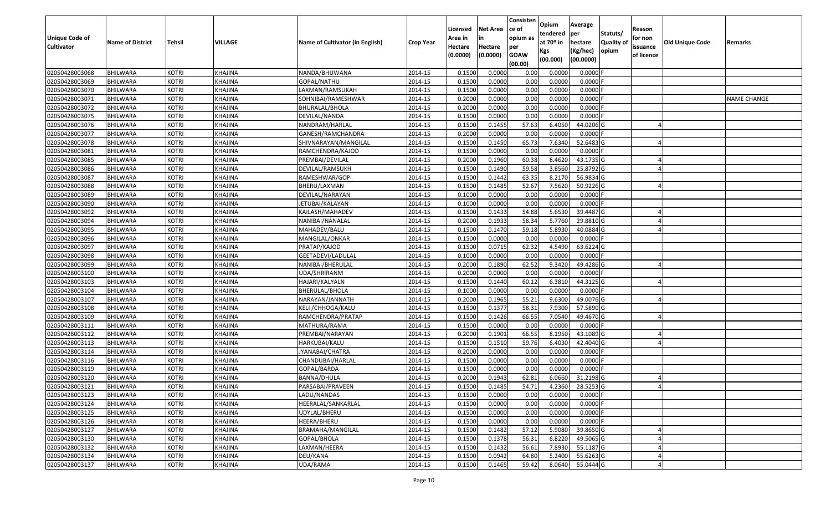| <b>Unique Code of</b><br><b>Cultivator</b> | <b>Name of District</b> | Tehsil       | VILLAGE        | Name of Cultivator (in English) | <b>Crop Year</b> | Licensed<br>Area in<br>Hectare<br>(0.0000) | Net Area<br>in<br>Hectare<br>(0.0000) | Consisten<br>ce of<br>opium as<br>per<br><b>GOAW</b><br>(00.00) | Opium<br>tendered<br>at 70º in<br>Kgs<br>(00.000) | Average<br>per<br>hectare<br>(Kg/hec)<br>(00.0000) | Statuts/<br><b>Quality of</b><br>opium | Reason<br>for non<br>issuance<br>of licence | <b>Old Unique Code</b> | Remarks            |
|--------------------------------------------|-------------------------|--------------|----------------|---------------------------------|------------------|--------------------------------------------|---------------------------------------|-----------------------------------------------------------------|---------------------------------------------------|----------------------------------------------------|----------------------------------------|---------------------------------------------|------------------------|--------------------|
| 02050428003068                             | <b>BHILWARA</b>         | <b>KOTRI</b> | KHAJINA        | NANDA/BHUWANA                   | 2014-15          | 0.1500                                     | 0.0000                                | 0.00                                                            | 0.0000                                            | $0.0000$ F                                         |                                        |                                             |                        |                    |
| 02050428003069                             | <b>BHILWARA</b>         | <b>KOTRI</b> | KHAJINA        | GOPAL/NATHU                     | 2014-15          | 0.1500                                     | 0.0000                                | 0.00                                                            | 0.0000                                            | $0.0000$ F                                         |                                        |                                             |                        |                    |
| 02050428003070                             | <b>BHILWARA</b>         | <b>KOTRI</b> | KHAJINA        | LAXMAN/RAMSUKAH                 | 2014-15          | 0.1500                                     | 0.0000                                | 0.00                                                            | 0.0000                                            | 0.0000F                                            |                                        |                                             |                        |                    |
| 02050428003071                             | <b>BHILWARA</b>         | <b>KOTRI</b> | KHAJINA        | SOHNIBAI/RAMESHWAR              | 2014-15          | 0.2000                                     | 0.0000                                | 0.00                                                            | 0.0000                                            | $0.0000$ F                                         |                                        |                                             |                        | <b>NAME CHANGE</b> |
| 02050428003072                             | BHILWARA                | <b>KOTRI</b> | KHAJINA        | BHURALAL/BHOLA                  | 2014-15          | 0.2000                                     | 0.0000                                | 0.00                                                            | 0.0000                                            | $0.0000$ F                                         |                                        |                                             |                        |                    |
| 02050428003075                             | <b>BHILWARA</b>         | <b>KOTRI</b> | KHAJINA        | DEVILAL/NANDA                   | 2014-15          | 0.1500                                     | 0.0000                                | 0.00                                                            | 0.0000                                            | $0.0000$ F                                         |                                        |                                             |                        |                    |
| 02050428003076                             | <b>BHILWARA</b>         | <b>KOTRI</b> | KHAJINA        | NANDRAM/HARLAL                  | 2014-15          | 0.1500                                     | 0.1455                                | 57.63                                                           | 6.4050                                            | 44.0206 G                                          |                                        |                                             |                        |                    |
| 02050428003077                             | <b>BHILWARA</b>         | <b>KOTRI</b> | KHAJINA        | GANESH/RAMCHANDRA               | 2014-15          | 0.2000                                     | 0.0000                                | 0.00                                                            | 0.0000                                            | $0.0000$ F                                         |                                        |                                             |                        |                    |
| 02050428003078                             | <b>BHILWARA</b>         | <b>KOTRI</b> | KHAJINA        | SHIVNARAYAN/MANGILAL            | 2014-15          | 0.1500                                     | 0.1450                                | 65.73                                                           | 7.6340                                            | 52.6483 G                                          |                                        |                                             |                        |                    |
| 02050428003081                             | <b>BHILWARA</b>         | <b>KOTRI</b> | KHAJINA        | RAMCHENDRA/KAJOD                | 2014-15          | 0.1500                                     | 0.0000                                | 0.00                                                            | 0.0000                                            | $0.0000$ F                                         |                                        |                                             |                        |                    |
| 02050428003085                             | <b>BHILWARA</b>         | <b>KOTRI</b> | KHAJINA        | PREMBAI/DEVILAL                 | 2014-15          | 0.2000                                     | 0.1960                                | 60.38                                                           | 8.4620                                            | 43.1735 G                                          |                                        |                                             |                        |                    |
| 02050428003086                             | <b>BHILWARA</b>         | <b>KOTRI</b> | KHAJINA        | DEVILAL/RAMSUKH                 | 2014-15          | 0.1500                                     | 0.1490                                | 59.58                                                           | 3.8560                                            | 25.8792 G                                          |                                        |                                             |                        |                    |
| 02050428003087                             | <b>BHILWARA</b>         | <b>KOTRI</b> | KHAJINA        | RAMESHWAR/GOPI                  | 2014-15          | 0.1500                                     | 0.1442                                | 63.35                                                           | 8.2170                                            | 56.9834 G                                          |                                        |                                             |                        |                    |
| 02050428003088                             | <b>BHILWARA</b>         | <b>KOTRI</b> | KHAJINA        | BHERU/LAXMAN                    | 2014-15          | 0.1500                                     | 0.1485                                | 52.67                                                           | 7.5620                                            | 50.9226 G                                          |                                        |                                             |                        |                    |
| 02050428003089                             | <b>BHILWARA</b>         | <b>KOTRI</b> | KHAJINA        | DEVILAL/NARAYAN                 | 2014-15          | 0.1000                                     | 0.0000                                | 0.00                                                            | 0.0000                                            | $0.0000$ F                                         |                                        |                                             |                        |                    |
| 02050428003090                             | <b>BHILWARA</b>         | <b>KOTRI</b> | KHAJINA        | JETUBAI/KALAYAN                 | 2014-15          | 0.1000                                     | 0.0000                                | 0.00                                                            | 0.0000                                            | $0.0000$ F                                         |                                        |                                             |                        |                    |
| 02050428003092                             | <b>BHILWARA</b>         | <b>KOTRI</b> | KHAJINA        | KAILASH/MAHADEV                 | 2014-15          | 0.1500                                     | 0.1433                                | 54.88                                                           | 5.6530                                            | 39.4487 G                                          |                                        |                                             |                        |                    |
| 02050428003094                             | <b>BHILWARA</b>         | <b>KOTRI</b> | KHAJINA        | NANIBAI/NANALAL                 | 2014-15          | 0.2000                                     | 0.1933                                | 58.34                                                           | 5.7760                                            | 29.8810 G                                          |                                        |                                             |                        |                    |
| 02050428003095                             | <b>BHILWARA</b>         | <b>KOTRI</b> | KHAJINA        | MAHADEV/BALU                    | 2014-15          | 0.1500                                     | 0.1470                                | 59.18                                                           | 5.8930                                            | 40.0884 G                                          |                                        |                                             |                        |                    |
| 02050428003096                             | BHILWARA                | <b>KOTRI</b> | KHAJINA        | MANGILAL/ONKAR                  | 2014-15          | 0.1500                                     | 0.0000                                | 0.00                                                            | 0.0000                                            | $0.0000$ F                                         |                                        |                                             |                        |                    |
| 02050428003097                             | <b>BHILWARA</b>         | <b>KOTRI</b> | <b>KHAJINA</b> | PRATAP/KAJOD                    | 2014-15          | 0.1500                                     | 0.0715                                | 62.32                                                           | 4.5490                                            | 63.6224 G                                          |                                        |                                             |                        |                    |
| 02050428003098                             | <b>BHILWARA</b>         | <b>KOTRI</b> | KHAJINA        | GEETADEVI/LADULAL               | 2014-15          | 0.1000                                     | 0.0000                                | 0.00                                                            | 0.0000                                            | $0.0000$ F                                         |                                        |                                             |                        |                    |
| 02050428003099                             | <b>BHILWARA</b>         | <b>KOTRI</b> | KHAJINA        | NANIBAI/BHERULAL                | 2014-15          | 0.2000                                     | 0.1890                                | 62.52                                                           | 9.3420                                            | 49.4286 G                                          |                                        |                                             |                        |                    |
| 02050428003100                             | <b>BHILWARA</b>         | <b>KOTRI</b> | KHAJINA        | UDA/SHRIRANM                    | 2014-15          | 0.2000                                     | 0.0000                                | 0.00                                                            | 0.0000                                            | $0.0000$ F                                         |                                        |                                             |                        |                    |
| 02050428003103                             | <b>BHILWARA</b>         | <b>KOTRI</b> | KHAJINA        | HAJARI/KALYALN                  | 2014-15          | 0.1500                                     | 0.1440                                | 60.12                                                           | 6.3810                                            | 44.3125 G                                          |                                        |                                             |                        |                    |
| 02050428003104                             | <b>BHILWARA</b>         | <b>KOTRI</b> | KHAJINA        | BHERULAL/BHOLA                  | 2014-15          | 0.1000                                     | 0.0000                                | 0.00                                                            | 0.0000                                            | $0.0000$ F                                         |                                        |                                             |                        |                    |
| 02050428003107                             | <b>BHILWARA</b>         | <b>KOTRI</b> | KHAJINA        | NARAYAN/JANNATH                 | 2014-15          | 0.2000                                     | 0.1965                                | 55.21                                                           | 9.6300                                            | 49.0076 G                                          |                                        |                                             |                        |                    |
| 02050428003108                             | BHILWARA                | <b>KOTRI</b> | KHAJINA        | KELI /CHHOGA/KALU               | 2014-15          | 0.1500                                     | 0.1377                                | 58.31                                                           | 7.9300                                            | 57.5890 G                                          |                                        |                                             |                        |                    |
| 02050428003109                             | <b>BHILWARA</b>         | <b>KOTRI</b> | KHAJINA        | RAMCHENDRA/PRATAP               | 2014-15          | 0.1500                                     | 0.1426                                | 66.55                                                           | 7.0540                                            | 49.4670 G                                          |                                        |                                             |                        |                    |
| 02050428003111                             | <b>BHILWARA</b>         | <b>KOTRI</b> | KHAJINA        | MATHURA/RAMA                    | 2014-15          | 0.1500                                     | 0.0000                                | 0.00                                                            | 0.0000                                            | $0.0000$ F                                         |                                        |                                             |                        |                    |
| 02050428003112                             | <b>BHILWARA</b>         | <b>KOTRI</b> | KHAJINA        | PREMBAI/NARAYAN                 | 2014-15          | 0.2000                                     | 0.1901                                | 66.55                                                           | 8.1950                                            | 43.1089 G                                          |                                        |                                             |                        |                    |
| 02050428003113                             | <b>BHILWARA</b>         | <b>KOTRI</b> | KHAJINA        | HARKUBAI/KALU                   | 2014-15          | 0.1500                                     | 0.1510                                | 59.76                                                           | 6.4030                                            | 42.4040 G                                          |                                        |                                             |                        |                    |
| 02050428003114                             | <b>BHILWARA</b>         | <b>KOTRI</b> | KHAJINA        | JYANABAI/CHATRA                 | 2014-15          | 0.2000                                     | 0.0000                                | 0.00                                                            | 0.0000                                            | $0.0000$ F                                         |                                        |                                             |                        |                    |
| 02050428003116                             | <b>BHILWARA</b>         | <b>KOTRI</b> | KHAJINA        | CHANDUBAI/HARLAL                | 2014-15          | 0.1500                                     | 0.0000                                | 0.00                                                            | 0.0000                                            | 0.0000F                                            |                                        |                                             |                        |                    |
| 02050428003119                             | <b>BHILWARA</b>         | <b>KOTRI</b> | KHAJINA        | GOPAL/BARDA                     | 2014-15          | 0.1500                                     | 0.0000                                | 0.00                                                            | 0.0000                                            | $0.0000$ F                                         |                                        |                                             |                        |                    |
| 02050428003120                             | <b>BHILWARA</b>         | <b>KOTRI</b> | KHAJINA        | BANNA/DHULA                     | 2014-15          | 0.2000                                     | 0.1943                                | 62.81                                                           | 6.0660                                            | 31.2198 G                                          |                                        |                                             |                        |                    |
| 02050428003121                             | <b>BHILWARA</b>         | <b>KOTRI</b> | KHAJINA        | PARSABAI/PRAVEEN                | 2014-15          | 0.1500                                     | 0.1485                                | 54.71                                                           | 4.2360                                            | 28.5253 G                                          |                                        |                                             |                        |                    |
| 02050428003123                             | <b>BHILWARA</b>         | <b>KOTRI</b> | KHAJINA        | LADU/NANDAS                     | 2014-15          | 0.1500                                     | 0.0000                                | 0.00                                                            | 0.0000                                            | $0.0000$ F                                         |                                        |                                             |                        |                    |
| 02050428003124                             | <b>BHILWARA</b>         | <b>KOTRI</b> | KHAJINA        | HEERALAL/SANKARLAL              | 2014-15          | 0.1500                                     | 0.0000                                | 0.00                                                            | 0.0000                                            | $0.0000$ F                                         |                                        |                                             |                        |                    |
| 02050428003125                             | <b>BHILWARA</b>         | <b>KOTRI</b> | <b>KHAJINA</b> | UDYLAL/BHERU                    | 2014-15          | 0.1500                                     | 0.0000                                | 0.00                                                            | 0.0000                                            | $0.0000$ F                                         |                                        |                                             |                        |                    |
| 02050428003126                             | <b>BHILWARA</b>         | <b>KOTRI</b> | KHAJINA        | HEERA/BHERU                     | 2014-15          | 0.1500                                     | 0.0000                                | 0.00                                                            | 0.0000                                            | $0.0000$ F                                         |                                        |                                             |                        |                    |
| 02050428003127                             | <b>BHILWARA</b>         | <b>KOTRI</b> | KHAJINA        | BRAMAHA/MANGILAL                | 2014-15          | 0.1500                                     | 0.1482                                | 57.12                                                           | 5.9080                                            | 39.8650 G                                          |                                        |                                             |                        |                    |
| 02050428003130                             | <b>BHILWARA</b>         | <b>KOTRI</b> | KHAJINA        | GOPAL/BHOLA                     | 2014-15          | 0.1500                                     | 0.1378                                | 56.31                                                           | 6.8220                                            | 49.5065 G                                          |                                        |                                             |                        |                    |
| 02050428003132                             | <b>BHILWARA</b>         | <b>KOTRI</b> | KHAJINA        | LAXMAN/HEERA                    | 2014-15          | 0.1500                                     | 0.1432                                | 56.61                                                           | 7.8930                                            | 55.1187 G                                          |                                        |                                             |                        |                    |
| 02050428003134                             | <b>BHILWARA</b>         | <b>KOTRI</b> | KHAJINA        | DEU/KANA                        | 2014-15          | 0.1500                                     | 0.0942                                | 64.80                                                           | 5.2400                                            | 55.6263 G                                          |                                        |                                             |                        |                    |
| 02050428003137                             | <b>BHILWARA</b>         | <b>KOTRI</b> | KHAJINA        | UDA/RAMA                        | 2014-15          | 0.1500                                     | 0.1465                                | 59.42                                                           | 8.0640                                            | 55.0444 G                                          |                                        |                                             |                        |                    |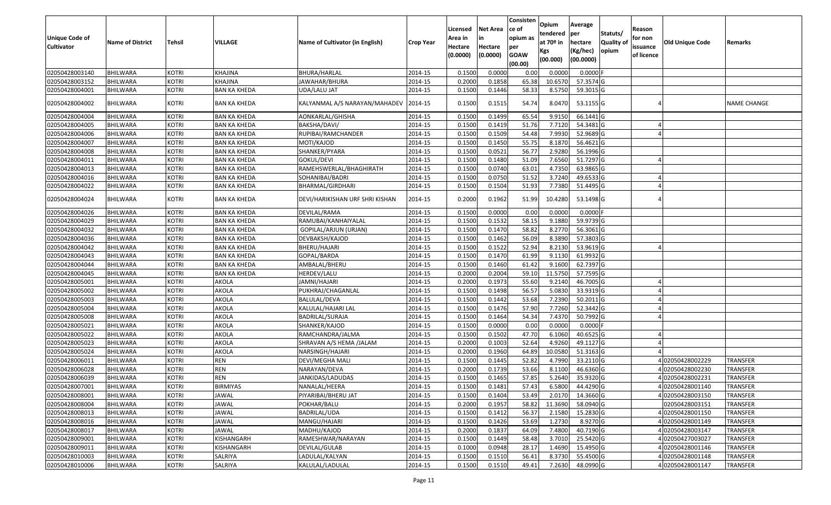| Unique Code of<br>Cultivator | <b>Name of District</b> | Tehsil       | VILLAGE             | Name of Cultivator (in English) | <b>Crop Year</b> | Licensed<br>Area in<br>Hectare | Net Area<br>Hectare | Consisten<br>ce of<br>opium as<br>per | Opium<br>tendered<br>at 70º in | Average<br>per<br>hectare | Statuts/<br>Quality of | Reason<br>for non<br>issuance | <b>Old Unique Code</b> | Remarks            |
|------------------------------|-------------------------|--------------|---------------------|---------------------------------|------------------|--------------------------------|---------------------|---------------------------------------|--------------------------------|---------------------------|------------------------|-------------------------------|------------------------|--------------------|
|                              |                         |              |                     |                                 |                  | (0.0000)                       | (0.0000)            | <b>GOAW</b><br>(00.00)                | Kgs<br>(00.000)                | (Kg/hec)<br>(00.0000)     | opium                  | of licence                    |                        |                    |
| 02050428003140               | <b>BHILWARA</b>         | <b>KOTRI</b> | KHAJINA             | BHURA/HARLAL                    | 2014-15          | 0.1500                         | 0.0000              | 0.00                                  | 0.0000                         | $0.0000$ F                |                        |                               |                        |                    |
| 02050428003152               | <b>BHILWARA</b>         | <b>KOTRI</b> | KHAJINA             | JAWAHAR/BHURA                   | 2014-15          | 0.2000                         | 0.1858              | 65.38                                 | 10.6570                        | 57.3574 G                 |                        |                               |                        |                    |
| 02050428004001               | BHILWARA                | <b>KOTRI</b> | BAN KA KHEDA        | JDA/LALU JAT                    | 2014-15          | 0.1500                         | 0.1446              | 58.33                                 | 8.5750                         | 59.3015 G                 |                        |                               |                        |                    |
| 02050428004002               | BHILWARA                | <b>KOTRI</b> | <b>BAN KA KHEDA</b> | KALYANMAL A/S NARAYAN/MAHADEV   | 2014-15          | 0.1500                         | 0.1515              | 54.74                                 | 8.0470                         | 53.1155 G                 |                        |                               |                        | <b>NAME CHANGE</b> |
| 02050428004004               | BHILWARA                | <b>KOTRI</b> | <b>BAN KA KHEDA</b> | AONKARLAL/GHISHA                | 2014-15          | 0.1500                         | 0.1499              | 65.54                                 | 9.915                          | 66.1441 G                 |                        |                               |                        |                    |
| 02050428004005               | BHILWARA                | <b>KOTRI</b> | <b>BAN KA KHEDA</b> | BAKSHA/DAVI/                    | 2014-15          | 0.1500                         | 0.1419              | 51.76                                 | 7.7120                         | 54.3481 G                 |                        |                               |                        |                    |
| 02050428004006               | BHILWARA                | <b>KOTRI</b> | <b>BAN KA KHEDA</b> | RUPIBAI/RAMCHANDER              | 2014-15          | 0.1500                         | 0.1509              | 54.48                                 | 7.9930                         | 52.9689 G                 |                        |                               |                        |                    |
| 02050428004007               | <b>BHILWARA</b>         | <b>KOTRI</b> | <b>BAN KA KHEDA</b> | MOTI/KAJOD                      | 2014-15          | 0.1500                         | 0.1450              | 55.75                                 | 8.1870                         | 56.4621 G                 |                        |                               |                        |                    |
| 02050428004008               | <b>BHILWARA</b>         | <b>KOTRI</b> | <b>BAN KA KHEDA</b> | SHANKER/PYARA                   | 2014-15          | 0.1500                         | 0.0521              | 56.77                                 | 2.9280                         | 56.1996 G                 |                        |                               |                        |                    |
| 02050428004011               | BHILWARA                | <b>KOTRI</b> | <b>BAN KA KHEDA</b> | GOKUL/DEVI                      | 2014-15          | 0.1500                         | 0.1480              | 51.09                                 | 7.6560                         | 51.7297 G                 |                        |                               |                        |                    |
| 02050428004013               | <b>BHILWARA</b>         | <b>KOTRI</b> | <b>BAN KA KHEDA</b> | RAMEHSWERLAL/BHAGHIRATH         | 2014-15          | 0.1500                         | 0.0740              | 63.01                                 | 4.7350                         | 63.9865 G                 |                        |                               |                        |                    |
| 02050428004016               | <b>BHILWARA</b>         | <b>KOTRI</b> | <b>BAN KA KHEDA</b> | SOHANIBAI/BADRI                 | 2014-15          | 0.1500                         | 0.0750              | 51.52                                 | 3.7240                         | 49.6533 G                 |                        |                               |                        |                    |
| 02050428004022               | <b>BHILWARA</b>         | <b>KOTRI</b> | <b>BAN KA KHEDA</b> | BHARMAL/GIRDHARI                | 2014-15          | 0.1500                         | 0.1504              | 51.93                                 | 7.7380                         | 51.4495 G                 |                        |                               |                        |                    |
| 02050428004024               | <b>BHILWARA</b>         | <b>KOTRI</b> | <b>BAN KA KHEDA</b> | DEVI/HARIKISHAN URF SHRI KISHAN | 2014-15          | 0.2000                         | 0.1962              | 51.99                                 | 10.4280                        | 53.1498 G                 |                        |                               |                        |                    |
| 02050428004026               | <b>BHILWARA</b>         | <b>KOTRI</b> | <b>BAN KA KHEDA</b> | DEVILAL/RAMA                    | 2014-15          | 0.1500                         | 0.0000              | 0.00                                  | 0.0000                         | $0.0000$ F                |                        |                               |                        |                    |
| 02050428004029               | <b>BHILWARA</b>         | <b>KOTRI</b> | <b>BAN KA KHEDA</b> | RAMUBAI/KANHAIYALAL             | 2014-15          | 0.1500                         | 0.1532              | 58.15                                 | 9.1880                         | 59.9739 G                 |                        |                               |                        |                    |
| 02050428004032               | <b>BHILWARA</b>         | <b>KOTRI</b> | <b>BAN KA KHEDA</b> | GOPILAL/ARJUN (URJAN)           | 2014-15          | 0.1500                         | 0.1470              | 58.82                                 | 8.2770                         | 56.3061G                  |                        |                               |                        |                    |
| 02050428004036               | <b>BHILWARA</b>         | <b>KOTRI</b> | <b>BAN KA KHEDA</b> | DEVBAKSH/KAJOD                  | 2014-15          | 0.1500                         | 0.1462              | 56.09                                 | 8.3890                         | 57.3803 G                 |                        |                               |                        |                    |
| 02050428004042               | <b>BHILWARA</b>         | <b>KOTRI</b> | <b>BAN KA KHEDA</b> | BHERU/HAJARI                    | 2014-15          | 0.1500                         | 0.1522              | 52.94                                 | 8.2130                         | 53.9619 G                 |                        |                               |                        |                    |
| 02050428004043               | <b>BHILWARA</b>         | <b>KOTRI</b> | <b>BAN KA KHEDA</b> | GOPAL/BARDA                     | 2014-15          | 0.1500                         | 0.1470              | 61.99                                 | 9.1130                         | 61.9932 G                 |                        |                               |                        |                    |
| 02050428004044               | <b>BHILWARA</b>         | <b>KOTRI</b> | <b>BAN KA KHEDA</b> | AMBALAL/BHERU                   | 2014-15          | 0.1500                         | 0.1460              | 61.42                                 | 9.1600                         | 62.7397 G                 |                        |                               |                        |                    |
| 02050428004045               | BHILWARA                | <b>KOTRI</b> | <b>BAN KA KHEDA</b> | HERDEV/LALU                     | 2014-15          | 0.2000                         | 0.2004              | 59.10                                 | 11.5750                        | 57.7595 G                 |                        |                               |                        |                    |
| 02050428005001               | <b>BHILWARA</b>         | <b>KOTRI</b> | AKOLA               | JAMNI/HAJARI                    | 2014-15          | 0.2000                         | 0.1973              | 55.60                                 | 9.2140                         | 46.7005 G                 |                        |                               |                        |                    |
| 02050428005002               | <b>BHILWARA</b>         | <b>KOTRI</b> | AKOLA               | PUKHRAJ/CHAGANLAL               | 2014-15          | 0.1500                         | 0.1498              | 56.57                                 | 5.0830                         | 33.9319 G                 |                        |                               |                        |                    |
| 02050428005003               | <b>BHILWARA</b>         | <b>KOTRI</b> | AKOLA               | BALULAL/DEVA                    | 2014-15          | 0.1500                         | 0.1442              | 53.68                                 | 7.2390                         | 50.2011 G                 |                        |                               |                        |                    |
| 02050428005004               | BHILWARA                | <b>KOTRI</b> | AKOLA               | KALULAL/HAJARI LAL              | 2014-15          | 0.1500                         | 0.1476              | 57.90                                 | 7.7260                         | 52.3442 G                 |                        |                               |                        |                    |
| 02050428005008               | BHILWARA                | <b>KOTRI</b> | AKOLA               | BADRILAL/SURAJA                 | 2014-15          | 0.1500                         | 0.1464              | 54.34                                 | 7.4370                         | 50.7992 G                 |                        |                               |                        |                    |
| 02050428005021               | BHILWARA                | <b>KOTRI</b> | AKOLA               | SHANKER/KAJOD                   | 2014-15          | 0.1500                         | 0.0000              | 0.00                                  | 0.0000                         | $0.0000$ F                |                        |                               |                        |                    |
| 02050428005022               | BHILWARA                | <b>KOTRI</b> | AKOLA               | RAMCHANDRA/JALMA                | 2014-15          | 0.1500                         | 0.1502              | 47.70                                 | 6.1060                         | 40.6525 G                 |                        |                               |                        |                    |
| 02050428005023               | <b>BHILWARA</b>         | <b>KOTRI</b> | AKOLA               | SHRAVAN A/S HEMA /JALAM         | 2014-15          | 0.2000                         | 0.1003              | 52.64                                 | 4.9260                         | 49.1127 G                 |                        |                               |                        |                    |
| 02050428005024               | <b>BHILWARA</b>         | <b>KOTRI</b> | AKOLA               | NARSINGH/HAJARI                 | 2014-15          | 0.2000                         | 0.1960              | 64.89                                 | 10.0580                        | 51.3163 G                 |                        |                               |                        |                    |
| 02050428006011               | <b>BHILWARA</b>         | <b>KOTRI</b> | <b>REN</b>          | DEVI/MEGHA MALI                 | 2014-15          | 0.1500                         | 0.1445              | 52.82                                 | 4.7990                         | 33.2110 G                 |                        |                               | 402050428002229        | <b>TRANSFER</b>    |
| 02050428006028               | BHILWARA                | <b>KOTRI</b> | <b>REN</b>          | NARAYAN/DEVA                    | 2014-15          | 0.2000                         | 0.1739              | 53.66                                 | 8.1100                         | 46.6360 G                 |                        |                               | 402050428002230        | <b>TRANSFER</b>    |
| 02050428006039               | <b>BHILWARA</b>         | <b>KOTRI</b> | <b>REN</b>          | JANKIDAS/LADUDAS                | 2014-15          | 0.1500                         | 0.1465              | 57.85                                 | 5.2640                         | 35.9320 G                 |                        |                               | 402050428002231        | <b>TRANSFER</b>    |
| 02050428007001               | <b>BHILWARA</b>         | KOTRI        | <b>BIRMIYAS</b>     | NANALAL/HEERA                   | 2014-15          | 0.1500                         | 0.1481              | 57.43                                 | 6.5800                         | 44.4290 G                 |                        |                               | 4 02050428001140       | <b>TRANSFER</b>    |
| 02050428008001               | <b>BHILWARA</b>         | <b>KOTRI</b> | JAWAL               | PIYARIBAI/BHERU JAT             | 2014-15          | 0.1500                         | 0.1404              | 53.49                                 | 2.0170                         | 14.3660 G                 |                        |                               | 4 02050428003150       | <b>TRANSFER</b>    |
| 02050428008004               | <b>BHILWARA</b>         | <b>KOTRI</b> | <b>JAWAL</b>        | POKHAR/BALU                     | 2014-15          | 0.2000                         | 0.1957              | 58.82                                 | 11.3690                        | 58.0940 G                 |                        |                               | 02050428003151         | <b>TRANSFER</b>    |
| 02050428008013               | <b>BHILWARA</b>         | <b>KOTRI</b> | <b>JAWAL</b>        | BADRILAL/UDA                    | 2014-15          | 0.1500                         | 0.1412              | 56.37                                 | 2.1580                         | 15.2830 G                 |                        |                               | 4 02050428001150       | TRANSFER           |
| 02050428008016               | <b>BHILWARA</b>         | <b>KOTRI</b> | <b>JAWAL</b>        | MANGU/HAJARI                    | 2014-15          | 0.1500                         | 0.1426              | 53.69                                 | 1.2730                         | 8.9270 G                  |                        |                               | 4 02050428001149       | <b>TRANSFER</b>    |
| 02050428008017               | <b>BHILWARA</b>         | <b>KOTRI</b> | <b>JAWAL</b>        | MADHU/KAJOD                     | 2014-15          | 0.2000                         | 0.1837              | 64.09                                 | 7.4800                         | 40.7190 G                 |                        |                               | 4 02050428003147       | <b>TRANSFER</b>    |
| 02050428009001               | <b>BHILWARA</b>         | <b>KOTRI</b> | KISHANGARH          | RAMESHWAR/NARAYAN               | 2014-15          | 0.1500                         | 0.1449              | 58.48                                 | 3.7010                         | 25.5420 G                 |                        |                               | 4 02050427003027       | <b>TRANSFER</b>    |
| 02050428009011               | <b>BHILWARA</b>         | <b>KOTRI</b> | KISHANGARH          | DEVILAL/GULAB                   | 2014-15          | 0.1000                         | 0.0948              | 28.17                                 | 1.4690                         | 15.4950 G                 |                        |                               | 4 02050428001146       | TRANSFER           |
| 02050428010003               | <b>BHILWARA</b>         | <b>KOTRI</b> | SALRIYA             | LADULAL/KALYAN                  | 2014-15          | 0.1500                         | 0.1510              | 56.41                                 | 8.3730                         | 55.4500 G                 |                        |                               | 4 02050428001148       | <b>TRANSFER</b>    |
| 02050428010006               | <b>BHILWARA</b>         | <b>KOTRI</b> | SALRIYA             | KALULAL/LADULAL                 | 2014-15          | 0.1500                         | 0.1510              | 49.41                                 | 7.2630                         | 48.0990 G                 |                        |                               | 402050428001147        | <b>TRANSFER</b>    |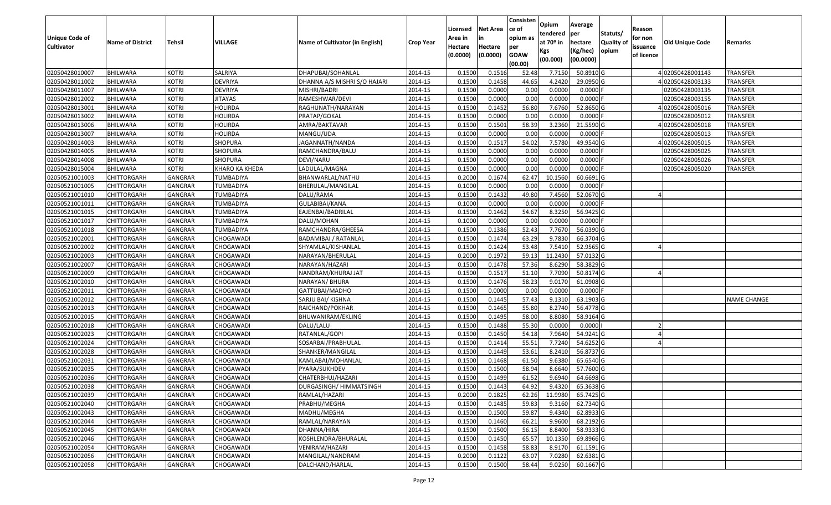| <b>Unique Code of</b><br><b>Cultivator</b> | <b>Name of District</b> | Tehsil         | VILLAGE        | Name of Cultivator (in English) | <b>Crop Year</b> | Licensed<br>Area in<br>Hectare<br>(0.0000) | <b>Net Area</b><br>in<br>Hectare<br>(0.0000) | Consisten<br>ce of<br>opium as<br>per<br><b>GOAW</b><br>(00.00) | Opium<br>tendered<br>at $70°$ in<br>Kgs<br>(00.000) | Average<br>per<br>hectare<br>(Kg/hec)<br>(00.0000) | Statuts/<br>Quality of<br>opium | Reason<br>for non<br>issuance<br>of licence | <b>Old Unique Code</b> | Remarks            |
|--------------------------------------------|-------------------------|----------------|----------------|---------------------------------|------------------|--------------------------------------------|----------------------------------------------|-----------------------------------------------------------------|-----------------------------------------------------|----------------------------------------------------|---------------------------------|---------------------------------------------|------------------------|--------------------|
| 02050428010007                             | <b>BHILWARA</b>         | <b>KOTRI</b>   | SALRIYA        | DHAPUBAI/SOHANLAL               | 2014-15          | 0.1500                                     | 0.1516                                       | 52.48                                                           | 7.7150                                              | 50.8910 G                                          |                                 |                                             | 402050428001143        | TRANSFER           |
| 02050428011002                             | <b>BHILWARA</b>         | KOTRI          | <b>DEVRIYA</b> | DHANNA A/S MISHRI S/O HAJARI    | 2014-15          | 0.1500                                     | 0.1458                                       | 44.65                                                           | 4.2420                                              | 29.0950 G                                          |                                 |                                             | 402050428003133        | TRANSFER           |
| 02050428011007                             | <b>BHILWARA</b>         | <b>KOTRI</b>   | <b>DEVRIYA</b> | MISHRI/BADRI                    | 2014-15          | 0.1500                                     | 0.0000                                       | 0.00                                                            | 0.0000                                              | $0.0000$ F                                         |                                 |                                             | 02050428003135         | TRANSFER           |
| 02050428012002                             | <b>BHILWARA</b>         | KOTRI          | <b>JITAYAS</b> | RAMESHWAR/DEVI                  | 2014-15          | 0.1500                                     | 0.0000                                       | 0.00                                                            | 0.0000                                              | $0.0000$ F                                         |                                 |                                             | 02050428003155         | TRANSFER           |
| 02050428013001                             | BHILWARA                | <b>KOTRI</b>   | HOLIRDA        | RAGHUNATH/NARAYAN               | 2014-15          | 0.1500                                     | 0.1452                                       | 56.80                                                           | 7.6760                                              | 52.8650 G                                          |                                 |                                             | 402050428005016        | TRANSFER           |
| 02050428013002                             | <b>BHILWARA</b>         | KOTRI          | HOLIRDA        | PRATAP/GOKAL                    | 2014-15          | 0.1500                                     | 0.0000                                       | 0.00                                                            | 0.0000                                              | $0.0000$ F                                         |                                 |                                             | 02050428005012         | TRANSFER           |
| 02050428013006                             | <b>BHILWARA</b>         | KOTRI          | HOLIRDA        | AMRA/BAKTAVAR                   | 2014-15          | 0.1500                                     | 0.1501                                       | 58.39                                                           | 3.2360                                              | 21.5590G                                           |                                 |                                             | 102050428005018        | TRANSFER           |
| 02050428013007                             | <b>BHILWARA</b>         | <b>KOTRI</b>   | <b>HOLIRDA</b> | MANGU/UDA                       | 2014-15          | 0.1000                                     | 0.0000                                       | 0.00                                                            | 0.0000                                              | $0.0000$ F                                         |                                 |                                             | 02050428005013         | TRANSFER           |
| 02050428014003                             | <b>BHILWARA</b>         | <b>KOTRI</b>   | SHOPURA        | JAGANNATH/NANDA                 | 2014-15          | 0.1500                                     | 0.1517                                       | 54.02                                                           | 7.5780                                              | 49.9540 G                                          |                                 |                                             | 102050428005015        | TRANSFER           |
| 02050428014005                             | <b>BHILWARA</b>         | <b>KOTRI</b>   | SHOPURA        | RAMCHANDRA/BALU                 | 2014-15          | 0.1500                                     | 0.0000                                       | 0.00                                                            | 0.0000                                              | $0.0000$ F                                         |                                 |                                             | 02050428005025         | TRANSFER           |
| 02050428014008                             | BHILWARA                | <b>KOTRI</b>   | SHOPURA        | DEVI/NARU                       | 2014-15          | 0.1500                                     | 0.0000                                       | 0.00                                                            | 0.0000                                              | $0.0000$ F                                         |                                 |                                             | 02050428005026         | TRANSFER           |
| 02050428015004                             | <b>BHILWARA</b>         | <b>KOTRI</b>   | KHARO KA KHEDA | LADULAL/MAGNA                   | 2014-15          | 0.1500                                     | 0.0000                                       | 0.00                                                            | 0.0000                                              | 0.0000                                             |                                 |                                             | 02050428005020         | TRANSFER           |
| 02050521001003                             | <b>CHITTORGARH</b>      | <b>GANGRAR</b> | TUMBADIYA      | BHANWARLAL/NATHU                | 2014-15          | 0.2000                                     | 0.1674                                       | 62.47                                                           | 10.1560                                             | 60.6691 G                                          |                                 |                                             |                        |                    |
| 02050521001005                             | CHITTORGARH             | <b>GANGRAR</b> | TUMBADIYA      | BHERULAL/MANGILAL               | 2014-15          | 0.1000                                     | 0.0000                                       | 0.00                                                            | 0.0000                                              | 0.0000                                             |                                 |                                             |                        |                    |
| 02050521001010                             | CHITTORGARH             | GANGRAR        | TUMBADIYA      | DALU/RAMA                       | 2014-15          | 0.1500                                     | 0.1432                                       | 49.80                                                           | 7.4560                                              | 52.0670 G                                          |                                 |                                             |                        |                    |
| 02050521001011                             | <b>CHITTORGARH</b>      | GANGRAR        | TUMBADIYA      | GULABIBAI/KANA                  | 2014-15          | 0.1000                                     | 0.0000                                       | 0.00                                                            | 0.0000                                              | 0.0000                                             |                                 |                                             |                        |                    |
| 02050521001015                             | CHITTORGARH             | GANGRAR        | TUMBADIYA      | EAJENBAI/BADRILAL               | 2014-15          | 0.1500                                     | 0.1462                                       | 54.67                                                           | 8.3250                                              | 56.9425 G                                          |                                 |                                             |                        |                    |
| 02050521001017                             | CHITTORGARH             | GANGRAR        | TUMBADIYA      | DALU/MOHAN                      | 2014-15          | 0.1000                                     | 0.0000                                       | 0.00                                                            | 0.0000                                              | 0.0000                                             |                                 |                                             |                        |                    |
| 02050521001018                             | CHITTORGARH             | GANGRAR        | TUMBADIYA      | RAMCHANDRA/GHEESA               | 2014-15          | 0.1500                                     | 0.1386                                       | 52.43                                                           | 7.7670                                              | 56.0390 G                                          |                                 |                                             |                        |                    |
| 02050521002001                             | <b>CHITTORGARH</b>      | GANGRAR        | CHOGAWADI      | <b>BADAMIBAI / RATANLAL</b>     | 2014-15          | 0.1500                                     | 0.1474                                       | 63.29                                                           | 9.7830                                              | 66.3704 G                                          |                                 |                                             |                        |                    |
| 02050521002002                             | CHITTORGARH             | GANGRAR        | CHOGAWADI      | SHYAMLAL/KISHANLAL              | 2014-15          | 0.1500                                     | 0.1424                                       | 53.48                                                           | 7.5410                                              | 52.9565 G                                          |                                 |                                             |                        |                    |
| 02050521002003                             | CHITTORGARH             | GANGRAR        | CHOGAWADI      | NARAYAN/BHERULAL                | 2014-15          | 0.2000                                     | 0.1972                                       | 59.13                                                           | 11.2430                                             | 57.0132 G                                          |                                 |                                             |                        |                    |
| 02050521002007                             | CHITTORGARH             | GANGRAR        | CHOGAWADI      | NARAYAN/HAZARI                  | 2014-15          | 0.1500                                     | 0.1478                                       | 57.36                                                           | 8.6290                                              | 58.3829 G                                          |                                 |                                             |                        |                    |
| 02050521002009                             | CHITTORGARH             | GANGRAR        | CHOGAWADI      | NANDRAM/KHURAJ JAT              | 2014-15          | 0.1500                                     | 0.1517                                       | 51.10                                                           | 7.7090                                              | 50.8174 G                                          |                                 |                                             |                        |                    |
| 02050521002010                             | CHITTORGARH             | <b>GANGRAR</b> | CHOGAWADI      | NARAYAN/ BHURA                  | 2014-15          | 0.1500                                     | 0.1476                                       | 58.23                                                           | 9.0170                                              | 61.0908 G                                          |                                 |                                             |                        |                    |
| 02050521002011                             | CHITTORGARH             | GANGRAR        | CHOGAWADI      | GATTUBAI/MADHO                  | 2014-15          | 0.1500                                     | 0.0000                                       | 0.00                                                            | 0.0000                                              | $0.0000$ F                                         |                                 |                                             |                        |                    |
| 02050521002012                             | CHITTORGARH             | GANGRAR        | CHOGAWADI      | SARJU BAI/ KISHNA               | 2014-15          | 0.1500                                     | 0.1445                                       | 57.43                                                           | 9.1310                                              | 63.1903 G                                          |                                 |                                             |                        | <b>NAME CHANGE</b> |
| 02050521002013                             | CHITTORGARH             | GANGRAR        | CHOGAWADI      | RAICHAND/POKHAR                 | 2014-15          | 0.1500                                     | 0.1465                                       | 55.80                                                           | 8.2740                                              | 56.4778 G                                          |                                 |                                             |                        |                    |
| 02050521002015                             | <b>CHITTORGARH</b>      | <b>GANGRAR</b> | CHOGAWADI      | BHUWANIRAM/EKLING               | 2014-15          | 0.1500                                     | 0.1495                                       | 58.00                                                           | 8.8080                                              | 58.9164 G                                          |                                 |                                             |                        |                    |
| 02050521002018                             | CHITTORGARH             | GANGRAR        | CHOGAWADI      | DALU/LALU                       | 2014-15          | 0.1500                                     | 0.1488                                       | 55.30                                                           | 0.0000                                              | 0.0000                                             |                                 |                                             |                        |                    |
| 02050521002023                             | CHITTORGARH             | GANGRAR        | CHOGAWADI      | RATANLAL/GOPI                   | 2014-15          | 0.1500                                     | 0.1450                                       | 54.18                                                           | 7.9640                                              | 54.9241 G                                          |                                 |                                             |                        |                    |
| 02050521002024                             | CHITTORGARH             | GANGRAR        | CHOGAWADI      | SOSARBAI/PRABHULAL              | 2014-15          | 0.1500                                     | 0.1414                                       | 55.53                                                           | 7.7240                                              | 54.6252 G                                          |                                 |                                             |                        |                    |
| 02050521002028                             | CHITTORGARH             | GANGRAR        | CHOGAWADI      | SHANKER/MANGILAL                | 2014-15          | 0.1500                                     | 0.1449                                       | 53.61                                                           | 8.2410                                              | 56.8737 G                                          |                                 |                                             |                        |                    |
| 02050521002031                             | CHITTORGARH             | GANGRAR        | CHOGAWADI      | KAMLABAI/MOHANLAL               | 2014-15          | 0.1500                                     | 0.1468                                       | 61.50                                                           | 9.6380                                              | 65.6540 G                                          |                                 |                                             |                        |                    |
| 02050521002035                             | CHITTORGARH             | GANGRAR        | CHOGAWADI      | PYARA/SUKHDEV                   | 2014-15          | 0.1500                                     | 0.1500                                       | 58.94                                                           | 8.6640                                              | 57.7600 G                                          |                                 |                                             |                        |                    |
| 02050521002036                             | CHITTORGARH             | GANGRAR        | CHOGAWADI      | CHATERBHUJ/HAZARI               | 2014-15          | 0.1500                                     | 0.1499                                       | 61.52                                                           | 9.6940                                              | 64.6698 G                                          |                                 |                                             |                        |                    |
| 02050521002038                             | <b>CHITTORGARH</b>      | GANGRAR        | CHOGAWADI      | DURGASINGH/ HIMMATSINGH         | 2014-15          | 0.1500                                     | 0.1443                                       | 64.92                                                           | 9.4320                                              | $65.3638$ G                                        |                                 |                                             |                        |                    |
| 02050521002039                             | <b>CHITTORGARH</b>      | <b>GANGRAR</b> | CHOGAWADI      | RAMLAL/HAZARI                   | 2014-15          | 0.2000                                     | 0.1825                                       | 62.26                                                           | 11.9980                                             | 65.7425 G                                          |                                 |                                             |                        |                    |
| 02050521002040                             | <b>CHITTORGARH</b>      | <b>GANGRAR</b> | CHOGAWADI      | PRABHU/MEGHA                    | 2014-15          | 0.1500                                     | 0.1485                                       | 59.83                                                           | 9.3160                                              | 62.7340 G                                          |                                 |                                             |                        |                    |
| 02050521002043                             | <b>CHITTORGARH</b>      | GANGRAR        | CHOGAWADI      | MADHU/MEGHA                     | 2014-15          | 0.1500                                     | 0.1500                                       | 59.87                                                           | 9.4340                                              | 62.8933 G                                          |                                 |                                             |                        |                    |
| 02050521002044                             | <b>CHITTORGARH</b>      | <b>GANGRAR</b> | CHOGAWADI      | RAMLAL/NARAYAN                  | 2014-15          | 0.1500                                     | 0.1460                                       | 66.21                                                           | 9.9600                                              | 68.2192 G                                          |                                 |                                             |                        |                    |
| 02050521002045                             | <b>CHITTORGARH</b>      | <b>GANGRAR</b> | CHOGAWADI      | DHANNA/HIRA                     | 2014-15          | 0.1500                                     | 0.1500                                       | 56.15                                                           | 8.8400                                              | 58.9333 G                                          |                                 |                                             |                        |                    |
| 02050521002046                             | <b>CHITTORGARH</b>      | GANGRAR        | CHOGAWADI      | KOSHLENDRA/BHURALAL             | 2014-15          | 0.1500                                     | 0.1450                                       | 65.57                                                           | 10.1350                                             | 69.8966 G                                          |                                 |                                             |                        |                    |
| 02050521002054                             | <b>CHITTORGARH</b>      | GANGRAR        | CHOGAWADI      | VENIRAM/HAZARI                  | 2014-15          | 0.1500                                     | 0.1458                                       | 58.83                                                           | 8.9170                                              | 61.1591 G                                          |                                 |                                             |                        |                    |
| 02050521002056                             | <b>CHITTORGARH</b>      | GANGRAR        | CHOGAWADI      | MANGILAL/NANDRAM                | 2014-15          | 0.2000                                     | 0.1122                                       | 63.07                                                           | 7.0280                                              | 62.6381 G                                          |                                 |                                             |                        |                    |
| 02050521002058                             | <b>CHITTORGARH</b>      | <b>GANGRAR</b> | CHOGAWADI      | DALCHAND/HARLAL                 | 2014-15          | 0.1500                                     | 0.1500                                       | 58.44                                                           | 9.0250                                              | 60.1667 G                                          |                                 |                                             |                        |                    |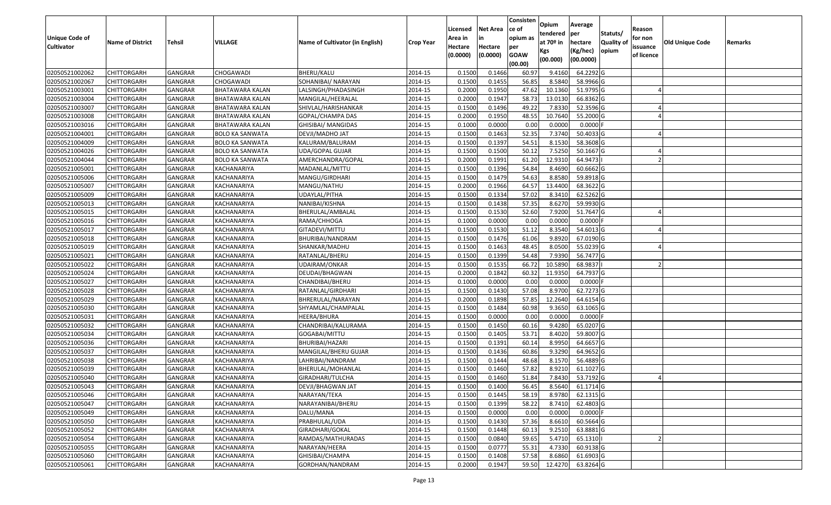|                   |                         |                |                        |                                 |                  |          |                 | Consisten              | Opium       | Average     |                  |            |                 |         |
|-------------------|-------------------------|----------------|------------------------|---------------------------------|------------------|----------|-----------------|------------------------|-------------|-------------|------------------|------------|-----------------|---------|
|                   |                         |                |                        |                                 |                  | Licensed | <b>Net Area</b> | ce of                  | tendered    | per         | Statuts/         | Reason     |                 |         |
| Unique Code of    | <b>Name of District</b> | <b>Tehsil</b>  | VILLAGE                | Name of Cultivator (in English) | <b>Crop Year</b> | Area in  | in              | opium as               | at $70°$ in | hectare     | <b>Quality o</b> | for non    | Old Unique Code | Remarks |
| <b>Cultivator</b> |                         |                |                        |                                 |                  | Hectare  | Hectare         | per                    | Kgs         | (Kg/hec)    | opium            | issuance   |                 |         |
|                   |                         |                |                        |                                 |                  | (0.0000) | (0.0000)        | <b>GOAW</b><br>(00.00) | (00.000)    | (00.0000)   |                  | of licence |                 |         |
| 02050521002062    | CHITTORGARH             | GANGRAR        | CHOGAWADI              | BHERU/KALU                      | 2014-15          | 0.1500   | 0.1466          | 60.97                  | 9.4160      | 64.2292 G   |                  |            |                 |         |
| 02050521002067    | CHITTORGARH             | GANGRAR        | CHOGAWADI              | SOHANIBAI/ NARAYAN              | 2014-15          | 0.1500   | 0.1455          | 56.85                  | 8.5840      | 58.9966 G   |                  |            |                 |         |
| 02050521003001    | CHITTORGARH             | GANGRAR        | BHATAWARA KALAN        | LALSINGH/PHADASINGH             | 2014-15          | 0.2000   | 0.1950          | 47.62                  | 10.1360     | 51.9795 G   |                  |            |                 |         |
| 02050521003004    | <b>CHITTORGARH</b>      | <b>GANGRAR</b> | <b>BHATAWARA KALAN</b> | MANGILAL/HEERALAL               | 2014-15          | 0.2000   | 0.1947          | 58.73                  | 13.0130     | 66.8362 G   |                  |            |                 |         |
| 02050521003007    | CHITTORGARH             | GANGRAR        | BHATAWARA KALAN        | SHIVLAL/HARISHANKAR             | 2014-15          | 0.1500   | 0.1496          | 49.22                  | 7.8330      | 52.3596 G   |                  |            |                 |         |
| 02050521003008    | CHITTORGARH             | <b>GANGRAR</b> | BHATAWARA KALAN        | GOPAL/CHAMPA DAS                | 2014-15          | 0.2000   | 0.1950          | 48.55                  | 10.7640     | 55.2000 G   |                  |            |                 |         |
| 02050521003016    | CHITTORGARH             | GANGRAR        | BHATAWARA KALAN        | GHISIBAI/ MANGIDAS              | 2014-15          | 0.1000   | 0.0000          | 0.00                   | 0.0000      | 0.0000      |                  |            |                 |         |
| 02050521004001    | CHITTORGARH             | <b>GANGRAR</b> | <b>BOLO KA SANWATA</b> | DEVJI/MADHO JAT                 | 2014-15          | 0.1500   | 0.1463          | 52.35                  | 7.3740      | 50.4033 G   |                  |            |                 |         |
| 02050521004009    | <b>CHITTORGARH</b>      | <b>GANGRAR</b> | <b>BOLO KA SANWATA</b> | KALURAM/BALURAM                 | 2014-15          | 0.1500   | 0.1397          | 54.51                  | 8.1530      | 58.3608 G   |                  |            |                 |         |
| 02050521004026    | CHITTORGARH             | <b>GANGRAR</b> | <b>BOLO KA SANWATA</b> | UDA/GOPAL GUJAR                 | 2014-15          | 0.1500   | 0.1500          | 50.12                  | 7.5250      | 50.1667 G   |                  |            |                 |         |
| 02050521004044    | CHITTORGARH             | GANGRAR        | <b>BOLO KA SANWATA</b> | AMERCHANDRA/GOPAL               | 2014-15          | 0.2000   | 0.1991          | 61.20                  | 12.9310     | 64.9473     |                  |            |                 |         |
| 02050521005001    | <b>CHITTORGARH</b>      | <b>GANGRAR</b> | KACHANARIYA            | MADANLAL/MITTU                  | 2014-15          | 0.1500   | 0.1396          | 54.84                  | 8.4690      | 60.6662 G   |                  |            |                 |         |
| 02050521005006    | <b>CHITTORGARH</b>      | <b>GANGRAR</b> | KACHANARIYA            | MANGU/GIRDHARI                  | 2014-15          | 0.1500   | 0.1479          | 54.63                  | 8.8580      | 59.8918 G   |                  |            |                 |         |
| 02050521005007    | <b>CHITTORGARH</b>      | GANGRAR        | KACHANARIYA            | MANGU/NATHU                     | 2014-15          | 0.2000   | 0.1966          | 64.57                  | 13.4400     | 68.3622 G   |                  |            |                 |         |
| 02050521005009    | <b>CHITTORGARH</b>      | <b>GANGRAR</b> | KACHANARIYA            | UDAYLAL/PITHA                   | 2014-15          | 0.1500   | 0.1334          | 57.02                  | 8.3410      | 62.5262 G   |                  |            |                 |         |
| 02050521005013    | <b>CHITTORGARH</b>      | <b>GANGRAR</b> | KACHANARIYA            | NANIBAI/KISHNA                  | 2014-15          | 0.1500   | 0.1438          | 57.35                  | 8.6270      | 59.9930 G   |                  |            |                 |         |
| 02050521005015    | <b>CHITTORGARH</b>      | <b>GANGRAR</b> | KACHANARIYA            | BHERULAL/AMBALAL                | 2014-15          | 0.1500   | 0.1530          | 52.60                  | 7.9200      | 51.7647 G   |                  |            |                 |         |
| 02050521005016    | CHITTORGARH             | GANGRAR        | KACHANARIYA            | RAMA/CHHOGA                     | 2014-15          | 0.1000   | 0.0000          | 0.00                   | 0.0000      | $0.0000$ F  |                  |            |                 |         |
| 02050521005017    | CHITTORGARH             | GANGRAR        | KACHANARIYA            | GITADEVI/MITTU                  | 2014-15          | 0.1500   | 0.1530          | 51.12                  | 8.3540      | 54.6013G    |                  |            |                 |         |
| 02050521005018    | CHITTORGARH             | GANGRAR        | KACHANARIYA            | BHURIBAI/NANDRAM                | 2014-15          | 0.1500   | 0.1476          | 61.06                  | 9.8920      | 67.0190 G   |                  |            |                 |         |
| 02050521005019    | CHITTORGARH             | <b>GANGRAR</b> | KACHANARIYA            | SHANKAR/MADHU                   | 2014-15          | 0.1500   | 0.1463          | 48.45                  | 8.0500      | 55.0239 G   |                  |            |                 |         |
| 02050521005021    | CHITTORGARH             | GANGRAR        | KACHANARIYA            | RATANLAL/BHERU                  | 2014-15          | 0.1500   | 0.1399          | 54.48                  | 7.9390      | 56.7477 G   |                  |            |                 |         |
| 02050521005022    | CHITTORGARH             | GANGRAR        | KACHANARIYA            | UDAIRAM/ONKAR                   | 2014-15          | 0.1500   | 0.1535          | 66.72                  | 10.5890     | 68.9837     |                  |            |                 |         |
| 02050521005024    | <b>CHITTORGARH</b>      | GANGRAR        | KACHANARIYA            | DEUDAI/BHAGWAN                  | 2014-15          | 0.2000   | 0.1842          | 60.32                  | 11.9350     | 64.7937 G   |                  |            |                 |         |
| 02050521005027    | <b>CHITTORGARH</b>      | <b>GANGRAR</b> | KACHANARIYA            | CHANDIBAI/BHERU                 | 2014-15          | 0.1000   | 0.0000          | 0.00                   | 0.0000      | $0.0000$ F  |                  |            |                 |         |
| 02050521005028    | CHITTORGARH             | GANGRAR        | KACHANARIYA            | RATANLAL/GIRDHARI               | 2014-15          | 0.1500   | 0.1430          | 57.08                  | 8.9700      | 62.7273 G   |                  |            |                 |         |
| 02050521005029    | CHITTORGARH             | GANGRAR        | KACHANARIYA            | BHRERULAL/NARAYAN               | 2014-15          | 0.2000   | 0.1898          | 57.85                  | 12.2640     | 64.6154 G   |                  |            |                 |         |
| 02050521005030    | CHITTORGARH             | GANGRAR        | KACHANARIYA            | SHYAMLAL/CHAMPALAL              | 2014-15          | 0.1500   | 0.1484          | 60.98                  | 9.3650      | 63.1065 G   |                  |            |                 |         |
| 02050521005031    | CHITTORGARH             | <b>GANGRAR</b> | KACHANARIYA            | HEERA/BHURA                     | 2014-15          | 0.1500   | 0.0000          | 0.00                   | 0.0000      | $0.0000$ F  |                  |            |                 |         |
| 02050521005032    | CHITTORGARH             | <b>GANGRAR</b> | KACHANARIYA            | CHANDRIBAI/KALURAMA             | 2014-15          | 0.1500   | 0.1450          | 60.16                  | 9.4280      | 65.0207 G   |                  |            |                 |         |
| 02050521005034    | CHITTORGARH             | <b>GANGRAR</b> | KACHANARIYA            | GOGABAI/MITTU                   | 2014-15          | 0.1500   | 0.1405          | 53.7                   | 8.4020      | 59.8007 G   |                  |            |                 |         |
| 02050521005036    | CHITTORGARH             | GANGRAR        | KACHANARIYA            | BHURIBAI/HAZARI                 | 2014-15          | 0.1500   | 0.1391          | 60.14                  | 8.9950      | 64.6657 G   |                  |            |                 |         |
| 02050521005037    | CHITTORGARH             | <b>GANGRAR</b> | KACHANARIYA            | MANGILAL/BHERU GUJAR            | 2014-15          | 0.1500   | 0.1436          | 60.86                  | 9.3290      | 64.9652 G   |                  |            |                 |         |
| 02050521005038    | <b>CHITTORGARH</b>      | GANGRAR        | KACHANARIYA            | LAHRIBAI/NANDRAM                | 2014-15          | 0.1500   | 0.1444          | 48.68                  | 8.1570      | 56.4889 G   |                  |            |                 |         |
| 02050521005039    | CHITTORGARH             | <b>GANGRAR</b> | KACHANARIYA            | BHERULAL/MOHANLAL               | 2014-15          | 0.150    | 0.1460          | 57.82                  | 8.9210      | 61.1027 G   |                  |            |                 |         |
| 02050521005040    | CHITTORGARH             | GANGRAR        | KACHANARIYA            | GIRADHARI/TULCHA                | 2014-15          | 0.1500   | 0.1460          | 51.84                  | 7.8430      | 53.7192 G   |                  |            |                 |         |
| 02050521005043    | <b>CHITTORGARH</b>      | GANGRAR        | KACHANARIYA            | DEVJI/BHAGWAN JAT               | 2014-15          | 0.1500   | 0.1400          | 56.45                  | 8.5640      | $61.1714$ G |                  |            |                 |         |
| 02050521005046    | <b>CHITTORGARH</b>      | <b>GANGRAR</b> | KACHANARIYA            | NARAYAN/TEKA                    | 2014-15          | 0.1500   | 0.1445          | 58.19                  | 8.9780      | 62.1315 G   |                  |            |                 |         |
| 02050521005047    | <b>CHITTORGARH</b>      | <b>GANGRAR</b> | KACHANARIYA            | NARAYANIBAI/BHERU               | 2014-15          | 0.1500   | 0.1399          | 58.22                  | 8.7410      | 62.4803 G   |                  |            |                 |         |
| 02050521005049    | <b>CHITTORGARH</b>      | <b>GANGRAR</b> | KACHANARIYA            | DALU/MANA                       | 2014-15          | 0.1500   | 0.0000          | 0.00                   | 0.0000      | $0.0000$ F  |                  |            |                 |         |
| 02050521005050    | CHITTORGARH             | <b>GANGRAR</b> | KACHANARIYA            | PRABHULAL/UDA                   | 2014-15          | 0.1500   | 0.1430          | 57.36                  | 8.6610      | 60.5664 G   |                  |            |                 |         |
| 02050521005052    | <b>CHITTORGARH</b>      | <b>GANGRAR</b> | KACHANARIYA            | GIRADHARI/GOKAL                 | 2014-15          | 0.1500   | 0.1448          | 60.13                  | 9.2510      | 63.8881 G   |                  |            |                 |         |
| 02050521005054    | <b>CHITTORGARH</b>      | <b>GANGRAR</b> | KACHANARIYA            | RAMDAS/MATHURADAS               | 2014-15          | 0.1500   | 0.0840          | 59.65                  | 5.4710      | 65.1310     |                  |            |                 |         |
| 02050521005055    | CHITTORGARH             | <b>GANGRAR</b> | KACHANARIYA            | NARAYAN/HEERA                   | 2014-15          | 0.1500   | 0.0777          | 55.31                  | 4.7330      | 60.9138 G   |                  |            |                 |         |
| 02050521005060    | <b>CHITTORGARH</b>      | <b>GANGRAR</b> | KACHANARIYA            | GHISIBAI/CHAMPA                 | 2014-15          | 0.1500   | 0.1408          | 57.58                  | 8.6860      | 61.6903 G   |                  |            |                 |         |
| 02050521005061    | <b>CHITTORGARH</b>      | <b>GANGRAR</b> | KACHANARIYA            | GORDHAN/NANDRAM                 | 2014-15          | 0.2000   | 0.1947          | 59.50                  | 12.4270     | 63.8264 G   |                  |            |                 |         |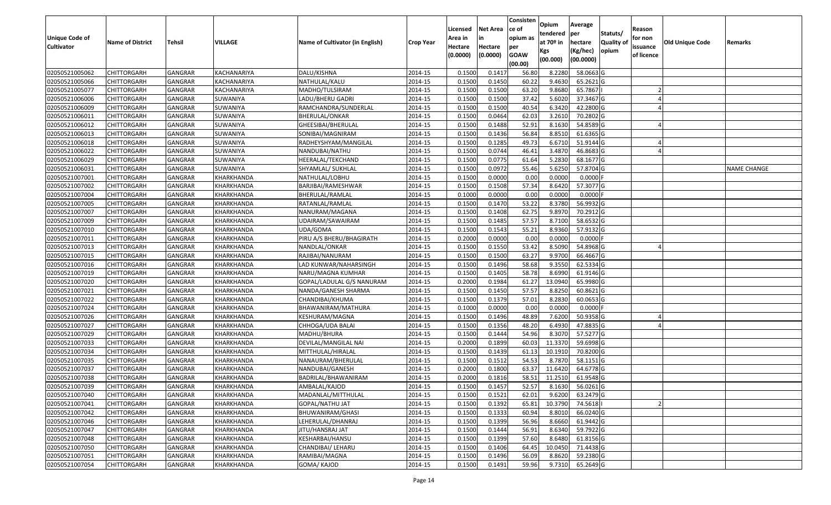|                       |                         |                |                    |                                 |                  | Licensed | <b>Net Area</b> | Consisten<br>ce of     | Opium                   | Average             |                     | Reason     |                 |             |
|-----------------------|-------------------------|----------------|--------------------|---------------------------------|------------------|----------|-----------------|------------------------|-------------------------|---------------------|---------------------|------------|-----------------|-------------|
| <b>Unique Code of</b> |                         |                |                    |                                 |                  | Area in  |                 | opium as               | tendered<br>at $70°$ in | per                 | Statuts/            | for non    |                 |             |
| <b>Cultivator</b>     | <b>Name of District</b> | <b>Tehsil</b>  | VILLAGE            | Name of Cultivator (in English) | <b>Crop Year</b> | Hectare  | Hectare         | per                    | Kgs                     | hectare<br>(Kg/hec) | Quality of<br>opium | issuance   | Old Unique Code | Remarks     |
|                       |                         |                |                    |                                 |                  | (0.0000) | (0.0000)        | <b>GOAW</b><br>(00.00) | (00.000)                | (00.0000)           |                     | of licence |                 |             |
| 02050521005062        | <b>CHITTORGARH</b>      | GANGRAR        | <b>KACHANARIYA</b> | DALU/KISHNA                     | 2014-15          | 0.1500   | 0.1417          | 56.80                  | 8.2280                  | 58.0663 G           |                     |            |                 |             |
| 02050521005066        | CHITTORGARH             | GANGRAR        | KACHANARIYA        | NATHULAL/KALU                   | 2014-15          | 0.1500   | 0.1450          | 60.22                  | 9.4630                  | 65.2621 G           |                     |            |                 |             |
| 02050521005077        | <b>CHITTORGARH</b>      | GANGRAR        | KACHANARIYA        | MADHO/TULSIRAM                  | 2014-15          | 0.1500   | 0.1500          | 63.20                  | 9.8680                  | 65.7867             |                     |            |                 |             |
| 02050521006006        | <b>CHITTORGARH</b>      | <b>GANGRAR</b> | SUWANIYA           | LADU/BHERU GADRI                | 2014-15          | 0.1500   | 0.1500          | 37.42                  | 5.6020                  | 37.3467 G           |                     |            |                 |             |
| 02050521006009        | <b>CHITTORGARH</b>      | GANGRAR        | SUWANIYA           | RAMCHANDRA/SUNDERLAL            | 2014-15          | 0.1500   | 0.1500          | 40.54                  | 6.3420                  | 42.2800 G           |                     |            |                 |             |
| 02050521006011        | CHITTORGARH             | <b>GANGRAR</b> | SUWANIYA           | BHERULAL/ONKAR                  | 2014-15          | 0.1500   | 0.0464          | 62.03                  | 3.2610                  | 70.2802 G           |                     |            |                 |             |
| 02050521006012        | CHITTORGARH             | GANGRAR        | SUWANIYA           | GHEESIBAI/BHERULAL              | 2014-15          | 0.1500   | 0.1488          | 52.91                  | 8.1630                  | 54.8589 G           |                     |            |                 |             |
| 02050521006013        | <b>CHITTORGARH</b>      | <b>GANGRAR</b> | SUWANIYA           | SONIBAI/MAGNIRAM                | 2014-15          | 0.1500   | 0.1436          | 56.84                  | 8.8510                  | 61.6365 G           |                     |            |                 |             |
| 02050521006018        | <b>CHITTORGARH</b>      | GANGRAR        | SUWANIYA           | RADHEYSHYAM/MANGILAL            | 2014-15          | 0.1500   | 0.1285          | 49.73                  | 6.6710                  | 51.9144 G           |                     |            |                 |             |
| 02050521006022        | <b>CHITTORGARH</b>      | <b>GANGRAR</b> | SUWANIYA           | NANDUBAI/NATHU                  | 2014-15          | 0.1500   | 0.0744          | 46.41                  | 3.4870                  | 46.8683 G           |                     |            |                 |             |
| 02050521006029        | <b>CHITTORGARH</b>      | GANGRAR        | SUWANIYA           | HEERALAL/TEKCHAND               | 2014-15          | 0.1500   | 0.0775          | 61.64                  | 5.2830                  | 68.1677 G           |                     |            |                 |             |
| 02050521006031        | <b>CHITTORGARH</b>      | <b>GANGRAR</b> | SUWANIYA           | SHYAMLAL/ SUKHLAL               | 2014-15          | 0.1500   | 0.0972          | 55.46                  | 5.6250                  | 57.8704 G           |                     |            |                 | NAME CHANGE |
| 02050521007001        | <b>CHITTORGARH</b>      | <b>GANGRAR</b> | KHARKHANDA         | NATHULAL/LOBHU                  | 2014-15          | 0.1500   | 0.0000          | 0.00                   | 0.0000                  | $0.0000$ F          |                     |            |                 |             |
| 02050521007002        | <b>CHITTORGARH</b>      | GANGRAR        | KHARKHANDA         | BARJIBAI/RAMESHWAR              | 2014-15          | 0.1500   | 0.1508          | 57.34                  | 8.6420                  | 57.3077 G           |                     |            |                 |             |
| 02050521007004        | <b>CHITTORGARH</b>      | GANGRAR        | KHARKHANDA         | BHERULAL/RAMLAL                 | 2014-15          | 0.1000   | 0.0000          | 0.00                   | 0.0000                  | $0.0000$ F          |                     |            |                 |             |
| 02050521007005        | <b>CHITTORGARH</b>      | <b>GANGRAR</b> | KHARKHANDA         | RATANLAL/RAMLAL                 | 2014-15          | 0.1500   | 0.1470          | 53.22                  | 8.3780                  | 56.9932 G           |                     |            |                 |             |
| 02050521007007        | <b>CHITTORGARH</b>      | GANGRAR        | KHARKHANDA         | NANURAM/MAGANA                  | 2014-15          | 0.1500   | 0.1408          | 62.75                  | 9.8970                  | 70.2912 G           |                     |            |                 |             |
| 02050521007009        | <b>CHITTORGARH</b>      | GANGRAR        | KHARKHANDA         | UDAIRAM/SAWAIRAM                | 2014-15          | 0.1500   | 0.1485          | 57.57                  | 8.7100                  | 58.6532 G           |                     |            |                 |             |
| 02050521007010        | <b>CHITTORGARH</b>      | GANGRAR        | KHARKHANDA         | UDA/GOMA                        | 2014-15          | 0.1500   | 0.1543          | 55.21                  | 8.9360                  | 57.9132 G           |                     |            |                 |             |
| 02050521007011        | <b>CHITTORGARH</b>      | GANGRAR        | KHARKHANDA         | PIRU A/S BHERU/BHAGIRATH        | 2014-15          | 0.2000   | 0.0000          | 0.00                   | 0.0000                  | 0.0000F             |                     |            |                 |             |
| 02050521007013        | <b>CHITTORGARH</b>      | GANGRAR        | KHARKHANDA         | NANDLAL/ONKAR                   | 2014-15          | 0.1500   | 0.1550          | 53.42                  | 8.5090                  | 54.8968 G           |                     |            |                 |             |
| 02050521007015        | <b>CHITTORGARH</b>      | GANGRAR        | KHARKHANDA         | RAJIBAI/NANURAM                 | 2014-15          | 0.1500   | 0.1500          | 63.27                  | 9.9700                  | 66.4667 G           |                     |            |                 |             |
| 02050521007016        | CHITTORGARH             | GANGRAR        | KHARKHANDA         | LAD KUNWAR/NAHARSINGH           | 2014-15          | 0.1500   | 0.1496          | 58.68                  | 9.3550                  | 62.5334 G           |                     |            |                 |             |
| 02050521007019        | <b>CHITTORGARH</b>      | GANGRAR        | KHARKHANDA         | NARU/MAGNA KUMHAR               | 2014-15          | 0.1500   | 0.1405          | 58.78                  | 8.6990                  | 61.9146 G           |                     |            |                 |             |
| 02050521007020        | <b>CHITTORGARH</b>      | <b>GANGRAR</b> | KHARKHANDA         | GOPAL/LADULAL G/S NANURAM       | 2014-15          | 0.2000   | 0.1984          | 61.27                  | 13.0940                 | 65.9980 G           |                     |            |                 |             |
| 02050521007021        | <b>CHITTORGARH</b>      | GANGRAR        | KHARKHANDA         | NANDA/GANESH SHARMA             | 2014-15          | 0.1500   | 0.1450          | 57.57                  | 8.8250                  | 60.8621 G           |                     |            |                 |             |
| 02050521007022        | <b>CHITTORGARH</b>      | GANGRAR        | KHARKHANDA         | CHANDIBAI/KHUMA                 | 2014-15          | 0.1500   | 0.1379          | 57.01                  | 8.2830                  | 60.0653 G           |                     |            |                 |             |
| 02050521007024        | <b>CHITTORGARH</b>      | GANGRAR        | KHARKHANDA         | BHAWANIRAM/MATHURA              | 2014-15          | 0.1000   | 0.0000          | 0.00                   | 0.0000                  | $0.0000$ F          |                     |            |                 |             |
| 02050521007026        | <b>CHITTORGARH</b>      | <b>GANGRAR</b> | KHARKHANDA         | KESHURAM/MAGNA                  | 2014-15          | 0.1500   | 0.1496          | 48.89                  | 7.6200                  | 50.9358 G           |                     |            |                 |             |
| 02050521007027        | <b>CHITTORGARH</b>      | <b>GANGRAR</b> | KHARKHANDA         | CHHOGA/UDA BALAI                | 2014-15          | 0.1500   | 0.1356          | 48.20                  | 6.4930                  | 47.8835 G           |                     |            |                 |             |
| 02050521007029        | CHITTORGARH             | GANGRAR        | KHARKHANDA         | MADHU/BHURA                     | 2014-15          | 0.1500   | 0.1444          | 54.96                  | 8.3070                  | 57.5277 G           |                     |            |                 |             |
| 02050521007033        | CHITTORGARH             | GANGRAR        | KHARKHANDA         | DEVILAL/MANGILAL NAI            | 2014-15          | 0.2000   | 0.1899          | 60.03                  | 11.3370                 | 59.6998 G           |                     |            |                 |             |
| 02050521007034        | <b>CHITTORGARH</b>      | <b>GANGRAR</b> | KHARKHANDA         | MITTHULAL/HIRALAL               | 2014-15          | 0.1500   | 0.1439          | 61.1                   | 10.1910                 | 70.8200 G           |                     |            |                 |             |
| 02050521007035        | <b>CHITTORGARH</b>      | GANGRAR        | KHARKHANDA         | NANAURAM/BHERULAL               | 2014-15          | 0.1500   | 0.1512          | 54.53                  | 8.7870                  | 58.1151 G           |                     |            |                 |             |
| 02050521007037        | CHITTORGARH             | GANGRAR        | KHARKHANDA         | NANDUBAI/GANESH                 | 2014-15          | 0.2000   | 0.1800          | 63.37                  | 11.6420                 | 64.6778 G           |                     |            |                 |             |
| 02050521007038        | <b>CHITTORGARH</b>      | GANGRAR        | KHARKHANDA         | BADRILAL/BHAWANIRAM             | 2014-15          | 0.2000   | 0.1816          | 58.53                  | 11.2510                 | 61.9548 G           |                     |            |                 |             |
| 02050521007039        | <b>CHITTORGARH</b>      | GANGRAR        | KHARKHANDA         | AMBALAL/KAJOD                   | 2014-15          | 0.1500   | 0.1457          | 52.57                  | 8.1630                  | $56.0261$ G         |                     |            |                 |             |
| 02050521007040        | <b>CHITTORGARH</b>      | <b>GANGRAR</b> | KHARKHANDA         | MADANLAL/MITTHULAL              | 2014-15          | 0.1500   | 0.1521          | 62.01                  | 9.6200                  | 63.2479 G           |                     |            |                 |             |
| 02050521007041        | <b>CHITTORGARH</b>      | GANGRAR        | KHARKHANDA         | GOPAL/NATHU JAT                 | 2014-15          | 0.1500   | 0.1392          | 65.81                  | 10.3790                 | 74.5618             |                     |            |                 |             |
| 02050521007042        | <b>CHITTORGARH</b>      | <b>GANGRAR</b> | KHARKHANDA         | BHUWANIRAM/GHASI                | 2014-15          | 0.1500   | 0.1333          | 60.94                  | 8.8010                  | 66.0240 G           |                     |            |                 |             |
| 02050521007046        | <b>CHITTORGARH</b>      | <b>GANGRAR</b> | KHARKHANDA         | LEHERULAL/DHANRAJ               | 2014-15          | 0.1500   | 0.1399          | 56.96                  | 8.6660                  | 61.9442 G           |                     |            |                 |             |
| 02050521007047        | <b>CHITTORGARH</b>      | <b>GANGRAR</b> | KHARKHANDA         | JITU/HANSRAJ JAT                | 2014-15          | 0.1500   | 0.1444          | 56.91                  | 8.6340                  | 59.7922 G           |                     |            |                 |             |
| 02050521007048        | <b>CHITTORGARH</b>      | GANGRAR        | KHARKHANDA         | KESHARBAI/HANSU                 | 2014-15          | 0.1500   | 0.1399          | 57.60                  | 8.6480                  | 61.8156 G           |                     |            |                 |             |
| 02050521007050        | <b>CHITTORGARH</b>      | GANGRAR        | KHARKHANDA         | CHANDIBAI/ LEHARU               | 2014-15          | 0.1500   | 0.1406          | 64.45                  | 10.0450                 | 71.4438 G           |                     |            |                 |             |
| 02050521007051        | CHITTORGARH             | GANGRAR        | KHARKHANDA         | RAMIBAI/MAGNA                   | 2014-15          | 0.1500   | 0.1496          | 56.09                  | 8.8620                  | 59.2380 G           |                     |            |                 |             |
| 02050521007054        | <b>CHITTORGARH</b>      | GANGRAR        | KHARKHANDA         | GOMA/ KAJOD                     | 2014-15          | 0.1500   | 0.1491          | 59.96                  | 9.7310                  | 65.2649 G           |                     |            |                 |             |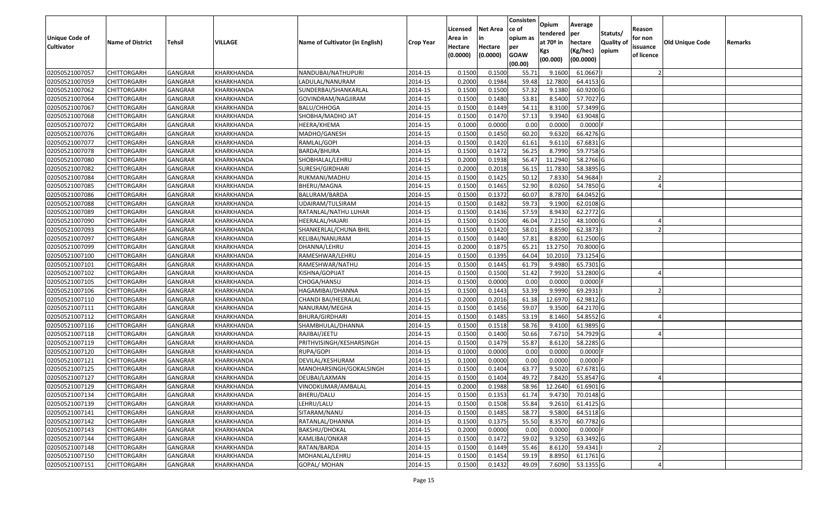|                       |                         |                |                   |                                 |                  |          |                 | Consisten   | Opium       | Average    |                  |            |                 |         |
|-----------------------|-------------------------|----------------|-------------------|---------------------------------|------------------|----------|-----------------|-------------|-------------|------------|------------------|------------|-----------------|---------|
|                       |                         |                |                   |                                 |                  | Licensed | <b>Net Area</b> | ce of       | tendered    | per        | Statuts/         | Reason     |                 |         |
| <b>Unique Code of</b> | <b>Name of District</b> | <b>Tehsil</b>  | <b>VILLAGE</b>    | Name of Cultivator (in English) | <b>Crop Year</b> | Area in  | in              | opium as    | at $70°$ in | hectare    | <b>Quality o</b> | for non    | Old Unique Code | Remarks |
| <b>Cultivator</b>     |                         |                |                   |                                 |                  | Hectare  | Hectare         | per         | Kgs         | (Kg/hec)   | opium            | issuance   |                 |         |
|                       |                         |                |                   |                                 |                  | (0.0000) | (0.0000)        | <b>GOAW</b> | (00.000)    | (00.0000)  |                  | of licence |                 |         |
|                       |                         |                |                   |                                 |                  |          |                 | (00.00)     |             |            |                  |            |                 |         |
| 02050521007057        | CHITTORGARH             | GANGRAR        | KHARKHANDA        | NANDUBAI/NATHUPURI              | 2014-15          | 0.1500   | 0.1500          | 55.71       | 9.1600      | 61.0667    |                  |            |                 |         |
| 02050521007059        | CHITTORGARH             | GANGRAR        | KHARKHANDA        | LADULAL/NANURAM                 | 2014-15          | 0.2000   | 0.1984          | 59.48       | 12.7800     | 64.4153 G  |                  |            |                 |         |
| 02050521007062        | CHITTORGARH             | GANGRAR        | KHARKHANDA        | SUNDERBAI/SHANKARLAL            | 2014-15          | 0.1500   | 0.1500          | 57.32       | 9.1380      | 60.9200 G  |                  |            |                 |         |
| 02050521007064        | <b>CHITTORGARH</b>      | <b>GANGRAR</b> | KHARKHANDA        | GOVINDRAM/NAGJIRAM              | 2014-15          | 0.1500   | 0.1480          | 53.81       | 8.5400      | 57.7027 G  |                  |            |                 |         |
| 02050521007067        | CHITTORGARH             | GANGRAR        | KHARKHANDA        | BALU/CHHOGA                     | 2014-15          | 0.1500   | 0.1449          | 54.11       | 8.3100      | 57.3499 G  |                  |            |                 |         |
| 02050521007068        | CHITTORGARH             | <b>GANGRAR</b> | KHARKHANDA        | SHOBHA/MADHO JAT                | 2014-15          | 0.1500   | 0.1470          | 57.13       | 9.3940      | 63.9048 G  |                  |            |                 |         |
| 02050521007072        | CHITTORGARH             | GANGRAR        | KHARKHANDA        | HEERA/KHEMA                     | 2014-15          | 0.1000   | 0.0000          | 0.00        | 0.0000      | 0.0000     |                  |            |                 |         |
| 02050521007076        | CHITTORGARH             | <b>GANGRAR</b> | KHARKHANDA        | MADHO/GANESH                    | 2014-15          | 0.1500   | 0.1450          | 60.20       | 9.6320      | 66.4276 G  |                  |            |                 |         |
| 02050521007077        | CHITTORGARH             | GANGRAR        | KHARKHANDA        | RAMLAL/GOPI                     | 2014-15          | 0.1500   | 0.1420          | 61.61       | 9.6110      | 67.6831 G  |                  |            |                 |         |
| 02050521007078        | CHITTORGARH             | <b>GANGRAR</b> | KHARKHANDA        | BARDA/BHURA                     | 2014-15          | 0.1500   | 0.1472          | 56.25       | 8.7990      | 59.7758 G  |                  |            |                 |         |
| 02050521007080        | CHITTORGARH             | GANGRAR        | KHARKHANDA        | SHOBHALAL/LEHRU                 | 2014-15          | 0.2000   | 0.1938          | 56.47       | 11.2940     | 58.2766 G  |                  |            |                 |         |
| 02050521007082        | <b>CHITTORGARH</b>      | <b>GANGRAR</b> | KHARKHANDA        | SURESH/GIRDHARI                 | 2014-15          | 0.2000   | 0.2018          | 56.15       | 11.7830     | 58.3895 G  |                  |            |                 |         |
| 02050521007084        | <b>CHITTORGARH</b>      | <b>GANGRAR</b> | KHARKHANDA        | RUKMANI/MADHU                   | 2014-15          | 0.1500   | 0.1425          | 50.12       | 7.8330      | 54.9684    |                  |            |                 |         |
| 02050521007085        | <b>CHITTORGARH</b>      | GANGRAR        | KHARKHANDA        | BHERU/MAGNA                     | 2014-15          | 0.1500   | 0.1465          | 52.90       | 8.0260      | 54.7850 G  |                  |            |                 |         |
| 02050521007086        | CHITTORGARH             | <b>GANGRAR</b> | KHARKHANDA        | BALURAM/BARDA                   | 2014-15          | 0.1500   | 0.1372          | 60.07       | 8.7870      | 64.0452 G  |                  |            |                 |         |
| 02050521007088        | CHITTORGARH             | <b>GANGRAR</b> | KHARKHANDA        | UDAIRAM/TULSIRAM                | 2014-15          | 0.1500   | 0.1482          | 59.73       | 9.1900      | 62.0108G   |                  |            |                 |         |
| 02050521007089        | CHITTORGARH             | <b>GANGRAR</b> | KHARKHANDA        | RATANLAL/NATHU LUHAR            | 2014-15          | 0.1500   | 0.1436          | 57.59       | 8.9430      | 62.2772 G  |                  |            |                 |         |
| 02050521007090        | CHITTORGARH             | GANGRAR        | KHARKHANDA        | HEERALAL/HAJARI                 | 2014-15          | 0.1500   | 0.1500          | 46.04       | 7.2150      | 48.1000 G  |                  |            |                 |         |
| 02050521007093        | CHITTORGARH             | GANGRAR        | KHARKHANDA        | SHANKERLAL/CHUNA BHIL           | 2014-15          | 0.1500   | 0.1420          | 58.01       | 8.8590      | 62.3873    |                  |            |                 |         |
| 02050521007097        | CHITTORGARH             | GANGRAR        | KHARKHANDA        | KELIBAI/NANURAM                 | 2014-15          | 0.1500   | 0.1440          | 57.81       | 8.8200      | 61.2500 G  |                  |            |                 |         |
| 02050521007099        | CHITTORGARH             | <b>GANGRAR</b> | KHARKHANDA        | DHANNA/LEHRU                    | 2014-15          | 0.2000   | 0.1875          | 65.21       | 13.2750     | 70.8000 G  |                  |            |                 |         |
| 02050521007100        | CHITTORGARH             | GANGRAR        | KHARKHANDA        | RAMESHWAR/LEHRU                 | 2014-15          | 0.1500   | 0.1395          | 64.04       | 10.201      | 73.1254 G  |                  |            |                 |         |
| 02050521007101        | CHITTORGARH             | GANGRAR        | KHARKHANDA        | RAMESHWAR/NATHU                 | 2014-15          | 0.1500   | 0.1445          | 61.79       | 9.4980      | 65.7301G   |                  |            |                 |         |
| 02050521007102        | CHITTORGARH             | <b>GANGRAR</b> | KHARKHANDA        | KISHNA/GOPIJAT                  | 2014-15          | 0.1500   | 0.1500          | 51.42       | 7.9920      | 53.2800 G  |                  |            |                 |         |
| 02050521007105        | <b>CHITTORGARH</b>      | <b>GANGRAR</b> | KHARKHANDA        | CHOGA/HANSU                     | 2014-15          | 0.1500   | 0.0000          | 0.00        | 0.0000      | 0.0000F    |                  |            |                 |         |
| 02050521007106        | CHITTORGARH             | GANGRAR        | KHARKHANDA        | HAGAMIBAI/DHANNA                | 2014-15          | 0.1500   | 0.1443          | 53.39       | 9.9990      | 69.2931    |                  |            |                 |         |
| 02050521007110        | CHITTORGARH             | GANGRAR        | KHARKHANDA        | CHANDI BAI/HEERALAL             | 2014-15          | 0.2000   | 0.2016          | 61.38       | 12.6970     | 62.9812G   |                  |            |                 |         |
| 02050521007111        | CHITTORGARH             | GANGRAR        | KHARKHANDA        | NANURAM/MEGHA                   | 2014-15          | 0.1500   | 0.1456          | 59.07       | 9.3500      | 64.2170 G  |                  |            |                 |         |
| 02050521007112        | CHITTORGARH             | <b>GANGRAR</b> | KHARKHANDA        | <b>BHURA/GIRDHARI</b>           | 2014-15          | 0.1500   | 0.1485          | 53.19       | 8.1460      | 54.8552 G  |                  |            |                 |         |
| 02050521007116        | CHITTORGARH             | <b>GANGRAR</b> | KHARKHANDA        | SHAMBHULAL/DHANNA               | 2014-15          | 0.1500   | 0.1518          | 58.76       | 9.4100      | 61.9895 G  |                  |            |                 |         |
| 02050521007118        | CHITTORGARH             | <b>GANGRAR</b> | KHARKHANDA        | RAJIBAI/JEETU                   | 2014-15          | 0.1500   | 0.1400          | 50.66       | 7.6710      | 54.7929 G  |                  |            |                 |         |
| 02050521007119        | CHITTORGARH             | GANGRAR        | KHARKHANDA        | PRITHVISINGH/KESHARSINGH        | 2014-15          | 0.1500   | 0.1479          | 55.87       | 8.6120      | 58.2285 G  |                  |            |                 |         |
| 02050521007120        | CHITTORGARH             | <b>GANGRAR</b> | KHARKHANDA        | RUPA/GOPI                       | 2014-15          | 0.1000   | 0.0000          | 0.00        | 0.0000      | $0.0000$ F |                  |            |                 |         |
| 02050521007121        | CHITTORGARH             | GANGRAR        | KHARKHANDA        | DEVILAL/KESHURAM                | 2014-15          | 0.1000   | 0.0000          | 0.00        | 0.0000      | 0.0000     |                  |            |                 |         |
| 02050521007125        | CHITTORGARH             | <b>GANGRAR</b> | KHARKHANDA        | MANOHARSINGH/GOKALSINGH         | 2014-15          | 0.150    | 0.1404          | 63.77       | 9.5020      | 67.6781 G  |                  |            |                 |         |
| 02050521007127        | CHITTORGARH             | GANGRAR        | KHARKHANDA        | DEUBAI/LAXMAN                   | 2014-15          | 0.1500   | 0.1404          | 49.72       | 7.8420      | 55.8547 G  |                  |            |                 |         |
| 02050521007129        | <b>CHITTORGARH</b>      | <b>GANGRAR</b> | KHARKHANDA        | VINODKUMAR/AMBALAL              | 2014-15          | 0.2000   | 0.1988          | 58.96       | 12.2640     | 61.6901 G  |                  |            |                 |         |
| 02050521007134        | <b>CHITTORGARH</b>      | <b>GANGRAR</b> | KHARKHANDA        | BHERU/DALU                      | 2014-15          | 0.1500   | 0.1353          | 61.74       | 9.4730      | 70.0148 G  |                  |            |                 |         |
| 02050521007139        | <b>CHITTORGARH</b>      | <b>GANGRAR</b> | KHARKHANDA        | LEHRU/LALU                      | 2014-15          | 0.1500   | 0.1508          | 55.84       | 9.2610      | 61.4125 G  |                  |            |                 |         |
| 02050521007141        | <b>CHITTORGARH</b>      | <b>GANGRAR</b> | KHARKHANDA        | SITARAM/NANU                    | 2014-15          | 0.1500   | 0.1485          | 58.77       | 9.5800      | 64.5118 G  |                  |            |                 |         |
| 02050521007142        | CHITTORGARH             | <b>GANGRAR</b> | KHARKHANDA        | RATANLAL/DHANNA                 | 2014-15          | 0.1500   | 0.1375          | 55.50       | 8.3570      | 60.7782 G  |                  |            |                 |         |
| 02050521007143        | <b>CHITTORGARH</b>      | <b>GANGRAR</b> | <b>KHARKHANDA</b> | BAKSHU/DHOKAL                   | 2014-15          | 0.2000   | 0.0000          | 0.00        | 0.0000      | $0.0000$ F |                  |            |                 |         |
| 02050521007144        | <b>CHITTORGARH</b>      | <b>GANGRAR</b> | KHARKHANDA        | KAMLIBAI/ONKAR                  | 2014-15          | 0.1500   | 0.1472          | 59.02       | 9.3250      | 63.3492 G  |                  |            |                 |         |
| 02050521007148        | <b>CHITTORGARH</b>      | <b>GANGRAR</b> | KHARKHANDA        | RATAN/BARDA                     | 2014-15          | 0.1500   | 0.1449          | 55.46       | 8.6120      | 59.4341    |                  |            |                 |         |
| 02050521007150        | <b>CHITTORGARH</b>      | <b>GANGRAR</b> | KHARKHANDA        | MOHANLAL/LEHRU                  | 2014-15          | 0.1500   | 0.1454          | 59.19       | 8.8950      | 61.1761 G  |                  |            |                 |         |
| 02050521007151        | <b>CHITTORGARH</b>      | <b>GANGRAR</b> | KHARKHANDA        | GOPAL/ MOHAN                    | 2014-15          | 0.1500   | 0.1432          | 49.09       | 7.6090      | 53.1355 G  |                  |            |                 |         |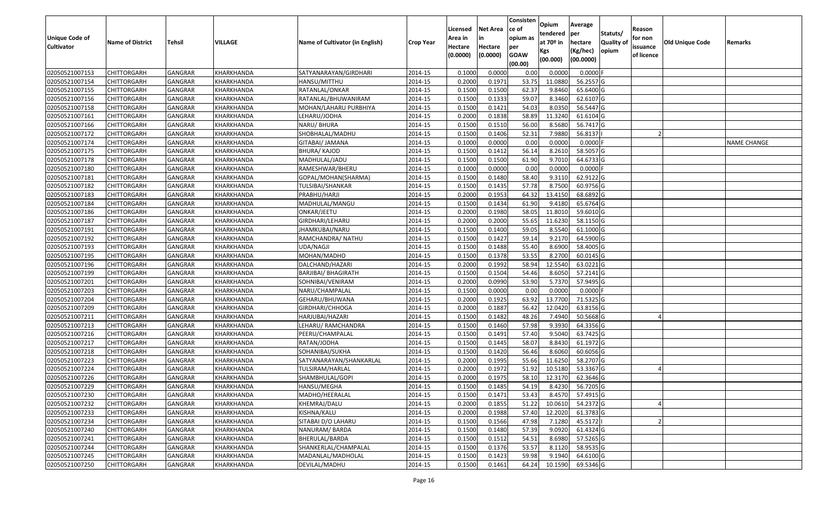|                       |                         |                |            |                                 |                  |          |                 | Consisten              | Opium       | Average                |                  |            |                 |                    |
|-----------------------|-------------------------|----------------|------------|---------------------------------|------------------|----------|-----------------|------------------------|-------------|------------------------|------------------|------------|-----------------|--------------------|
|                       |                         |                |            |                                 |                  | Licensed | <b>Net Area</b> | ce of                  | tendered    | per                    | Statuts/         | Reason     |                 |                    |
| <b>Unique Code of</b> | <b>Name of District</b> | <b>Tehsil</b>  | VILLAGE    | Name of Cultivator (in English) | <b>Crop Year</b> | Area in  | in              | opium as               | at $70°$ in | hectare                | <b>Quality o</b> | for non    | Old Unique Code | Remarks            |
| <b>Cultivator</b>     |                         |                |            |                                 |                  | Hectare  | Hectare         | per                    | Kgs         | (Kg/hec)               | opium            | issuance   |                 |                    |
|                       |                         |                |            |                                 |                  | (0.0000) | (0.0000)        | <b>GOAW</b><br>(00.00) | (00.000)    | (00.0000)              |                  | of licence |                 |                    |
| 02050521007153        | CHITTORGARH             | GANGRAR        | KHARKHANDA | SATYANARAYAN/GIRDHARI           | 2014-15          | 0.1000   | 0.0000          | 0.00                   | 0.0000      | $0.0000$ F             |                  |            |                 |                    |
| 02050521007154        | CHITTORGARH             | GANGRAR        | KHARKHANDA | HANSU/MITTHU                    | 2014-15          | 0.2000   | 0.1971          | 53.75                  | 11.0880     | 56.2557 G              |                  |            |                 |                    |
| 02050521007155        | CHITTORGARH             | GANGRAR        | KHARKHANDA | RATANLAL/ONKAR                  | 2014-15          | 0.1500   | 0.1500          | 62.37                  | 9.8460      | 65.6400 G              |                  |            |                 |                    |
| 02050521007156        | <b>CHITTORGARH</b>      | <b>GANGRAR</b> | KHARKHANDA | RATANLAL/BHUWANIRAM             | 2014-15          | 0.1500   | 0.1333          | 59.07                  | 8.3460      | 62.6107 G              |                  |            |                 |                    |
| 02050521007158        | CHITTORGARH             | GANGRAR        | KHARKHANDA | MOHAN/LAHARU PURBHIYA           | 2014-15          | 0.1500   | 0.1421          | 54.03                  | 8.0350      | 56.5447 G              |                  |            |                 |                    |
| 02050521007161        | CHITTORGARH             | <b>GANGRAR</b> | KHARKHANDA | LEHARU/JODHA                    | 2014-15          | 0.2000   | 0.1838          | 58.89                  | 11.3240     | 61.6104 G              |                  |            |                 |                    |
| 02050521007166        | CHITTORGARH             | GANGRAR        | KHARKHANDA | NARU/ BHURA                     | 2014-15          | 0.1500   | 0.1510          | 56.00                  | 8.5680      | 56.7417 G              |                  |            |                 |                    |
| 02050521007172        | <b>CHITTORGARH</b>      | <b>GANGRAR</b> | KHARKHANDA | SHOBHALAL/MADHU                 | 2014-15          | 0.1500   | 0.1406          | 52.31                  | 7.9880      | 56.8137                |                  |            |                 |                    |
| 02050521007174        | CHITTORGARH             | GANGRAR        | KHARKHANDA | GITABAI/ JAMANA                 | 2014-15          | 0.1000   | 0.0000          | 0.00                   | 0.0000      | $0.0000$ F             |                  |            |                 | <b>NAME CHANGE</b> |
| 02050521007175        | CHITTORGARH             | <b>GANGRAR</b> | KHARKHANDA | <b>BHURA/ KAJOD</b>             | 2014-15          | 0.1500   | 0.1412          | 56.14                  | 8.2610      | 58.5057 G              |                  |            |                 |                    |
| 02050521007178        | CHITTORGARH             | GANGRAR        | KHARKHANDA | MADHULAL/JADU                   | 2014-15          | 0.1500   | 0.1500          | 61.90                  | 9.7010      | 64.6733 G              |                  |            |                 |                    |
| 02050521007180        | <b>CHITTORGARH</b>      | <b>GANGRAR</b> | KHARKHANDA | RAMESHWAR/BHERU                 | 2014-15          | 0.1000   | 0.0000          | 0.00                   | 0.0000      | $0.0000$ F             |                  |            |                 |                    |
| 02050521007181        | <b>CHITTORGARH</b>      | <b>GANGRAR</b> | KHARKHANDA | GOPAL/MOHAN(SHARMA)             | 2014-15          | 0.1500   | 0.1480          | 58.40                  | 9.3110      | 62.9122 G              |                  |            |                 |                    |
| 02050521007182        | <b>CHITTORGARH</b>      | GANGRAR        | KHARKHANDA | TULSIBAI/SHANKAR                | 2014-15          | 0.1500   | 0.1435          | 57.78                  | 8.7500      | 60.9756 G              |                  |            |                 |                    |
| 02050521007183        | CHITTORGARH             | <b>GANGRAR</b> | KHARKHANDA | PRABHU/HARJI                    | 2014-15          | 0.2000   | 0.1953          | 64.32                  | 13.4150     | 68.6892 G              |                  |            |                 |                    |
| 02050521007184        | CHITTORGARH             | <b>GANGRAR</b> | KHARKHANDA | MADHULAL/MANGU                  | 2014-15          | 0.1500   | 0.1434          | 61.90                  | 9.4180      | 65.6764 G              |                  |            |                 |                    |
| 02050521007186        | CHITTORGARH             | <b>GANGRAR</b> | KHARKHANDA | ONKAR/JEETU                     | 2014-15          | 0.2000   | 0.1980          | 58.05                  | 11.8010     | 59.6010 G              |                  |            |                 |                    |
| 02050521007187        | CHITTORGARH             | GANGRAR        | KHARKHANDA | GIRDHARI/LEHARU                 | 2014-15          | 0.2000   | 0.2000          | 55.65                  | 11.6230     | 58.1150G               |                  |            |                 |                    |
| 02050521007191        | CHITTORGARH             | GANGRAR        | KHARKHANDA | JHAMKUBAI/NARU                  | 2014-15          | 0.1500   | 0.1400          | 59.05                  | 8.5540      | 61.1000G               |                  |            |                 |                    |
| 02050521007192        | CHITTORGARH             | GANGRAR        | KHARKHANDA | RAMCHANDRA/NATHU                | 2014-15          | 0.1500   | 0.1427          | 59.14                  | 9.2170      | 64.5900 G              |                  |            |                 |                    |
| 02050521007193        | CHITTORGARH             | <b>GANGRAR</b> | KHARKHANDA | UDA/NAGJI                       | 2014-15          | 0.1500   | 0.1488          | 55.40                  | 8.6900      | 58.4005 G              |                  |            |                 |                    |
| 02050521007195        | CHITTORGARH             | GANGRAR        | KHARKHANDA | MOHAN/MADHO                     | 2014-15          | 0.150    | 0.1378          | 53.55                  | 8.2700      | 60.0145 G              |                  |            |                 |                    |
| 02050521007196        | CHITTORGARH             | GANGRAR        | KHARKHANDA | DALCHAND/HAZARI                 | 2014-15          | 0.2000   | 0.1992          | 58.94                  | 12.5540     | 63.0221G               |                  |            |                 |                    |
| 02050521007199        | CHITTORGARH             | <b>GANGRAR</b> | KHARKHANDA | <b>BARJIBAI/ BHAGIRATH</b>      | 2014-15          | 0.1500   | 0.1504          | 54.46                  | 8.6050      | 57.2141 G              |                  |            |                 |                    |
| 02050521007201        | <b>CHITTORGARH</b>      | <b>GANGRAR</b> | KHARKHANDA | SOHNIBAI/VENIRAM                | 2014-15          | 0.2000   | 0.0990          | 53.90                  | 5.7370      | 57.9495 G              |                  |            |                 |                    |
| 02050521007203        | CHITTORGARH             | GANGRAR        | KHARKHANDA | NARU/CHAMPALAL                  | 2014-15          | 0.1500   | 0.0000          | 0.00                   | 0.0000      | $0.0000$ F             |                  |            |                 |                    |
| 02050521007204        | CHITTORGARH             | GANGRAR        | KHARKHANDA | GEHARU/BHUWANA                  | 2014-15          | 0.2000   | 0.1925          | 63.92                  | 13.7700     | 71.5325 G              |                  |            |                 |                    |
| 02050521007209        | CHITTORGARH             | GANGRAR        | KHARKHANDA | GIRDHARI/CHHOGA                 | 2014-15          | 0.2000   | 0.1887          | 56.42                  | 12.0420     | 63.8156 G              |                  |            |                 |                    |
| 02050521007211        | CHITTORGARH             | <b>GANGRAR</b> | KHARKHANDA | HARJUBAI/HAZARI                 | 2014-15          | 0.1500   | 0.1482          | 48.26                  | 7.4940      | 50.5668 G              |                  |            |                 |                    |
| 02050521007213        | CHITTORGARH             | <b>GANGRAR</b> | KHARKHANDA | LEHARU/ RAMCHANDRA              | 2014-15          | 0.1500   | 0.1460          | 57.98                  | 9.3930      | $\overline{64.3356}$ G |                  |            |                 |                    |
| 02050521007216        | CHITTORGARH             | <b>GANGRAR</b> | KHARKHANDA | PEERU/CHAMPALAL                 | 2014-15          | 0.1500   | 0.1491          | 57.40                  | 9.5040      | 63.7425 G              |                  |            |                 |                    |
| 02050521007217        | CHITTORGARH             | GANGRAR        | KHARKHANDA | RATAN/JODHA                     | 2014-15          | 0.1500   | 0.1445          | 58.07                  | 8.8430      | 61.1972 G              |                  |            |                 |                    |
| 02050521007218        | CHITTORGARH             | <b>GANGRAR</b> | KHARKHANDA | SOHANIBAI/SUKHA                 | 2014-15          | 0.1500   | 0.1420          | 56.46                  | 8.6060      | 60.6056 G              |                  |            |                 |                    |
| 02050521007223        | CHITTORGARH             | GANGRAR        | KHARKHANDA | SATYANARAYAN/SHANKARLAL         | 2014-15          | 0.2000   | 0.1995          | 55.66                  | 11.6250     | 58.2707 G              |                  |            |                 |                    |
| 02050521007224        | CHITTORGARH             | <b>GANGRAR</b> | KHARKHANDA | TULSIRAM/HARLAL                 | 2014-15          | 0.2000   | 0.1972          | 51.92                  | 10.5180     | 53.3367 G              |                  |            |                 |                    |
| 02050521007226        | CHITTORGARH             | GANGRAR        | KHARKHANDA | SHAMBHULAL/GOPI                 | 2014-15          | 0.2000   | 0.1975          | 58.10                  | 12.3170     | 62.3646 G              |                  |            |                 |                    |
| 02050521007229        | <b>CHITTORGARH</b>      | <b>GANGRAR</b> | KHARKHANDA | HANSU/MEGHA                     | 2014-15          | 0.1500   | 0.1485          | 54.19                  | 8.4230      | 56.7205 G              |                  |            |                 |                    |
| 02050521007230        | <b>CHITTORGARH</b>      | <b>GANGRAR</b> | KHARKHANDA | MADHO/HEERALAL                  | 2014-15          | 0.1500   | 0.1471          | 53.43                  | 8.4570      | 57.4915 G              |                  |            |                 |                    |
| 02050521007232        | <b>CHITTORGARH</b>      | <b>GANGRAR</b> | KHARKHANDA | KHEMRAJ/DALU                    | 2014-15          | 0.2000   | 0.1855          | 51.22                  | 10.0610     | 54.2372 G              |                  |            |                 |                    |
| 02050521007233        | <b>CHITTORGARH</b>      | <b>GANGRAR</b> | KHARKHANDA | KISHNA/KALU                     | 2014-15          | 0.2000   | 0.1988          | 57.40                  | 12.2020     | 61.3783 G              |                  |            |                 |                    |
| 02050521007234        | CHITTORGARH             | <b>GANGRAR</b> | KHARKHANDA | SITABAI D/O LAHARU              | 2014-15          | 0.1500   | 0.1566          | 47.98                  | 7.1280      | 45.5172                |                  |            |                 |                    |
| 02050521007240        | <b>CHITTORGARH</b>      | <b>GANGRAR</b> | KHARKHANDA | NANURAM/BARDA                   | 2014-15          | 0.1500   | 0.1480          | 57.39                  | 9.0920      | 61.4324 G              |                  |            |                 |                    |
| 02050521007241        | <b>CHITTORGARH</b>      | <b>GANGRAR</b> | KHARKHANDA | BHERULAL/BARDA                  | 2014-15          | 0.1500   | 0.1512          | 54.51                  | 8.6980      | 57.5265 G              |                  |            |                 |                    |
| 02050521007244        | CHITTORGARH             | <b>GANGRAR</b> | KHARKHANDA | SHANKERLAL/CHAMPALAL            | 2014-15          | 0.1500   | 0.1376          | 53.57                  | 8.1120      | 58.9535 G              |                  |            |                 |                    |
| 02050521007245        | CHITTORGARH             | <b>GANGRAR</b> | KHARKHANDA | MADANLAL/MADHOLAL               | 2014-15          | 0.1500   | 0.1423          | 59.98                  | 9.1940      | 64.6100 G              |                  |            |                 |                    |
| 02050521007250        | <b>CHITTORGARH</b>      | <b>GANGRAR</b> | KHARKHANDA | DEVILAL/MADHU                   | 2014-15          | 0.1500   | 0.1461          | 64.24                  | 10.1590     | 69.5346 G              |                  |            |                 |                    |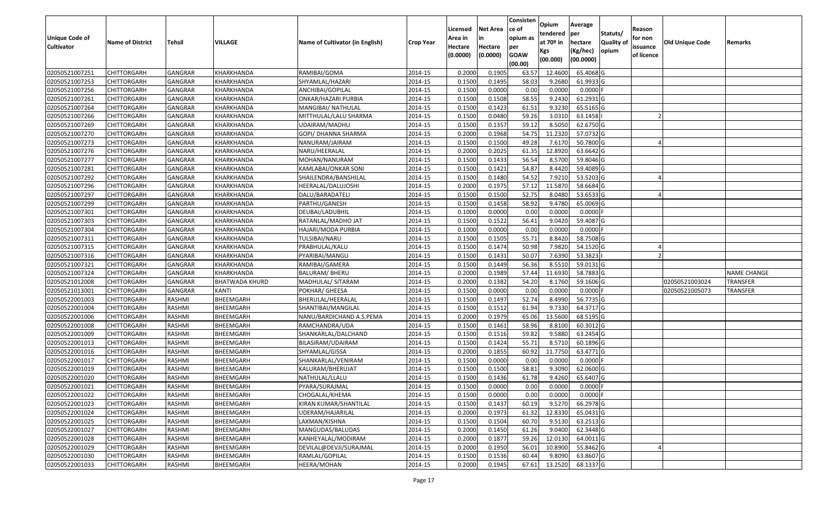|                                            |                         |                |                       |                                 |                  |                     |                 | Consisten          | Opium       | Average     |                  |                        |                        |                 |
|--------------------------------------------|-------------------------|----------------|-----------------------|---------------------------------|------------------|---------------------|-----------------|--------------------|-------------|-------------|------------------|------------------------|------------------------|-----------------|
|                                            |                         |                |                       |                                 |                  | Licensed            | <b>Net Area</b> | ce of              | tendered    | per         | Statuts/         | Reason                 |                        |                 |
| <b>Unique Code of</b><br><b>Cultivator</b> | <b>Name of District</b> | <b>Tehsil</b>  | <b>VILLAGE</b>        | Name of Cultivator (in English) | <b>Crop Year</b> | Area in             | in<br>Hectare   | opium as           | at $70°$ in | hectare     | <b>Quality o</b> | for non                | <b>Old Unique Code</b> | Remarks         |
|                                            |                         |                |                       |                                 |                  | Hectare<br>(0.0000) | (0.0000)        | per<br><b>GOAW</b> | Kgs         | (Kg/hec)    | opium            | issuance<br>of licence |                        |                 |
|                                            |                         |                |                       |                                 |                  |                     |                 | (00.00)            | (00.000)    | (00.0000)   |                  |                        |                        |                 |
| 02050521007251                             | CHITTORGARH             | GANGRAR        | KHARKHANDA            | RAMIBAI/GOMA                    | 2014-15          | 0.2000              | 0.1905          | 63.57              | 12.4600     | 65.4068 G   |                  |                        |                        |                 |
| 02050521007253                             | CHITTORGARH             | GANGRAR        | KHARKHANDA            | SHYAMLAL/HAZARI                 | 2014-15          | 0.1500              | 0.1495          | 58.03              | 9.2680      | 61.9933 G   |                  |                        |                        |                 |
| 02050521007256                             | CHITTORGARH             | GANGRAR        | KHARKHANDA            | ANCHIBAI/GOPILAL                | 2014-15          | 0.1500              | 0.0000          | 0.00               | 0.0000      | $0.0000$ F  |                  |                        |                        |                 |
| 02050521007261                             | <b>CHITTORGARH</b>      | <b>GANGRAR</b> | KHARKHANDA            | ONKAR/HAZARI PURBIA             | 2014-15          | 0.1500              | 0.1508          | 58.55              | 9.2430      | $61.2931$ G |                  |                        |                        |                 |
| 02050521007264                             | CHITTORGARH             | GANGRAR        | KHARKHANDA            | MANGIBAI/ NATHULAL              | 2014-15          | 0.1500              | 0.1423          | 61.51              | 9.3230      | 65.5165 G   |                  |                        |                        |                 |
| 02050521007266                             | CHITTORGARH             | GANGRAR        | KHARKHANDA            | MITTHULAL/LALU SHARMA           | 2014-15          | 0.1500              | 0.0480          | 59.26              | 3.0310      | 63.1458     |                  |                        |                        |                 |
| 02050521007269                             | CHITTORGARH             | GANGRAR        | KHARKHANDA            | UDAIRAM/MADHU                   | 2014-15          | 0.1500              | 0.1357          | 59.12              | 8.5050      | 62.6750 G   |                  |                        |                        |                 |
| 02050521007270                             | <b>CHITTORGARH</b>      | <b>GANGRAR</b> | KHARKHANDA            | GOPI/ DHANNA SHARMA             | 2014-15          | 0.2000              | 0.1968          | 54.75              | 11.2320     | 57.0732 G   |                  |                        |                        |                 |
| 02050521007273                             | CHITTORGARH             | GANGRAR        | KHARKHANDA            | NANURAM/JAIRAM                  | 2014-15          | 0.1500              | 0.1500          | 49.28              | 7.6170      | 50.7800 G   |                  |                        |                        |                 |
| 02050521007276                             | CHITTORGARH             | GANGRAR        | KHARKHANDA            | NARU/HEERALAL                   | 2014-15          | 0.2000              | 0.2025          | 61.35              | 12.8920     | 63.6642 G   |                  |                        |                        |                 |
| 02050521007277                             | CHITTORGARH             | GANGRAR        | KHARKHANDA            | MOHAN/NANURAM                   | 2014-15          | 0.1500              | 0.1433          | 56.54              | 8.5700      | 59.8046 G   |                  |                        |                        |                 |
| 02050521007281                             | <b>CHITTORGARH</b>      | <b>GANGRAR</b> | KHARKHANDA            | KAMLABAI/ONKAR SONI             | 2014-15          | 0.1500              | 0.1421          | 54.87              | 8.4420      | 59.4089 G   |                  |                        |                        |                 |
| 02050521007292                             | <b>CHITTORGARH</b>      | <b>GANGRAR</b> | KHARKHANDA            | SHAILENDRA/BANSHILAL            | 2014-15          | 0.1500              | 0.1480          | 54.52              | 7.9210      | 53.5203 G   |                  |                        |                        |                 |
| 02050521007296                             | <b>CHITTORGARH</b>      | GANGRAR        | KHARKHANDA            | HEERALAL/DALUJOSHI              | 2014-15          | 0.2000              | 0.1975          | 57.12              | 11.5870     | 58.6684 G   |                  |                        |                        |                 |
| 02050521007297                             | CHITTORGARH             | <b>GANGRAR</b> | KHARKHANDA            | DALU/BARADATELI                 | 2014-15          | 0.1500              | 0.1500          | 52.75              | 8.0480      | 53.6533 G   |                  |                        |                        |                 |
| 02050521007299                             | CHITTORGARH             | <b>GANGRAR</b> | KHARKHANDA            | PARTHU/GANESH                   | 2014-15          | 0.1500              | 0.1458          | 58.92              | 9.4780      | 65.0069 G   |                  |                        |                        |                 |
| 02050521007301                             | CHITTORGARH             | <b>GANGRAR</b> | KHARKHANDA            | DEUBAI/LADUBHIL                 | 2014-15          | 0.1000              | 0.0000          | 0.00               | 0.0000      | $0.0000$ F  |                  |                        |                        |                 |
| 02050521007303                             | CHITTORGARH             | GANGRAR        | KHARKHANDA            | RATANLAL/MADHO JAT              | 2014-15          | 0.1500              | 0.1522          | 56.41              | 9.0420      | 59.4087 G   |                  |                        |                        |                 |
| 02050521007304                             | CHITTORGARH             | <b>GANGRAR</b> | KHARKHANDA            | HAJARI/MODA PURBIA              | 2014-15          | 0.1000              | 0.0000          | 0.00               | 0.0000      | $0.0000$ F  |                  |                        |                        |                 |
| 02050521007311                             | CHITTORGARH             | GANGRAR        | KHARKHANDA            | TULSIBAI/NARU                   | 2014-15          | 0.1500              | 0.1505          | 55.71              | 8.8420      | 58.7508 G   |                  |                        |                        |                 |
| 02050521007315                             | CHITTORGARH             | <b>GANGRAR</b> | KHARKHANDA            | PRABHULAL/KALU                  | 2014-15          | 0.1500              | 0.1474          | 50.98              | 7.9820      | 54.1520 G   |                  |                        |                        |                 |
| 02050521007316                             | CHITTORGARH             | GANGRAR        | KHARKHANDA            | PYARIBAI/MANGU                  | 2014-15          | 0.150               | 0.1431          | 50.07              | 7.6390      | 53.3823     |                  |                        |                        |                 |
| 02050521007321                             | CHITTORGARH             | GANGRAR        | KHARKHANDA            | RAMIBAI/GAMERA                  | 2014-15          | 0.1500              | 0.1449          | 56.36              | 8.5510      | 59.0131G    |                  |                        |                        |                 |
| 02050521007324                             | CHITTORGARH             | <b>GANGRAR</b> | KHARKHANDA            | BALURAM/ BHERU                  | 2014-15          | 0.2000              | 0.1989          | 57.44              | 11.6930     | 58.7883 G   |                  |                        |                        | NAME CHANGE     |
| 02050521012008                             | CHITTORGARH             | <b>GANGRAR</b> | <b>BHATWADA KHURD</b> | MADHULAL/ SITARAM               | 2014-15          | 0.2000              | 0.1382          | 54.20              | 8.1760      | 59.1606 G   |                  |                        | 02050521003024         | <b>TRANSFER</b> |
| 02050521013001                             | CHITTORGARH             | GANGRAR        | KANTI                 | POKHAR/ GHEESA                  | 2014-15          | 0.1500              | 0.0000          | 0.00               | 0.0000      | $0.0000$ F  |                  |                        | 02050521005073         | <b>TRANSFER</b> |
| 02050522001003                             | CHITTORGARH             | RASHMI         | BHEEMGARH             | BHERULAL/HEERALAL               | 2014-15          | 0.1500              | 0.1497          | 52.74              | 8.4990      | 56.7735 G   |                  |                        |                        |                 |
| 02050522001004                             | CHITTORGARH             | RASHMI         | BHEEMGARH             | SHANTIBAI/MANGILAL              | 2014-15          | 0.1500              | 0.1512          | 61.94              | 9.7330      | 64.3717 G   |                  |                        |                        |                 |
| 02050522001006                             | CHITTORGARH             | RASHMI         | BHEEMGARH             | NANU/BARDICHAND A.S.PEMA        | 2014-15          | 0.2000              | 0.1979          | 65.06              | 13.5600     | 68.5195 G   |                  |                        |                        |                 |
| 02050522001008                             | CHITTORGARH             | RASHMI         | BHEEMGARH             | RAMCHANDRA/UDA                  | 2014-15          | 0.1500              | 0.1461          | 58.96              | 8.8100      | 60.3012G    |                  |                        |                        |                 |
| 02050522001009                             | CHITTORGARH             | RASHMI         | BHEEMGARH             | SHANKARLAL/DALCHAND             | 2014-15          | 0.1500              | 0.1516          | 59.82              | 9.5880      | 63.2454 G   |                  |                        |                        |                 |
| 02050522001013                             | CHITTORGARH             | RASHMI         | BHEEMGARH             | BILASIRAM/UDAIRAM               | 2014-15          | 0.1500              | 0.1424          | 55.7               | 8.5710      | 60.1896 G   |                  |                        |                        |                 |
| 02050522001016                             | CHITTORGARH             | RASHMI         | BHEEMGARH             | SHYAMLAL/GISSA                  | 2014-15          | 0.2000              | 0.1855          | 60.92              | 11.7750     | 63.4771 G   |                  |                        |                        |                 |
| 02050522001017                             | CHITTORGARH             | RASHMI         | BHEEMGARH             | SHANKARLAL/VENIRAM              | 2014-15          | 0.1500              | 0.0000          | 0.00               | 0.0000      | $0.0000$ F  |                  |                        |                        |                 |
| 02050522001019                             | CHITTORGARH             | RASHMI         | BHEEMGARH             | KALURAM/BHERUJAT                | 2014-15          | 0.1500              | 0.1500          | 58.83              | 9.3090      | 62.0600 G   |                  |                        |                        |                 |
| 02050522001020                             | CHITTORGARH             | RASHMI         | BHEEMGARH             | NATHULAL/LLALU                  | 2014-15          | 0.1500              | 0.1436          | 61.78              | 9.4260      | 65.6407 G   |                  |                        |                        |                 |
| 02050522001021                             | <b>CHITTORGARH</b>      | RASHMI         | BHEEMGARH             | PYARA/SURAJMAL                  | 2014-15          | 0.1500              | 0.0000          | 0.00               | 0.0000      | $0.0000$ F  |                  |                        |                        |                 |
| 02050522001022                             | <b>CHITTORGARH</b>      | RASHMI         | BHEEMGARH             | CHOGALAL/KHEMA                  | 2014-15          | 0.1500              | 0.0000          | 0.00               | 0.0000      | $0.0000$ F  |                  |                        |                        |                 |
| 02050522001023                             | <b>CHITTORGARH</b>      | RASHMI         | BHEEMGARH             | KIRAN KUMAR/SHANTILAL           | 2014-15          | 0.1500              | 0.1437          | 60.19              | 9.5270      | 66.2978 G   |                  |                        |                        |                 |
| 02050522001024                             | <b>CHITTORGARH</b>      | RASHMI         | BHEEMGARH             | UDERAM/HAJARILAL                | 2014-15          | 0.2000              | 0.1973          | 61.32              | 12.8330     | 65.0431 G   |                  |                        |                        |                 |
| 02050522001025                             | CHITTORGARH             | RASHMI         | BHEEMGARH             | LAXMAN/KISHNA                   | 2014-15          | 0.1500              | 0.1504          | 60.70              | 9.5130      | 63.2513 G   |                  |                        |                        |                 |
| 02050522001027                             | <b>CHITTORGARH</b>      | RASHMI         | BHEEMGARH             | MANGUDAS/BALUDAS                | 2014-15          | 0.2000              | 0.1450          | 61.26              | 9.0400      | 62.3448 G   |                  |                        |                        |                 |
| 02050522001028                             | <b>CHITTORGARH</b>      | RASHMI         | BHEEMGARH             | KANHEYALAL/MODIRAM              | 2014-15          | 0.2000              | 0.1877          | 59.26              | 12.0130     | 64.0011 G   |                  |                        |                        |                 |
| 02050522001029                             | CHITTORGARH             | RASHMI         | BHEEMGARH             | DEVILAL@DEVJI/SURAJMAL          | 2014-15          | 0.2000              | 0.1950          | 56.01              | 10.8900     | 55.8462 G   |                  |                        |                        |                 |
| 02050522001030                             | <b>CHITTORGARH</b>      | RASHMI         | BHEEMGARH             | RAMLAL/GOPILAL                  | 2014-15          | 0.1500              | 0.1536          | 60.44              | 9.8090      | 63.8607 G   |                  |                        |                        |                 |
| 02050522001033                             | <b>CHITTORGARH</b>      | RASHMI         | BHEEMGARH             | HEERA/MOHAN                     | 2014-15          | 0.2000              | 0.1945          | 67.61              | 13.2520     | 68.1337 G   |                  |                        |                        |                 |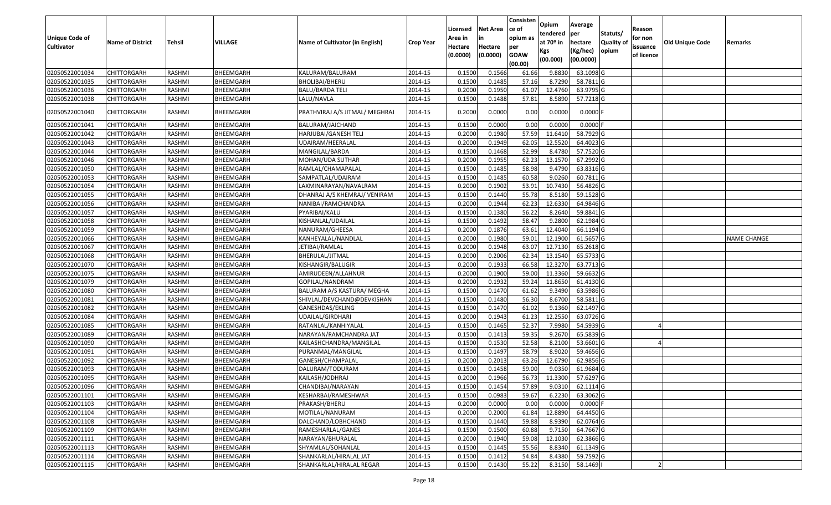| <b>Unique Code of</b> |                         |               |           |                                 |                  | Licensed<br>Area in | <b>Net Area</b><br>in | Consisten<br>ce of<br>opium as | Opium<br>tendered              | Average<br>per                   | Statuts/                  | Reason<br>for non      |                        |                    |
|-----------------------|-------------------------|---------------|-----------|---------------------------------|------------------|---------------------|-----------------------|--------------------------------|--------------------------------|----------------------------------|---------------------------|------------------------|------------------------|--------------------|
| <b>Cultivator</b>     | <b>Name of District</b> | <b>Tehsil</b> | VILLAGE   | Name of Cultivator (in English) | <b>Crop Year</b> | Hectare<br>(0.0000) | Hectare<br>(0.0000)   | per<br><b>GOAW</b><br>(00.00)  | at $70°$ in<br>Kgs<br>(00.000) | hectare<br>(Kg/hec)<br>(00.0000) | <b>Quality o</b><br>opium | issuance<br>of licence | <b>Old Unique Code</b> | Remarks            |
| 02050522001034        | CHITTORGARH             | RASHMI        | BHEEMGARH | KALURAM/BALURAM                 | 2014-15          | 0.1500              | 0.1566                | 61.66                          | 9.8830                         | 63.1098 G                        |                           |                        |                        |                    |
| 02050522001035        | CHITTORGARH             | RASHMI        | BHEEMGARH | BHOLIBAI/BHERU                  | 2014-15          | 0.1500              | 0.1485                | 57.16                          | 8.7290                         | 58.7811 G                        |                           |                        |                        |                    |
| 02050522001036        | CHITTORGARH             | RASHMI        | BHEEMGARH | BALU/BARDA TELI                 | 2014-15          | 0.2000              | 0.1950                | 61.07                          | 12.4760                        | 63.9795 G                        |                           |                        |                        |                    |
| 02050522001038        | CHITTORGARH             | RASHMI        | BHEEMGARH | LALU/NAVLA                      | 2014-15          | 0.1500              | 0.1488                | 57.81                          | 8.5890                         | 57.7218 G                        |                           |                        |                        |                    |
| 02050522001040        | CHITTORGARH             | RASHMI        | BHEEMGARH | PRATHVIRAJ A/S JITMAL/ MEGHRAJ  | 2014-15          | 0.2000              | 0.0000                | 0.00                           | 0.0000                         | $0.0000$ F                       |                           |                        |                        |                    |
| 02050522001041        | CHITTORGARH             | RASHMI        | BHEEMGARH | BALURAM/JAICHAND                | 2014-15          | 0.1500              | 0.0000                | 0.00                           | 0.0000                         | $0.0000$ F                       |                           |                        |                        |                    |
| 02050522001042        | <b>CHITTORGARH</b>      | RASHMI        | BHEEMGARH | HARJUBAI/GANESH TELI            | 2014-15          | 0.2000              | 0.1980                | 57.59                          | 11.6410                        | 58.7929 G                        |                           |                        |                        |                    |
| 02050522001043        | <b>CHITTORGARH</b>      | RASHMI        | BHEEMGARH | UDAIRAM/HEERALAL                | 2014-15          | 0.2000              | 0.1949                | 62.05                          | 12.5520                        | 64.4023 G                        |                           |                        |                        |                    |
| 02050522001044        | <b>CHITTORGARH</b>      | RASHMI        | BHEEMGARH | MANGILAL/BARDA                  | 2014-15          | 0.1500              | 0.1468                | 52.99                          | 8.4780                         | 57.7520 G                        |                           |                        |                        |                    |
| 02050522001046        | <b>CHITTORGARH</b>      | RASHMI        | BHEEMGARH | MOHAN/UDA SUTHAR                | 2014-15          | 0.2000              | 0.1955                | 62.23                          | 13.1570                        | 67.2992 G                        |                           |                        |                        |                    |
| 02050522001050        | CHITTORGARH             | RASHMI        | BHEEMGARH | RAMLAL/CHAMAPALAL               | 2014-15          | 0.1500              | 0.1485                | 58.98                          | 9.4790                         | 63.8316 G                        |                           |                        |                        |                    |
| 02050522001053        | <b>CHITTORGARH</b>      | RASHMI        | BHEEMGARH | SAMPATLAL/UDAIRAM               | 2014-15          | 0.1500              | 0.1485                | 60.58                          | 9.0260                         | 60.7811G                         |                           |                        |                        |                    |
| 02050522001054        | <b>CHITTORGARH</b>      | RASHMI        | BHEEMGARH | LAXMINARAYAN/NAVALRAM           | 2014-15          | 0.2000              | 0.1902                | 53.91                          | 10.7430                        | 56.4826 G                        |                           |                        |                        |                    |
| 02050522001055        | CHITTORGARH             | RASHMI        | BHEEMGARH | DHANRAJ A/S KHEMRAJ/ VENIRAM    | 2014-15          | 0.1500              | 0.1440                | 55.78                          | 8.5180                         | 59.1528 G                        |                           |                        |                        |                    |
| 02050522001056        | CHITTORGARH             | RASHMI        | BHEEMGARH | NANIBAI/RAMCHANDRA              | 2014-15          | 0.2000              | 0.1944                | 62.23                          | 12.6330                        | 64.9846 G                        |                           |                        |                        |                    |
| 02050522001057        | CHITTORGARH             | RASHMI        | BHEEMGARH | PYARIBAI/KALU                   | 2014-15          | 0.1500              | 0.1380                | 56.22                          | 8.2640                         | 59.8841 G                        |                           |                        |                        |                    |
| 02050522001058        | CHITTORGARH             | RASHMI        | BHEEMGARH | KISHANLAL/UDAILAL               | 2014-15          | 0.150               | 0.1492                | 58.47                          | 9.2800                         | 62.1984 G                        |                           |                        |                        |                    |
| 02050522001059        | CHITTORGARH             | RASHMI        | BHEEMGARH | NANURAM/GHEESA                  | 2014-15          | 0.2000              | 0.1876                | 63.61                          | 12.4040                        | 66.1194 G                        |                           |                        |                        |                    |
| 02050522001066        | CHITTORGARH             | RASHMI        | BHEEMGARH | KANHEYALAL/NANDLAL              | 2014-15          | 0.2000              | 0.1980                | 59.01                          | 12.1900                        | 61.5657 G                        |                           |                        |                        | <b>NAME CHANGE</b> |
| 02050522001067        | CHITTORGARH             | RASHMI        | BHEEMGARH | JETIBAI/RAMLAL                  | 2014-15          | 0.2000              | 0.1948                | 63.07                          | 12.7130                        | 65.2618 G                        |                           |                        |                        |                    |
| 02050522001068        | CHITTORGARH             | RASHMI        | BHEEMGARH | BHERULAL/JITMAL                 | 2014-15          | 0.2000              | 0.2006                | 62.34                          | 13.1540                        | 65.5733 G                        |                           |                        |                        |                    |
| 02050522001070        | CHITTORGARH             | RASHMI        | BHEEMGARH | KISHANGIR/BALUGIR               | 2014-15          | 0.2000              | 0.1933                | 66.58                          | 12.3270                        | 63.7713 G                        |                           |                        |                        |                    |
| 02050522001075        | CHITTORGARH             | RASHMI        | BHEEMGARH | AMIRUDEEN/ALLAHNUR              | 2014-15          | 0.2000              | 0.1900                | 59.00                          | 11.3360                        | 59.6632 G                        |                           |                        |                        |                    |
| 02050522001079        | CHITTORGARH             | RASHMI        | BHEEMGARH | GOPILAL/NANDRAM                 | 2014-15          | 0.2000              | 0.1932                | 59.24                          | 11.8650                        | 61.4130 G                        |                           |                        |                        |                    |
| 02050522001080        | CHITTORGARH             | RASHMI        | BHEEMGARH | BALURAM A/S KASTURA/ MEGHA      | 2014-15          | 0.1500              | 0.1470                | 61.62                          | 9.3490                         | 63.5986 G                        |                           |                        |                        |                    |
| 02050522001081        | CHITTORGARH             | RASHMI        | BHEEMGARH | SHIVLAL/DEVCHAND@DEVKISHAN      | 2014-15          | 0.1500              | 0.1480                | 56.30                          | 8.6700                         | 58.5811 G                        |                           |                        |                        |                    |
| 02050522001082        | CHITTORGARH             | RASHMI        | BHEEMGARH | GANESHDAS/EKLING                | 2014-15          | 0.1500              | 0.1470                | 61.02                          | 9.1360                         | 62.1497 G                        |                           |                        |                        |                    |
| 02050522001084        | CHITTORGARH             | <b>RASHMI</b> | BHEEMGARH | UDAILAL/GIRDHARI                | 2014-15          | 0.2000              | 0.1943                | 61.23                          | 12.2550                        | 63.0726 G                        |                           |                        |                        |                    |
| 02050522001085        | CHITTORGARH             | RASHMI        | BHEEMGARH | RATANLAL/KANHIYALAL             | 2014-15          | 0.1500              | 0.1465                | 52.37                          | 7.9980                         | 54.5939 G                        |                           |                        |                        |                    |
| 02050522001089        | CHITTORGARH             | RASHMI        | BHEEMGARH | NARAYAN/RAMCHANDRA JAT          | 2014-15          | 0.1500              | 0.1413                | 59.35                          | 9.2670                         | 65.5839 G                        |                           |                        |                        |                    |
| 02050522001090        | CHITTORGARH             | RASHMI        | BHEEMGARH | KAILASHCHANDRA/MANGILAL         | 2014-15          | 0.1500              | 0.1530                | 52.58                          | 8.2100                         | 53.6601G                         |                           |                        |                        |                    |
| 02050522001091        | <b>CHITTORGARH</b>      | RASHMI        | BHEEMGARH | PURANMAL/MANGILAL               | 2014-15          | 0.1500              | 0.1497                | 58.79                          | 8.9020                         | 59.4656 G                        |                           |                        |                        |                    |
| 02050522001092        | <b>CHITTORGARH</b>      | RASHMI        | BHEEMGARH | GANESH/CHAMPALAL                | 2014-15          | 0.2000              | 0.2013                | 63.26                          | 12.6790                        | 62.9856 G                        |                           |                        |                        |                    |
| 02050522001093        | CHITTORGARH             | RASHMI        | BHEEMGARH | DALURAM/TODURAM                 | 2014-15          | 0.150               | 0.1458                | 59.00                          | 9.035                          | 61.9684 G                        |                           |                        |                        |                    |
| 02050522001095        | CHITTORGARH             | RASHMI        | BHEEMGARH | KAILASH/JODHRAJ                 | 2014-15          | 0.2000              | 0.1966                | 56.73                          | 11.3300                        | 57.6297 G                        |                           |                        |                        |                    |
| 02050522001096        | <b>CHITTORGARH</b>      | RASHMI        | BHEEMGARH | CHANDIBAI/NARAYAN               | 2014-15          | 0.1500              | 0.1454                | 57.89                          | 9.0310                         | 62.1114 G                        |                           |                        |                        |                    |
| 02050522001101        | <b>CHITTORGARH</b>      | RASHMI        | BHEEMGARH | KESHARBAI/RAMESHWAR             | 2014-15          | 0.1500              | 0.0983                | 59.67                          | 6.2230                         | 63.3062 G                        |                           |                        |                        |                    |
| 02050522001103        | <b>CHITTORGARH</b>      | RASHMI        | BHEEMGARH | PRAKASH/BHERU                   | 2014-15          | 0.2000              | 0.0000                | 0.00                           | 0.0000                         | $0.0000$ F                       |                           |                        |                        |                    |
| 02050522001104        | <b>CHITTORGARH</b>      | RASHMI        | BHEEMGARH | MOTILAL/NANURAM                 | 2014-15          | 0.2000              | 0.2000                | 61.84                          | 12.8890                        | 64.4450 G                        |                           |                        |                        |                    |
| 02050522001108        | <b>CHITTORGARH</b>      | RASHMI        | BHEEMGARH | DALCHAND/LOBHCHAND              | 2014-15          | 0.1500              | 0.1440                | 59.88                          | 8.9390                         | 62.0764 G                        |                           |                        |                        |                    |
| 02050522001109        | <b>CHITTORGARH</b>      | RASHMI        | BHEEMGARH | RAMESHARLAL/GANES               | 2014-15          | 0.1500              | 0.1500                | 60.88                          | 9.7150                         | 64.7667 G                        |                           |                        |                        |                    |
| 02050522001111        | <b>CHITTORGARH</b>      | RASHMI        | BHEEMGARH | NARAYAN/BHURALAL                | 2014-15          | 0.2000              | 0.1940                | 59.08                          | 12.1030                        | 62.3866 G                        |                           |                        |                        |                    |
| 02050522001113        | CHITTORGARH             | RASHMI        | BHEEMGARH | SHYAMLAL/SOHANLAL               | 2014-15          | 0.1500              | 0.1445                | 55.56                          | 8.8340                         | 61.1349 G                        |                           |                        |                        |                    |
| 02050522001114        | <b>CHITTORGARH</b>      | RASHMI        | BHEEMGARH | SHANKARLAL/HIRALAL JAT          | 2014-15          | 0.1500              | 0.1412                | 54.84                          | 8.4380                         | 59.7592 G                        |                           |                        |                        |                    |
| 02050522001115        | <b>CHITTORGARH</b>      | RASHMI        | BHEEMGARH | SHANKARLAL/HIRALAL REGAR        | 2014-15          | 0.1500              | 0.1430                | 55.22                          | 8.3150                         | 58.1469                          |                           |                        |                        |                    |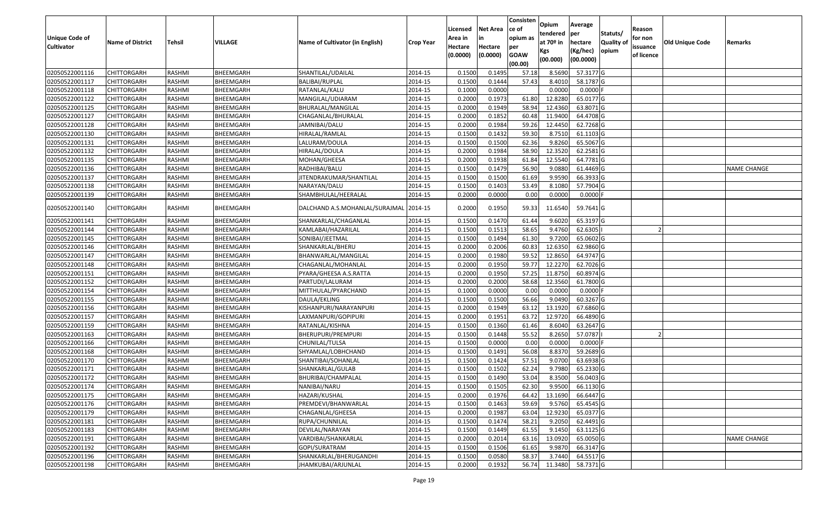|                       |                         |               |                |                                 |                  |          |                 | Consisten              | Opium       | Average    |                  |            |                        |                    |
|-----------------------|-------------------------|---------------|----------------|---------------------------------|------------------|----------|-----------------|------------------------|-------------|------------|------------------|------------|------------------------|--------------------|
|                       |                         |               |                |                                 |                  | Licensed | <b>Net Area</b> | ce of                  | tendered    | per        | Statuts/         | Reason     |                        |                    |
| <b>Unique Code of</b> | <b>Name of District</b> | <b>Tehsil</b> | <b>VILLAGE</b> | Name of Cultivator (in English) | <b>Crop Year</b> | Area in  | in              | opium as               | at $70°$ in | hectare    | <b>Quality o</b> | for non    | <b>Old Unique Code</b> | Remarks            |
| <b>Cultivator</b>     |                         |               |                |                                 |                  | Hectare  | Hectare         | per                    | Kgs         | (Kg/hec)   | opium            | issuance   |                        |                    |
|                       |                         |               |                |                                 |                  | (0.0000) | (0.0000)        | <b>GOAW</b><br>(00.00) | (00.000)    | (00.0000)  |                  | of licence |                        |                    |
| 02050522001116        | CHITTORGARH             | RASHMI        | BHEEMGARH      | SHANTILAL/UDAILAL               | 2014-15          | 0.1500   | 0.1495          | 57.18                  | 8.5690      | 57.3177 G  |                  |            |                        |                    |
| 02050522001117        | CHITTORGARH             | RASHMI        | BHEEMGARH      | BALIBAI/RUPLAL                  | 2014-15          | 0.1500   | 0.1444          | 57.43                  | 8.4010      | 58.1787 G  |                  |            |                        |                    |
| 02050522001118        | CHITTORGARH             | RASHMI        | BHEEMGARH      | RATANLAL/KALU                   | 2014-15          | 0.1000   | 0.0000          |                        | 0.0000      | 0.0000F    |                  |            |                        |                    |
| 02050522001122        | <b>CHITTORGARH</b>      | RASHMI        | BHEEMGARH      | MANGILAL/UDIARAM                | 2014-15          | 0.2000   | 0.1973          | 61.80                  | 12.8280     | 65.0177 G  |                  |            |                        |                    |
| 02050522001125        | CHITTORGARH             | RASHMI        | BHEEMGARH      | BHURALAL/MANGILAL               | 2014-15          | 0.2000   | 0.1949          | 58.94                  | 12.4360     | 63.8071 G  |                  |            |                        |                    |
| 02050522001127        | CHITTORGARH             | RASHMI        | BHEEMGARH      | CHAGANLAL/BHURALAL              | 2014-15          | 0.2000   | 0.1852          | 60.48                  | 11.9400     | 64.4708 G  |                  |            |                        |                    |
| 02050522001128        | CHITTORGARH             | RASHMI        | BHEEMGARH      | JAMNIBAI/DALU                   | 2014-15          | 0.2000   | 0.1984          | 59.26                  | 12.4450     | 62.7268 G  |                  |            |                        |                    |
| 02050522001130        | <b>CHITTORGARH</b>      | <b>RASHMI</b> | BHEEMGARH      | HIRALAL/RAMLAL                  | 2014-15          | 0.1500   | 0.1432          | 59.30                  | 8.7510      | 61.1103 G  |                  |            |                        |                    |
| 02050522001131        | CHITTORGARH             | RASHMI        | BHEEMGARH      | LALURAM/DOULA                   | 2014-15          | 0.1500   | 0.1500          | 62.36                  | 9.8260      | 65.5067 G  |                  |            |                        |                    |
| 02050522001132        | CHITTORGARH             | RASHMI        | BHEEMGARH      | HIRALAL/DOULA                   | 2014-15          | 0.2000   | 0.1984          | 58.90                  | 12.3520     | 62.2581 G  |                  |            |                        |                    |
| 02050522001135        | CHITTORGARH             | RASHMI        | BHEEMGARH      | MOHAN/GHEESA                    | 2014-15          | 0.2000   | 0.1938          | 61.84                  | 12.5540     | 64.7781G   |                  |            |                        |                    |
| 02050522001136        | <b>CHITTORGARH</b>      | RASHMI        | BHEEMGARH      | RADHIBAI/BALU                   | 2014-15          | 0.1500   | 0.1479          | 56.90                  | 9.0880      | 61.4469 G  |                  |            |                        | <b>NAME CHANGE</b> |
| 02050522001137        | <b>CHITTORGARH</b>      | RASHMI        | BHEEMGARH      | JITENDRAKUMAR/SHANTILAL         | 2014-15          | 0.1500   | 0.1500          | 61.69                  | 9.9590      | 66.3933 G  |                  |            |                        |                    |
| 02050522001138        | <b>CHITTORGARH</b>      | RASHMI        | BHEEMGARH      | NARAYAN/DALU                    | 2014-15          | 0.1500   | 0.1403          | 53.49                  | 8.1080      | 57.7904 G  |                  |            |                        |                    |
| 02050522001139        | CHITTORGARH             | RASHMI        | BHEEMGARH      | SHAMBHULAL/HEERALAL             | 2014-15          | 0.2000   | 0.0000          | 0.00                   | 0.0000      | 0.0000 F   |                  |            |                        |                    |
| 02050522001140        | CHITTORGARH             | RASHMI        | BHEEMGARH      | DALCHAND A.S.MOHANLAL/SURAJMAL  | 2014-15          | 0.2000   | 0.1950          | 59.33                  | 11.6540     | 59.7641 G  |                  |            |                        |                    |
| 02050522001141        | CHITTORGARH             | RASHMI        | BHEEMGARH      | SHANKARLAL/CHAGANLAL            | 2014-15          | 0.150    | 0.1470          | 61.44                  | 9.6020      | 65.3197 G  |                  |            |                        |                    |
| 02050522001144        | CHITTORGARH             | RASHMI        | BHEEMGARH      | KAMLABAI/HAZARILAL              | 2014-15          | 0.1500   | 0.1513          | 58.65                  | 9.4760      | 62.6305    |                  |            |                        |                    |
| 02050522001145        | CHITTORGARH             | RASHMI        | BHEEMGARH      | SONIBAI/JEETMAL                 | 2014-15          | 0.1500   | 0.1494          | 61.30                  | 9.7200      | 65.0602G   |                  |            |                        |                    |
| 02050522001146        | CHITTORGARH             | RASHMI        | BHEEMGARH      | SHANKARLAL/BHERU                | 2014-15          | 0.2000   | 0.2006          | 60.83                  | 12.6350     | 62.9860 G  |                  |            |                        |                    |
| 02050522001147        | CHITTORGARH             | RASHMI        | BHEEMGARH      | BHANWARLAL/MANGILAL             | 2014-15          | 0.2000   | 0.1980          | 59.52                  | 12.865      | 64.9747 G  |                  |            |                        |                    |
| 02050522001148        | CHITTORGARH             | RASHMI        | BHEEMGARH      | CHAGANLAL/MOHANLAL              | 2014-15          | 0.2000   | 0.1950          | 59.77                  | 12.2270     | 62.7026 G  |                  |            |                        |                    |
| 02050522001151        | CHITTORGARH             | RASHMI        | BHEEMGARH      | PYARA/GHEESA A.S.RATTA          | 2014-15          | 0.2000   | 0.1950          | 57.25                  | 11.875      | 60.8974 G  |                  |            |                        |                    |
| 02050522001152        | CHITTORGARH             | RASHMI        | BHEEMGARH      | PARTUDI/LALURAM                 | 2014-15          | 0.2000   | 0.2000          | 58.68                  | 12.3560     | 61.7800 G  |                  |            |                        |                    |
| 02050522001154        | CHITTORGARH             | RASHMI        | BHEEMGARH      | MITTHULAL/PYARCHAND             | 2014-15          | 0.1000   | 0.0000          | 0.00                   | 0.0000      | $0.0000$ F |                  |            |                        |                    |
| 02050522001155        | CHITTORGARH             | RASHMI        | BHEEMGARH      | DAULA/EKLING                    | 2014-15          | 0.1500   | 0.1500          | 56.66                  | 9.0490      | 60.3267 G  |                  |            |                        |                    |
| 02050522001156        | <b>CHITTORGARH</b>      | RASHMI        | BHEEMGARH      | KISHANPURI/NARAYANPURI          | 2014-15          | 0.2000   | 0.1949          | 63.12                  | 13.1920     | 67.6860 G  |                  |            |                        |                    |
| 02050522001157        | CHITTORGARH             | <b>RASHMI</b> | BHEEMGARH      | LAXMANPURI/GOPIPURI             | 2014-15          | 0.2000   | 0.1951          | 63.72                  | 12.9720     | 66.4890 G  |                  |            |                        |                    |
| 02050522001159        | CHITTORGARH             | RASHMI        | BHEEMGARH      | RATANLAL/KISHNA                 | 2014-15          | 0.1500   | 0.1360          | 61.46                  | 8.6040      | 63.2647 G  |                  |            |                        |                    |
| 02050522001163        | CHITTORGARH             | RASHMI        | BHEEMGARH      | BHERUPURI/PREMPURI              | 2014-15          | 0.1500   | 0.1448          | 55.52                  | 8.2650      | 57.0787    |                  |            |                        |                    |
| 02050522001166        | CHITTORGARH             | RASHMI        | BHEEMGARH      | CHUNILAL/TULSA                  | 2014-15          | 0.1500   | 0.0000          | 0.00                   | 0.0000      | 0.0000     |                  |            |                        |                    |
| 02050522001168        | <b>CHITTORGARH</b>      | RASHMI        | BHEEMGARH      | SHYAMLAL/LOBHCHAND              | 2014-15          | 0.1500   | 0.1491          | 56.08                  | 8.8370      | 59.2689 G  |                  |            |                        |                    |
| 02050522001170        | <b>CHITTORGARH</b>      | RASHMI        | BHEEMGARH      | SHANTIBAI/SOHANLAL              | 2014-15          | 0.1500   | 0.1424          | 57.51                  | 9.0700      | 63.6938 G  |                  |            |                        |                    |
| 02050522001171        | CHITTORGARH             | RASHMI        | BHEEMGARH      | SHANKARLAL/GULAB                | 2014-15          | 0.150    | 0.1502          | 62.24                  | 9.7980      | 65.2330 G  |                  |            |                        |                    |
| 02050522001172        | CHITTORGARH             | RASHMI        | BHEEMGARH      | BHURIBAI/CHAMPALAL              | 2014-15          | 0.1500   | 0.1490          | 53.04                  | 8.3500      | 56.0403 G  |                  |            |                        |                    |
| 02050522001174        | <b>CHITTORGARH</b>      | RASHMI        | BHEEMGARH      | NANIBAI/NARU                    | 2014-15          | 0.1500   | 0.1505          | 62.30                  | 9.9500      | 66.1130 G  |                  |            |                        |                    |
| 02050522001175        | <b>CHITTORGARH</b>      | RASHMI        | BHEEMGARH      | HAZARI/KUSHAL                   | 2014-15          | 0.2000   | 0.1976          | 64.42                  | 13.1690     | 66.6447 G  |                  |            |                        |                    |
| 02050522001176        | <b>CHITTORGARH</b>      | RASHMI        | BHEEMGARH      | PREMDEVI/BHANWARLAL             | 2014-15          | 0.1500   | 0.1463          | 59.69                  | 9.5760      | 65.4545 G  |                  |            |                        |                    |
| 02050522001179        | <b>CHITTORGARH</b>      | RASHMI        | BHEEMGARH      | CHAGANLAL/GHEESA                | 2014-15          | 0.2000   | 0.1987          | 63.04                  | 12.9230     | 65.0377 G  |                  |            |                        |                    |
| 02050522001181        | <b>CHITTORGARH</b>      | RASHMI        | BHEEMGARH      | RUPA/CHUNNILAL                  | 2014-15          | 0.1500   | 0.1474          | 58.21                  | 9.2050      | 62.4491 G  |                  |            |                        |                    |
| 02050522001183        | <b>CHITTORGARH</b>      | RASHMI        | BHEEMGARH      | DEVILAL/NARAYAN                 | 2014-15          | 0.1500   | 0.1449          | 61.55                  | 9.1450      | 63.1125 G  |                  |            |                        |                    |
| 02050522001191        | <b>CHITTORGARH</b>      | RASHMI        | BHEEMGARH      | VARDIBAI/SHANKARLAL             | 2014-15          | 0.2000   | 0.2014          | 63.16                  | 13.0920     | 65.0050 G  |                  |            |                        | <b>NAME CHANGE</b> |
| 02050522001192        | <b>CHITTORGARH</b>      | RASHMI        | BHEEMGARH      | GOPI/SURATRAM                   | 2014-15          | 0.1500   | 0.1506          | 61.65                  | 9.9870      | 66.3147 G  |                  |            |                        |                    |
| 02050522001196        | <b>CHITTORGARH</b>      | RASHMI        | BHEEMGARH      | SHANKARLAL/BHERUGANDHI          | 2014-15          | 0.1500   | 0.0580          | 58.37                  | 3.7440      | 64.5517 G  |                  |            |                        |                    |
| 02050522001198        | <b>CHITTORGARH</b>      | RASHMI        | BHEEMGARH      | JHAMKUBAI/ARJUNLAL              | 2014-15          | 0.2000   | 0.1932          | 56.74                  | 11.3480     | 58.7371 G  |                  |            |                        |                    |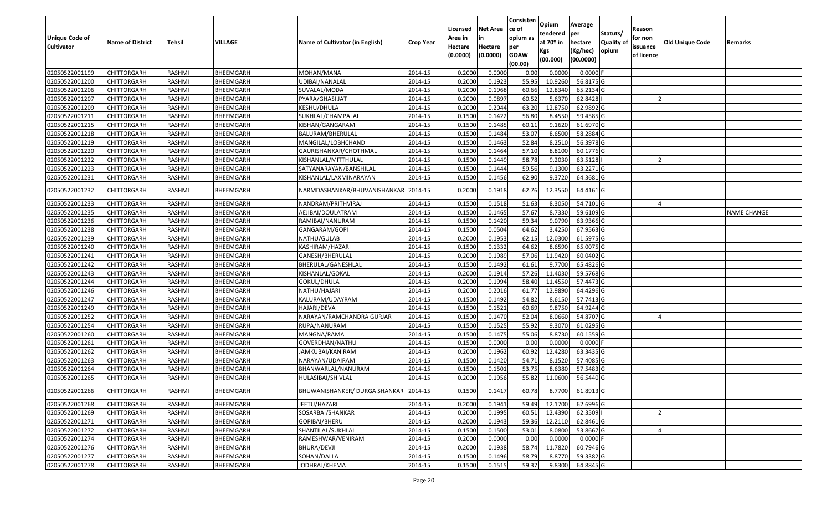|                       |                         |               |           |                                       |                  | Licensed | <b>Net Area</b> | Consisten<br>ce of | Opium<br>tendered | Average<br>per | Statuts/         | Reason     |                 |                    |
|-----------------------|-------------------------|---------------|-----------|---------------------------------------|------------------|----------|-----------------|--------------------|-------------------|----------------|------------------|------------|-----------------|--------------------|
| <b>Unique Code of</b> | <b>Name of District</b> | <b>Tehsil</b> | VILLAGE   | Name of Cultivator (in English)       | <b>Crop Year</b> | Area in  |                 | opium as           | at $70°$ in       | hectare        | <b>Quality o</b> | for non    | Old Unique Code | Remarks            |
| <b>Cultivator</b>     |                         |               |           |                                       |                  | Hectare  | Hectare         | per                | Kgs               | (Kg/hec)       | opium            | issuance   |                 |                    |
|                       |                         |               |           |                                       |                  | (0.0000) | (0.0000)        | <b>GOAW</b>        | (00.000)          | (00.0000)      |                  | of licence |                 |                    |
|                       |                         |               |           |                                       |                  |          |                 | (00.00)            |                   |                |                  |            |                 |                    |
| 02050522001199        | CHITTORGARH             | RASHMI        | BHEEMGARH | MOHAN/MANA                            | 2014-15          | 0.2000   | 0.0000          | 0.00               | 0.0000            | $0.0000$ F     |                  |            |                 |                    |
| 02050522001200        | CHITTORGARH             | RASHMI        | BHEEMGARH | UDIBAI/NANALAL                        | 2014-15          | 0.2000   | 0.1923          | 55.95              | 10.9260           | 56.8175 G      |                  |            |                 |                    |
| 02050522001206        | CHITTORGARH             | RASHMI        | BHEEMGARH | SUVALAL/MODA                          | 2014-15          | 0.2000   | 0.1968          | 60.66              | 12.8340           | 65.2134 G      |                  |            |                 |                    |
| 02050522001207        | <b>CHITTORGARH</b>      | RASHMI        | BHEEMGARH | PYARA/GHASI JAT                       | 2014-15          | 0.2000   | 0.0897          | 60.52              | 5.6370            | 62.8428        |                  |            |                 |                    |
| 02050522001209        | CHITTORGARH             | RASHMI        | BHEEMGARH | KESHU/DHULA                           | 2014-15          | 0.2000   | 0.2044          | 63.20              | 12.875            | 62.9892 G      |                  |            |                 |                    |
| 02050522001211        | CHITTORGARH             | RASHMI        | BHEEMGARH | SUKHLAL/CHAMPALAL                     | 2014-15          | 0.1500   | 0.1422          | 56.80              | 8.4550            | 59.4585 G      |                  |            |                 |                    |
| 02050522001215        | CHITTORGARH             | RASHMI        | BHEEMGARH | KISHAN/GANGARAM                       | 2014-15          | 0.1500   | 0.1485          | 60.1               | 9.1620            | 61.6970 G      |                  |            |                 |                    |
| 02050522001218        | CHITTORGARH             | <b>RASHMI</b> | BHEEMGARH | BALURAM/BHERULAL                      | 2014-15          | 0.1500   | 0.1484          | 53.07              | 8.6500            | 58.2884 G      |                  |            |                 |                    |
| 02050522001219        | CHITTORGARH             | RASHMI        | BHEEMGARH | MANGILAL/LOBHCHAND                    | 2014-15          | 0.1500   | 0.1463          | 52.84              | 8.2510            | 56.3978 G      |                  |            |                 |                    |
| 02050522001220        | CHITTORGARH             | RASHMI        | BHEEMGARH | GAURISHANKAR/CHOTHMAL                 | 2014-15          | 0.1500   | 0.1464          | 57.10              | 8.8100            | 60.1776 G      |                  |            |                 |                    |
| 02050522001222        | CHITTORGARH             | RASHMI        | BHEEMGARH | KISHANLAL/MITTHULAL                   | 2014-15          | 0.1500   | 0.1449          | 58.78              | 9.2030            | 63.5128        |                  |            |                 |                    |
| 02050522001223        | CHITTORGARH             | RASHMI        | BHEEMGARH | SATYANARAYAN/BANSHILAL                | 2014-15          | 0.1500   | 0.1444          | 59.56              | 9.1300            | 63.2271 G      |                  |            |                 |                    |
| 02050522001231        | <b>CHITTORGARH</b>      | RASHMI        | BHEEMGARH | KISHANLAL/LAXMINARAYAN                | 2014-15          | 0.1500   | 0.1456          | 62.90              | 9.3720            | 64.3681 G      |                  |            |                 |                    |
| 02050522001232        | CHITTORGARH             | RASHMI        | BHEEMGARH | NARMDASHANKAR/BHUVANISHANKAR 2014-15  |                  | 0.2000   | 0.1918          | 62.76              | 12.3550           | 64.4161 G      |                  |            |                 |                    |
| 02050522001233        | <b>CHITTORGARH</b>      | RASHMI        | BHEEMGARH | NANDRAM/PRITHVIRAJ                    | 2014-15          | 0.150    | 0.1518          | 51.63              | 8.3050            | 54.7101G       |                  |            |                 |                    |
| 02050522001235        | CHITTORGARH             | RASHMI        | BHEEMGARH | AEJIBAI/DOULATRAM                     | 2014-15          | 0.1500   | 0.1465          | 57.67              | 8.7330            | 59.6109 G      |                  |            |                 | <b>NAME CHANGE</b> |
| 02050522001236        | CHITTORGARH             | RASHMI        | BHEEMGARH | RAMIBAI/NANURAM                       | 2014-15          | 0.150    | 0.1420          | 59.34              | 9.0790            | 63.9366 G      |                  |            |                 |                    |
| 02050522001238        | CHITTORGARH             | RASHMI        | BHEEMGARH | GANGARAM/GOPI                         | 2014-15          | 0.1500   | 0.0504          | 64.62              | 3.4250            | 67.9563 G      |                  |            |                 |                    |
| 02050522001239        | CHITTORGARH             | RASHMI        | BHEEMGARH | NATHU/GULAB                           | 2014-15          | 0.2000   | 0.1953          | 62.15              | 12.0300           | 61.5975 G      |                  |            |                 |                    |
| 02050522001240        | CHITTORGARH             | RASHMI        | BHEEMGARH | KASHIRAM/HAZARI                       | 2014-15          | 0.1500   | 0.1332          | 64.62              | 8.6590            | 65.0075 G      |                  |            |                 |                    |
| 02050522001241        | CHITTORGARH             | RASHMI        | BHEEMGARH | GANESH/BHERULAL                       | 2014-15          | 0.2000   | 0.1989          | 57.06              | 11.9420           | 60.0402 G      |                  |            |                 |                    |
| 02050522001242        | CHITTORGARH             | RASHMI        | BHEEMGARH | BHERULAL/GANESHLAL                    | 2014-15          | 0.1500   | 0.1492          | 61.61              | 9.7700            | 65.4826 G      |                  |            |                 |                    |
| 02050522001243        | CHITTORGARH             | RASHMI        | BHEEMGARH | KISHANLAL/GOKAL                       | 2014-15          | 0.2000   | 0.1914          | 57.26              | 11.403            | 59.5768 G      |                  |            |                 |                    |
| 02050522001244        | CHITTORGARH             | RASHMI        | BHEEMGARH | GOKUL/DHULA                           | 2014-15          | 0.2000   | 0.1994          | 58.40              | 11.4550           | 57.4473 G      |                  |            |                 |                    |
| 02050522001246        | CHITTORGARH             | RASHMI        | BHEEMGARH | NATHU/HAJARI                          | 2014-15          | 0.2000   | 0.2016          | 61.77              | 12.9890           | 64.4296 G      |                  |            |                 |                    |
| 02050522001247        | CHITTORGARH             | RASHMI        | BHEEMGARH | KALURAM/UDAYRAM                       | 2014-15          | 0.1500   | 0.1492          | 54.82              | 8.6150            | 57.7413 G      |                  |            |                 |                    |
| 02050522001249        | CHITTORGARH             | RASHMI        | BHEEMGARH | HAJARI/DEVA                           | 2014-15          | 0.1500   | 0.1521          | 60.69              | 9.8750            | 64.9244 G      |                  |            |                 |                    |
| 02050522001252        | CHITTORGARH             | <b>RASHMI</b> | BHEEMGARH | NARAYAN/RAMCHANDRA GURJAR             | 2014-15          | 0.1500   | 0.1470          | 52.04              | 8.0660            | 54.8707 G      |                  |            |                 |                    |
| 02050522001254        | CHITTORGARH             | RASHMI        | BHEEMGARH | RUPA/NANURAM                          | 2014-15          | 0.1500   | 0.1525          | 55.92              | 9.3070            | 61.0295 G      |                  |            |                 |                    |
| 02050522001260        | CHITTORGARH             | RASHMI        | BHEEMGARH | MANGNA/RAMA                           | 2014-15          | 0.1500   | 0.1475          | 55.06              | 8.8730            | 60.1559 G      |                  |            |                 |                    |
| 02050522001261        | CHITTORGARH             | RASHMI        | BHEEMGARH | GOVERDHAN/NATHU                       | 2014-15          | 0.1500   | 0.0000          | 0.00               | 0.0000            | $0.0000$ F     |                  |            |                 |                    |
| 02050522001262        | <b>CHITTORGARH</b>      | RASHMI        | BHEEMGARH | JAMKUBAI/KANIRAM                      | 2014-15          | 0.2000   | 0.1962          | 60.92              | 12.4280           | 63.3435 G      |                  |            |                 |                    |
| 02050522001263        | <b>CHITTORGARH</b>      | RASHMI        | BHEEMGARH | NARAYAN/UDAIRAM                       | 2014-15          | 0.1500   | 0.1420          | 54.71              | 8.1520            | 57.4085 G      |                  |            |                 |                    |
| 02050522001264        | CHITTORGARH             | RASHMI        | BHEEMGARH | BHANWARLAL/NANURAM                    | 2014-15          | 0.150    | 0.1501          | 53.75              | 8.6380            | 57.5483 G      |                  |            |                 |                    |
| 02050522001265        | CHITTORGARH             | RASHMI        | BHEEMGARH | HULASIBAI/SHIVLAL                     | 2014-15          | 0.2000   | 0.1956          | 55.82              | 11.0600           | 56.5440 G      |                  |            |                 |                    |
| 02050522001266        | <b>CHITTORGARH</b>      | RASHMI        | BHEEMGARH | BHUWANISHANKER/ DURGA SHANKAR 2014-15 |                  | 0.1500   | 0.1417          | 60.78              | 8.7700            | 61.8913 G      |                  |            |                 |                    |
| 02050522001268        | <b>CHITTORGARH</b>      | RASHMI        | BHEEMGARH | JEETU/HAZARI                          | 2014-15          | 0.2000   | 0.1941          | 59.49              | 12.1700           | $62.6996$ G    |                  |            |                 |                    |
| 02050522001269        | <b>CHITTORGARH</b>      | RASHMI        | BHEEMGARH | SOSARBAI/SHANKAR                      | 2014-15          | 0.2000   | 0.1995          | 60.51              | 12.4390           | 62.3509        |                  |            |                 |                    |
| 02050522001271        | CHITTORGARH             | RASHMI        | BHEEMGARH | GOPIBAI/BHERU                         | 2014-15          | 0.2000   | 0.1943          | 59.36              | 12.2110           | 62.8461 G      |                  |            |                 |                    |
| 02050522001272        | <b>CHITTORGARH</b>      | RASHMI        | BHEEMGARH | SHANTILAL/SUKHLAL                     | 2014-15          | 0.1500   | 0.1500          | 53.01              | 8.0800            | 53.8667 G      |                  |            |                 |                    |
| 02050522001274        | <b>CHITTORGARH</b>      | RASHMI        | BHEEMGARH | RAMESHWAR/VENIRAM                     | 2014-15          | 0.2000   | 0.0000          | 0.00               | 0.0000            | $0.0000$ F     |                  |            |                 |                    |
| 02050522001276        | <b>CHITTORGARH</b>      | RASHMI        | BHEEMGARH | BHURA/DEVJI                           | 2014-15          | 0.2000   | 0.1938          | 58.74              | 11.7820           | 60.7946 G      |                  |            |                 |                    |
| 02050522001277        | <b>CHITTORGARH</b>      | RASHMI        | BHEEMGARH | SOHAN/DALLA                           | 2014-15          | 0.1500   | 0.1496          | 58.79              | 8.8770            | 59.3382G       |                  |            |                 |                    |
| 02050522001278        | <b>CHITTORGARH</b>      | RASHMI        | BHEEMGARH | JODHRAJ/KHEMA                         | 2014-15          | 0.1500   | 0.1515          | 59.37              | 9.8300            | 64.8845 G      |                  |            |                 |                    |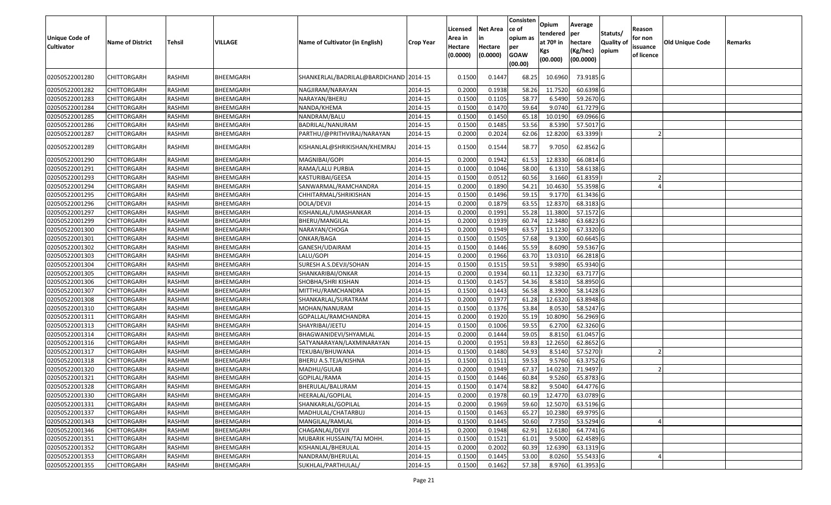| <b>Unique Code of</b><br><b>Cultivator</b> | <b>Name of District</b>    | <b>Tehsil</b>    | VILLAGE                | Name of Cultivator (in English)        | <b>Crop Year</b>   | Licensed<br>Area in<br>Hectare<br>(0.0000) | <b>Net Area</b><br>in<br>Hectare<br>(0.0000) | Consisten<br>ce of<br>opium as<br>per<br><b>GOAW</b><br>(00.00) | Opium<br>tendered<br>at $70°$ in<br>Kgs<br>(00.000) | Average<br>per<br>hectare<br>(Kg/hec)<br>(00.0000) | Statuts/<br>Quality of<br>opium | Reason<br>for non<br>issuance<br>of licence | <b>Old Unique Code</b> | Remarks |
|--------------------------------------------|----------------------------|------------------|------------------------|----------------------------------------|--------------------|--------------------------------------------|----------------------------------------------|-----------------------------------------------------------------|-----------------------------------------------------|----------------------------------------------------|---------------------------------|---------------------------------------------|------------------------|---------|
| 02050522001280                             | CHITTORGARH                | RASHMI           | BHEEMGARH              | SHANKERLAL/BADRILAL@BARDICHAND 2014-15 |                    | 0.1500                                     | 0.1447                                       | 68.25                                                           | 10.6960                                             | 73.9185 G                                          |                                 |                                             |                        |         |
| 02050522001282                             | CHITTORGARH                | RASHMI           | BHEEMGARH              | NAGJIRAM/NARAYAN                       | 2014-15            | 0.2000                                     | 0.1938                                       | 58.26                                                           | 11.7520                                             | 60.6398 G                                          |                                 |                                             |                        |         |
| 02050522001283                             | <b>CHITTORGARH</b>         | RASHMI           | BHEEMGARH              | NARAYAN/BHERU                          | 2014-15            | 0.1500                                     | 0.1105                                       | 58.77                                                           | 6.5490                                              | 59.2670 G                                          |                                 |                                             |                        |         |
| 02050522001284                             | <b>CHITTORGARH</b>         | RASHMI           | BHEEMGARH              | NANDA/KHEMA                            | 2014-15            | 0.1500                                     | 0.1470                                       | 59.64                                                           | 9.0740                                              | 61.7279 G                                          |                                 |                                             |                        |         |
| 02050522001285                             | <b>CHITTORGARH</b>         | RASHMI           | BHEEMGARH              | NANDRAM/BALU                           | 2014-15            | 0.1500                                     | 0.1450                                       | 65.18                                                           | 10.0190                                             | 69.0966 G                                          |                                 |                                             |                        |         |
| 02050522001286                             | CHITTORGARH                | RASHMI           | BHEEMGARH              | BADRILAL/NANURAM                       | 2014-15            | 0.1500                                     | 0.1485                                       | 53.56                                                           | 8.5390                                              | 57.5017 G                                          |                                 |                                             |                        |         |
| 02050522001287                             | CHITTORGARH                | RASHMI           | BHEEMGARH              | PARTHU/@PRITHVIRAJ/NARAYAN             | 2014-15            | 0.2000                                     | 0.2024                                       | 62.06                                                           | 12.8200                                             | 63.3399                                            |                                 |                                             |                        |         |
| 02050522001289                             | CHITTORGARH                | RASHMI           | BHEEMGARH              | KISHANLAL@SHRIKISHAN/KHEMRAJ           | 2014-15            | 0.1500                                     | 0.1544                                       | 58.77                                                           | 9.7050                                              | 62.8562 G                                          |                                 |                                             |                        |         |
| 02050522001290                             | CHITTORGARH                | RASHMI           | BHEEMGARH              | MAGNIBAI/GOPI                          | 2014-15            | 0.2000                                     | 0.1942                                       | 61.53                                                           | 12.8330                                             | 66.0814 G                                          |                                 |                                             |                        |         |
| 02050522001291                             | CHITTORGARH                | RASHMI           | BHEEMGARH              | RAMA/LALU PURBIA                       | 2014-15            | 0.1000                                     | 0.1046                                       | 58.00                                                           | 6.131                                               | 58.6138 G                                          |                                 |                                             |                        |         |
| 02050522001293                             | <b>CHITTORGARH</b>         | RASHMI           | BHEEMGARH              | KASTURIBAI/GEESA                       | 2014-15            | 0.1500                                     | 0.0512                                       | 60.56                                                           | 3.1660                                              | 61.8359                                            |                                 |                                             |                        |         |
| 02050522001294                             | CHITTORGARH                | RASHMI           | BHEEMGARH              | SANWARMAL/RAMCHANDRA                   | 2014-15            | 0.2000                                     | 0.1890                                       | 54.21                                                           | 10.4630                                             | 55.3598 G                                          |                                 |                                             |                        |         |
| 02050522001295                             | CHITTORGARH                | RASHMI           | <b>BHEEMGARH</b>       | CHHITARMAL/SHRIKISHAN                  | 2014-15            | 0.1500                                     | 0.1496                                       | 59.15                                                           | 9.1770                                              | 61.3436 G                                          |                                 |                                             |                        |         |
| 02050522001296                             | CHITTORGARH                | RASHMI           | BHEEMGARH              | DOLA/DEVJI                             | 2014-15            | 0.2000                                     | 0.1879                                       | 63.55                                                           | 12.8370                                             | 68.3183 G                                          |                                 |                                             |                        |         |
| 02050522001297                             | CHITTORGARH                | RASHMI           | BHEEMGARH              | KISHANLAL/UMASHANKAR                   | 2014-15            | 0.2000                                     | 0.1991                                       | 55.28                                                           | 11.3800                                             | 57.1572 G                                          |                                 |                                             |                        |         |
| 02050522001299                             | CHITTORGARH                | RASHMI           | BHEEMGARH              | BHERU/MANGILAL                         | 2014-15            | 0.2000                                     | 0.1939                                       | 60.7                                                            | 12.3480                                             | 63.6823 G                                          |                                 |                                             |                        |         |
| 02050522001300                             | CHITTORGARH                | RASHMI           | BHEEMGARH              | NARAYAN/CHOGA                          | 2014-15            | 0.2000                                     | 0.1949                                       | 63.5                                                            | 13.1230                                             | 67.3320 G                                          |                                 |                                             |                        |         |
| 02050522001301                             | CHITTORGARH                | RASHMI           | BHEEMGARH              | ONKAR/BAGA                             | 2014-15            | 0.1500                                     | 0.1505                                       | 57.68                                                           | 9.1300                                              | 60.6645 G                                          |                                 |                                             |                        |         |
| 02050522001302                             | CHITTORGARH                | <b>RASHMI</b>    | BHEEMGARH              | GANESH/UDAIRAM                         | 2014-15            | 0.1500                                     | 0.1446                                       | 55.59                                                           | 8.6090                                              | 59.5367 G                                          |                                 |                                             |                        |         |
| 02050522001303                             | CHITTORGARH                | RASHMI           | BHEEMGARH              | LALU/GOPI                              | 2014-15            | 0.2000                                     | 0.1966                                       | 63.70                                                           | 13.031                                              | 66.2818 G                                          |                                 |                                             |                        |         |
| 02050522001304                             | CHITTORGARH                | RASHMI           | BHEEMGARH              | SURESH A.S.DEVJI/SOHAN                 | 2014-15            | 0.1500                                     | 0.1515                                       | 59.5                                                            | 9.9890                                              | 65.9340 G                                          |                                 |                                             |                        |         |
| 02050522001305                             | CHITTORGARH                | RASHMI           | BHEEMGARH              | SHANKARIBAI/ONKAR                      | 2014-15            | 0.2000                                     | 0.1934                                       | 60.1                                                            | 12.3230                                             | 63.7177 G                                          |                                 |                                             |                        |         |
| 02050522001306                             | <b>CHITTORGARH</b>         | RASHMI           | BHEEMGARH              | SHOBHA/SHRI KISHAN                     | 2014-15            | 0.1500                                     | 0.1457                                       | 54.36                                                           | 8.5810                                              | 58.8950 G                                          |                                 |                                             |                        |         |
| 02050522001307                             | <b>CHITTORGARH</b>         | RASHMI           | BHEEMGARH              | MITTHU/RAMCHANDRA                      | 2014-15            | 0.1500                                     | 0.1443                                       | 56.58                                                           | 8.3900                                              | 58.1428 G                                          |                                 |                                             |                        |         |
| 02050522001308                             | <b>CHITTORGARH</b>         | RASHMI           | BHEEMGARH              | SHANKARLAL/SURATRAM                    | 2014-15            | 0.2000                                     | 0.1977                                       | 61.28                                                           | 12.6320                                             | 63.8948 G                                          |                                 |                                             |                        |         |
| 02050522001310                             | CHITTORGARH                | RASHMI           | BHEEMGARH              | MOHAN/NANURAM                          | 2014-15            | 0.1500                                     | 0.1376                                       | 53.84                                                           | 8.0530                                              | 58.5247 G                                          |                                 |                                             |                        |         |
| 02050522001311                             | <b>CHITTORGARH</b>         | RASHMI           | BHEEMGARH              | GOPALLAL/RAMCHANDRA                    | 2014-15            | 0.2000                                     | 0.1920                                       | 55.19                                                           | 10.8090                                             | 56.2969 G                                          |                                 |                                             |                        |         |
| 02050522001313                             | CHITTORGARH                | RASHMI           | BHEEMGARH              | SHAYRIBAI/JEETU                        | 2014-15            | 0.1500                                     | 0.1006                                       | 59.55                                                           | 6.2700                                              | 62.3260 G                                          |                                 |                                             |                        |         |
| 02050522001314                             | CHITTORGARH                | RASHMI           | BHEEMGARH              | BHAGWANIDEVI/SHYAMLAL                  | 2014-15            | 0.2000<br>0.2000                           | 0.1444<br>0.1951                             | 59.05<br>59.83                                                  | 8.815<br>12.2650                                    | 61.0457 G<br>62.8652 G                             |                                 |                                             |                        |         |
| 02050522001316                             | <b>CHITTORGARH</b>         | RASHMI           | BHEEMGARH              | SATYANARAYAN/LAXMINARAYAN              | 2014-15            |                                            |                                              |                                                                 |                                                     |                                                    |                                 |                                             |                        |         |
| 02050522001317                             | CHITTORGARH                | RASHMI<br>RASHMI | BHEEMGARH<br>BHEEMGARH | TEKUBAI/BHUWANA                        | 2014-15<br>2014-15 | 0.150<br>0.1500                            | 0.1480<br>0.1511                             | 54.93<br>59.53                                                  | 8.5140                                              | 57.5270<br>63.3752 G                               |                                 |                                             |                        |         |
| 02050522001318<br>02050522001320           | CHITTORGARH<br>CHITTORGARH | RASHMI           | BHEEMGARH              | BHERU A.S.TEJA/KISHNA<br>MADHU/GULAB   | 2014-15            | 0.2000                                     | 0.1949                                       | 67.37                                                           | 9.5760<br>14.0230                                   | 71.9497                                            |                                 |                                             |                        |         |
| 02050522001321                             | CHITTORGARH                | RASHMI           | BHEEMGARH              | GOPILAL/RAMA                           | 2014-15            | 0.1500                                     | 0.1446                                       | 60.84                                                           | 9.5260                                              | 65.8783 G                                          |                                 |                                             |                        |         |
| 02050522001328                             | <b>CHITTORGARH</b>         | RASHMI           | BHEEMGARH              | BHERULAL/BALURAM                       | 2014-15            | 0.1500                                     | 0.1474                                       | 58.82                                                           | 9.5040                                              | 64.4776 G                                          |                                 |                                             |                        |         |
| 02050522001330                             | <b>CHITTORGARH</b>         | RASHMI           | BHEEMGARH              | HEERALAL/GOPILAL                       | 2014-15            | 0.2000                                     | 0.1978                                       | 60.19                                                           | 12.4770                                             | 63.0789 G                                          |                                 |                                             |                        |         |
| 02050522001331                             | <b>CHITTORGARH</b>         | RASHMI           | BHEEMGARH              | SHANKARLAL/GOPILAL                     | 2014-15            | 0.2000                                     | 0.1969                                       | 59.60                                                           | 12.5070                                             | 63.5196 G                                          |                                 |                                             |                        |         |
| 02050522001337                             | <b>CHITTORGARH</b>         | RASHMI           | BHEEMGARH              | MADHULAL/CHATARBUJ                     | 2014-15            | 0.1500                                     | 0.1463                                       | 65.27                                                           | 10.2380                                             | 69.9795 G                                          |                                 |                                             |                        |         |
| 02050522001343                             | <b>CHITTORGARH</b>         | RASHMI           | BHEEMGARH              | MANGILAL/RAMLAL                        | 2014-15            | 0.1500                                     | 0.1445                                       | 50.60                                                           | 7.7350                                              | 53.5294 G                                          |                                 |                                             |                        |         |
| 02050522001346                             | <b>CHITTORGARH</b>         | RASHMI           | BHEEMGARH              | CHAGANLAL/DEVJI                        | 2014-15            | 0.2000                                     | 0.1948                                       | 62.91                                                           | 12.6180                                             | 64.7741 G                                          |                                 |                                             |                        |         |
| 02050522001351                             | <b>CHITTORGARH</b>         | RASHMI           | BHEEMGARH              | MUBARIK HUSSAIN/TAJ MOHH.              | 2014-15            | 0.1500                                     | 0.1521                                       | 61.01                                                           | 9.5000                                              | 62.4589 G                                          |                                 |                                             |                        |         |
| 02050522001352                             | <b>CHITTORGARH</b>         | RASHMI           | BHEEMGARH              | KISHANLAL/BHERULAL                     | 2014-15            | 0.2000                                     | 0.2002                                       | 60.39                                                           | 12.6390                                             | $63.1319$ G                                        |                                 |                                             |                        |         |
| 02050522001353                             | CHITTORGARH                | RASHMI           | BHEEMGARH              | NANDRAM/BHERULAL                       | 2014-15            | 0.1500                                     | 0.1445                                       | 53.00                                                           | 8.0260                                              | 55.5433 G                                          |                                 |                                             |                        |         |
| 02050522001355                             | CHITTORGARH                | RASHMI           | BHEEMGARH              | SUKHLAL/PARTHULAL/                     | 2014-15            | 0.1500                                     | 0.1462                                       | 57.38                                                           | 8.9760                                              | 61.3953 G                                          |                                 |                                             |                        |         |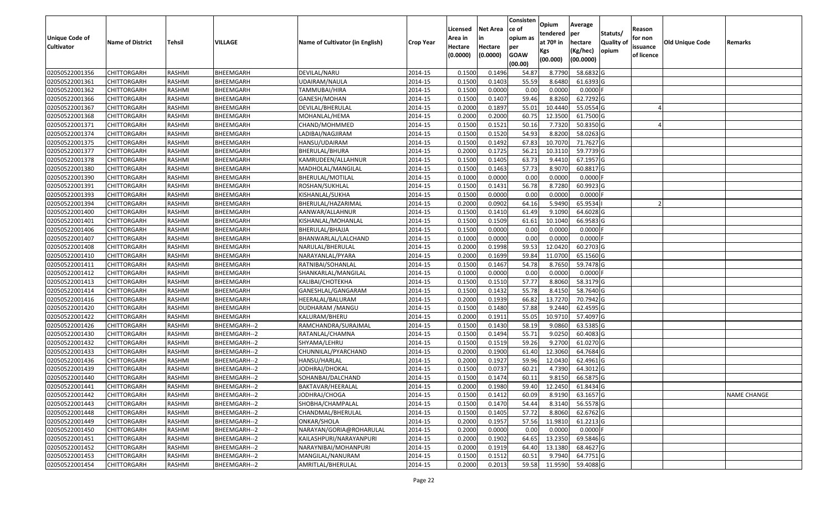|                   |                         |               |                  |                                 |                  |          |                 | Consisten              | Opium       | Average    |                  |            |                 |                    |
|-------------------|-------------------------|---------------|------------------|---------------------------------|------------------|----------|-----------------|------------------------|-------------|------------|------------------|------------|-----------------|--------------------|
|                   |                         |               |                  |                                 |                  | Licensed | <b>Net Area</b> | ce of                  | tendered    | per        | Statuts/         | Reason     |                 |                    |
| Unique Code of    | <b>Name of District</b> | <b>Tehsil</b> | VILLAGE          | Name of Cultivator (in English) | <b>Crop Year</b> | Area in  | in              | opium as               | at $70°$ in | hectare    | <b>Quality o</b> | for non    | Old Unique Code | Remarks            |
| <b>Cultivator</b> |                         |               |                  |                                 |                  | Hectare  | Hectare         | per                    | Kgs         | (Kg/hec)   | opium            | issuance   |                 |                    |
|                   |                         |               |                  |                                 |                  | (0.0000) | (0.0000)        | <b>GOAW</b><br>(00.00) | (00.000)    | (00.0000)  |                  | of licence |                 |                    |
| 02050522001356    | CHITTORGARH             | RASHMI        | BHEEMGARH        | DEVILAL/NARU                    | 2014-15          | 0.1500   | 0.1496          | 54.87                  | 8.7790      | 58.6832 G  |                  |            |                 |                    |
| 02050522001361    | CHITTORGARH             | RASHMI        | BHEEMGARH        | UDAIRAM/NAULA                   | 2014-15          | 0.1500   | 0.1403          | 55.59                  | 8.6480      | 61.6393 G  |                  |            |                 |                    |
| 02050522001362    | CHITTORGARH             | RASHMI        | BHEEMGARH        | TAMMUBAI/HIRA                   | 2014-15          | 0.1500   | 0.0000          | 0.00                   | 0.0000      | 0.0000F    |                  |            |                 |                    |
| 02050522001366    | <b>CHITTORGARH</b>      | RASHMI        | BHEEMGARH        | GANESH/MOHAN                    | 2014-15          | 0.1500   | 0.1407          | 59.46                  | 8.8260      | 62.7292 G  |                  |            |                 |                    |
| 02050522001367    | CHITTORGARH             | RASHMI        | BHEEMGARH        | DEVILAL/BHERULAL                | 2014-15          | 0.2000   | 0.1897          | 55.01                  | 10.4440     | 55.0554 G  |                  |            |                 |                    |
| 02050522001368    | CHITTORGARH             | RASHMI        | <b>BHEEMGARH</b> | MOHANLAL/HEMA                   | 2014-15          | 0.2000   | 0.2000          | 60.75                  | 12.3500     | 61.7500 G  |                  |            |                 |                    |
| 02050522001371    | CHITTORGARH             | RASHMI        | BHEEMGARH        | CHAND/MOHMMED                   | 2014-15          | 0.1500   | 0.1521          | 50.1                   | 7.7320      | 50.8350 G  |                  |            |                 |                    |
| 02050522001374    | CHITTORGARH             | <b>RASHMI</b> | BHEEMGARH        | LADIBAI/NAGJIRAM                | 2014-15          | 0.1500   | 0.1520          | 54.93                  | 8.8200      | 58.0263G   |                  |            |                 |                    |
| 02050522001375    | CHITTORGARH             | RASHMI        | BHEEMGARH        | HANSU/UDAIRAM                   | 2014-15          | 0.1500   | 0.1492          | 67.83                  | 10.707      | 71.7627 G  |                  |            |                 |                    |
| 02050522001377    | CHITTORGARH             | RASHMI        | BHEEMGARH        | BHERULAL/BHURA                  | 2014-15          | 0.2000   | 0.1725          | 56.21                  | 10.3110     | 59.7739 G  |                  |            |                 |                    |
| 02050522001378    | CHITTORGARH             | RASHMI        | BHEEMGARH        | KAMRUDEEN/ALLAHNUR              | 2014-15          | 0.1500   | 0.1405          | 63.73                  | 9.4410      | 67.1957 G  |                  |            |                 |                    |
| 02050522001380    | CHITTORGARH             | RASHMI        | BHEEMGARH        | MADHOLAL/MANGILAL               | 2014-15          | 0.1500   | 0.1463          | 57.73                  | 8.9070      | 60.8817 G  |                  |            |                 |                    |
| 02050522001390    | <b>CHITTORGARH</b>      | RASHMI        | BHEEMGARH        | BHERULAL/MOTILAL                | 2014-15          | 0.1000   | 0.0000          | 0.00                   | 0.0000      | $0.0000$ F |                  |            |                 |                    |
| 02050522001391    | <b>CHITTORGARH</b>      | RASHMI        | BHEEMGARH        | ROSHAN/SUKHLAL                  | 2014-15          | 0.1500   | 0.1431          | 56.78                  | 8.7280      | 60.9923 G  |                  |            |                 |                    |
| 02050522001393    | <b>CHITTORGARH</b>      | RASHMI        | BHEEMGARH        | KISHANLAL/SUKHA                 | 2014-15          | 0.1500   | 0.0000          | 0.00                   | 0.0000      | $0.0000$ F |                  |            |                 |                    |
| 02050522001394    | <b>CHITTORGARH</b>      | RASHMI        | BHEEMGARH        | BHERULAL/HAZARIMAL              | 2014-15          | 0.2000   | 0.0902          | 64.16                  | 5.9490      | 65.9534    |                  |            |                 |                    |
| 02050522001400    | CHITTORGARH             | RASHMI        | BHEEMGARH        | AANWAR/ALLAHNUR                 | 2014-15          | 0.1500   | 0.1410          | 61.49                  | 9.1090      | 64.6028 G  |                  |            |                 |                    |
| 02050522001401    | CHITTORGARH             | RASHMI        | BHEEMGARH        | KISHANLAL/MOHANLAL              | 2014-15          | 0.1500   | 0.1509          | 61.61                  | 10.1040     | 66.9583 G  |                  |            |                 |                    |
| 02050522001406    | CHITTORGARH             | RASHMI        | BHEEMGARH        | BHERULAL/BHAJJA                 | 2014-15          | 0.1500   | 0.0000          | 0.00                   | 0.0000      | $0.0000$ F |                  |            |                 |                    |
| 02050522001407    | CHITTORGARH             | RASHMI        | BHEEMGARH        | BHANWARLAL/LALCHAND             | 2014-15          | 0.1000   | 0.0000          | 0.00                   | 0.0000      | 0.0000     |                  |            |                 |                    |
| 02050522001408    | CHITTORGARH             | RASHMI        | BHEEMGARH        | NARULAL/BHERULAL                | 2014-15          | 0.2000   | 0.1998          | 59.53                  | 12.0420     | 60.2703 G  |                  |            |                 |                    |
| 02050522001410    | CHITTORGARH             | RASHMI        | BHEEMGARH        | NARAYANLAL/PYARA                | 2014-15          | 0.2000   | 0.1699          | 59.84                  | 11.0700     | 65.1560 G  |                  |            |                 |                    |
| 02050522001411    | CHITTORGARH             | RASHMI        | BHEEMGARH        | RATNIBAI/SOHANLAL               | 2014-15          | 0.1500   | 0.1467          | 54.78                  | 8.7650      | 59.7478 G  |                  |            |                 |                    |
| 02050522001412    | <b>CHITTORGARH</b>      | RASHMI        | BHEEMGARH        | SHANKARLAL/MANGILAL             | 2014-15          | 0.1000   | 0.0000          | 0.00                   | 0.0000      | 0.0000F    |                  |            |                 |                    |
| 02050522001413    | CHITTORGARH             | RASHMI        | BHEEMGARH        | KALIBAI/CHOTEKHA                | 2014-15          | 0.1500   | 0.1510          | 57.77                  | 8.8060      | 58.3179 G  |                  |            |                 |                    |
| 02050522001414    | CHITTORGARH             | RASHMI        | BHEEMGARH        | GANESHLAL/GANGARAM              | 2014-15          | 0.1500   | 0.1432          | 55.78                  | 8.4150      | 58.7640 G  |                  |            |                 |                    |
| 02050522001416    | CHITTORGARH             | RASHMI        | BHEEMGARH        | HEERALAL/BALURAM                | 2014-15          | 0.2000   | 0.1939          | 66.82                  | 13.7270     | 70.7942 G  |                  |            |                 |                    |
| 02050522001420    | CHITTORGARH             | RASHMI        | BHEEMGARH        | DUDHARAM /MANGU                 | 2014-15          | 0.1500   | 0.1480          | 57.88                  | 9.2440      | 62.4595 G  |                  |            |                 |                    |
| 02050522001422    | CHITTORGARH             | RASHMI        | BHEEMGARH        | KALURAM/BHERU                   | 2014-15          | 0.2000   | 0.1911          | 55.05                  | 10.9710     | 57.4097 G  |                  |            |                 |                    |
| 02050522001426    | CHITTORGARH             | RASHMI        | BHEEMGARH--2     | RAMCHANDRA/SURAJMAL             | 2014-15          | 0.1500   | 0.1430          | 58.19                  | 9.0860      | 63.5385 G  |                  |            |                 |                    |
| 02050522001430    | CHITTORGARH             | RASHMI        | BHEEMGARH--2     | RATANLAL/CHAMNA                 | 2014-15          | 0.1500   | 0.1494          | 55.71                  | 9.0250      | 60.4083 G  |                  |            |                 |                    |
| 02050522001432    | CHITTORGARH             | RASHMI        | BHEEMGARH--2     | SHYAMA/LEHRU                    | 2014-15          | 0.1500   | 0.1519          | 59.26                  | 9.2700      | 61.0270 G  |                  |            |                 |                    |
| 02050522001433    | CHITTORGARH             | RASHMI        | BHEEMGARH--2     | CHUNNILAL/PYARCHAND             | 2014-15          | 0.2000   | 0.1900          | 61.40                  | 12.3060     | 64.7684 G  |                  |            |                 |                    |
| 02050522001436    | <b>CHITTORGARH</b>      | RASHMI        | BHEEMGARH--2     | HANSU/HARLAL                    | 2014-15          | 0.2000   | 0.1927          | 59.96                  | 12.043      | 62.4961 G  |                  |            |                 |                    |
| 02050522001439    | CHITTORGARH             | RASHMI        | BHEEMGARH--2     | <b>JODHRAJ/DHOKAL</b>           | 2014-15          | 0.1500   | 0.0737          | 60.21                  | 4.7390      | 64.3012 G  |                  |            |                 |                    |
| 02050522001440    | CHITTORGARH             | RASHMI        | BHEEMGARH--2     | SOHANBAI/DALCHAND               | 2014-15          | 0.1500   | 0.1474          | 60.1                   | 9.8150      | 66.5875 G  |                  |            |                 |                    |
| 02050522001441    | <b>CHITTORGARH</b>      | RASHMI        | BHEEMGARH--2     | BAKTAVAR/HEERALAL               | 2014-15          | 0.2000   | 0.1980          | 59.40                  | 12.2450     | 61.8434 G  |                  |            |                 |                    |
| 02050522001442    | <b>CHITTORGARH</b>      | RASHMI        | BHEEMGARH--2     | JODHRAJ/CHOGA                   | 2014-15          | 0.1500   | 0.1412          | 60.09                  | 8.9190      | 63.1657 G  |                  |            |                 | <b>NAME CHANGE</b> |
| 02050522001443    | <b>CHITTORGARH</b>      | RASHMI        | BHEEMGARH--2     | SHOBHA/CHAMPALAL                | 2014-15          | 0.1500   | 0.1470          | 54.44                  | 8.3140      | 56.5578 G  |                  |            |                 |                    |
| 02050522001448    | <b>CHITTORGARH</b>      | RASHMI        | BHEEMGARH--2     | CHANDMAL/BHERULAL               | 2014-15          | 0.1500   | 0.1405          | 57.72                  | 8.8060      | 62.6762 G  |                  |            |                 |                    |
| 02050522001449    | CHITTORGARH             | RASHMI        | BHEEMGARH--2     | ONKAR/SHOLA                     | 2014-15          | 0.2000   | 0.1957          | 57.56                  | 11.9810     | 61.2213 G  |                  |            |                 |                    |
| 02050522001450    | <b>CHITTORGARH</b>      | RASHMI        | BHEEMGARH--2     | NARAYAN/GORIA@ROHARULAL         | 2014-15          | 0.2000   | 0.0000          | 0.00                   | 0.0000      | $0.0000$ F |                  |            |                 |                    |
| 02050522001451    | <b>CHITTORGARH</b>      | RASHMI        | BHEEMGARH--2     | KAILASHPURI/NARAYANPURI         | 2014-15          | 0.2000   | 0.1902          | 64.65                  | 13.2350     | 69.5846 G  |                  |            |                 |                    |
| 02050522001452    | CHITTORGARH             | RASHMI        | BHEEMGARH--2     | NARAYNIBAI/MOHANPURI            | 2014-15          | 0.2000   | 0.1919          | 64.40                  | 13.1380     | 68.4627 G  |                  |            |                 |                    |
| 02050522001453    | <b>CHITTORGARH</b>      | RASHMI        | BHEEMGARH--2     | MANGILAL/NANURAM                | 2014-15          | 0.1500   | 0.1512          | 60.51                  | 9.7940      | 64.7751 G  |                  |            |                 |                    |
| 02050522001454    | <b>CHITTORGARH</b>      | RASHMI        | BHEEMGARH--2     | AMRITLAL/BHERULAL               | 2014-15          | 0.2000   | 0.2013          | 59.58                  | 11.9590     | 59.4088 G  |                  |            |                 |                    |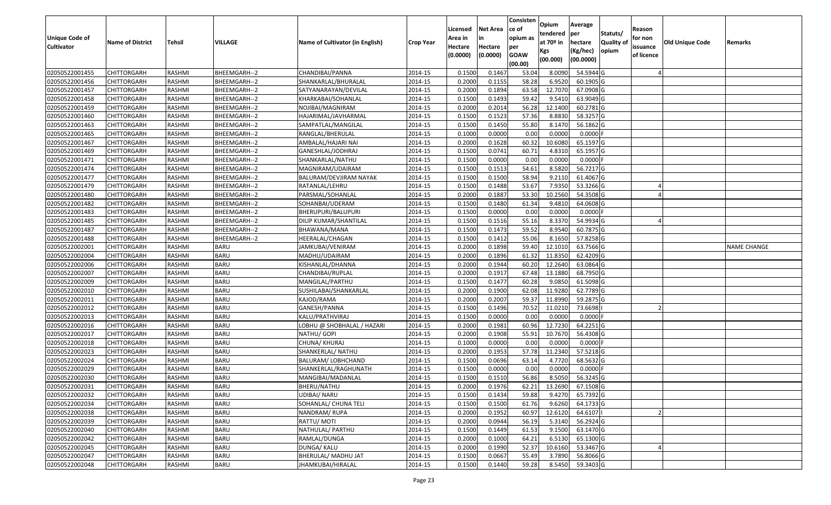|                       |                         |               |                |                                 |                  |          |                 | Consisten              | Opium         | Average     |                  |            |                 |                    |
|-----------------------|-------------------------|---------------|----------------|---------------------------------|------------------|----------|-----------------|------------------------|---------------|-------------|------------------|------------|-----------------|--------------------|
|                       |                         |               |                |                                 |                  | Licensed | <b>Net Area</b> | ce of                  | tendered      | per         | Statuts/         | Reason     |                 |                    |
| <b>Unique Code of</b> | <b>Name of District</b> | <b>Tehsil</b> | <b>VILLAGE</b> | Name of Cultivator (in English) | <b>Crop Year</b> | Area in  |                 | opium as               | at $70°$ in   | hectare     | <b>Quality o</b> | for non    | Old Unique Code | Remarks            |
| <b>Cultivator</b>     |                         |               |                |                                 |                  | Hectare  | Hectare         | per                    | Kgs           | (Kg/hec)    | opium            | issuance   |                 |                    |
|                       |                         |               |                |                                 |                  | (0.0000) | (0.0000)        | <b>GOAW</b><br>(00.00) | (00.000)      | (00.0000)   |                  | of licence |                 |                    |
| 02050522001455        | CHITTORGARH             | RASHMI        | BHEEMGARH--2   | CHANDIBAI/PANNA                 | 2014-15          | 0.1500   | 0.1467          | 53.04                  | 8.0090        | 54.5944 G   |                  |            |                 |                    |
| 02050522001456        | CHITTORGARH             | RASHMI        | BHEEMGARH--2   | SHANKARLAL/BHURALAL             | 2014-15          | 0.2000   | 0.1155          | 58.28                  | 6.9520        | 60.1905 G   |                  |            |                 |                    |
| 02050522001457        | CHITTORGARH             | RASHMI        | BHEEMGARH--2   | SATYANARAYAN/DEVILAL            | 2014-15          | 0.2000   | 0.1894          | 63.58                  | 12.7070       | 67.0908 G   |                  |            |                 |                    |
| 02050522001458        | <b>CHITTORGARH</b>      | RASHMI        | BHEEMGARH--2   | KHARKABAI/SOHANLAL              | 2014-15          | 0.1500   | 0.1493          | 59.42                  | 9.5410        | 63.9049 G   |                  |            |                 |                    |
| 02050522001459        | CHITTORGARH             | RASHMI        | BHEEMGARH--2   | NOJIBAI/MAGNIRAM                | 2014-15          | 0.2000   | 0.2014          | 56.28                  | 12.1400       | 60.2781 G   |                  |            |                 |                    |
| 02050522001460        | CHITTORGARH             | RASHMI        | BHEEMGARH--2   | HAJARIMAL/JAVHARMAL             | 2014-15          | 0.1500   | 0.1523          | 57.36                  | 8.8830        | 58.3257 G   |                  |            |                 |                    |
| 02050522001463        | CHITTORGARH             | RASHMI        | BHEEMGARH--2   | SAMPATLAL/MANGILAL              | 2014-15          | 0.1500   | 0.1450          | 55.80                  | 8.1470        | 56.1862 G   |                  |            |                 |                    |
| 02050522001465        | CHITTORGARH             | <b>RASHMI</b> | BHEEMGARH--2   | RANGLAL/BHERULAL                | 2014-15          | 0.1000   | 0.0000          | 0.00                   | 0.0000        | $0.0000$ F  |                  |            |                 |                    |
| 02050522001467        | CHITTORGARH             | RASHMI        | BHEEMGARH--2   | AMBALAL/HAJARI NAI              | 2014-15          | 0.2000   | 0.1628          | 60.32                  | 10.6080       | 65.1597 G   |                  |            |                 |                    |
| 02050522001469        | CHITTORGARH             | RASHMI        | BHEEMGARH--2   | GANESHLAL/JODHRAJ               | 2014-15          | 0.1500   | 0.0741          | 60.7                   | 4.8310        | 65.1957 G   |                  |            |                 |                    |
| 02050522001471        | CHITTORGARH             | RASHMI        | BHEEMGARH--2   | SHANKARLAL/NATHU                | 2014-15          | 0.1500   | 0.0000          | 0.00                   | 0.0000        | $0.0000$ F  |                  |            |                 |                    |
| 02050522001474        | CHITTORGARH             | RASHMI        | BHEEMGARH--2   | MAGNIRAM/UDAIRAM                | 2014-15          | 0.1500   | 0.1513          | 54.61                  | 8.5820        | 56.7217 G   |                  |            |                 |                    |
| 02050522001477        | <b>CHITTORGARH</b>      | RASHMI        | BHEEMGARH--2   | BALURAM/DEVJIRAM NAYAK          | 2014-15          | 0.1500   | 0.1500          | 58.94                  | 9.2110        | 61.4067G    |                  |            |                 |                    |
| 02050522001479        | CHITTORGARH             | RASHMI        | BHEEMGARH--2   | RATANLAL/LEHRU                  | 2014-15          | 0.1500   | 0.1488          | 53.67                  | 7.9350        | 53.3266 G   |                  |            |                 |                    |
| 02050522001480        | CHITTORGARH             | RASHMI        | BHEEMGARH--2   | PARSMAL/SOHANLAL                | 2014-15          | 0.2000   | 0.1887          | 53.30                  | 10.2560       | 54.3508 G   |                  |            |                 |                    |
| 02050522001482        | CHITTORGARH             | RASHMI        | BHEEMGARH--2   | SOHANBAI/UDERAM                 | 2014-15          | 0.1500   | 0.1480          | 61.34                  | 9.4810        | 64.0608 G   |                  |            |                 |                    |
| 02050522001483        | CHITTORGARH             | RASHMI        | BHEEMGARH--2   | BHERUPURI/BALUPURI              | 2014-15          | 0.1500   | 0.0000          | 0.00                   | 0.0000        | $0.0000$ F  |                  |            |                 |                    |
| 02050522001485        | CHITTORGARH             | RASHMI        | BHEEMGARH--2   | DILIP KUMAR/SHANTILAL           | 2014-15          | 0.1500   | 0.1516          | 55.16                  | 8.3370        | 54.9934 G   |                  |            |                 |                    |
| 02050522001487        | CHITTORGARH             | RASHMI        | BHEEMGARH--2   | BHAWANA/MANA                    | 2014-15          | 0.1500   | 0.1473          | 59.52                  | 8.9540        | 60.7875 G   |                  |            |                 |                    |
| 02050522001488        | CHITTORGARH             | RASHMI        | BHEEMGARH--2   | HEERALAL/CHAGAN                 | 2014-15          | 0.1500   | 0.1412          | 55.06                  | 8.1650        | 57.8258 G   |                  |            |                 |                    |
| 02050522002001        | CHITTORGARH             | RASHMI        | <b>BARU</b>    | JAMKUBAI/VENIRAM                | 2014-15          | 0.2000   | 0.1898          | 59.40                  | 12.1010       | 63.7566 G   |                  |            |                 | <b>NAME CHANGE</b> |
| 02050522002004        | CHITTORGARH             | RASHMI        | <b>BARU</b>    | MADHU/UDAIRAM                   | 2014-15          | 0.2000   | 0.1896          | 61.32                  | 11.835        | 62.4209 G   |                  |            |                 |                    |
| 02050522002006        | CHITTORGARH             | RASHMI        | <b>BARU</b>    | KISHANLAL/DHANNA                | 2014-15          | 0.2000   | 0.1944          | 60.20                  | 12.2640       | 63.0864 G   |                  |            |                 |                    |
| 02050522002007        | CHITTORGARH             | RASHMI        | <b>BARU</b>    | CHANDIBAI/RUPLAL                | 2014-15          | 0.2000   | 0.1917          | 67.48                  | 13.1880       | 68.7950 G   |                  |            |                 |                    |
| 02050522002009        | CHITTORGARH             | RASHMI        | <b>BARU</b>    | MANGILAL/PARTHU                 | 2014-15          | 0.1500   | 0.1477          | 60.28                  | 9.085         | 61.5098 G   |                  |            |                 |                    |
| 02050522002010        | CHITTORGARH             | RASHMI        | <b>BARU</b>    | SUSHILABAI/SHANKARLAL           | 2014-15          | 0.2000   | 0.1900          | 62.08                  | 11.928        | 62.7789 G   |                  |            |                 |                    |
| 02050522002011        | CHITTORGARH             | RASHMI        | <b>BARU</b>    | KAJOD/RAMA                      | 2014-15          | 0.2000   | 0.2007          | 59.37                  | 11.8990       | 59.2875 G   |                  |            |                 |                    |
| 02050522002012        | CHITTORGARH             | RASHMI        | <b>BARU</b>    | GANESH/PANNA                    | 2014-15          | 0.1500   | 0.1496          | 70.52                  | 11.0210       | 73.6698     |                  |            |                 |                    |
| 02050522002013        | CHITTORGARH             | RASHMI        | <b>BARU</b>    | KALU/PRATHVIRAJ                 | 2014-15          | 0.1500   | 0.0000          | 0.00                   | 0.0000        | $0.0000$ F  |                  |            |                 |                    |
| 02050522002016        | CHITTORGARH             | RASHMI        | <b>BARU</b>    | LOBHU @ SHOBHALAL / HAZARI      | 2014-15          | 0.2000   | 0.1981          | 60.96                  | 12.7230       | $64.2251$ G |                  |            |                 |                    |
| 02050522002017        | CHITTORGARH             | RASHMI        | <b>BARU</b>    | NATHU/ GOPI                     | 2014-15          | 0.2000   | 0.1908          | 55.93                  | 10.7670       | 56.4308 G   |                  |            |                 |                    |
| 02050522002018        | CHITTORGARH             | RASHMI        | <b>BARU</b>    | CHUNA/ KHURAJ                   | 2014-15          | 0.1000   | 0.0000          | 0.00                   | 0.0000        | 0.0000      |                  |            |                 |                    |
| 02050522002023        | CHITTORGARH             | <b>RASHMI</b> | <b>BARU</b>    | SHANKERLAL/ NATHU               | 2014-15          | 0.2000   | 0.1953          | 57.78                  | 11.2340       | 57.5218 G   |                  |            |                 |                    |
| 02050522002024        | CHITTORGARH             | RASHMI        | <b>BARU</b>    | BALURAM/ LOBHCHAND              | 2014-15          | 0.1500   | 0.0696          | 63.1                   | 4.7720        | 68.5632 G   |                  |            |                 |                    |
| 02050522002029        | CHITTORGARH             | RASHMI        | <b>BARU</b>    | SHANKERLAL/RAGHUNATH            | 2014-15          | 0.1500   | 0.0000          | 0.00                   | 0.0000        | $0.0000$ F  |                  |            |                 |                    |
| 02050522002030        | CHITTORGARH             | RASHMI        | <b>BARU</b>    | MANGIBAI/MADANLAL               | 2014-15          | 0.1500   | 0.1510          | 56.86                  | 8.5050        | 56.3245 G   |                  |            |                 |                    |
| 02050522002031        | <b>CHITTORGARH</b>      | RASHMI        | <b>BARU</b>    | BHERU/NATHU                     | 2014-15          | 0.2000   | 0.1976          |                        | 62.21 13.2690 | 67.1508 G   |                  |            |                 |                    |
| 02050522002032        | <b>CHITTORGARH</b>      | RASHMI        | <b>BARU</b>    | UDIBAI/ NARU                    | 2014-15          | 0.1500   | 0.1434          | 59.88                  | 9.4270        | 65.7392 G   |                  |            |                 |                    |
| 02050522002034        | <b>CHITTORGARH</b>      | RASHMI        | <b>BARU</b>    | SOHANLAL/ CHUNA TELI            | 2014-15          | 0.1500   | 0.1500          | 61.76                  | 9.6260        | 64.1733 G   |                  |            |                 |                    |
| 02050522002038        | <b>CHITTORGARH</b>      | RASHMI        | <b>BARU</b>    | NANDRAM/RUPA                    | 2014-15          | 0.2000   | 0.1952          | 60.97                  | 12.6120       | 64.6107     |                  |            |                 |                    |
| 02050522002039        | CHITTORGARH             | RASHMI        | <b>BARU</b>    | RATTU/ MOTI                     | 2014-15          | 0.2000   | 0.0944          | 56.19                  | 5.3140        | 56.2924 G   |                  |            |                 |                    |
| 02050522002040        | <b>CHITTORGARH</b>      | RASHMI        | <b>BARU</b>    | NATHULAL/ PARTHU                | 2014-15          | 0.1500   | 0.1449          | 61.53                  | 9.1500        | 63.1470 G   |                  |            |                 |                    |
| 02050522002042        | <b>CHITTORGARH</b>      | RASHMI        | <b>BARU</b>    | RAMLAL/DUNGA                    | 2014-15          | 0.2000   | 0.1000          | 64.21                  | 6.5130        | 65.1300 G   |                  |            |                 |                    |
| 02050522002045        | <b>CHITTORGARH</b>      | RASHMI        | <b>BARU</b>    | DUNGA/ KALU                     | 2014-15          | 0.2000   | 0.1990          | 52.37                  | 10.6160       | 53.3467 G   |                  |            |                 |                    |
| 02050522002047        | <b>CHITTORGARH</b>      | RASHMI        | <b>BARU</b>    | BHERULAL/ MADHU JAT             | 2014-15          | 0.1500   | 0.0667          | 55.49                  | 3.7890        | 56.8066 G   |                  |            |                 |                    |
| 02050522002048        | <b>CHITTORGARH</b>      | RASHMI        | <b>BARU</b>    | JHAMKUBAI/HIRALAL               | 2014-15          | 0.1500   | 0.1440          | 59.28                  | 8.5450        | 59.3403 G   |                  |            |                 |                    |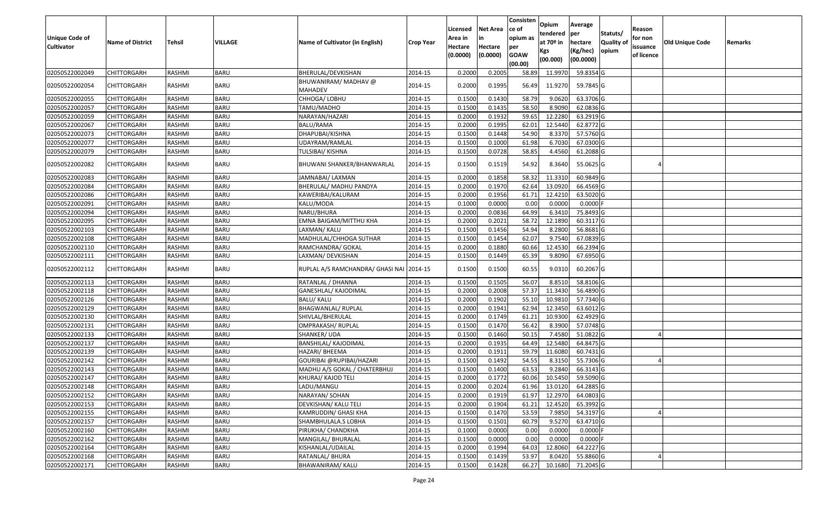| Unique Code of<br><b>Cultivator</b> | <b>Name of District</b> | <b>Tehsil</b> | VILLAGE     | Name of Cultivator (in English)          | <b>Crop Year</b> | Licensed<br>Area in<br>Hectare<br>(0.0000) | <b>Net Area</b><br>in<br>Hectare<br>(0.0000) | Consisten<br>ce of<br>opium as<br>per<br><b>GOAW</b><br>(00.00) | Opium<br>tendered<br>at $70°$ in<br>Kgs<br>(00.000) | Average<br>per<br>hectare<br>(Kg/hec)<br>(00.0000) | Statuts/<br>Quality of<br>opium | Reason<br>for non<br>issuance<br>of licence | <b>Old Unique Code</b> | Remarks |
|-------------------------------------|-------------------------|---------------|-------------|------------------------------------------|------------------|--------------------------------------------|----------------------------------------------|-----------------------------------------------------------------|-----------------------------------------------------|----------------------------------------------------|---------------------------------|---------------------------------------------|------------------------|---------|
| 02050522002049                      | CHITTORGARH             | RASHMI        | <b>BARU</b> | BHERULAL/DEVKISHAN                       | 2014-15          | 0.2000                                     | 0.2005                                       | 58.89                                                           | 11.997                                              | 59.8354 G                                          |                                 |                                             |                        |         |
| 02050522002054                      | CHITTORGARH             | RASHMI        | BARU        | BHUWANIRAM/ MADHAV @<br>MAHADEV          | 2014-15          | 0.2000                                     | 0.1995                                       | 56.49                                                           | 11.9270                                             | 59.7845 G                                          |                                 |                                             |                        |         |
| 02050522002055                      | <b>CHITTORGARH</b>      | RASHMI        | <b>BARU</b> | CHHOGA/ LOBHU                            | 2014-15          | 0.1500                                     | 0.1430                                       | 58.79                                                           | 9.0620                                              | 63.3706 G                                          |                                 |                                             |                        |         |
| 02050522002057                      | CHITTORGARH             | RASHMI        | <b>BARU</b> | TAMU/MADHO                               | 2014-15          | 0.1500                                     | 0.1435                                       | 58.50                                                           | 8.9090                                              | 62.0836 G                                          |                                 |                                             |                        |         |
| 02050522002059                      | <b>CHITTORGARH</b>      | RASHMI        | <b>BARU</b> | NARAYAN/HAZARI                           | 2014-15          | 0.2000                                     | 0.1932                                       | 59.65                                                           | 12.2280                                             | 63.2919 G                                          |                                 |                                             |                        |         |
| 02050522002067                      | CHITTORGARH             | RASHMI        | <b>BARU</b> | BALU/RAMA                                | 2014-15          | 0.2000                                     | 0.1995                                       | 62.01                                                           | 12.5440                                             | 62.8772 G                                          |                                 |                                             |                        |         |
| 02050522002073                      | CHITTORGARH             | RASHMI        | <b>BARU</b> | DHAPUBAI/KISHNA                          | 2014-15          | 0.1500                                     | 0.1448                                       | 54.90                                                           | 8.3370                                              | 57.5760 G                                          |                                 |                                             |                        |         |
| 02050522002077                      | CHITTORGARH             | RASHMI        | <b>BARU</b> | UDAYRAM/RAMLAL                           | 2014-15          | 0.1500                                     | 0.1000                                       | 61.98                                                           | 6.7030                                              | 67.0300 G                                          |                                 |                                             |                        |         |
| 02050522002079                      | CHITTORGARH             | RASHMI        | <b>BARU</b> | TULSIBAI/ KISHNA                         | 2014-15          | 0.1500                                     | 0.0728                                       | 58.85                                                           | 4.4560                                              | 61.2088 G                                          |                                 |                                             |                        |         |
| 02050522002082                      | CHITTORGARH             | RASHMI        | <b>BARU</b> | BHUWANI SHANKER/BHANWARLAL               | 2014-15          | 0.1500                                     | 0.1519                                       | 54.92                                                           | 8.3640                                              | 55.0625 G                                          |                                 |                                             |                        |         |
| 02050522002083                      | <b>CHITTORGARH</b>      | RASHMI        | <b>BARU</b> | JAMNABAI/ LAXMAN                         | 2014-15          | 0.2000                                     | 0.1858                                       | 58.32                                                           | 11.331                                              | 60.9849 G                                          |                                 |                                             |                        |         |
| 02050522002084                      | <b>CHITTORGARH</b>      | RASHMI        | <b>BARU</b> | BHERULAL/ MADHU PANDYA                   | 2014-15          | 0.2000                                     | 0.1970                                       | 62.64                                                           | 13.0920                                             | 66.4569 G                                          |                                 |                                             |                        |         |
| 02050522002086                      | CHITTORGARH             | RASHMI        | <b>BARU</b> | KAWERIBAI/KALURAM                        | 2014-15          | 0.2000                                     | 0.1956                                       | 61.71                                                           | 12.4210                                             | 63.5020G                                           |                                 |                                             |                        |         |
| 02050522002091                      | <b>CHITTORGARH</b>      | RASHMI        | <b>BARU</b> | KALU/MODA                                | 2014-15          | 0.1000                                     | 0.0000                                       | 0.00                                                            | 0.0000                                              | $0.0000$ F                                         |                                 |                                             |                        |         |
| 02050522002094                      | <b>CHITTORGARH</b>      | RASHMI        | <b>BARU</b> | NARU/BHURA                               | 2014-15          | 0.2000                                     | 0.0836                                       | 64.99                                                           | 6.3410                                              | 75.8493 G                                          |                                 |                                             |                        |         |
| 02050522002095                      | CHITTORGARH             | RASHMI        | <b>BARU</b> | EMNA BAIGAM/MITTHU KHA                   | 2014-15          | 0.2000                                     | 0.2021                                       | 58.72                                                           | 12.1890                                             | 60.3117G                                           |                                 |                                             |                        |         |
| 02050522002103                      | CHITTORGARH             | RASHMI        | <b>BARU</b> | LAXMAN/ KALU                             | 2014-15          | 0.1500                                     | 0.1456                                       | 54.94                                                           | 8.2800                                              | 56.8681G                                           |                                 |                                             |                        |         |
| 02050522002108                      | CHITTORGARH             | RASHMI        | <b>BARU</b> | MADHULAL/CHHOGA SUTHAR                   | 2014-15          | 0.1500                                     | 0.1454                                       | 62.07                                                           | 9.7540                                              | 67.0839 G                                          |                                 |                                             |                        |         |
| 02050522002110                      | CHITTORGARH             | RASHMI        | <b>BARU</b> | RAMCHANDRA/ GOKAL                        | 2014-15          | 0.2000                                     | 0.1880                                       | 60.66                                                           | 12.4530                                             | 66.2394 G                                          |                                 |                                             |                        |         |
| 02050522002111                      | CHITTORGARH             | RASHMI        | <b>BARU</b> | LAXMAN/ DEVKISHAN                        | 2014-15          | 0.1500                                     | 0.1449                                       | 65.39                                                           | 9.8090                                              | 67.6950 G                                          |                                 |                                             |                        |         |
| 02050522002112                      | CHITTORGARH             | RASHMI        | BARU        | RUPLAL A/S RAMCHANDRA/ GHASI NAI 2014-15 |                  | 0.1500                                     | 0.1500                                       | 60.55                                                           | 9.0310                                              | 60.2067 G                                          |                                 |                                             |                        |         |
| 02050522002113                      | <b>CHITTORGARH</b>      | RASHMI        | <b>BARU</b> | RATANLAL / DHANNA                        | 2014-15          | 0.1500                                     | 0.1505                                       | 56.07                                                           | 8.8510                                              | 58.8106 G                                          |                                 |                                             |                        |         |
| 02050522002118                      | CHITTORGARH             | RASHMI        | <b>BARU</b> | GANESHLAL/ KAJODIMAL                     | 2014-15          | 0.2000                                     | 0.2008                                       | 57.37                                                           | 11.3430                                             | 56.4890 G                                          |                                 |                                             |                        |         |
| 02050522002126                      | CHITTORGARH             | RASHMI        | <b>BARU</b> | BALU/ KALU                               | 2014-15          | 0.2000                                     | 0.1902                                       | 55.10                                                           | 10.981                                              | 57.7340 G                                          |                                 |                                             |                        |         |
| 02050522002129                      | CHITTORGARH             | RASHMI        | <b>BARU</b> | BHAGWANLAL/ RUPLAL                       | 2014-15          | 0.2000                                     | 0.1941                                       | 62.94                                                           | 12.3450                                             | 63.6012G                                           |                                 |                                             |                        |         |
| 02050522002130                      | CHITTORGARH             | RASHMI        | <b>BARU</b> | SHIVLAL/BHERULAL                         | 2014-15          | 0.2000                                     | 0.1749                                       | 61.21                                                           | 10.9300                                             | 62.4929 G                                          |                                 |                                             |                        |         |
| 02050522002131                      | CHITTORGARH             | RASHMI        | <b>BARU</b> | <b>OMPRAKASH/ RUPLAL</b>                 | 2014-15          | 0.1500                                     | 0.1470                                       | 56.42                                                           | 8.3900                                              | 57.0748 G                                          |                                 |                                             |                        |         |
| 02050522002133                      | CHITTORGARH             | RASHMI        | <b>BARU</b> | SHANKER/ UDA                             | 2014-15          | 0.1500                                     | 0.1460                                       | 50.1                                                            | 7.4580                                              | 51.0822G                                           |                                 |                                             |                        |         |
| 02050522002137                      | CHITTORGARH             | RASHMI        | <b>BARU</b> | BANSHILAL/ KAJODIMAL                     | 2014-15          | 0.2000                                     | 0.1935                                       | 64.49                                                           | 12.5480                                             | 64.8475 G                                          |                                 |                                             |                        |         |
| 02050522002139                      | CHITTORGARH             | <b>RASHMI</b> | <b>BARU</b> | HAZARI/ BHEEMA                           | 2014-15          | 0.2000                                     | 0.1911                                       | 59.79                                                           | 11.6080                                             | 60.7431 G                                          |                                 |                                             |                        |         |
| 02050522002142                      | CHITTORGARH             | RASHMI        | <b>BARU</b> | GOURIBAI @RUPIBAI/HAZARI                 | 2014-15          | 0.1500                                     | 0.1492                                       | 54.55                                                           | 8.3150                                              | 55.7306 G                                          |                                 |                                             |                        |         |
| 02050522002143                      | CHITTORGARH             | RASHMI        | <b>BARU</b> | MADHU A/S GOKAL / CHATERBHUJ             | 2014-15          | 0.1500                                     | 0.1400                                       | 63.53                                                           | 9.2840                                              | 66.3143 G                                          |                                 |                                             |                        |         |
| 02050522002147                      | <b>CHITTORGARH</b>      | RASHMI        | <b>BARU</b> | KHURAJ/ KAJOD TELI                       | 2014-15          | 0.2000                                     | 0.1772                                       | 60.06                                                           | 10.5450                                             | 59.5090 G                                          |                                 |                                             |                        |         |
| 02050522002148                      | <b>CHITTORGARH</b>      | RASHMI        | <b>BARU</b> | LADU/MANGU                               | 2014-15          | 0.2000                                     | 0.2024                                       |                                                                 | 61.96 13.0120                                       | 64.2885 G                                          |                                 |                                             |                        |         |
| 02050522002152                      | <b>CHITTORGARH</b>      | RASHMI        | <b>BARU</b> | NARAYAN/ SOHAN                           | 2014-15          | 0.2000                                     | 0.1919                                       | 61.97                                                           | 12.2970                                             | 64.0803 G                                          |                                 |                                             |                        |         |
| 02050522002153                      | <b>CHITTORGARH</b>      | RASHMI        | <b>BARU</b> | DEVKISHAN/ KALU TELI                     | 2014-15          | 0.2000                                     | 0.1904                                       | 61.21                                                           | 12.4520                                             | 65.3992 G                                          |                                 |                                             |                        |         |
| 02050522002155                      | <b>CHITTORGARH</b>      | RASHMI        | <b>BARU</b> | KAMRUDDIN/ GHASI KHA                     | 2014-15          | 0.1500                                     | 0.1470                                       | 53.59                                                           | 7.9850                                              | 54.3197 G                                          |                                 |                                             |                        |         |
| 02050522002157                      | CHITTORGARH             | RASHMI        | <b>BARU</b> | SHAMBHULALA.S LOBHA                      | 2014-15          | 0.1500                                     | 0.1501                                       | 60.79                                                           | 9.5270                                              | 63.4710 G                                          |                                 |                                             |                        |         |
| 02050522002160                      | <b>CHITTORGARH</b>      | RASHMI        | <b>BARU</b> | PIRUKHA/ CHANDKHA                        | 2014-15          | 0.1000                                     | 0.0000                                       | 0.00                                                            | 0.0000                                              | $0.0000$ F                                         |                                 |                                             |                        |         |
| 02050522002162                      | <b>CHITTORGARH</b>      | RASHMI        | <b>BARU</b> | MANGILAL/ BHURALAL                       | 2014-15          | 0.1500                                     | 0.0000                                       | 0.00                                                            | 0.0000                                              | $0.0000$ F                                         |                                 |                                             |                        |         |
| 02050522002164                      | CHITTORGARH             | RASHMI        | <b>BARU</b> | KISHANLAL/UDAILAL                        | 2014-15          | 0.2000                                     | 0.1994                                       | 64.03                                                           | 12.8060                                             | 64.2227 G                                          |                                 |                                             |                        |         |
| 02050522002168                      | <b>CHITTORGARH</b>      | RASHMI        | <b>BARU</b> | RATANLAL/ BHURA                          | 2014-15          | 0.1500                                     | 0.1439                                       | 53.97                                                           | 8.0420                                              | 55.8860 G                                          |                                 |                                             |                        |         |
| 02050522002171                      | <b>CHITTORGARH</b>      | RASHMI        | <b>BARU</b> | BHAWANIRAM/ KALU                         | 2014-15          | 0.1500                                     | 0.1428                                       | 66.27                                                           | 10.1680                                             | 71.2045 G                                          |                                 |                                             |                        |         |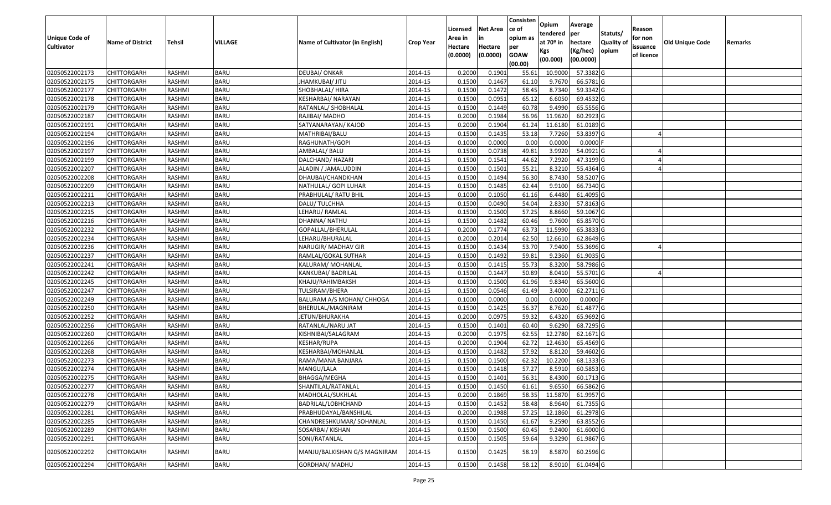|                   |                         |               |                |                                 |                  | Licensed | <b>Net Area</b> | Consisten<br>ce of | Opium           | Average               |                  | Reason     |                 |         |
|-------------------|-------------------------|---------------|----------------|---------------------------------|------------------|----------|-----------------|--------------------|-----------------|-----------------------|------------------|------------|-----------------|---------|
| Unique Code of    |                         |               |                |                                 |                  | Area in  | in              | opium as           | tendered        | per                   | Statuts/         | for non    |                 |         |
| <b>Cultivator</b> | <b>Name of District</b> | <b>Tehsil</b> | <b>VILLAGE</b> | Name of Cultivator (in English) | <b>Crop Year</b> | Hectare  | Hectare         | per                | at $70°$ in     | hectare               | <b>Quality o</b> | issuance   | Old Unique Code | Remarks |
|                   |                         |               |                |                                 |                  | (0.0000) | (0.0000)        | <b>GOAW</b>        | Kgs<br>(00.000) | (Kg/hec)<br>(00.0000) | opium            | of licence |                 |         |
|                   |                         |               |                |                                 |                  |          |                 | (00.00)            |                 |                       |                  |            |                 |         |
| 02050522002173    | CHITTORGARH             | RASHMI        | <b>BARU</b>    | <b>DEUBAI/ ONKAR</b>            | 2014-15          | 0.2000   | 0.1901          | 55.61              | 10.9000         | 57.3382 G             |                  |            |                 |         |
| 02050522002175    | CHITTORGARH             | RASHMI        | <b>BARU</b>    | JHAMKUBAI/ JITU                 | 2014-15          | 0.1500   | 0.1467          | 61.10              | 9.7670          | 66.5781G              |                  |            |                 |         |
| 02050522002177    | CHITTORGARH             | RASHMI        | <b>BARU</b>    | SHOBHALAL/ HIRA                 | 2014-15          | 0.1500   | 0.1472          | 58.45              | 8.7340          | 59.3342 G             |                  |            |                 |         |
| 02050522002178    | <b>CHITTORGARH</b>      | RASHMI        | <b>BARU</b>    | KESHARBAI/NARAYAN               | 2014-15          | 0.1500   | 0.0951          | 65.12              | 6.6050          | 69.4532 G             |                  |            |                 |         |
| 02050522002179    | CHITTORGARH             | RASHMI        | <b>BARU</b>    | RATANLAL/ SHOBHALAL             | 2014-15          | 0.1500   | 0.1449          | 60.78              | 9.4990          | 65.5556 G             |                  |            |                 |         |
| 02050522002187    | <b>CHITTORGARH</b>      | RASHMI        | <b>BARU</b>    | RAJIBAI/ MADHO                  | 2014-15          | 0.2000   | 0.1984          | 56.96              | 11.9620         | 60.2923 G             |                  |            |                 |         |
| 02050522002191    | CHITTORGARH             | RASHMI        | <b>BARU</b>    | SATYANARAYAN/ KAJOD             | 2014-15          | 0.2000   | 0.1904          | 61.24              | 11.6180         | 61.0189 G             |                  |            |                 |         |
| 02050522002194    | CHITTORGARH             | <b>RASHMI</b> | <b>BARU</b>    | MATHRIBAI/BALU                  | 2014-15          | 0.1500   | 0.1435          | 53.18              | 7.7260          | 53.8397 G             |                  |            |                 |         |
| 02050522002196    | CHITTORGARH             | RASHMI        | <b>BARU</b>    | RAGHUNATH/GOPI                  | 2014-15          | 0.1000   | 0.0000          | 0.00               | 0.0000          | $0.0000$ F            |                  |            |                 |         |
| 02050522002197    | CHITTORGARH             | RASHMI        | <b>BARU</b>    | AMBALAL/ BALU                   | 2014-15          | 0.1500   | 0.0738          | 49.81              | 3.9920          | 54.0921G              |                  |            |                 |         |
| 02050522002199    | CHITTORGARH             | RASHMI        | <b>BARU</b>    | DALCHAND/ HAZARI                | 2014-15          | 0.1500   | 0.1541          | 44.62              | 7.2920          | 47.3199 G             |                  |            |                 |         |
| 02050522002207    | CHITTORGARH             | RASHMI        | <b>BARU</b>    | ALADIN / JAMALUDDIN             | 2014-15          | 0.1500   | 0.1501          | 55.21              | 8.3210          | 55.4364 G             |                  |            |                 |         |
| 02050522002208    | <b>CHITTORGARH</b>      | RASHMI        | <b>BARU</b>    | DHAUBAI/CHANDKHAN               | 2014-15          | 0.1500   | 0.1494          | 56.30              | 8.7430          | 58.5207 G             |                  |            |                 |         |
| 02050522002209    | CHITTORGARH             | RASHMI        | <b>BARU</b>    | NATHULAL/ GOPI LUHAR            | 2014-15          | 0.1500   | 0.1485          | 62.44              | 9.9100          | 66.7340 G             |                  |            |                 |         |
| 02050522002211    | CHITTORGARH             | RASHMI        | <b>BARU</b>    | PRABHULAL/ RATU BHIL            | 2014-15          | 0.1000   | 0.1050          | 61.16              | 6.4480          | 61.4095 G             |                  |            |                 |         |
| 02050522002213    | CHITTORGARH             | RASHMI        | <b>BARU</b>    | DALU/ TULCHHA                   | 2014-15          | 0.1500   | 0.0490          | 54.04              | 2.8330          | 57.8163 G             |                  |            |                 |         |
| 02050522002215    | CHITTORGARH             | RASHMI        | <b>BARU</b>    | LEHARU/ RAMLAL                  | 2014-15          | 0.1500   | 0.1500          | 57.25              | 8.8660          | 59.1067 G             |                  |            |                 |         |
| 02050522002216    | CHITTORGARH             | RASHMI        | <b>BARU</b>    | DHANNA/ NATHU                   | 2014-15          | 0.1500   | 0.1482          | 60.46              | 9.7600          | 65.8570 G             |                  |            |                 |         |
| 02050522002232    | CHITTORGARH             | RASHMI        | <b>BARU</b>    | GOPALLAL/BHERULAL               | 2014-15          | 0.2000   | 0.1774          | 63.73              | 11.5990         | 65.3833 G             |                  |            |                 |         |
| 02050522002234    | CHITTORGARH             | RASHMI        | <b>BARU</b>    | LEHARU/BHURALAL                 | 2014-15          | 0.2000   | 0.2014          | 62.50              | 12.6610         | 62.8649 G             |                  |            |                 |         |
| 02050522002236    | CHITTORGARH             | RASHMI        | <b>BARU</b>    | NARUGIR/ MADHAV GIR             | 2014-15          | 0.1500   | 0.1434          | 53.70              | 7.9400          | 55.3696 G             |                  |            |                 |         |
| 02050522002237    | CHITTORGARH             | RASHMI        | <b>BARU</b>    | RAMLAL/GOKAL SUTHAR             | 2014-15          | 0.1500   | 0.1492          | 59.81              | 9.2360          | 61.9035 G             |                  |            |                 |         |
| 02050522002241    | CHITTORGARH             | RASHMI        | <b>BARU</b>    | KALURAM/ MOHANLAL               | 2014-15          | 0.1500   | 0.1415          | 55.73              | 8.3200          | 58.7986 G             |                  |            |                 |         |
| 02050522002242    | CHITTORGARH             | RASHMI        | <b>BARU</b>    | KANKUBAI/ BADRILAL              | 2014-15          | 0.1500   | 0.1447          | 50.89              | 8.0410          | 55.5701G              |                  |            |                 |         |
| 02050522002245    | <b>CHITTORGARH</b>      | RASHMI        | <b>BARU</b>    | KHAJU/RAHIMBAKSH                | 2014-15          | 0.1500   | 0.1500          | 61.96              | 9.8340          | 65.5600 G             |                  |            |                 |         |
| 02050522002247    | CHITTORGARH             | RASHMI        | <b>BARU</b>    | TULSIRAM/BHERA                  | 2014-15          | 0.1500   | 0.0546          | 61.49              | 3.4000          | 62.2711 G             |                  |            |                 |         |
| 02050522002249    | CHITTORGARH             | RASHMI        | <b>BARU</b>    | BALURAM A/S MOHAN/ CHHOGA       | 2014-15          | 0.1000   | 0.0000          | 0.00               | 0.0000          | $0.0000$ F            |                  |            |                 |         |
| 02050522002250    | CHITTORGARH             | RASHMI        | <b>BARU</b>    | BHERULAL/MAGNIRAM               | 2014-15          | 0.1500   | 0.1425          | 56.37              | 8.7620          | 61.4877 G             |                  |            |                 |         |
| 02050522002252    | CHITTORGARH             | RASHMI        | <b>BARU</b>    | JETUN/BHURAKHA                  | 2014-15          | 0.2000   | 0.0975          | 59.32              | 6.4320          | 65.9692 G             |                  |            |                 |         |
| 02050522002256    | CHITTORGARH             | RASHMI        | <b>BARU</b>    | RATANLAL/NARU JAT               | 2014-15          | 0.1500   | 0.1401          | 60.40              | 9.6290          | 68.7295 G             |                  |            |                 |         |
| 02050522002260    | CHITTORGARH             | RASHMI        | <b>BARU</b>    | KISHNIBAI/SALAGRAM              | 2014-15          | 0.2000   | 0.1975          | 62.55              | 12.2780         | 62.1671 G             |                  |            |                 |         |
| 02050522002266    | CHITTORGARH             | RASHMI        | <b>BARU</b>    | KESHAR/RUPA                     | 2014-15          | 0.2000   | 0.1904          | 62.72              | 12.4630         | 65.4569 G             |                  |            |                 |         |
| 02050522002268    | CHITTORGARH             | <b>RASHMI</b> | <b>BARU</b>    | <b>KESHARBAI/MOHANLAL</b>       | 2014-15          | 0.1500   | 0.1482          | 57.92              | 8.8120          | 59.4602G              |                  |            |                 |         |
| 02050522002273    | CHITTORGARH             | RASHMI        | <b>BARU</b>    | RAMA/MANA BANJARA               | 2014-15          | 0.1500   | 0.1500          | 62.32              | 10.2200         | 68.1333 G             |                  |            |                 |         |
| 02050522002274    | CHITTORGARH             | RASHMI        | <b>BARU</b>    | MANGU/LALA                      | 2014-15          | 0.1500   | 0.1418          | 57.27              | 8.5910          | 60.5853 G             |                  |            |                 |         |
| 02050522002275    | CHITTORGARH             | RASHMI        | <b>BARU</b>    | BHAGGA/MEGHA                    | 2014-15          | 0.1500   | 0.1401          | 56.31              | 8.4300          | 60.1713 G             |                  |            |                 |         |
| 02050522002277    | <b>CHITTORGARH</b>      | RASHMI        | <b>BARU</b>    | SHANTILAL/RATANLAL              | 2014-15          | 0.1500   | 0.1450          | 61.61              | 9.6550          | 66.5862 G             |                  |            |                 |         |
| 02050522002278    | <b>CHITTORGARH</b>      | RASHMI        | <b>BARU</b>    | MADHOLAL/SUKHLAL                | 2014-15          | 0.2000   | 0.1869          | 58.35              | 11.5870         | 61.9957 G             |                  |            |                 |         |
| 02050522002279    | <b>CHITTORGARH</b>      | RASHMI        | <b>BARU</b>    | BADRILAL/LOBHCHAND              | 2014-15          | 0.1500   | 0.1452          | 58.48              | 8.9640          | 61.7355 G             |                  |            |                 |         |
| 02050522002281    | <b>CHITTORGARH</b>      | RASHMI        | <b>BARU</b>    | PRABHUDAYAL/BANSHILAL           | 2014-15          | 0.2000   | 0.1988          | 57.25              | 12.1860         | 61.2978 G             |                  |            |                 |         |
| 02050522002285    | <b>CHITTORGARH</b>      | RASHMI        | <b>BARU</b>    | CHANDRESHKUMAR/ SOHANLAL        | 2014-15          | 0.1500   | 0.1450          | 61.67              | 9.2590          | 63.8552G              |                  |            |                 |         |
| 02050522002289    | <b>CHITTORGARH</b>      | RASHMI        | <b>BARU</b>    | SOSARBAI/ KISHAN                | 2014-15          | 0.1500   | 0.1500          | 60.45              | 9.2400          | 61.6000 G             |                  |            |                 |         |
| 02050522002291    | <b>CHITTORGARH</b>      | RASHMI        | <b>BARU</b>    | SONI/RATANLAL                   | 2014-15          | 0.1500   | 0.1505          | 59.64              | 9.3290          | 61.9867 G             |                  |            |                 |         |
| 02050522002292    | <b>CHITTORGARH</b>      | RASHMI        | <b>BARU</b>    | MANJU/BALKISHAN G/S MAGNIRAM    | 2014-15          | 0.1500   | 0.1425          | 58.19              | 8.5870          | 60.2596 G             |                  |            |                 |         |
| 02050522002294    | <b>CHITTORGARH</b>      | RASHMI        | <b>BARU</b>    | GORDHAN/ MADHU                  | 2014-15          | 0.1500   | 0.1458          | 58.12              | 8.9010          | 61.0494 G             |                  |            |                 |         |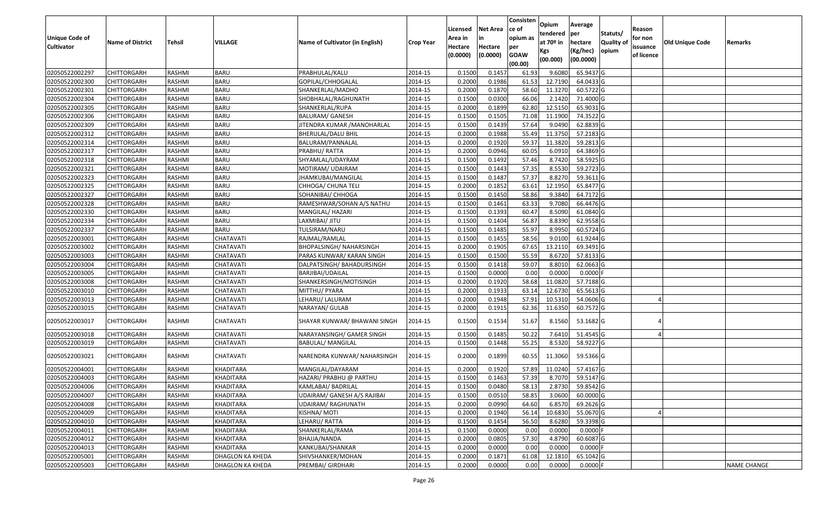|                       |                         |               |                  |                                 |                  | Licensed | <b>Net Area</b> | Consisten<br>ce of | Opium           | Average               |           | Reason     |                 |                    |
|-----------------------|-------------------------|---------------|------------------|---------------------------------|------------------|----------|-----------------|--------------------|-----------------|-----------------------|-----------|------------|-----------------|--------------------|
| <b>Unique Code of</b> |                         |               |                  |                                 |                  | Area in  | in              | opium as           | tendered        | per                   | Statuts/  | for non    |                 |                    |
| <b>Cultivator</b>     | <b>Name of District</b> | <b>Tehsil</b> | <b>VILLAGE</b>   | Name of Cultivator (in English) | <b>Crop Year</b> | Hectare  | Hectare         | per                | at $70°$ in     | hectare               | Quality o | issuance   | Old Unique Code | Remarks            |
|                       |                         |               |                  |                                 |                  | (0.0000) | (0.0000)        | <b>GOAW</b>        | Kgs<br>(00.000) | (Kg/hec)<br>(00.0000) | opium     | of licence |                 |                    |
|                       |                         |               |                  |                                 |                  |          |                 | (00.00)            |                 |                       |           |            |                 |                    |
| 02050522002297        | CHITTORGARH             | RASHMI        | <b>BARU</b>      | PRABHULAL/KALU                  | 2014-15          | 0.1500   | 0.1457          | 61.93              | 9.608           | 65.9437 G             |           |            |                 |                    |
| 02050522002300        | CHITTORGARH             | RASHMI        | <b>BARU</b>      | GOPILAL/CHHOGALAL               | 2014-15          | 0.2000   | 0.1986          | 61.53              | 12.7190         | 64.0433 G             |           |            |                 |                    |
| 02050522002301        | CHITTORGARH             | RASHMI        | <b>BARU</b>      | SHANKERLAL/MADHO                | 2014-15          | 0.2000   | 0.1870          | 58.60              | 11.3270         | 60.5722G              |           |            |                 |                    |
| 02050522002304        | <b>CHITTORGARH</b>      | RASHMI        | <b>BARU</b>      | SHOBHALAL/RAGHUNATH             | 2014-15          | 0.1500   | 0.0300          | 66.06              | 2.1420          | 71.4000 G             |           |            |                 |                    |
| 02050522002305        | CHITTORGARH             | RASHMI        | <b>BARU</b>      | SHANKERLAL/RUPA                 | 2014-15          | 0.2000   | 0.1899          | 62.80              | 12.515          | 65.9031 G             |           |            |                 |                    |
| 02050522002306        | CHITTORGARH             | RASHMI        | <b>BARU</b>      | <b>BALURAM/ GANESH</b>          | 2014-15          | 0.1500   | 0.1505          | 71.08              | 11.1900         | 74.3522 G             |           |            |                 |                    |
| 02050522002309        | CHITTORGARH             | RASHMI        | <b>BARU</b>      | IITENDRA KUMAR /MANOHARLAL      | 2014-15          | 0.1500   | 0.1439          | 57.64              | 9.049           | 62.8839 G             |           |            |                 |                    |
| 02050522002312        | CHITTORGARH             | <b>RASHMI</b> | <b>BARU</b>      | <b>BHERULAL/DALU BHIL</b>       | 2014-15          | 0.2000   | 0.1988          | 55.49              | 11.3750         | 57.2183 G             |           |            |                 |                    |
| 02050522002314        | CHITTORGARH             | RASHMI        | <b>BARU</b>      | BALURAM/PANNALAL                | 2014-15          | 0.2000   | 0.1920          | 59.37              | 11.3820         | 59.2813 G             |           |            |                 |                    |
| 02050522002317        | CHITTORGARH             | RASHMI        | <b>BARU</b>      | PRABHU/RATTA                    | 2014-15          | 0.2000   | 0.0946          | 60.05              | 6.0910          | 64.3869 G             |           |            |                 |                    |
| 02050522002318        | CHITTORGARH             | RASHMI        | <b>BARU</b>      | SHYAMLAL/UDAYRAM                | 2014-15          | 0.1500   | 0.1492          | 57.46              | 8.7420          | 58.5925 G             |           |            |                 |                    |
| 02050522002321        | <b>CHITTORGARH</b>      | RASHMI        | <b>BARU</b>      | MOTIRAM/ UDAIRAM                | 2014-15          | 0.1500   | 0.1443          | 57.35              | 8.5530          | 59.2723 G             |           |            |                 |                    |
| 02050522002323        | <b>CHITTORGARH</b>      | RASHMI        | <b>BARU</b>      | JHAMKUBAI/MANGILAL              | 2014-15          | 0.1500   | 0.1487          | 57.37              | 8.8270          | 59.3611 G             |           |            |                 |                    |
| 02050522002325        | <b>CHITTORGARH</b>      | RASHMI        | <b>BARU</b>      | CHHOGA/ CHUNA TELI              | 2014-15          | 0.2000   | 0.1852          | 63.61              | 12.1950         | 65.8477 G             |           |            |                 |                    |
| 02050522002327        | CHITTORGARH             | RASHMI        | <b>BARU</b>      | SOHANIBAI/ CHHOGA               | 2014-15          | 0.1500   | 0.1450          | 58.86              | 9.3840          | 64.7172 G             |           |            |                 |                    |
| 02050522002328        | CHITTORGARH             | RASHMI        | <b>BARU</b>      | RAMESHWAR/SOHAN A/S NATHU       | 2014-15          | 0.1500   | 0.1461          | 63.33              | 9.7080          | 66.4476 G             |           |            |                 |                    |
| 02050522002330        | CHITTORGARH             | RASHMI        | <b>BARU</b>      | MANGILAL/ HAZARI                | 2014-15          | 0.1500   | 0.1393          | 60.47              | 8.5090          | 61.0840 G             |           |            |                 |                    |
| 02050522002334        | CHITTORGARH             | RASHMI        | <b>BARU</b>      | LAXMIBAI/ JITU                  | 2014-15          | 0.1500   | 0.1404          | 56.87              | 8.8390          | 62.9558 G             |           |            |                 |                    |
| 02050522002337        | CHITTORGARH             | RASHMI        | <b>BARU</b>      | TULSIRAM/NARU                   | 2014-15          | 0.1500   | 0.1485          | 55.97              | 8.9950          | 60.5724 G             |           |            |                 |                    |
| 02050522003001        | CHITTORGARH             | RASHMI        | CHATAVATI        | RAJMAL/RAMLAL                   | 2014-15          | 0.1500   | 0.1455          | 58.56              | 9.0100          | 61.9244 G             |           |            |                 |                    |
| 02050522003002        | CHITTORGARH             | RASHMI        | CHATAVATI        | BHOPALSINGH/ NAHARSINGH         | 2014-15          | 0.2000   | 0.1905          | 67.65              | 13.2110         | 69.3491G              |           |            |                 |                    |
| 02050522003003        | CHITTORGARH             | RASHMI        | CHATAVATI        | PARAS KUNWAR/KARAN SINGH        | 2014-15          | 0.1500   | 0.1500          | 55.59              | 8.6720          | 57.8133 G             |           |            |                 |                    |
| 02050522003004        | CHITTORGARH             | RASHMI        | CHATAVATI        | DALPATSINGH/ BAHADURSINGH       | 2014-15          | 0.1500   | 0.1418          | 59.07              | 8.8010          | 62.0663 G             |           |            |                 |                    |
| 02050522003005        | CHITTORGARH             | RASHMI        | CHATAVATI        | BARJIBAI/UDAILAL                | 2014-15          | 0.1500   | 0.0000          | 0.00               | 0.0000          | $0.0000$ F            |           |            |                 |                    |
| 02050522003008        | <b>CHITTORGARH</b>      | RASHMI        | CHATAVATI        | SHANKERSINGH/MOTISINGH          | 2014-15          | 0.2000   | 0.1920          | 58.68              | 11.0820         | 57.7188 G             |           |            |                 |                    |
| 02050522003010        | CHITTORGARH             | RASHMI        | CHATAVATI        | MITTHU/ PYARA                   | 2014-15          | 0.2000   | 0.1933          | 63.1               | 12.6730         | 65.5613 G             |           |            |                 |                    |
| 02050522003013        | CHITTORGARH             | RASHMI        | CHATAVATI        | LEHARU/ LALURAM                 | 2014-15          | 0.2000   | 0.1948          | 57.91              | 10.5310         | 54.0606 G             |           |            |                 |                    |
| 02050522003015        | CHITTORGARH             | RASHMI        | CHATAVATI        | NARAYAN/ GULAB                  | 2014-15          | 0.2000   | 0.1915          | 62.36              | 11.6350         | 60.7572 G             |           |            |                 |                    |
| 02050522003017        | CHITTORGARH             | RASHMI        | CHATAVATI        | SHAYAR KUNWAR/ BHAWANI SINGH    | 2014-15          | 0.1500   | 0.1534          | 51.67              | 8.1560          | 53.1682 G             |           |            |                 |                    |
| 02050522003018        | CHITTORGARH             | RASHMI        | CHATAVATI        | NARAYANSINGH/ GAMER SINGH       | 2014-15          | 0.150    | 0.1485          | 50.22              | 7.6410          | 51.4545 G             |           |            |                 |                    |
| 02050522003019        | CHITTORGARH             | RASHMI        | CHATAVATI        | BABULAL/ MANGILAL               | 2014-15          | 0.1500   | 0.1448          | 55.25              | 8.5320          | 58.9227 G             |           |            |                 |                    |
| 02050522003021        | CHITTORGARH             | RASHMI        | CHATAVATI        | NARENDRA KUNWAR/ NAHARSINGH     | 2014-15          | 0.2000   | 0.1899          | 60.55              | 11.3060         | 59.5366 G             |           |            |                 |                    |
| 02050522004001        | CHITTORGARH             | RASHMI        | KHADITARA        | MANGILAL/DAYARAM                | 2014-15          | 0.2000   | 0.1920          | 57.89              | 11.0240         | 57.4167 G             |           |            |                 |                    |
| 02050522004003        | CHITTORGARH             | RASHMI        | KHADITARA        | HAZARI/ PRABHU @ PARTHU         | 2014-15          | 0.1500   | 0.1463          | 57.39              | 8.7070          | 59.5147 G             |           |            |                 |                    |
| 02050522004006        | <b>CHITTORGARH</b>      | RASHMI        | <b>KHADITARA</b> | KAMLABAI/ BADRILAL              | 2014-15          | 0.1500   | 0.0480          | 58.13              | 2.8730          | 59.8542 G             |           |            |                 |                    |
| 02050522004007        | <b>CHITTORGARH</b>      | RASHMI        | <b>KHADITARA</b> | UDAIRAM/ GANESH A/S RAJIBAI     | 2014-15          | 0.1500   | 0.0510          | 58.85              | 3.0600          | 60.0000 G             |           |            |                 |                    |
| 02050522004008        | <b>CHITTORGARH</b>      | RASHMI        | KHADITARA        | <b>UDAIRAM/ RAGHUNATH</b>       | 2014-15          | 0.2000   | 0.0990          | 64.60              | 6.8570          | 69.2626 G             |           |            |                 |                    |
| 02050522004009        | <b>CHITTORGARH</b>      | RASHMI        | <b>KHADITARA</b> | KISHNA/ MOTI                    | 2014-15          | 0.2000   | 0.1940          | 56.14              | 10.6830         | 55.0670 G             |           |            |                 |                    |
| 02050522004010        | CHITTORGARH             | RASHMI        | <b>KHADITARA</b> | LEHARU/RATTA                    | 2014-15          | 0.1500   | 0.1454          | 56.50              | 8.6280          | 59.3398 G             |           |            |                 |                    |
| 02050522004011        | <b>CHITTORGARH</b>      | RASHMI        | <b>KHADITARA</b> | SHANKERLAL/RAMA                 | 2014-15          | 0.1500   | 0.0000          | 0.00               | 0.0000          | $0.0000$ F            |           |            |                 |                    |
| 02050522004012        | <b>CHITTORGARH</b>      | RASHMI        | <b>KHADITARA</b> | BHAJJA/NANDA                    | 2014-15          | 0.2000   | 0.0805          | 57.30              | 4.8790          | 60.6087 G             |           |            |                 |                    |
| 02050522004013        | <b>CHITTORGARH</b>      | RASHMI        | KHADITARA        | KANKUBAI/SHANKAR                | 2014-15          | 0.2000   | 0.0000          | 0.00               | 0.0000          | $0.0000$ F            |           |            |                 |                    |
| 02050522005001        | <b>CHITTORGARH</b>      | RASHMI        | DHAGLON KA KHEDA | SHIVSHANKER/MOHAN               | 2014-15          | 0.2000   | 0.1871          | 61.08              | 12.1810         | 65.1042 G             |           |            |                 |                    |
| 02050522005003        | <b>CHITTORGARH</b>      | RASHMI        | DHAGLON KA KHEDA | PREMBAI/ GIRDHARI               | 2014-15          | 0.2000   | 0.0000          | 0.00               | 0.0000          | $0.0000$ F            |           |            |                 | <b>NAME CHANGE</b> |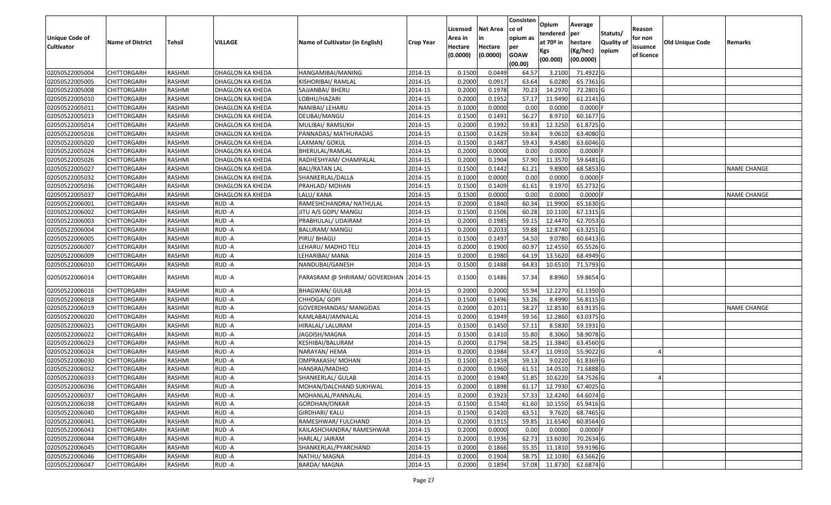| <b>Unique Code of</b> |                         |               |                         |                                        |                  | Licensed<br>Area in | <b>Net Area</b>     | Consisten<br>ce of<br>opium as | Opium<br>tendered              | Average<br>per                   | Statuts/            | Reason<br>for non      |                        |                    |
|-----------------------|-------------------------|---------------|-------------------------|----------------------------------------|------------------|---------------------|---------------------|--------------------------------|--------------------------------|----------------------------------|---------------------|------------------------|------------------------|--------------------|
| <b>Cultivator</b>     | <b>Name of District</b> | <b>Tehsil</b> | VILLAGE                 | Name of Cultivator (in English)        | <b>Crop Year</b> | Hectare<br>(0.0000) | Hectare<br>(0.0000) | per<br><b>GOAW</b><br>(00.00)  | at $70°$ in<br>Kgs<br>(00.000) | hectare<br>(Kg/hec)<br>(00.0000) | Quality of<br>opium | issuance<br>of licence | <b>Old Unique Code</b> | Remarks            |
| 02050522005004        | <b>CHITTORGARH</b>      | RASHMI        | DHAGLON KA KHEDA        | HANGAMIBAI/MANING                      | 2014-15          | 0.1500              | 0.0449              | 64.57                          | 3.2100                         | 71.4922 G                        |                     |                        |                        |                    |
| 02050522005005        | CHITTORGARH             | RASHMI        | DHAGLON KA KHEDA        | KISHORIBAI/ RAMLAL                     | 2014-15          | 0.2000              | 0.0917              | 63.64                          | 6.0280                         | 65.7361 G                        |                     |                        |                        |                    |
| 02050522005008        | <b>CHITTORGARH</b>      | <b>RASHMI</b> | DHAGLON KA KHEDA        | SAJJANBAI/ BHERU                       | 2014-15          | 0.2000              | 0.1978              | 70.2                           | 14.2970                        | 72.2801 G                        |                     |                        |                        |                    |
| 02050522005010        | <b>CHITTORGARH</b>      | <b>RASHMI</b> | <b>DHAGLON KA KHEDA</b> | LOBHU/HAZARI                           | 2014-15          | 0.2000              | 0.1952              | 57.17                          | 11.9490                        | $61.2141$ G                      |                     |                        |                        |                    |
| 02050522005011        | <b>CHITTORGARH</b>      | <b>RASHMI</b> | DHAGLON KA KHEDA        | NANIBAI/ LEHARU                        | 2014-15          | 0.1000              | 0.0000              | 0.00                           | 0.0000                         | $0.0000$ F                       |                     |                        |                        |                    |
| 02050522005013        | <b>CHITTORGARH</b>      | <b>RASHMI</b> | DHAGLON KA KHEDA        | DEUBAI/MANGU                           | 2014-15          | 0.1500              | 0.1491              | 56.27                          | 8.9710                         | 60.1677 G                        |                     |                        |                        |                    |
| 02050522005014        | CHITTORGARH             | <b>RASHMI</b> | DHAGLON KA KHEDA        | MULIBAI/ RAMSUKH                       | 2014-15          | 0.2000              | 0.1992              | 59.83                          | 12.3250                        | 61.8725 G                        |                     |                        |                        |                    |
| 02050522005016        | <b>CHITTORGARH</b>      | <b>RASHMI</b> | DHAGLON KA KHEDA        | PANNADAS/ MATHURADAS                   | 2014-15          | 0.1500              | 0.1429              | 59.84                          | 9.0610                         | 63.4080 G                        |                     |                        |                        |                    |
| 02050522005020        | <b>CHITTORGARH</b>      | <b>RASHMI</b> | DHAGLON KA KHEDA        | LAXMAN/ GOKUL                          | 2014-15          | 0.1500              | 0.1487              | 59.43                          | 9.4580                         | 63.6046 G                        |                     |                        |                        |                    |
| 02050522005024        | CHITTORGARH             | <b>RASHMI</b> | DHAGLON KA KHEDA        | BHERULAL/RAMLAL                        | 2014-15          | 0.2000              | 0.0000              | 0.00                           | 0.0000                         | $0.0000$ F                       |                     |                        |                        |                    |
| 02050522005026        | <b>CHITTORGARH</b>      | <b>RASHMI</b> | DHAGLON KA KHEDA        | RADHESHYAM/ CHAMPALAL                  | 2014-15          | 0.2000              | 0.1904              | 57.90                          | 11.3570                        | 59.6481 G                        |                     |                        |                        |                    |
| 02050522005027        | <b>CHITTORGARH</b>      | <b>RASHMI</b> | <b>DHAGLON KA KHEDA</b> | <b>BALI/RATAN LAL</b>                  | 2014-15          | 0.1500              | 0.1442              | 61.21                          | 9.8900                         | 68.5853 G                        |                     |                        |                        | <b>NAME CHANGE</b> |
| 02050522005032        | <b>CHITTORGARH</b>      | <b>RASHMI</b> | <b>DHAGLON KA KHEDA</b> | SHANKERLAL/DALLA                       | 2014-15          | 0.1000              | 0.0000              | 0.00                           | 0.0000                         | $0.0000$ F                       |                     |                        |                        |                    |
| 02050522005036        | <b>CHITTORGARH</b>      | RASHMI        | DHAGLON KA KHEDA        | PRAHLAD/ MOHAN                         | 2014-15          | 0.1500              | 0.1409              | 61.61                          | 9.1970                         | 65.2732 G                        |                     |                        |                        |                    |
| 02050522005037        | <b>CHITTORGARH</b>      | RASHMI        | DHAGLON KA KHEDA        | LALU/ KANA                             | 2014-15          | 0.1500              | 0.0000              | 0.00                           | 0.0000                         | $0.0000$ F                       |                     |                        |                        | <b>NAME CHANGE</b> |
| 02050522006001        | <b>CHITTORGARH</b>      | <b>RASHMI</b> | RUD-A                   | RAMESHCHANDRA/ NATHULAL                | 2014-15          | 0.2000              | 0.1840              | 60.34                          | 11.9900                        | 65.1630 G                        |                     |                        |                        |                    |
| 02050522006002        | <b>CHITTORGARH</b>      | RASHMI        | RUD-A                   | JITU A/S GOPI/ MANGU                   | 2014-15          | 0.1500              | 0.1506              | 60.28                          | 10.1100                        | 67.1315 G                        |                     |                        |                        |                    |
| 02050522006003        | CHITTORGARH             | RASHMI        | RUD-A                   | PRABHULAL/ UDAIRAM                     | 2014-15          | 0.2000              | 0.1985              | 59.1                           | 12.4470                        | 62.7053 G                        |                     |                        |                        |                    |
| 02050522006004        | CHITTORGARH             | RASHMI        | RUD-A                   | BALURAM/ MANGU                         | 2014-15          | 0.2000              | 0.2033              | 59.88                          | 12.8740                        | 63.3251 G                        |                     |                        |                        |                    |
| 02050522006005        | <b>CHITTORGARH</b>      | <b>RASHMI</b> | RUD-A                   | PIRU/ BHAGU                            | 2014-15          | 0.1500              | 0.1497              | 54.50                          | 9.0780                         | 60.6413 G                        |                     |                        |                        |                    |
| 02050522006007        | <b>CHITTORGARH</b>      | <b>RASHMI</b> | RUD-A                   | LEHARU/ MADHO TELI                     | 2014-15          | 0.2000              | 0.1900              | 60.97                          | 12.4550                        | 65.5526 G                        |                     |                        |                        |                    |
| 02050522006009        | CHITTORGARH             | RASHMI        | RUD-A                   | LEHARIBAI/MANA                         | 2014-15          | 0.2000              | 0.1980              | 64.19                          | 13.5620                        | 68.4949 G                        |                     |                        |                        |                    |
| 02050522006010        | CHITTORGARH             | RASHMI        | RUD-A                   | NANDUBAI/GANESH                        | 2014-15          | 0.1500              | 0.1488              | 64.83                          | 10.6510                        | 71.5793 G                        |                     |                        |                        |                    |
| 02050522006014        | CHITTORGARH             | RASHMI        | RUD-A                   | PARASRAM @ SHRIRAM/ GOVERDHAN  2014-15 |                  | 0.1500              | 0.1486              | 57.34                          | 8.8960                         | 59.8654 G                        |                     |                        |                        |                    |
| 02050522006016        | CHITTORGARH             | RASHMI        | RUD-A                   | BHAGWAN/ GULAB                         | 2014-15          | 0.2000              | 0.2000              | 55.94                          | 12.2270                        | 61.1350 G                        |                     |                        |                        |                    |
| 02050522006018        | CHITTORGARH             | RASHMI        | RUD-A                   | CHHOGA/ GOPI                           | 2014-15          | 0.1500              | 0.1496              | 53.26                          | 8.4990                         | 56.8115 G                        |                     |                        |                        |                    |
| 02050522006019        | <b>CHITTORGARH</b>      | RASHMI        | RUD-A                   | GOVERDHANDAS/ MANGIDAS                 | 2014-15          | 0.2000              | 0.2011              | 58.27                          | 12.8530                        | 63.9135 G                        |                     |                        |                        | <b>NAME CHANGE</b> |
| 02050522006020        | <b>CHITTORGARH</b>      | <b>RASHMI</b> | RUD-A                   | KAMLABAI/JAMNALAL                      | 2014-15          | 0.2000              | 0.1949              | 59.56                          | 12.2860                        | 63.0375 G                        |                     |                        |                        |                    |
| 02050522006021        | CHITTORGARH             | <b>RASHMI</b> | RUD-A                   | HIRALAL/ LALURAM                       | 2014-15          | 0.1500              | 0.1450              | 57.13                          | 8.5830                         | 59.1931 G                        |                     |                        |                        |                    |
| 02050522006022        | CHITTORGARH             | <b>RASHMI</b> | RUD-A                   | IAGDISH/MAGNA                          | 2014-15          | 0.1500              | 0.1410              | 55.80                          | 8.3060                         | 58.9078 G                        |                     |                        |                        |                    |
| 02050522006023        | CHITTORGARH             | RASHMI        | RUD-A                   | KESHIBAI/BALURAM                       | 2014-15          | 0.2000              | 0.1794              | 58.2                           | 11.3840                        | 63.4560 G                        |                     |                        |                        |                    |
| 02050522006024        | <b>CHITTORGARH</b>      | <b>RASHMI</b> | RUD-A                   | NARAYAN/ HEMA                          | 2014-15          | 0.2000              | 0.1984              | 53.4                           | 11.0910                        | 55.9022 G                        |                     |                        |                        |                    |
| 02050522006030        | <b>CHITTORGARH</b>      | <b>RASHMI</b> | RUD-A                   | OMPRAKASH/ MOHAN                       | 2014-15          | 0.1500              | 0.1459              | 59.13                          | 9.0220                         | 61.8369 G                        |                     |                        |                        |                    |
| 02050522006032        | CHITTORGARH             | RASHMI        | RUD-A                   | HANSRAJ/MADHO                          | 2014-15          | 0.2000              | 0.1960              | 61.5                           | 14.0510                        | 71.6888 G                        |                     |                        |                        |                    |
| 02050522006033        | <b>CHITTORGARH</b>      | RASHMI        | RUD-A                   | SHANKERLAL/ GULAB                      | 2014-15          | 0.2000              | 0.1940              | 51.85                          | 10.6220                        | 54.7526 G                        |                     |                        |                        |                    |
| 02050522006036        | CHITTORGARH             | RASHMI        | RUD-A                   | MOHAN/DALCHAND SUKHWAL                 | 2014-15          | 0.2000              | 0.1898              | 61.17                          | 12.7930                        | 67.4025 G                        |                     |                        |                        |                    |
| 02050522006037        | <b>CHITTORGARH</b>      | RASHMI        | RUD-A                   | MOHANLAL/PANNALAL                      | 2014-15          | 0.2000              | 0.1923              | 57.33                          | 12.4240                        | 64.6074 G                        |                     |                        |                        |                    |
| 02050522006038        | <b>CHITTORGARH</b>      | RASHMI        | RUD-A                   | GORDHAN/ONKAR                          | 2014-15          | 0.1500              | 0.1540              | 61.60                          | 10.1550                        | 65.9416 G                        |                     |                        |                        |                    |
| 02050522006040        | <b>CHITTORGARH</b>      | RASHMI        | RUD-A                   | GIRDHARI/ KALU                         | 2014-15          | 0.1500              | 0.1420              | 63.51                          | 9.7620                         | 68.7465 G                        |                     |                        |                        |                    |
| 02050522006041        | <b>CHITTORGARH</b>      | RASHMI        | RUD-A                   | RAMESHWAR/ FULCHAND                    | 2014-15          | 0.2000              | 0.1915              | 59.85                          | 11.6540                        | 60.8564 G                        |                     |                        |                        |                    |
| 02050522006043        | <b>CHITTORGARH</b>      | <b>RASHMI</b> | RUD-A                   | KAILASHCHANDRA/ RAMESHWAR              | 2014-15          | 0.2000              | 0.0000              | 0.00                           | 0.0000                         | $0.0000$ F                       |                     |                        |                        |                    |
| 02050522006044        | <b>CHITTORGARH</b>      | RASHMI        | RUD-A                   | HARLAL/ JAIRAM                         | 2014-15          | 0.2000              | 0.1936              | 62.73                          | 13.6030                        | 70.2634 G                        |                     |                        |                        |                    |
| 02050522006045        | <b>CHITTORGARH</b>      | RASHMI        | RUD-A                   | SHANKERLAL/PYARCHAND                   | 2014-15          | 0.2000              | 0.1866              | 55.35                          | 11.1810                        | 59.9196 G                        |                     |                        |                        |                    |
| 02050522006046        | <b>CHITTORGARH</b>      | RASHMI        | RUD-A                   | NATHU/ MAGNA                           | 2014-15          | 0.2000              | 0.1904              | 58.75                          | 12.1030                        | 63.5662 G                        |                     |                        |                        |                    |
| 02050522006047        | <b>CHITTORGARH</b>      | RASHMI        | RUD-A                   | <b>BARDA/MAGNA</b>                     | 2014-15          | 0.2000              | 0.1894              | 57.08                          | 11.8730                        | 62.6874 G                        |                     |                        |                        |                    |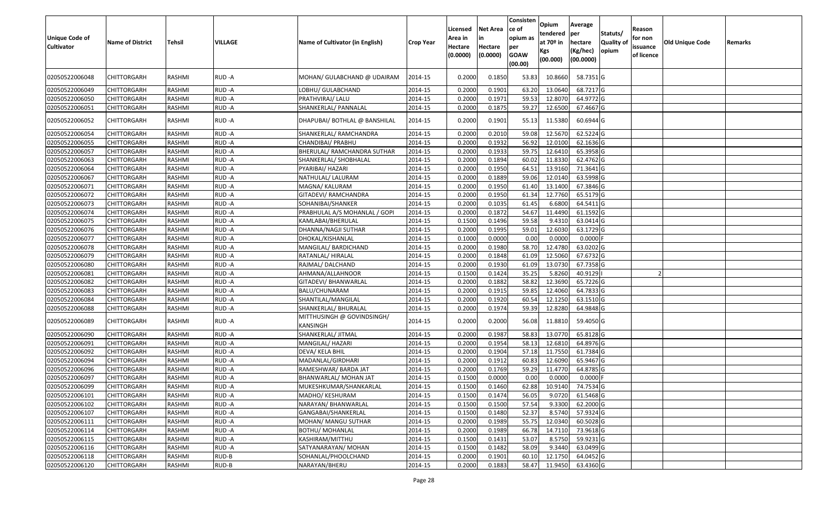| <b>Unique Code of</b><br>Cultivator | <b>Name of District</b> | Tehsil        | <b>VILLAGE</b> | Name of Cultivator (in English)        | <b>Crop Year</b> | Licensed<br>Area in<br>Hectare<br>(0.0000) | <b>Net Area</b><br>Hectare<br>(0.0000) | Consisten<br>ce of<br>opium as<br>per<br><b>GOAW</b><br>(00.00) | Opium<br>tendered<br>at $70°$ in<br><b>Kgs</b><br>(00.000) | Average<br>per<br>hectare<br>(Kg/hec)<br>(00.0000) | Statuts/<br>Quality of<br>opium | Reason<br>for non<br>issuance<br>of licence | Old Unique Code | Remarks |
|-------------------------------------|-------------------------|---------------|----------------|----------------------------------------|------------------|--------------------------------------------|----------------------------------------|-----------------------------------------------------------------|------------------------------------------------------------|----------------------------------------------------|---------------------------------|---------------------------------------------|-----------------|---------|
| 02050522006048                      | CHITTORGARH             | RASHMI        | RUD-A          | MOHAN/ GULABCHAND @ UDAIRAM            | 2014-15          | 0.2000                                     | 0.1850                                 | 53.83                                                           | 10.8660                                                    | 58.7351 G                                          |                                 |                                             |                 |         |
| 02050522006049                      | <b>CHITTORGARH</b>      | RASHMI        | RUD-A          | LOBHU/ GULABCHAND                      | 2014-15          | 0.2000                                     | 0.1901                                 | 63.20                                                           | 13.0640                                                    | 68.7217 G                                          |                                 |                                             |                 |         |
| 02050522006050                      | <b>CHITTORGARH</b>      | RASHMI        | RUD-A          | PRATHVIRAJ/ LALU                       | 2014-15          | 0.2000                                     | 0.1971                                 | 59.53                                                           | 12.8070                                                    | 64.9772 G                                          |                                 |                                             |                 |         |
| 02050522006051                      | <b>CHITTORGARH</b>      | RASHMI        | RUD-A          | SHANKERLAL/ PANNALAL                   | 2014-15          | 0.2000                                     | 0.1875                                 | 59.27                                                           | 12.6500                                                    | 67.4667 G                                          |                                 |                                             |                 |         |
| 02050522006052                      | CHITTORGARH             | RASHMI        | RUD-A          | DHAPUBAI/ BOTHLAL @ BANSHILAL          | 2014-15          | 0.2000                                     | 0.1901                                 | 55.13                                                           | 11.5380                                                    | 60.6944 G                                          |                                 |                                             |                 |         |
| 02050522006054                      | CHITTORGARH             | <b>RASHMI</b> | RUD-A          | SHANKERLAL/ RAMCHANDRA                 | 2014-15          | 0.2000                                     | 0.2010                                 | 59.08                                                           | 12.5670                                                    | 62.5224 G                                          |                                 |                                             |                 |         |
| 02050522006055                      | <b>CHITTORGARH</b>      | <b>RASHMI</b> | RUD-A          | CHANDIBAI/ PRABHU                      | 2014-15          | 0.2000                                     | 0.1932                                 | 56.92                                                           | 12.0100                                                    | 62.1636 G                                          |                                 |                                             |                 |         |
| 02050522006057                      | <b>CHITTORGARH</b>      | RASHMI        | RUD-A          | BHERULAL/ RAMCHANDRA SUTHAR            | 2014-15          | 0.2000                                     | 0.1933                                 | 59.75                                                           | 12.6410                                                    | 65.3958 G                                          |                                 |                                             |                 |         |
| 02050522006063                      | <b>CHITTORGARH</b>      | RASHMI        | RUD-A          | SHANKERLAL/ SHOBHALAL                  | 2014-15          | 0.2000                                     | 0.1894                                 | 60.02                                                           | 11.8330                                                    | 62.4762 G                                          |                                 |                                             |                 |         |
| 02050522006064                      | <b>CHITTORGARH</b>      | <b>RASHMI</b> | RUD-A          | PYARIBAI/ HAZARI                       | 2014-15          | 0.2000                                     | 0.1950                                 | 64.51                                                           | 13.9160                                                    | 71.3641 G                                          |                                 |                                             |                 |         |
| 02050522006067                      | <b>CHITTORGARH</b>      | <b>RASHMI</b> | RUD-A          | NATHULAL/ LALURAM                      | 2014-15          | 0.2000                                     | 0.1889                                 | 59.06                                                           | 12.0140                                                    | 63.5998 G                                          |                                 |                                             |                 |         |
| 02050522006071                      | <b>CHITTORGARH</b>      | RASHMI        | RUD-A          | MAGNA/ KALURAM                         | 2014-15          | 0.2000                                     | 0.1950                                 | 61.40                                                           | 13.1400                                                    | 67.3846 G                                          |                                 |                                             |                 |         |
| 02050522006072                      | <b>CHITTORGARH</b>      | RASHMI        | RUD-A          | GITADEVI/ RAMCHANDRA                   | 2014-15          | 0.2000                                     | 0.1950                                 | 61.34                                                           | 12.7760                                                    | 65.5179 G                                          |                                 |                                             |                 |         |
| 02050522006073                      | <b>CHITTORGARH</b>      | <b>RASHMI</b> | RUD-A          | SOHANIBAI/SHANKER                      | 2014-15          | 0.2000                                     | 0.1035                                 | 61.45                                                           | 6.6800                                                     | 64.5411 G                                          |                                 |                                             |                 |         |
| 02050522006074                      | <b>CHITTORGARH</b>      | <b>RASHMI</b> | RUD-A          | PRABHULAL A/S MOHANLAL / GOPI          | 2014-15          | 0.2000                                     | 0.1872                                 | 54.67                                                           | 11.4490                                                    | 61.1592 G                                          |                                 |                                             |                 |         |
| 02050522006075                      | <b>CHITTORGARH</b>      | <b>RASHMI</b> | RUD-A          | KAMLABAI/BHERULAL                      | 2014-15          | 0.1500                                     | 0.1496                                 | 59.58                                                           | 9.4310                                                     | 63.0414 G                                          |                                 |                                             |                 |         |
| 02050522006076                      | <b>CHITTORGARH</b>      | RASHMI        | RUD-A          | DHANNA/NAGJI SUTHAR                    | 2014-15          | 0.2000                                     | 0.1995                                 | 59.01                                                           | 12.6030                                                    | 63.1729 G                                          |                                 |                                             |                 |         |
| 02050522006077                      | CHITTORGARH             | <b>RASHMI</b> | RUD-A          | DHOKAL/KISHANLAL                       | 2014-15          | 0.1000                                     | 0.0000                                 | 0.00                                                            | 0.0000                                                     | $0.0000$ F                                         |                                 |                                             |                 |         |
| 02050522006078                      | <b>CHITTORGARH</b>      | <b>RASHMI</b> | RUD-A          | MANGILAL/ BARDICHAND                   | 2014-15          | 0.2000                                     | 0.1980                                 | 58.70                                                           | 12.4780                                                    | 63.0202G                                           |                                 |                                             |                 |         |
| 02050522006079                      | <b>CHITTORGARH</b>      | RASHMI        | RUD-A          | RATANLAL/ HIRALAL                      | 2014-15          | 0.2000                                     | 0.1848                                 | 61.09                                                           | 12.5060                                                    | 67.6732 G                                          |                                 |                                             |                 |         |
| 02050522006080                      | <b>CHITTORGARH</b>      | RASHMI        | RUD-A          | RAJMAL/ DALCHAND                       | 2014-15          | 0.2000                                     | 0.1930                                 | 61.09                                                           | 13.0730                                                    | 67.7358 G                                          |                                 |                                             |                 |         |
| 02050522006081                      | <b>CHITTORGARH</b>      | RASHMI        | RUD-A          | AHMANA/ALLAHNOOR                       | 2014-15          | 0.1500                                     | 0.1424                                 | 35.25                                                           | 5.8260                                                     | 40.9129                                            |                                 |                                             |                 |         |
| 02050522006082                      | <b>CHITTORGARH</b>      | <b>RASHMI</b> | RUD-A          | GITADEVI/ BHANWARLAL                   | 2014-15          | 0.2000                                     | 0.1882                                 | 58.82                                                           | 12.3690                                                    | 65.7226 G                                          |                                 |                                             |                 |         |
| 02050522006083                      | <b>CHITTORGARH</b>      | RASHMI        | RUD-A          | BALU/CHUNARAM                          | 2014-15          | 0.2000                                     | 0.1915                                 | 59.85                                                           | 12.4060                                                    | 64.7833 G                                          |                                 |                                             |                 |         |
| 02050522006084                      | <b>CHITTORGARH</b>      | RASHMI        | RUD-A          | SHANTILAL/MANGILAL                     | 2014-15          | 0.2000                                     | 0.1920                                 | 60.54                                                           | 12.1250                                                    | 63.1510 G                                          |                                 |                                             |                 |         |
| 02050522006088                      | <b>CHITTORGARH</b>      | RASHMI        | RUD-A          | SHANKERLAL/ BHURALAL                   | 2014-15          | 0.2000                                     | 0.1974                                 | 59.39                                                           | 12.8280                                                    | 64.9848 G                                          |                                 |                                             |                 |         |
| 02050522006089                      | <b>CHITTORGARH</b>      | RASHMI        | RUD-A          | MITTHUSINGH @ GOVINDSINGH/<br>KANSINGH | 2014-15          | 0.2000                                     | 0.2000                                 | 56.08                                                           | 11.8810                                                    | 59.4050 G                                          |                                 |                                             |                 |         |
| 02050522006090                      | <b>CHITTORGARH</b>      | <b>RASHMI</b> | RUD-A          | SHANKERLAL/ JITMAL                     | 2014-15          | 0.200                                      | 0.1987                                 | 58.83                                                           | 13.0770                                                    | 65.8128 G                                          |                                 |                                             |                 |         |
| 02050522006091                      | <b>CHITTORGARH</b>      | RASHMI        | RUD-A          | MANGILAL/ HAZARI                       | 2014-15          | 0.2000                                     | 0.1954                                 | 58.13                                                           | 12.6810                                                    | 64.8976 G                                          |                                 |                                             |                 |         |
| 02050522006092                      | <b>CHITTORGARH</b>      | <b>RASHMI</b> | RUD-A          | DEVA/ KELA BHIL                        | 2014-15          | 0.2000                                     | 0.1904                                 | 57.18                                                           | 11.7550                                                    | 61.7384 G                                          |                                 |                                             |                 |         |
| 02050522006094                      | <b>CHITTORGARH</b>      | <b>RASHMI</b> | RUD-A          | MADANLAL/GIRDHARI                      | 2014-15          | 0.2000                                     | 0.1912                                 | 60.83                                                           | 12.6090                                                    | 65.9467 G                                          |                                 |                                             |                 |         |
| 02050522006096                      | <b>CHITTORGARH</b>      | <b>RASHMI</b> | RUD-A          | RAMESHWAR/ BARDA JAT                   | 2014-15          | 0.2000                                     | 0.1769                                 | 59.29                                                           | 11.4770                                                    | 64.8785 G                                          |                                 |                                             |                 |         |
| 02050522006097                      | <b>CHITTORGARH</b>      | RASHMI        | RUD-A          | BHANWARLAL/ MOHAN JAT                  | 2014-15          | 0.1500                                     | 0.0000                                 | 0.00                                                            | 0.0000                                                     | 0.0000                                             |                                 |                                             |                 |         |
| 02050522006099                      | <b>CHITTORGARH</b>      | RASHMI        | RUD-A          | MUKESHKUMAR/SHANKARLAL                 | 2014-15          | 0.1500                                     | 0.1460                                 | 62.88                                                           | 10.9140                                                    | 74.7534 G                                          |                                 |                                             |                 |         |
| 02050522006101                      | <b>CHITTORGARH</b>      | RASHMI        | RUD-A          | MADHO/ KESHURAM                        | 2014-15          | 0.1500                                     | 0.1474                                 | 56.05                                                           | 9.0720                                                     | 61.5468 G                                          |                                 |                                             |                 |         |
| 02050522006102                      | <b>CHITTORGARH</b>      | RASHMI        | RUD-A          | NARAYAN/ BHANWARLAL                    | 2014-15          | 0.1500                                     | 0.1500                                 | 57.54                                                           | 9.3300                                                     | 62.2000 G                                          |                                 |                                             |                 |         |
| 02050522006107                      | <b>CHITTORGARH</b>      | RASHMI        | RUD-A          | GANGABAI/SHANKERLAL                    | 2014-15          | 0.1500                                     | 0.1480                                 | 52.37                                                           | 8.5740                                                     | 57.9324 G                                          |                                 |                                             |                 |         |
| 02050522006111                      | CHITTORGARH             | RASHMI        | RUD-A          | MOHAN/ MANGU SUTHAR                    | 2014-15          | 0.2000                                     | 0.1989                                 | 55.75                                                           | 12.0340                                                    | 60.5028 G                                          |                                 |                                             |                 |         |
| 02050522006114                      | <b>CHITTORGARH</b>      | RASHMI        | RUD-A          | <b>BOTHU/ MOHANLAL</b>                 | 2014-15          | 0.2000                                     | 0.1989                                 | 66.78                                                           | 14.7110                                                    | 73.9618 G                                          |                                 |                                             |                 |         |
| 02050522006115                      | <b>CHITTORGARH</b>      | RASHMI        | RUD-A          | KASHIRAM/MITTHU                        | 2014-15          | 0.1500                                     | 0.1431                                 | 53.07                                                           | 8.5750                                                     | 59.9231G                                           |                                 |                                             |                 |         |
| 02050522006116                      | <b>CHITTORGARH</b>      | RASHMI        | RUD-A          | SATYANARAYAN/ MOHAN                    | 2014-15          | 0.1500                                     | 0.1482                                 | 58.09                                                           | 9.3440                                                     | 63.0499 G                                          |                                 |                                             |                 |         |
| 02050522006118                      | CHITTORGARH             | RASHMI        | RUD-B          | SOHANLAL/PHOOLCHAND                    | 2014-15          | 0.2000                                     | 0.1901                                 | 60.10                                                           | 12.1750                                                    | 64.0452 G                                          |                                 |                                             |                 |         |
| 02050522006120                      | <b>CHITTORGARH</b>      | RASHMI        | RUD-B          | NARAYAN/BHERU                          | 2014-15          | 0.2000                                     | 0.1883                                 | 58.47                                                           | 11.9450                                                    | 63.4360 G                                          |                                 |                                             |                 |         |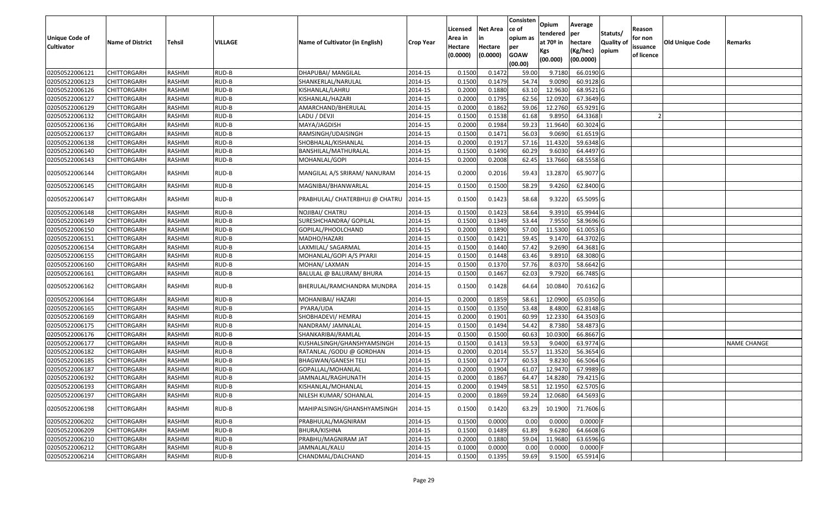| <b>Unique Code of</b><br><b>Cultivator</b> | <b>Name of District</b> | Tehsil        | VILLAGE | Name of Cultivator (in English) | <b>Crop Year</b> | Licensed<br>Area in<br>Hectare<br>(0.0000) | Net Area<br>in<br>Hectare<br>(0.0000) | Consisten<br>ce of<br>opium as<br>per<br><b>GOAW</b><br>(00.00) | Opium<br>tendered<br>at 70 <sup>o</sup> in<br>Kgs<br>(00.000) | Average<br>per<br>hectare<br>(Kg/hec)<br>(00.0000) | Statuts/<br><b>Quality of</b><br>opium | Reason<br>for non<br>issuance<br>of licence | <b>Old Unique Code</b> | Remarks            |
|--------------------------------------------|-------------------------|---------------|---------|---------------------------------|------------------|--------------------------------------------|---------------------------------------|-----------------------------------------------------------------|---------------------------------------------------------------|----------------------------------------------------|----------------------------------------|---------------------------------------------|------------------------|--------------------|
| 02050522006121                             | <b>CHITTORGARH</b>      | RASHMI        | RUD-B   | DHAPUBAI/ MANGILAL              | 2014-15          | 0.1500                                     | 0.1472                                | 59.00                                                           | 9.7180                                                        | 66.0190 G                                          |                                        |                                             |                        |                    |
| 02050522006123                             | CHITTORGARH             | RASHMI        | RUD-B   | SHANKERLAL/NARULAL              | 2014-15          | 0.1500                                     | 0.1479                                | 54.74                                                           | 9.0090                                                        | 60.9128 G                                          |                                        |                                             |                        |                    |
| 02050522006126                             | CHITTORGARH             | RASHMI        | RUD-B   | KISHANLAL/LAHRU                 | 2014-15          | 0.2000                                     | 0.1880                                | 63.10                                                           | 12.9630                                                       | 68.9521 G                                          |                                        |                                             |                        |                    |
| 02050522006127                             | <b>CHITTORGARH</b>      | RASHMI        | RUD-B   | KISHANLAL/HAZARI                | 2014-15          | 0.2000                                     | 0.1795                                | 62.56                                                           | 12.0920                                                       | 67.3649 G                                          |                                        |                                             |                        |                    |
| 02050522006129                             | CHITTORGARH             | RASHMI        | RUD-B   | AMARCHAND/BHERULAL              | 2014-15          | 0.2000                                     | 0.1862                                | 59.06                                                           | 12.2760                                                       | 65.9291 G                                          |                                        |                                             |                        |                    |
| 02050522006132                             | CHITTORGARH             | RASHMI        | RUD-B   | LADU / DEVJI                    | 2014-15          | 0.1500                                     | 0.1538                                | 61.68                                                           | 9.8950                                                        | 64.3368                                            |                                        |                                             |                        |                    |
| 02050522006136                             | CHITTORGARH             | RASHMI        | RUD-B   | MAYA/JAGDISH                    | 2014-15          | 0.2000                                     | 0.1984                                | 59.23                                                           | 11.9640                                                       | 60.3024 G                                          |                                        |                                             |                        |                    |
| 02050522006137                             | <b>CHITTORGARH</b>      | <b>RASHMI</b> | RUD-B   | RAMSINGH/UDAISINGH              | 2014-15          | 0.1500                                     | 0.1471                                | 56.03                                                           | 9.0690                                                        | 61.6519 G                                          |                                        |                                             |                        |                    |
| 02050522006138                             | CHITTORGARH             | RASHMI        | RUD-B   | SHOBHALAL/KISHANLAL             | 2014-15          | 0.2000                                     | 0.1917                                | 57.16                                                           | 11.4320                                                       | 59.6348 G                                          |                                        |                                             |                        |                    |
| 02050522006140                             | CHITTORGARH             | RASHMI        | RUD-B   | BANSHILAL/MATHURALAL            | 2014-15          | 0.1500                                     | 0.1490                                | 60.29                                                           | 9.6030                                                        | 64.4497 G                                          |                                        |                                             |                        |                    |
| 02050522006143                             | CHITTORGARH             | RASHMI        | RUD-B   | MOHANLAL/GOPI                   | 2014-15          | 0.2000                                     | 0.2008                                | 62.45                                                           | 13.7660                                                       | 68.5558 G                                          |                                        |                                             |                        |                    |
| 02050522006144                             | CHITTORGARH             | RASHMI        | RUD-B   | MANGILAL A/S SRIRAM/ NANURAM    | 2014-15          | 0.2000                                     | 0.2016                                | 59.43                                                           | 13.2870                                                       | 65.9077 G                                          |                                        |                                             |                        |                    |
| 02050522006145                             | CHITTORGARH             | RASHMI        | RUD-B   | MAGNIBAI/BHANWARLAL             | 2014-15          | 0.1500                                     | 0.1500                                | 58.29                                                           | 9.4260                                                        | 62.8400 G                                          |                                        |                                             |                        |                    |
| 02050522006147                             | CHITTORGARH             | RASHMI        | RUD-B   | PRABHULAL/ CHATERBHUJ @ CHATRU  | 2014-15          | 0.1500                                     | 0.1423                                | 58.68                                                           | 9.3220                                                        | 65.5095 G                                          |                                        |                                             |                        |                    |
| 02050522006148                             | CHITTORGARH             | RASHMI        | RUD-B   | NOJIBAI/ CHATRU                 | 2014-15          | 0.1500                                     | 0.1423                                | 58.64                                                           | 9.3910                                                        | 65.9944 G                                          |                                        |                                             |                        |                    |
| 02050522006149                             | CHITTORGARH             | RASHMI        | RUD-B   | SURESHCHANDRA/ GOPILAL          | 2014-15          | 0.1500                                     | 0.1349                                | 53.44                                                           | 7.9550                                                        | 58.9696 G                                          |                                        |                                             |                        |                    |
| 02050522006150                             | CHITTORGARH             | RASHMI        | RUD-B   | GOPILAL/PHOOLCHAND              | 2014-15          | 0.2000                                     | 0.1890                                | 57.00                                                           | 11.5300                                                       | 61.0053 G                                          |                                        |                                             |                        |                    |
| 02050522006151                             | CHITTORGARH             | RASHMI        | RUD-B   | MADHO/HAZARI                    | 2014-15          | 0.1500                                     | 0.1421                                | 59.45                                                           | 9.1470                                                        | 64.3702 G                                          |                                        |                                             |                        |                    |
| 02050522006154                             | CHITTORGARH             | RASHMI        | RUD-B   | LAXMILAL/ SAGARMAL              | 2014-15          | 0.1500                                     | 0.1440                                | 57.42                                                           | 9.2690                                                        | 64.3681 G                                          |                                        |                                             |                        |                    |
| 02050522006155                             | CHITTORGARH             | RASHMI        | RUD-B   | MOHANLAL/GOPI A/S PYARJI        | 2014-15          | 0.1500                                     | 0.1448                                | 63.46                                                           | 9.8910                                                        | 68.3080 G                                          |                                        |                                             |                        |                    |
| 02050522006160                             | CHITTORGARH             | RASHMI        | RUD-B   | MOHAN/ LAXMAN                   | 2014-15          | 0.1500                                     | 0.1370                                | 57.76                                                           | 8.0370                                                        | 58.6642 G                                          |                                        |                                             |                        |                    |
| 02050522006161                             | CHITTORGARH             | RASHMI        | RUD-B   | BALULAL @ BALURAM/ BHURA        | 2014-15          | 0.1500                                     | 0.1467                                | 62.03                                                           | 9.7920                                                        | 66.7485 G                                          |                                        |                                             |                        |                    |
| 02050522006162                             | CHITTORGARH             | RASHMI        | RUD-B   | BHERULAL/RAMCHANDRA MUNDRA      | 2014-15          | 0.1500                                     | 0.1428                                | 64.64                                                           | 10.0840                                                       | 70.6162 G                                          |                                        |                                             |                        |                    |
| 02050522006164                             | CHITTORGARH             | RASHMI        | RUD-B   | MOHANIBAI/ HAZARI               | 2014-15          | 0.2000                                     | 0.1859                                | 58.61                                                           | 12.0900                                                       | 65.0350 G                                          |                                        |                                             |                        |                    |
| 02050522006165                             | CHITTORGARH             | RASHMI        | RUD-B   | PYARA/UDA                       | 2014-15          | 0.1500                                     | 0.1350                                | 53.48                                                           | 8.4800                                                        | 62.8148 G                                          |                                        |                                             |                        |                    |
| 02050522006169                             | <b>CHITTORGARH</b>      | RASHMI        | RUD-B   | SHOBHADEVI/ HEMRAJ              | 2014-15          | 0.2000                                     | 0.1901                                | 60.99                                                           | 12.2330                                                       | 64.3503 G                                          |                                        |                                             |                        |                    |
| 02050522006175                             | <b>CHITTORGARH</b>      | RASHMI        | RUD-B   | NANDRAM/ JAMNALAL               | 2014-15          | 0.1500                                     | 0.1494                                | 54.42                                                           | 8.7380                                                        | 58.4873 G                                          |                                        |                                             |                        |                    |
| 02050522006176                             | <b>CHITTORGARH</b>      | RASHMI        | RUD-B   | SHANKARIBAI/RAMLAL              | 2014-15          | 0.1500                                     | 0.1500                                | 60.63                                                           | 10.0300                                                       | 66.8667 G                                          |                                        |                                             |                        |                    |
| 02050522006177                             | CHITTORGARH             | RASHMI        | RUD-B   | KUSHALSINGH/GHANSHYAMSINGH      | 2014-15          | 0.1500                                     | 0.1413                                | 59.53                                                           | 9.0400                                                        | 63.9774 G                                          |                                        |                                             |                        | <b>NAME CHANGE</b> |
| 02050522006182                             | <b>CHITTORGARH</b>      | RASHMI        | RUD-B   | RATANLAL / GODU @ GORDHAN       | 2014-15          | 0.2000                                     | 0.2014                                | 55.57                                                           | 11.3520                                                       | 56.3654 G                                          |                                        |                                             |                        |                    |
| 02050522006185                             | CHITTORGARH             | RASHMI        | RUD-B   | <b>BHAGWAN/GANESH TELI</b>      | 2014-15          | 0.1500                                     | 0.1477                                | 60.53                                                           | 9.8230                                                        | 66.5064 G                                          |                                        |                                             |                        |                    |
| 02050522006187                             | CHITTORGARH             | RASHMI        | RUD-B   | GOPALLAL/MOHANLAL               | 2014-15          | 0.2000                                     | 0.1904                                | 61.07                                                           | 12.9470                                                       | 67.9989 G                                          |                                        |                                             |                        |                    |
| 02050522006192                             | <b>CHITTORGARH</b>      | RASHMI        | RUD-B   | JAMNALAL/RAGHUNATH              | 2014-15          | 0.2000                                     | 0.1867                                | 64.47                                                           | 14.8280                                                       | 79.4215 G                                          |                                        |                                             |                        |                    |
| 02050522006193                             | <b>CHITTORGARH</b>      | RASHMI        | RUD-B   | KISHANLAL/MOHANLAL              | 2014-15          | 0.2000                                     | 0.1949                                | 58.51                                                           | 12.1950                                                       | $62.5705$ G                                        |                                        |                                             |                        |                    |
| 02050522006197                             | <b>CHITTORGARH</b>      | RASHMI        | RUD-B   | NILESH KUMAR/ SOHANLAL          | 2014-15          | 0.2000                                     | 0.1869                                | 59.24                                                           | 12.0680                                                       | 64.5693 G                                          |                                        |                                             |                        |                    |
| 02050522006198                             | CHITTORGARH             | RASHMI        | RUD-B   | MAHIPALSINGH/GHANSHYAMSINGH     | 2014-15          | 0.1500                                     | 0.1420                                | 63.29                                                           | 10.1900                                                       | 71.7606 G                                          |                                        |                                             |                        |                    |
| 02050522006202                             | <b>CHITTORGARH</b>      | RASHMI        | RUD-B   | PRABHULAL/MAGNIRAM              | 2014-15          | 0.1500                                     | 0.0000                                | 0.00                                                            | 0.0000                                                        | $0.0000$ F                                         |                                        |                                             |                        |                    |
| 02050522006209                             | <b>CHITTORGARH</b>      | RASHMI        | RUD-B   | BHURA/KISHNA                    | 2014-15          | 0.1500                                     | 0.1489                                | 61.89                                                           | 9.6280                                                        | 64.6608 G                                          |                                        |                                             |                        |                    |
| 02050522006210                             | <b>CHITTORGARH</b>      | RASHMI        | RUD-B   | PRABHU/MAGNIRAM JAT             | 2014-15          | 0.2000                                     | 0.1880                                | 59.04                                                           | 11.9680                                                       | 63.6596 G                                          |                                        |                                             |                        |                    |
| 02050522006212                             | <b>CHITTORGARH</b>      | RASHMI        | RUD-B   | JAMNALAL/KALU                   | 2014-15          | 0.1000                                     | 0.0000                                | 0.00                                                            | 0.0000                                                        | $0.0000$ F                                         |                                        |                                             |                        |                    |
| 02050522006214                             | <b>CHITTORGARH</b>      | RASHMI        | RUD-B   | CHANDMAL/DALCHAND               | 2014-15          | 0.1500                                     | 0.1395                                | 59.69                                                           | 9.1500                                                        | 65.5914 G                                          |                                        |                                             |                        |                    |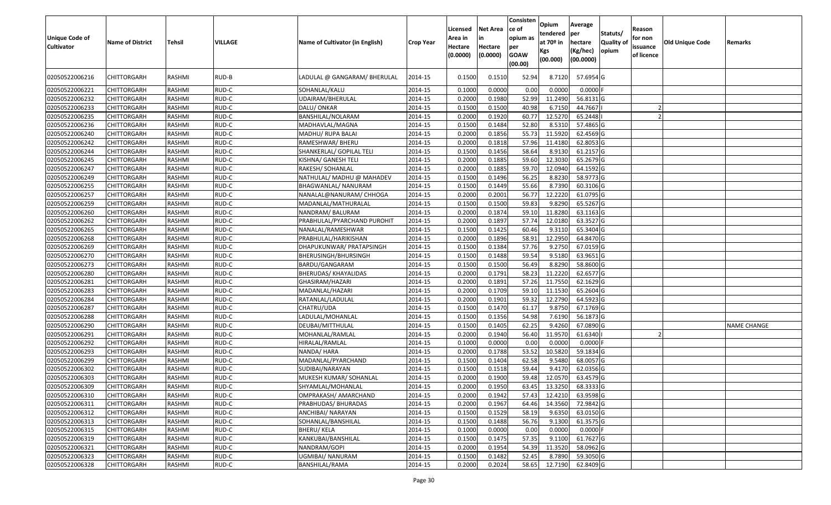| <b>Unique Code of</b><br><b>Cultivator</b> | <b>Name of District</b> | <b>Tehsil</b> | VILLAGE | Name of Cultivator (in English) | <b>Crop Year</b> | Licensed<br>Area in<br>Hectare<br>(0.0000) | <b>Net Area</b><br>Hectare<br>(0.0000) | Consisten<br>ce of<br>opium as<br>per<br><b>GOAW</b><br>(00.00) | Opium<br>tendered<br>at 70 <sup>o</sup> in<br>Kgs<br>(00.000) | Average<br>per<br>hectare<br>(Kg/hec)<br>(00.0000) | Statuts/<br><b>Quality o</b><br>opium | Reason<br>for non<br>issuance<br>of licence | <b>Old Unique Code</b> | Remarks            |
|--------------------------------------------|-------------------------|---------------|---------|---------------------------------|------------------|--------------------------------------------|----------------------------------------|-----------------------------------------------------------------|---------------------------------------------------------------|----------------------------------------------------|---------------------------------------|---------------------------------------------|------------------------|--------------------|
| 02050522006216                             | CHITTORGARH             | RASHMI        | RUD-B   | LADULAL @ GANGARAM/ BHERULAL    | 2014-15          | 0.1500                                     | 0.1510                                 | 52.94                                                           | 8.7120                                                        | 57.6954 G                                          |                                       |                                             |                        |                    |
| 02050522006221                             | CHITTORGARH             | RASHMI        | RUD-C   | SOHANLAL/KALU                   | 2014-15          | 0.1000                                     | 0.0000                                 | 0.00                                                            | 0.0000                                                        | 0.0000F                                            |                                       |                                             |                        |                    |
| 02050522006232                             | CHITTORGARH             | RASHMI        | RUD-C   | JDAIRAM/BHERULAL                | 2014-15          | 0.2000                                     | 0.1980                                 | 52.99                                                           | 11.2490                                                       | 56.8131 G                                          |                                       |                                             |                        |                    |
| 02050522006233                             | CHITTORGARH             | RASHMI        | RUD-C   | DALU/ONKAR                      | 2014-15          | 0.1500                                     | 0.1500                                 | 40.98                                                           | 6.715                                                         | 44.7667                                            |                                       |                                             |                        |                    |
| 02050522006235                             | CHITTORGARH             | RASHMI        | RUD-C   | BANSHILAL/NOLARAM               | 2014-15          | 0.2000                                     | 0.1920                                 | 60.7                                                            | 12.5270                                                       | 65.2448                                            |                                       |                                             |                        |                    |
| 02050522006236                             | CHITTORGARH             | RASHMI        | RUD-C   | MADHAVLAL/MAGNA                 | 2014-15          | 0.1500                                     | 0.1484                                 | 52.80                                                           | 8.531                                                         | 57.4865 G                                          |                                       |                                             |                        |                    |
| 02050522006240                             | <b>CHITTORGARH</b>      | <b>RASHMI</b> | RUD-C   | MADHU/ RUPA BALAI               | 2014-15          | 0.2000                                     | 0.1856                                 | 55.73                                                           | 11.5920                                                       | 62.4569 G                                          |                                       |                                             |                        |                    |
| 02050522006242                             | CHITTORGARH             | RASHMI        | RUD-C   | RAMESHWAR/ BHERU                | 2014-15          | 0.2000                                     | 0.1818                                 | 57.96                                                           | 11.4180                                                       | 62.8053 G                                          |                                       |                                             |                        |                    |
| 02050522006244                             | CHITTORGARH             | RASHMI        | RUD-C   | SHANKERLAL/ GOPILAL TELI        | 2014-15          | 0.1500                                     | 0.1456                                 | 58.64                                                           | 8.9130                                                        | 61.2157 G                                          |                                       |                                             |                        |                    |
| 02050522006245                             | <b>CHITTORGARH</b>      | RASHMI        | RUD-C   | KISHNA/ GANESH TELI             | 2014-15          | 0.2000                                     | 0.1885                                 | 59.60                                                           | 12.3030                                                       | 65.2679 G                                          |                                       |                                             |                        |                    |
| 02050522006247                             | CHITTORGARH             | RASHMI        | RUD-C   | RAKESH/ SOHANLAL                | 2014-15          | 0.2000                                     | 0.1885                                 | 59.70                                                           | 12.0940                                                       | 64.1592 G                                          |                                       |                                             |                        |                    |
| 02050522006249                             | <b>CHITTORGARH</b>      | RASHMI        | RUD-C   | NATHULAL/ MADHU @ MAHADEV       | 2014-15          | 0.1500                                     | 0.1496                                 | 56.25                                                           | 8.8230                                                        | 58.9773 G                                          |                                       |                                             |                        |                    |
| 02050522006255                             | CHITTORGARH             | RASHMI        | RUD-C   | BHAGWANLAL/ NANURAM             | 2014-15          | 0.1500                                     | 0.1449                                 | 55.66                                                           | 8.7390                                                        | 60.3106 G                                          |                                       |                                             |                        |                    |
| 02050522006257                             | CHITTORGARH             | RASHMI        | RUD-C   | NANALAL@NANURAM/ CHHOGA         | 2014-15          | 0.2000                                     | 0.2001                                 | 56.77                                                           | 12.2220                                                       | 61.0795 G                                          |                                       |                                             |                        |                    |
| 02050522006259                             | CHITTORGARH             | RASHMI        | RUD-C   | MADANLAL/MATHURALAL             | 2014-15          | 0.1500                                     | 0.1500                                 | 59.83                                                           | 9.8290                                                        | 65.5267 G                                          |                                       |                                             |                        |                    |
| 02050522006260                             | CHITTORGARH             | RASHMI        | RUD-C   | NANDRAM/BALURAM                 | 2014-15          | 0.2000                                     | 0.1874                                 | 59.10                                                           | 11.8280                                                       | 63.1163 G                                          |                                       |                                             |                        |                    |
| 02050522006262                             | CHITTORGARH             | RASHMI        | RUD-C   | PRABHULAL/PYARCHAND PUROHIT     | 2014-15          | 0.2000                                     | 0.1897                                 | 57.74                                                           | 12.018                                                        | 63.3527 G                                          |                                       |                                             |                        |                    |
| 02050522006265                             | CHITTORGARH             | RASHMI        | RUD-C   | NANALAL/RAMESHWAR               | 2014-15          | 0.1500                                     | 0.1425                                 | 60.46                                                           | 9.3110                                                        | 65.3404 G                                          |                                       |                                             |                        |                    |
| 02050522006268                             | CHITTORGARH             | RASHMI        | RUD-C   | PRABHULAL/HARIKISHAN            | 2014-15          | 0.2000                                     | 0.1896                                 | 58.9                                                            | 12.2950                                                       | 64.8470 G                                          |                                       |                                             |                        |                    |
| 02050522006269                             | CHITTORGARH             | RASHMI        | RUD-C   | DHAPUKUNWAR/ PRATAPSINGH        | 2014-15          | 0.1500                                     | 0.1384                                 | 57.76                                                           | 9.2750                                                        | 67.0159 G                                          |                                       |                                             |                        |                    |
| 02050522006270                             | CHITTORGARH             | RASHMI        | RUD-C   | BHERUSINGH/BHURSINGH            | 2014-15          | 0.1500                                     | 0.1488                                 | 59.54                                                           | 9.5180                                                        | 63.9651 G                                          |                                       |                                             |                        |                    |
| 02050522006273                             | CHITTORGARH             | RASHMI        | RUD-C   | BARDU/GANGARAM                  | 2014-15          | 0.1500                                     | 0.1500                                 | 56.49                                                           | 8.8290                                                        | 58.8600 G                                          |                                       |                                             |                        |                    |
| 02050522006280                             | CHITTORGARH             | RASHMI        | RUD-C   | BHERUDAS/ KHAYALIDAS            | 2014-15          | 0.2000                                     | 0.1791                                 | 58.23                                                           | 11.2220                                                       | 62.6577 G                                          |                                       |                                             |                        |                    |
| 02050522006281                             | CHITTORGARH             | RASHMI        | RUD-C   | GHASIRAM/HAZARI                 | 2014-15          | 0.2000                                     | 0.1891                                 | 57.26                                                           | 11.7550                                                       | 62.1629 G                                          |                                       |                                             |                        |                    |
| 02050522006283                             | CHITTORGARH             | RASHMI        | RUD-C   | MADANLAL/HAZARI                 | 2014-15          | 0.2000                                     | 0.1709                                 | 59.10                                                           | 11.1530                                                       | 65.2604 G                                          |                                       |                                             |                        |                    |
| 02050522006284                             | CHITTORGARH             | RASHMI        | RUD-C   | RATANLAL/LADULAL                | 2014-15          | 0.2000                                     | 0.1901                                 | 59.32                                                           | 12.2790                                                       | 64.5923 G                                          |                                       |                                             |                        |                    |
| 02050522006287                             | CHITTORGARH             | RASHMI        | RUD-C   | CHATRU/UDA                      | 2014-15          | 0.1500                                     | 0.1470                                 | 61.17                                                           | 9.8750                                                        | 67.1769 G                                          |                                       |                                             |                        |                    |
| 02050522006288                             | CHITTORGARH             | <b>RASHMI</b> | RUD-C   | LADULAL/MOHANLAL                | 2014-15          | 0.1500                                     | 0.1356                                 | 54.98                                                           | 7.6190                                                        | 56.1873 G                                          |                                       |                                             |                        |                    |
| 02050522006290                             | CHITTORGARH             | RASHMI        | RUD-C   | DEUBAI/MITTHULAL                | 2014-15          | 0.1500                                     | 0.1405                                 | 62.25                                                           | 9.4260                                                        | 67.0890 G                                          |                                       |                                             |                        | <b>NAME CHANGE</b> |
| 02050522006291                             | CHITTORGARH             | RASHMI        | RUD-C   | MOHANLAL/RAMLAL                 | 2014-15          | 0.2000                                     | 0.1940                                 | 56.40                                                           | 11.957                                                        | 61.6340                                            |                                       |                                             |                        |                    |
| 02050522006292                             | CHITTORGARH             | RASHMI        | RUD-C   | HIRALAL/RAMLAL                  | 2014-15          | 0.1000                                     | 0.0000                                 | 0.00                                                            | 0.0000                                                        | 0.0000                                             |                                       |                                             |                        |                    |
| 02050522006293                             | <b>CHITTORGARH</b>      | RASHMI        | RUD-C   | NANDA/ HARA                     | 2014-15          | 0.2000                                     | 0.1788                                 | 53.52                                                           | 10.5820                                                       | 59.1834 G                                          |                                       |                                             |                        |                    |
| 02050522006299                             | <b>CHITTORGARH</b>      | RASHMI        | RUD-C   | MADANLAL/PYARCHAND              | 2014-15          | 0.1500                                     | 0.1404                                 | 62.58                                                           | 9.5480                                                        | 68.0057 G                                          |                                       |                                             |                        |                    |
| 02050522006302                             | CHITTORGARH             | RASHMI        | RUD-C   | SUDIBAI/NARAYAN                 | 2014-15          | 0.150                                      | 0.1518                                 | 59.44                                                           | 9.4170                                                        | 62.0356 G                                          |                                       |                                             |                        |                    |
| 02050522006303                             | CHITTORGARH             | RASHMI        | RUD-C   | MUKESH KUMAR/ SOHANLAL          | 2014-15          | 0.2000                                     | 0.1900                                 | 59.48                                                           | 12.0570                                                       | 63.4579 G                                          |                                       |                                             |                        |                    |
| 02050522006309                             | <b>CHITTORGARH</b>      | RASHMI        | RUD-C   | SHYAMLAL/MOHANLAL               | 2014-15          | 0.2000                                     | 0.1950                                 |                                                                 | 63.45 13.3250                                                 | 68.3333 G                                          |                                       |                                             |                        |                    |
| 02050522006310                             | <b>CHITTORGARH</b>      | RASHMI        | RUD-C   | OMPRAKASH/ AMARCHAND            | 2014-15          | 0.2000                                     | 0.1942                                 | 57.43                                                           | 12.4210                                                       | 63.9598 G                                          |                                       |                                             |                        |                    |
| 02050522006311                             | <b>CHITTORGARH</b>      | RASHMI        | RUD-C   | PRABHUDAS/ BHURADAS             | 2014-15          | 0.2000                                     | 0.1967                                 | 64.46                                                           | 14.3560                                                       | 72.9842 G                                          |                                       |                                             |                        |                    |
| 02050522006312                             | <b>CHITTORGARH</b>      | RASHMI        | RUD-C   | ANCHIBAI/ NARAYAN               | 2014-15          | 0.1500                                     | 0.1529                                 | 58.19                                                           | 9.6350                                                        | 63.0150 G                                          |                                       |                                             |                        |                    |
| 02050522006313                             | <b>CHITTORGARH</b>      | RASHMI        | RUD-C   | SOHANLAL/BANSHILAL              | 2014-15          | 0.1500                                     | 0.1488                                 | 56.76                                                           | 9.1300                                                        | 61.3575 G                                          |                                       |                                             |                        |                    |
| 02050522006315                             | <b>CHITTORGARH</b>      | RASHMI        | RUD-C   | <b>BHERU/ KELA</b>              | 2014-15          | 0.1000                                     | 0.0000                                 | 0.00                                                            | 0.0000                                                        | $0.0000$ F                                         |                                       |                                             |                        |                    |
| 02050522006319                             | <b>CHITTORGARH</b>      | RASHMI        | RUD-C   | KANKUBAI/BANSHILAL              | 2014-15          | 0.1500                                     | 0.1475                                 | 57.35                                                           | 9.1100                                                        | 61.7627 G                                          |                                       |                                             |                        |                    |
| 02050522006321                             | CHITTORGARH             | RASHMI        | RUD-C   | NANDRAM/GOPI                    | 2014-15          | 0.2000                                     | 0.1954                                 | 54.39                                                           | 11.3520                                                       | 58.0962 G                                          |                                       |                                             |                        |                    |
| 02050522006323                             | <b>CHITTORGARH</b>      | RASHMI        | RUD-C   | UGMIBAI/NANURAM                 | 2014-15          | 0.1500                                     | 0.1482                                 | 52.45                                                           | 8.7890                                                        | 59.3050 G                                          |                                       |                                             |                        |                    |
| 02050522006328                             | <b>CHITTORGARH</b>      | RASHMI        | RUD-C   | BANSHILAL/RAMA                  | 2014-15          | 0.2000                                     | 0.2024                                 | 58.65                                                           | 12.7190                                                       | 62.8409 G                                          |                                       |                                             |                        |                    |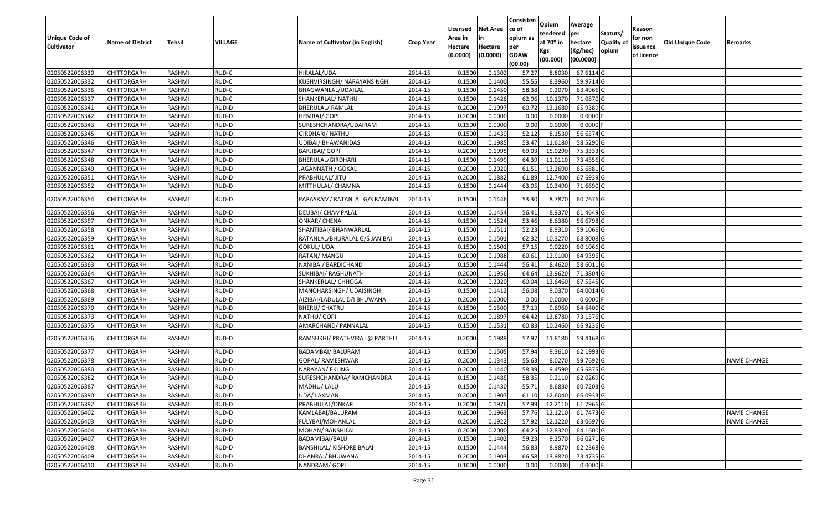|                                     |                         |               |         |                                 |                  |                    |                 | Consisten         | Opium       | Average    |                  |                     |                 |                    |
|-------------------------------------|-------------------------|---------------|---------|---------------------------------|------------------|--------------------|-----------------|-------------------|-------------|------------|------------------|---------------------|-----------------|--------------------|
|                                     |                         |               |         |                                 |                  | Licensed           | <b>Net Area</b> | ce of<br>opium as | tendered    | per        | Statuts/         | Reason              |                 |                    |
| Unique Code of<br><b>Cultivator</b> | <b>Name of District</b> | <b>Tehsil</b> | VILLAGE | Name of Cultivator (in English) | <b>Crop Year</b> | Area in<br>Hectare | Hectare         | per               | at $70°$ in | hectare    | <b>Quality o</b> | for non<br>issuance | Old Unique Code | Remarks            |
|                                     |                         |               |         |                                 |                  | (0.0000)           | (0.0000)        | <b>GOAW</b>       | Kgs         | (Kg/hec)   | opium            | of licence          |                 |                    |
|                                     |                         |               |         |                                 |                  |                    |                 | (00.00)           | (00.000)    | (00.0000)  |                  |                     |                 |                    |
| 02050522006330                      | CHITTORGARH             | RASHMI        | RUD-C   | HIRALAL/UDA                     | 2014-15          | 0.1500             | 0.1302          | 57.27             | 8.8030      | 67.6114 G  |                  |                     |                 |                    |
| 02050522006332                      | CHITTORGARH             | RASHMI        | RUD-C   | KUSHVIRSINGH/ NARAYANSINGH      | 2014-15          | 0.1500             | 0.1400          | 55.55             | 8.3960      | 59.9714 G  |                  |                     |                 |                    |
| 02050522006336                      | CHITTORGARH             | RASHMI        | RUD-C   | BHAGWANLAL/UDAILAL              | 2014-15          | 0.1500             | 0.1450          | 58.38             | 9.2070      | 63.4966 G  |                  |                     |                 |                    |
| 02050522006337                      | <b>CHITTORGARH</b>      | RASHMI        | RUD-C   | SHANKERLAL/ NATHU               | 2014-15          | 0.1500             | 0.1426          | 62.96             | 10.1370     | 71.0870 G  |                  |                     |                 |                    |
| 02050522006341                      | CHITTORGARH             | RASHMI        | RUD-D   | <b>BHERULAL/ RAMLAL</b>         | 2014-15          | 0.2000             | 0.1997          | 60.72             | 13.1680     | 65.9389 G  |                  |                     |                 |                    |
| 02050522006342                      | CHITTORGARH             | RASHMI        | RUD-D   | HEMRAJ/ GOPI                    | 2014-15          | 0.2000             | 0.0000          | 0.00              | 0.0000      | 0.0000F    |                  |                     |                 |                    |
| 02050522006343                      | CHITTORGARH             | RASHMI        | RUD-D   | SURESHCHANDRA/UDAIRAM           | 2014-15          | 0.1500             | 0.0000          | 0.00              | 0.0000      | 0.0000     |                  |                     |                 |                    |
| 02050522006345                      | CHITTORGARH             | <b>RASHMI</b> | RUD-D   | GIRDHARI/ NATHU                 | 2014-15          | 0.1500             | 0.1439          | 52.12             | 8.1530      | 56.6574 G  |                  |                     |                 |                    |
| 02050522006346                      | CHITTORGARH             | RASHMI        | RUD-D   | UDIBAI/ BHAWANIDAS              | 2014-15          | 0.2000             | 0.1985          | 53.47             | 11.6180     | 58.5290 G  |                  |                     |                 |                    |
| 02050522006347                      | CHITTORGARH             | RASHMI        | RUD-D   | BARJIBAI/ GOPI                  | 2014-15          | 0.2000             | 0.1995          | 69.03             | 15.0290     | 75.3333 G  |                  |                     |                 |                    |
| 02050522006348                      | CHITTORGARH             | RASHMI        | RUD-D   | BHERULAL/GIRDHARI               | 2014-15          | 0.1500             | 0.1499          | 64.39             | 11.0110     | 73.4556 G  |                  |                     |                 |                    |
| 02050522006349                      | <b>CHITTORGARH</b>      | RASHMI        | RUD-D   | JAGANNATH / GOKAL               | 2014-15          | 0.2000             | 0.2020          | 61.5              | 13.2690     | 65.6881 G  |                  |                     |                 |                    |
| 02050522006351                      | <b>CHITTORGARH</b>      | RASHMI        | RUD-D   | PRABHULAL/ JITU                 | 2014-15          | 0.2000             | 0.1882          | 61.89             | 12.7400     | 67.6939 G  |                  |                     |                 |                    |
| 02050522006352                      | CHITTORGARH             | RASHMI        | RUD-D   | MITTHULAL/ CHAMNA               | 2014-15          | 0.1500             | 0.1444          | 63.05             | 10.3490     | 71.6690 G  |                  |                     |                 |                    |
| 02050522006354                      | CHITTORGARH             | RASHMI        | RUD-D   | PARASRAM/ RATANLAL G/S RAMIBAI  | 2014-15          | 0.1500             | 0.1446          | 53.30             | 8.7870      | 60.7676 G  |                  |                     |                 |                    |
| 02050522006356                      | CHITTORGARH             | RASHMI        | RUD-D   | DEUBAI/ CHAMPALAL               | 2014-15          | 0.1500             | 0.1454          | 56.41             | 8.9370      | 61.4649 G  |                  |                     |                 |                    |
| 02050522006357                      | CHITTORGARH             | RASHMI        | RUD-D   | <b>ONKAR/ CHENA</b>             | 2014-15          | 0.1500             | 0.1524          | 53.46             | 8.6380      | 56.6798 G  |                  |                     |                 |                    |
| 02050522006358                      | CHITTORGARH             | RASHMI        | RUD-D   | SHANTIBAI/ BHANWARLAL           | 2014-15          | 0.1500             | 0.1511          | 52.23             | 8.9310      | 59.1066 G  |                  |                     |                 |                    |
| 02050522006359                      | CHITTORGARH             | RASHMI        | RUD-D   | RATANLAL/BHURALAL G/S JANIBAI   | 2014-15          | 0.1500             | 0.1501          | 62.32             | 10.3270     | 68.8008 G  |                  |                     |                 |                    |
| 02050522006361                      | CHITTORGARH             | RASHMI        | RUD-D   | GOKUL/ UDA                      | 2014-15          | 0.1500             | 0.1501          | 57.15             | 9.0220      | 60.1066 G  |                  |                     |                 |                    |
| 02050522006362                      | CHITTORGARH             | RASHMI        | RUD-D   | RATAN/ MANGU                    | 2014-15          | 0.2000             | 0.1988          | 60.61             | 12.9100     | 64.9396 G  |                  |                     |                 |                    |
| 02050522006363                      | CHITTORGARH             | RASHMI        | RUD-D   | NANIBAI/ BARDICHAND             | 2014-15          | 0.1500             | 0.1444          | 56.41             | 8.4620      | 58.6011G   |                  |                     |                 |                    |
| 02050522006364                      | CHITTORGARH             | RASHMI        | RUD-D   | SUKHIBAI/ RAGHUNATH             | 2014-15          | 0.2000             | 0.1956          | 64.64             | 13.9620     | 71.3804 G  |                  |                     |                 |                    |
| 02050522006367                      | <b>CHITTORGARH</b>      | RASHMI        | RUD-D   | SHANKERLAL/ CHHOGA              | 2014-15          | 0.2000             | 0.2020          | 60.04             | 13.6460     | 67.5545 G  |                  |                     |                 |                    |
| 02050522006368                      | CHITTORGARH             | RASHMI        | RUD-D   | MANOHARSINGH/ UDAISINGH         | 2014-15          | 0.1500             | 0.1412          | 56.08             | 9.0370      | 64.0014 G  |                  |                     |                 |                    |
| 02050522006369                      | CHITTORGARH             | RASHMI        | RUD-D   | AIZIBAI/LADULAL D/I BHUWANA     | 2014-15          | 0.2000             | 0.0000          | 0.00              | 0.0000      | $0.0000$ F |                  |                     |                 |                    |
| 02050522006370                      | CHITTORGARH             | RASHMI        | RUD-D   | BHERU/ CHATRU                   | 2014-15          | 0.1500             | 0.1500          | 57.13             | 9.6960      | 64.6400 G  |                  |                     |                 |                    |
| 02050522006373                      | CHITTORGARH             | RASHMI        | RUD-D   | NATHU/ GOPI                     | 2014-15          | 0.2000             | 0.1897          | 64.42             | 13.8780     | 73.1576 G  |                  |                     |                 |                    |
| 02050522006375                      | CHITTORGARH             | RASHMI        | RUD-D   | AMARCHAND/ PANNALAL             | 2014-15          | 0.1500             | 0.1531          | 60.83             | 10.2460     | 66.9236 G  |                  |                     |                 |                    |
| 02050522006376                      | CHITTORGARH             | RASHMI        | RUD-D   | RAMSUKHI/ PRATHVIRAJ @ PARTHU   | 2014-15          | 0.2000             | 0.1989          | 57.97             | 11.8180     | 59.4168 G  |                  |                     |                 |                    |
| 02050522006377                      | <b>CHITTORGARH</b>      | RASHMI        | RUD-D   | <b>BADAMBAI/ BALURAM</b>        | 2014-15          | 0.1500             | 0.1505          | 57.94             | 9.3610      | 62.1993 G  |                  |                     |                 |                    |
| 02050522006378                      | <b>CHITTORGARH</b>      | RASHMI        | RUD-D   | GOPAL/ RAMESHWAR                | 2014-15          | 0.2000             | 0.1343          | 55.63             | 8.0270      | 59.7692 G  |                  |                     |                 | <b>NAME CHANGE</b> |
| 02050522006380                      | CHITTORGARH             | RASHMI        | RUD-D   | NARAYAN/ EKLING                 | 2014-15          | 0.2000             | 0.1440          | 58.39             | 9.4590      | 65.6875 G  |                  |                     |                 |                    |
| 02050522006382                      | CHITTORGARH             | RASHMI        | RUD-D   | SURESHCHANDRA/RAMCHANDRA        | 2014-15          | 0.1500             | 0.1485          | 58.35             | 9.2110      | 62.0269 G  |                  |                     |                 |                    |
| 02050522006387                      | <b>CHITTORGARH</b>      | RASHMI        | RUD-D   | MADHU/ LALU                     | 2014-15          | 0.1500             | 0.1430          | 55.71             | 8.6830      | 60.7203 G  |                  |                     |                 |                    |
| 02050522006390                      | <b>CHITTORGARH</b>      | RASHMI        | RUD-D   | UDA/ LAXMAN                     | 2014-15          | 0.2000             | 0.1907          | 61.10             | 12.6040     | 66.0933 G  |                  |                     |                 |                    |
| 02050522006392                      | <b>CHITTORGARH</b>      | RASHMI        | RUD-D   | PRABHULAL/ONKAR                 | 2014-15          | 0.2000             | 0.1976          | 57.99             | 12.2110     | 61.7966 G  |                  |                     |                 |                    |
| 02050522006402                      | <b>CHITTORGARH</b>      | RASHMI        | RUD-D   | KAMLABAI/BALURAM                | 2014-15          | 0.2000             | 0.1963          | 57.76             | 12.1210     | 61.7473 G  |                  |                     |                 | <b>NAME CHANGE</b> |
| 02050522006403                      | <b>CHITTORGARH</b>      | RASHMI        | RUD-D   | FULYBAI/MOHANLAL                | 2014-15          | 0.2000             | 0.1922          | 57.92             | 12.1220     | 63.0697 G  |                  |                     |                 | <b>NAME CHANGE</b> |
| 02050522006404                      | <b>CHITTORGARH</b>      | RASHMI        | RUD-D   | MOHAN/ BANSHILAL                | 2014-15          | 0.2000             | 0.2000          | 64.25             | 12.8320     | 64.1600 G  |                  |                     |                 |                    |
| 02050522006407                      | <b>CHITTORGARH</b>      | RASHMI        | RUD-D   | BADAMIBAI/BALU                  | 2014-15          | 0.1500             | 0.1402          | 59.23             | 9.2570      | 66.0271 G  |                  |                     |                 |                    |
| 02050522006408                      | <b>CHITTORGARH</b>      | RASHMI        | RUD-D   | <b>BANSHILAL/ KISHORE BALAI</b> | 2014-15          | 0.1500             | 0.1444          | 56.83             | 8.9870      | 62.2368 G  |                  |                     |                 |                    |
| 02050522006409                      | <b>CHITTORGARH</b>      | RASHMI        | RUD-D   | DHANRAJ/ BHUWANA                | 2014-15          | 0.2000             | 0.1903          | 66.58             | 13.9820     | 73.4735 G  |                  |                     |                 |                    |
| 02050522006410                      | <b>CHITTORGARH</b>      | RASHMI        | RUD-D   | NANDRAM/ GOPI                   | 2014-15          | 0.1000             | 0.0000          | 0.00              | 0.0000      | $0.0000$ F |                  |                     |                 |                    |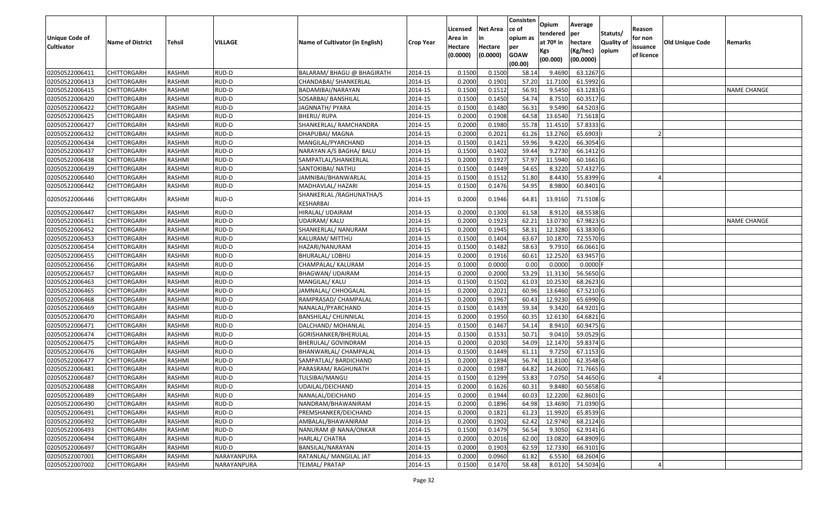|                                  |                            |                         |                |                                            |                    | Licensed         | <b>Net Area</b>  | Consisten<br>ce of | Opium             | Average                |                  | Reason     |                 |                    |
|----------------------------------|----------------------------|-------------------------|----------------|--------------------------------------------|--------------------|------------------|------------------|--------------------|-------------------|------------------------|------------------|------------|-----------------|--------------------|
| Unique Code of                   |                            |                         |                |                                            |                    | Area in          |                  | opium as           | tendered          | per                    | Statuts/         | for non    |                 |                    |
| <b>Cultivator</b>                | <b>Name of District</b>    | <b>Tehsil</b>           | VILLAGE        | Name of Cultivator (in English)            | <b>Crop Year</b>   | Hectare          | Hectare          | per                | at $70°$ in       | hectare                | <b>Quality o</b> | issuance   | Old Unique Code | Remarks            |
|                                  |                            |                         |                |                                            |                    | (0.0000)         | (0.0000)         | <b>GOAW</b>        | Kgs               | (Kg/hec)               | opium            | of licence |                 |                    |
|                                  |                            |                         |                |                                            |                    |                  |                  | (00.00)            | (00.000)          | (00.0000)              |                  |            |                 |                    |
| 02050522006411                   | CHITTORGARH                | RASHMI                  | RUD-D          | BALARAM/ BHAGU @ BHAGIRATH                 | 2014-15            | 0.1500           | 0.1500           | 58.14              | 9.4690            | 63.1267 G              |                  |            |                 |                    |
| 02050522006413                   | CHITTORGARH                | RASHMI                  | RUD-D          | CHANDABAI/ SHANKERLAL                      | 2014-15            | 0.2000           | 0.1901           | 57.20              | 11.7100           | 61.5992 G              |                  |            |                 |                    |
| 02050522006415                   | CHITTORGARH                | RASHMI                  | RUD-D          | BADAMIBAI/NARAYAN                          | 2014-15            | 0.1500           | 0.1512           | 56.91              | 9.5450            | 63.1283 G              |                  |            |                 | <b>NAME CHANGE</b> |
| 02050522006420                   | <b>CHITTORGARH</b>         | RASHMI                  | RUD-D          | SOSARBAI/ BANSHILAL                        | 2014-15            | 0.1500           | 0.1450           | 54.74              | 8.7510            | 60.3517 G              |                  |            |                 |                    |
| 02050522006422                   | CHITTORGARH                | RASHMI                  | RUD-D          | JAGNNATH/ PYARA                            | 2014-15            | 0.1500           | 0.1480           | 56.31              | 9.5490            | 64.5203 G              |                  |            |                 |                    |
| 02050522006425                   | CHITTORGARH                | RASHMI                  | RUD-D          | BHERU/ RUPA                                | 2014-15            | 0.2000           | 0.1908           | 64.58              | 13.6540           | 71.5618 G              |                  |            |                 |                    |
| 02050522006427                   | CHITTORGARH                | RASHMI                  | RUD-D          | SHANKERLAL/ RAMCHANDRA                     | 2014-15            | 0.2000           | 0.1980           | 55.78              | 11.4510           | 57.8333 G              |                  |            |                 |                    |
| 02050522006432                   | CHITTORGARH                | <b>RASHMI</b>           | RUD-D          | DHAPUBAI/ MAGNA                            | 2014-15            | 0.2000           | 0.2021           | 61.26              | 13.2760           | 65.6903                |                  |            |                 |                    |
| 02050522006434                   | CHITTORGARH                | RASHMI                  | RUD-D          | MANGILAL/PYARCHAND                         | 2014-15            | 0.1500           | 0.1421           | 59.96              | 9.4220            | 66.3054 G              |                  |            |                 |                    |
| 02050522006437                   | CHITTORGARH                | RASHMI                  | RUD-D          | NARAYAN A/S BAGHA/ BALU                    | 2014-15            | 0.1500           | 0.1402           | 59.44              | 9.2730            | 66.1412 G              |                  |            |                 |                    |
| 02050522006438                   | CHITTORGARH                | RASHMI                  | RUD-D          | SAMPATLAL/SHANKERLAL                       | 2014-15            | 0.2000           | 0.1927           | 57.97              | 11.5940           | 60.1661G               |                  |            |                 |                    |
| 02050522006439                   | CHITTORGARH                | RASHMI                  | RUD-D          | SANTOKIBAI/ NATHU                          | 2014-15            | 0.1500           | 0.1449           | 54.65              | 8.3220            | 57.4327 G              |                  |            |                 |                    |
| 02050522006440                   | <b>CHITTORGARH</b>         | RASHMI                  | RUD-D          | JAMNIBAI/BHANWARLAL                        | 2014-15            | 0.1500           | 0.1512           | 51.80              | 8.4430            | 55.8399 G              |                  |            |                 |                    |
| 02050522006442                   | CHITTORGARH                | RASHMI                  | RUD-D          | MADHAVLAL/HAZARI                           | 2014-15            | 0.1500           | 0.1476           | 54.95              | 8.9800            | 60.8401 G              |                  |            |                 |                    |
| 02050522006446                   | CHITTORGARH                | RASHMI                  | RUD-D          | SHANKERLAL /RAGHUNATHA/S                   | 2014-15            | 0.2000           | 0.1946           | 64.81              | 13.9160           | 71.5108G               |                  |            |                 |                    |
|                                  |                            |                         |                | KESHARBAI                                  |                    |                  |                  |                    |                   |                        |                  |            |                 |                    |
| 02050522006447                   | CHITTORGARH                | RASHMI                  | RUD-D          | HIRALAL/ UDAIRAM                           | 2014-15            | 0.2000           | 0.1300           | 61.58              | 8.9120            | 68.5538 G              |                  |            |                 |                    |
| 02050522006451                   | CHITTORGARH                | RASHMI                  | RUD-D          | UDAIRAM/KALU                               | 2014-15            | 0.2000           | 0.1923           | 62.21              | 13.0730           | 67.9823 G              |                  |            |                 | <b>NAME CHANGE</b> |
| 02050522006452                   | CHITTORGARH                | RASHMI                  | RUD-D          | SHANKERLAL/ NANURAM                        | 2014-15            | 0.2000           | 0.1945           | 58.3               | 12.3280           | 63.3830 G              |                  |            |                 |                    |
| 02050522006453                   | CHITTORGARH                | RASHMI                  | RUD-D          | KALURAM/ MITTHU                            | 2014-15            | 0.1500           | 0.1404           | 63.67              | 10.1870           | 72.5570 G              |                  |            |                 |                    |
| 02050522006454                   | CHITTORGARH                | RASHMI                  | RUD-D          | HAZARI/NANURAM                             | 2014-15            | 0.1500           | 0.1482           | 58.63              | 9.7910            | 66.0661 G              |                  |            |                 |                    |
| 02050522006455                   | CHITTORGARH                | RASHMI                  | RUD-D          | BHURALAL/ LOBHU                            | 2014-15            | 0.2000           | 0.1916           | 60.61              | 12.2520           | 63.9457 G              |                  |            |                 |                    |
| 02050522006456                   | CHITTORGARH                | RASHMI                  | RUD-D          | CHAMPALAL/ KALURAM                         | 2014-15            | 0.1000           | 0.0000           | 0.00               | 0.0000            | $0.0000$ F             |                  |            |                 |                    |
| 02050522006457                   | CHITTORGARH                | RASHMI                  | RUD-D          | BHAGWAN/ UDAIRAM                           | 2014-15            | 0.2000           | 0.2000           | 53.29              | 11.3130           | 56.5650 G              |                  |            |                 |                    |
| 02050522006463                   | CHITTORGARH                | RASHMI                  | RUD-D          | MANGILAL/ KALU                             | 2014-15            | 0.1500           | 0.1502           | 61.03              | 10.2530           | 68.2623 G              |                  |            |                 |                    |
| 02050522006465                   | CHITTORGARH                | RASHMI                  | RUD-D          | JAMNALAL/ CHHOGALAL                        | 2014-15            | 0.2000           | 0.2021           | 60.96              | 13.6460           | 67.5210 G              |                  |            |                 |                    |
| 02050522006468                   | CHITTORGARH                | RASHMI                  | RUD-D          | RAMPRASAD/ CHAMPALAL                       | 2014-15            | 0.2000           | 0.1967           | 60.43              | 12.9230           | 65.6990 G              |                  |            |                 |                    |
| 02050522006469                   | CHITTORGARH                | RASHMI                  | RUD-D          | NANALAL/PYARCHAND                          | 2014-15            | 0.1500           | 0.1439           | 59.34              | 9.3420            | 64.9201G               |                  |            |                 |                    |
| 02050522006470                   | <b>CHITTORGARH</b>         | <b>RASHMI</b><br>RASHMI | RUD-D<br>RUD-D | BANSHILAL/ CHUNNILAL                       | 2014-15<br>2014-15 | 0.2000<br>0.1500 | 0.1950<br>0.1467 | 60.35<br>54.14     | 12.6130<br>8.9410 | 64.6821 G<br>60.9475 G |                  |            |                 |                    |
| 02050522006471<br>02050522006474 | CHITTORGARH<br>CHITTORGARH | RASHMI                  | RUD-D          | DALCHAND/ MOHANLAL<br>GORISHANKER/BHERULAL | 2014-15            | 0.1500           | 0.1531           | 50.72              | 9.041             | 59.0529 G              |                  |            |                 |                    |
| 02050522006475                   | CHITTORGARH                | RASHMI                  | RUD-D          | BHERULAL/ GOVINDRAM                        | 2014-15            | 0.2000           | 0.2030           | 54.09              | 12.1470           | 59.8374 G              |                  |            |                 |                    |
| 02050522006476                   | CHITTORGARH                | RASHMI                  | RUD-D          | BHANWARLAL/ CHAMPALAL                      | 2014-15            | 0.1500           | 0.1449           | 61.11              | 9.7250            | 67.1153 G              |                  |            |                 |                    |
| 02050522006477                   | <b>CHITTORGARH</b>         | RASHMI                  | RUD-D          | SAMPATLAL/ BARDICHAND                      | 2014-15            | 0.2000           | 0.1894           | 56.74              | 11.8100           | 62.3548 G              |                  |            |                 |                    |
| 02050522006481                   | CHITTORGARH                | RASHMI                  | RUD-D          | PARASRAM/ RAGHUNATH                        | 2014-15            | 0.2000           | 0.1987           | 64.82              | 14.2600           | 71.7665 G              |                  |            |                 |                    |
| 02050522006487                   | CHITTORGARH                | RASHMI                  | RUD-D          | TULSIBAI/MANGU                             | 2014-15            | 0.1500           | 0.1299           | 53.83              | 7.0750            | 54.4650 G              |                  |            |                 |                    |
| 02050522006488                   | <b>CHITTORGARH</b>         | RASHMI                  | RUD-D          | UDAILAL/DEICHAND                           | 2014-15            | 0.2000           | 0.1626           | 60.31              | 9.8480            | 60.5658 G              |                  |            |                 |                    |
| 02050522006489                   | <b>CHITTORGARH</b>         | RASHMI                  | RUD-D          | NANALAL/DEICHAND                           | 2014-15            | 0.2000           | 0.1944           | 60.03              | 12.2200           | 62.8601 G              |                  |            |                 |                    |
| 02050522006490                   | <b>CHITTORGARH</b>         | RASHMI                  | RUD-D          | NANDRAM/BHAWANIRAM                         | 2014-15            | 0.2000           | 0.1896           | 64.98              | 13.4690           | 71.0390 G              |                  |            |                 |                    |
| 02050522006491                   | <b>CHITTORGARH</b>         | RASHMI                  | RUD-D          | PREMSHANKER/DEICHAND                       | 2014-15            | 0.2000           | 0.1821           | 61.23              | 11.9920           | 65.8539 G              |                  |            |                 |                    |
| 02050522006492                   | CHITTORGARH                | RASHMI                  | RUD-D          | AMBALAL/BHAWANIRAM                         | 2014-15            | 0.2000           | 0.1902           | 62.42              | 12.9740           | 68.2124 G              |                  |            |                 |                    |
| 02050522006493                   | <b>CHITTORGARH</b>         | RASHMI                  | RUD-D          | NANURAM @ NANA/ONKAR                       | 2014-15            | 0.1500           | 0.1479           | 56.54              | 9.3050            | 62.9141 G              |                  |            |                 |                    |
| 02050522006494                   | <b>CHITTORGARH</b>         | RASHMI                  | RUD-D          | HARLAL/ CHATRA                             | 2014-15            | 0.2000           | 0.2016           | 62.00              | 13.0820           | 64.8909 G              |                  |            |                 |                    |
| 02050522006497                   | CHITTORGARH                | RASHMI                  | RUD-D          | BANSILAL/NARAYAN                           | 2014-15            | 0.2000           | 0.1903           | 62.59              | 12.7330           | 66.9101 G              |                  |            |                 |                    |
| 02050522007001                   | <b>CHITTORGARH</b>         | RASHMI                  | NARAYANPURA    | RATANLAL/ MANGILAL JAT                     | 2014-15            | 0.2000           | 0.0960           | 61.82              | 6.5530            | 68.2604 G              |                  |            |                 |                    |
| 02050522007002                   | <b>CHITTORGARH</b>         | RASHMI                  | NARAYANPURA    | TEJMAL/ PRATAP                             | 2014-15            | 0.1500           | 0.1470           | 58.48              | 8.0120            | 54.5034 G              |                  |            |                 |                    |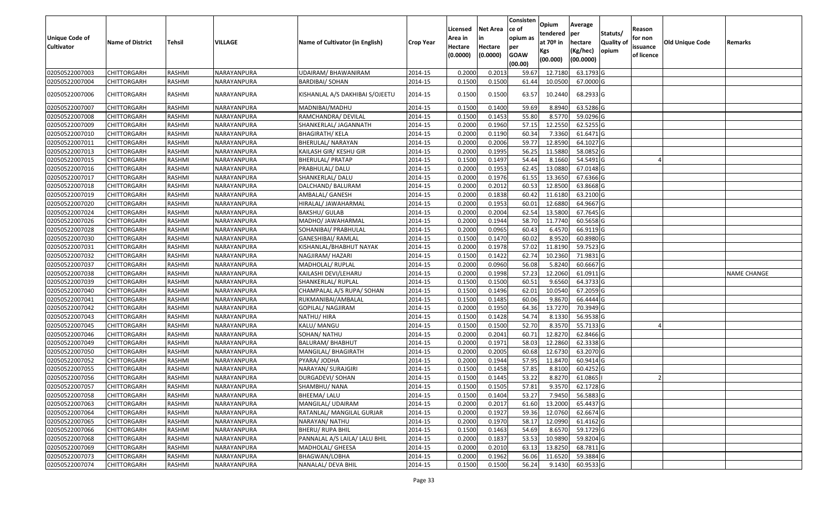| <b>Unique Code of</b><br><b>Cultivator</b> | <b>Name of District</b> | Tehsil        | VILLAGE     | Name of Cultivator (in English) | <b>Crop Year</b> | Licensed<br>Area in<br>Hectare<br>(0.0000) | Net Area<br>in<br>Hectare<br>(0.0000) | Consisten<br>ce of<br>opium as<br>per<br><b>GOAW</b><br>(00.00) | <b>Opium</b><br>tendered<br>at 70 <sup>o</sup> in<br>Kgs<br>(00.000) | Average<br>per<br>hectare<br>(Kg/hec)<br>(00.0000) | Statuts/<br><b>Quality of</b><br>opium | Reason<br>for non<br>issuance<br>of licence | Old Unique Code | Remarks     |
|--------------------------------------------|-------------------------|---------------|-------------|---------------------------------|------------------|--------------------------------------------|---------------------------------------|-----------------------------------------------------------------|----------------------------------------------------------------------|----------------------------------------------------|----------------------------------------|---------------------------------------------|-----------------|-------------|
| 02050522007003                             | <b>CHITTORGARH</b>      | RASHMI        | NARAYANPURA | UDAIRAM/BHAWANIRAM              | 2014-15          | 0.2000                                     | 0.2013                                | 59.67                                                           | 12.7180                                                              | 63.1793 G                                          |                                        |                                             |                 |             |
| 02050522007004                             | CHITTORGARH             | RASHMI        | NARAYANPURA | <b>BARDIBAI/ SOHAN</b>          | 2014-15          | 0.1500                                     | 0.1500                                | 61.44                                                           | 10.0500                                                              | 67.0000 G                                          |                                        |                                             |                 |             |
| 02050522007006                             | CHITTORGARH             | RASHMI        | NARAYANPURA | KISHANLAL A/S DAKHIBAI S/OJEETU | 2014-15          | 0.1500                                     | 0.1500                                | 63.57                                                           | 10.2440                                                              | 68.2933 G                                          |                                        |                                             |                 |             |
| 02050522007007                             | CHITTORGARH             | <b>RASHMI</b> | NARAYANPURA | MADNIBAI/MADHU                  | 2014-15          | 0.1500                                     | 0.1400                                | 59.69                                                           | 8.8940                                                               | 63.5286 G                                          |                                        |                                             |                 |             |
| 02050522007008                             | CHITTORGARH             | RASHMI        | NARAYANPURA | RAMCHANDRA/ DEVILAL             | 2014-15          | 0.1500                                     | 0.1453                                | 55.80                                                           | 8.5770                                                               | 59.0296 G                                          |                                        |                                             |                 |             |
| 02050522007009                             | CHITTORGARH             | RASHMI        | NARAYANPURA | SHANKERLAL/ JAGANNATH           | 2014-15          | 0.2000                                     | 0.1960                                | 57.15                                                           | 12.2550                                                              | 62.5255 G                                          |                                        |                                             |                 |             |
| 02050522007010                             | <b>CHITTORGARH</b>      | <b>RASHMI</b> | NARAYANPURA | <b>BHAGIRATH/ KELA</b>          | 2014-15          | 0.2000                                     | 0.1190                                | 60.34                                                           | 7.3360                                                               | 61.6471 G                                          |                                        |                                             |                 |             |
| 02050522007011                             | <b>CHITTORGARH</b>      | RASHMI        | NARAYANPURA | BHERULAL/ NARAYAN               | 2014-15          | 0.2000                                     | 0.2006                                | 59.77                                                           | 12.8590                                                              | 64.1027 G                                          |                                        |                                             |                 |             |
| 02050522007013                             | <b>CHITTORGARH</b>      | RASHMI        | NARAYANPURA | KAILASH GIR/ KESHU GIR          | 2014-15          | 0.2000                                     | 0.1995                                | 56.25                                                           | 11.5880                                                              | 58.0852 G                                          |                                        |                                             |                 |             |
| 02050522007015                             | CHITTORGARH             | RASHMI        | NARAYANPURA | <b>BHERULAL/ PRATAP</b>         | 2014-15          | 0.1500                                     | 0.1497                                | 54.44                                                           | 8.1660                                                               | 54.5491 G                                          |                                        |                                             |                 |             |
| 02050522007016                             | <b>CHITTORGARH</b>      | <b>RASHMI</b> | NARAYANPURA | PRABHULAL/ DALU                 | 2014-15          | 0.2000                                     | 0.1953                                | 62.45                                                           | 13.0880                                                              | 67.0148 G                                          |                                        |                                             |                 |             |
| 02050522007017                             | <b>CHITTORGARH</b>      | RASHMI        | NARAYANPURA | SHANKERLAL/ DALU                | 2014-15          | 0.2000                                     | 0.1976                                | 61.55                                                           | 13.3650                                                              | 67.6366 G                                          |                                        |                                             |                 |             |
| 02050522007018                             | <b>CHITTORGARH</b>      | RASHMI        | NARAYANPURA | DALCHAND/ BALURAM               | 2014-15          | 0.2000                                     | 0.2012                                | 60.53                                                           | 12.8500                                                              | 63.8668 G                                          |                                        |                                             |                 |             |
| 02050522007019                             | CHITTORGARH             | RASHMI        | NARAYANPURA | AMBALAL/ GANESH                 | 2014-15          | 0.2000                                     | 0.1838                                | 60.42                                                           | 11.6180                                                              | 63.2100 G                                          |                                        |                                             |                 |             |
| 02050522007020                             | CHITTORGARH             | <b>RASHMI</b> | NARAYANPURA | HIRALAL/ JAWAHARMAL             | 2014-15          | 0.2000                                     | 0.1953                                | 60.01                                                           | 12.6880                                                              | 64.9667 G                                          |                                        |                                             |                 |             |
| 02050522007024                             | CHITTORGARH             | RASHMI        | NARAYANPURA | <b>BAKSHU/ GULAB</b>            | 2014-15          | 0.2000                                     | 0.2004                                | 62.54                                                           | 13.5800                                                              | 67.7645 G                                          |                                        |                                             |                 |             |
| 02050522007026                             | CHITTORGARH             | RASHMI        | NARAYANPURA | MADHO/ JAWAHARMAL               | 2014-15          | 0.2000                                     | 0.1944                                | 58.70                                                           | 11.7740                                                              | 60.5658 G                                          |                                        |                                             |                 |             |
| 02050522007028                             | CHITTORGARH             | RASHMI        | NARAYANPURA | SOHANIBAI/ PRABHULAL            | 2014-15          | 0.2000                                     | 0.0965                                | 60.43                                                           | 6.4570                                                               | 66.9119 G                                          |                                        |                                             |                 |             |
| 02050522007030                             | CHITTORGARH             | <b>RASHMI</b> | NARAYANPURA | GANESHIBAI/ RAMLAL              | 2014-15          | 0.1500                                     | 0.1470                                | 60.02                                                           | 8.9520                                                               | 60.8980 G                                          |                                        |                                             |                 |             |
| 02050522007031                             | <b>CHITTORGARH</b>      | RASHMI        | NARAYANPURA | KISHANLAL/BHABHUT NAYAK         | 2014-15          | 0.2000                                     | 0.1978                                | 57.02                                                           | 11.8190                                                              | 59.7523 G                                          |                                        |                                             |                 |             |
| 02050522007032                             | CHITTORGARH             | RASHMI        | NARAYANPURA | NAGJIRAM/ HAZARI                | 2014-15          | 0.1500                                     | 0.1422                                | 62.74                                                           | 10.2360                                                              | 71.9831 G                                          |                                        |                                             |                 |             |
| 02050522007037                             | CHITTORGARH             | RASHMI        | NARAYANPURA | MADHOLAL/ RUPLAL                | 2014-15          | 0.2000                                     | 0.0960                                | 56.08                                                           | 5.8240                                                               | 60.6667 G                                          |                                        |                                             |                 |             |
| 02050522007038                             | CHITTORGARH             | RASHMI        | NARAYANPURA | KAILASHI DEVI/LEHARU            | 2014-15          | 0.2000                                     | 0.1998                                | 57.23                                                           | 12.2060                                                              | 61.0911 G                                          |                                        |                                             |                 | NAME CHANGE |
| 02050522007039                             | <b>CHITTORGARH</b>      | RASHMI        | NARAYANPURA | SHANKERLAL/ RUPLAL              | 2014-15          | 0.1500                                     | 0.1500                                | 60.51                                                           | 9.6560                                                               | 64.3733 G                                          |                                        |                                             |                 |             |
| 02050522007040                             | CHITTORGARH             | RASHMI        | NARAYANPURA | CHAMPALAL A/S RUPA/ SOHAN       | 2014-15          | 0.1500                                     | 0.1496                                | 62.01                                                           | 10.0540                                                              | 67.2059 G                                          |                                        |                                             |                 |             |
| 02050522007041                             | CHITTORGARH             | RASHMI        | NARAYANPURA | RUKMANIBAI/AMBALAL              | 2014-15          | 0.1500                                     | 0.1485                                | 60.06                                                           | 9.8670                                                               | 66.4444 G                                          |                                        |                                             |                 |             |
| 02050522007042                             | CHITTORGARH             | RASHMI        | NARAYANPURA | GOPILAL/ NAGJIRAM               | 2014-15          | 0.2000                                     | 0.1950                                | 64.36                                                           | 13.7270                                                              | 70.3949 G                                          |                                        |                                             |                 |             |
| 02050522007043                             | <b>CHITTORGARH</b>      | <b>RASHMI</b> | NARAYANPURA | NATHU/ HIRA                     | 2014-15          | 0.1500                                     | 0.1428                                | 54.74                                                           | 8.1330                                                               | 56.9538 G                                          |                                        |                                             |                 |             |
| 02050522007045                             | CHITTORGARH             | RASHMI        | NARAYANPURA | KALU/ MANGU                     | 2014-15          | 0.1500                                     | 0.1500                                | 52.70                                                           | 8.3570                                                               | 55.7133 G                                          |                                        |                                             |                 |             |
| 02050522007046                             | <b>CHITTORGARH</b>      | RASHMI        | NARAYANPURA | SOHAN/ NATHU                    | 2014-15          | 0.2000                                     | 0.2041                                | 60.71                                                           | 12.8270                                                              | 62.8466 G                                          |                                        |                                             |                 |             |
| 02050522007049                             | CHITTORGARH             | RASHMI        | NARAYANPURA | BALURAM/ BHABHUT                | 2014-15          | 0.2000                                     | 0.1972                                | 58.03                                                           | 12.2860                                                              | 62.3338 G                                          |                                        |                                             |                 |             |
| 02050522007050                             | <b>CHITTORGARH</b>      | RASHMI        | NARAYANPURA | MANGILAL/ BHAGIRATH             | 2014-15          | 0.2000                                     | 0.2005                                | 60.68                                                           | 12.6730                                                              | 63.2070 G                                          |                                        |                                             |                 |             |
| 02050522007052                             | <b>CHITTORGARH</b>      | RASHMI        | NARAYANPURA | PYARA/ JODHA                    | 2014-15          | 0.2000                                     | 0.1944                                | 57.95                                                           | 11.8470                                                              | 60.9414 G                                          |                                        |                                             |                 |             |
| 02050522007055                             | CHITTORGARH             | RASHMI        | NARAYANPURA | NARAYAN/ SURAJGIRI              | 2014-15          | 0.1500                                     | 0.1458                                | 57.85                                                           | 8.8100                                                               | 60.4252 G                                          |                                        |                                             |                 |             |
| 02050522007056                             | <b>CHITTORGARH</b>      | RASHMI        | NARAYANPURA | DURGADEVI/ SOHAN                | 2014-15          | 0.1500                                     | 0.1445                                | 53.22                                                           | 8.8270                                                               | 61.0865                                            |                                        |                                             |                 |             |
| 02050522007057                             | <b>CHITTORGARH</b>      | RASHMI        | NARAYANPURA | SHAMBHU/ NANA                   | 2014-15          | 0.1500                                     | 0.1505                                | 57.81                                                           |                                                                      | 9.3570 62.1728 G                                   |                                        |                                             |                 |             |
| 02050522007058                             | <b>CHITTORGARH</b>      | RASHMI        | NARAYANPURA | BHEEMA/ LALU                    | 2014-15          | 0.1500                                     | 0.1404                                | 53.27                                                           | 7.9450                                                               | 56.5883 G                                          |                                        |                                             |                 |             |
| 02050522007063                             | <b>CHITTORGARH</b>      | RASHMI        | NARAYANPURA | MANGILAL/ UDAIRAM               | 2014-15          | 0.2000                                     | 0.2017                                | 61.60                                                           | 13.2000                                                              | 65.4437 G                                          |                                        |                                             |                 |             |
| 02050522007064                             | <b>CHITTORGARH</b>      | RASHMI        | NARAYANPURA | RATANLAL/ MANGILAL GURJAR       | 2014-15          | 0.2000                                     | 0.1927                                | 59.36                                                           | 12.0760                                                              | 62.6674 G                                          |                                        |                                             |                 |             |
| 02050522007065                             | <b>CHITTORGARH</b>      | RASHMI        | NARAYANPURA | NARAYAN/ NATHU                  | 2014-15          | 0.2000                                     | 0.1970                                | 58.17                                                           | 12.0990                                                              | 61.4162 G                                          |                                        |                                             |                 |             |
| 02050522007066                             | <b>CHITTORGARH</b>      | RASHMI        | NARAYANPURA | <b>BHERU/ RUPA BHIL</b>         | 2014-15          | 0.1500                                     | 0.1463                                | 54.69                                                           | 8.6570                                                               | 59.1729 G                                          |                                        |                                             |                 |             |
| 02050522007068                             | <b>CHITTORGARH</b>      | RASHMI        | NARAYANPURA | PANNALAL A/S LAILA/ LALU BHIL   | 2014-15          | 0.2000                                     | 0.1837                                | 53.53                                                           | 10.9890                                                              | 59.8204 G                                          |                                        |                                             |                 |             |
| 02050522007069                             | <b>CHITTORGARH</b>      | RASHMI        | NARAYANPURA | MADHOLAL/ GHEESA                | 2014-15          | 0.2000                                     | 0.2010                                | 63.13                                                           | 13.8250                                                              | 68.7811 G                                          |                                        |                                             |                 |             |
| 02050522007073                             | <b>CHITTORGARH</b>      | RASHMI        | NARAYANPURA | BHAGWAN/LOBHA                   | 2014-15          | 0.2000                                     | 0.1962                                | 56.06                                                           | 11.6520                                                              | 59.3884 G                                          |                                        |                                             |                 |             |
| 02050522007074                             | <b>CHITTORGARH</b>      | RASHMI        | NARAYANPURA | NANALAL/ DEVA BHIL              | 2014-15          | 0.1500                                     | 0.1500                                | 56.24                                                           | 9.1430                                                               | 60.9533 G                                          |                                        |                                             |                 |             |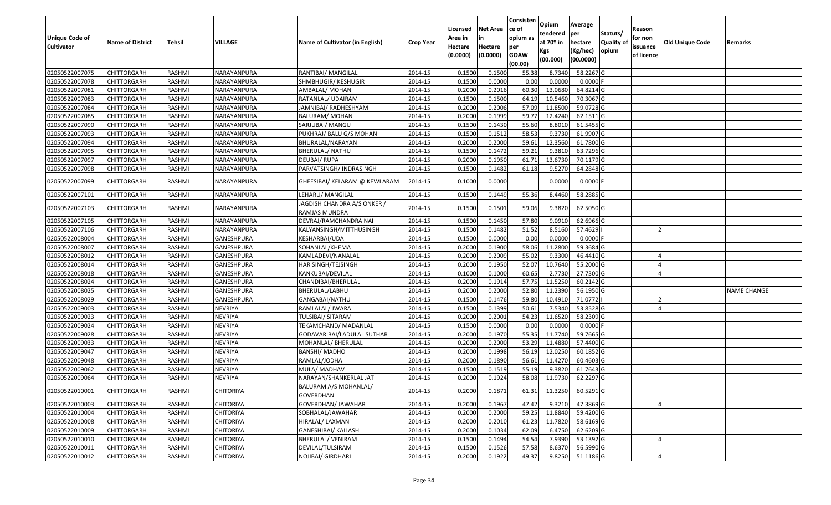| <b>Unique Code of</b><br><b>Cultivator</b> | <b>Name of District</b> | <b>Tehsil</b> | <b>VILLAGE</b>    | Name of Cultivator (in English)              | <b>Crop Year</b> | Licensed<br>Area in<br>Hectare<br>(0.0000) | <b>Net Area</b><br>Hectare<br>(0.0000) | Consisten<br>ce of<br>opium as<br>per<br><b>GOAW</b> | Opium<br>tendered<br>at $70°$ in<br>Kgs | Average<br>per<br>hectare<br>(Kg/hec) | Statuts/<br><b>Quality o</b><br>opium | Reason<br>for non<br>issuance<br>of licence | <b>Old Unique Code</b> | Remarks            |
|--------------------------------------------|-------------------------|---------------|-------------------|----------------------------------------------|------------------|--------------------------------------------|----------------------------------------|------------------------------------------------------|-----------------------------------------|---------------------------------------|---------------------------------------|---------------------------------------------|------------------------|--------------------|
|                                            |                         |               |                   |                                              |                  |                                            |                                        | (00.00)                                              | (00.000)                                | (00.0000)                             |                                       |                                             |                        |                    |
| 02050522007075                             | CHITTORGARH             | RASHMI        | NARAYANPURA       | RANTIBAI/ MANGILAL                           | 2014-15          | 0.1500                                     | 0.1500                                 | 55.38                                                | 8.7340                                  | 58.2267 G                             |                                       |                                             |                        |                    |
| 02050522007078                             | CHITTORGARH             | RASHMI        | NARAYANPURA       | SHMBHUGIR/ KESHUGIR                          | 2014-15          | 0.1500                                     | 0.0000                                 | 0.00                                                 | 0.0000                                  | $0.0000$ F                            |                                       |                                             |                        |                    |
| 02050522007081                             | CHITTORGARH             | RASHMI        | NARAYANPURA       | AMBALAL/ MOHAN                               | 2014-15          | 0.2000                                     | 0.2016                                 | 60.30                                                | 13.0680                                 | 64.8214 G                             |                                       |                                             |                        |                    |
| 02050522007083                             | CHITTORGARH             | RASHMI        | NARAYANPURA       | RATANLAL/ UDAIRAM                            | 2014-15          | 0.1500                                     | 0.1500                                 | 64.19                                                | 10.5460                                 | 70.3067 G                             |                                       |                                             |                        |                    |
| 02050522007084                             | CHITTORGARH             | RASHMI        | NARAYANPURA       | JAMNIBAI/ RADHESHYAM                         | 2014-15          | 0.2000                                     | 0.2006                                 | 57.09                                                | 11.8500                                 | 59.0728 G                             |                                       |                                             |                        |                    |
| 02050522007085                             | CHITTORGARH             | RASHMI        | NARAYANPURA       | <b>BALURAM/ MOHAN</b>                        | 2014-15          | 0.2000                                     | 0.1999                                 | 59.7                                                 | 12.4240                                 | 62.1511 G                             |                                       |                                             |                        |                    |
| 02050522007090                             | CHITTORGARH             | RASHMI        | NARAYANPURA       | SARJUBAI/ MANGU                              | 2014-15          | 0.1500                                     | 0.1430                                 | 55.60                                                | 8.8010                                  | 61.5455 G                             |                                       |                                             |                        |                    |
| 02050522007093                             | CHITTORGARH             | <b>RASHMI</b> | NARAYANPURA       | PUKHRAJ/ BALU G/S MOHAN                      | 2014-15          | 0.1500                                     | 0.1512                                 | 58.53                                                | 9.3730                                  | 61.9907 G                             |                                       |                                             |                        |                    |
| 02050522007094                             | CHITTORGARH             | RASHMI        | NARAYANPURA       | BHURALAL/NARAYAN                             | 2014-15          | 0.2000                                     | 0.2000                                 | 59.61                                                | 12.3560                                 | 61.7800 G                             |                                       |                                             |                        |                    |
| 02050522007095                             | CHITTORGARH             | RASHMI        | NARAYANPURA       | BHERULAL/ NATHU                              | 2014-15          | 0.1500                                     | 0.1472                                 | 59.23                                                | 9.381                                   | 63.7296 G                             |                                       |                                             |                        |                    |
| 02050522007097                             | CHITTORGARH             | RASHMI        | NARAYANPURA       | DEUBAI/RUPA                                  | 2014-15          | 0.2000                                     | 0.1950                                 | 61.71                                                | 13.6730                                 | 70.1179 G                             |                                       |                                             |                        |                    |
| 02050522007098                             | CHITTORGARH             | RASHMI        | NARAYANPURA       | PARVATSINGH/ INDRASINGH                      | 2014-15          | 0.1500                                     | 0.1482                                 | 61.18                                                | 9.5270                                  | 64.2848 G                             |                                       |                                             |                        |                    |
| 02050522007099                             | CHITTORGARH             | RASHMI        | NARAYANPURA       | GHEESIBAI/ KELARAM @ KEWLARAM                | 2014-15          | 0.1000                                     | 0.0000                                 |                                                      | 0.0000                                  | $0.0000$ F                            |                                       |                                             |                        |                    |
| 02050522007101                             | CHITTORGARH             | RASHMI        | NARAYANPURA       | LEHARU/ MANGILAL                             | 2014-15          | 0.1500                                     | 0.1449                                 | 55.36                                                | 8.4460                                  | 58.2885 G                             |                                       |                                             |                        |                    |
| 02050522007103                             | CHITTORGARH             | RASHMI        | NARAYANPURA       | JAGDISH CHANDRA A/S ONKER /<br>RAMJAS MUNDRA | 2014-15          | 0.1500                                     | 0.1501                                 | 59.06                                                | 9.3820                                  | 62.5050 G                             |                                       |                                             |                        |                    |
| 02050522007105                             | CHITTORGARH             | RASHMI        | NARAYANPURA       | DEVRAJ/RAMCHANDRA NAI                        | 2014-15          | 0.150                                      | 0.1450                                 | 57.80                                                | 9.091                                   | 62.6966 G                             |                                       |                                             |                        |                    |
| 02050522007106                             | CHITTORGARH             | RASHMI        | NARAYANPURA       | KALYANSINGH/MITTHUSINGH                      | 2014-15          | 0.1500                                     | 0.1482                                 | 51.52                                                | 8.5160                                  | 57.4629                               |                                       |                                             |                        |                    |
| 02050522008004                             | CHITTORGARH             | RASHMI        | GANESHPURA        | KESHARBAI/UDA                                | 2014-15          | 0.1500                                     | 0.0000                                 | 0.00                                                 | 0.0000                                  | 0.0000F                               |                                       |                                             |                        |                    |
| 02050522008007                             | CHITTORGARH             | RASHMI        | <b>GANESHPURA</b> | SOHANLAL/KHEMA                               | 2014-15          | 0.2000                                     | 0.1900                                 | 58.06                                                | 11.2800                                 | 59.3684 G                             |                                       |                                             |                        |                    |
| 02050522008012                             | CHITTORGARH             | RASHMI        | GANESHPURA        | KAMLADEVI/NANALAL                            | 2014-15          | 0.2000                                     | 0.2009                                 | 55.02                                                | 9.3300                                  | 46.4410G                              |                                       |                                             |                        |                    |
| 02050522008014                             | CHITTORGARH             | RASHMI        | GANESHPURA        | HARISINGH/TEJSINGH                           | 2014-15          | 0.2000                                     | 0.1950                                 | 52.07                                                | 10.7640                                 | 55.2000 G                             |                                       |                                             |                        |                    |
| 02050522008018                             | CHITTORGARH             | RASHMI        | GANESHPURA        | KANKUBAI/DEVILAL                             | 2014-15          | 0.1000                                     | 0.1000                                 | 60.65                                                | 2.7730                                  | 27.7300 G                             |                                       |                                             |                        |                    |
| 02050522008024                             | CHITTORGARH             | RASHMI        | <b>GANESHPURA</b> | CHANDIBAI/BHERULAL                           | 2014-15          | 0.2000                                     | 0.1914                                 | 57.75                                                | 11.5250                                 | 60.2142 G                             |                                       |                                             |                        |                    |
| 02050522008025                             | CHITTORGARH             | RASHMI        | GANESHPURA        | BHERULAL/LABHU                               | 2014-15          | 0.2000                                     | 0.2000                                 | 52.80                                                | 11.2390                                 | 56.1950 G                             |                                       |                                             |                        | <b>NAME CHANGE</b> |
| 02050522008029                             | CHITTORGARH             | RASHMI        | GANESHPURA        | GANGABAI/NATHU                               | 2014-15          | 0.1500                                     | 0.1476                                 | 59.80                                                | 10.491                                  | 71.0772                               |                                       |                                             |                        |                    |
| 02050522009003                             | CHITTORGARH             | RASHMI        | <b>NEVRIYA</b>    | RAMLALAL/ JWARA                              | 2014-15          | 0.1500                                     | 0.1399                                 | 50.62                                                | 7.5340                                  | 53.8528 G                             |                                       |                                             |                        |                    |
| 02050522009023                             | CHITTORGARH             | <b>RASHMI</b> | <b>NEVRIYA</b>    | TULSIBAI/ SITARAM                            | 2014-15          | 0.2000                                     | 0.2001                                 | 54.23                                                | 11.6520                                 | 58.2309 G                             |                                       |                                             |                        |                    |
| 02050522009024                             | CHITTORGARH             | RASHMI        | <b>NEVRIYA</b>    | TEKAMCHAND/ MADANLAL                         | 2014-15          | 0.1500                                     | 0.0000                                 | 0.00                                                 | 0.0000                                  | 0.0000F                               |                                       |                                             |                        |                    |
| 02050522009028                             | CHITTORGARH             | RASHMI        | <b>NEVRIYA</b>    | GODAVARIBAI/LADULAL SUTHAR                   | 2014-15          | 0.2000                                     | 0.1970                                 | 55.35                                                | 11.7740                                 | 59.7665 G                             |                                       |                                             |                        |                    |
| 02050522009033                             | CHITTORGARH             | RASHMI        | <b>NEVRIYA</b>    | MOHANLAL/ BHERULAL                           | 2014-15          | 0.2000                                     | 0.2000                                 | 53.29                                                | 11.4880                                 | 57.4400 G                             |                                       |                                             |                        |                    |
| 02050522009047                             | CHITTORGARH             | RASHMI        | <b>NEVRIYA</b>    | <b>BANSHI/ MADHO</b>                         | 2014-15          | 0.2000                                     | 0.1998                                 | 56.19                                                | 12.0250                                 | 60.1852 G                             |                                       |                                             |                        |                    |
| 02050522009048                             | CHITTORGARH             | RASHMI        | <b>NEVRIYA</b>    | RAMLAL/JODHA                                 | 2014-15          | 0.2000                                     | 0.1890                                 | 56.61                                                | 11.4270                                 | 60.4603G                              |                                       |                                             |                        |                    |
| 02050522009062                             | CHITTORGARH             | RASHMI        | <b>NEVRIYA</b>    | MULA/ MADHAV                                 | 2014-15          | 0.150                                      | 0.1519                                 | 55.19                                                | 9.3820                                  | 61.7643 G                             |                                       |                                             |                        |                    |
| 02050522009064                             | CHITTORGARH             | RASHMI        | <b>NEVRIYA</b>    | NARAYAN/SHANKERLAL JAT                       | 2014-15          | 0.2000                                     | 0.1924                                 | 58.08                                                | 11.9730                                 | 62.2297 G                             |                                       |                                             |                        |                    |
| 02050522010001                             | <b>CHITTORGARH</b>      | RASHMI        | <b>CHITORIYA</b>  | BALURAM A/S MOHANLAL/<br>GOVERDHAN           | 2014-15          | 0.2000                                     | 0.1871                                 |                                                      | 61.31 11.3250                           | 60.5291 G                             |                                       |                                             |                        |                    |
| 02050522010003                             | <b>CHITTORGARH</b>      | RASHMI        | CHITORIYA         | GOVERDHAN/ JAWAHAR                           | 2014-15          | 0.2000                                     | 0.1967                                 | 47.42                                                | 9.3210                                  | 47.3869 G                             |                                       |                                             |                        |                    |
| 02050522010004                             | <b>CHITTORGARH</b>      | RASHMI        | <b>CHITORIYA</b>  | SOBHALAL/JAWAHAR                             | 2014-15          | 0.2000                                     | 0.2000                                 | 59.25                                                | 11.8840                                 | 59.4200 G                             |                                       |                                             |                        |                    |
| 02050522010008                             | <b>CHITTORGARH</b>      | RASHMI        | <b>CHITORIYA</b>  | HIRALAL/ LAXMAN                              | 2014-15          | 0.2000                                     | 0.2010                                 | 61.23                                                | 11.7820                                 | 58.6169 G                             |                                       |                                             |                        |                    |
| 02050522010009                             | <b>CHITTORGARH</b>      | RASHMI        | <b>CHITORIYA</b>  | GANESHIBAI/ KAILASH                          | 2014-15          | 0.2000                                     | 0.1034                                 | 62.09                                                | 6.4750                                  | 62.6209 G                             |                                       |                                             |                        |                    |
| 02050522010010                             | <b>CHITTORGARH</b>      | RASHMI        | <b>CHITORIYA</b>  | <b>BHERULAL/ VENIRAM</b>                     | 2014-15          | 0.1500                                     | 0.1494                                 | 54.54                                                | 7.9390                                  | 53.1392 G                             |                                       |                                             |                        |                    |
| 02050522010011                             | <b>CHITTORGARH</b>      | RASHMI        | <b>CHITORIYA</b>  | DEVILAL/TULSIRAM                             | 2014-15          | 0.1500                                     | 0.1526                                 | 57.58                                                | 8.6370                                  | 56.5990 G                             |                                       |                                             |                        |                    |
| 02050522010012                             | <b>CHITTORGARH</b>      | RASHMI        | CHITORIYA         | NOJIBAI/ GIRDHARI                            | 2014-15          | 0.2000                                     | 0.1922                                 | 49.37                                                | 9.8250                                  | 51.1186 G                             |                                       |                                             |                        |                    |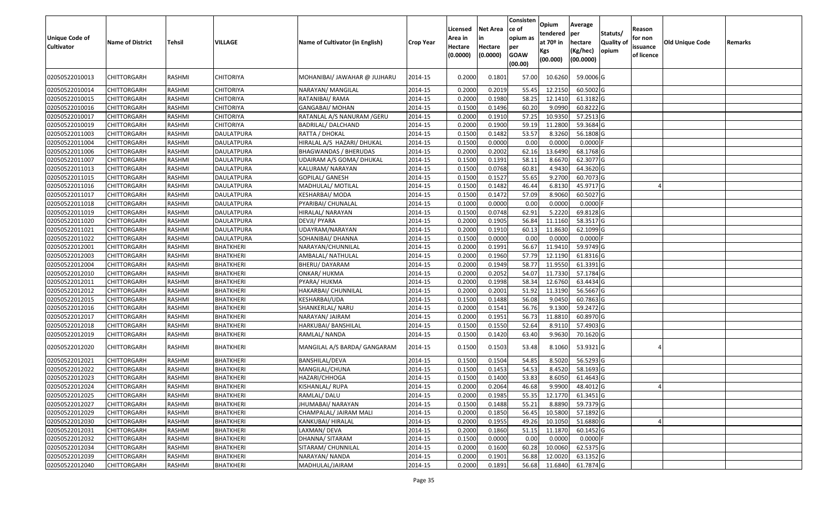| <b>Unique Code of</b><br><b>Cultivator</b> | <b>Name of District</b> | <b>Tehsil</b> | VILLAGE           | Name of Cultivator (in English) | <b>Crop Year</b> | Licensed<br>Area in<br>Hectare<br>(0.0000) | <b>Net Area</b><br>in<br>Hectare<br>(0.0000) | Consisten<br>ce of<br>opium as<br>per<br><b>GOAW</b><br>(00.00) | Opium<br>tendered<br>at $70°$ in<br>Kgs<br>(00.000) | Average<br>per<br>hectare<br>(Kg/hec)<br>(00.0000) | Statuts/<br>Quality of<br>opium | Reason<br>for non<br>issuance<br>of licence | <b>Old Unique Code</b> | Remarks |
|--------------------------------------------|-------------------------|---------------|-------------------|---------------------------------|------------------|--------------------------------------------|----------------------------------------------|-----------------------------------------------------------------|-----------------------------------------------------|----------------------------------------------------|---------------------------------|---------------------------------------------|------------------------|---------|
| 02050522010013                             | CHITTORGARH             | RASHMI        | <b>CHITORIYA</b>  | MOHANIBAI/ JAWAHAR @ JUJHARU    | 2014-15          | 0.2000                                     | 0.1801                                       | 57.00                                                           | 10.6260                                             | 59.0006 G                                          |                                 |                                             |                        |         |
| 02050522010014                             | CHITTORGARH             | RASHMI        | <b>CHITORIYA</b>  | NARAYAN/ MANGILAL               | 2014-15          | 0.2000                                     | 0.2019                                       | 55.45                                                           | 12.2150                                             | 60.5002 G                                          |                                 |                                             |                        |         |
| 02050522010015                             | <b>CHITTORGARH</b>      | RASHMI        | <b>CHITORIYA</b>  | RATANIBAI/ RAMA                 | 2014-15          | 0.2000                                     | 0.1980                                       | 58.25                                                           | 12.1410                                             | 61.3182 G                                          |                                 |                                             |                        |         |
| 02050522010016                             | <b>CHITTORGARH</b>      | RASHMI        | <b>CHITORIYA</b>  | GANGABAI/ MOHAN                 | 2014-15          | 0.1500                                     | 0.1496                                       | 60.20                                                           | 9.0990                                              | 60.8222 G                                          |                                 |                                             |                        |         |
| 02050522010017                             | <b>CHITTORGARH</b>      | RASHMI        | <b>CHITORIYA</b>  | RATANLAL A/S NANURAM /GERU      | 2014-15          | 0.2000                                     | 0.1910                                       | 57.25                                                           | 10.9350                                             | 57.2513 G                                          |                                 |                                             |                        |         |
| 02050522010019                             | CHITTORGARH             | RASHMI        | <b>CHITORIYA</b>  | BADRILAL/ DALCHAND              | 2014-15          | 0.2000                                     | 0.1900                                       | 59.19                                                           | 11.2800                                             | 59.3684 G                                          |                                 |                                             |                        |         |
| 02050522011003                             | CHITTORGARH             | RASHMI        | <b>DAULATPURA</b> | RATTA / DHOKAL                  | 2014-15          | 0.1500                                     | 0.1482                                       | 53.57                                                           | 8.3260                                              | 56.1808 G                                          |                                 |                                             |                        |         |
| 02050522011004                             | CHITTORGARH             | RASHMI        | DAULATPURA        | HIRALAL A/S HAZARI/ DHUKAL      | 2014-15          | 0.1500                                     | 0.0000                                       | 0.00                                                            | 0.0000                                              | $0.0000$ F                                         |                                 |                                             |                        |         |
| 02050522011006                             | CHITTORGARH             | RASHMI        | <b>DAULATPURA</b> | BHAGWANDAS / BHERUDAS           | 2014-15          | 0.2000                                     | 0.2002                                       | 62.16                                                           | 13.6490                                             | 68.1768 G                                          |                                 |                                             |                        |         |
| 02050522011007                             | CHITTORGARH             | RASHMI        | <b>DAULATPURA</b> | UDAIRAM A/S GOMA/ DHUKAL        | 2014-15          | 0.1500                                     | 0.1391                                       | 58.1                                                            | 8.6670                                              | 62.3077 G                                          |                                 |                                             |                        |         |
| 02050522011013                             | CHITTORGARH             | RASHMI        | DAULATPURA        | KALURAM/ NARAYAN                | 2014-15          | 0.1500                                     | 0.0768                                       | 60.81                                                           | 4.9430                                              | 64.3620 G                                          |                                 |                                             |                        |         |
| 02050522011015                             | <b>CHITTORGARH</b>      | RASHMI        | DAULATPURA        | GOPILAL/ GANESH                 | 2014-15          | 0.1500                                     | 0.1527                                       | 55.65                                                           | 9.2700                                              | 60.7073 G                                          |                                 |                                             |                        |         |
| 02050522011016                             | CHITTORGARH             | RASHMI        | <b>DAULATPURA</b> | MADHULAL/ MOTILAL               | 2014-15          | 0.1500                                     | 0.1482                                       | 46.44                                                           | 6.8130                                              | 45.9717 G                                          |                                 |                                             |                        |         |
| 02050522011017                             | CHITTORGARH             | RASHMI        | <b>DAULATPURA</b> | KESHARBAI/ MODA                 | 2014-15          | 0.1500                                     | 0.1472                                       | 57.09                                                           | 8.9060                                              | 60.5027 G                                          |                                 |                                             |                        |         |
| 02050522011018                             | CHITTORGARH             | RASHMI        | <b>DAULATPURA</b> | PYARIBAI/ CHUNALAL              | 2014-15          | 0.1000                                     | 0.0000                                       | 0.00                                                            | 0.0000                                              | 0.0000F                                            |                                 |                                             |                        |         |
| 02050522011019                             | CHITTORGARH             | RASHMI        | <b>DAULATPURA</b> | HIRALAL/ NARAYAN                | 2014-15          | 0.1500                                     | 0.0748                                       | 62.91                                                           | 5.2220                                              | 69.8128 G                                          |                                 |                                             |                        |         |
| 02050522011020                             | CHITTORGARH             | RASHMI        | <b>DAULATPURA</b> | DEVJI/ PYARA                    | 2014-15          | 0.2000                                     | 0.1905                                       | 56.84                                                           | 11.1160                                             | 58.3517 G                                          |                                 |                                             |                        |         |
| 02050522011021                             | <b>CHITTORGARH</b>      | RASHMI        | <b>DAULATPURA</b> | UDAYRAM/NARAYAN                 | 2014-15          | 0.2000                                     | 0.1910                                       | 60.13                                                           | 11.8630                                             | 62.1099 G                                          |                                 |                                             |                        |         |
| 02050522011022                             | CHITTORGARH             | RASHMI        | <b>DAULATPURA</b> | SOHANIBAI/ DHANNA               | 2014-15          | 0.1500                                     | 0.0000                                       | 0.00                                                            | 0.0000                                              | $0.0000$ F                                         |                                 |                                             |                        |         |
| 02050522012001                             | <b>CHITTORGARH</b>      | RASHMI        | <b>BHATKHERI</b>  | NARAYAN/CHUNNILAL               | 2014-15          | 0.2000                                     | 0.1991                                       | 56.67                                                           | 11.941                                              | 59.9749 G                                          |                                 |                                             |                        |         |
| 02050522012003                             | CHITTORGARH             | RASHMI        | <b>BHATKHERI</b>  | AMBALAL/ NATHULAL               | 2014-15          | 0.2000                                     | 0.1960                                       | 57.79                                                           | 12.1190                                             | 61.8316 G                                          |                                 |                                             |                        |         |
| 02050522012004                             | CHITTORGARH             | RASHMI        | <b>BHATKHERI</b>  | <b>BHERU/ DAYARAM</b>           | 2014-15          | 0.2000                                     | 0.1949                                       | 58.77                                                           | 11.9550                                             | 61.3391 G                                          |                                 |                                             |                        |         |
| 02050522012010                             | CHITTORGARH             | RASHMI        | <b>BHATKHERI</b>  | ONKAR/ HUKMA                    | 2014-15          | 0.2000                                     | 0.2052                                       | 54.07                                                           | 11.7330                                             | 57.1784 G                                          |                                 |                                             |                        |         |
| 02050522012011                             | CHITTORGARH             | RASHMI        | <b>BHATKHERI</b>  | PYARA/ HUKMA                    | 2014-15          | 0.2000                                     | 0.1998                                       | 58.34                                                           | 12.6760                                             | 63.4434 G                                          |                                 |                                             |                        |         |
| 02050522012012                             | CHITTORGARH             | RASHMI        | <b>BHATKHERI</b>  | HAKARBAI/ CHUNNILAL             | 2014-15          | 0.2000                                     | 0.2001                                       | 51.92                                                           | 11.3190                                             | 56.5667 G                                          |                                 |                                             |                        |         |
| 02050522012015                             | CHITTORGARH             | RASHMI        | <b>BHATKHERI</b>  | KESHARBAI/UDA                   | 2014-15          | 0.1500                                     | 0.1488                                       | 56.08                                                           | 9.0450                                              | 60.7863 G                                          |                                 |                                             |                        |         |
| 02050522012016                             | CHITTORGARH             | RASHMI        | <b>BHATKHERI</b>  | SHANKERLAL/ NARU                | 2014-15          | 0.2000                                     | 0.1541                                       | 56.76                                                           | 9.1300                                              | 59.2472 G                                          |                                 |                                             |                        |         |
| 02050522012017                             | CHITTORGARH             | RASHMI        | <b>BHATKHERI</b>  | NARAYAN/ JAIRAM                 | 2014-15          | 0.2000                                     | 0.1951                                       | 56.73                                                           | 11.8810                                             | 60.8970 G                                          |                                 |                                             |                        |         |
| 02050522012018                             | CHITTORGARH             | RASHMI        | <b>BHATKHERI</b>  | HARKUBAI/ BANSHILAL             | 2014-15          | 0.1500                                     | 0.1550                                       | 52.64                                                           | 8.9110                                              | 57.4903 G                                          |                                 |                                             |                        |         |
| 02050522012019                             | CHITTORGARH             | RASHMI        | <b>BHATKHERI</b>  | RAMLAL/ NANDA                   | 2014-15          | 0.1500                                     | 0.1420                                       | 63.40                                                           | 9.9630                                              | 70.1620 G                                          |                                 |                                             |                        |         |
| 02050522012020                             | CHITTORGARH             | RASHMI        | BHATKHERI         | MANGILAL A/S BARDA/ GANGARAM    | 2014-15          | 0.1500                                     | 0.1503                                       | 53.48                                                           | 8.1060                                              | 53.9321G                                           |                                 |                                             |                        |         |
| 02050522012021                             | CHITTORGARH             | RASHMI        | <b>BHATKHERI</b>  | BANSHILAL/DEVA                  | 2014-15          | 0.1500                                     | 0.1504                                       | 54.85                                                           | 8.5020                                              | 56.5293 G                                          |                                 |                                             |                        |         |
| 02050522012022                             | CHITTORGARH             | RASHMI        | <b>BHATKHERI</b>  | MANGILAL/CHUNA                  | 2014-15          | 0.150                                      | 0.1453                                       | 54.53                                                           | 8.4520                                              | 58.1693 G                                          |                                 |                                             |                        |         |
| 02050522012023                             | CHITTORGARH             | RASHMI        | <b>BHATKHERI</b>  | HAZARI/CHHOGA                   | 2014-15          | 0.1500                                     | 0.1400                                       | 53.83                                                           | 8.6050                                              | 61.4643 G                                          |                                 |                                             |                        |         |
| 02050522012024                             | <b>CHITTORGARH</b>      | <b>RASHMI</b> | <b>BHATKHERI</b>  | KISHANLAL/ RUPA                 | 2014-15          | 0.2000                                     | 0.2064                                       | 46.68                                                           | 9.9900                                              | 48.4012 G                                          |                                 |                                             |                        |         |
| 02050522012025                             | <b>CHITTORGARH</b>      | RASHMI        | <b>BHATKHERI</b>  | RAMLAL/DALU                     | 2014-15          | 0.2000                                     | 0.1985                                       | 55.35                                                           | 12.1770                                             | 61.3451 G                                          |                                 |                                             |                        |         |
| 02050522012027                             | <b>CHITTORGARH</b>      | RASHMI        | <b>BHATKHERI</b>  | JHUMABAI/ NARAYAN               | 2014-15          | 0.1500                                     | 0.1488                                       | 55.21                                                           | 8.8890                                              | 59.7379 G                                          |                                 |                                             |                        |         |
| 02050522012029                             | <b>CHITTORGARH</b>      | RASHMI        | <b>BHATKHERI</b>  | CHAMPALAL/ JAIRAM MALI          | 2014-15          | 0.2000                                     | 0.1850                                       | 56.45                                                           | 10.5800                                             | 57.1892 G                                          |                                 |                                             |                        |         |
| 02050522012030                             | <b>CHITTORGARH</b>      | RASHMI        | <b>BHATKHERI</b>  | KANKUBAI/ HIRALAL               | 2014-15          | 0.2000                                     | 0.1955                                       | 49.26                                                           | 10.1050                                             | 51.6880 G                                          |                                 |                                             |                        |         |
| 02050522012031                             | <b>CHITTORGARH</b>      | RASHMI        | <b>BHATKHERI</b>  | LAXMAN/ DEVA                    | 2014-15          | 0.2000                                     | 0.1860                                       | 51.15                                                           | 11.1870                                             | 60.1452 G                                          |                                 |                                             |                        |         |
| 02050522012032                             | <b>CHITTORGARH</b>      | RASHMI        | <b>BHATKHERI</b>  | DHANNA/ SITARAM                 | 2014-15          | 0.1500                                     | 0.0000                                       | 0.00                                                            | 0.0000                                              | $0.0000$ F                                         |                                 |                                             |                        |         |
| 02050522012034                             | <b>CHITTORGARH</b>      | RASHMI        | <b>BHATKHERI</b>  | SITARAM/ CHUNNILAL              | 2014-15          | 0.2000                                     | 0.1600                                       | 60.28                                                           | 10.0060                                             | $62.5375$ G                                        |                                 |                                             |                        |         |
| 02050522012039                             | CHITTORGARH             | RASHMI        | BHATKHERI         | NARAYAN/ NANDA                  | 2014-15          | 0.2000                                     | 0.1901                                       | 56.88                                                           | 12.0020                                             | 63.1352 G                                          |                                 |                                             |                        |         |
| 02050522012040                             | CHITTORGARH             | RASHMI        | BHATKHERI         | MADHULAL/JAIRAM                 | 2014-15          | 0.2000                                     | 0.1891                                       | 56.68                                                           | 11.6840                                             | 61.7874 G                                          |                                 |                                             |                        |         |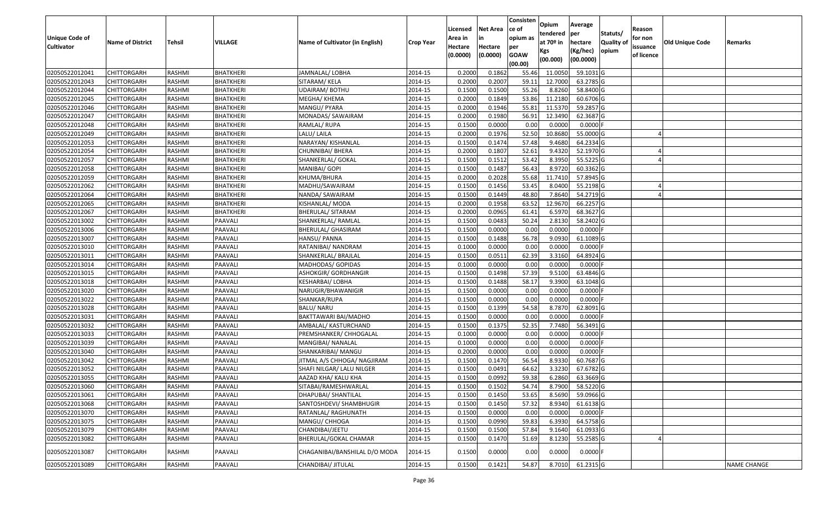| <b>Unique Code of</b><br><b>Cultivator</b> | <b>Name of District</b> | Tehsil        | VILLAGE          | Name of Cultivator (in English) | <b>Crop Year</b> | Licensed<br>Area in<br>Hectare<br>(0.0000) | <b>Net Area</b><br>in<br>Hectare<br>(0.0000) | Consisten<br>ce of<br>opium as<br>per<br><b>GOAW</b> | Opium<br>tendered<br>at 70º in<br>Kgs<br>(00.000) | Average<br>per<br>hectare<br>(Kg/hec)<br>(00.0000) | Statuts/<br><b>Quality o</b><br>opium | Reason<br>for non<br>issuance<br>of licence | Old Unique Code | Remarks            |
|--------------------------------------------|-------------------------|---------------|------------------|---------------------------------|------------------|--------------------------------------------|----------------------------------------------|------------------------------------------------------|---------------------------------------------------|----------------------------------------------------|---------------------------------------|---------------------------------------------|-----------------|--------------------|
|                                            |                         |               |                  |                                 |                  |                                            |                                              | (00.00)                                              |                                                   |                                                    |                                       |                                             |                 |                    |
| 02050522012041                             | <b>CHITTORGARH</b>      | RASHMI        | <b>BHATKHERI</b> | JAMNALAL/LOBHA                  | 2014-15          | 0.2000                                     | 0.1862                                       | 55.46                                                | 11.0050                                           | 59.1031 G                                          |                                       |                                             |                 |                    |
| 02050522012043                             | <b>CHITTORGARH</b>      | RASHMI        | <b>BHATKHERI</b> | SITARAM/ KELA                   | 2014-15          | 0.2000                                     | 0.2007                                       | 59.11                                                | 12.7000                                           | 63.2785 G                                          |                                       |                                             |                 |                    |
| 02050522012044                             | <b>CHITTORGARH</b>      | RASHMI        | <b>BHATKHERI</b> | UDAIRAM/BOTHU                   | 2014-15          | 0.1500                                     | 0.1500                                       | 55.26                                                | 8.8260                                            | 58.8400 G                                          |                                       |                                             |                 |                    |
| 02050522012045                             | <b>CHITTORGARH</b>      | RASHMI        | <b>BHATKHERI</b> | MEGHA/ KHEMA                    | 2014-15          | 0.2000                                     | 0.1849                                       | 53.86                                                | 11.2180                                           | 60.6706 G                                          |                                       |                                             |                 |                    |
| 02050522012046                             | <b>CHITTORGARH</b>      | RASHMI        | <b>BHATKHERI</b> | MANGU/ PYARA                    | 2014-15          | 0.2000                                     | 0.1946                                       | 55.8                                                 | 11.5370                                           | 59.2857 G                                          |                                       |                                             |                 |                    |
| 02050522012047                             | <b>CHITTORGARH</b>      | RASHMI        | <b>BHATKHERI</b> | MONADAS/ SAWAIRAM               | 2014-15          | 0.2000                                     | 0.1980                                       | 56.91                                                | 12.3490                                           | 62.3687 G                                          |                                       |                                             |                 |                    |
| 02050522012048                             | CHITTORGARH             | RASHMI        | BHATKHERI        | RAMLAL/ RUPA                    | 2014-15          | 0.1500                                     | 0.0000                                       | 0.00                                                 | 0.0000                                            | 0.0000                                             |                                       |                                             |                 |                    |
| 02050522012049                             | <b>CHITTORGARH</b>      | <b>RASHMI</b> | <b>BHATKHERI</b> | LALU/ LAILA                     | 2014-15          | 0.2000                                     | 0.1976                                       | 52.50                                                | 10.8680                                           | 55.0000 G                                          |                                       |                                             |                 |                    |
| 02050522012053                             | <b>CHITTORGARH</b>      | <b>RASHMI</b> | <b>BHATKHERI</b> | NARAYAN/ KISHANLAL              | 2014-15          | 0.1500                                     | 0.1474                                       | 57.48                                                | 9.4680                                            | 64.2334 G                                          |                                       |                                             |                 |                    |
| 02050522012054                             | <b>CHITTORGARH</b>      | RASHMI        | BHATKHERI        | CHUNNIBAI/ BHERA                | 2014-15          | 0.2000                                     | 0.1807                                       | 52.61                                                | 9.4320                                            | 52.1970 G                                          |                                       |                                             |                 |                    |
| 02050522012057                             | <b>CHITTORGARH</b>      | RASHMI        | <b>BHATKHERI</b> | SHANKERLAL/ GOKAL               | 2014-15          | 0.1500                                     | 0.1512                                       | 53.42                                                | 8.3950                                            | 55.5225 G                                          |                                       |                                             |                 |                    |
| 02050522012058                             | <b>CHITTORGARH</b>      | RASHMI        | <b>BHATKHERI</b> | MANIBAI/ GOPI                   | 2014-15          | 0.1500                                     | 0.1487                                       | 56.43                                                | 8.9720                                            | 60.3362 G                                          |                                       |                                             |                 |                    |
| 02050522012059                             | <b>CHITTORGARH</b>      | RASHMI        | <b>BHATKHERI</b> | KHUMA/BHURA                     | 2014-15          | 0.2000                                     | 0.2028                                       | 55.68                                                | 11.7410                                           | 57.8945 G                                          |                                       |                                             |                 |                    |
| 02050522012062                             | <b>CHITTORGARH</b>      | RASHMI        | BHATKHERI        | MADHU/SAWAIRAM                  | 2014-15          | 0.1500                                     | 0.1456                                       | 53.45                                                | 8.0400                                            | 55.2198 G                                          |                                       |                                             |                 |                    |
| 02050522012064                             | CHITTORGARH             | RASHMI        | <b>BHATKHERI</b> | NANDA/ SAWAIRAM                 | 2014-15          | 0.1500                                     | 0.1449                                       | 48.80                                                | 7.8640                                            | 54.2719 G                                          |                                       |                                             |                 |                    |
| 02050522012065                             | <b>CHITTORGARH</b>      | <b>RASHMI</b> | <b>BHATKHERI</b> | KISHANLAL/ MODA                 | 2014-15          | 0.2000                                     | 0.1958                                       | 63.52                                                | 12.9670                                           | 66.2257 G                                          |                                       |                                             |                 |                    |
| 02050522012067                             | <b>CHITTORGARH</b>      | <b>RASHMI</b> | <b>BHATKHERI</b> | BHERULAL/ SITARAM               | 2014-15          | 0.2000                                     | 0.0965                                       | 61.41                                                | 6.5970                                            | 68.3627 G                                          |                                       |                                             |                 |                    |
| 02050522013002                             | <b>CHITTORGARH</b>      | RASHMI        | PAAVALI          | SHANKERLAL/ RAMLAL              | 2014-15          | 0.1500                                     | 0.0483                                       | 50.24                                                | 2.8130                                            | 58.2402 G                                          |                                       |                                             |                 |                    |
| 02050522013006                             | <b>CHITTORGARH</b>      | RASHMI        | PAAVALI          | BHERULAL/ GHASIRAM              | 2014-15          | 0.1500                                     | 0.0000                                       | 0.00                                                 | 0.0000                                            | 0.0000                                             |                                       |                                             |                 |                    |
| 02050522013007                             | <b>CHITTORGARH</b>      | RASHMI        | PAAVALI          | HANSU/ PANNA                    | 2014-15          | 0.1500                                     | 0.1488                                       | 56.78                                                | 9.0930                                            | 61.1089 G                                          |                                       |                                             |                 |                    |
| 02050522013010                             | <b>CHITTORGARH</b>      | RASHMI        | PAAVALI          | RATANIBAI/ NANDRAM              | 2014-15          | 0.1000                                     | 0.0000                                       | 0.00                                                 | 0.0000                                            | 0.0000                                             |                                       |                                             |                 |                    |
| 02050522013011                             | <b>CHITTORGARH</b>      | RASHMI        | PAAVALI          | SHANKERLAL/ BRAJLAL             | 2014-15          | 0.1500                                     | 0.0511                                       | 62.39                                                | 3.3160                                            | 64.8924 G                                          |                                       |                                             |                 |                    |
| 02050522013014                             | <b>CHITTORGARH</b>      | RASHMI        | PAAVALI          | MADHODAS/ GOPIDAS               | 2014-15          | 0.1000                                     | 0.0000                                       | 0.00                                                 | 0.0000                                            | 0.0000                                             |                                       |                                             |                 |                    |
| 02050522013015                             | <b>CHITTORGARH</b>      | RASHMI        | PAAVALI          | ASHOKGIR/ GORDHANGIR            | 2014-15          | 0.1500                                     | 0.1498                                       | 57.39                                                | 9.5100                                            | 63.4846 G                                          |                                       |                                             |                 |                    |
| 02050522013018                             | <b>CHITTORGARH</b>      | RASHMI        | PAAVALI          | KESHARBAI/ LOBHA                | 2014-15          | 0.1500                                     | 0.1488                                       | 58.17                                                | 9.3900                                            | 63.1048 G                                          |                                       |                                             |                 |                    |
| 02050522013020                             | <b>CHITTORGARH</b>      | RASHMI        | PAAVALI          | NARUGIR/BHAWANIGIR              | 2014-15          | 0.1500                                     | 0.0000                                       | 0.00                                                 | 0.0000                                            | 0.0000                                             |                                       |                                             |                 |                    |
| 02050522013022                             | <b>CHITTORGARH</b>      | RASHMI        | PAAVALI          | SHANKAR/RUPA                    | 2014-15          | 0.1500                                     | 0.0000                                       | 0.00                                                 | 0.0000                                            | 0.0000                                             |                                       |                                             |                 |                    |
| 02050522013028                             | <b>CHITTORGARH</b>      | RASHMI        | PAAVALI          | <b>BALU/ NARU</b>               | 2014-15          | 0.1500                                     | 0.1399                                       | 54.58                                                | 8.7870                                            | 62.8091G                                           |                                       |                                             |                 |                    |
| 02050522013031                             | <b>CHITTORGARH</b>      | RASHMI        | PAAVALI          | BAKTTAWARI BAI/MADHO            | 2014-15          | 0.1500                                     | 0.0000                                       | 0.00                                                 | 0.0000                                            | 0.0000                                             |                                       |                                             |                 |                    |
| 02050522013032                             | <b>CHITTORGARH</b>      | RASHMI        | PAAVALI          | AMBALAL/ KASTURCHAND            | 2014-15          | 0.1500                                     | 0.1375                                       | 52.35                                                | 7.7480                                            | 56.3491 G                                          |                                       |                                             |                 |                    |
| 02050522013033                             | <b>CHITTORGARH</b>      | RASHMI        | PAAVALI          | PREMSHANKER/ CHHOGALAL          | 2014-15          | 0.1000                                     | 0.0000                                       | 0.00                                                 | 0.0000                                            | 0.0000                                             |                                       |                                             |                 |                    |
| 02050522013039                             | CHITTORGARH             | RASHMI        | PAAVALI          | MANGIBAI/ NANALAL               | 2014-15          | 0.1000                                     | 0.0000                                       | 0.00                                                 | 0.0000                                            | 0.0000                                             |                                       |                                             |                 |                    |
| 02050522013040                             | <b>CHITTORGARH</b>      | <b>RASHMI</b> | PAAVALI          | SHANKARIBAI/ MANGU              | 2014-15          | 0.2000                                     | 0.0000                                       | 0.00                                                 | 0.0000                                            | 0.0000                                             |                                       |                                             |                 |                    |
| 02050522013042                             | <b>CHITTORGARH</b>      | <b>RASHMI</b> | PAAVALI          | JITMAL A/S CHHOGA/ NAGJIRAM     | 2014-15          | 0.1500                                     | 0.1470                                       | 56.54                                                | 8.9330                                            | 60.7687 G                                          |                                       |                                             |                 |                    |
| 02050522013052                             | <b>CHITTORGARH</b>      | RASHMI        | PAAVALI          | SHAFI NILGAR/ LALU NILGER       | 2014-15          | 0.1500                                     | 0.0491                                       | 64.62                                                | 3.3230                                            | 67.6782 G                                          |                                       |                                             |                 |                    |
| 02050522013055                             | <b>CHITTORGARH</b>      | RASHMI        | PAAVALI          | AAZAD KHA/ KALU KHA             | 2014-15          | 0.1500                                     | 0.0992                                       | 59.38                                                | 6.2860                                            | 63.3669 G                                          |                                       |                                             |                 |                    |
| 02050522013060                             | CHITTORGARH             | RASHMI        | PAAVALI          | SITABAI/RAMESHWARLAL            | 2014-15          | 0.1500                                     | 0.1502                                       | 54.74                                                | 8.7900                                            | 58.5220 G                                          |                                       |                                             |                 |                    |
| 02050522013061                             | <b>CHITTORGARH</b>      | RASHMI        | PAAVALI          | DHAPUBAI/ SHANTILAL             | 2014-15          | 0.1500                                     | 0.1450                                       | 53.65                                                | 8.5690                                            | 59.0966 G                                          |                                       |                                             |                 |                    |
| 02050522013068                             | <b>CHITTORGARH</b>      | RASHMI        | PAAVALI          | SANTOSHDEVI/ SHAMBHUGIR         | 2014-15          | 0.1500                                     | 0.1450                                       | 57.32                                                | 8.9340                                            | 61.6138 G                                          |                                       |                                             |                 |                    |
| 02050522013070                             | <b>CHITTORGARH</b>      | RASHMI        | PAAVALI          | RATANLAL/RAGHUNATH              | 2014-15          | 0.1500                                     | 0.0000                                       | 0.00                                                 | 0.0000                                            | $0.0000$ F                                         |                                       |                                             |                 |                    |
| 02050522013075                             | <b>CHITTORGARH</b>      | RASHMI        | PAAVALI          | MANGU/ CHHOGA                   | 2014-15          | 0.1500                                     | 0.0990                                       | 59.83                                                | 6.3930                                            | 64.5758 G                                          |                                       |                                             |                 |                    |
| 02050522013079                             | <b>CHITTORGARH</b>      | RASHMI        | PAAVALI          | CHANDIBAI/JEETU                 | 2014-15          | 0.1500                                     | 0.1500                                       | 57.84                                                | 9.1640                                            | 61.0933 G                                          |                                       |                                             |                 |                    |
| 02050522013082                             | <b>CHITTORGARH</b>      | RASHMI        | PAAVALI          | BHERULAL/GOKAL CHAMAR           | 2014-15          | 0.1500                                     | 0.1470                                       | 51.69                                                | 8.1230                                            | 55.2585 G                                          |                                       |                                             |                 |                    |
| 02050522013087                             | <b>CHITTORGARH</b>      | RASHMI        | PAAVALI          | CHAGANIBAI/BANSHILAL D/O MODA   | 2014-15          | 0.1500                                     | 0.0000                                       | 0.00                                                 | 0.0000                                            | $0.0000$ F                                         |                                       |                                             |                 |                    |
| 02050522013089                             | <b>CHITTORGARH</b>      | RASHMI        | PAAVALI          | CHANDIBAI/ JITULAL              | 2014-15          | 0.1500                                     | 0.1421                                       | 54.87                                                | 8.7010                                            | 61.2315 G                                          |                                       |                                             |                 | <b>NAME CHANGE</b> |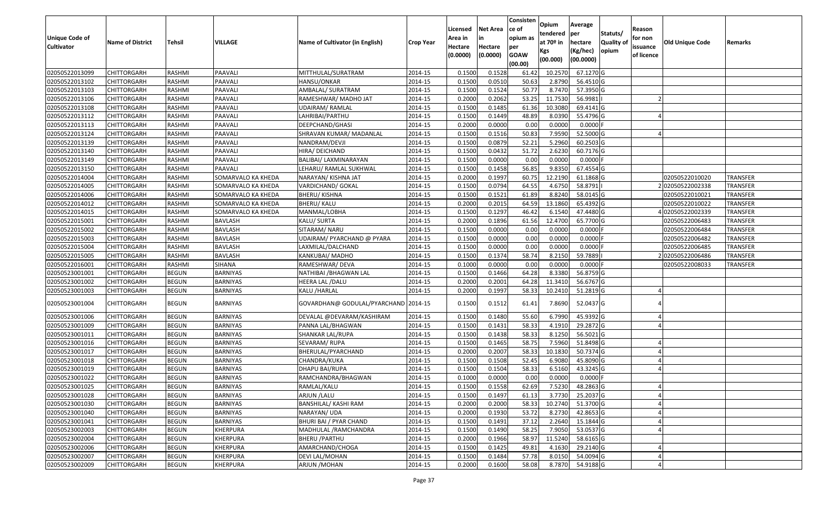|                       |                         |               |                    |                                      |                  | Licensed | <b>Net Area</b> | Consisten<br>ce of | Opium       | Average    |                  | Reason     |                 |                 |
|-----------------------|-------------------------|---------------|--------------------|--------------------------------------|------------------|----------|-----------------|--------------------|-------------|------------|------------------|------------|-----------------|-----------------|
| <b>Unique Code of</b> |                         |               |                    |                                      |                  | Area in  |                 | opium as           | tendered    | per        | Statuts/         | for non    |                 |                 |
| <b>Cultivator</b>     | <b>Name of District</b> | <b>Tehsil</b> | VILLAGE            | Name of Cultivator (in English)      | <b>Crop Year</b> | Hectare  | Hectare         | per                | at $70°$ in | hectare    | <b>Quality o</b> | issuance   | Old Unique Code | Remarks         |
|                       |                         |               |                    |                                      |                  | (0.0000) | (0.0000)        | <b>GOAW</b>        | Kgs         | (Kg/hec)   | opium            | of licence |                 |                 |
|                       |                         |               |                    |                                      |                  |          |                 | (00.00)            | (00.000)    | (00.0000)  |                  |            |                 |                 |
| 02050522013099        | CHITTORGARH             | RASHMI        | PAAVALI            | MITTHULAL/SURATRAM                   | 2014-15          | 0.1500   | 0.1528          | 61.42              | 10.2570     | 67.1270 G  |                  |            |                 |                 |
| 02050522013102        | CHITTORGARH             | RASHMI        | PAAVALI            | HANSU/ONKAR                          | 2014-15          | 0.1500   | 0.0510          | 50.63              | 2.8790      | 56.4510 G  |                  |            |                 |                 |
| 02050522013103        | CHITTORGARH             | RASHMI        | PAAVALI            | AMBALAL/ SURATRAM                    | 2014-15          | 0.1500   | 0.1524          | 50.77              | 8.7470      | 57.3950 G  |                  |            |                 |                 |
| 02050522013106        | CHITTORGARH             | RASHMI        | PAAVALI            | RAMESHWAR/ MADHO JAT                 | 2014-15          | 0.2000   | 0.2062          | 53.25              | 11.7530     | 56.9981    |                  |            |                 |                 |
| 02050522013108        | CHITTORGARH             | RASHMI        | PAAVALI            | <b>UDAIRAM/ RAMLAL</b>               | 2014-15          | 0.1500   | 0.1485          | 61.36              | 10.3080     | 69.4141 G  |                  |            |                 |                 |
| 02050522013112        | CHITTORGARH             | RASHMI        | PAAVALI            | LAHRIBAI/PARTHU                      | 2014-15          | 0.1500   | 0.1449          | 48.89              | 8.0390      | 55.4796 G  |                  |            |                 |                 |
| 02050522013113        | CHITTORGARH             | RASHMI        | PAAVALI            | DEEPCHAND/GHASI                      | 2014-15          | 0.2000   | 0.0000          | 0.00               | 0.0000      | 0.0000     |                  |            |                 |                 |
| 02050522013124        | CHITTORGARH             | <b>RASHMI</b> | PAAVALI            | SHRAVAN KUMAR/ MADANLAL              | 2014-15          | 0.1500   | 0.1516          | 50.83              | 7.9590      | 52.5000G   |                  |            |                 |                 |
| 02050522013139        | <b>CHITTORGARH</b>      | RASHMI        | PAAVALI            | NANDRAM/DEVJI                        | 2014-15          | 0.1500   | 0.0879          | 52.21              | 5.2960      | 60.2503 G  |                  |            |                 |                 |
| 02050522013140        | CHITTORGARH             | RASHMI        | PAAVALI            | HIRA/ DEICHAND                       | 2014-15          | 0.1500   | 0.0432          | 51.72              | 2.6230      | 60.7176 G  |                  |            |                 |                 |
| 02050522013149        | CHITTORGARH             | RASHMI        | PAAVALI            | BALIBAI/ LAXMINARAYAN                | 2014-15          | 0.1500   | 0.0000          | 0.00               | 0.0000      | $0.0000$ F |                  |            |                 |                 |
| 02050522013150        | <b>CHITTORGARH</b>      | RASHMI        | PAAVALI            | LEHARU/ RAMLAL SUKHWAL               | 2014-15          | 0.1500   | 0.1458          | 56.85              | 9.835       | 67.4554 G  |                  |            |                 |                 |
| 02050522014004        | <b>CHITTORGARH</b>      | RASHMI        | SOMARVALO KA KHEDA | NARAYAN/ KISHNA JAT                  | 2014-15          | 0.2000   | 0.1997          | 60.75              | 12.2190     | 61.1868 G  |                  |            | 02050522010020  | <b>TRANSFER</b> |
| 02050522014005        | <b>CHITTORGARH</b>      | RASHMI        | SOMARVALO KA KHEDA | VARDICHAND/ GOKAL                    | 2014-15          | 0.1500   | 0.0794          | 64.55              | 4.6750      | 58.8791    |                  |            | 202050522002338 | <b>TRANSFER</b> |
| 02050522014006        | CHITTORGARH             | RASHMI        | SOMARVALO KA KHEDA | BHERU/ KISHNA                        | 2014-15          | 0.1500   | 0.1521          | 61.89              | 8.8240      | 58.0145 G  |                  |            | 02050522010021  | <b>TRANSFER</b> |
| 02050522014012        | <b>CHITTORGARH</b>      | RASHMI        | SOMARVALO KA KHEDA | <b>BHERU/ KALU</b>                   | 2014-15          | 0.2000   | 0.2015          | 64.59              | 13.1860     | 65.4392 G  |                  |            | 02050522010022  | <b>TRANSFER</b> |
| 02050522014015        | <b>CHITTORGARH</b>      | RASHMI        | SOMARVALO KA KHEDA | MANMAL/LOBHA                         | 2014-15          | 0.1500   | 0.1297          | 46.42              | 6.1540      | 47.4480 G  |                  |            | 402050522002339 | <b>TRANSFER</b> |
| 02050522015001        | CHITTORGARH             | RASHMI        | <b>BAVLASH</b>     | KALU/ SURTA                          | 2014-15          | 0.2000   | 0.1896          | 61.56              | 12.4700     | 65.7700 G  |                  |            | 02050522006483  | <b>TRANSFER</b> |
| 02050522015002        | CHITTORGARH             | RASHMI        | BAVLASH            | SITARAM/ NARU                        | 2014-15          | 0.1500   | 0.0000          | 0.00               | 0.0000      | 0.0000F    |                  |            | 02050522006484  | <b>TRANSFER</b> |
| 02050522015003        | CHITTORGARH             | RASHMI        | <b>BAVLASH</b>     | UDAIRAM/ PYARCHAND @ PYARA           | 2014-15          | 0.1500   | 0.0000          | 0.00               | 0.0000      | 0.0000     |                  |            | 02050522006482  | <b>TRANSFER</b> |
| 02050522015004        | CHITTORGARH             | RASHMI        | <b>BAVLASH</b>     | LAXMILAL/DALCHAND                    | 2014-15          | 0.1500   | 0.0000          | 0.00               | 0.0000      | 0.0000     |                  |            | 02050522006485  | <b>TRANSFER</b> |
| 02050522015005        | CHITTORGARH             | RASHMI        | <b>BAVLASH</b>     | KANKUBAI/ MADHO                      | 2014-15          | 0.150    | 0.1374          | 58.74              | 8.2150      | 59.7889    |                  |            | 202050522006486 | <b>TRANSFER</b> |
| 02050522016001        | CHITTORGARH             | RASHMI        | <b>SIHANA</b>      | RAMESHWAR/ DEVA                      | 2014-15          | 0.1000   | 0.0000          | 0.00               | 0.0000      | 0.0000F    |                  |            | 02050522008033  | TRANSFER        |
| 02050523001001        | <b>CHITTORGARH</b>      | <b>BEGUN</b>  | BARNIYAS           | NATHIBAI /BHAGWAN LAL                | 2014-15          | 0.1500   | 0.1466          | 64.28              | 8.3380      | 56.8759 G  |                  |            |                 |                 |
| 02050523001002        | CHITTORGARH             | <b>BEGUN</b>  | <b>BARNIYAS</b>    | HEERA LAL /DALU                      | 2014-15          | 0.2000   | 0.2001          | 64.28              | 11.3410     | 56.6767 G  |                  |            |                 |                 |
| 02050523001003        | CHITTORGARH             | <b>BEGUN</b>  | BARNIYAS           | KALU /HARLAL                         | 2014-15          | 0.2000   | 0.1997          | 58.33              | 10.2410     | 51.2819 G  |                  |            |                 |                 |
| 02050523001004        | CHITTORGARH             | <b>BEGUN</b>  | BARNIYAS           | GOVARDHAN@ GODULAL/PYARCHAND 2014-15 |                  | 0.1500   | 0.1512          | 61.41              | 7.8690      | 52.0437 G  |                  |            |                 |                 |
| 02050523001006        | CHITTORGARH             | <b>BEGUN</b>  | <b>BARNIYAS</b>    | DEVALAL @DEVARAM/KASHIRAM            | 2014-15          | 0.1500   | 0.1480          | 55.60              | 6.7990      | 45.9392 G  |                  |            |                 |                 |
| 02050523001009        | CHITTORGARH             | <b>BEGUN</b>  | BARNIYAS           | PANNA LAL/BHAGWAN                    | 2014-15          | 0.1500   | 0.1431          | 58.33              | 4.1910      | 29.2872 G  |                  |            |                 |                 |
| 02050523001011        | CHITTORGARH             | <b>BEGUN</b>  | BARNIYAS           | SHANKAR LAL/RUPA                     | 2014-15          | 0.1500   | 0.1438          | 58.33              | 8.1250      | 56.5021G   |                  |            |                 |                 |
| 02050523001016        | CHITTORGARH             | <b>BEGUN</b>  | BARNIYAS           | SEVARAM/ RUPA                        | 2014-15          | 0.1500   | 0.1465          | 58.75              | 7.5960      | 51.8498 G  |                  |            |                 |                 |
| 02050523001017        | CHITTORGARH             | <b>BEGUN</b>  | <b>BARNIYAS</b>    | BHERULAL/PYARCHAND                   | 2014-15          | 0.2000   | 0.2007          | 58.33              | 10.1830     | 50.7374 G  |                  |            |                 |                 |
| 02050523001018        | <b>CHITTORGARH</b>      | <b>BEGUN</b>  | BARNIYAS           | CHANDRA/KUKA                         | 2014-15          | 0.1500   | 0.1508          | 52.45              | 6.9080      | 45.8090 G  |                  |            |                 |                 |
| 02050523001019        | CHITTORGARH             | <b>BEGUN</b>  | BARNIYAS           | DHAPU BAI/RUPA                       | 2014-15          | 0.150    | 0.1504          | 58.33              | 6.5160      | 43.3245 G  |                  |            |                 |                 |
| 02050523001022        | CHITTORGARH             | <b>BEGUN</b>  | BARNIYAS           | RAMCHANDRA/BHAGWAN                   | 2014-15          | 0.1000   | 0.0000          | 0.00               | 0.0000      | $0.0000$ F |                  |            |                 |                 |
| 02050523001025        | <b>CHITTORGARH</b>      | <b>BEGUN</b>  | <b>BARNIYAS</b>    | RAMLAL/KALU                          | 2014-15          | 0.1500   | 0.1558          | 62.69              | 7.5230      | 48.2863 G  |                  |            |                 |                 |
| 02050523001028        | <b>CHITTORGARH</b>      | <b>BEGUN</b>  | BARNIYAS           | ARJUN / LALU                         | 2014-15          | 0.1500   | 0.1497          | 61.13              | 3.7730      | 25.2037 G  |                  |            |                 |                 |
| 02050523001030        | <b>CHITTORGARH</b>      | <b>BEGUN</b>  | BARNIYAS           | BANSHILAL/ KASHI RAM                 | 2014-15          | 0.2000   | 0.2000          | 58.33              | 10.2740     | 51.3700 G  |                  |            |                 |                 |
| 02050523001040        | <b>CHITTORGARH</b>      | <b>BEGUN</b>  | BARNIYAS           | NARAYAN/ UDA                         | 2014-15          | 0.2000   | 0.1930          | 53.72              | 8.2730      | 42.8653 G  |                  |            |                 |                 |
| 02050523001041        | <b>CHITTORGARH</b>      | <b>BEGUN</b>  | BARNIYAS           | BHURI BAI / PYAR CHAND               | 2014-15          | 0.1500   | 0.1491          | 37.12              | 2.2640      | 15.1844 G  |                  |            |                 |                 |
| 02050523002003        | <b>CHITTORGARH</b>      | <b>BEGUN</b>  | KHERPURA           | MADHULAL / RAMCHANDRA                | 2014-15          | 0.1500   | 0.1490          | 58.25              | 7.9050      | 53.0537 G  |                  |            |                 |                 |
| 02050523002004        | <b>CHITTORGARH</b>      | <b>BEGUN</b>  | KHERPURA           | <b>BHERU / PARTHU</b>                | 2014-15          | 0.2000   | 0.1966          | 58.97              | 11.5240     | 58.6165 G  |                  |            |                 |                 |
| 02050523002006        | CHITTORGARH             | <b>BEGUN</b>  | KHERPURA           | AMARCHAND/CHOGA                      | 2014-15          | 0.1500   | 0.1425          | 49.81              | 4.1630      | 29.2140 G  |                  |            |                 |                 |
| 02050523002007        | CHITTORGARH             | <b>BEGUN</b>  | KHERPURA           | DEVI LAL/MOHAN                       | 2014-15          | 0.1500   | 0.1484          | 57.78              | 8.0150      | 54.0094 G  |                  |            |                 |                 |
| 02050523002009        | <b>CHITTORGARH</b>      | <b>BEGUN</b>  | KHERPURA           | ARJUN / MOHAN                        | 2014-15          | 0.2000   | 0.1600          | 58.08              | 8.7870      | 54.9188 G  |                  |            |                 |                 |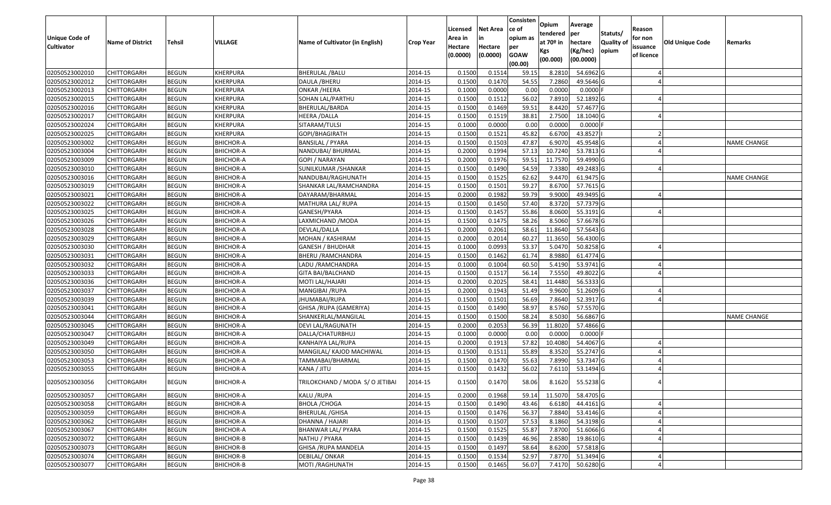| <b>Unique Code of</b><br><b>Cultivator</b> | <b>Name of District</b> | <b>Tehsil</b> | VILLAGE          | Name of Cultivator (in English) | <b>Crop Year</b> | Licensed<br>Area in<br>Hectare | Net Area<br>in<br>Hectare | Consisten<br>ce of<br>opium as<br>per | Opium<br>tendered<br>at 70º in | Average<br>per<br>hectare | Statuts/<br><b>Quality of</b> | Reason<br>for non<br>issuance | Old Unique Code | Remarks            |
|--------------------------------------------|-------------------------|---------------|------------------|---------------------------------|------------------|--------------------------------|---------------------------|---------------------------------------|--------------------------------|---------------------------|-------------------------------|-------------------------------|-----------------|--------------------|
|                                            |                         |               |                  |                                 |                  | (0.0000)                       | (0.0000)                  | <b>GOAW</b><br>(00.00)                | Kgs<br>(00.000)                | (Kg/hec)<br>(00.0000)     | opium                         | of licence                    |                 |                    |
| 02050523002010                             | <b>CHITTORGARH</b>      | <b>BEGUN</b>  | KHERPURA         | <b>BHERULAL / BALU</b>          | 2014-15          | 0.1500                         | 0.1514                    | 59.15                                 | 8.2810                         | 54.6962 G                 |                               |                               |                 |                    |
| 02050523002012                             | CHITTORGARH             | <b>BEGUN</b>  | KHERPURA         | DAULA / BHERU                   | 2014-15          | 0.1500                         | 0.1470                    | 54.55                                 | 7.2860                         | 49.5646 G                 |                               |                               |                 |                    |
| 02050523002013                             | CHITTORGARH             | <b>BEGUN</b>  | KHERPURA         | ONKAR /HEERA                    | 2014-15          | 0.1000                         | 0.0000                    | 0.00                                  | 0.0000                         | $0.0000$ F                |                               |                               |                 |                    |
| 02050523002015                             | <b>CHITTORGARH</b>      | <b>BEGUN</b>  | KHERPURA         | SOHAN LAL/PARTHU                | 2014-15          | 0.1500                         | 0.1512                    | 56.02                                 | 7.8910                         | 52.1892 G                 |                               |                               |                 |                    |
| 02050523002016                             | CHITTORGARH             | <b>BEGUN</b>  | KHERPURA         | BHERULAL/BARDA                  | 2014-15          | 0.1500                         | 0.1469                    | 59.51                                 | 8.4420                         | 57.4677 G                 |                               |                               |                 |                    |
| 02050523002017                             | CHITTORGARH             | <b>BEGUN</b>  | KHERPURA         | HEERA /DALLA                    | 2014-15          | 0.1500                         | 0.1519                    | 38.81                                 | 2.7500                         | 18.1040 G                 |                               |                               |                 |                    |
| 02050523002024                             | CHITTORGARH             | <b>BEGUN</b>  | KHERPURA         | SITARAM/TULSI                   | 2014-15          | 0.1000                         | 0.0000                    | 0.00                                  | 0.0000                         | 0.0000                    |                               |                               |                 |                    |
| 02050523002025                             | <b>CHITTORGARH</b>      | <b>BEGUN</b>  | KHERPURA         | GOPI/BHAGIRATH                  | 2014-15          | 0.1500                         | 0.1521                    | 45.82                                 | 6.6700                         | 43.8527                   |                               |                               |                 |                    |
| 02050523003002                             | CHITTORGARH             | <b>BEGUN</b>  | <b>BHICHOR-A</b> | <b>BANSILAL / PYARA</b>         | 2014-15          | 0.1500                         | 0.1503                    | 47.87                                 | 6.9070                         | 45.9548 G                 |                               |                               |                 | <b>NAME CHANGE</b> |
| 02050523003004                             | CHITTORGARH             | <b>BEGUN</b>  | <b>BHICHOR-A</b> | NANDUBAI/ BHURMAL               | 2014-15          | 0.2000                         | 0.1994                    | 57.13                                 | 10.7240                        | 53.7813 G                 |                               |                               |                 |                    |
| 02050523003009                             | CHITTORGARH             | <b>BEGUN</b>  | <b>BHICHOR-A</b> | GOPI / NARAYAN                  | 2014-15          | 0.2000                         | 0.1976                    | 59.51                                 | 11.7570                        | 59.4990 G                 |                               |                               |                 |                    |
| 02050523003010                             | <b>CHITTORGARH</b>      | <b>BEGUN</b>  | <b>BHICHOR-A</b> | SUNILKUMAR / SHANKAR            | 2014-15          | 0.1500                         | 0.1490                    | 54.59                                 | 7.3380                         | 49.2483 G                 |                               |                               |                 |                    |
| 02050523003016                             | <b>CHITTORGARH</b>      | <b>BEGUN</b>  | <b>BHICHOR-A</b> | NANDUBAI/RAGHUNATH              | 2014-15          | 0.1500                         | 0.1525                    | 62.62                                 | 9.4470                         | 61.9475 G                 |                               |                               |                 | <b>NAME CHANGE</b> |
| 02050523003019                             | CHITTORGARH             | <b>BEGUN</b>  | <b>BHICHOR-A</b> | SHANKAR LAL/RAMCHANDRA          | 2014-15          | 0.1500                         | 0.1501                    | 59.27                                 | 8.6700                         | 57.7615 G                 |                               |                               |                 |                    |
| 02050523003021                             | CHITTORGARH             | <b>BEGUN</b>  | <b>BHICHOR-A</b> | DAYARAM/BHARMAL                 | 2014-15          | 0.2000                         | 0.1982                    | 59.79                                 | 9.9000                         | 49.9495 G                 |                               |                               |                 |                    |
| 02050523003022                             | <b>CHITTORGARH</b>      | <b>BEGUN</b>  | <b>BHICHOR-A</b> | MATHURA LAL/ RUPA               | 2014-15          | 0.1500                         | 0.1450                    | 57.40                                 | 8.3720                         | 57.7379 G                 |                               |                               |                 |                    |
| 02050523003025                             | CHITTORGARH             | <b>BEGUN</b>  | <b>BHICHOR-A</b> | GANESH/PYARA                    | 2014-15          | 0.1500                         | 0.1457                    | 55.86                                 | 8.0600                         | 55.3191 G                 |                               |                               |                 |                    |
| 02050523003026                             | CHITTORGARH             | <b>BEGUN</b>  | <b>BHICHOR-A</b> | LAXMICHAND / MODA               | 2014-15          | 0.1500                         | 0.1475                    | 58.26                                 | 8.5060                         | 57.6678 G                 |                               |                               |                 |                    |
| 02050523003028                             | CHITTORGARH             | <b>BEGUN</b>  | <b>BHICHOR-A</b> | DEVLAL/DALLA                    | 2014-15          | 0.2000                         | 0.2061                    | 58.61                                 | 11.8640                        | 57.5643 G                 |                               |                               |                 |                    |
| 02050523003029                             | CHITTORGARH             | <b>BEGUN</b>  | BHICHOR-A        | MOHAN / KASHIRAM                | 2014-15          | 0.2000                         | 0.2014                    | 60.27                                 | 11.3650                        | 56.4300 G                 |                               |                               |                 |                    |
| 02050523003030                             | CHITTORGARH             | <b>BEGUN</b>  | <b>BHICHOR-A</b> | GANESH / BHUDHAR                | 2014-15          | 0.1000                         | 0.0993                    | 53.37                                 | 5.0470                         | 50.8258 G                 |                               |                               |                 |                    |
| 02050523003031                             | CHITTORGARH             | <b>BEGUN</b>  | BHICHOR-A        | <b>BHERU / RAMCHANDRA</b>       | 2014-15          | 0.1500                         | 0.1462                    | 61.74                                 | 8.9880                         | 61.4774 G                 |                               |                               |                 |                    |
| 02050523003032                             | CHITTORGARH             | <b>BEGUN</b>  | <b>BHICHOR-A</b> | LADU / RAMCHANDRA               | 2014-15          | 0.1000                         | 0.1004                    | 60.50                                 | 5.4190                         | 53.9741 G                 |                               |                               |                 |                    |
| 02050523003033                             | CHITTORGARH             | <b>BEGUN</b>  | BHICHOR-A        | GITA BAI/BALCHAND               | 2014-15          | 0.1500                         | 0.1517                    | 56.14                                 | 7.5550                         | 49.8022 G                 |                               |                               |                 |                    |
| 02050523003036                             | CHITTORGARH             | <b>BEGUN</b>  | <b>BHICHOR-A</b> | MOTI LAL/HAJARI                 | 2014-15          | 0.2000                         | 0.2025                    | 58.41                                 | 11.4480                        | 56.5333 G                 |                               |                               |                 |                    |
| 02050523003037                             | CHITTORGARH             | <b>BEGUN</b>  | <b>BHICHOR-A</b> | MANGIBAI / RUPA                 | 2014-15          | 0.2000                         | 0.1943                    | 51.49                                 | 9.9600                         | 51.2609 G                 |                               |                               |                 |                    |
| 02050523003039                             | CHITTORGARH             | <b>BEGUN</b>  | <b>BHICHOR-A</b> | JHUMABAI/RUPA                   | 2014-15          | 0.1500                         | 0.1501                    | 56.69                                 | 7.8640                         | 52.3917 G                 |                               |                               |                 |                    |
| 02050523003041                             | CHITTORGARH             | <b>BEGUN</b>  | <b>BHICHOR-A</b> | GHISA /RUPA (GAMERIYA)          | 2014-15          | 0.1500                         | 0.1490                    | 58.97                                 | 8.5760                         | 57.5570 G                 |                               |                               |                 |                    |
| 02050523003044                             | CHITTORGARH             | <b>BEGUN</b>  | <b>BHICHOR-A</b> | SHANKERLAL/MANGILAL             | 2014-15          | 0.1500                         | 0.1500                    | 58.24                                 | 8.5030                         | 56.6867 G                 |                               |                               |                 | NAME CHANGE        |
| 02050523003045                             | CHITTORGARH             | <b>BEGUN</b>  | <b>BHICHOR-A</b> | DEVI LAL/RAGUNATH               | 2014-15          | 0.2000                         | 0.2053                    | 56.39                                 | 11.8020                        | 57.4866 G                 |                               |                               |                 |                    |
| 02050523003047                             | CHITTORGARH             | <b>BEGUN</b>  | BHICHOR-A        | DALLA/CHATURBHUJ                | 2014-15          | 0.1000                         | 0.0000                    | 0.00                                  | 0.0000                         | $0.0000$ F                |                               |                               |                 |                    |
| 02050523003049                             | CHITTORGARH             | <b>BEGUN</b>  | <b>BHICHOR-A</b> | KANHAIYA LAL/RUPA               | 2014-15          | 0.2000                         | 0.1913                    | 57.82                                 | 10.4080                        | 54.4067 G                 |                               |                               |                 |                    |
| 02050523003050                             | CHITTORGARH             | <b>BEGUN</b>  | <b>BHICHOR-A</b> | MANGILAL/ KAJOD MACHIWAL        | 2014-15          | 0.1500                         | 0.1512                    | 55.89                                 | 8.3520                         | 55.2747 G                 |                               |                               |                 |                    |
| 02050523003053                             | CHITTORGARH             | <b>BEGUN</b>  | <b>BHICHOR-A</b> | TAMMABAI/BHARMAL                | 2014-15          | 0.1500                         | 0.1470                    | 55.63                                 | 7.8990                         | 53.7347 G                 |                               |                               |                 |                    |
| 02050523003055                             | CHITTORGARH             | <b>BEGUN</b>  | BHICHOR-A        | KANA / JITU                     | 2014-15          | 0.1500                         | 0.1432                    | 56.02                                 | 7.6110                         | 53.1494 G                 |                               |                               |                 |                    |
| 02050523003056                             | CHITTORGARH             | <b>BEGUN</b>  | <b>BHICHOR-A</b> | TRILOKCHAND / MODA S/ O JETIBAI | 2014-15          | 0.1500                         | 0.1470                    | 58.06                                 | 8.1620                         | 55.5238 G                 |                               |                               |                 |                    |
| 02050523003057                             | <b>CHITTORGARH</b>      | <b>BEGUN</b>  | <b>BHICHOR-A</b> | KALU /RUPA                      | 2014-15          | 0.2000                         | 0.1968                    | 59.14                                 | 11.5070                        | 58.4705 G                 |                               |                               |                 |                    |
| 02050523003058                             | <b>CHITTORGARH</b>      | <b>BEGUN</b>  | <b>BHICHOR-A</b> | <b>BHOLA / CHOGA</b>            | 2014-15          | 0.1500                         | 0.1490                    | 43.46                                 | 6.6180                         | 44.4161 G                 |                               |                               |                 |                    |
| 02050523003059                             | <b>CHITTORGARH</b>      | <b>BEGUN</b>  | <b>BHICHOR-A</b> | <b>BHERULAL /GHISA</b>          | 2014-15          | 0.1500                         | 0.1476                    | 56.37                                 | 7.8840                         | 53.4146 G                 |                               |                               |                 |                    |
| 02050523003062                             | <b>CHITTORGARH</b>      | <b>BEGUN</b>  | <b>BHICHOR-A</b> | DHANNA / HAJARI                 | 2014-15          | 0.1500                         | 0.1507                    | 57.53                                 | 8.1860                         | 54.3198 G                 |                               |                               |                 |                    |
| 02050523003067                             | <b>CHITTORGARH</b>      | <b>BEGUN</b>  | <b>BHICHOR-A</b> | <b>BHANWAR LAL/ PYARA</b>       | 2014-15          | 0.1500                         | 0.1525                    | 55.87                                 | 7.8700                         | 51.6066 G                 |                               |                               |                 |                    |
| 02050523003072                             | <b>CHITTORGARH</b>      | <b>BEGUN</b>  | <b>BHICHOR-B</b> | NATHU / PYARA                   | 2014-15          | 0.1500                         | 0.1439                    | 46.96                                 | 2.8580                         | 19.8610 G                 |                               |                               |                 |                    |
| 02050523003073                             | <b>CHITTORGARH</b>      | <b>BEGUN</b>  | <b>BHICHOR-B</b> | <b>GHISA /RUPA MANDELA</b>      | 2014-15          | 0.1500                         | 0.1497                    | 58.64                                 | 8.6200                         | 57.5818 G                 |                               |                               |                 |                    |
| 02050523003074                             | <b>CHITTORGARH</b>      | <b>BEGUN</b>  | <b>BHICHOR-B</b> | DEBILAL/ONKAR                   | 2014-15          | 0.1500                         | 0.1534                    | 52.97                                 | 7.8770                         | 51.3494 G                 |                               |                               |                 |                    |
| 02050523003077                             | <b>CHITTORGARH</b>      | <b>BEGUN</b>  | <b>BHICHOR-B</b> | MOTI / RAGHUNATH                | 2014-15          | 0.1500                         | 0.1465                    | 56.07                                 |                                | 7.4170 50.6280 G          |                               |                               |                 |                    |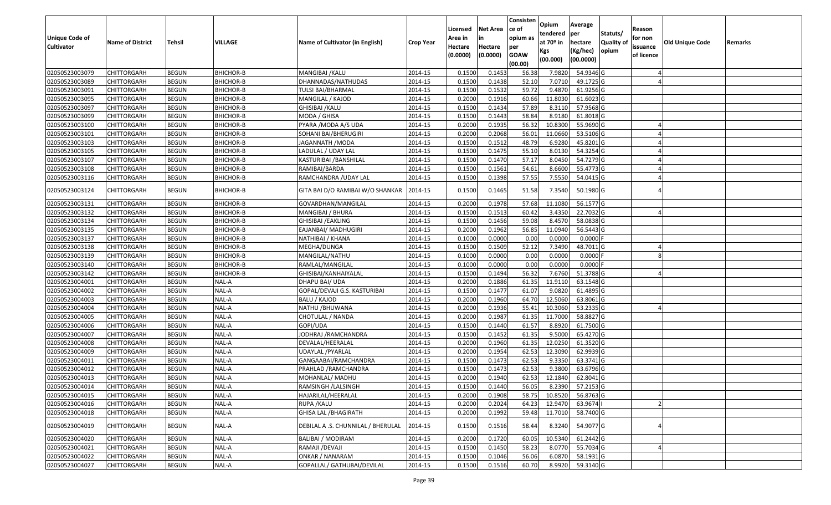|                       |                         |               |                  |                                    |                  | Licensed | <b>Net Area</b> | Consisten<br>ce of | Opium       | Average    |                  | Reason     |                        |         |
|-----------------------|-------------------------|---------------|------------------|------------------------------------|------------------|----------|-----------------|--------------------|-------------|------------|------------------|------------|------------------------|---------|
| <b>Unique Code of</b> |                         |               |                  |                                    |                  | Area in  |                 | opium as           | tendered    | per        | Statuts/         | for non    |                        |         |
| <b>Cultivator</b>     | <b>Name of District</b> | <b>Tehsil</b> | <b>VILLAGE</b>   | Name of Cultivator (in English)    | <b>Crop Year</b> | Hectare  | Hectare         | per                | at $70°$ in | hectare    | <b>Quality o</b> | issuance   | <b>Old Unique Code</b> | Remarks |
|                       |                         |               |                  |                                    |                  | (0.0000) | (0.0000)        | <b>GOAW</b>        | Kgs         | (Kg/hec)   | opium            | of licence |                        |         |
|                       |                         |               |                  |                                    |                  |          |                 | (00.00)            | (00.000)    | (00.0000)  |                  |            |                        |         |
| 02050523003079        | CHITTORGARH             | <b>BEGUN</b>  | BHICHOR-B        | MANGIBAI / KALU                    | 2014-15          | 0.1500   | 0.1453          | 56.38              | 7.9820      | 54.9346 G  |                  |            |                        |         |
| 02050523003089        | CHITTORGARH             | <b>BEGUN</b>  | <b>BHICHOR-B</b> | DHANNADAS/NATHUDAS                 | 2014-15          | 0.1500   | 0.1438          | 52.10              | 7.0710      | 49.1725 G  |                  |            |                        |         |
| 02050523003091        | CHITTORGARH             | <b>BEGUN</b>  | <b>BHICHOR-B</b> | TULSI BAI/BHARMAL                  | 2014-15          | 0.1500   | 0.1532          | 59.72              | 9.4870      | 61.9256 G  |                  |            |                        |         |
| 02050523003095        | <b>CHITTORGARH</b>      | <b>BEGUN</b>  | <b>BHICHOR-B</b> | MANGILAL / KAJOD                   | 2014-15          | 0.2000   | 0.1916          | 60.66              | 11.8030     | 61.6023 G  |                  |            |                        |         |
| 02050523003097        | CHITTORGARH             | <b>BEGUN</b>  | BHICHOR-B        | GHISIBAI / KALU                    | 2014-15          | 0.1500   | 0.1434          | 57.89              | 8.3110      | 57.9568 G  |                  |            |                        |         |
| 02050523003099        | CHITTORGARH             | <b>BEGUN</b>  | BHICHOR-B        | MODA / GHISA                       | 2014-15          | 0.1500   | 0.1443          | 58.84              | 8.9180      | 61.8018 G  |                  |            |                        |         |
| 02050523003100        | CHITTORGARH             | <b>BEGUN</b>  | <b>BHICHOR-B</b> | PYARA / MODA A/S UDA               | 2014-15          | 0.2000   | 0.1935          | 56.32              | 10.8300     | 55.9690 G  |                  |            |                        |         |
| 02050523003101        | <b>CHITTORGARH</b>      | <b>BEGUN</b>  | BHICHOR-B        | SOHANI BAI/BHERUGIRI               | 2014-15          | 0.2000   | 0.2068          | 56.01              | 11.0660     | 53.5106 G  |                  |            |                        |         |
| 02050523003103        | CHITTORGARH             | <b>BEGUN</b>  | BHICHOR-B        | JAGANNATH / MODA                   | 2014-15          | 0.1500   | 0.1512          | 48.79              | 6.9280      | 45.8201 G  |                  |            |                        |         |
| 02050523003105        | CHITTORGARH             | <b>BEGUN</b>  | BHICHOR-B        | LADULAL / UDAY LAL                 | 2014-15          | 0.1500   | 0.1475          | 55.10              | 8.0130      | 54.3254 G  |                  |            |                        |         |
| 02050523003107        | CHITTORGARH             | <b>BEGUN</b>  | BHICHOR-B        | KASTURIBAI /BANSHILAL              | 2014-15          | 0.1500   | 0.1470          | 57.17              | 8.0450      | 54.7279 G  |                  |            |                        |         |
| 02050523003108        | CHITTORGARH             | <b>BEGUN</b>  | BHICHOR-B        | RAMIBAI/BARDA                      | 2014-15          | 0.1500   | 0.1561          | 54.61              | 8.6600      | 55.4773 G  |                  |            |                        |         |
| 02050523003116        | <b>CHITTORGARH</b>      | <b>BEGUN</b>  | BHICHOR-B        | RAMCHANDRA /UDAY LAL               | 2014-15          | 0.1500   | 0.1398          | 57.55              | 7.5550      | 54.0415 G  |                  |            |                        |         |
| 02050523003124        | CHITTORGARH             | <b>BEGUN</b>  | <b>BHICHOR-B</b> | GITA BAI D/O RAMIBAI W/O SHANKAR   | 2014-15          | 0.1500   | 0.1465          | 51.58              | 7.3540      | 50.1980 G  |                  |            |                        |         |
| 02050523003131        | CHITTORGARH             | <b>BEGUN</b>  | BHICHOR-B        | GOVARDHAN/MANGILAL                 | 2014-15          | 0.2000   | 0.1978          | 57.68              | 11.1080     | 56.1577 G  |                  |            |                        |         |
| 02050523003132        | CHITTORGARH             | <b>BEGUN</b>  | <b>BHICHOR-B</b> | MANGIBAI / BHURA                   | 2014-15          | 0.1500   | 0.1513          | 60.42              | 3.4350      | 22.7032 G  |                  |            |                        |         |
| 02050523003134        | CHITTORGARH             | <b>BEGUN</b>  | <b>BHICHOR-B</b> | GHISIBAI / EAKLING                 | 2014-15          | 0.1500   | 0.1456          | 59.08              | 8.4570      | 58.0838 G  |                  |            |                        |         |
| 02050523003135        | CHITTORGARH             | <b>BEGUN</b>  | <b>BHICHOR-B</b> | EAJANBAI/ MADHUGIRI                | 2014-15          | 0.2000   | 0.1962          | 56.85              | 11.0940     | 56.5443 G  |                  |            |                        |         |
| 02050523003137        | CHITTORGARH             | <b>BEGUN</b>  | BHICHOR-B        | NATHIBAI / KHANA                   | 2014-15          | 0.1000   | 0.0000          | 0.00               | 0.0000      | 0.0000     |                  |            |                        |         |
| 02050523003138        | CHITTORGARH             | <b>BEGUN</b>  | <b>BHICHOR-B</b> | MEGHA/DUNGA                        | 2014-15          | 0.1500   | 0.1509          | 52.12              | 7.3490      | 48.7011G   |                  |            |                        |         |
| 02050523003139        | CHITTORGARH             | <b>BEGUN</b>  | <b>BHICHOR-B</b> | MANGILAL/NATHU                     | 2014-15          | 0.1000   | 0.0000          | 0.00               | 0.0000      | 0.0000     |                  |            |                        |         |
| 02050523003140        | CHITTORGARH             | <b>BEGUN</b>  | BHICHOR-B        | RAMLAL/MANGILAL                    | 2014-15          | 0.1000   | 0.0000          | 0.00               | 0.0000      | $0.0000$ F |                  |            |                        |         |
| 02050523003142        | CHITTORGARH             | <b>BEGUN</b>  | <b>BHICHOR-B</b> | GHISIBAI/KANHAIYALAL               | 2014-15          | 0.1500   | 0.1494          | 56.32              | 7.6760      | 51.3788 G  |                  |            |                        |         |
| 02050523004001        | CHITTORGARH             | <b>BEGUN</b>  | NAL-A            | DHAPU BAI/ UDA                     | 2014-15          | 0.2000   | 0.1886          | 61.35              | 11.9110     | 63.1548 G  |                  |            |                        |         |
| 02050523004002        | CHITTORGARH             | <b>BEGUN</b>  | NAL-A            | GOPAL/DEVAJI G.S. KASTURIBAI       | 2014-15          | 0.1500   | 0.1477          | 61.07              | 9.0820      | 61.4895 G  |                  |            |                        |         |
| 02050523004003        | CHITTORGARH             | <b>BEGUN</b>  | NAL-A            | BALU / KAJOD                       | 2014-15          | 0.2000   | 0.1960          | 64.70              | 12.5060     | 63.8061 G  |                  |            |                        |         |
| 02050523004004        | CHITTORGARH             | <b>BEGUN</b>  | NAL-A            | NATHU / BHUWANA                    | 2014-15          | 0.2000   | 0.1936          | 55.41              | 10.3060     | 53.2335 G  |                  |            |                        |         |
| 02050523004005        | <b>CHITTORGARH</b>      | <b>BEGUN</b>  | NAL-A            | CHOTULAL / NANDA                   | 2014-15          | 0.2000   | 0.1987          | 61.35              | 11.7000     | 58.8827 G  |                  |            |                        |         |
| 02050523004006        | CHITTORGARH             | <b>BEGUN</b>  | NAL-A            | GOPI/UDA                           | 2014-15          | 0.1500   | 0.1440          | 61.57              | 8.8920      | 61.7500 G  |                  |            |                        |         |
| 02050523004007        | CHITTORGARH             | <b>BEGUN</b>  | NAL-A            | JODHRAJ / RAMCHANDRA               | 2014-15          | 0.1500   | 0.1452          | 61.35              | 9.5000      | 65.4270 G  |                  |            |                        |         |
| 02050523004008        | CHITTORGARH             | <b>BEGUN</b>  | NAL-A            | DEVALAL/HEERALAL                   | 2014-15          | 0.2000   | 0.1960          | 61.35              | 12.0250     | 61.3520 G  |                  |            |                        |         |
| 02050523004009        | CHITTORGARH             | <b>BEGUN</b>  | NAL-A            | UDAYLAL /PYARLAL                   | 2014-15          | 0.2000   | 0.1954          | 62.53              | 12.3090     | 62.9939 G  |                  |            |                        |         |
| 02050523004011        | <b>CHITTORGARH</b>      | <b>BEGUN</b>  | NAL-A            | GANGAABAI/RAMCHANDRA               | 2014-15          | 0.1500   | 0.1473          | 62.53              | 9.3350      | 63.3741 G  |                  |            |                        |         |
| 02050523004012        | CHITTORGARH             | <b>BEGUN</b>  | NAL-A            | PRAHLAD /RAMCHANDRA                | 2014-15          | 0.150    | 0.1473          | 62.53              | 9.3800      | 63.6796 G  |                  |            |                        |         |
| 02050523004013        | CHITTORGARH             | <b>BEGUN</b>  | NAL-A            | MOHANLAL/ MADHU                    | 2014-15          | 0.2000   | 0.1940          | 62.53              | 12.1840     | 62.8041G   |                  |            |                        |         |
| 02050523004014        | <b>CHITTORGARH</b>      | <b>BEGUN</b>  | NAL-A            | RAMSINGH / LALSINGH                | 2014-15          | 0.1500   | 0.1440          | 56.05              | 8.2390      | 57.2153 G  |                  |            |                        |         |
| 02050523004015        | <b>CHITTORGARH</b>      | <b>BEGUN</b>  | NAL-A            | HAJARILAL/HEERALAL                 | 2014-15          | 0.2000   | 0.1908          | 58.75              | 10.8520     | 56.8763 G  |                  |            |                        |         |
| 02050523004016        | <b>CHITTORGARH</b>      | <b>BEGUN</b>  | NAL-A            | RUPA / KALU                        | 2014-15          | 0.2000   | 0.2024          | 64.23              | 12.9470     | 63.9674    |                  |            |                        |         |
| 02050523004018        | <b>CHITTORGARH</b>      | <b>BEGUN</b>  | NAL-A            | <b>GHISA LAL /BHAGIRATH</b>        | 2014-15          | 0.2000   | 0.1992          | 59.48              | 11.7010     | 58.7400 G  |                  |            |                        |         |
|                       |                         |               |                  |                                    |                  |          |                 |                    |             |            |                  |            |                        |         |
| 02050523004019        | <b>CHITTORGARH</b>      | <b>BEGUN</b>  | NAL-A            | DEBILAL A .S. CHUNNILAL / BHERULAL | 2014-15          | 0.1500   | 0.1516          | 58.44              | 8.3240      | 54.9077 G  |                  |            |                        |         |
| 02050523004020        | <b>CHITTORGARH</b>      | <b>BEGUN</b>  | NAL-A            | <b>BALIBAI / MODIRAM</b>           | 2014-15          | 0.2000   | 0.1720          | 60.05              | 10.5340     | 61.2442 G  |                  |            |                        |         |
| 02050523004021        | <b>CHITTORGARH</b>      | <b>BEGUN</b>  | NAL-A            | RAMAJI / DEVAJI                    | 2014-15          | 0.1500   | 0.1450          | 58.23              | 8.0770      | 55.7034 G  |                  |            |                        |         |
| 02050523004022        | <b>CHITTORGARH</b>      | <b>BEGUN</b>  | NAL-A            | ONKAR / NANARAM                    | 2014-15          | 0.1500   | 0.1046          | 56.06              | 6.0870      | 58.1931 G  |                  |            |                        |         |
| 02050523004027        | <b>CHITTORGARH</b>      | <b>BEGUN</b>  | NAL-A            | GOPALLAL/ GATHUBAI/DEVILAL         | 2014-15          | 0.1500   | 0.1516          | 60.70              | 8.9920      | 59.3140 G  |                  |            |                        |         |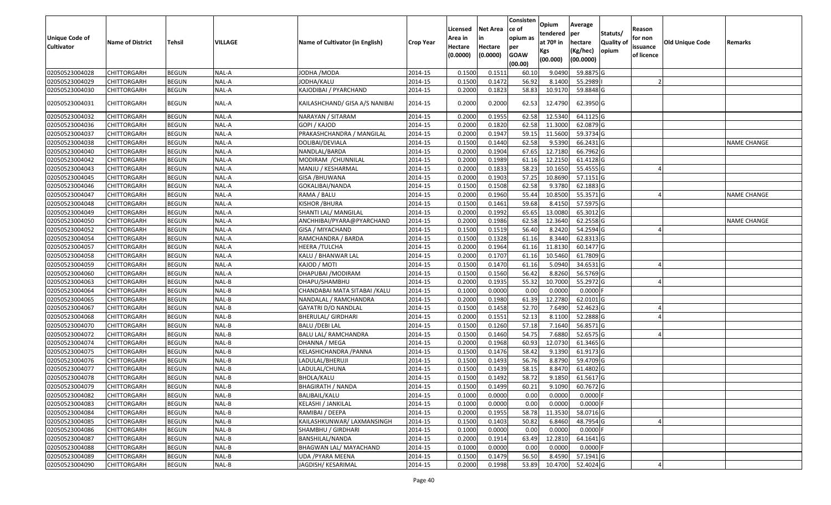| Unique Code of<br><b>Cultivator</b> | <b>Name of District</b> | Tehsil       | VILLAGE | Name of Cultivator (in English) | <b>Crop Year</b> | Licensed<br>Area in<br>Hectare<br>(0.0000) | Net Area<br>in<br>Hectare<br>(0.0000) | Consisten<br>ce of<br>opium as<br>per<br><b>GOAW</b><br>(00.00) | Opium<br>tendered<br>at 70º in<br>Kgs<br>(00.000) | Average<br>per<br>hectare<br>(Kg/hec)<br>(00.0000) | Statuts/<br><b>Quality of</b><br>opium | Reason<br>for non<br>issuance<br>of licence | <b>Old Unique Code</b> | Remarks            |
|-------------------------------------|-------------------------|--------------|---------|---------------------------------|------------------|--------------------------------------------|---------------------------------------|-----------------------------------------------------------------|---------------------------------------------------|----------------------------------------------------|----------------------------------------|---------------------------------------------|------------------------|--------------------|
| 02050523004028                      | <b>CHITTORGARH</b>      | <b>BEGUN</b> | NAL-A   | JODHA / MODA                    | 2014-15          | 0.1500                                     | 0.151                                 | 60.10                                                           | 9.0490                                            | 59.8875 G                                          |                                        |                                             |                        |                    |
| 02050523004029                      | CHITTORGARH             | <b>BEGUN</b> | NAL-A   | JODHA/KALU                      | 2014-15          | 0.1500                                     | 0.1472                                | 56.92                                                           | 8.1400                                            | 55.2989                                            |                                        |                                             |                        |                    |
| 02050523004030                      | CHITTORGARH             | <b>BEGUN</b> | NAL-A   | KAJODIBAI / PYARCHAND           | 2014-15          | 0.2000                                     | 0.1823                                | 58.83                                                           | 10.9170                                           | 59.8848 G                                          |                                        |                                             |                        |                    |
| 02050523004031                      | CHITTORGARH             | <b>BEGUN</b> | NAL-A   | KAILASHCHAND/ GISA A/S NANIBAI  | 2014-15          | 0.2000                                     | 0.2000                                | 62.53                                                           | 12.4790                                           | 62.3950 G                                          |                                        |                                             |                        |                    |
| 02050523004032                      | CHITTORGARH             | <b>BEGUN</b> | NAL-A   | NARAYAN / SITARAM               | 2014-15          | 0.2000                                     | 0.1955                                | 62.58                                                           | 12.5340                                           | 64.1125 G                                          |                                        |                                             |                        |                    |
| 02050523004036                      | CHITTORGARH             | <b>BEGUN</b> | NAL-A   | GOPI / KAJOD                    | 2014-15          | 0.2000                                     | 0.1820                                | 62.58                                                           | 11.3000                                           | 62.0879 G                                          |                                        |                                             |                        |                    |
| 02050523004037                      | CHITTORGARH             | <b>BEGUN</b> | NAL-A   | PRAKASHCHANDRA / MANGILAL       | 2014-15          | 0.2000                                     | 0.1947                                | 59.15                                                           | 11.5600                                           | 59.3734 G                                          |                                        |                                             |                        |                    |
| 02050523004038                      | CHITTORGARH             | <b>BEGUN</b> | NAL-A   | DOLIBAI/DEVIALA                 | 2014-15          | 0.1500                                     | 0.1440                                | 62.58                                                           | 9.5390                                            | 66.2431 G                                          |                                        |                                             |                        | <b>NAME CHANGE</b> |
| 02050523004040                      | CHITTORGARH             | <b>BEGUN</b> | NAL-A   | NANDLAL/BARDA                   | 2014-15          | 0.2000                                     | 0.1904                                | 67.65                                                           | 12.7180                                           | 66.7962 G                                          |                                        |                                             |                        |                    |
| 02050523004042                      | CHITTORGARH             | <b>BEGUN</b> | NAL-A   | MODIRAM / CHUNNILAL             | 2014-15          | 0.2000                                     | 0.1989                                | 61.16                                                           | 12.2150                                           | 61.4128 G                                          |                                        |                                             |                        |                    |
| 02050523004043                      | <b>CHITTORGARH</b>      | <b>BEGUN</b> | NAL-A   | MANJU / KESHARMAL               | 2014-15          | 0.2000                                     | 0.1833                                | 58.23                                                           | 10.1650                                           | 55.4555 G                                          |                                        |                                             |                        |                    |
| 02050523004045                      | <b>CHITTORGARH</b>      | <b>BEGUN</b> | NAL-A   | <b>GISA / BHUWANA</b>           | 2014-15          | 0.2000                                     | 0.1903                                | 57.25                                                           | 10.8690                                           | 57.1151G                                           |                                        |                                             |                        |                    |
| 02050523004046                      | CHITTORGARH             | <b>BEGUN</b> | NAL-A   | GOKALIBAI/NANDA                 | 2014-15          | 0.1500                                     | 0.1508                                | 62.58                                                           | 9.3780                                            | 62.1883 G                                          |                                        |                                             |                        |                    |
| 02050523004047                      | CHITTORGARH             | <b>BEGUN</b> | NAL-A   | RAMA / BALU                     | 2014-15          | 0.2000                                     | 0.1960                                | 55.44                                                           | 10.8500                                           | 55.3571 G                                          |                                        |                                             |                        | NAME CHANGE        |
| 02050523004048                      | CHITTORGARH             | <b>BEGUN</b> | NAL-A   | KISHOR / BHURA                  | 2014-15          | 0.1500                                     | 0.1461                                | 59.68                                                           | 8.4150                                            | 57.5975 G                                          |                                        |                                             |                        |                    |
| 02050523004049                      | CHITTORGARH             | <b>BEGUN</b> | NAL-A   | SHANTI LAL/ MANGILAL            | 2014-15          | 0.2000                                     | 0.1992                                | 65.65                                                           | 13.0080                                           | 65.3012 G                                          |                                        |                                             |                        |                    |
| 02050523004050                      | CHITTORGARH             | <b>BEGUN</b> | NAL-A   | ANCHHIBAI/PYARA@PYARCHAND       | 2014-15          | 0.2000                                     | 0.1986                                | 62.58                                                           | 12.3640                                           | 62.2558 G                                          |                                        |                                             |                        | <b>NAME CHANGE</b> |
| 02050523004052                      | CHITTORGARH             | <b>BEGUN</b> | NAL-A   | GISA / MIYACHAND                | 2014-15          | 0.1500                                     | 0.1519                                | 56.40                                                           | 8.2420                                            | 54.2594 G                                          |                                        |                                             |                        |                    |
| 02050523004054                      | CHITTORGARH             | <b>BEGUN</b> | NAL-A   | RAMCHANDRA / BARDA              | 2014-15          | 0.1500                                     | 0.1328                                | 61.16                                                           | 8.3440                                            | 62.8313 G                                          |                                        |                                             |                        |                    |
| 02050523004057                      | CHITTORGARH             | <b>BEGUN</b> | NAL-A   | HEERA /TULCHA                   | 2014-15          | 0.2000                                     | 0.1964                                | 61.16                                                           | 11.8130                                           | 60.1477 G                                          |                                        |                                             |                        |                    |
| 02050523004058                      | CHITTORGARH             | <b>BEGUN</b> | NAL-A   | KALU / BHANWAR LAL              | 2014-15          | 0.2000                                     | 0.1707                                | 61.16                                                           | 10.5460                                           | 61.7809 G                                          |                                        |                                             |                        |                    |
| 02050523004059                      | CHITTORGARH             | <b>BEGUN</b> | NAL-A   | KAJOD / MOTI                    | 2014-15          | 0.1500                                     | 0.1470                                | 61.16                                                           | 5.0940                                            | 34.6531 G                                          |                                        |                                             |                        |                    |
| 02050523004060                      | CHITTORGARH             | <b>BEGUN</b> | NAL-A   | DHAPUBAI / MODIRAM              | 2014-15          | 0.1500                                     | 0.1560                                | 56.42                                                           | 8.8260                                            | 56.5769 G                                          |                                        |                                             |                        |                    |
| 02050523004063                      | CHITTORGARH             | <b>BEGUN</b> | NAL-B   | DHAPU/SHAMBHU                   | 2014-15          | 0.2000                                     | 0.1935                                | 55.32                                                           | 10.7000                                           | 55.2972 G                                          |                                        |                                             |                        |                    |
| 02050523004064                      | CHITTORGARH             | <b>BEGUN</b> | NAL-B   | CHANDABAI MATA SITABAI / KALU   | 2014-15          | 0.1000                                     | 0.0000                                | 0.00                                                            | 0.0000                                            | $0.0000$ F                                         |                                        |                                             |                        |                    |
| 02050523004065                      | CHITTORGARH             | <b>BEGUN</b> | NAL-B   | NANDALAL / RAMCHANDRA           | 2014-15          | 0.2000                                     | 0.1980                                | 61.39                                                           | 12.2780                                           | 62.0101G                                           |                                        |                                             |                        |                    |
| 02050523004067                      | CHITTORGARH             | <b>BEGUN</b> | NAL-B   | GAYATRI D/O NANDLAL             | 2014-15          | 0.1500                                     | 0.1458                                | 52.70                                                           | 7.6490                                            | 52.4623 G                                          |                                        |                                             |                        |                    |
| 02050523004068                      | <b>CHITTORGARH</b>      | <b>BEGUN</b> | NAL-B   | <b>BHERULAL/ GIRDHARI</b>       | 2014-15          | 0.2000                                     | 0.1551                                | 52.13                                                           | 8.1100                                            | 52.2888 G                                          |                                        |                                             |                        |                    |
| 02050523004070                      | CHITTORGARH             | <b>BEGUN</b> | NAL-B   | <b>BALU /DEBI LAL</b>           | 2014-15          | 0.1500                                     | 0.1260                                | 57.18                                                           | 7.1640                                            | 56.8571 G                                          |                                        |                                             |                        |                    |
| 02050523004072                      | CHITTORGARH             | <b>BEGUN</b> | NAL-B   | <b>BALU LAL/ RAMCHANDRA</b>     | 2014-15          | 0.1500                                     | 0.1460                                | 54.75                                                           | 7.6880                                            | 52.6575 G                                          |                                        |                                             |                        |                    |
| 02050523004074                      | CHITTORGARH             | <b>BEGUN</b> | NAL-B   | DHANNA / MEGA                   | 2014-15          | 0.2000                                     | 0.1968                                | 60.93                                                           | 12.0730                                           | 61.3465 G                                          |                                        |                                             |                        |                    |
| 02050523004075                      | <b>CHITTORGARH</b>      | <b>BEGUN</b> | NAL-B   | KELASHICHANDRA / PANNA          | 2014-15          | 0.1500                                     | 0.1476                                | 58.42                                                           | 9.1390                                            | 61.9173 G                                          |                                        |                                             |                        |                    |
| 02050523004076                      | <b>CHITTORGARH</b>      | <b>BEGUN</b> | NAL-B   | LADULAL/BHERUJI                 | 2014-15          | 0.1500                                     | 0.1493                                | 56.76                                                           | 8.8790                                            | 59.4709 G                                          |                                        |                                             |                        |                    |
| 02050523004077                      | CHITTORGARH             | <b>BEGUN</b> | NAL-B   | LADULAL/CHUNA                   | 2014-15          | 0.1500                                     | 0.1439                                | 58.15                                                           | 8.8470                                            | 61.4802 G                                          |                                        |                                             |                        |                    |
| 02050523004078                      | CHITTORGARH             | <b>BEGUN</b> | NAL-B   | BHOLA/KALU                      | 2014-15          | 0.1500                                     | 0.1492                                | 58.72                                                           | 9.1850                                            | 61.5617 G                                          |                                        |                                             |                        |                    |
| 02050523004079                      | <b>CHITTORGARH</b>      | <b>BEGUN</b> | NAL-B   | <b>BHAGIRATH / NANDA</b>        | 2014-15          | 0.1500                                     | 0.1499                                | 60.21                                                           | 9.1090                                            | 60.7672 G                                          |                                        |                                             |                        |                    |
| 02050523004082                      | <b>CHITTORGARH</b>      | <b>BEGUN</b> | NAL-B   | BALIBAIL/KALU                   | 2014-15          | 0.1000                                     | 0.0000                                | 0.00                                                            | 0.0000                                            | $0.0000$ F                                         |                                        |                                             |                        |                    |
| 02050523004083                      | <b>CHITTORGARH</b>      | <b>BEGUN</b> | NAL-B   | KELASHI / JANKILAL              | 2014-15          | 0.1000                                     | 0.0000                                | 0.00                                                            | 0.0000                                            | $0.0000$ F                                         |                                        |                                             |                        |                    |
| 02050523004084                      | <b>CHITTORGARH</b>      | <b>BEGUN</b> | NAL-B   | RAMIBAI / DEEPA                 | 2014-15          | 0.2000                                     | 0.1955                                | 58.78                                                           | 11.3530                                           | 58.0716 G                                          |                                        |                                             |                        |                    |
| 02050523004085                      | <b>CHITTORGARH</b>      | <b>BEGUN</b> | NAL-B   | KAILASHKUNWAR/ LAXMANSINGH      | 2014-15          | 0.1500                                     | 0.1403                                | 50.82                                                           | 6.8460                                            | 48.7954 G                                          |                                        |                                             |                        |                    |
| 02050523004086                      | <b>CHITTORGARH</b>      | <b>BEGUN</b> | NAL-B   | SHAMBHU / GIRDHARI              | 2014-15          | 0.1000                                     | 0.0000                                | 0.00                                                            | 0.0000                                            | $0.0000$ F                                         |                                        |                                             |                        |                    |
| 02050523004087                      | <b>CHITTORGARH</b>      | <b>BEGUN</b> | NAL-B   | BANSHILAL/NANDA                 | 2014-15          | 0.2000                                     | 0.1914                                | 63.49                                                           | 12.2810                                           | 64.1641 G                                          |                                        |                                             |                        |                    |
| 02050523004088                      | <b>CHITTORGARH</b>      | <b>BEGUN</b> | NAL-B   | BHAGWAN LAL/ MAYACHAND          | 2014-15          | 0.1000                                     | 0.0000                                | 0.00                                                            | 0.0000                                            | $0.0000$ F                                         |                                        |                                             |                        |                    |
| 02050523004089                      | <b>CHITTORGARH</b>      | <b>BEGUN</b> | NAL-B   | UDA / PYARA MEENA               | 2014-15          | 0.1500                                     | 0.1479                                | 56.50                                                           | 8.4590                                            | 57.1941 G                                          |                                        |                                             |                        |                    |
| 02050523004090                      | <b>CHITTORGARH</b>      | <b>BEGUN</b> | NAL-B   | JAGDISH/ KESARIMAL              | 2014-15          | 0.2000                                     | 0.1998                                | 53.89                                                           | 10.4700                                           | 52.4024 G                                          |                                        |                                             |                        |                    |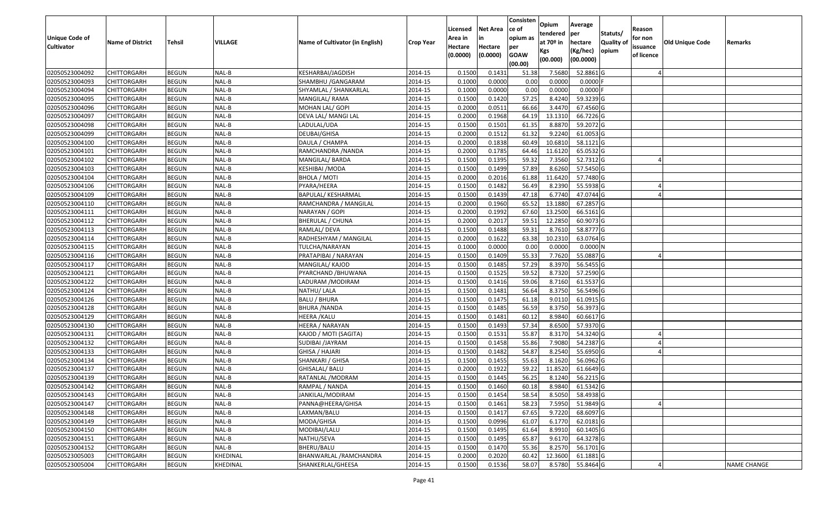|                       |                         |               |          |                                 |                  | Licensed | <b>Net Area</b> | Consisten<br>ce of | Opium           | Average               |                  | Reason     |                 |                    |
|-----------------------|-------------------------|---------------|----------|---------------------------------|------------------|----------|-----------------|--------------------|-----------------|-----------------------|------------------|------------|-----------------|--------------------|
| <b>Unique Code of</b> |                         |               |          |                                 |                  | Area in  |                 | opium as           | tendered        | per                   | Statuts/         | for non    |                 |                    |
| <b>Cultivator</b>     | <b>Name of District</b> | <b>Tehsil</b> | VILLAGE  | Name of Cultivator (in English) | <b>Crop Year</b> | Hectare  | Hectare         | per                | at $70°$ in     | hectare               | <b>Quality o</b> | issuance   | Old Unique Code | Remarks            |
|                       |                         |               |          |                                 |                  | (0.0000) | (0.0000)        | <b>GOAW</b>        | Kgs<br>(00.000) | (Kg/hec)<br>(00.0000) | opium            | of licence |                 |                    |
|                       |                         |               |          |                                 |                  |          |                 | (00.00)            |                 |                       |                  |            |                 |                    |
| 02050523004092        | CHITTORGARH             | <b>BEGUN</b>  | NAL-B    | KESHARBAI/JAGDISH               | 2014-15          | 0.1500   | 0.1431          | 51.38              | 7.5680          | 52.8861G              |                  |            |                 |                    |
| 02050523004093        | CHITTORGARH             | <b>BEGUN</b>  | NAL-B    | SHAMBHU /GANGARAM               | 2014-15          | 0.1000   | 0.0000          | 0.00               | 0.0000          | $0.0000$ F            |                  |            |                 |                    |
| 02050523004094        | CHITTORGARH             | <b>BEGUN</b>  | NAL-B    | SHYAMLAL / SHANKARLAL           | 2014-15          | 0.1000   | 0.0000          | 0.00               | 0.0000          | 0.0000                |                  |            |                 |                    |
| 02050523004095        | <b>CHITTORGARH</b>      | <b>BEGUN</b>  | NAL-B    | MANGILAL/RAMA                   | 2014-15          | 0.1500   | 0.1420          | 57.25              | 8.4240          | 59.3239 G             |                  |            |                 |                    |
| 02050523004096        | CHITTORGARH             | <b>BEGUN</b>  | NAL-B    | MOHAN LAL/ GOPI                 | 2014-15          | 0.2000   | 0.0511          | 66.66              | 3.4470          | 67.4560 G             |                  |            |                 |                    |
| 02050523004097        | CHITTORGARH             | <b>BEGUN</b>  | NAL-B    | DEVA LAL/ MANGI LAL             | 2014-15          | 0.2000   | 0.1968          | 64.19              | 13.1310         | 66.7226 G             |                  |            |                 |                    |
| 02050523004098        | CHITTORGARH             | <b>BEGUN</b>  | NAL-B    | LADULAL/UDA                     | 2014-15          | 0.1500   | 0.1501          | 61.35              | 8.8870          | 59.2072 G             |                  |            |                 |                    |
| 02050523004099        | <b>CHITTORGARH</b>      | <b>BEGUN</b>  | NAL-B    | DEUBAI/GHISA                    | 2014-15          | 0.2000   | 0.1512          | 61.32              | 9.2240          | 61.0053G              |                  |            |                 |                    |
| 02050523004100        | CHITTORGARH             | <b>BEGUN</b>  | NAL-B    | DAULA / CHAMPA                  | 2014-15          | 0.2000   | 0.1838          | 60.49              | 10.6810         | 58.1121G              |                  |            |                 |                    |
| 02050523004101        | CHITTORGARH             | <b>BEGUN</b>  | NAL-B    | RAMCHANDRA / NANDA              | 2014-15          | 0.2000   | 0.1785          | 64.46              | 11.6120         | 65.0532 G             |                  |            |                 |                    |
| 02050523004102        | CHITTORGARH             | <b>BEGUN</b>  | NAL-B    | MANGILAL/ BARDA                 | 2014-15          | 0.1500   | 0.1395          | 59.32              | 7.3560          | 52.7312 G             |                  |            |                 |                    |
| 02050523004103        | <b>CHITTORGARH</b>      | <b>BEGUN</b>  | NAL-B    | <b>KESHIBAI / MODA</b>          | 2014-15          | 0.1500   | 0.1499          | 57.89              | 8.6260          | 57.5450 G             |                  |            |                 |                    |
| 02050523004104        | <b>CHITTORGARH</b>      | <b>BEGUN</b>  | NAL-B    | <b>BHOLA / MOTI</b>             | 2014-15          | 0.2000   | 0.2016          | 61.88              | 11.6420         | 57.7480 G             |                  |            |                 |                    |
| 02050523004106        | CHITTORGARH             | <b>BEGUN</b>  | NAL-B    | PYARA/HEERA                     | 2014-15          | 0.1500   | 0.1482          | 56.49              | 8.2390          | 55.5938 G             |                  |            |                 |                    |
| 02050523004109        | <b>CHITTORGARH</b>      | <b>BEGUN</b>  | NAL-B    | BAPULAL/ KESHARMAL              | 2014-15          | 0.1500   | 0.1439          | 47.18              | 6.7740          | 47.0744 G             |                  |            |                 |                    |
| 02050523004110        | <b>CHITTORGARH</b>      | <b>BEGUN</b>  | NAL-B    | RAMCHANDRA / MANGILAL           | 2014-15          | 0.2000   | 0.1960          | 65.52              | 13.1880         | 67.2857 G             |                  |            |                 |                    |
| 02050523004111        | <b>CHITTORGARH</b>      | <b>BEGUN</b>  | NAL-B    | NARAYAN / GOPI                  | 2014-15          | 0.2000   | 0.1992          | 67.60              | 13.2500         | 66.5161G              |                  |            |                 |                    |
| 02050523004112        | CHITTORGARH             | <b>BEGUN</b>  | NAL-B    | <b>BHERULAL / CHUNA</b>         | 2014-15          | 0.2000   | 0.2017          | 59.5               | 12.2850         | 60.9073 G             |                  |            |                 |                    |
| 02050523004113        | CHITTORGARH             | <b>BEGUN</b>  | NAL-B    | RAMLAL/DEVA                     | 2014-15          | 0.1500   | 0.1488          | 59.31              | 8.7610          | 58.8777 G             |                  |            |                 |                    |
| 02050523004114        | CHITTORGARH             | <b>BEGUN</b>  | NAL-B    | RADHESHYAM / MANGILAL           | 2014-15          | 0.2000   | 0.1622          | 63.38              | 10.2310         | 63.0764 G             |                  |            |                 |                    |
| 02050523004115        | CHITTORGARH             | <b>BEGUN</b>  | NAL-B    | TULCHA/NARAYAN                  | 2014-15          | 0.1000   | 0.0000          | 0.00               | 0.0000          | 0.0000N               |                  |            |                 |                    |
| 02050523004116        | CHITTORGARH             | <b>BEGUN</b>  | NAL-B    | PRATAPIBAI / NARAYAN            | 2014-15          | 0.150    | 0.1409          | 55.33              | 7.7620          | 55.0887 G             |                  |            |                 |                    |
| 02050523004117        | CHITTORGARH             | <b>BEGUN</b>  | NAL-B    | MANGILAL/ KAJOD                 | 2014-15          | 0.1500   | 0.1485          | 57.29              | 8.3970          | 56.5455 G             |                  |            |                 |                    |
| 02050523004121        | CHITTORGARH             | <b>BEGUN</b>  | NAL-B    | PYARCHAND /BHUWANA              | 2014-15          | 0.1500   | 0.1525          | 59.52              | 8.7320          | 57.2590 G             |                  |            |                 |                    |
| 02050523004122        | <b>CHITTORGARH</b>      | <b>BEGUN</b>  | NAL-B    | LADURAM /MODIRAM                | 2014-15          | 0.1500   | 0.1416          | 59.06              | 8.7160          | 61.5537 G             |                  |            |                 |                    |
| 02050523004124        | CHITTORGARH             | <b>BEGUN</b>  | NAL-B    | NATHU/ LALA                     | 2014-15          | 0.1500   | 0.1481          | 56.64              | 8.3750          | 56.5496 G             |                  |            |                 |                    |
| 02050523004126        | CHITTORGARH             | <b>BEGUN</b>  | NAL-B    | <b>BALU / BHURA</b>             | 2014-15          | 0.1500   | 0.1475          | 61.18              | 9.0110          | 61.0915 G             |                  |            |                 |                    |
| 02050523004128        | CHITTORGARH             | <b>BEGUN</b>  | NAL-B    | <b>BHURA / NANDA</b>            | 2014-15          | 0.1500   | 0.1485          | 56.59              | 8.3750          | 56.3973 G             |                  |            |                 |                    |
| 02050523004129        | CHITTORGARH             | <b>BEGUN</b>  | NAL-B    | HEERA /KALU                     | 2014-15          | 0.1500   | 0.1481          | 60.12              | 8.9840          | 60.6617 G             |                  |            |                 |                    |
| 02050523004130        | CHITTORGARH             | <b>BEGUN</b>  | NAL-B    | HEERA / NARAYAN                 | 2014-15          | 0.1500   | 0.1493          | 57.34              | 8.6500          | 57.9370 G             |                  |            |                 |                    |
| 02050523004131        | CHITTORGARH             | <b>BEGUN</b>  | NAL-B    | KAJOD / MOTI (SAGITA)           | 2014-15          | 0.1500   | 0.1531          | 55.87              | 8.3170          | 54.3240 G             |                  |            |                 |                    |
| 02050523004132        | CHITTORGARH             | <b>BEGUN</b>  | NAL-B    | SUDIBAI /JAYRAM                 | 2014-15          | 0.1500   | 0.1458          | 55.86              | 7.9080          | 54.2387 G             |                  |            |                 |                    |
| 02050523004133        | CHITTORGARH             | <b>BEGUN</b>  | NAL-B    | GHISA / HAJARI                  | 2014-15          | 0.1500   | 0.1482          | 54.87              | 8.2540          | 55.6950G              |                  |            |                 |                    |
| 02050523004134        | CHITTORGARH             | <b>BEGUN</b>  | NAL-B    | SHANKARI / GHISA                | 2014-15          | 0.1500   | 0.1455          | 55.63              | 8.1620          | 56.0962 G             |                  |            |                 |                    |
| 02050523004137        | CHITTORGARH             | <b>BEGUN</b>  | NAL-B    | GHISALAL/ BALU                  | 2014-15          | 0.2000   | 0.1922          | 59.22              | 11.8520         | 61.6649 G             |                  |            |                 |                    |
| 02050523004139        | CHITTORGARH             | <b>BEGUN</b>  | NAL-B    | RATANLAL /MODRAM                | 2014-15          | 0.1500   | 0.1445          | 56.25              | 8.1240          | 56.2215 G             |                  |            |                 |                    |
| 02050523004142        | <b>CHITTORGARH</b>      | <b>BEGUN</b>  | $NAL-B$  | RAMPAL / NANDA                  | 2014-15          | 0.1500   | 0.1460          | 60.18              | 8.9840          | 61.5342 G             |                  |            |                 |                    |
| 02050523004143        | <b>CHITTORGARH</b>      | <b>BEGUN</b>  | NAL-B    | JANKILAL/MODIRAM                | 2014-15          | 0.1500   | 0.1454          | 58.54              | 8.5050          | 58.4938 G             |                  |            |                 |                    |
| 02050523004147        | <b>CHITTORGARH</b>      | <b>BEGUN</b>  | NAL-B    | PANNA@HEERA/GHISA               | 2014-15          | 0.1500   | 0.1461          | 58.23              | 7.5950          | 51.9849 G             |                  |            |                 |                    |
| 02050523004148        | <b>CHITTORGARH</b>      | <b>BEGUN</b>  | NAL-B    | LAXMAN/BALU                     | 2014-15          | 0.1500   | 0.1417          | 67.65              | 9.7220          | 68.6097 G             |                  |            |                 |                    |
| 02050523004149        | <b>CHITTORGARH</b>      | <b>BEGUN</b>  | NAL-B    | MODA/GHISA                      | 2014-15          | 0.1500   | 0.0996          | 61.07              | 6.1770          | 62.0181 G             |                  |            |                 |                    |
| 02050523004150        | <b>CHITTORGARH</b>      | <b>BEGUN</b>  | NAL-B    | MODIBAI/LALU                    | 2014-15          | 0.1500   | 0.1495          | 61.64              | 8.9910          | 60.1405 G             |                  |            |                 |                    |
| 02050523004151        | <b>CHITTORGARH</b>      | <b>BEGUN</b>  | NAL-B    | NATHU/SEVA                      | 2014-15          | 0.1500   | 0.1495          | 65.87              | 9.6170          | 64.3278 G             |                  |            |                 |                    |
| 02050523004152        | <b>CHITTORGARH</b>      | <b>BEGUN</b>  | NAL-B    | BHERU/BALU                      | 2014-15          | 0.1500   | 0.1470          | 55.36              | 8.2570          | 56.1701 G             |                  |            |                 |                    |
| 02050523005003        | <b>CHITTORGARH</b>      | <b>BEGUN</b>  | KHEDINAL | BHANWARLAL /RAMCHANDRA          | 2014-15          | 0.2000   | 0.2020          | 60.42              | 12.3600         | 61.1881 G             |                  |            |                 |                    |
| 02050523005004        | <b>CHITTORGARH</b>      | <b>BEGUN</b>  | KHEDINAL | SHANKERLAL/GHEESA               | 2014-15          | 0.1500   | 0.1536          | 58.07              | 8.5780          | 55.8464 G             |                  |            |                 | <b>NAME CHANGE</b> |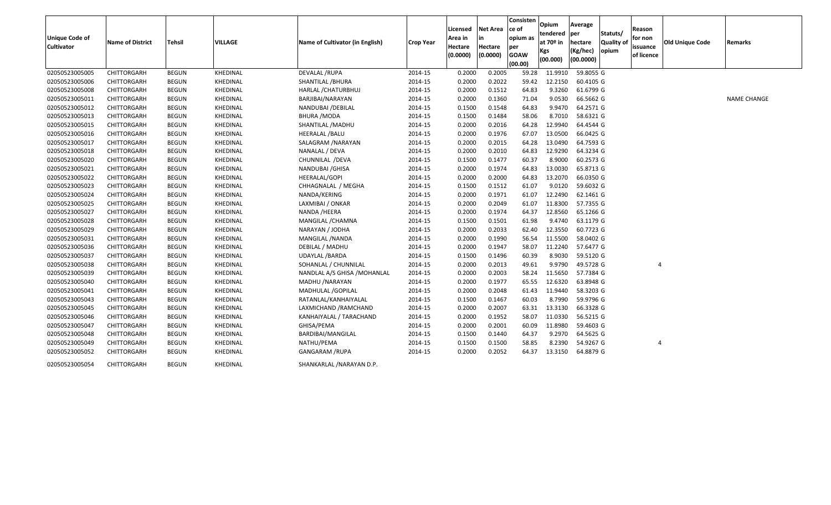| <b>Unique Code of</b><br><b>Cultivator</b> | <b>Name of District</b> | Tehsil       | VILLAGE         | Name of Cultivator (in English) | <b>Crop Year</b> | Licensed<br>Area in<br>Hectare<br>(0.0000) | <b>Net Area</b><br>in<br>Hectare<br>(0.0000) | Consisten<br>ce of<br>opium as<br>per<br><b>GOAW</b><br>(00.00) | Opium<br>tendered  per<br>at $70°$ in<br>Kgs<br>(00.000) | Average<br>hectare<br>(Kg/hec)<br>(00.0000) | Statuts/<br>Quality of<br>opium | Reason<br>for non<br>issuance<br>of licence | <b>Old Unique Code</b> | Remarks            |
|--------------------------------------------|-------------------------|--------------|-----------------|---------------------------------|------------------|--------------------------------------------|----------------------------------------------|-----------------------------------------------------------------|----------------------------------------------------------|---------------------------------------------|---------------------------------|---------------------------------------------|------------------------|--------------------|
| 02050523005005                             | CHITTORGARH             | <b>BEGUN</b> | KHEDINAL        | <b>DEVALAL /RUPA</b>            | 2014-15          | 0.2000                                     | 0.2005                                       | 59.28                                                           | 11.9910                                                  | 59.8055 G                                   |                                 |                                             |                        |                    |
| 02050523005006                             | CHITTORGARH             | <b>BEGUN</b> | KHEDINAL        | SHANTILAL /BHURA                | 2014-15          | 0.2000                                     | 0.2022                                       | 59.42                                                           | 12.2150                                                  | 60.4105 G                                   |                                 |                                             |                        |                    |
| 02050523005008                             | CHITTORGARH             | <b>BEGUN</b> | KHEDINAL        | HARLAL / CHATURBHUJ             | 2014-15          | 0.2000                                     | 0.1512                                       | 64.83                                                           | 9.3260                                                   | 61.6799 G                                   |                                 |                                             |                        |                    |
| 02050523005011                             | CHITTORGARH             | <b>BEGUN</b> | KHEDINAL        | BARJIBAI/NARAYAN                | 2014-15          | 0.2000                                     | 0.1360                                       | 71.04                                                           | 9.0530                                                   | 66.5662 G                                   |                                 |                                             |                        | <b>NAME CHANGE</b> |
| 02050523005012                             | CHITTORGARH             | <b>BEGUN</b> | KHEDINAL        | NANDUBAI / DEBILAL              | 2014-15          | 0.1500                                     | 0.1548                                       | 64.83                                                           | 9.9470                                                   | 64.2571 G                                   |                                 |                                             |                        |                    |
| 02050523005013                             | CHITTORGARH             | <b>BEGUN</b> | KHEDINAL        | <b>BHURA /MODA</b>              | 2014-15          | 0.1500                                     | 0.1484                                       | 58.06                                                           | 8.7010                                                   | 58.6321 G                                   |                                 |                                             |                        |                    |
| 02050523005015                             | CHITTORGARH             | <b>BEGUN</b> | KHEDINAL        | SHANTILAL /MADHU                | 2014-15          | 0.2000                                     | 0.2016                                       | 64.28                                                           | 12.9940                                                  | 64.4544 G                                   |                                 |                                             |                        |                    |
| 02050523005016                             | CHITTORGARH             | <b>BEGUN</b> | KHEDINAL        | <b>HEERALAL /BALU</b>           | 2014-15          | 0.2000                                     | 0.1976                                       | 67.07                                                           | 13.0500                                                  | 66.0425 G                                   |                                 |                                             |                        |                    |
| 02050523005017                             | CHITTORGARH             | <b>BEGUN</b> | KHEDINAL        | SALAGRAM / NARAYAN              | 2014-15          | 0.2000                                     | 0.2015                                       | 64.28                                                           | 13.0490                                                  | 64.7593 G                                   |                                 |                                             |                        |                    |
| 02050523005018                             | CHITTORGARH             | <b>BEGUN</b> | KHEDINAL        | NANALAL / DEVA                  | 2014-15          | 0.2000                                     | 0.2010                                       | 64.83                                                           | 12.9290                                                  | 64.3234 G                                   |                                 |                                             |                        |                    |
| 02050523005020                             | CHITTORGARH             | <b>BEGUN</b> | KHEDINAL        | CHUNNILAL /DEVA                 | 2014-15          | 0.1500                                     | 0.1477                                       | 60.37                                                           | 8.9000                                                   | 60.2573 G                                   |                                 |                                             |                        |                    |
| 02050523005021                             | CHITTORGARH             | <b>BEGUN</b> | KHEDINAL        | NANDUBAI / GHISA                | 2014-15          | 0.2000                                     | 0.1974                                       | 64.83                                                           | 13.0030                                                  | 65.8713 G                                   |                                 |                                             |                        |                    |
| 02050523005022                             | CHITTORGARH             | <b>BEGUN</b> | KHEDINAL        | HEERALAL/GOPI                   | 2014-15          | 0.2000                                     | 0.2000                                       | 64.83                                                           | 13.2070                                                  | 66.0350 G                                   |                                 |                                             |                        |                    |
| 02050523005023                             | CHITTORGARH             | <b>BEGUN</b> | KHEDINAL        | CHHAGNALAL / MEGHA              | 2014-15          | 0.1500                                     | 0.1512                                       | 61.07                                                           | 9.0120                                                   | 59.6032 G                                   |                                 |                                             |                        |                    |
| 02050523005024                             | CHITTORGARH             | <b>BEGUN</b> | KHEDINAL        | NANDA/KERING                    | 2014-15          | 0.2000                                     | 0.1971                                       | 61.07                                                           | 12.2490                                                  | 62.1461 G                                   |                                 |                                             |                        |                    |
| 02050523005025                             | CHITTORGARH             | <b>BEGUN</b> | KHEDINAL        | LAXMIBAI / ONKAR                | 2014-15          | 0.2000                                     | 0.2049                                       | 61.07                                                           | 11.8300                                                  | 57.7355 G                                   |                                 |                                             |                        |                    |
| 02050523005027                             | CHITTORGARH             | <b>BEGUN</b> | KHEDINAL        | NANDA /HEERA                    | 2014-15          | 0.2000                                     | 0.1974                                       | 64.37                                                           | 12.8560                                                  | 65.1266 G                                   |                                 |                                             |                        |                    |
| 02050523005028                             | CHITTORGARH             | <b>BEGUN</b> | KHEDINAL        | MANGILAL / CHAMNA               | 2014-15          | 0.1500                                     | 0.1501                                       | 61.98                                                           | 9.4740                                                   | 63.1179 G                                   |                                 |                                             |                        |                    |
| 02050523005029                             | CHITTORGARH             | <b>BEGUN</b> | KHEDINAL        | NARAYAN / JODHA                 | 2014-15          | 0.2000                                     | 0.2033                                       | 62.40                                                           | 12.3550                                                  | 60.7723 G                                   |                                 |                                             |                        |                    |
| 02050523005031                             | CHITTORGARH             | <b>BEGUN</b> | KHEDINAL        | MANGILAL / NANDA                | 2014-15          | 0.2000                                     | 0.1990                                       | 56.54                                                           | 11.5500                                                  | 58.0402 G                                   |                                 |                                             |                        |                    |
| 02050523005036                             | CHITTORGARH             | <b>BEGUN</b> | KHEDINAL        | DEBILAL / MADHU                 | 2014-15          | 0.2000                                     | 0.1947                                       | 58.07                                                           | 11.2240                                                  | 57.6477 G                                   |                                 |                                             |                        |                    |
| 02050523005037                             | CHITTORGARH             | <b>BEGUN</b> | KHEDINAL        | <b>UDAYLAL /BARDA</b>           | 2014-15          | 0.1500                                     | 0.1496                                       | 60.39                                                           | 8.9030                                                   | 59.5120 G                                   |                                 |                                             |                        |                    |
| 02050523005038                             | CHITTORGARH             | <b>BEGUN</b> | KHEDINAL        | SOHANLAL / CHUNNILAL            | 2014-15          | 0.2000                                     | 0.2013                                       | 49.61                                                           | 9.9790                                                   | 49.5728 G                                   |                                 | $\overline{4}$                              |                        |                    |
| 02050523005039                             | CHITTORGARH             | <b>BEGUN</b> | KHEDINAL        | NANDLAL A/S GHISA / MOHANLAL    | 2014-15          | 0.2000                                     | 0.2003                                       | 58.24                                                           | 11.5650                                                  | 57.7384 G                                   |                                 |                                             |                        |                    |
| 02050523005040                             | CHITTORGARH             | <b>BEGUN</b> | KHEDINAL        | MADHU / NARAYAN                 | 2014-15          | 0.2000                                     | 0.1977                                       | 65.55                                                           | 12.6320                                                  | 63.8948 G                                   |                                 |                                             |                        |                    |
| 02050523005041                             | CHITTORGARH             | <b>BEGUN</b> | KHEDINAL        | MADHULAL / GOPILAL              | 2014-15          | 0.2000                                     | 0.2048                                       | 61.43                                                           | 11.9440                                                  | 58.3203 G                                   |                                 |                                             |                        |                    |
| 02050523005043                             | CHITTORGARH             | <b>BEGUN</b> | KHEDINAL        | RATANLAL/KANHAIYALAL            | 2014-15          | 0.1500                                     | 0.1467                                       | 60.03                                                           | 8.7990                                                   | 59.9796 G                                   |                                 |                                             |                        |                    |
| 02050523005045                             | CHITTORGARH             | <b>BEGUN</b> | KHEDINAL        | LAXMICHAND / RAMCHAND           | 2014-15          | 0.2000                                     | 0.2007                                       | 63.31                                                           | 13.3130                                                  | 66.3328 G                                   |                                 |                                             |                        |                    |
| 02050523005046                             | CHITTORGARH             | <b>BEGUN</b> | KHEDINAL        | KANHAIYALAL / TARACHAND         | 2014-15          | 0.2000                                     | 0.1952                                       | 58.07                                                           | 11.0330                                                  | 56.5215 G                                   |                                 |                                             |                        |                    |
| 02050523005047                             | CHITTORGARH             | <b>BEGUN</b> | KHEDINAL        | GHISA/PEMA                      | 2014-15          | 0.2000                                     | 0.2001                                       | 60.09                                                           | 11.8980                                                  | 59.4603 G                                   |                                 |                                             |                        |                    |
| 02050523005048                             | CHITTORGARH             | <b>BEGUN</b> | KHEDINAL        | BARDIBAI/MANGILAL               | 2014-15          | 0.1500                                     | 0.1440                                       | 64.37                                                           | 9.2970                                                   | 64.5625 G                                   |                                 |                                             |                        |                    |
| 02050523005049                             | CHITTORGARH             | <b>BEGUN</b> | KHEDINAL        | NATHU/PEMA                      | 2014-15          | 0.1500                                     | 0.1500                                       | 58.85                                                           | 8.2390                                                   | 54.9267 G                                   |                                 | $\overline{4}$                              |                        |                    |
| 02050523005052                             | CHITTORGARH             | <b>BEGUN</b> | KHEDINAL        | GANGARAM /RUPA                  | 2014-15          | 0.2000                                     | 0.2052                                       | 64.37                                                           | 13.3150                                                  | 64.8879 G                                   |                                 |                                             |                        |                    |
| 02050523005054                             | <b>CHITTORGARH</b>      | <b>BEGUN</b> | <b>KHEDINAL</b> | SHANKARLAL / NARAYAN D.P.       |                  |                                            |                                              |                                                                 |                                                          |                                             |                                 |                                             |                        |                    |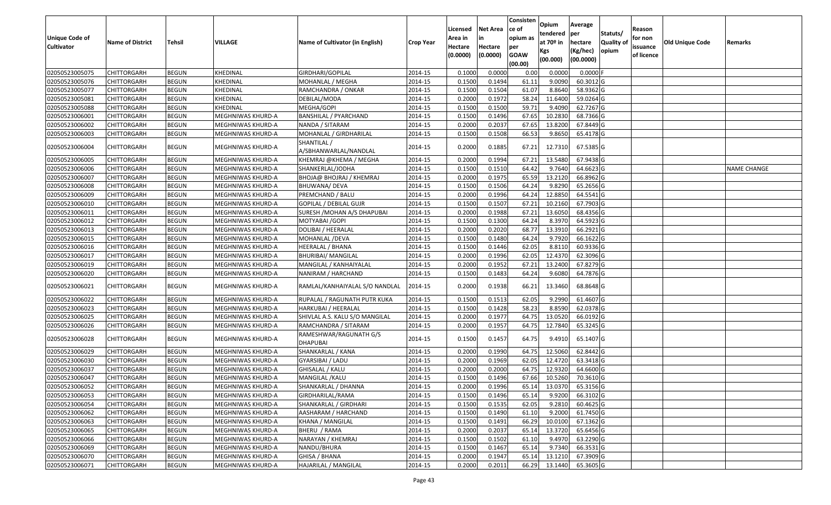| <b>Unique Code of</b><br><b>Cultivator</b> | <b>Name of District</b> | <b>Tehsil</b> | VILLAGE           | Name of Cultivator (in English)      | <b>Crop Year</b> | Licensed<br>Area in<br>Hectare<br>(0.0000) | <b>Net Area</b><br>in<br>Hectare<br>(0.0000) | Consisten<br>ce of<br>opium as<br>per<br><b>GOAW</b><br>(00.00) | Opium<br>tendered<br>at $70°$ in<br>Kgs<br>(00.000) | Average<br>per<br>hectare<br>(Kg/hec)<br>(00.0000) | Statuts/<br>Quality of<br>opium | Reason<br>for non<br>issuance<br>of licence | <b>Old Unique Code</b> | Remarks            |
|--------------------------------------------|-------------------------|---------------|-------------------|--------------------------------------|------------------|--------------------------------------------|----------------------------------------------|-----------------------------------------------------------------|-----------------------------------------------------|----------------------------------------------------|---------------------------------|---------------------------------------------|------------------------|--------------------|
| 02050523005075                             | <b>CHITTORGARH</b>      | <b>BEGUN</b>  | KHEDINAL          | GIRDHARI/GOPILAL                     | 2014-15          | 0.1000                                     | 0.0000                                       | 0.00                                                            | 0.000                                               | 0.0000                                             |                                 |                                             |                        |                    |
| 02050523005076                             | CHITTORGARH             | <b>BEGUN</b>  | KHEDINAL          | MOHANLAL / MEGHA                     | 2014-15          | 0.1500                                     | 0.1494                                       | 61.11                                                           | 9.0090                                              | 60.3012G                                           |                                 |                                             |                        |                    |
| 02050523005077                             | CHITTORGARH             | <b>BEGUN</b>  | KHEDINAL          | RAMCHANDRA / ONKAR                   | 2014-15          | 0.1500                                     | 0.1504                                       | 61.07                                                           | 8.8640                                              | 58.9362 G                                          |                                 |                                             |                        |                    |
| 02050523005081                             | <b>CHITTORGARH</b>      | <b>BEGUN</b>  | KHEDINAL          | DEBILAL/MODA                         | 2014-15          | 0.2000                                     | 0.1972                                       | 58.24                                                           | 11.6400                                             | 59.0264 G                                          |                                 |                                             |                        |                    |
| 02050523005088                             | <b>CHITTORGARH</b>      | <b>BEGUN</b>  | KHEDINAL          | MEGHA/GOPI                           | 2014-15          | 0.1500                                     | 0.1500                                       | 59.71                                                           | 9.4090                                              | 62.7267 G                                          |                                 |                                             |                        |                    |
| 02050523006001                             | <b>CHITTORGARH</b>      | <b>BEGUN</b>  | MEGHNIWAS KHURD-A | <b>BANSHILAL / PYARCHAND</b>         | 2014-15          | 0.1500                                     | 0.1496                                       | 67.65                                                           | 10.2830                                             | 68.7366 G                                          |                                 |                                             |                        |                    |
| 02050523006002                             | <b>CHITTORGARH</b>      | <b>BEGUN</b>  | MEGHNIWAS KHURD-A | NANDA / SITARAM                      | 2014-15          | 0.2000                                     | 0.2037                                       | 67.65                                                           | 13.8200                                             | 67.8449 G                                          |                                 |                                             |                        |                    |
| 02050523006003                             | <b>CHITTORGARH</b>      | <b>BEGUN</b>  | MEGHNIWAS KHURD-A | MOHANLAL / GIRDHARILAL               | 2014-15          | 0.1500                                     | 0.1508                                       | 66.53                                                           | 9.8650                                              | 65.4178 G                                          |                                 |                                             |                        |                    |
| 02050523006004                             | CHITTORGARH             | <b>BEGUN</b>  | MEGHNIWAS KHURD-A | SHANTILAL /<br>A/SBHANWARLAL/NANDLAL | 2014-15          | 0.2000                                     | 0.1885                                       | 67.21                                                           | 12.7310                                             | 67.5385 G                                          |                                 |                                             |                        |                    |
| 02050523006005                             | CHITTORGARH             | <b>BEGUN</b>  | MEGHNIWAS KHURD-A | KHEMRAJ @KHEMA / MEGHA               | 2014-15          | 0.2000                                     | 0.1994                                       | 67.21                                                           | 13.5480                                             | 67.9438 G                                          |                                 |                                             |                        |                    |
| 02050523006006                             | CHITTORGARH             | <b>BEGUN</b>  | MEGHNIWAS KHURD-A | SHANKERLAL/JODHA                     | 2014-15          | 0.1500                                     | 0.1510                                       | 64.42                                                           | 9.7640                                              | 64.6623 G                                          |                                 |                                             |                        | <b>NAME CHANGE</b> |
| 02050523006007                             | CHITTORGARH             | <b>BEGUN</b>  | MEGHNIWAS KHURD-A | BHOJA@ BHOJRAJ / KHEMRAJ             | 2014-15          | 0.2000                                     | 0.1975                                       | 65.59                                                           | 13.2120                                             | $66.8962$ G                                        |                                 |                                             |                        |                    |
| 02050523006008                             | CHITTORGARH             | <b>BEGUN</b>  | MEGHNIWAS KHURD-A | BHUWANA/DEVA                         | 2014-15          | 0.1500                                     | 0.1506                                       | 64.24                                                           | 9.8290                                              | 65.2656 G                                          |                                 |                                             |                        |                    |
| 02050523006009                             | CHITTORGARH             | <b>BEGUN</b>  | MEGHNIWAS KHURD-A | PREMCHAND / BALU                     | 2014-15          | 0.2000                                     | 0.1996                                       | 64.24                                                           | 12.8850                                             | 64.5541 G                                          |                                 |                                             |                        |                    |
| 02050523006010                             | <b>CHITTORGARH</b>      | <b>BEGUN</b>  | MEGHNIWAS KHURD-A | <b>GOPILAL / DEBILAL GUJR</b>        | 2014-15          | 0.1500                                     | 0.1507                                       | 67.21                                                           | 10.2160                                             | 67.7903 G                                          |                                 |                                             |                        |                    |
| 02050523006011                             | CHITTORGARH             | <b>BEGUN</b>  | MEGHNIWAS KHURD-A | SURESH / MOHAN A/S DHAPUBAI          | 2014-15          | 0.2000                                     | 0.1988                                       | 67.21                                                           | 13.6050                                             | 68.4356 G                                          |                                 |                                             |                        |                    |
| 02050523006012                             | CHITTORGARH             | <b>BEGUN</b>  | MEGHNIWAS KHURD-A | MOTYABAI / GOPI                      | 2014-15          | 0.1500                                     | 0.1300                                       | 64.24                                                           | 8.3970                                              | 64.5923 G                                          |                                 |                                             |                        |                    |
| 02050523006013                             | CHITTORGARH             | <b>BEGUN</b>  | MEGHNIWAS KHURD-A | DOLIBAI / HEERALAL                   | 2014-15          | 0.2000                                     | 0.2020                                       | 68.77                                                           | 13.3910                                             | 66.2921G                                           |                                 |                                             |                        |                    |
| 02050523006015                             | CHITTORGARH             | <b>BEGUN</b>  | MEGHNIWAS KHURD-A | MOHANLAL /DEVA                       | 2014-15          | 0.1500                                     | 0.1480                                       | 64.24                                                           | 9.7920                                              | 66.1622G                                           |                                 |                                             |                        |                    |
| 02050523006016                             | <b>CHITTORGARH</b>      | <b>BEGUN</b>  | MEGHNIWAS KHURD-A | <b>HEERALAL / BHANA</b>              | 2014-15          | 0.1500                                     | 0.1446                                       | 62.05                                                           | 8.8110                                              | 60.9336 G                                          |                                 |                                             |                        |                    |
| 02050523006017                             | CHITTORGARH             | <b>BEGUN</b>  | MEGHNIWAS KHURD-A | <b>BHURIBAI/ MANGILAL</b>            | 2014-15          | 0.2000                                     | 0.1996                                       | 62.05                                                           | 12.4370                                             | 62.3096 G                                          |                                 |                                             |                        |                    |
| 02050523006019                             | CHITTORGARH             | <b>BEGUN</b>  | MEGHNIWAS KHURD-A | MANGILAL / KANHAIYALAL               | 2014-15          | 0.2000                                     | 0.1952                                       | 67.21                                                           | 13.2400                                             | 67.8279 G                                          |                                 |                                             |                        |                    |
| 02050523006020                             | CHITTORGARH             | <b>BEGUN</b>  | MEGHNIWAS KHURD-A | NANIRAM / HARCHAND                   | 2014-15          | 0.1500                                     | 0.1483                                       | 64.24                                                           | 9.6080                                              | 64.7876 G                                          |                                 |                                             |                        |                    |
| 02050523006021                             | CHITTORGARH             | <b>BEGUN</b>  | MEGHNIWAS KHURD-A | RAMLAL/KANHAIYALAL S/O NANDLAL       | 2014-15          | 0.2000                                     | 0.1938                                       | 66.21                                                           | 13.3460                                             | 68.8648 G                                          |                                 |                                             |                        |                    |
| 02050523006022                             | <b>CHITTORGARH</b>      | <b>BEGUN</b>  | MEGHNIWAS KHURD-A | RUPALAL / RAGUNATH PUTR KUKA         | 2014-15          | 0.150                                      | 0.1513                                       | 62.05                                                           | 9.2990                                              | 61.4607 G                                          |                                 |                                             |                        |                    |
| 02050523006023                             | <b>CHITTORGARH</b>      | <b>BEGUN</b>  | MEGHNIWAS KHURD-A | HARKUBAI / HEERALAL                  | 2014-15          | 0.1500                                     | 0.1428                                       | 58.23                                                           | 8.8590                                              | 62.0378 G                                          |                                 |                                             |                        |                    |
| 02050523006025                             | <b>CHITTORGARH</b>      | <b>BEGUN</b>  | MEGHNIWAS KHURD-A | SHIVLAL A.S. KALU S/O MANGILAL       | 2014-15          | 0.2000                                     | 0.1977                                       | 64.75                                                           | 13.0520                                             | 66.0192 G                                          |                                 |                                             |                        |                    |
| 02050523006026                             | CHITTORGARH             | <b>BEGUN</b>  | MEGHNIWAS KHURD-A | RAMCHANDRA / SITARAM                 | 2014-15          | 0.2000                                     | 0.1957                                       | 64.75                                                           | 12.7840                                             | 65.3245 G                                          |                                 |                                             |                        |                    |
| 02050523006028                             | CHITTORGARH             | <b>BEGUN</b>  | MEGHNIWAS KHURD-A | RAMESHWAR/RAGUNATH G/S<br>DHAPUBAI   | 2014-15          | 0.1500                                     | 0.1457                                       | 64.75                                                           | 9.4910                                              | 65.1407 G                                          |                                 |                                             |                        |                    |
| 02050523006029                             | CHITTORGARH             | <b>BEGUN</b>  | MEGHNIWAS KHURD-A | SHANKARLAL / KANA                    | 2014-15          | 0.2000                                     | 0.1990                                       | 64.75                                                           | 12.5060                                             | 62.8442 G                                          |                                 |                                             |                        |                    |
| 02050523006030                             | CHITTORGARH             | <b>BEGUN</b>  | MEGHNIWAS KHURD-A | GYARSIBAI / LADU                     | 2014-15          | 0.2000                                     | 0.1969                                       | 62.05                                                           | 12.4720                                             | 63.3418 G                                          |                                 |                                             |                        |                    |
| 02050523006037                             | CHITTORGARH             | <b>BEGUN</b>  | MEGHNIWAS KHURD-A | GHISALAL / KALU                      | 2014-15          | 0.2000                                     | 0.2000                                       | 64.75                                                           | 12.932                                              | 64.6600 G                                          |                                 |                                             |                        |                    |
| 02050523006047                             | CHITTORGARH             | <b>BEGUN</b>  | MEGHNIWAS KHURD-A | MANGILAL / KALU                      | 2014-15          | 0.1500                                     | 0.1496                                       | 67.66                                                           | 10.5260                                             | 70.3610 G                                          |                                 |                                             |                        |                    |
| 02050523006052                             | <b>CHITTORGARH</b>      | <b>BEGUN</b>  | MEGHNIWAS KHURD-A | SHANKARLAL / DHANNA                  | 2014-15          | 0.2000                                     | 0.1996                                       | 65.14                                                           | 13.0370                                             | 65.3156 G                                          |                                 |                                             |                        |                    |
| 02050523006053                             | <b>CHITTORGARH</b>      | <b>BEGUN</b>  | MEGHNIWAS KHURD-A | GIRDHARILAL/RAMA                     | 2014-15          | 0.1500                                     | 0.1496                                       | 65.14                                                           | 9.9200                                              | 66.3102 G                                          |                                 |                                             |                        |                    |
| 02050523006054                             | <b>CHITTORGARH</b>      | <b>BEGUN</b>  | MEGHNIWAS KHURD-A | SHANKARLAL / GIRDHARI                | 2014-15          | 0.1500                                     | 0.1535                                       | 62.05                                                           | 9.2810                                              | 60.4625 G                                          |                                 |                                             |                        |                    |
| 02050523006062                             | <b>CHITTORGARH</b>      | <b>BEGUN</b>  | MEGHNIWAS KHURD-A | AASHARAM / HARCHAND                  | 2014-15          | 0.1500                                     | 0.1490                                       | 61.10                                                           | 9.2000                                              | 61.7450 G                                          |                                 |                                             |                        |                    |
| 02050523006063                             | <b>CHITTORGARH</b>      | <b>BEGUN</b>  | MEGHNIWAS KHURD-A | KHANA / MANGILAL                     | 2014-15          | 0.1500                                     | 0.1491                                       | 66.29                                                           | 10.0100                                             | 67.1362 G                                          |                                 |                                             |                        |                    |
| 02050523006065                             | <b>CHITTORGARH</b>      | <b>BEGUN</b>  | MEGHNIWAS KHURD-A | BHERU / RAMA                         | 2014-15          | 0.2000                                     | 0.2037                                       | 65.14                                                           | 13.3720                                             | 65.6456 G                                          |                                 |                                             |                        |                    |
| 02050523006066                             | <b>CHITTORGARH</b>      | <b>BEGUN</b>  | MEGHNIWAS KHURD-A | NARAYAN / KHEMRAJ                    | 2014-15          | 0.1500                                     | 0.1502                                       | 61.10                                                           | 9.4970                                              | 63.2290 G                                          |                                 |                                             |                        |                    |
| 02050523006069                             | <b>CHITTORGARH</b>      | <b>BEGUN</b>  | MEGHNIWAS KHURD-A | NANDU/BHURA                          | 2014-15          | 0.1500                                     | 0.1467                                       | 65.14                                                           | 9.7340                                              | 66.3531 G                                          |                                 |                                             |                        |                    |
| 02050523006070                             | CHITTORGARH             | <b>BEGUN</b>  | MEGHNIWAS KHURD-A | GHISA / BHANA                        | 2014-15          | 0.2000                                     | 0.1947                                       | 65.14                                                           | 13.1210                                             | 67.3909 G                                          |                                 |                                             |                        |                    |
| 02050523006071                             | <b>CHITTORGARH</b>      | <b>BEGUN</b>  | MEGHNIWAS KHURD-A | HAJARILAL / MANGILAL                 | 2014-15          | 0.2000                                     | 0.2011                                       | 66.29                                                           | 13.1440                                             | 65.3605 G                                          |                                 |                                             |                        |                    |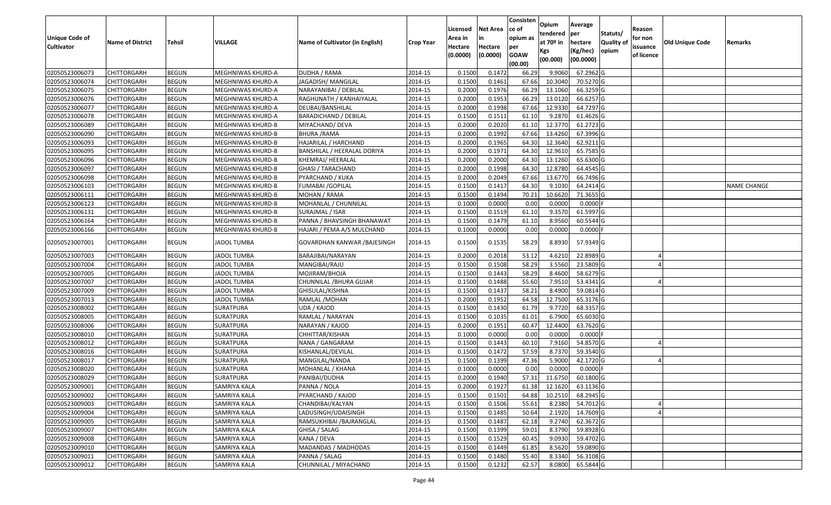|                                  |                                          |                              |                              |                                 |                    | Licensed         | <b>Net Area</b>  | Consisten<br>ce of | Opium            | Average                |                  | Reason     |                        |                    |
|----------------------------------|------------------------------------------|------------------------------|------------------------------|---------------------------------|--------------------|------------------|------------------|--------------------|------------------|------------------------|------------------|------------|------------------------|--------------------|
| <b>Unique Code of</b>            |                                          |                              |                              |                                 |                    | Area in          |                  | opium as           | tendered         | per                    | Statuts/         | for non    |                        |                    |
| <b>Cultivator</b>                | <b>Name of District</b>                  | <b>Tehsil</b>                | VILLAGE                      | Name of Cultivator (in English) | <b>Crop Year</b>   | Hectare          | Hectare          | per                | at $70°$ in      | hectare                | <b>Quality o</b> | issuance   | <b>Old Unique Code</b> | Remarks            |
|                                  |                                          |                              |                              |                                 |                    | (0.0000)         | (0.0000)         | <b>GOAW</b>        | Kgs              | (Kg/hec)               | opium            | of licence |                        |                    |
|                                  |                                          |                              |                              |                                 |                    |                  |                  | (00.00)            | (00.000)         | (00.0000)              |                  |            |                        |                    |
| 02050523006073                   | CHITTORGARH                              | <b>BEGUN</b>                 | MEGHNIWAS KHURD-A            | DUDHA / RAMA                    | 2014-15            | 0.1500           | 0.1472           | 66.29              | 9.9060           | 67.2962 G              |                  |            |                        |                    |
| 02050523006074                   | CHITTORGARH                              | <b>BEGUN</b>                 | MEGHNIWAS KHURD-A            | JAGADISH/ MANGILAL              | 2014-15            | 0.1500           | 0.1461           | 67.66              | 10.3040          | 70.5270 G              |                  |            |                        |                    |
| 02050523006075                   | CHITTORGARH                              | <b>BEGUN</b>                 | MEGHNIWAS KHURD-A            | NARAYANIBAI / DEBILAL           | 2014-15            | 0.2000           | 0.1976           | 66.29              | 13.1060          | 66.3259 G              |                  |            |                        |                    |
| 02050523006076                   | CHITTORGARH                              | <b>BEGUN</b>                 | MEGHNIWAS KHURD-A            | RAGHUNATH / KANHAIYALAL         | 2014-15            | 0.2000           | 0.1953           | 66.29              | 13.0120          | 66.6257 G              |                  |            |                        |                    |
| 02050523006077                   | CHITTORGARH                              | <b>BEGUN</b>                 | MEGHNIWAS KHURD-A            | DEUBAI/BANSHILAL                | 2014-15            | 0.2000           | 0.1998           | 67.66              | 12.933           | 64.7297 G              |                  |            |                        |                    |
| 02050523006078                   | CHITTORGARH                              | <b>BEGUN</b>                 | MEGHNIWAS KHURD-A            | <b>BARADICHAND / DEBILAL</b>    | 2014-15            | 0.1500           | 0.1511           | 61.10              | 9.2870           | $61.4626$ G            |                  |            |                        |                    |
| 02050523006089                   | CHITTORGARH                              | <b>BEGUN</b>                 | MEGHNIWAS KHURD-B            | MIYACHAND/ DEVA                 | 2014-15            | 0.2000           | 0.2020           | 61.10              | 12.3770          | 61.2723 G              |                  |            |                        |                    |
| 02050523006090                   | <b>CHITTORGARH</b>                       | <b>BEGUN</b>                 | <b>MEGHNIWAS KHURD-B</b>     | BHURA /RAMA                     | 2014-15            | 0.2000           | 0.1992           | 67.66              | 13.4260          | 67.3996 G              |                  |            |                        |                    |
| 02050523006093                   | <b>CHITTORGARH</b>                       | <b>BEGUN</b>                 | MEGHNIWAS KHURD-B            | HAJARILAL / HARCHAND            | 2014-15            | 0.2000           | 0.1965           | 64.30              | 12.3640          | 62.9211 G              |                  |            |                        |                    |
| 02050523006095                   | CHITTORGARH                              | <b>BEGUN</b>                 | MEGHNIWAS KHURD-B            | BANSHILAL / HEERALAL DORIYA     | 2014-15            | 0.2000           | 0.1971           | 64.30              | 12.9610          | 65.7585 G              |                  |            |                        |                    |
| 02050523006096                   | CHITTORGARH                              | <b>BEGUN</b>                 | MEGHNIWAS KHURD-B            | KHEMRAJ/ HEERALAL               | 2014-15            | 0.2000           | 0.2000           | 64.30              | 13.1260          | 65.6300 G              |                  |            |                        |                    |
| 02050523006097                   | CHITTORGARH                              | <b>BEGUN</b>                 | MEGHNIWAS KHURD-B            | <b>GHASI / TARACHAND</b>        | 2014-15            | 0.2000           | 0.1998           | 64.30              | 12.8780          | 64.4545 G              |                  |            |                        |                    |
| 02050523006098                   | <b>CHITTORGARH</b>                       | <b>BEGUN</b>                 | MEGHNIWAS KHURD-B            | PYARCHAND / KUKA                | 2014-15            | 0.2000           | 0.2049           | 67.66              | 13.6770          | 66.7496 G              |                  |            |                        |                    |
| 02050523006103                   | <b>CHITTORGARH</b>                       | <b>BEGUN</b>                 | MEGHNIWAS KHURD-B            | FUMABAI / GOPILAL               | 2014-15            | 0.1500           | 0.1417           | 64.30              | 9.1030           | 64.2414 G              |                  |            |                        | <b>NAME CHANGE</b> |
| 02050523006111                   | CHITTORGARH                              | <b>BEGUN</b>                 | MEGHNIWAS KHURD-B            | MOHAN / RAMA                    | 2014-15            | 0.1500           | 0.1494           | 70.21              | 10.6620          | 71.3655 G              |                  |            |                        |                    |
| 02050523006123                   | <b>CHITTORGARH</b>                       | <b>BEGUN</b>                 | MEGHNIWAS KHURD-B            | MOHANLAL / CHUNNILAL            | 2014-15            | 0.1000           | 0.0000           | 0.00               | 0.0000           | $0.0000$ F             |                  |            |                        |                    |
| 02050523006131                   | CHITTORGARH                              | <b>BEGUN</b>                 | MEGHNIWAS KHURD-B            | SURAJMAL / ISAR                 | 2014-15            | 0.1500           | 0.1519           | 61.10              | 9.3570           | 61.5997 G              |                  |            |                        |                    |
| 02050523006164                   | CHITTORGARH                              | <b>BEGUN</b>                 | MEGHNIWAS KHURD-B            | PANNA / BHAVSINGH BHANAWAT      | 2014-15            | 0.1500           | 0.1479           | 61.10              | 8.9560           | 60.5544 G              |                  |            |                        |                    |
| 02050523006166                   | CHITTORGARH                              | <b>BEGUN</b>                 | <b>MEGHNIWAS KHURD-B</b>     | HAJARI / PEMA A/S MULCHAND      | 2014-15            | 0.1000           | 0.0000           | 0.00               | 0.0000           | $0.0000$ F             |                  |            |                        |                    |
| 02050523007001                   | CHITTORGARH                              | <b>BEGUN</b>                 | <b>JADOL TUMBA</b>           | GOVARDHAN KANWAR / BAJESINGH    | 2014-15            | 0.1500           | 0.1535           | 58.29              | 8.8930           | 57.9349 G              |                  |            |                        |                    |
| 02050523007003                   | CHITTORGARH                              | <b>BEGUN</b>                 | <b>JADOL TUMBA</b>           | BARAJIBAI/NARAYAN               | 2014-15            | 0.2000           | 0.2018           | 53.12              | 4.6210           | 22.8989 G              |                  |            |                        |                    |
| 02050523007004                   | CHITTORGARH                              | <b>BEGUN</b>                 | <b>JADOL TUMBA</b>           | MANGIBAI/RAJU                   | 2014-15            | 0.1500           | 0.1508           | 58.29              | 3.5560           | 23.5809 G              |                  |            |                        |                    |
| 02050523007005                   | CHITTORGARH                              | <b>BEGUN</b>                 | <b>JADOL TUMBA</b>           | MOJIRAM/BHOJA                   | 2014-15            | 0.1500           | 0.1443           | 58.29              | 8.4600           | 58.6279 G              |                  |            |                        |                    |
| 02050523007007                   | CHITTORGARH                              | <b>BEGUN</b>                 | <b>JADOL TUMBA</b>           | CHUNNILAL /BHURA GUJAR          | 2014-15            | 0.1500           | 0.1488           | 55.60              | 7.9510           | 53.4341 G              |                  |            |                        |                    |
| 02050523007009                   | CHITTORGARH                              | <b>BEGUN</b>                 | <b>JADOL TUMBA</b>           | GHISULAL/KISHNA                 | 2014-15            | 0.1500           | 0.1437           | 58.21              | 8.4900           | 59.0814 G              |                  |            |                        |                    |
| 02050523007013                   | CHITTORGARH                              | <b>BEGUN</b>                 | <b>JADOL TUMBA</b>           | RAMLAL /MOHAN                   | 2014-15            | 0.2000           | 0.1952           | 64.58              | 12.7500          | 65.3176 G              |                  |            |                        |                    |
| 02050523008002                   | CHITTORGARH                              | <b>BEGUN</b>                 | SURATPURA                    | UDA / KAJOD                     | 2014-15            | 0.1500           | 0.1430           | 61.79              | 9.7720           | 68.3357 G              |                  |            |                        |                    |
| 02050523008005                   | CHITTORGARH                              | <b>BEGUN</b>                 | SURATPURA                    | RAMLAL / NARAYAN                | 2014-15            | 0.1500           | 0.1035           | 61.01              | 6.7900           | 65.6030 G              |                  |            |                        |                    |
| 02050523008006                   | CHITTORGARH                              | <b>BEGUN</b>                 | SURATPURA                    | NARAYAN / KAJOD                 | 2014-15            | 0.2000           | 0.1951           | 60.47              | 12.4400          | 63.7620 G              |                  |            |                        |                    |
| 02050523008010                   | CHITTORGARH                              | <b>BEGUN</b>                 | SURATPURA                    | CHHITTAR/KISHAN                 | 2014-15            | 0.1000           | 0.0000           | 0.00               | 0.0000           | $0.0000$ F             |                  |            |                        |                    |
| 02050523008012                   | CHITTORGARH                              | <b>BEGUN</b>                 | SURATPURA                    | NANA / GANGARAM                 | 2014-15            | 0.1500           | 0.1443           | 60.10              | 7.9160           | 54.8570 G              |                  |            |                        |                    |
| 02050523008016                   | CHITTORGARH                              | <b>BEGUN</b>                 | <b>SURATPURA</b>             | KISHANLAL/DEVILAL               | 2014-15            | 0.1500           | 0.1472           | 57.59              | 8.7370           | 59.3540 G              |                  |            |                        |                    |
| 02050523008017                   | <b>CHITTORGARH</b>                       | <b>BEGUN</b>                 | <b>SURATPURA</b>             | MANGILAL/NANDA                  | 2014-15            | 0.1500           | 0.1399           | 47.36              | 5.9000           | 42.1720 G              |                  |            |                        |                    |
| 02050523008020                   | CHITTORGARH                              | <b>BEGUN</b>                 | SURATPURA                    | MOHANLAL / KHANA                | 2014-15            | 0.100            | 0.0000           | 0.00               | 0.0000           | $0.0000$ F             |                  |            |                        |                    |
| 02050523008029                   | CHITTORGARH                              | <b>BEGUN</b>                 | SURATPURA                    | PANIBAI/DUDHA                   | 2014-15            | 0.2000           | 0.1940           | 57.31              | 11.6750          | 60.1800 G              |                  |            |                        |                    |
| 02050523009001                   | <b>CHITTORGARH</b>                       | <b>BEGUN</b>                 | SAMRIYA KALA                 | PANNA / NOLA                    | 2014-15            | 0.2000           | 0.1927           |                    | 61.38 12.1620    | 63.1136 G              |                  |            |                        |                    |
| 02050523009002                   | <b>CHITTORGARH</b>                       | <b>BEGUN</b>                 | SAMRIYA KALA                 | PYARCHAND / KAJOD               | 2014-15            | 0.1500           | 0.1501           | 64.88              | 10.2510          | 68.2945 G              |                  |            |                        |                    |
| 02050523009003                   | <b>CHITTORGARH</b>                       | <b>BEGUN</b>                 | SAMRIYA KALA                 | CHANDIBAI/KALYAN                | 2014-15            | 0.1500           | 0.1506           | 55.61              | 8.2380           | 54.7012 G              |                  |            |                        |                    |
| 02050523009004                   | <b>CHITTORGARH</b>                       | <b>BEGUN</b>                 | SAMRIYA KALA                 | LADUSINGH/UDAISINGH             | 2014-15            | 0.1500           | 0.1485           | 50.64              | 2.1920           | 14.7609 G              |                  |            |                        |                    |
| 02050523009005                   | <b>CHITTORGARH</b>                       | <b>BEGUN</b>                 | SAMRIYA KALA                 | RAMSUKHIBAI /BAJRANGLAL         | 2014-15            | 0.1500           | 0.1487           | 62.18              | 9.2740           | $62.3672$ G            |                  |            |                        |                    |
| 02050523009007                   | <b>CHITTORGARH</b>                       | <b>BEGUN</b>                 | SAMRIYA KALA                 | GHISA / SALAG<br>KANA / DEVA    | 2014-15            | 0.1500           | 0.1399           | 59.01              | 8.3790           | 59.8928 G              |                  |            |                        |                    |
| 02050523009008<br>02050523009010 | <b>CHITTORGARH</b>                       | <b>BEGUN</b>                 | SAMRIYA KALA<br>SAMRIYA KALA | MADANDAS / MADHODAS             | 2014-15            | 0.1500<br>0.1500 | 0.1529<br>0.1449 | 60.45<br>61.85     | 9.0930<br>8.5620 | 59.4702 G<br>59.0890 G |                  |            |                        |                    |
| 02050523009011                   | <b>CHITTORGARH</b><br><b>CHITTORGARH</b> | <b>BEGUN</b><br><b>BEGUN</b> | SAMRIYA KALA                 | PANNA / SALAG                   | 2014-15<br>2014-15 | 0.1500           | 0.1480           | 55.40              | 8.3340           | 56.3108 G              |                  |            |                        |                    |
| 02050523009012                   | <b>CHITTORGARH</b>                       | <b>BEGUN</b>                 | SAMRIYA KALA                 | CHUNNILAL / MIYACHAND           | 2014-15            | 0.1500           | 0.1232           | 62.57              | 8.0800           | 65.5844 G              |                  |            |                        |                    |
|                                  |                                          |                              |                              |                                 |                    |                  |                  |                    |                  |                        |                  |            |                        |                    |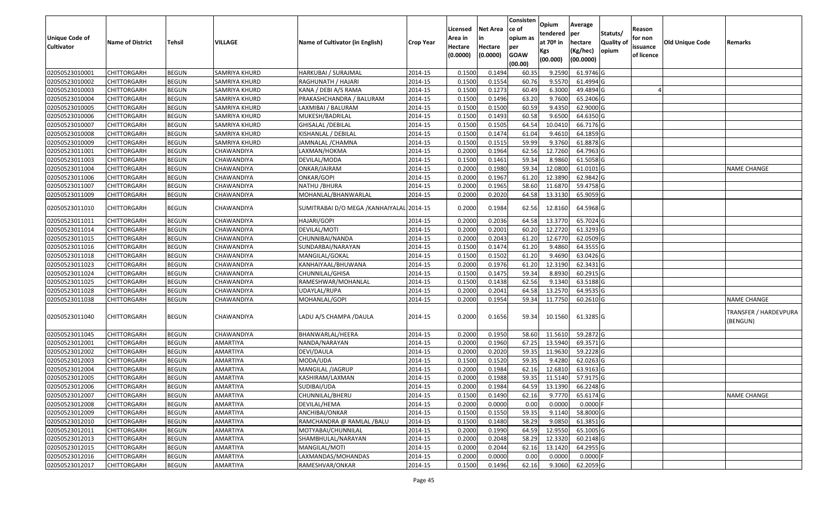| <b>Unique Code of</b><br><b>Cultivator</b> | <b>Name of District</b> | <b>Tehsil</b> | VILLAGE         | Name of Cultivator (in English)           | <b>Crop Year</b> | Licensed<br>Area in<br>Hectare<br>(0.0000) | <b>Net Area</b><br>in<br>Hectare<br>(0.0000) | Consisten<br>ce of<br>opium as<br>per<br><b>GOAW</b><br>(00.00) | Opium<br>tendered<br>at $70°$ in<br>Kgs<br>(00.000) | Average<br>per<br>hectare<br>(Kg/hec)<br>(00.0000) | Statuts/<br>Quality of<br>opium | Reason<br>for non<br>issuance<br>of licence | <b>Old Unique Code</b> | Remarks                           |
|--------------------------------------------|-------------------------|---------------|-----------------|-------------------------------------------|------------------|--------------------------------------------|----------------------------------------------|-----------------------------------------------------------------|-----------------------------------------------------|----------------------------------------------------|---------------------------------|---------------------------------------------|------------------------|-----------------------------------|
| 02050523010001                             | <b>CHITTORGARH</b>      | <b>BEGUN</b>  | SAMRIYA KHURD   | HARKUBAI / SURAJMAL                       | 2014-15          | 0.1500                                     | 0.1494                                       | 60.35                                                           | 9.2590                                              | 61.9746 G                                          |                                 |                                             |                        |                                   |
| 02050523010002                             | CHITTORGARH             | <b>BEGUN</b>  | SAMRIYA KHURD   | RAGHUNATH / HAJARI                        | 2014-15          | 0.1500                                     | 0.1554                                       | 60.76                                                           | 9.5570                                              | 61.4994 G                                          |                                 |                                             |                        |                                   |
| 02050523010003                             | CHITTORGARH             | <b>BEGUN</b>  | SAMRIYA KHURD   | KANA / DEBI A/S RAMA                      | 2014-15          | 0.1500                                     | 0.1273                                       | 60.49                                                           | 6.3000                                              | 49.4894 G                                          |                                 |                                             |                        |                                   |
| 02050523010004                             | <b>CHITTORGARH</b>      | <b>BEGUN</b>  | SAMRIYA KHURD   | PRAKASHCHANDRA / BALURAM                  | 2014-15          | 0.1500                                     | 0.1496                                       | 63.20                                                           | 9.7600                                              | 65.2406 G                                          |                                 |                                             |                        |                                   |
| 02050523010005                             | <b>CHITTORGARH</b>      | <b>BEGUN</b>  | SAMRIYA KHURD   | LAXMIBAI / BALURAM                        | 2014-15          | 0.1500                                     | 0.1500                                       | 60.59                                                           | 9.4350                                              | 62.9000G                                           |                                 |                                             |                        |                                   |
| 02050523010006                             | CHITTORGARH             | <b>BEGUN</b>  | SAMRIYA KHURD   | MUKESH/BADRILAL                           | 2014-15          | 0.1500                                     | 0.1493                                       | 60.58                                                           | 9.6500                                              | 64.6350 G                                          |                                 |                                             |                        |                                   |
| 02050523010007                             | CHITTORGARH             | <b>BEGUN</b>  | SAMRIYA KHURD   | <b>GHISALAL / DEBILAL</b>                 | 2014-15          | 0.1500                                     | 0.1505                                       | 64.54                                                           | 10.0410                                             | 66.7176 G                                          |                                 |                                             |                        |                                   |
| 02050523010008                             | <b>CHITTORGARH</b>      | <b>BEGUN</b>  | SAMRIYA KHURD   | KISHANLAL / DEBILAL                       | 2014-15          | 0.1500                                     | 0.1474                                       | 61.04                                                           | 9.4610                                              | 64.1859 G                                          |                                 |                                             |                        |                                   |
| 02050523010009                             | CHITTORGARH             | <b>BEGUN</b>  | SAMRIYA KHURD   | JAMNALAL / CHAMNA                         | 2014-15          | 0.1500                                     | 0.1515                                       | 59.99                                                           | 9.3760                                              | 61.8878 G                                          |                                 |                                             |                        |                                   |
| 02050523011001                             | CHITTORGARH             | <b>BEGUN</b>  | CHAWANDIYA      | LAXMAN/HOKMA                              | 2014-15          | 0.2000                                     | 0.1964                                       | 62.56                                                           | 12.7260                                             | 64.7963 G                                          |                                 |                                             |                        |                                   |
| 02050523011003                             | CHITTORGARH             | <b>BEGUN</b>  | CHAWANDIYA      | DEVILAL/MODA                              | 2014-15          | 0.1500                                     | 0.1461                                       | 59.34                                                           | 8.9860                                              | 61.5058 G                                          |                                 |                                             |                        |                                   |
| 02050523011004                             | CHITTORGARH             | <b>BEGUN</b>  | CHAWANDIYA      | ONKAR/JAIRAM                              | 2014-15          | 0.2000                                     | 0.1980                                       | 59.34                                                           | 12.0800                                             | $61.0101$ G                                        |                                 |                                             |                        | <b>NAME CHANGE</b>                |
| 02050523011006                             | CHITTORGARH             | <b>BEGUN</b>  | CHAWANDIYA      | ONKAR/GOPI                                | 2014-15          | 0.2000                                     | 0.1967                                       | 61.20                                                           | 12.3890                                             | 62.9842 G                                          |                                 |                                             |                        |                                   |
| 02050523011007                             | CHITTORGARH             | <b>BEGUN</b>  | CHAWANDIYA      | NATHU / BHURA                             | 2014-15          | 0.2000                                     | 0.1965                                       | 58.60                                                           | 11.6870                                             | 59.4758 G                                          |                                 |                                             |                        |                                   |
| 02050523011009                             | CHITTORGARH             | <b>BEGUN</b>  | CHAWANDIYA      | MOHANLAL/BHANWARLAL                       | 2014-15          | 0.2000                                     | 0.2020                                       | 64.58                                                           | 13.3130                                             | 65.9059 G                                          |                                 |                                             |                        |                                   |
| 02050523011010                             | CHITTORGARH             | <b>BEGUN</b>  | CHAWANDIYA      | SUMITRABAI D/O MEGA / KANHAIYALAL 2014-15 |                  | 0.2000                                     | 0.1984                                       | 62.56                                                           | 12.8160                                             | 64.5968 G                                          |                                 |                                             |                        |                                   |
| 02050523011011                             | <b>CHITTORGARH</b>      | <b>BEGUN</b>  | CHAWANDIYA      | HAJARI/GOPI                               | 2014-15          | 0.2000                                     | 0.2036                                       | 64.58                                                           | 13.3770                                             | 65.7024 G                                          |                                 |                                             |                        |                                   |
| 02050523011014                             | <b>CHITTORGARH</b>      | <b>BEGUN</b>  | CHAWANDIYA      | DEVILAL/MOTI                              | 2014-15          | 0.2000                                     | 0.2001                                       | 60.20                                                           | 12.2720                                             | 61.3293 G                                          |                                 |                                             |                        |                                   |
| 02050523011015                             | CHITTORGARH             | <b>BEGUN</b>  | CHAWANDIYA      | CHUNNIBAI/NANDA                           | 2014-15          | 0.2000                                     | 0.2043                                       | 61.20                                                           | 12.6770                                             | 62.0509 G                                          |                                 |                                             |                        |                                   |
| 02050523011016                             | <b>CHITTORGARH</b>      | <b>BEGUN</b>  | CHAWANDIYA      | SUNDARBAI/NARAYAN                         | 2014-15          | 0.1500                                     | 0.1474                                       | 61.20                                                           | 9.4860                                              | 64.3555 G                                          |                                 |                                             |                        |                                   |
| 02050523011018                             | CHITTORGARH             | <b>BEGUN</b>  | CHAWANDIYA      | MANGILAL/GOKAL                            | 2014-15          | 0.1500                                     | 0.1502                                       | 61.20                                                           | 9.4690                                              | 63.0426 G                                          |                                 |                                             |                        |                                   |
| 02050523011023                             | <b>CHITTORGARH</b>      | <b>BEGUN</b>  | CHAWANDIYA      | KANHAIYAAL/BHUWANA                        | 2014-15          | 0.2000                                     | 0.1976                                       | 61.20                                                           | 12.3190                                             | 62.3431 G                                          |                                 |                                             |                        |                                   |
| 02050523011024                             | CHITTORGARH             | <b>BEGUN</b>  | CHAWANDIYA      | CHUNNILAL/GHISA                           | 2014-15          | 0.1500                                     | 0.1475                                       | 59.34                                                           | 8.8930                                              | 60.2915 G                                          |                                 |                                             |                        |                                   |
| 02050523011025                             | CHITTORGARH             | <b>BEGUN</b>  | CHAWANDIYA      | RAMESHWAR/MOHANLAL                        | 2014-15          | 0.1500                                     | 0.1438                                       | 62.56                                                           | 9.134                                               | 63.5188 G                                          |                                 |                                             |                        |                                   |
| 02050523011028                             | CHITTORGARH             | <b>BEGUN</b>  | CHAWANDIYA      | UDAYLAL/RUPA                              | 2014-15          | 0.2000                                     | 0.2041                                       | 64.58                                                           | 13.2570                                             | 64.9535 G                                          |                                 |                                             |                        |                                   |
| 02050523011038                             | CHITTORGARH             | <b>BEGUN</b>  | CHAWANDIYA      | MOHANLAL/GOPI                             | 2014-15          | 0.2000                                     | 0.1954                                       | 59.34                                                           | 11.7750                                             | 60.2610 G                                          |                                 |                                             |                        | <b>NAME CHANGE</b>                |
| 02050523011040                             | CHITTORGARH             | <b>BEGUN</b>  | CHAWANDIYA      | LADU A/S CHAMPA /DAULA                    | 2014-15          | 0.2000                                     | 0.1656                                       | 59.34                                                           | 10.1560                                             | 61.3285 G                                          |                                 |                                             |                        | TRANSFER / HARDEVPURA<br>(BENGUN) |
| 02050523011045                             | CHITTORGARH             | <b>BEGUN</b>  | CHAWANDIYA      | BHANWARLAL/HEERA                          | 2014-15          | 0.2000                                     | 0.1950                                       | 58.60                                                           | 11.561                                              | 59.2872 G                                          |                                 |                                             |                        |                                   |
| 02050523012001                             | CHITTORGARH             | <b>BEGUN</b>  | AMARTIYA        | NANDA/NARAYAN                             | 2014-15          | 0.2000                                     | 0.1960                                       | 67.25                                                           | 13.5940                                             | 69.3571 G                                          |                                 |                                             |                        |                                   |
| 02050523012002                             | CHITTORGARH             | <b>BEGUN</b>  | AMARTIYA        | DEVI/DAULA                                | 2014-15          | 0.2000                                     | 0.2020                                       | 59.35                                                           | 11.9630                                             | 59.2228 G                                          |                                 |                                             |                        |                                   |
| 02050523012003                             | CHITTORGARH             | <b>BEGUN</b>  | AMARTIYA        | MODA/UDA                                  | 2014-15          | 0.1500                                     | 0.1520                                       | 59.35                                                           | 9.4280                                              | 62.0263 G                                          |                                 |                                             |                        |                                   |
| 02050523012004                             | CHITTORGARH             | <b>BEGUN</b>  | AMARTIYA        | MANGILAL /JAGRUP                          | 2014-15          | 0.2000                                     | 0.1984                                       | 62.16                                                           | 12.681                                              | 63.9163 G                                          |                                 |                                             |                        |                                   |
| 02050523012005                             | CHITTORGARH             | <b>BEGUN</b>  | AMARTIYA        | KASHIRAM/LAXMAN                           | 2014-15          | 0.2000                                     | 0.1988                                       | 59.35                                                           | 11.5140                                             | 57.9175 G                                          |                                 |                                             |                        |                                   |
| 02050523012006                             | <b>CHITTORGARH</b>      | <b>BEGUN</b>  | AMARTIYA        | SUDIBAI/UDA                               | 2014-15          | 0.2000                                     | 0.1984                                       | 64.59                                                           | 13.1390                                             | 66.2248 G                                          |                                 |                                             |                        |                                   |
| 02050523012007                             | <b>CHITTORGARH</b>      | <b>BEGUN</b>  | <b>AMARTIYA</b> | CHUNNILAL/BHERU                           | 2014-15          | 0.1500                                     | 0.1490                                       | 62.16                                                           | 9.7770                                              | 65.6174 G                                          |                                 |                                             |                        | <b>NAME CHANGE</b>                |
| 02050523012008                             | <b>CHITTORGARH</b>      | <b>BEGUN</b>  | AMARTIYA        | DEVILAL/HEMA                              | 2014-15          | 0.2000                                     | 0.0000                                       | 0.00                                                            | 0.0000                                              | $0.0000$ F                                         |                                 |                                             |                        |                                   |
| 02050523012009                             | <b>CHITTORGARH</b>      | <b>BEGUN</b>  | AMARTIYA        | ANCHIBAI/ONKAR                            | 2014-15          | 0.1500                                     | 0.1550                                       | 59.35                                                           | 9.1140                                              | 58.8000 G                                          |                                 |                                             |                        |                                   |
| 02050523012010                             | <b>CHITTORGARH</b>      | <b>BEGUN</b>  | AMARTIYA        | RAMCHANDRA @ RAMLAL /BALU                 | 2014-15          | 0.1500                                     | 0.1480                                       | 58.29                                                           | 9.0850                                              | 61.3851 G                                          |                                 |                                             |                        |                                   |
| 02050523012011                             | <b>CHITTORGARH</b>      | <b>BEGUN</b>  | AMARTIYA        | MOTYABAI/CHUNNILAL                        | 2014-15          | 0.2000                                     | 0.1990                                       | 64.59                                                           | 12.9550                                             | 65.1005 G                                          |                                 |                                             |                        |                                   |
| 02050523012013                             | <b>CHITTORGARH</b>      | <b>BEGUN</b>  | AMARTIYA        | SHAMBHULAL/NARAYAN                        | 2014-15          | 0.2000                                     | 0.2048                                       | 58.29                                                           | 12.3320                                             | 60.2148 G                                          |                                 |                                             |                        |                                   |
| 02050523012015                             | <b>CHITTORGARH</b>      | <b>BEGUN</b>  | AMARTIYA        | MANGILAL/MOTI                             | 2014-15          | 0.2000                                     | 0.2044                                       | 62.16                                                           | 13.1420                                             | 64.2955 G                                          |                                 |                                             |                        |                                   |
| 02050523012016                             | CHITTORGARH             | <b>BEGUN</b>  | AMARTIYA        | LAXMANDAS/MOHANDAS                        | 2014-15          | 0.2000                                     | 0.0000                                       | 0.00                                                            | 0.0000                                              | $0.0000$ F                                         |                                 |                                             |                        |                                   |
| 02050523012017                             | CHITTORGARH             | <b>BEGUN</b>  | AMARTIYA        | RAMESHVAR/ONKAR                           | 2014-15          | 0.1500                                     | 0.1496                                       | 62.16                                                           | 9.3060                                              | 62.2059 G                                          |                                 |                                             |                        |                                   |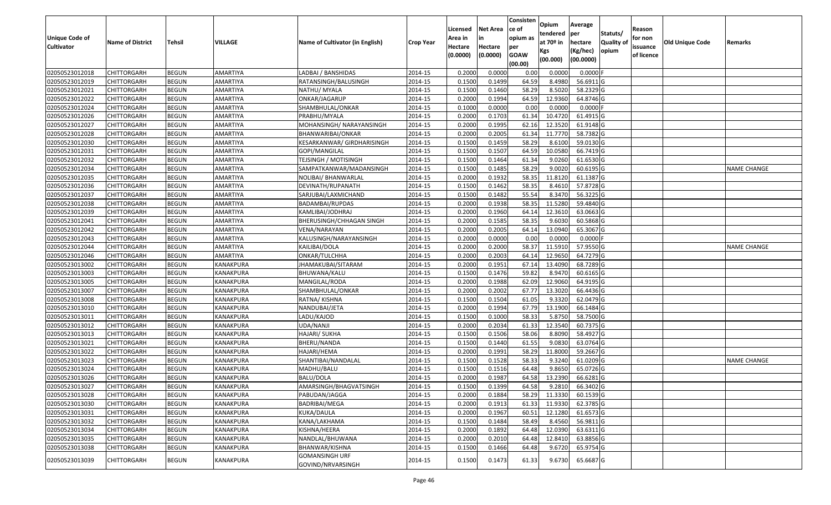| <b>Unique Code of</b> |                         |               |                  |                                            |                  | Licensed<br>Area in | <b>Net Area</b><br>in | Consisten<br>ce of<br>opium as | Opium<br>tendered              | Average<br>per                   | Statuts/                  | Reason<br>for non      |                        |                    |
|-----------------------|-------------------------|---------------|------------------|--------------------------------------------|------------------|---------------------|-----------------------|--------------------------------|--------------------------------|----------------------------------|---------------------------|------------------------|------------------------|--------------------|
| <b>Cultivator</b>     | <b>Name of District</b> | <b>Tehsil</b> | VILLAGE          | Name of Cultivator (in English)            | <b>Crop Year</b> | Hectare<br>(0.0000) | Hectare<br>(0.0000)   | per<br><b>GOAW</b><br>(00.00)  | at $70°$ in<br>Kgs<br>(00.000) | hectare<br>(Kg/hec)<br>(00.0000) | <b>Quality o</b><br>opium | issuance<br>of licence | <b>Old Unique Code</b> | Remarks            |
| 02050523012018        | CHITTORGARH             | <b>BEGUN</b>  | AMARTIYA         | LADBAI / BANSHIDAS                         | 2014-15          | 0.2000              | 0.0000                | 0.00                           | 0.0000                         | 0.0000F                          |                           |                        |                        |                    |
| 02050523012019        | CHITTORGARH             | <b>BEGUN</b>  | <b>AMARTIYA</b>  | RATANSINGH/BALUSINGH                       | 2014-15          | 0.1500              | 0.1499                | 64.59                          | 8.4980                         | 56.6911G                         |                           |                        |                        |                    |
| 02050523012021        | CHITTORGARH             | <b>BEGUN</b>  | AMARTIYA         | NATHU/ MYALA                               | 2014-15          | 0.1500              | 0.1460                | 58.29                          | 8.5020                         | 58.2329 G                        |                           |                        |                        |                    |
| 02050523012022        | <b>CHITTORGARH</b>      | <b>BEGUN</b>  | <b>AMARTIYA</b>  | ONKAR/JAGARUP                              | 2014-15          | 0.2000              | 0.1994                | 64.59                          | 12.9360                        | 64.8746 G                        |                           |                        |                        |                    |
| 02050523012024        | CHITTORGARH             | <b>BEGUN</b>  | AMARTIYA         | SHAMBHULAL/ONKAR                           | 2014-15          | 0.1000              | 0.0000                | 0.00                           | 0.0000                         | 0.0000F                          |                           |                        |                        |                    |
| 02050523012026        | <b>CHITTORGARH</b>      | <b>BEGUN</b>  | AMARTIYA         | PRABHU/MYALA                               | 2014-15          | 0.2000              | 0.1703                | 61.34                          | 10.4720                        | 61.4915 G                        |                           |                        |                        |                    |
| 02050523012027        | CHITTORGARH             | <b>BEGUN</b>  | AMARTIYA         | MOHANSINGH/ NARAYANSINGH                   | 2014-15          | 0.2000              | 0.1995                | 62.16                          | 12.3520                        | 61.9148 G                        |                           |                        |                        |                    |
| 02050523012028        | <b>CHITTORGARH</b>      | <b>BEGUN</b>  | AMARTIYA         | BHANWARIBAI/ONKAR                          | 2014-15          | 0.2000              | 0.2005                | 61.34                          | 11.7770                        | 58.7382 G                        |                           |                        |                        |                    |
| 02050523012030        | CHITTORGARH             | <b>BEGUN</b>  | AMARTIYA         | KESARKANWAR/ GIRDHARISINGH                 | 2014-15          | 0.1500              | 0.1459                | 58.29                          | 8.6100                         | 59.0130 G                        |                           |                        |                        |                    |
| 02050523012031        | CHITTORGARH             | <b>BEGUN</b>  | AMARTIYA         | GOPI/MANGILAL                              | 2014-15          | 0.1500              | 0.1507                | 64.59                          | 10.0580                        | 66.7419 G                        |                           |                        |                        |                    |
| 02050523012032        | CHITTORGARH             | <b>BEGUN</b>  | AMARTIYA         | <b>TEJSINGH / MOTISINGH</b>                | 2014-15          | 0.1500              | 0.1464                | 61.34                          | 9.0260                         | 61.6530 G                        |                           |                        |                        |                    |
| 02050523012034        | <b>CHITTORGARH</b>      | <b>BEGUN</b>  | AMARTIYA         | SAMPATKANWAR/MADANSINGH                    | 2014-15          | 0.1500              | 0.1485                | 58.29                          | 9.0020                         | 60.6195 G                        |                           |                        |                        | <b>NAME CHANGE</b> |
| 02050523012035        | <b>CHITTORGARH</b>      | <b>BEGUN</b>  | AMARTIYA         | NOLIBAI/ BHANWARLAL                        | 2014-15          | 0.2000              | 0.1932                | 58.35                          | 11.8120                        | 61.1387 G                        |                           |                        |                        |                    |
| 02050523012036        | <b>CHITTORGARH</b>      | <b>BEGUN</b>  | AMARTIYA         | DEVINATH/RUPANATH                          | 2014-15          | 0.1500              | 0.1462                | 58.35                          | 8.4610                         | 57.8728 G                        |                           |                        |                        |                    |
| 02050523012037        | CHITTORGARH             | <b>BEGUN</b>  | AMARTIYA         | SARJUBAI/LAXMICHAND                        | 2014-15          | 0.1500              | 0.1482                | 55.54                          | 8.3470                         | 56.3225 G                        |                           |                        |                        |                    |
| 02050523012038        | CHITTORGARH             | <b>BEGUN</b>  | AMARTIYA         | BADAMBAI/RUPDAS                            | 2014-15          | 0.2000              | 0.1938                | 58.35                          | 11.5280                        | 59.4840 G                        |                           |                        |                        |                    |
| 02050523012039        | CHITTORGARH             | <b>BEGUN</b>  | AMARTIYA         | KAMLIBAI/JODHRAJ                           | 2014-15          | 0.2000              | 0.1960                | 64.14                          | 12.3610                        | 63.0663 G                        |                           |                        |                        |                    |
| 02050523012041        | CHITTORGARH             | <b>BEGUN</b>  | AMARTIYA         | BHERUSINGH/CHHAGAN SINGH                   | 2014-15          | 0.2000              | 0.1585                | 58.35                          | 9.6030                         | 60.5868 G                        |                           |                        |                        |                    |
| 02050523012042        | CHITTORGARH             | <b>BEGUN</b>  | AMARTIYA         | VENA/NARAYAN                               | 2014-15          | 0.2000              | 0.2005                | 64.14                          | 13.0940                        | 65.3067 G                        |                           |                        |                        |                    |
| 02050523012043        | CHITTORGARH             | <b>BEGUN</b>  | AMARTIYA         | KALUSINGH/NARAYANSINGH                     | 2014-15          | 0.2000              | 0.0000                | 0.00                           | 0.0000                         | 0.0000                           |                           |                        |                        |                    |
| 02050523012044        | CHITTORGARH             | <b>BEGUN</b>  | AMARTIYA         | KAILIBAI/DOLA                              | 2014-15          | 0.2000              | 0.2000                | 58.37                          | 11.5910                        | 57.9550 G                        |                           |                        |                        | <b>NAME CHANGE</b> |
| 02050523012046        | CHITTORGARH             | <b>BEGUN</b>  | AMARTIYA         | ONKAR/TULCHHA                              | 2014-15          | 0.2000              | 0.2003                | 64.14                          | 12.965                         | 64.7279 G                        |                           |                        |                        |                    |
| 02050523013002        | CHITTORGARH             | <b>BEGUN</b>  | KANAKPURA        | JHAMAKUBAI/SITARAM                         | 2014-15          | 0.2000              | 0.1951                | 67.14                          | 13.4090                        | 68.7289 G                        |                           |                        |                        |                    |
| 02050523013003        | CHITTORGARH             | <b>BEGUN</b>  | KANAKPURA        | BHUWANA/KALU                               | 2014-15          | 0.1500              | 0.1476                | 59.82                          | 8.9470                         | 60.6165 G                        |                           |                        |                        |                    |
| 02050523013005        | CHITTORGARH             | <b>BEGUN</b>  | KANAKPURA        | MANGILAL/RODA                              | 2014-15          | 0.2000              | 0.1988                | 62.09                          | 12.9060                        | 64.9195 G                        |                           |                        |                        |                    |
| 02050523013007        | CHITTORGARH             | <b>BEGUN</b>  | KANAKPURA        | SHAMBHULAL/ONKAR                           | 2014-15          | 0.2000              | 0.2002                | 67.77                          | 13.3020                        | 66.4436 G                        |                           |                        |                        |                    |
| 02050523013008        | CHITTORGARH             | <b>BEGUN</b>  | KANAKPURA        | RATNA/ KISHNA                              | 2014-15          | 0.1500              | 0.1504                | 61.05                          | 9.3320                         | 62.0479 G                        |                           |                        |                        |                    |
| 02050523013010        | CHITTORGARH             | <b>BEGUN</b>  | KANAKPURA        | NANDUBAI/JETA                              | 2014-15          | 0.2000              | 0.1994                | 67.79                          | 13.1900                        | 66.1484 G                        |                           |                        |                        |                    |
| 02050523013011        | CHITTORGARH             | <b>BEGUN</b>  | <b>KANAKPURA</b> | LADU/KAJOD                                 | 2014-15          | 0.1500              | 0.1000                | 58.33                          | 5.8750                         | 58.7500 G                        |                           |                        |                        |                    |
| 02050523013012        | CHITTORGARH             | <b>BEGUN</b>  | <b>KANAKPURA</b> | UDA/NANJI                                  | 2014-15          | 0.2000              | 0.2034                | 61.33                          | 12.3540                        | 60.7375 G                        |                           |                        |                        |                    |
| 02050523013013        | CHITTORGARH             | <b>BEGUN</b>  | KANAKPURA        | HAJARI/ SUKHA                              | 2014-15          | 0.1500              | 0.1506                | 58.06                          | 8.8090                         | 58.4927 G                        |                           |                        |                        |                    |
| 02050523013021        | CHITTORGARH             | <b>BEGUN</b>  | KANAKPURA        | BHERU/NANDA                                | 2014-15          | 0.1500              | 0.1440                | 61.55                          | 9.0830                         | 63.0764 G                        |                           |                        |                        |                    |
| 02050523013022        | CHITTORGARH             | <b>BEGUN</b>  | <b>KANAKPURA</b> | HAJARI/HEMA                                | 2014-15          | 0.2000              | 0.1991                | 58.29                          | 11.8000                        | 59.2667 G                        |                           |                        |                        |                    |
| 02050523013023        | CHITTORGARH             | <b>BEGUN</b>  | KANAKPURA        | SHANTIBAI/NANDALAL                         | 2014-15          | 0.1500              | 0.1528                | 58.33                          | 9.3240                         | 61.0209 G                        |                           |                        |                        | <b>NAME CHANGE</b> |
| 02050523013024        | CHITTORGARH             | <b>BEGUN</b>  | KANAKPURA        | MADHU/BALU                                 | 2014-15          | 0.1500              | 0.1516                | 64.48                          | 9.865                          | 65.0726 G                        |                           |                        |                        |                    |
| 02050523013026        | CHITTORGARH             | <b>BEGUN</b>  | KANAKPURA        | BALU/DOLA                                  | 2014-15          | 0.2000              | 0.1987                | 64.58                          | 13.2390                        | 66.6281G                         |                           |                        |                        |                    |
| 02050523013027        | <b>CHITTORGARH</b>      | <b>BEGUN</b>  | KANAKPURA        | AMARSINGH/BHAGVATSINGH                     | 2014-15          | 0.1500              | 0.1399                | 64.58                          | 9.2810                         | 66.3402 G                        |                           |                        |                        |                    |
| 02050523013028        | <b>CHITTORGARH</b>      | <b>BEGUN</b>  | KANAKPURA        | PABUDAN/JAGGA                              | 2014-15          | 0.2000              | 0.1884                | 58.29                          | 11.3330                        | 60.1539 G                        |                           |                        |                        |                    |
| 02050523013030        | <b>CHITTORGARH</b>      | <b>BEGUN</b>  | KANAKPURA        | BADRIBAI/MEGA                              | 2014-15          | 0.2000              | 0.1913                | 61.33                          | 11.9330                        | 62.3785 G                        |                           |                        |                        |                    |
| 02050523013031        | <b>CHITTORGARH</b>      | <b>BEGUN</b>  | <b>KANAKPURA</b> | KUKA/DAULA                                 | 2014-15          | 0.2000              | 0.1967                | 60.51                          | 12.1280                        | 61.6573 G                        |                           |                        |                        |                    |
| 02050523013032        | <b>CHITTORGARH</b>      | <b>BEGUN</b>  | KANAKPURA        | KANA/LAKHAMA                               | 2014-15          | 0.1500              | 0.1484                | 58.49                          | 8.4560                         | 56.9811 G                        |                           |                        |                        |                    |
| 02050523013034        | <b>CHITTORGARH</b>      | <b>BEGUN</b>  | <b>KANAKPURA</b> | KISHNA/HEERA                               | 2014-15          | 0.2000              | 0.1892                | 64.48                          | 12.0390                        | 63.6311 G                        |                           |                        |                        |                    |
| 02050523013035        | <b>CHITTORGARH</b>      | <b>BEGUN</b>  | KANAKPURA        | NANDLAL/BHUWANA                            | 2014-15          | 0.2000              | 0.2010                | 64.48                          | 12.8410                        | 63.8856 G                        |                           |                        |                        |                    |
| 02050523013038        | CHITTORGARH             | <b>BEGUN</b>  | KANAKPURA        | BHANWAR/KISHNA                             | 2014-15          | 0.1500              | 0.1466                | 64.48                          | 9.6720                         | 65.9754 G                        |                           |                        |                        |                    |
| 02050523013039        | <b>CHITTORGARH</b>      | <b>BEGUN</b>  | KANAKPURA        | <b>GOMANSINGH URF</b><br>GOVIND/NRVARSINGH | 2014-15          | 0.1500              | 0.1473                | 61.33                          | 9.6730                         | 65.6687 G                        |                           |                        |                        |                    |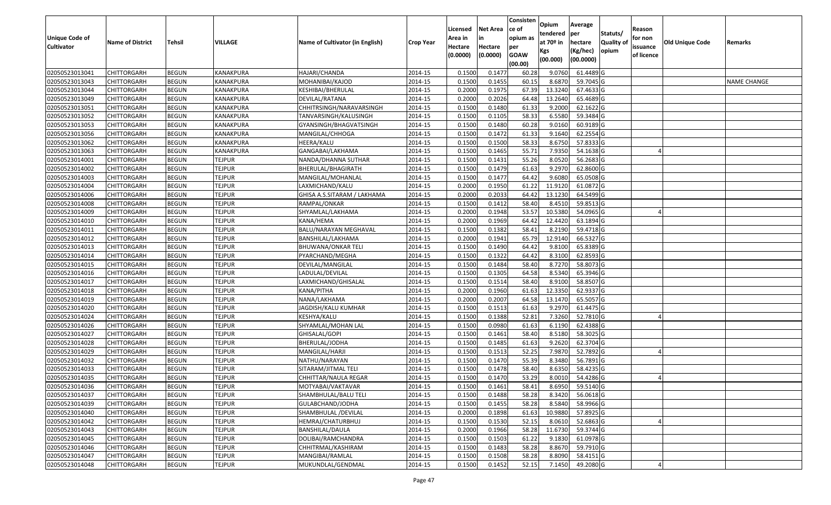| <b>Unique Code of</b><br><b>Cultivator</b> | <b>Name of District</b> | Tehsil       | VILLAGE       | Name of Cultivator (in English) | <b>Crop Year</b> | Licensed<br>Area in<br>Hectare | <b>Net Area</b><br>in<br>Hectare | Consisten<br>lce of<br>opium as | Opium<br>tendered<br>at $70°$ in | Average<br>per<br>hectare | Statuts/<br><b>Quality o</b> | Reason<br>for non      | Old Unique Code | Remarks            |
|--------------------------------------------|-------------------------|--------------|---------------|---------------------------------|------------------|--------------------------------|----------------------------------|---------------------------------|----------------------------------|---------------------------|------------------------------|------------------------|-----------------|--------------------|
|                                            |                         |              |               |                                 |                  | (0.0000)                       | (0.0000)                         | per<br><b>GOAW</b><br>(00.00)   | Kgs<br>(00.000)                  | (Kg/hec)<br>(00.0000)     | opium                        | issuance<br>of licence |                 |                    |
| 02050523013041                             | <b>CHITTORGARH</b>      | <b>BEGUN</b> | KANAKPURA     | HAJARI/CHANDA                   | 2014-15          | 0.1500                         | 0.1477                           | 60.28                           | 9.0760                           | 61.4489 G                 |                              |                        |                 |                    |
| 02050523013043                             | <b>CHITTORGARH</b>      | <b>BEGUN</b> | KANAKPURA     | MOHANIBAI/KAJOD                 | 2014-15          | 0.1500                         | 0.1455                           | 60.15                           | 8.6870                           | 59.7045 G                 |                              |                        |                 | <b>NAME CHANGE</b> |
| 02050523013044                             | <b>CHITTORGARH</b>      | <b>BEGUN</b> | KANAKPURA     | KESHIBAI/BHERULAL               | 2014-15          | 0.2000                         | 0.1975                           | 67.39                           | 13.3240                          | 67.4633 G                 |                              |                        |                 |                    |
| 02050523013049                             | <b>CHITTORGARH</b>      | <b>BEGUN</b> | KANAKPURA     | DEVILAL/RATANA                  | 2014-15          | 0.2000                         | 0.2026                           | 64.48                           | 13.2640                          | 65.4689 G                 |                              |                        |                 |                    |
| 02050523013051                             | <b>CHITTORGARH</b>      | <b>BEGUN</b> | KANAKPURA     | CHHITRSINGH/NARAVARSINGH        | 2014-15          | 0.1500                         | 0.1480                           | 61.33                           | 9.2000                           | 62.1622 G                 |                              |                        |                 |                    |
| 02050523013052                             | <b>CHITTORGARH</b>      | <b>BEGUN</b> | KANAKPURA     | TANVARSINGH/KALUSINGH           | 2014-15          | 0.1500                         | 0.1105                           | 58.33                           | 6.5580                           | 59.3484 G                 |                              |                        |                 |                    |
| 02050523013053                             | CHITTORGARH             | <b>BEGUN</b> | KANAKPURA     | GYANSINGH/BHAGVATSINGH          | 2014-15          | 0.1500                         | 0.1480                           | 60.28                           | 9.0160                           | 60.9189 G                 |                              |                        |                 |                    |
| 02050523013056                             | <b>CHITTORGARH</b>      | <b>BEGUN</b> | KANAKPURA     | MANGILAL/CHHOGA                 | 2014-15          | 0.1500                         | 0.1472                           | 61.33                           | 9.1640                           | 62.2554 G                 |                              |                        |                 |                    |
| 02050523013062                             | <b>CHITTORGARH</b>      | <b>BEGUN</b> | KANAKPURA     | HEERA/KALU                      | 2014-15          | 0.1500                         | 0.1500                           | 58.33                           | 8.6750                           | 57.8333 G                 |                              |                        |                 |                    |
| 02050523013063                             | <b>CHITTORGARH</b>      | <b>BEGUN</b> | KANAKPURA     | GANGABAI/LAKHAMA                | 2014-15          | 0.1500                         | 0.1465                           | 55.71                           | 7.9350                           | 54.1638 G                 |                              |                        |                 |                    |
| 02050523014001                             | <b>CHITTORGARH</b>      | <b>BEGUN</b> | <b>TEJPUR</b> | NANDA/DHANNA SUTHAR             | 2014-15          | 0.1500                         | 0.1431                           | 55.26                           | 8.0520                           | 56.2683 G                 |                              |                        |                 |                    |
| 02050523014002                             | <b>CHITTORGARH</b>      | <b>BEGUN</b> | TEJPUR        | BHERULAL/BHAGIRATH              | 2014-15          | 0.1500                         | 0.1479                           | 61.63                           | 9.2970                           | 62.8600 G                 |                              |                        |                 |                    |
| 02050523014003                             | <b>CHITTORGARH</b>      | <b>BEGUN</b> | <b>TEJPUR</b> | MANGILAL/MOHANLAL               | 2014-15          | 0.1500                         | 0.1477                           | 64.42                           | 9.6080                           | 65.0508 G                 |                              |                        |                 |                    |
| 02050523014004                             | <b>CHITTORGARH</b>      | <b>BEGUN</b> | <b>TEJPUR</b> | LAXMICHAND/KALU                 | 2014-15          | 0.2000                         | 0.1950                           | 61.22                           | 11.9120                          | 61.0872 G                 |                              |                        |                 |                    |
| 02050523014006                             | CHITTORGARH             | <b>BEGUN</b> | <b>TEJPUR</b> | GHISA A.S.SITARAM / LAKHAMA     | 2014-15          | 0.2000                         | 0.2033                           | 64.42                           | 13.1230                          | 64.5499 G                 |                              |                        |                 |                    |
| 02050523014008                             | <b>CHITTORGARH</b>      | <b>BEGUN</b> | <b>TEJPUR</b> | RAMPAL/ONKAR                    | 2014-15          | 0.1500                         | 0.1412                           | 58.40                           | 8.4510                           | 59.8513 G                 |                              |                        |                 |                    |
| 02050523014009                             | <b>CHITTORGARH</b>      | <b>BEGUN</b> | <b>TEJPUR</b> | SHYAMLAL/LAKHAMA                | 2014-15          | 0.2000                         | 0.1948                           | 53.57                           | 10.5380                          | 54.0965 G                 |                              |                        |                 |                    |
| 02050523014010                             | <b>CHITTORGARH</b>      | <b>BEGUN</b> | <b>TEJPUR</b> | KANA/HEMA                       | 2014-15          | 0.2000                         | 0.1969                           | 64.42                           | 12.4420                          | 63.1894 G                 |                              |                        |                 |                    |
| 02050523014011                             | <b>CHITTORGARH</b>      | <b>BEGUN</b> | <b>TEJPUR</b> | BALU/NARAYAN MEGHAVAL           | 2014-15          | 0.1500                         | 0.1382                           | 58.4                            | 8.2190                           | 59.4718 G                 |                              |                        |                 |                    |
| 02050523014012                             | <b>CHITTORGARH</b>      | <b>BEGUN</b> | <b>TEJPUR</b> | BANSHILAL/LAKHAMA               | 2014-15          | 0.2000                         | 0.1941                           | 65.79                           | 12.9140                          | 66.5327 G                 |                              |                        |                 |                    |
| 02050523014013                             | <b>CHITTORGARH</b>      | <b>BEGUN</b> | <b>TEJPUR</b> | <b>BHUWANA/ONKAR TELI</b>       | 2014-15          | 0.1500                         | 0.1490                           | 64.42                           | 9.8100                           | 65.8389 G                 |                              |                        |                 |                    |
| 02050523014014                             | <b>CHITTORGARH</b>      | <b>BEGUN</b> | <b>TEJPUR</b> | PYARCHAND/MEGHA                 | 2014-15          | 0.1500                         | 0.1322                           | 64.42                           | 8.3100                           | 62.8593 G                 |                              |                        |                 |                    |
| 02050523014015                             | <b>CHITTORGARH</b>      | <b>BEGUN</b> | <b>TEJPUR</b> | DEVILAL/MANGILAL                | 2014-15          | 0.1500                         | 0.1484                           | 58.40                           | 8.7270                           | 58.8073 G                 |                              |                        |                 |                    |
| 02050523014016                             | <b>CHITTORGARH</b>      | <b>BEGUN</b> | <b>TEJPUR</b> | LADULAL/DEVILAL                 | 2014-15          | 0.1500                         | 0.1305                           | 64.58                           | 8.5340                           | 65.3946 G                 |                              |                        |                 |                    |
| 02050523014017                             | <b>CHITTORGARH</b>      | <b>BEGUN</b> | <b>TEJPUR</b> | LAXMICHAND/GHISALAL             | 2014-15          | 0.1500                         | 0.1514                           | 58.40                           | 8.9100                           | 58.8507 G                 |                              |                        |                 |                    |
| 02050523014018                             | <b>CHITTORGARH</b>      | <b>BEGUN</b> | <b>TEJPUR</b> | KANA/PITHA                      | 2014-15          | 0.2000                         | 0.1960                           | 61.63                           | 12.3350                          | 62.9337 G                 |                              |                        |                 |                    |
| 02050523014019                             | <b>CHITTORGARH</b>      | <b>BEGUN</b> | <b>TEJPUR</b> | NANA/LAKHAMA                    | 2014-15          | 0.2000                         | 0.2007                           | 64.58                           | 13.1470                          | 65.5057 G                 |                              |                        |                 |                    |
| 02050523014020                             | <b>CHITTORGARH</b>      | <b>BEGUN</b> | <b>TEJPUR</b> | JAGDISH/KALU KUMHAR             | 2014-15          | 0.1500                         | 0.1513                           | 61.63                           | 9.2970                           | 61.4475 G                 |                              |                        |                 |                    |
| 02050523014024                             | <b>CHITTORGARH</b>      | <b>BEGUN</b> | <b>TEJPUR</b> | KESHYA/KALU                     | 2014-15          | 0.1500                         | 0.1388                           | 52.81                           | 7.3260                           | 52.7810 G                 |                              |                        |                 |                    |
| 02050523014026                             | <b>CHITTORGARH</b>      | <b>BEGUN</b> | <b>TEJPUR</b> | SHYAMLAL/MOHAN LAL              | 2014-15          | 0.1500                         | 0.0980                           | 61.63                           | 6.1190                           | 62.4388 G                 |                              |                        |                 |                    |
| 02050523014027                             | <b>CHITTORGARH</b>      | <b>BEGUN</b> | <b>TEJPUR</b> | GHISALAL/GOPI                   | 2014-15          | 0.1500                         | 0.1461                           | 58.40                           | 8.5180                           | 58.3025 G                 |                              |                        |                 |                    |
| 02050523014028                             | CHITTORGARH             | <b>BEGUN</b> | <b>TEJPUR</b> | BHERULAL/JODHA                  | 2014-15          | 0.1500                         | 0.1485                           | 61.63                           | 9.2620                           | 62.3704 G                 |                              |                        |                 |                    |
| 02050523014029                             | <b>CHITTORGARH</b>      | <b>BEGUN</b> | <b>TEJPUR</b> | MANGILAL/HARJI                  | 2014-15          | 0.1500                         | 0.1513                           | 52.25                           | 7.9870                           | 52.7892 G                 |                              |                        |                 |                    |
| 02050523014032                             | <b>CHITTORGARH</b>      | <b>BEGUN</b> | <b>TEJPUR</b> | NATHU/NARAYAN                   | 2014-15          | 0.1500                         | 0.1470                           | 55.39                           | 8.3480                           | 56.7891 G                 |                              |                        |                 |                    |
| 02050523014033                             | CHITTORGARH             | <b>BEGUN</b> | <b>TEJPUR</b> | SITARAM/JITMAL TELI             | 2014-15          | 0.1500                         | 0.1478                           | 58.40                           | 8.6350                           | 58.4235 G                 |                              |                        |                 |                    |
| 02050523014035                             | <b>CHITTORGARH</b>      | <b>BEGUN</b> | <b>TEJPUR</b> | CHHITTAR/NAULA REGAR            | 2014-15          | 0.1500                         | 0.1470                           | 53.29                           | 8.0010                           | 54.4286 G                 |                              |                        |                 |                    |
| 02050523014036                             | <b>CHITTORGARH</b>      | <b>BEGUN</b> | <b>TEJPUR</b> | MOTYABAI/VAKTAVAR               | 2014-15          | 0.1500                         | 0.1461                           | 58.41                           | 8.6950                           | 59.5140 G                 |                              |                        |                 |                    |
| 02050523014037                             | <b>CHITTORGARH</b>      | <b>BEGUN</b> | <b>TEJPUR</b> | SHAMBHULAL/BALU TELI            | 2014-15          | 0.1500                         | 0.1488                           | 58.28                           | 8.3420                           | 56.0618 G                 |                              |                        |                 |                    |
| 02050523014039                             | <b>CHITTORGARH</b>      | <b>BEGUN</b> | <b>TEJPUR</b> | GULABCHAND/JODHA                | 2014-15          | 0.1500                         | 0.1455                           | 58.28                           | 8.5840                           | 58.9966 G                 |                              |                        |                 |                    |
| 02050523014040                             | <b>CHITTORGARH</b>      | <b>BEGUN</b> | <b>TEJPUR</b> | SHAMBHULAL / DEVILAL            | 2014-15          | 0.2000                         | 0.1898                           | 61.63                           | 10.9880                          | 57.8925 G                 |                              |                        |                 |                    |
| 02050523014042                             | <b>CHITTORGARH</b>      | <b>BEGUN</b> | <b>TEJPUR</b> | HEMRAJ/CHATURBHUJ               | 2014-15          | 0.1500                         | 0.1530                           | 52.15                           | 8.0610                           | 52.6863 G                 |                              |                        |                 |                    |
| 02050523014043                             | <b>CHITTORGARH</b>      | <b>BEGUN</b> | <b>TEJPUR</b> | <b>BANSHILAL/DAULA</b>          | 2014-15          | 0.2000                         | 0.1966                           | 58.28                           | 11.6730                          | 59.3744 G                 |                              |                        |                 |                    |
| 02050523014045                             | <b>CHITTORGARH</b>      | <b>BEGUN</b> | <b>TEJPUR</b> | DOLIBAI/RAMCHANDRA              | 2014-15          | 0.1500                         | 0.1503                           | 61.22                           | 9.1830                           | 61.0978 G                 |                              |                        |                 |                    |
| 02050523014046                             | <b>CHITTORGARH</b>      | <b>BEGUN</b> | <b>TEJPUR</b> | CHHITRMAL/KASHIRAM              | 2014-15          | 0.1500                         | 0.1483                           | 58.28                           | 8.8670                           | 59.7910 G                 |                              |                        |                 |                    |
| 02050523014047                             | <b>CHITTORGARH</b>      | <b>BEGUN</b> | <b>TEJPUR</b> | MANGIBAI/RAMLAL                 | 2014-15          | 0.1500                         | 0.1508                           | 58.28                           | 8.8090                           | 58.4151 G                 |                              |                        |                 |                    |
| 02050523014048                             | <b>CHITTORGARH</b>      | <b>BEGUN</b> | <b>TEJPUR</b> | MUKUNDLAL/GENDMAL               | 2014-15          | 0.1500                         | 0.1452                           | 52.15                           | 7.1450                           | 49.2080 G                 |                              |                        |                 |                    |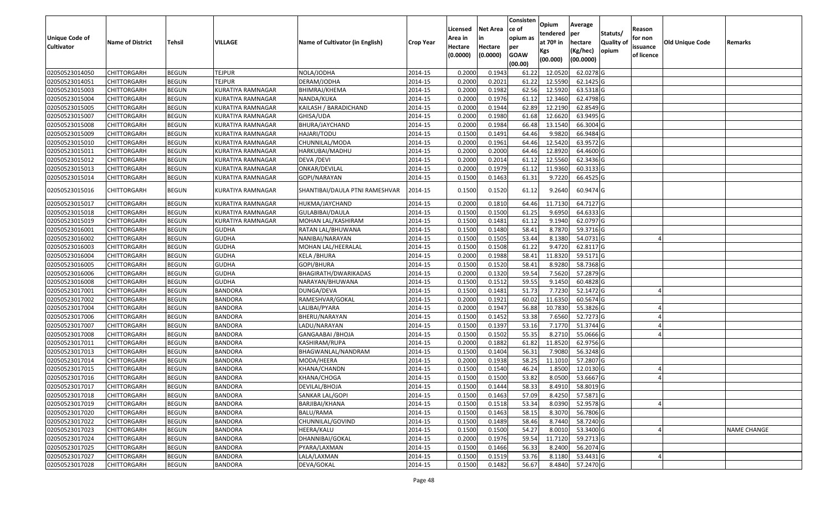|                       |                         |               |                          |                                 |                  |          |                 | Consisten   | Opium       | Average          |                  |            |                        |                    |
|-----------------------|-------------------------|---------------|--------------------------|---------------------------------|------------------|----------|-----------------|-------------|-------------|------------------|------------------|------------|------------------------|--------------------|
|                       |                         |               |                          |                                 |                  | Licensed | <b>Net Area</b> | ce of       | tendered    | per              | Statuts/         | Reason     |                        |                    |
| <b>Unique Code of</b> | <b>Name of District</b> | <b>Tehsil</b> | VILLAGE                  | Name of Cultivator (in English) | <b>Crop Year</b> | Area in  | in              | opium as    | at $70°$ in | hectare          | <b>Quality o</b> | for non    | <b>Old Unique Code</b> | Remarks            |
| <b>Cultivator</b>     |                         |               |                          |                                 |                  | Hectare  | Hectare         | per         | Kgs         | (Kg/hec)         | opium            | issuance   |                        |                    |
|                       |                         |               |                          |                                 |                  | (0.0000) | (0.0000)        | <b>GOAW</b> | (00.000)    | (00.0000)        |                  | of licence |                        |                    |
|                       |                         |               |                          |                                 |                  |          |                 | (00.00)     |             |                  |                  |            |                        |                    |
| 02050523014050        | CHITTORGARH             | <b>BEGUN</b>  | <b>TEJPUR</b>            | NOLA/JODHA                      | 2014-15          | 0.2000   | 0.1943          | 61.22       | 12.0520     | 62.0278 G        |                  |            |                        |                    |
| 02050523014051        | CHITTORGARH             | <b>BEGUN</b>  | <b>TEJPUR</b>            | DERAM/JODHA                     | 2014-15          | 0.2000   | 0.2021          | 61.22       | 12.5590     | 62.1425 G        |                  |            |                        |                    |
| 02050523015003        | CHITTORGARH             | <b>BEGUN</b>  | KURATIYA RAMNAGAR        | BHIMRAJ/KHEMA                   | 2014-15          | 0.2000   | 0.1982          | 62.56       | 12.5920     | 63.5318 G        |                  |            |                        |                    |
| 02050523015004        | <b>CHITTORGARH</b>      | <b>BEGUN</b>  | <b>KURATIYA RAMNAGAR</b> | NANDA/KUKA                      | 2014-15          | 0.2000   | 0.1976          | 61.12       | 12.3460     | 62.4798 G        |                  |            |                        |                    |
| 02050523015005        | CHITTORGARH             | <b>BEGUN</b>  | KURATIYA RAMNAGAR        | KAILASH / BARADICHAND           | 2014-15          | 0.2000   | 0.1944          | 62.89       | 12.2190     | 62.8549 G        |                  |            |                        |                    |
| 02050523015007        | CHITTORGARH             | <b>BEGUN</b>  | <b>KURATIYA RAMNAGAR</b> | GHISA/UDA                       | 2014-15          | 0.2000   | 0.1980          | 61.68       | 12.6620     | $63.9495$ G      |                  |            |                        |                    |
| 02050523015008        | CHITTORGARH             | <b>BEGUN</b>  | KURATIYA RAMNAGAR        | BHURA/JAYCHAND                  | 2014-15          | 0.2000   | 0.1984          | 66.48       | 13.1540     | 66.3004 G        |                  |            |                        |                    |
| 02050523015009        | <b>CHITTORGARH</b>      | <b>BEGUN</b>  | <b>KURATIYA RAMNAGAR</b> | HAJARI/TODU                     | 2014-15          | 0.1500   | 0.1491          | 64.46       | 9.9820      | 66.9484 G        |                  |            |                        |                    |
| 02050523015010        | CHITTORGARH             | <b>BEGUN</b>  | KURATIYA RAMNAGAR        | CHUNNILAL/MODA                  | 2014-15          | 0.2000   | 0.1961          | 64.46       | 12.5420     | 63.9572 G        |                  |            |                        |                    |
| 02050523015011        | CHITTORGARH             | <b>BEGUN</b>  | KURATIYA RAMNAGAR        | HARKUBAI/MADHU                  | 2014-15          | 0.2000   | 0.2000          | 64.46       | 12.8920     | 64.4600 G        |                  |            |                        |                    |
| 02050523015012        | CHITTORGARH             | <b>BEGUN</b>  | KURATIYA RAMNAGAR        | DEVA / DEVI                     | 2014-15          | 0.2000   | 0.2014          | 61.12       | 12.5560     | 62.3436 G        |                  |            |                        |                    |
| 02050523015013        | <b>CHITTORGARH</b>      | <b>BEGUN</b>  | KURATIYA RAMNAGAR        | ONKAR/DEVILAL                   | 2014-15          | 0.2000   | 0.1979          | 61.12       | 11.9360     | 60.3133 G        |                  |            |                        |                    |
| 02050523015014        | CHITTORGARH             | <b>BEGUN</b>  | KURATIYA RAMNAGAR        | GOPI/NARAYAN                    | 2014-15          | 0.1500   | 0.1463          | 61.31       | 9.7220      | 66.4525 G        |                  |            |                        |                    |
| 02050523015016        | CHITTORGARH             | <b>BEGUN</b>  | KURATIYA RAMNAGAR        | SHANTIBAI/DAULA PTNI RAMESHVAR  | 2014-15          | 0.1500   | 0.1520          | 61.12       | 9.2640      | 60.9474 G        |                  |            |                        |                    |
| 02050523015017        | CHITTORGARH             | <b>BEGUN</b>  | KURATIYA RAMNAGAR        | HUKMA/JAYCHAND                  | 2014-15          | 0.2000   | 0.1810          | 64.46       | 11.7130     | 64.7127 G        |                  |            |                        |                    |
| 02050523015018        | CHITTORGARH             | <b>BEGUN</b>  | KURATIYA RAMNAGAR        | GULABIBAI/DAULA                 | 2014-15          | 0.1500   | 0.1500          | 61.25       | 9.6950      | 64.6333 G        |                  |            |                        |                    |
| 02050523015019        | CHITTORGARH             | <b>BEGUN</b>  | KURATIYA RAMNAGAR        | MOHAN LAL/KASHIRAM              | 2014-15          | 0.150    | 0.1481          | 61.12       | 9.1940      | 62.0797 G        |                  |            |                        |                    |
| 02050523016001        | CHITTORGARH             | <b>BEGUN</b>  | <b>GUDHA</b>             | RATAN LAL/BHUWANA               | 2014-15          | 0.1500   | 0.1480          | 58.41       | 8.7870      | 59.3716 G        |                  |            |                        |                    |
| 02050523016002        | CHITTORGARH             | <b>BEGUN</b>  | <b>GUDHA</b>             | NANIBAI/NARAYAN                 | 2014-15          | 0.1500   | 0.1505          | 53.44       | 8.1380      | 54.0731G         |                  |            |                        |                    |
| 02050523016003        | CHITTORGARH             | <b>BEGUN</b>  | <b>GUDHA</b>             | MOHAN LAL/HEERALAL              | 2014-15          | 0.1500   | 0.1508          | 61.22       | 9.4720      | 62.8117 G        |                  |            |                        |                    |
| 02050523016004        | CHITTORGARH             | <b>BEGUN</b>  | <b>GUDHA</b>             | KELA / BHURA                    | 2014-15          | 0.2000   | 0.1988          | 58.41       | 11.8320     | 59.5171G         |                  |            |                        |                    |
| 02050523016005        | CHITTORGARH             | <b>BEGUN</b>  | <b>GUDHA</b>             | GOPI/BHURA                      | 2014-15          | 0.1500   | 0.1520          | 58.4        | 8.9280      | 58.7368 G        |                  |            |                        |                    |
| 02050523016006        | CHITTORGARH             | <b>BEGUN</b>  | <b>GUDHA</b>             | BHAGIRATH/DWARIKADAS            | 2014-15          | 0.2000   | 0.1320          | 59.54       | 7.5620      | 57.2879 G        |                  |            |                        |                    |
| 02050523016008        | CHITTORGARH             | <b>BEGUN</b>  | <b>GUDHA</b>             | NARAYAN/BHUWANA                 | 2014-15          | 0.1500   | 0.1512          | 59.55       | 9.1450      | 60.4828 G        |                  |            |                        |                    |
| 02050523017001        | CHITTORGARH             | <b>BEGUN</b>  | <b>BANDORA</b>           | DUNGA/DEVA                      | 2014-15          | 0.1500   | 0.1481          | 51.73       | 7.7230      | 52.1472 G        |                  |            |                        |                    |
| 02050523017002        | CHITTORGARH             | <b>BEGUN</b>  | <b>BANDORA</b>           | RAMESHVAR/GOKAL                 | 2014-15          | 0.2000   | 0.1921          | 60.02       | 11.6350     | 60.5674 G        |                  |            |                        |                    |
| 02050523017004        | CHITTORGARH             | <b>BEGUN</b>  | <b>BANDORA</b>           | LALIBAI/PYARA                   | 2014-15          | 0.2000   | 0.1947          | 56.88       | 10.7830     | 55.3826 G        |                  |            |                        |                    |
| 02050523017006        | <b>CHITTORGARH</b>      | <b>BEGUN</b>  | <b>BANDORA</b>           | BHERU/NARAYAN                   | 2014-15          | 0.1500   | 0.1452          | 53.38       | 7.6560      | 52.7273 G        |                  |            |                        |                    |
| 02050523017007        | CHITTORGARH             | <b>BEGUN</b>  | <b>BANDORA</b>           | LADU/NARAYAN                    | 2014-15          | 0.1500   | 0.1397          | 53.16       | 7.1770      | 51.3744 G        |                  |            |                        |                    |
| 02050523017008        | CHITTORGARH             | <b>BEGUN</b>  | <b>BANDORA</b>           | GANGAABAI /BHOJA                | 2014-15          | 0.1500   | 0.1502          | 55.35       | 8.2710      | 55.0666 G        |                  |            |                        |                    |
| 02050523017011        | CHITTORGARH             | <b>BEGUN</b>  | <b>BANDORA</b>           | KASHIRAM/RUPA                   | 2014-15          | 0.2000   | 0.1882          | 61.82       | 11.8520     | 62.9756 G        |                  |            |                        |                    |
| 02050523017013        | <b>CHITTORGARH</b>      | <b>BEGUN</b>  | <b>BANDORA</b>           | BHAGWANLAL/NANDRAM              | 2014-15          | 0.1500   | 0.1404          | 56.31       | 7.9080      | 56.3248 G        |                  |            |                        |                    |
| 02050523017014        | <b>CHITTORGARH</b>      | <b>BEGUN</b>  | <b>BANDORA</b>           | MODA/HEERA                      | 2014-15          | 0.2000   | 0.1938          | 58.25       | 11.1010     | 57.2807 G        |                  |            |                        |                    |
| 02050523017015        | CHITTORGARH             | <b>BEGUN</b>  | <b>BANDORA</b>           | KHANA/CHANDN                    | 2014-15          | 0.150    | 0.1540          | 46.24       | 1.8500      | 12.0130 G        |                  |            |                        |                    |
| 02050523017016        | CHITTORGARH             | <b>BEGUN</b>  | <b>BANDORA</b>           | KHANA/CHOGA                     | 2014-15          | 0.1500   | 0.1500          | 53.82       | 8.0500      | 53.6667 G        |                  |            |                        |                    |
| 02050523017017        | <b>CHITTORGARH</b>      | <b>BEGUN</b>  | <b>BANDORA</b>           | DEVILAL/BHOJA                   | 2014-15          | 0.1500   | 0.1444          | 58.33       |             | 8.4910 58.8019 G |                  |            |                        |                    |
| 02050523017018        | <b>CHITTORGARH</b>      | <b>BEGUN</b>  | <b>BANDORA</b>           | SANKAR LAL/GOPI                 | 2014-15          | 0.1500   | 0.1463          | 57.09       | 8.4250      | 57.5871 G        |                  |            |                        |                    |
| 02050523017019        | <b>CHITTORGARH</b>      | <b>BEGUN</b>  | <b>BANDORA</b>           | BARJIBAI/KHANA                  | 2014-15          | 0.1500   | 0.1518          | 53.34       | 8.0390      | 52.9578 G        |                  |            |                        |                    |
| 02050523017020        | <b>CHITTORGARH</b>      | <b>BEGUN</b>  | <b>BANDORA</b>           | BALU/RAMA                       | 2014-15          | 0.1500   | 0.1463          | 58.15       | 8.3070      | 56.7806 G        |                  |            |                        |                    |
| 02050523017022        | <b>CHITTORGARH</b>      | <b>BEGUN</b>  | <b>BANDORA</b>           | CHUNNILAL/GOVIND                | 2014-15          | 0.1500   | 0.1489          | 58.46       | 8.7440      | 58.7240 G        |                  |            |                        |                    |
| 02050523017023        | <b>CHITTORGARH</b>      | <b>BEGUN</b>  | <b>BANDORA</b>           | HEERA/KALU                      | 2014-15          | 0.1500   | 0.1500          | 54.27       | 8.0010      | 53.3400 G        |                  |            |                        | <b>NAME CHANGE</b> |
| 02050523017024        | <b>CHITTORGARH</b>      | <b>BEGUN</b>  | <b>BANDORA</b>           | DHANNIBAI/GOKAL                 | 2014-15          | 0.2000   | 0.1976          | 59.54       | 11.7120     | 59.2713 G        |                  |            |                        |                    |
| 02050523017025        | <b>CHITTORGARH</b>      | <b>BEGUN</b>  | <b>BANDORA</b>           | PYARA/LAXMAN                    | 2014-15          | 0.1500   | 0.1466          | 56.33       | 8.2400      | 56.2074 G        |                  |            |                        |                    |
| 02050523017027        | <b>CHITTORGARH</b>      | <b>BEGUN</b>  | <b>BANDORA</b>           | LALA/LAXMAN                     | 2014-15          | 0.1500   | 0.1519          | 53.76       | 8.1180      | 53.4431 G        |                  |            |                        |                    |
| 02050523017028        | <b>CHITTORGARH</b>      | <b>BEGUN</b>  | <b>BANDORA</b>           | DEVA/GOKAL                      | 2014-15          | 0.1500   | 0.1482          | 56.67       | 8.4840      | 57.2470 G        |                  |            |                        |                    |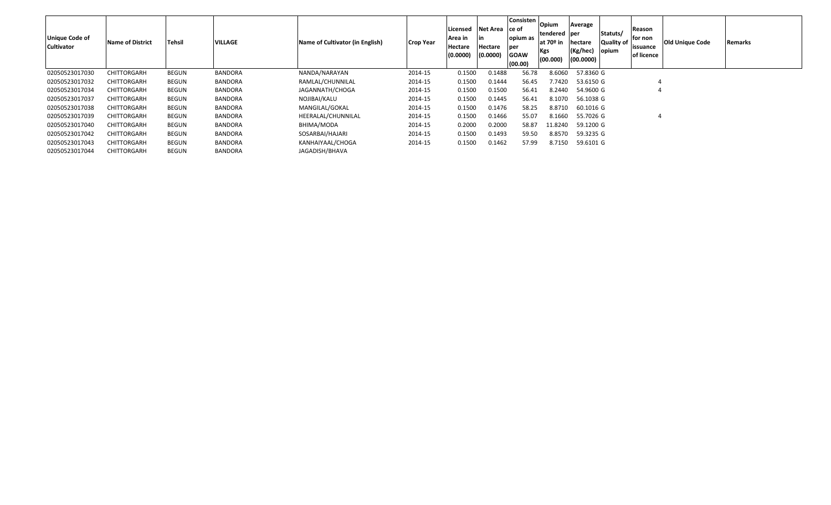| Unique Code of<br><b>Cultivator</b> | Name of District   | <b>Tehsil</b> | VILLAGE        | Name of Cultivator (in English) | <b>Crop Year</b> | Licensed<br>Area in<br>Hectare<br>(0.0000) | Net Area ce of<br>l in<br>Hectare<br>(0.0000) | <b>Consisten</b><br>opium as<br>per<br><b>GOAW</b><br>(00.00) | Opium<br>tendered per<br>at 70º in<br>Kgs<br>(00.000) | Average<br>hectare<br>(Kg/hec)<br>(00.0000) | Statuts/<br><b>Quality of</b><br>opium | Reason<br>for non<br>issuance<br>of licence | <b>Old Unique Code</b> | <b>Remarks</b> |
|-------------------------------------|--------------------|---------------|----------------|---------------------------------|------------------|--------------------------------------------|-----------------------------------------------|---------------------------------------------------------------|-------------------------------------------------------|---------------------------------------------|----------------------------------------|---------------------------------------------|------------------------|----------------|
| 02050523017030                      | <b>CHITTORGARH</b> | <b>BEGUN</b>  | <b>BANDORA</b> | NANDA/NARAYAN                   | 2014-15          | 0.1500                                     | 0.1488                                        | 56.78                                                         | 8.6060                                                | 57.8360 G                                   |                                        |                                             |                        |                |
| 02050523017032                      | <b>CHITTORGARH</b> | <b>BEGUN</b>  | <b>BANDORA</b> | RAMLAL/CHUNNILAL                | 2014-15          | 0.1500                                     | 0.1444                                        | 56.45                                                         | 7.7420                                                | 53.6150 G                                   |                                        |                                             |                        |                |
| 02050523017034                      | <b>CHITTORGARH</b> | <b>BEGUN</b>  | <b>BANDORA</b> | JAGANNATH/CHOGA                 | 2014-15          | 0.1500                                     | 0.1500                                        | 56.41                                                         | 8.2440                                                | 54.9600 G                                   |                                        |                                             |                        |                |
| 02050523017037                      | <b>CHITTORGARH</b> | <b>BEGUN</b>  | BANDORA        | NOJIBAI/KALU                    | 2014-15          | 0.1500                                     | 0.1445                                        | 56.41                                                         | 8.1070                                                | 56.1038 G                                   |                                        |                                             |                        |                |
| 02050523017038                      | <b>CHITTORGARH</b> | <b>BEGUN</b>  | BANDORA        | MANGILAL/GOKAL                  | 2014-15          | 0.1500                                     | 0.1476                                        | 58.25                                                         | 8.8710                                                | 60.1016 G                                   |                                        |                                             |                        |                |
| 02050523017039                      | <b>CHITTORGARH</b> | <b>BEGUN</b>  | <b>BANDORA</b> | HEERALAL/CHUNNILAL              | 2014-15          | 0.1500                                     | 0.1466                                        | 55.07                                                         | 8.1660                                                | 55.7026 G                                   |                                        | 4                                           |                        |                |
| 02050523017040                      | <b>CHITTORGARH</b> | <b>BEGUN</b>  | BANDORA        | BHIMA/MODA                      | 2014-15          | 0.2000                                     | 0.2000                                        | 58.87                                                         | 11.8240                                               | 59.1200 G                                   |                                        |                                             |                        |                |
| 02050523017042                      | <b>CHITTORGARH</b> | <b>BEGUN</b>  | <b>BANDORA</b> | SOSARBAI/HAJARI                 | 2014-15          | 0.1500                                     | 0.1493                                        | 59.50                                                         | 8.8570                                                | 59.3235 G                                   |                                        |                                             |                        |                |
| 02050523017043                      | <b>CHITTORGARH</b> | <b>BEGUN</b>  | <b>BANDORA</b> | KANHAIYAAL/CHOGA                | 2014-15          | 0.1500                                     | 0.1462                                        | 57.99                                                         | 8.7150                                                | 59.6101 G                                   |                                        |                                             |                        |                |
| 02050523017044                      | <b>CHITTORGARH</b> | <b>BEGUN</b>  | BANDORA        | JAGADISH/BHAVA                  |                  |                                            |                                               |                                                               |                                                       |                                             |                                        |                                             |                        |                |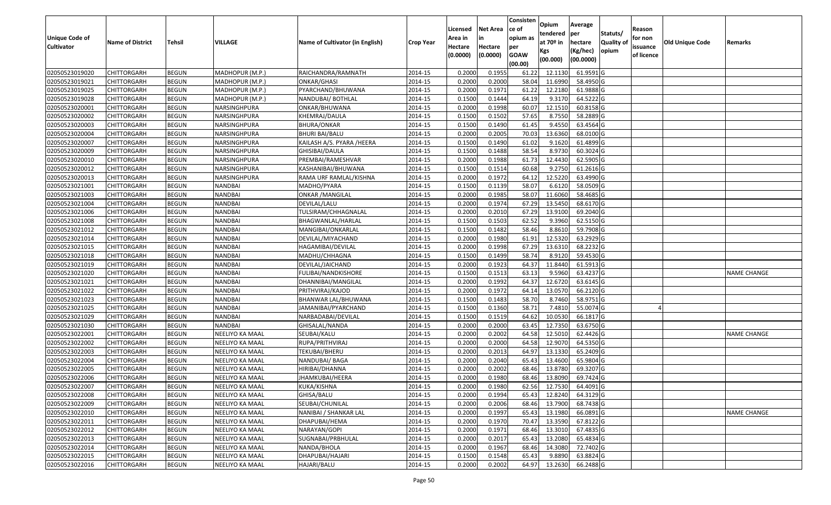| <b>Unique Code of</b> |                         |               |                 |                                 |                  | Licensed<br>Area in | <b>Net Area</b><br>in | Consisten<br>ce of<br>opium as | Opium<br>tendered              | Average<br>per                   | Statuts/            | Reason<br>for non      |                        |                    |
|-----------------------|-------------------------|---------------|-----------------|---------------------------------|------------------|---------------------|-----------------------|--------------------------------|--------------------------------|----------------------------------|---------------------|------------------------|------------------------|--------------------|
| <b>Cultivator</b>     | <b>Name of District</b> | <b>Tehsil</b> | VILLAGE         | Name of Cultivator (in English) | <b>Crop Year</b> | Hectare<br>(0.0000) | Hectare<br>(0.0000)   | per<br><b>GOAW</b><br>(00.00)  | at $70°$ in<br>Kgs<br>(00.000) | hectare<br>(Kg/hec)<br>(00.0000) | Quality of<br>opium | issuance<br>of licence | <b>Old Unique Code</b> | Remarks            |
| 02050523019020        | <b>CHITTORGARH</b>      | <b>BEGUN</b>  | MADHOPUR (M.P.) | RAICHANDRA/RAMNATH              | 2014-15          | 0.2000              | 0.1955                | 61.22                          | 12.1130                        | 61.9591 G                        |                     |                        |                        |                    |
| 02050523019021        | CHITTORGARH             | <b>BEGUN</b>  | MADHOPUR (M.P.) | ONKAR/GHASI                     | 2014-15          | 0.2000              | 0.2000                | 58.04                          | 11.6990                        | 58.4950 G                        |                     |                        |                        |                    |
| 02050523019025        | CHITTORGARH             | <b>BEGUN</b>  | MADHOPUR (M.P.) | PYARCHAND/BHUWANA               | 2014-15          | 0.2000              | 0.1971                | 61.22                          | 12.2180                        | 61.9888 G                        |                     |                        |                        |                    |
| 02050523019028        | <b>CHITTORGARH</b>      | <b>BEGUN</b>  | MADHOPUR (M.P.) | NANDUBAI/ BOTHLAL               | 2014-15          | 0.1500              | 0.1444                | 64.19                          | 9.3170                         | 64.5222 G                        |                     |                        |                        |                    |
| 02050523020001        | <b>CHITTORGARH</b>      | <b>BEGUN</b>  | NARSINGHPURA    | ONKAR/BHUWANA                   | 2014-15          | 0.2000              | 0.1998                | 60.07                          | 12.1510                        | 60.8158 G                        |                     |                        |                        |                    |
| 02050523020002        | CHITTORGARH             | <b>BEGUN</b>  | NARSINGHPURA    | KHEMRAJ/DAULA                   | 2014-15          | 0.1500              | 0.1502                | 57.65                          | 8.7550                         | 58.2889 G                        |                     |                        |                        |                    |
| 02050523020003        | CHITTORGARH             | <b>BEGUN</b>  | NARSINGHPURA    | BHURA/ONKAR                     | 2014-15          | 0.1500              | 0.1490                | 61.45                          | 9.4550                         | 63.4564 G                        |                     |                        |                        |                    |
| 02050523020004        | CHITTORGARH             | <b>BEGUN</b>  | NARSINGHPURA    | BHURI BAI/BALU                  | 2014-15          | 0.2000              | 0.2005                | 70.03                          | 13.6360                        | 68.0100G                         |                     |                        |                        |                    |
| 02050523020007        | CHITTORGARH             | <b>BEGUN</b>  | NARSINGHPURA    | KAILASH A/S. PYARA /HEERA       | 2014-15          | 0.1500              | 0.1490                | 61.02                          | 9.1620                         | 61.4899 G                        |                     |                        |                        |                    |
| 02050523020009        | CHITTORGARH             | <b>BEGUN</b>  | NARSINGHPURA    | GHISIBAI/DAULA                  | 2014-15          | 0.1500              | 0.1488                | 58.54                          | 8.9730                         | 60.3024 G                        |                     |                        |                        |                    |
| 02050523020010        | CHITTORGARH             | <b>BEGUN</b>  | NARSINGHPURA    | PREMBAI/RAMESHVAR               | 2014-15          | 0.2000              | 0.1988                | 61.73                          | 12.4430                        | 62.5905 G                        |                     |                        |                        |                    |
| 02050523020012        | CHITTORGARH             | <b>BEGUN</b>  | NARSINGHPURA    | KASHANIBAI/BHUWANA              | 2014-15          | 0.1500              | 0.1514                | 60.68                          | 9.275                          | $61.2616$ G                      |                     |                        |                        |                    |
| 02050523020013        | CHITTORGARH             | <b>BEGUN</b>  | NARSINGHPURA    | RAMA URF RAMLAL/KISHNA          | 2014-15          | 0.2000              | 0.1972                | 64.12                          | 12.5220                        | 63.4990 G                        |                     |                        |                        |                    |
| 02050523021001        | CHITTORGARH             | <b>BEGUN</b>  | <b>NANDBAI</b>  | MADHO/PYARA                     | 2014-15          | 0.1500              | 0.1139                | 58.07                          | 6.6120                         | 58.0509 G                        |                     |                        |                        |                    |
| 02050523021003        | CHITTORGARH             | <b>BEGUN</b>  | <b>NANDBAI</b>  | <b>ONKAR / MANGILAL</b>         | 2014-15          | 0.2000              | 0.1985                | 58.07                          | 11.6060                        | 58.4685 G                        |                     |                        |                        |                    |
| 02050523021004        | CHITTORGARH             | <b>BEGUN</b>  | <b>NANDBAI</b>  | DEVILAL/LALU                    | 2014-15          | 0.2000              | 0.1974                | 67.29                          | 13.545                         | 68.6170 G                        |                     |                        |                        |                    |
| 02050523021006        | CHITTORGARH             | <b>BEGUN</b>  | <b>NANDBAI</b>  | TULSIRAM/CHHAGNALAL             | 2014-15          | 0.2000              | 0.2010                | 67.29                          | 13.9100                        | 69.2040 G                        |                     |                        |                        |                    |
| 02050523021008        | CHITTORGARH             | <b>BEGUN</b>  | <b>NANDBAI</b>  | BHAGWANLAL/HARLAL               | 2014-15          | 0.1500              | 0.1503                | 62.52                          | 9.3960                         | 62.5150 G                        |                     |                        |                        |                    |
| 02050523021012        | <b>CHITTORGARH</b>      | <b>BEGUN</b>  | <b>NANDBAI</b>  | MANGIBAI/ONKARLAL               | 2014-15          | 0.1500              | 0.1482                | 58.46                          | 8.8610                         | 59.7908 G                        |                     |                        |                        |                    |
| 02050523021014        | CHITTORGARH             | <b>BEGUN</b>  | <b>NANDBAI</b>  | DEVILAL/MIYACHAND               | 2014-15          | 0.2000              | 0.1980                | 61.91                          | 12.5320                        | 63.2929 G                        |                     |                        |                        |                    |
| 02050523021015        | <b>CHITTORGARH</b>      | <b>BEGUN</b>  | <b>NANDBAI</b>  | HAGAMIBAI/DEVILAL               | 2014-15          | 0.2000              | 0.1998                | 67.29                          | 13.6310                        | 68.2232 G                        |                     |                        |                        |                    |
| 02050523021018        | CHITTORGARH             | <b>BEGUN</b>  | <b>NANDBAI</b>  | MADHU/CHHAGNA                   | 2014-15          | 0.1500              | 0.1499                | 58.74                          | 8.9120                         | 59.4530 G                        |                     |                        |                        |                    |
| 02050523021019        | CHITTORGARH             | <b>BEGUN</b>  | <b>NANDBAI</b>  | DEVILAL/JAICHAND                | 2014-15          | 0.2000              | 0.1923                | 64.37                          | 11.8440                        | 61.5913 G                        |                     |                        |                        |                    |
| 02050523021020        | CHITTORGARH             | <b>BEGUN</b>  | <b>NANDBAI</b>  | FULIBAI/NANDKISHORE             | 2014-15          | 0.1500              | 0.1513                | 63.13                          | 9.5960                         | 63.4237 G                        |                     |                        |                        | <b>NAME CHANGE</b> |
| 02050523021021        | CHITTORGARH             | <b>BEGUN</b>  | NANDBAI         | DHANNIBAI/MANGILAL              | 2014-15          | 0.2000              | 0.1992                | 64.37                          | 12.6720                        | 63.6145 G                        |                     |                        |                        |                    |
| 02050523021022        | CHITTORGARH             | <b>BEGUN</b>  | <b>NANDBAI</b>  | PRITHVIRAJ/KAJOD                | 2014-15          | 0.2000              | 0.1972                | 64.1                           | 13.0570                        | 66.2120 G                        |                     |                        |                        |                    |
| 02050523021023        | CHITTORGARH             | <b>BEGUN</b>  | <b>NANDBAI</b>  | BHANWAR LAL/BHUWANA             | 2014-15          | 0.1500              | 0.1483                | 58.70                          | 8.7460                         | 58.9751 G                        |                     |                        |                        |                    |
| 02050523021025        | CHITTORGARH             | <b>BEGUN</b>  | <b>NANDBAI</b>  | JAMANIBAI/PYARCHAND             | 2014-15          | 0.1500              | 0.1360                | 58.7                           | 7.4810                         | 55.0074 G                        |                     |                        |                        |                    |
| 02050523021029        | <b>CHITTORGARH</b>      | <b>BEGUN</b>  | <b>NANDBAI</b>  | NARBADABAI/DEVILAL              | 2014-15          | 0.1500              | 0.1519                | 64.62                          | 10.0530                        | 66.1817 G                        |                     |                        |                        |                    |
| 02050523021030        | <b>CHITTORGARH</b>      | <b>BEGUN</b>  | <b>NANDBAI</b>  | GHISALAL/NANDA                  | 2014-15          | 0.2000              | 0.2000                | 63.45                          | 12.7350                        | 63.6750 G                        |                     |                        |                        |                    |
| 02050523022001        | <b>CHITTORGARH</b>      | <b>BEGUN</b>  | NEELIYO KA MAAL | SEUBAI/KALU                     | 2014-15          | 0.2000              | 0.2002                | 64.58                          | 12.5010                        | 62.4426 G                        |                     |                        |                        | <b>NAME CHANGE</b> |
| 02050523022002        | CHITTORGARH             | <b>BEGUN</b>  | NEELIYO KA MAAL | RUPA/PRITHVIRAJ                 | 2014-15          | 0.2000              | 0.2000                | 64.58                          | 12.9070                        | 64.5350 G                        |                     |                        |                        |                    |
| 02050523022003        | CHITTORGARH             | <b>BEGUN</b>  | NEELIYO KA MAAL | TEKUBAI/BHERU                   | 2014-15          | 0.2000              | 0.2013                | 64.97                          | 13.1330                        | 65.2409 G                        |                     |                        |                        |                    |
| 02050523022004        | CHITTORGARH             | <b>BEGUN</b>  | NEELIYO KA MAAL | NANDUBAI/ BAGA                  | 2014-15          | 0.2000              | 0.2040                | 65.43                          | 13.4600                        | 65.9804 G                        |                     |                        |                        |                    |
| 02050523022005        | CHITTORGARH             | <b>BEGUN</b>  | NEELIYO KA MAAL | HIRIBAI/DHANNA                  | 2014-15          | 0.2000              | 0.2002                | 68.46                          | 13.8780                        | 69.3207 G                        |                     |                        |                        |                    |
| 02050523022006        | CHITTORGARH             | <b>BEGUN</b>  | NEELIYO KA MAAL | JHAMKUBAI/HEERA                 | 2014-15          | 0.2000              | 0.1980                | 68.46                          | 13.8090                        | 69.7424 G                        |                     |                        |                        |                    |
| 02050523022007        | <b>CHITTORGARH</b>      | <b>BEGUN</b>  | NEELIYO KA MAAL | KUKA/KISHNA                     | 2014-15          | 0.2000              | 0.1980                |                                | 62.56 12.7530                  | 64.4091 G                        |                     |                        |                        |                    |
| 02050523022008        | <b>CHITTORGARH</b>      | <b>BEGUN</b>  | NEELIYO KA MAAL | GHISA/BALU                      | 2014-15          | 0.2000              | 0.1994                | 65.43                          | 12.8240                        | 64.3129 G                        |                     |                        |                        |                    |
| 02050523022009        | <b>CHITTORGARH</b>      | <b>BEGUN</b>  | NEELIYO KA MAAL | SEUBAI/CHUNILAL                 | 2014-15          | 0.2000              | 0.2006                | 68.46                          | 13.7900                        | 68.7438 G                        |                     |                        |                        |                    |
| 02050523022010        | <b>CHITTORGARH</b>      | <b>BEGUN</b>  | NEELIYO KA MAAL | NANIBAI / SHANKAR LAL           | 2014-15          | 0.2000              | 0.1997                | 65.43                          | 13.1980                        | 66.0891 G                        |                     |                        |                        | <b>NAME CHANGE</b> |
| 02050523022011        | <b>CHITTORGARH</b>      | <b>BEGUN</b>  | NEELIYO KA MAAL | DHAPUBAI/HEMA                   | 2014-15          | 0.2000              | 0.1970                | 70.47                          | 13.3590                        | 67.8122 G                        |                     |                        |                        |                    |
| 02050523022012        | <b>CHITTORGARH</b>      | <b>BEGUN</b>  | NEELIYO KA MAAL | NARAYAN/GOPI                    | 2014-15          | 0.2000              | 0.1971                | 68.46                          | 13.3010                        | 67.4835 G                        |                     |                        |                        |                    |
| 02050523022013        | <b>CHITTORGARH</b>      | <b>BEGUN</b>  | NEELIYO KA MAAL | SUGNABAI/PRBHULAL               | 2014-15          | 0.2000              | 0.2017                | 65.43                          | 13.2080                        | 65.4834 G                        |                     |                        |                        |                    |
| 02050523022014        | <b>CHITTORGARH</b>      | <b>BEGUN</b>  | NEELIYO KA MAAL | NANDA/BHOLA                     | 2014-15          | 0.2000              | 0.1967                | 68.46                          | 14.3080                        | 72.7402 G                        |                     |                        |                        |                    |
| 02050523022015        | <b>CHITTORGARH</b>      | <b>BEGUN</b>  | NEELIYO KA MAAL | DHAPUBAI/HAJARI                 | 2014-15          | 0.1500              | 0.1548                | 65.43                          | 9.8890                         | 63.8824 G                        |                     |                        |                        |                    |
| 02050523022016        | <b>CHITTORGARH</b>      | <b>BEGUN</b>  | NEELIYO KA MAAL | HAJARI/BALU                     | 2014-15          | 0.2000              | 0.2002                | 64.97                          | 13.2630                        | 66.2488 G                        |                     |                        |                        |                    |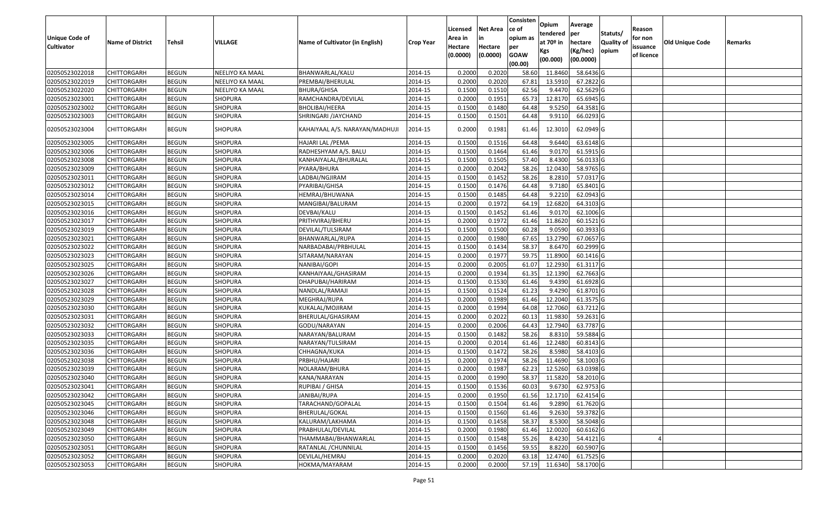| <b>Unique Code of</b><br><b>Cultivator</b> | <b>Name of District</b> | <b>Tehsil</b> | VILLAGE         | Name of Cultivator (in English) | <b>Crop Year</b> | Licensed<br>Area in<br>Hectare<br>(0.0000) | <b>Net Area</b><br>in<br>Hectare<br>(0.0000) | Consisten<br>ce of<br>opium as<br>per<br><b>GOAW</b><br>(00.00) | Opium<br>tendered<br>at $70°$ in<br>Kgs<br>(00.000) | Average<br>per<br>hectare<br>(Kg/hec)<br>(00.0000) | Statuts/<br>Quality of<br>opium | Reason<br>for non<br>issuance<br>of licence | <b>Old Unique Code</b> | Remarks |
|--------------------------------------------|-------------------------|---------------|-----------------|---------------------------------|------------------|--------------------------------------------|----------------------------------------------|-----------------------------------------------------------------|-----------------------------------------------------|----------------------------------------------------|---------------------------------|---------------------------------------------|------------------------|---------|
| 02050523022018                             | <b>CHITTORGARH</b>      | <b>BEGUN</b>  | NEELIYO KA MAAL | BHANWARLAL/KALU                 | 2014-15          | 0.2000                                     | 0.2020                                       | 58.60                                                           | 11.8460                                             | 58.6436 G                                          |                                 |                                             |                        |         |
| 02050523022019                             | CHITTORGARH             | <b>BEGUN</b>  | NEELIYO KA MAAL | PREMBAI/BHERULAL                | 2014-15          | 0.2000                                     | 0.2020                                       | 67.8                                                            | 13.5910                                             | 67.2822 G                                          |                                 |                                             |                        |         |
| 02050523022020                             | CHITTORGARH             | <b>BEGUN</b>  | NEELIYO KA MAAL | BHURA/GHISA                     | 2014-15          | 0.1500                                     | 0.1510                                       | 62.56                                                           | 9.4470                                              | 62.5629 G                                          |                                 |                                             |                        |         |
| 02050523023001                             | <b>CHITTORGARH</b>      | <b>BEGUN</b>  | <b>SHOPURA</b>  | RAMCHANDRA/DEVILAL              | 2014-15          | 0.2000                                     | 0.1951                                       | 65.73                                                           | 12.8170                                             | 65.6945 G                                          |                                 |                                             |                        |         |
| 02050523023002                             | <b>CHITTORGARH</b>      | <b>BEGUN</b>  | <b>SHOPURA</b>  | <b>BHOLIBAI/HEERA</b>           | 2014-15          | 0.1500                                     | 0.1480                                       | 64.48                                                           | 9.5250                                              | 64.3581 G                                          |                                 |                                             |                        |         |
| 02050523023003                             | CHITTORGARH             | <b>BEGUN</b>  | SHOPURA         | SHRINGARI / JAYCHAND            | 2014-15          | 0.1500                                     | 0.1501                                       | 64.48                                                           | 9.9110                                              | 66.0293 G                                          |                                 |                                             |                        |         |
| 02050523023004                             | CHITTORGARH             | <b>BEGUN</b>  | SHOPURA         | KAHAIYAAL A/S. NARAYAN/MADHUJI  | 2014-15          | 0.2000                                     | 0.1981                                       | 61.46                                                           | 12.3010                                             | 62.0949 G                                          |                                 |                                             |                        |         |
| 02050523023005                             | CHITTORGARH             | <b>BEGUN</b>  | <b>SHOPURA</b>  | HAJARI LAL / PEMA               | 2014-15          | 0.1500                                     | 0.1516                                       | 64.48                                                           | 9.6440                                              | 63.6148 G                                          |                                 |                                             |                        |         |
| 02050523023006                             | CHITTORGARH             | <b>BEGUN</b>  | <b>SHOPURA</b>  | RADHESHYAM A/S. BALU            | 2014-15          | 0.1500                                     | 0.1464                                       | 61.46                                                           | 9.0170                                              | 61.5915 G                                          |                                 |                                             |                        |         |
| 02050523023008                             | CHITTORGARH             | <b>BEGUN</b>  | <b>SHOPURA</b>  | KANHAIYALAL/BHURALAL            | 2014-15          | 0.1500                                     | 0.1505                                       | 57.40                                                           | 8.4300                                              | 56.0133 G                                          |                                 |                                             |                        |         |
| 02050523023009                             | CHITTORGARH             | <b>BEGUN</b>  | <b>SHOPURA</b>  | PYARA/BHURA                     | 2014-15          | 0.2000                                     | 0.2042                                       | 58.26                                                           | 12.0430                                             | 58.9765 G                                          |                                 |                                             |                        |         |
| 02050523023011                             | CHITTORGARH             | <b>BEGUN</b>  | <b>SHOPURA</b>  | LADBAI/NGJIRAM                  | 2014-15          | 0.1500                                     | 0.1452                                       | 58.26                                                           | 8.2810                                              | 57.0317 G                                          |                                 |                                             |                        |         |
| 02050523023012                             | CHITTORGARH             | <b>BEGUN</b>  | SHOPURA         | PYARIBAI/GHISA                  | 2014-15          | 0.150                                      | 0.1476                                       | 64.48                                                           | 9.7180                                              | 65.8401G                                           |                                 |                                             |                        |         |
| 02050523023014                             | CHITTORGARH             | <b>BEGUN</b>  | <b>SHOPURA</b>  | HEMRAJ/BHUWANA                  | 2014-15          | 0.1500                                     | 0.1485                                       | 64.48                                                           | 9.2210                                              | 62.0943 G                                          |                                 |                                             |                        |         |
| 02050523023015                             | CHITTORGARH             | <b>BEGUN</b>  | <b>SHOPURA</b>  | MANGIBAI/BALURAM                | 2014-15          | 0.2000                                     | 0.1972                                       | 64.19                                                           | 12.6820                                             | 64.3103 G                                          |                                 |                                             |                        |         |
| 02050523023016                             | CHITTORGARH             | <b>BEGUN</b>  | SHOPURA         | DEVBAI/KALU                     | 2014-15          | 0.1500                                     | 0.1452                                       | 61.46                                                           | 9.0170                                              | 62.1006 G                                          |                                 |                                             |                        |         |
| 02050523023017                             | CHITTORGARH             | <b>BEGUN</b>  | <b>SHOPURA</b>  | PRITHVIRAJ/BHERU                | 2014-15          | 0.2000                                     | 0.1972                                       | 61.46                                                           | 11.8620                                             | 60.1521 G                                          |                                 |                                             |                        |         |
| 02050523023019                             | CHITTORGARH             | <b>BEGUN</b>  | SHOPURA         | DEVILAL/TULSIRAM                | 2014-15          | 0.1500                                     | 0.1500                                       | 60.28                                                           | 9.0590                                              | 60.3933 G                                          |                                 |                                             |                        |         |
| 02050523023021                             | CHITTORGARH             | <b>BEGUN</b>  | <b>SHOPURA</b>  | BHANWARLAL/RUPA                 | 2014-15          | 0.2000                                     | 0.1980                                       | 67.65                                                           | 13.2790                                             | 67.0657 G                                          |                                 |                                             |                        |         |
| 02050523023022                             | <b>CHITTORGARH</b>      | <b>BEGUN</b>  | <b>SHOPURA</b>  | NARBADABAI/PRBHULAL             | 2014-15          | 0.1500                                     | 0.1434                                       | 58.37                                                           | 8.6470                                              | 60.2999 G                                          |                                 |                                             |                        |         |
| 02050523023023                             | CHITTORGARH             | <b>BEGUN</b>  | <b>SHOPURA</b>  | SITARAM/NARAYAN                 | 2014-15          | 0.2000                                     | 0.1977                                       | 59.75                                                           | 11.8900                                             | 60.1416 G                                          |                                 |                                             |                        |         |
| 02050523023025                             | CHITTORGARH             | <b>BEGUN</b>  | SHOPURA         | NANIBAI/GOPI                    | 2014-15          | 0.2000                                     | 0.2005                                       | 61.07                                                           | 12.2930                                             | 61.3117 G                                          |                                 |                                             |                        |         |
| 02050523023026                             | CHITTORGARH             | <b>BEGUN</b>  | SHOPURA         | KANHAIYAAL/GHASIRAM             | 2014-15          | 0.2000                                     | 0.1934                                       | 61.35                                                           | 12.1390                                             | 62.7663 G                                          |                                 |                                             |                        |         |
| 02050523023027                             | CHITTORGARH             | <b>BEGUN</b>  | SHOPURA         | DHAPUBAI/HARIRAM                | 2014-15          | 0.1500                                     | 0.1530                                       | 61.46                                                           | 9.4390                                              | 61.6928 G                                          |                                 |                                             |                        |         |
| 02050523023028                             | CHITTORGARH             | <b>BEGUN</b>  | <b>SHOPURA</b>  | NANDLAL/RAMAJI                  | 2014-15          | 0.1500                                     | 0.1524                                       | 61.23                                                           | 9.429                                               | 61.8701G                                           |                                 |                                             |                        |         |
| 02050523023029                             | CHITTORGARH             | <b>BEGUN</b>  | <b>SHOPURA</b>  | MEGHRAJ/RUPA                    | 2014-15          | 0.2000                                     | 0.1989                                       | 61.46                                                           | 12.2040                                             | 61.3575 G                                          |                                 |                                             |                        |         |
| 02050523023030                             | CHITTORGARH             | <b>BEGUN</b>  | <b>SHOPURA</b>  | KUKALAL/MOJIRAM                 | 2014-15          | 0.2000                                     | 0.1994                                       | 64.08                                                           | 12.7060                                             | 63.7212 G                                          |                                 |                                             |                        |         |
| 02050523023031                             | <b>CHITTORGARH</b>      | <b>BEGUN</b>  | <b>SHOPURA</b>  | BHERULAL/GHASIRAM               | 2014-15          | 0.2000                                     | 0.2022                                       | 60.13                                                           | 11.9830                                             | 59.2631 G                                          |                                 |                                             |                        |         |
| 02050523023032                             | <b>CHITTORGARH</b>      | <b>BEGUN</b>  | <b>SHOPURA</b>  | GODU/NARAYAN                    | 2014-15          | 0.2000                                     | 0.2006                                       | 64.43                                                           | 12.7940                                             | 63.7787 G                                          |                                 |                                             |                        |         |
| 02050523023033                             | CHITTORGARH             | <b>BEGUN</b>  | <b>SHOPURA</b>  | NARAYAN/BALURAM                 | 2014-15          | 0.1500                                     | 0.1482                                       | 58.26                                                           | 8.8310                                              | 59.5884 G                                          |                                 |                                             |                        |         |
| 02050523023035                             | CHITTORGARH             | <b>BEGUN</b>  | SHOPURA         | NARAYAN/TULSIRAM                | 2014-15          | 0.2000                                     | 0.2014                                       | 61.46                                                           | 12.2480                                             | 60.8143 G                                          |                                 |                                             |                        |         |
| 02050523023036                             | CHITTORGARH             | <b>BEGUN</b>  | <b>SHOPURA</b>  | CHHAGNA/KUKA                    | 2014-15          | 0.1500                                     | 0.1472                                       | 58.26                                                           | 8.598                                               | 58.4103 G                                          |                                 |                                             |                        |         |
| 02050523023038                             | <b>CHITTORGARH</b>      | <b>BEGUN</b>  | <b>SHOPURA</b>  | PRBHU/HAJARI                    | 2014-15          | 0.2000                                     | 0.1974                                       | 58.26                                                           | 11.4690                                             | 58.1003 G                                          |                                 |                                             |                        |         |
| 02050523023039                             | CHITTORGARH             | <b>BEGUN</b>  | SHOPURA         | NOLARAM/BHURA                   | 2014-15          | 0.2000                                     | 0.1987                                       | 62.23                                                           | 12.5260                                             | 63.0398 G                                          |                                 |                                             |                        |         |
| 02050523023040                             | CHITTORGARH             | <b>BEGUN</b>  | SHOPURA         | KANA/NARAYAN                    | 2014-15          | 0.2000                                     | 0.1990                                       | 58.37                                                           | 11.5820                                             | 58.2010 G                                          |                                 |                                             |                        |         |
| 02050523023041                             | <b>CHITTORGARH</b>      | <b>BEGUN</b>  | SHOPURA         | RUPIBAI / GHISA                 | 2014-15          | 0.1500                                     | 0.1536                                       | 60.03                                                           | 9.6730                                              | 62.9753 G                                          |                                 |                                             |                        |         |
| 02050523023042                             | <b>CHITTORGARH</b>      | <b>BEGUN</b>  | <b>SHOPURA</b>  | JANIBAI/RUPA                    | 2014-15          | 0.2000                                     | 0.1950                                       | 61.56                                                           | 12.1710                                             | 62.4154 G                                          |                                 |                                             |                        |         |
| 02050523023045                             | <b>CHITTORGARH</b>      | <b>BEGUN</b>  | SHOPURA         | TARACHAND/GOPALAL               | 2014-15          | 0.1500                                     | 0.1504                                       | 61.46                                                           | 9.2890                                              | 61.7620 G                                          |                                 |                                             |                        |         |
| 02050523023046                             | <b>CHITTORGARH</b>      | <b>BEGUN</b>  | <b>SHOPURA</b>  | BHERULAL/GOKAL                  | 2014-15          | 0.1500                                     | 0.1560                                       | 61.46                                                           | 9.2630                                              | 59.3782 G                                          |                                 |                                             |                        |         |
| 02050523023048                             | CHITTORGARH             | <b>BEGUN</b>  | <b>SHOPURA</b>  | KALURAM/LAKHAMA                 | 2014-15          | 0.1500                                     | 0.1458                                       | 58.37                                                           | 8.5300                                              | 58.5048 G                                          |                                 |                                             |                        |         |
| 02050523023049                             | <b>CHITTORGARH</b>      | <b>BEGUN</b>  | <b>SHOPURA</b>  | PRABHULAL/DEVILAL               | 2014-15          | 0.2000                                     | 0.1980                                       | 61.46                                                           | 12.0020                                             | 60.6162 G                                          |                                 |                                             |                        |         |
| 02050523023050                             | <b>CHITTORGARH</b>      | <b>BEGUN</b>  | <b>SHOPURA</b>  | THAMMABAI/BHANWARLAL            | 2014-15          | 0.1500                                     | 0.1548                                       | 55.26                                                           | 8.4230                                              | 54.4121 G                                          |                                 |                                             |                        |         |
| 02050523023051                             | CHITTORGARH             | <b>BEGUN</b>  | <b>SHOPURA</b>  | RATANLAL / CHUNNILAL            | 2014-15          | 0.1500                                     | 0.1456                                       | 59.55                                                           | 8.8220                                              | 60.5907 G                                          |                                 |                                             |                        |         |
| 02050523023052                             | CHITTORGARH             | <b>BEGUN</b>  | <b>SHOPURA</b>  | DEVILAL/HEMRAJ                  | 2014-15          | 0.2000                                     | 0.2020                                       | 63.18                                                           | 12.4740                                             | 61.7525 G                                          |                                 |                                             |                        |         |
| 02050523023053                             | <b>CHITTORGARH</b>      | <b>BEGUN</b>  | <b>SHOPURA</b>  | HOKMA/MAYARAM                   | 2014-15          | 0.2000                                     | 0.2000                                       | 57.19                                                           | 11.6340                                             | 58.1700 G                                          |                                 |                                             |                        |         |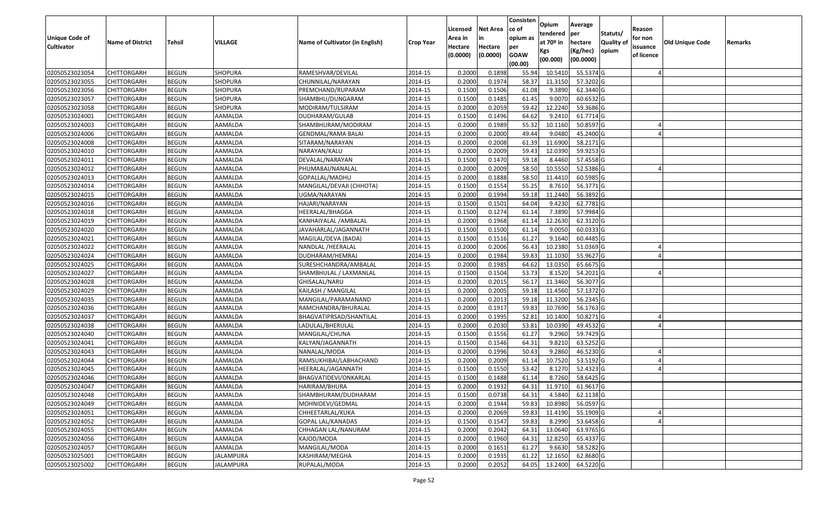| Unique Code of<br><b>Cultivator</b> | <b>Name of District</b> | <b>Tehsil</b> | VILLAGE          | Name of Cultivator (in English) | <b>Crop Year</b> | Licensed<br>Area in<br>Hectare<br>(0.0000) | <b>Net Area</b><br>in<br>Hectare<br>(0.0000) | Consisten<br>ce of<br>opium as<br>per<br><b>GOAW</b><br>(00.00) | Opium<br>tendered<br>at $70°$ in<br>Kgs<br>(00.000) | Average<br>per<br>hectare<br>(Kg/hec)<br>(00.0000) | Statuts/<br>Quality of<br>opium | Reason<br>for non<br>issuance<br>of licence | <b>Old Unique Code</b> | Remarks |
|-------------------------------------|-------------------------|---------------|------------------|---------------------------------|------------------|--------------------------------------------|----------------------------------------------|-----------------------------------------------------------------|-----------------------------------------------------|----------------------------------------------------|---------------------------------|---------------------------------------------|------------------------|---------|
| 02050523023054                      | <b>CHITTORGARH</b>      | <b>BEGUN</b>  | SHOPURA          | RAMESHVAR/DEVILAL               | 2014-15          | 0.2000                                     | 0.1898                                       | 55.94                                                           | 10.541                                              | 55.5374 G                                          |                                 |                                             |                        |         |
| 02050523023055                      | CHITTORGARH             | <b>BEGUN</b>  | SHOPURA          | CHUNNILAL/NARAYAN               | 2014-15          | 0.2000                                     | 0.1974                                       | 58.37                                                           | 11.3150                                             | 57.3202 G                                          |                                 |                                             |                        |         |
| 02050523023056                      | CHITTORGARH             | <b>BEGUN</b>  | SHOPURA          | PREMCHAND/RUPARAM               | 2014-15          | 0.1500                                     | 0.1506                                       | 61.08                                                           | 9.3890                                              | 62.3440 G                                          |                                 |                                             |                        |         |
| 02050523023057                      | <b>CHITTORGARH</b>      | <b>BEGUN</b>  | <b>SHOPURA</b>   | SHAMBHU/DUNGARAM                | 2014-15          | 0.1500                                     | 0.1485                                       | 61.45                                                           | 9.007                                               | 60.6532 G                                          |                                 |                                             |                        |         |
| 02050523023058                      | <b>CHITTORGARH</b>      | <b>BEGUN</b>  | <b>SHOPURA</b>   | MODIRAM/TULSIRAM                | 2014-15          | 0.2000                                     | 0.2059                                       | 59.42                                                           | 12.2240                                             | 59.3686 G                                          |                                 |                                             |                        |         |
| 02050523024001                      | CHITTORGARH             | <b>BEGUN</b>  | AAMALDA          | DUDHARAM/GULAB                  | 2014-15          | 0.1500                                     | 0.1496                                       | 64.62                                                           | 9.2410                                              | 61.7714 G                                          |                                 |                                             |                        |         |
| 02050523024003                      | <b>CHITTORGARH</b>      | <b>BEGUN</b>  | AAMALDA          | SHAMBHURAM/MODIRAM              | 2014-15          | 0.2000                                     | 0.1989                                       | 55.32                                                           | 10.1160                                             | 50.8597 G                                          |                                 |                                             |                        |         |
| 02050523024006                      | <b>CHITTORGARH</b>      | <b>BEGUN</b>  | AAMALDA          | GENDMAL/RAMA BALAI              | 2014-15          | 0.2000                                     | 0.2000                                       | 49.44                                                           | 9.0480                                              | 45.2400 G                                          |                                 |                                             |                        |         |
| 02050523024008                      | CHITTORGARH             | <b>BEGUN</b>  | AAMALDA          | SITARAM/NARAYAN                 | 2014-15          | 0.2000                                     | 0.2008                                       | 61.39                                                           | 11.6900                                             | 58.2171 G                                          |                                 |                                             |                        |         |
| 02050523024010                      | CHITTORGARH             | <b>BEGUN</b>  | AAMALDA          | NARAYAN/KALU                    | 2014-15          | 0.2000                                     | 0.2009                                       | 59.43                                                           | 12.0390                                             | 59.9253 G                                          |                                 |                                             |                        |         |
| 02050523024011                      | <b>CHITTORGARH</b>      | <b>BEGUN</b>  | AAMALDA          | DEVALAL/NARAYAN                 | 2014-15          | 0.1500                                     | 0.1470                                       | 59.18                                                           | 8.4460                                              | 57.4558 G                                          |                                 |                                             |                        |         |
| 02050523024012                      | CHITTORGARH             | <b>BEGUN</b>  | AAMALDA          | PHUMABAI/NANALAL                | 2014-15          | 0.2000                                     | 0.2009                                       | 58.50                                                           | 10.5550                                             | 52.5386 G                                          |                                 |                                             |                        |         |
| 02050523024013                      | CHITTORGARH             | <b>BEGUN</b>  | AAMALDA          | GOPALLAL/MADHU                  | 2014-15          | 0.2000                                     | 0.1888                                       | 58.50                                                           | 11.4410                                             | 60.5985 G                                          |                                 |                                             |                        |         |
| 02050523024014                      | CHITTORGARH             | <b>BEGUN</b>  | AAMALDA          | MANGILAL/DEVAJI (CHHOTA)        | 2014-15          | 0.150                                      | 0.1554                                       | 55.25                                                           | 8.7610                                              | 56.3771 G                                          |                                 |                                             |                        |         |
| 02050523024015                      | CHITTORGARH             | <b>BEGUN</b>  | AAMALDA          | UGMA/NARAYAN                    | 2014-15          | 0.2000                                     | 0.1994                                       | 59.18                                                           | 11.2440                                             | 56.3892 G                                          |                                 |                                             |                        |         |
| 02050523024016                      | CHITTORGARH             | <b>BEGUN</b>  | AAMALDA          | HAJARI/NARAYAN                  | 2014-15          | 0.150                                      | 0.1501                                       | 64.04                                                           | 9.4230                                              | 62.7781G                                           |                                 |                                             |                        |         |
| 02050523024018                      | CHITTORGARH             | <b>BEGUN</b>  | AAMALDA          | HEERALAL/BHAGGA                 | 2014-15          | 0.1500                                     | 0.1274                                       | 61.14                                                           | 7.3890                                              | 57.9984 G                                          |                                 |                                             |                        |         |
| 02050523024019                      | CHITTORGARH             | <b>BEGUN</b>  | AAMALDA          | KANHAIYALAL / AMBALAL           | 2014-15          | 0.2000                                     | 0.1968                                       | 61.14                                                           | 12.2630                                             | 62.3120 G                                          |                                 |                                             |                        |         |
| 02050523024020                      | CHITTORGARH             | <b>BEGUN</b>  | AAMALDA          | JAVAHARLAL/JAGANNATH            | 2014-15          | 0.1500                                     | 0.1500                                       | 61.14                                                           | 9.005                                               | 60.0333 G                                          |                                 |                                             |                        |         |
| 02050523024021                      | CHITTORGARH             | <b>BEGUN</b>  | AAMALDA          | MAGILAL/DEVA (BADA)             | 2014-15          | 0.1500                                     | 0.1516                                       | 61.27                                                           | 9.1640                                              | 60.4485 G                                          |                                 |                                             |                        |         |
| 02050523024022                      | <b>CHITTORGARH</b>      | <b>BEGUN</b>  | AAMALDA          | NANDLAL /HEERALAL               | 2014-15          | 0.2000                                     | 0.2006                                       | 56.43                                                           | 10.2380                                             | 51.0369 G                                          |                                 |                                             |                        |         |
| 02050523024024                      | CHITTORGARH             | <b>BEGUN</b>  | AAMALDA          | DUDHARAM/HEMRAJ                 | 2014-15          | 0.2000                                     | 0.1984                                       | 59.83                                                           | 11.1030                                             | 55.9627 G                                          |                                 |                                             |                        |         |
| 02050523024025                      | CHITTORGARH             | <b>BEGUN</b>  | AAMALDA          | SURESHCHANDRA/AMBALAL           | 2014-15          | 0.2000                                     | 0.1985                                       | 64.62                                                           | 13.0350                                             | 65.6675 G                                          |                                 |                                             |                        |         |
| 02050523024027                      | CHITTORGARH             | <b>BEGUN</b>  | AAMALDA          | SHAMBHULAL / LAXMANLAL          | 2014-15          | 0.1500                                     | 0.1504                                       | 53.73                                                           | 8.1520                                              | 54.2021G                                           |                                 |                                             |                        |         |
| 02050523024028                      | CHITTORGARH             | <b>BEGUN</b>  | AAMALDA          | GHISALAL/NARU                   | 2014-15          | 0.2000                                     | 0.2015                                       | 56.17                                                           | 11.3460                                             | 56.3077 G                                          |                                 |                                             |                        |         |
| 02050523024029                      | CHITTORGARH             | <b>BEGUN</b>  | AAMALDA          | KAILASH / MANGILAL              | 2014-15          | 0.2000                                     | 0.2005                                       | 59.18                                                           | 11.4560                                             | 57.1372 G                                          |                                 |                                             |                        |         |
| 02050523024035                      | CHITTORGARH             | <b>BEGUN</b>  | AAMALDA          | MANGILAL/PARAMANAND             | 2014-15          | 0.2000                                     | 0.2013                                       | 59.18                                                           | 11.3200                                             | 56.2345 G                                          |                                 |                                             |                        |         |
| 02050523024036                      | CHITTORGARH             | <b>BEGUN</b>  | AAMALDA          | RAMCHANDRA/BHURALAL             | 2014-15          | 0.2000                                     | 0.1917                                       | 59.83                                                           | 10.7690                                             | 56.1763 G                                          |                                 |                                             |                        |         |
| 02050523024037                      | <b>CHITTORGARH</b>      | <b>BEGUN</b>  | AAMALDA          | BHAGVATIPRSAD/SHANTILAL         | 2014-15          | 0.2000                                     | 0.1995                                       | 52.81                                                           | 10.1400                                             | 50.8271 G                                          |                                 |                                             |                        |         |
| 02050523024038                      | <b>CHITTORGARH</b>      | <b>BEGUN</b>  | AAMALDA          | LADULAL/BHERULAL                | 2014-15          | 0.2000                                     | 0.2030                                       | 53.81                                                           | 10.0390                                             | 49.4532 G                                          |                                 |                                             |                        |         |
| 02050523024040                      | CHITTORGARH             | <b>BEGUN</b>  | AAMALDA          | MANGILAL/CHUNA                  | 2014-15          | 0.1500                                     | 0.1556                                       | 61.27                                                           | 9.2960                                              | 59.7429 G                                          |                                 |                                             |                        |         |
| 02050523024041                      | CHITTORGARH             | <b>BEGUN</b>  | AAMALDA          | KALYAN/JAGANNATH                | 2014-15          | 0.1500                                     | 0.1546                                       | 64.31                                                           | 9.8210                                              | 63.5252 G                                          |                                 |                                             |                        |         |
| 02050523024043                      | CHITTORGARH             | <b>BEGUN</b>  | AAMALDA          | NANALAL/MODA                    | 2014-15          | 0.2000                                     | 0.1996                                       | 50.43                                                           | 9.2860                                              | 46.5230 G                                          |                                 |                                             |                        |         |
| 02050523024044                      | <b>CHITTORGARH</b>      | <b>BEGUN</b>  | AAMALDA          | RAMSUKHIBAI/LABHACHAND          | 2014-15          | 0.2000                                     | 0.2009                                       | 61.14                                                           | 10.7520                                             | 53.5192 G                                          |                                 |                                             |                        |         |
| 02050523024045                      | CHITTORGARH             | <b>BEGUN</b>  | AAMALDA          | HEERALAL/JAGANNATH              | 2014-15          | 0.150                                      | 0.1550                                       | 53.42                                                           | 8.1270                                              | 52.4323 G                                          |                                 |                                             |                        |         |
| 02050523024046                      | CHITTORGARH             | <b>BEGUN</b>  | AAMALDA          | BHAGVATIDEVI/ONKARLAL           | 2014-15          | 0.1500                                     | 0.1488                                       | 61.14                                                           | 8.7260                                              | 58.6425 G                                          |                                 |                                             |                        |         |
| 02050523024047                      | <b>CHITTORGARH</b>      | <b>BEGUN</b>  | AAMALDA          | HARIRAM/BHURA                   | 2014-15          | 0.2000                                     | 0.1932                                       | 64.31                                                           | 11.9710                                             | 61.9617 G                                          |                                 |                                             |                        |         |
| 02050523024048                      | <b>CHITTORGARH</b>      | <b>BEGUN</b>  | AAMALDA          | SHAMBHURAM/DUDHARAM             | 2014-15          | 0.1500                                     | 0.0738                                       | 64.31                                                           | 4.5840                                              | 62.1138 G                                          |                                 |                                             |                        |         |
| 02050523024049                      | <b>CHITTORGARH</b>      | <b>BEGUN</b>  | AAMALDA          | MOHNIDEVI/GEDMAL                | 2014-15          | 0.2000                                     | 0.1944                                       | 59.83                                                           | 10.8980                                             | 56.0597 G                                          |                                 |                                             |                        |         |
| 02050523024051                      | <b>CHITTORGARH</b>      | <b>BEGUN</b>  | AAMALDA          | CHHEETARLAL/KUKA                | 2014-15          | 0.2000                                     | 0.2069                                       | 59.83                                                           | 11.4190                                             | 55.1909 G                                          |                                 |                                             |                        |         |
| 02050523024052                      | <b>CHITTORGARH</b>      | <b>BEGUN</b>  | AAMALDA          | GOPAL LAL/KANADAS               | 2014-15          | 0.1500                                     | 0.1547                                       | 59.83                                                           | 8.2990                                              | 53.6458 G                                          |                                 |                                             |                        |         |
| 02050523024055                      | <b>CHITTORGARH</b>      | <b>BEGUN</b>  | AAMALDA          | CHHAGAN LAL/NANURAM             | 2014-15          | 0.2000                                     | 0.2042                                       | 64.31                                                           | 13.0640                                             | 63.9765 G                                          |                                 |                                             |                        |         |
| 02050523024056                      | <b>CHITTORGARH</b>      | <b>BEGUN</b>  | AAMALDA          | KAJOD/MODA                      | 2014-15          | 0.2000                                     | 0.1960                                       | 64.31                                                           | 12.8250                                             | 65.4337 G                                          |                                 |                                             |                        |         |
| 02050523024057                      | <b>CHITTORGARH</b>      | <b>BEGUN</b>  | AAMALDA          | MANGILAL/MODA                   | 2014-15          | 0.2000                                     | 0.1651                                       | 61.27                                                           | 9.6630                                              | 58.5282 G                                          |                                 |                                             |                        |         |
| 02050523025001                      | CHITTORGARH             | <b>BEGUN</b>  | JALAMPURA        | KASHIRAM/MEGHA                  | 2014-15          | 0.2000                                     | 0.1935                                       | 61.22                                                           | 12.1650                                             | 62.8680 G                                          |                                 |                                             |                        |         |
| 02050523025002                      | <b>CHITTORGARH</b>      | <b>BEGUN</b>  | <b>JALAMPURA</b> | RUPALAL/MODA                    | 2014-15          | 0.2000                                     | 0.2052                                       | 64.05                                                           | 13.2400                                             | 64.5220 G                                          |                                 |                                             |                        |         |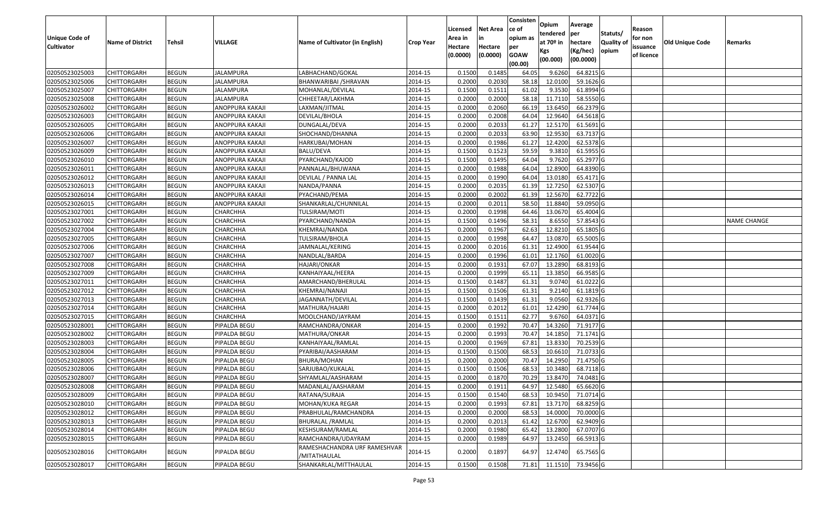| <b>Unique Code of</b><br><b>Cultivator</b> | <b>Name of District</b> | <b>Tehsil</b> | VILLAGE          | Name of Cultivator (in English)              | <b>Crop Year</b> | Licensed<br>Area in<br>Hectare<br>(0.0000) | <b>Net Area</b><br>in<br>Hectare<br>(0.0000) | Consisten<br>ce of<br>opium as<br>per<br><b>GOAW</b><br>(00.00) | Opium<br>tendered<br>at $70°$ in<br>Kgs<br>(00.000) | Average<br>per<br>hectare<br>(Kg/hec)<br>(00.0000) | Statuts/<br>Quality of<br>opium | Reason<br>for non<br>issuance<br>of licence | <b>Old Unique Code</b> | Remarks            |
|--------------------------------------------|-------------------------|---------------|------------------|----------------------------------------------|------------------|--------------------------------------------|----------------------------------------------|-----------------------------------------------------------------|-----------------------------------------------------|----------------------------------------------------|---------------------------------|---------------------------------------------|------------------------|--------------------|
| 02050523025003                             | <b>CHITTORGARH</b>      | <b>BEGUN</b>  | <b>JALAMPURA</b> | LABHACHAND/GOKAL                             | 2014-15          | 0.1500                                     | 0.1485                                       | 64.05                                                           | 9.6260                                              | 64.8215 G                                          |                                 |                                             |                        |                    |
| 02050523025006                             | CHITTORGARH             | <b>BEGUN</b>  | JALAMPURA        | BHANWARIBAI /SHRAVAN                         | 2014-15          | 0.2000                                     | 0.2030                                       | 58.18                                                           | 12.0100                                             | 59.1626 G                                          |                                 |                                             |                        |                    |
| 02050523025007                             | CHITTORGARH             | <b>BEGUN</b>  | JALAMPURA        | MOHANLAL/DEVILAL                             | 2014-15          | 0.1500                                     | 0.1511                                       | 61.02                                                           | 9.3530                                              | 61.8994 G                                          |                                 |                                             |                        |                    |
| 02050523025008                             | <b>CHITTORGARH</b>      | <b>BEGUN</b>  | <b>JALAMPURA</b> | CHHEETAR/LAKHMA                              | 2014-15          | 0.2000                                     | 0.2000                                       | 58.18                                                           | 11.7110                                             | 58.5550G                                           |                                 |                                             |                        |                    |
| 02050523026002                             | <b>CHITTORGARH</b>      | <b>BEGUN</b>  | ANOPPURA KAKAJI  | LAXMAN/JITMAL                                | 2014-15          | 0.2000                                     | 0.2060                                       | 66.19                                                           | 13.6450                                             | 66.2379 G                                          |                                 |                                             |                        |                    |
| 02050523026003                             | <b>CHITTORGARH</b>      | <b>BEGUN</b>  | ANOPPURA KAKAJI  | DEVILAL/BHOLA                                | 2014-15          | 0.2000                                     | 0.2008                                       | 64.04                                                           | 12.9640                                             | 64.5618 G                                          |                                 |                                             |                        |                    |
| 02050523026005                             | CHITTORGARH             | <b>BEGUN</b>  | ANOPPURA KAKAJI  | DUNGALAL/DEVA                                | 2014-15          | 0.2000                                     | 0.2033                                       | 61.27                                                           | 12.5170                                             | 61.5691G                                           |                                 |                                             |                        |                    |
| 02050523026006                             | <b>CHITTORGARH</b>      | <b>BEGUN</b>  | ANOPPURA KAKAJI  | SHOCHAND/DHANNA                              | 2014-15          | 0.2000                                     | 0.2033                                       | 63.90                                                           | 12.9530                                             | 63.7137 G                                          |                                 |                                             |                        |                    |
| 02050523026007                             | CHITTORGARH             | <b>BEGUN</b>  | ANOPPURA KAKAJI  | HARKUBAI/MOHAN                               | 2014-15          | 0.2000                                     | 0.1986                                       | 61.27                                                           | 12.4200                                             | 62.5378 G                                          |                                 |                                             |                        |                    |
| 02050523026009                             | CHITTORGARH             | <b>BEGUN</b>  | ANOPPURA KAKAJI  | BALU/DEVA                                    | 2014-15          | 0.1500                                     | 0.1523                                       | 59.59                                                           | 9.3810                                              | 61.5955 G                                          |                                 |                                             |                        |                    |
| 02050523026010                             | CHITTORGARH             | <b>BEGUN</b>  | ANOPPURA KAKAJI  | PYARCHAND/KAJOD                              | 2014-15          | 0.1500                                     | 0.1495                                       | 64.04                                                           | 9.7620                                              | 65.2977 G                                          |                                 |                                             |                        |                    |
| 02050523026011                             | CHITTORGARH             | <b>BEGUN</b>  | ANOPPURA KAKAJI  | PANNALAL/BHUWANA                             | 2014-15          | 0.2000                                     | 0.1988                                       | 64.04                                                           | 12.8900                                             | 64.8390 G                                          |                                 |                                             |                        |                    |
| 02050523026012                             | CHITTORGARH             | <b>BEGUN</b>  | ANOPPURA KAKAJI  | DEVILAL / PANNA LAL                          | 2014-15          | 0.2000                                     | 0.1990                                       | 64.04                                                           | 13.0180                                             | 65.4171 G                                          |                                 |                                             |                        |                    |
| 02050523026013                             | CHITTORGARH             | <b>BEGUN</b>  | ANOPPURA KAKAJI  | NANDA/PANNA                                  | 2014-15          | 0.2000                                     | 0.2035                                       | 61.39                                                           | 12.7250                                             | 62.5307 G                                          |                                 |                                             |                        |                    |
| 02050523026014                             | CHITTORGARH             | <b>BEGUN</b>  | ANOPPURA KAKAJI  | PYACHAND/PEMA                                | 2014-15          | 0.2000                                     | 0.2002                                       | 61.39                                                           | 12.5670                                             | 62.7722 G                                          |                                 |                                             |                        |                    |
| 02050523026015                             | CHITTORGARH             | <b>BEGUN</b>  | ANOPPURA KAKAJI  | SHANKARLAL/CHUNNILAL                         | 2014-15          | 0.2000                                     | 0.2011                                       | 58.5                                                            | 11.884                                              | 59.0950 G                                          |                                 |                                             |                        |                    |
| 02050523027001                             | CHITTORGARH             | <b>BEGUN</b>  | <b>CHARCHHA</b>  | TULSIRAM/MOTI                                | 2014-15          | 0.2000                                     | 0.1998                                       | 64.46                                                           | 13.0670                                             | 65.4004 G                                          |                                 |                                             |                        |                    |
| 02050523027002                             | CHITTORGARH             | <b>BEGUN</b>  | CHARCHHA         | PYARCHAND/NANDA                              | 2014-15          | 0.1500                                     | 0.1496                                       | 58.3                                                            | 8.655                                               | 57.8543 G                                          |                                 |                                             |                        | <b>NAME CHANGE</b> |
| 02050523027004                             | CHITTORGARH             | <b>BEGUN</b>  | CHARCHHA         | KHEMRAJ/NANDA                                | 2014-15          | 0.2000                                     | 0.1967                                       | 62.63                                                           | 12.8210                                             | 65.1805 G                                          |                                 |                                             |                        |                    |
| 02050523027005                             | CHITTORGARH             | <b>BEGUN</b>  | CHARCHHA         | TULSIRAM/BHOLA                               | 2014-15          | 0.2000                                     | 0.1998                                       | 64.47                                                           | 13.0870                                             | 65.5005 G                                          |                                 |                                             |                        |                    |
| 02050523027006                             | <b>CHITTORGARH</b>      | <b>BEGUN</b>  | CHARCHHA         | JAMNALAL/KERING                              | 2014-15          | 0.2000                                     | 0.2016                                       | 61.31                                                           | 12.4900                                             | 61.9544 G                                          |                                 |                                             |                        |                    |
| 02050523027007                             | CHITTORGARH             | <b>BEGUN</b>  | CHARCHHA         | NANDLAL/BARDA                                | 2014-15          | 0.2000                                     | 0.1996                                       | 61.01                                                           | 12.1760                                             | 61.0020G                                           |                                 |                                             |                        |                    |
| 02050523027008                             | CHITTORGARH             | <b>BEGUN</b>  | CHARCHHA         | HAJARI/ONKAR                                 | 2014-15          | 0.2000                                     | 0.1931                                       | 67.07                                                           | 13.2890                                             | 68.8193 G                                          |                                 |                                             |                        |                    |
| 02050523027009                             | CHITTORGARH             | <b>BEGUN</b>  | CHARCHHA         | KANHAIYAAL/HEERA                             | 2014-15          | 0.2000                                     | 0.1999                                       | 65.11                                                           | 13.3850                                             | 66.9585 G                                          |                                 |                                             |                        |                    |
| 02050523027011                             | <b>CHITTORGARH</b>      | <b>BEGUN</b>  | CHARCHHA         | AMARCHAND/BHERULAL                           | 2014-15          | 0.1500                                     | 0.1487                                       | 61.31                                                           | 9.074                                               | 61.0222 G                                          |                                 |                                             |                        |                    |
| 02050523027012                             | CHITTORGARH             | <b>BEGUN</b>  | CHARCHHA         | KHEMRAJ/NANAJI                               | 2014-15          | 0.1500                                     | 0.1506                                       | 61.31                                                           | 9.2140                                              | 61.1819 G                                          |                                 |                                             |                        |                    |
| 02050523027013                             | CHITTORGARH             | <b>BEGUN</b>  | CHARCHHA         | JAGANNATH/DEVILAL                            | 2014-15          | 0.1500                                     | 0.1439                                       | 61.31                                                           | 9.0560                                              | 62.9326 G                                          |                                 |                                             |                        |                    |
| 02050523027014                             | CHITTORGARH             | <b>BEGUN</b>  | CHARCHHA         | MATHURA/HAJARI                               | 2014-15          | 0.2000                                     | 0.2012                                       | 61.01                                                           | 12.4290                                             | 61.7744 G                                          |                                 |                                             |                        |                    |
| 02050523027015                             | <b>CHITTORGARH</b>      | <b>BEGUN</b>  | CHARCHHA         | MOOLCHAND/JAYRAM                             | 2014-15          | 0.1500                                     | 0.1511                                       | 62.77                                                           | 9.6760                                              | 64.0371 G                                          |                                 |                                             |                        |                    |
| 02050523028001                             | <b>CHITTORGARH</b>      | <b>BEGUN</b>  | PIPALDA BEGU     | RAMCHANDRA/ONKAR                             | 2014-15          | 0.2000                                     | 0.1992                                       | 70.47                                                           | 14.3260                                             | 71.9177 G                                          |                                 |                                             |                        |                    |
| 02050523028002                             | CHITTORGARH             | <b>BEGUN</b>  | PIPALDA BEGU     | MATHURA/ONKAR                                | 2014-15          | 0.2000                                     | 0.1993                                       | 70.47                                                           | 14.1850                                             | 71.1741 G                                          |                                 |                                             |                        |                    |
| 02050523028003                             | CHITTORGARH             | <b>BEGUN</b>  | PIPALDA BEGU     | KANHAIYAAL/RAMLAL                            | 2014-15          | 0.2000                                     | 0.1969                                       | 67.81                                                           | 13.8330                                             | 70.2539 G                                          |                                 |                                             |                        |                    |
| 02050523028004                             | CHITTORGARH             | <b>BEGUN</b>  | PIPALDA BEGU     | PYARIBAI/AASHARAM                            | 2014-15          | 0.1500                                     | 0.1500                                       | 68.53                                                           | 10.661                                              | 71.0733 G                                          |                                 |                                             |                        |                    |
| 02050523028005                             | CHITTORGARH             | <b>BEGUN</b>  | PIPALDA BEGU     | BHURA/MOHAN                                  | 2014-15          | 0.2000                                     | 0.2000                                       | 70.47                                                           | 14.2950                                             | 71.4750 G                                          |                                 |                                             |                        |                    |
| 02050523028006                             | CHITTORGARH             | <b>BEGUN</b>  | PIPALDA BEGU     | SARJUBAO/KUKALAL                             | 2014-15          | 0.150                                      | 0.1506                                       | 68.53                                                           | 10.3480                                             | 68.7118 G                                          |                                 |                                             |                        |                    |
| 02050523028007                             | CHITTORGARH             | <b>BEGUN</b>  | PIPALDA BEGU     | SHYAMLAL/AASHARAM                            | 2014-15          | 0.2000                                     | 0.1870                                       | 70.29                                                           | 13.8470                                             | 74.0481G                                           |                                 |                                             |                        |                    |
| 02050523028008                             | <b>CHITTORGARH</b>      | <b>BEGUN</b>  | PIPALDA BEGU     | MADANLAL/AASHARAM                            | 2014-15          | 0.2000                                     | 0.1911                                       | 64.97                                                           | 12.5480                                             | 65.6620 G                                          |                                 |                                             |                        |                    |
| 02050523028009                             | <b>CHITTORGARH</b>      | <b>BEGUN</b>  | PIPALDA BEGU     | RATANA/SURAJA                                | 2014-15          | 0.1500                                     | 0.1540                                       | 68.53                                                           | 10.9450                                             | 71.0714 G                                          |                                 |                                             |                        |                    |
| 02050523028010                             | <b>CHITTORGARH</b>      | <b>BEGUN</b>  | PIPALDA BEGU     | MOHAN/KUKA REGAR                             | 2014-15          | 0.2000                                     | 0.1993                                       | 67.81                                                           | 13.7170                                             | 68.8259 G                                          |                                 |                                             |                        |                    |
| 02050523028012                             | <b>CHITTORGARH</b>      | <b>BEGUN</b>  | PIPALDA BEGU     | PRABHULAL/RAMCHANDRA                         | 2014-15          | 0.2000                                     | 0.2000                                       | 68.53                                                           | 14.0000                                             | 70.0000 G                                          |                                 |                                             |                        |                    |
| 02050523028013                             | <b>CHITTORGARH</b>      | <b>BEGUN</b>  | PIPALDA BEGU     | BHURALAL / RAMLAL                            | 2014-15          | 0.2000                                     | 0.2013                                       | 61.42                                                           | 12.6700                                             | 62.9409 G                                          |                                 |                                             |                        |                    |
| 02050523028014                             | <b>CHITTORGARH</b>      | <b>BEGUN</b>  | PIPALDA BEGU     | KESHSURAM/RAMLAL                             | 2014-15          | 0.2000                                     | 0.1980                                       | 65.42                                                           | 13.2800                                             | 67.0707 G                                          |                                 |                                             |                        |                    |
| 02050523028015                             | <b>CHITTORGARH</b>      | <b>BEGUN</b>  | PIPALDA BEGU     | RAMCHANDRA/UDAYRAM                           | 2014-15          | 0.2000                                     | 0.1989                                       | 64.97                                                           | 13.2450                                             | 66.5913 G                                          |                                 |                                             |                        |                    |
| 02050523028016                             | <b>CHITTORGARH</b>      | <b>BEGUN</b>  | PIPALDA BEGU     | RAMESHACHANDRA URF RAMESHVAR<br>/MITATHAULAL | 2014-15          | 0.2000                                     | 0.1897                                       | 64.97                                                           | 12.4740                                             | 65.7565 G                                          |                                 |                                             |                        |                    |
| 02050523028017                             | <b>CHITTORGARH</b>      | <b>BEGUN</b>  | PIPALDA BEGU     | SHANKARLAL/MITTHAULAL                        | 2014-15          | 0.1500                                     | 0.1508                                       | 71.81                                                           | 11.1510                                             | 73.9456 G                                          |                                 |                                             |                        |                    |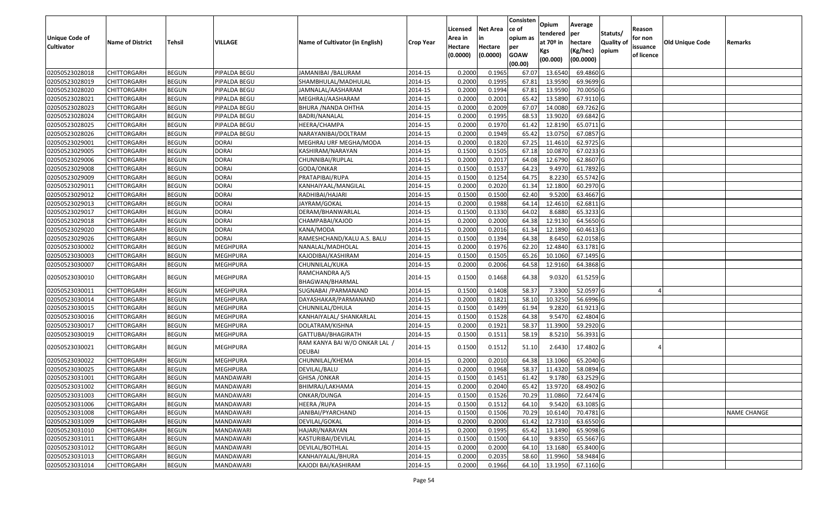| <b>Unique Code of</b><br><b>Cultivator</b> | <b>Name of District</b> | <b>Tehsil</b> | VILLAGE          | Name of Cultivator (in English)                       | <b>Crop Year</b> | Licensed<br>Area in<br>Hectare<br>(0.0000) | <b>Net Area</b><br>in<br>Hectare<br>(0.0000) | Consisten<br>ce of<br>opium as<br>per<br><b>GOAW</b><br>(00.00) | Opium<br>tendered<br>at $70°$ in<br>Kgs<br>(00.000) | Average<br>per<br>hectare<br>(Kg/hec)<br>(00.0000) | Statuts/<br>Quality of<br>opium | Reason<br>for non<br>issuance<br>of licence | <b>Old Unique Code</b> | Remarks            |
|--------------------------------------------|-------------------------|---------------|------------------|-------------------------------------------------------|------------------|--------------------------------------------|----------------------------------------------|-----------------------------------------------------------------|-----------------------------------------------------|----------------------------------------------------|---------------------------------|---------------------------------------------|------------------------|--------------------|
| 02050523028018                             | <b>CHITTORGARH</b>      | <b>BEGUN</b>  | PIPALDA BEGU     | JAMANIBAI /BALURAM                                    | 2014-15          | 0.2000                                     | 0.1965                                       | 67.07                                                           | 13.6540                                             | 69.4860 G                                          |                                 |                                             |                        |                    |
| 02050523028019                             | CHITTORGARH             | <b>BEGUN</b>  | PIPALDA BEGU     | SHAMBHULAL/MADHULAL                                   | 2014-15          | 0.2000                                     | 0.1995                                       | 67.81                                                           | 13.9590                                             | 69.9699 G                                          |                                 |                                             |                        |                    |
| 02050523028020                             | CHITTORGARH             | <b>BEGUN</b>  | PIPALDA BEGU     | JAMNALAL/AASHARAM                                     | 2014-15          | 0.2000                                     | 0.1994                                       | 67.81                                                           | 13.9590                                             | 70.0050G                                           |                                 |                                             |                        |                    |
| 02050523028021                             | <b>CHITTORGARH</b>      | <b>BEGUN</b>  | PIPALDA BEGU     | MEGHRAJ/AASHARAM                                      | 2014-15          | 0.2000                                     | 0.2001                                       | 65.42                                                           | 13.5890                                             | 67.9110 G                                          |                                 |                                             |                        |                    |
| 02050523028023                             | <b>CHITTORGARH</b>      | <b>BEGUN</b>  | PIPALDA BEGU     | BHURA / NANDA OHTHA                                   | 2014-15          | 0.2000                                     | 0.2009                                       | 67.07                                                           | 14.0080                                             | 69.7262 G                                          |                                 |                                             |                        |                    |
| 02050523028024                             | CHITTORGARH             | <b>BEGUN</b>  | PIPALDA BEGU     | BADRI/NANALAL                                         | 2014-15          | 0.2000                                     | 0.1995                                       | 68.53                                                           | 13.9020                                             | 69.6842 G                                          |                                 |                                             |                        |                    |
| 02050523028025                             | CHITTORGARH             | <b>BEGUN</b>  | PIPALDA BEGU     | HEERA/CHAMPA                                          | 2014-15          | 0.2000                                     | 0.1970                                       | 61.42                                                           | 12.8190                                             | 65.0711G                                           |                                 |                                             |                        |                    |
| 02050523028026                             | CHITTORGARH             | <b>BEGUN</b>  | PIPALDA BEGU     | NARAYANIBAI/DOLTRAM                                   | 2014-15          | 0.2000                                     | 0.1949                                       | 65.42                                                           | 13.0750                                             | 67.0857 G                                          |                                 |                                             |                        |                    |
| 02050523029001                             | CHITTORGARH             | <b>BEGUN</b>  | <b>DORAI</b>     | MEGHRAJ URF MEGHA/MODA                                | 2014-15          | 0.2000                                     | 0.1820                                       | 67.25                                                           | 11.4610                                             | 62.9725 G                                          |                                 |                                             |                        |                    |
| 02050523029005                             | CHITTORGARH             | <b>BEGUN</b>  | <b>DORAI</b>     | KASHIRAM/NARAYAN                                      | 2014-15          | 0.1500                                     | 0.1505                                       | 67.18                                                           | 10.0870                                             | 67.0233 G                                          |                                 |                                             |                        |                    |
| 02050523029006                             | CHITTORGARH             | <b>BEGUN</b>  | <b>DORAI</b>     | CHUNNIBAI/RUPLAL                                      | 2014-15          | 0.2000                                     | 0.2017                                       | 64.08                                                           | 12.6790                                             | 62.8607 G                                          |                                 |                                             |                        |                    |
| 02050523029008                             | CHITTORGARH             | <b>BEGUN</b>  | <b>DORAI</b>     | GODA/ONKAR                                            | 2014-15          | 0.1500                                     | 0.1537                                       | 64.23                                                           | 9.4970                                              | 61.7892 G                                          |                                 |                                             |                        |                    |
| 02050523029009                             | CHITTORGARH             | <b>BEGUN</b>  | <b>DORAI</b>     | PRATAPIBAI/RUPA                                       | 2014-15          | 0.1500                                     | 0.1254                                       | 64.75                                                           | 8.2230                                              | 65.5742 G                                          |                                 |                                             |                        |                    |
| 02050523029011                             | CHITTORGARH             | <b>BEGUN</b>  | <b>DORAI</b>     | KANHAIYAAL/MANGILAL                                   | 2014-15          | 0.2000                                     | 0.2020                                       | 61.34                                                           | 12.1800                                             | 60.2970 G                                          |                                 |                                             |                        |                    |
| 02050523029012                             | CHITTORGARH             | <b>BEGUN</b>  | <b>DORAI</b>     | RADHIBAI/HAJARI                                       | 2014-15          | 0.1500                                     | 0.1500                                       | 62.40                                                           | 9.5200                                              | 63.4667 G                                          |                                 |                                             |                        |                    |
| 02050523029013                             | CHITTORGARH             | <b>BEGUN</b>  | <b>DORAI</b>     | JAYRAM/GOKAL                                          | 2014-15          | 0.2000                                     | 0.1988                                       | 64.14                                                           | 12.4610                                             | 62.6811G                                           |                                 |                                             |                        |                    |
| 02050523029017                             | CHITTORGARH             | <b>BEGUN</b>  | <b>DORAI</b>     | DERAM/BHANWARLAL                                      | 2014-15          | 0.1500                                     | 0.1330                                       | 64.02                                                           | 8.6880                                              | 65.3233 G                                          |                                 |                                             |                        |                    |
| 02050523029018                             | CHITTORGARH             | <b>BEGUN</b>  | <b>DORAI</b>     | CHAMPABAI/KAJOD                                       | 2014-15          | 0.2000                                     | 0.2000                                       | 64.38                                                           | 12.9130                                             | 64.5650 G                                          |                                 |                                             |                        |                    |
| 02050523029020                             | <b>CHITTORGARH</b>      | <b>BEGUN</b>  | <b>DORAI</b>     | KANA/MODA                                             | 2014-15          | 0.2000                                     | 0.2016                                       | 61.34                                                           | 12.1890                                             | 60.4613 G                                          |                                 |                                             |                        |                    |
| 02050523029026                             | CHITTORGARH             | <b>BEGUN</b>  | <b>DORAI</b>     | RAMESHCHAND/KALU A.S. BALU                            | 2014-15          | 0.1500                                     | 0.1394                                       | 64.38                                                           | 8.6450                                              | 62.0158 G                                          |                                 |                                             |                        |                    |
| 02050523030002                             | CHITTORGARH             | <b>BEGUN</b>  | <b>MEGHPURA</b>  | NANALAL/MADHOLAL                                      | 2014-15          | 0.2000                                     | 0.1976                                       | 62.20                                                           | 12.4840                                             | 63.1781 G                                          |                                 |                                             |                        |                    |
| 02050523030003                             | CHITTORGARH             | <b>BEGUN</b>  | <b>MEGHPURA</b>  | KAJODIBAI/KASHIRAM                                    | 2014-15          | 0.1500                                     | 0.1505                                       | 65.26                                                           | 10.1060                                             | 67.1495 G                                          |                                 |                                             |                        |                    |
| 02050523030007                             | CHITTORGARH             | <b>BEGUN</b>  | MEGHPURA         | CHUNNILAL/KUKA                                        | 2014-15          | 0.2000                                     | 0.2006                                       | 64.58                                                           | 12.9160                                             | 64.3868 G                                          |                                 |                                             |                        |                    |
| 02050523030010                             | CHITTORGARH             | <b>BEGUN</b>  | MEGHPURA         | RAMCHANDRA A/S<br>BHAGWAN/BHARMAL                     | 2014-15          | 0.1500                                     | 0.1468                                       | 64.38                                                           | 9.0320                                              | 61.5259 G                                          |                                 |                                             |                        |                    |
| 02050523030011                             | <b>CHITTORGARH</b>      | <b>BEGUN</b>  | <b>MEGHPURA</b>  | SUGNABAI / PARMANAND                                  | 2014-15          | 0.1500                                     | 0.1408                                       | 58.37                                                           | 7.3300                                              | 52.0597 G                                          |                                 |                                             |                        |                    |
| 02050523030014                             | <b>CHITTORGARH</b>      | <b>BEGUN</b>  | <b>MEGHPURA</b>  | DAYASHAKAR/PARMANAND                                  | 2014-15          | 0.2000                                     | 0.1821                                       | 58.10                                                           | 10.3250                                             | 56.6996 G                                          |                                 |                                             |                        |                    |
| 02050523030015                             | CHITTORGARH             | <b>BEGUN</b>  | <b>MEGHPURA</b>  | CHUNNILAL/DHULA                                       | 2014-15          | 0.1500                                     | 0.1499                                       | 61.94                                                           | 9.2820                                              | 61.9213 G                                          |                                 |                                             |                        |                    |
| 02050523030016                             | CHITTORGARH             | <b>BEGUN</b>  | MEGHPURA         | KANHAIYALAL/ SHANKARLAL                               | 2014-15          | 0.1500                                     | 0.1528                                       | 64.38                                                           | 9.5470                                              | 62.4804 G                                          |                                 |                                             |                        |                    |
| 02050523030017                             | CHITTORGARH             | <b>BEGUN</b>  | <b>MEGHPURA</b>  | DOLATRAM/KISHNA                                       | 2014-15          | 0.2000                                     | 0.1921                                       | 58.37                                                           | 11.3900                                             | 59.2920 G                                          |                                 |                                             |                        |                    |
| 02050523030019                             | CHITTORGARH             | <b>BEGUN</b>  | MEGHPURA         | GATTUBAI/BHAGIRATH                                    | 2014-15          | 0.1500                                     | 0.1511                                       | 58.19                                                           | 8.5210                                              | 56.3931G                                           |                                 |                                             |                        |                    |
| 02050523030021                             | CHITTORGARH             | <b>BEGUN</b>  | MEGHPURA         | RAM KANYA BAI W/O ONKAR LAL <i> </i><br><b>DEUBAI</b> | 2014-15          | 0.1500                                     | 0.1512                                       | 51.10                                                           | 2.6430                                              | 17.4802G                                           |                                 |                                             |                        |                    |
| 02050523030022                             | CHITTORGARH             | <b>BEGUN</b>  | <b>MEGHPURA</b>  | CHUNNILAL/KHEMA                                       | 2014-15          | 0.2000                                     | 0.2010                                       | 64.38                                                           | 13.1060                                             | 65.2040 G                                          |                                 |                                             |                        |                    |
| 02050523030025                             | CHITTORGARH             | <b>BEGUN</b>  | MEGHPURA         | DEVILAL/BALU                                          | 2014-15          | 0.2000                                     | 0.1968                                       | 58.37                                                           | 11.4320                                             | 58.0894 G                                          |                                 |                                             |                        |                    |
| 02050523031001                             | CHITTORGARH             | <b>BEGUN</b>  | MANDAWARI        | GHISA /ONKAR                                          | 2014-15          | 0.1500                                     | 0.1451                                       | 61.42                                                           | 9.1780                                              | 63.2529 G                                          |                                 |                                             |                        |                    |
| 02050523031002                             | <b>CHITTORGARH</b>      | <b>BEGUN</b>  | MANDAWARI        | BHIMRAJ/LAKHAMA                                       | 2014-15          | 0.2000                                     | 0.2040                                       | 65.42                                                           | 13.9720                                             | 68.4902 G                                          |                                 |                                             |                        |                    |
| 02050523031003                             | <b>CHITTORGARH</b>      | <b>BEGUN</b>  | MANDAWARI        | ONKAR/DUNGA                                           | 2014-15          | 0.1500                                     | 0.1526                                       | 70.29                                                           | 11.0860                                             | 72.6474 G                                          |                                 |                                             |                        |                    |
| 02050523031006                             | <b>CHITTORGARH</b>      | <b>BEGUN</b>  | MANDAWARI        | <b>HEERA /RUPA</b>                                    | 2014-15          | 0.1500                                     | 0.1512                                       | 64.10                                                           | 9.5420                                              | 63.1085 G                                          |                                 |                                             |                        |                    |
| 02050523031008                             | <b>CHITTORGARH</b>      | <b>BEGUN</b>  | <b>MANDAWARI</b> | JANIBAI/PYARCHAND                                     | 2014-15          | 0.1500                                     | 0.1506                                       | 70.29                                                           | 10.6140                                             | 70.4781 G                                          |                                 |                                             |                        | <b>NAME CHANGE</b> |
| 02050523031009                             | <b>CHITTORGARH</b>      | <b>BEGUN</b>  | MANDAWARI        | DEVILAL/GOKAL                                         | 2014-15          | 0.2000                                     | 0.2000                                       | 61.42                                                           | 12.7310                                             | 63.6550 G                                          |                                 |                                             |                        |                    |
| 02050523031010                             | <b>CHITTORGARH</b>      | <b>BEGUN</b>  | MANDAWARI        | HAJARI/NARAYAN                                        | 2014-15          | 0.2000                                     | 0.1995                                       | 65.42                                                           | 13.1490                                             | 65.9098 G                                          |                                 |                                             |                        |                    |
| 02050523031011                             | <b>CHITTORGARH</b>      | <b>BEGUN</b>  | MANDAWARI        | KASTURIBAI/DEVILAL                                    | 2014-15          | 0.1500                                     | 0.1500                                       | 64.10                                                           | 9.8350                                              | 65.5667 G                                          |                                 |                                             |                        |                    |
| 02050523031012                             | <b>CHITTORGARH</b>      | <b>BEGUN</b>  | MANDAWARI        | DEVILAL/BOTHLAL                                       | 2014-15          | 0.2000                                     | 0.2000                                       | 64.10                                                           | 13.1680                                             | $65.8400$ G                                        |                                 |                                             |                        |                    |
| 02050523031013                             | CHITTORGARH             | <b>BEGUN</b>  | MANDAWARI        | KANHAIYALAL/BHURA                                     | 2014-15          | 0.2000                                     | 0.2035                                       | 58.60                                                           | 11.9960                                             | 58.9484 G                                          |                                 |                                             |                        |                    |
| 02050523031014                             | CHITTORGARH             | <b>BEGUN</b>  | MANDAWARI        | KAJODI BAI/KASHIRAM                                   | 2014-15          | 0.2000                                     | 0.1966                                       | 64.10                                                           | 13.1950                                             | 67.1160 G                                          |                                 |                                             |                        |                    |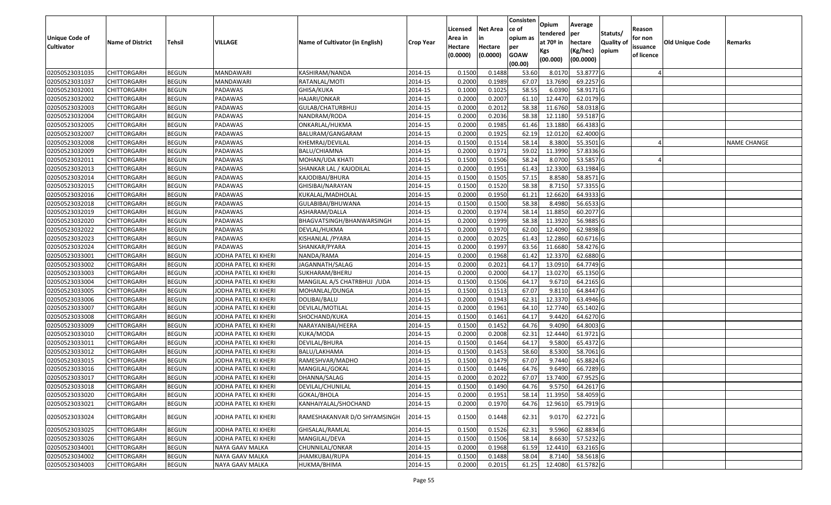|                       |                         |               |                      |                                 |                  |          |                 | Consisten   | Opium       | Average   |                  |            |                 |                    |
|-----------------------|-------------------------|---------------|----------------------|---------------------------------|------------------|----------|-----------------|-------------|-------------|-----------|------------------|------------|-----------------|--------------------|
|                       |                         |               |                      |                                 |                  | Licensed | <b>Net Area</b> | ce of       | tendered    | per       | Statuts/         | Reason     |                 |                    |
| <b>Unique Code of</b> | <b>Name of District</b> | <b>Tehsil</b> | VILLAGE              | Name of Cultivator (in English) | <b>Crop Year</b> | Area in  | in              | opium as    | at $70°$ in | hectare   | <b>Quality o</b> | for non    | Old Unique Code | Remarks            |
| <b>Cultivator</b>     |                         |               |                      |                                 |                  | Hectare  | Hectare         | per         | Kgs         | (Kg/hec)  | opium            | issuance   |                 |                    |
|                       |                         |               |                      |                                 |                  | (0.0000) | (0.0000)        | <b>GOAW</b> | (00.000)    | (00.0000) |                  | of licence |                 |                    |
|                       |                         |               |                      |                                 |                  |          |                 | (00.00)     |             |           |                  |            |                 |                    |
| 02050523031035        | CHITTORGARH             | <b>BEGUN</b>  | MANDAWARI            | KASHIRAM/NANDA                  | 2014-15          | 0.1500   | 0.1488          | 53.60       | 8.0170      | 53.8777 G |                  |            |                 |                    |
| 02050523031037        | CHITTORGARH             | <b>BEGUN</b>  | MANDAWARI            | RATANLAL/MOTI                   | 2014-15          | 0.2000   | 0.1989          | 67.07       | 13.7690     | 69.2257 G |                  |            |                 |                    |
| 02050523032001        | CHITTORGARH             | <b>BEGUN</b>  | PADAWAS              | GHISA/KUKA                      | 2014-15          | 0.1000   | 0.1025          | 58.55       | 6.0390      | 58.9171G  |                  |            |                 |                    |
| 02050523032002        | <b>CHITTORGARH</b>      | <b>BEGUN</b>  | PADAWAS              | HAJARI/ONKAR                    | 2014-15          | 0.2000   | 0.2007          | 61.10       | 12.4470     | 62.0179 G |                  |            |                 |                    |
| 02050523032003        | CHITTORGARH             | <b>BEGUN</b>  | PADAWAS              | GULAB/CHATURBHUJ                | 2014-15          | 0.2000   | 0.2012          | 58.38       | 11.6760     | 58.0318 G |                  |            |                 |                    |
| 02050523032004        | CHITTORGARH             | <b>BEGUN</b>  | PADAWAS              | NANDRAM/RODA                    | 2014-15          | 0.2000   | 0.2036          | 58.38       | 12.1180     | 59.5187 G |                  |            |                 |                    |
| 02050523032005        | CHITTORGARH             | <b>BEGUN</b>  | PADAWAS              | ONKARLAL/HUKMA                  | 2014-15          | 0.2000   | 0.1985          | 61.46       | 13.1880     | 66.4383 G |                  |            |                 |                    |
| 02050523032007        | CHITTORGARH             | <b>BEGUN</b>  | PADAWAS              | BALURAM/GANGARAM                | 2014-15          | 0.2000   | 0.1925          | 62.19       | 12.0120     | 62.4000G  |                  |            |                 |                    |
| 02050523032008        | CHITTORGARH             | <b>BEGUN</b>  | PADAWAS              | KHEMRAJ/DEVILAL                 | 2014-15          | 0.1500   | 0.1514          | 58.14       | 8.3800      | 55.3501 G |                  |            |                 | <b>NAME CHANGE</b> |
| 02050523032009        | CHITTORGARH             | <b>BEGUN</b>  | PADAWAS              | BALU/CHIAMNA                    | 2014-15          | 0.2000   | 0.1971          | 59.02       | 11.3990     | 57.8336 G |                  |            |                 |                    |
| 02050523032011        | CHITTORGARH             | <b>BEGUN</b>  | PADAWAS              | MOHAN/UDA KHATI                 | 2014-15          | 0.1500   | 0.1506          | 58.24       | 8.0700      | 53.5857 G |                  |            |                 |                    |
| 02050523032013        | <b>CHITTORGARH</b>      | <b>BEGUN</b>  | PADAWAS              | SHANKAR LAL / KAJODILAL         | 2014-15          | 0.2000   | 0.1951          | 61.43       | 12.3300     | 63.1984 G |                  |            |                 |                    |
| 02050523032014        | <b>CHITTORGARH</b>      | <b>BEGUN</b>  | PADAWAS              | KAJODIBAI/BHURA                 | 2014-15          | 0.1500   | 0.1505          | 57.15       | 8.8580      | 58.8571 G |                  |            |                 |                    |
| 02050523032015        | CHITTORGARH             | <b>BEGUN</b>  | PADAWAS              | GHISIBAI/NARAYAN                | 2014-15          | 0.1500   | 0.1520          | 58.38       | 8.7150      | 57.3355 G |                  |            |                 |                    |
| 02050523032016        | CHITTORGARH             | <b>BEGUN</b>  | PADAWAS              | KUKALAL/MADHOLAL                | 2014-15          | 0.2000   | 0.1950          | 61.21       | 12.6620     | 64.9333 G |                  |            |                 |                    |
| 02050523032018        | CHITTORGARH             | <b>BEGUN</b>  | PADAWAS              | GULABIBAI/BHUWANA               | 2014-15          | 0.1500   | 0.1500          | 58.38       | 8.4980      | 56.6533 G |                  |            |                 |                    |
| 02050523032019        | CHITTORGARH             | <b>BEGUN</b>  | PADAWAS              | ASHARAM/DALLA                   | 2014-15          | 0.2000   | 0.1974          | 58.14       | 11.8850     | 60.2077 G |                  |            |                 |                    |
| 02050523032020        | CHITTORGARH             | <b>BEGUN</b>  | PADAWAS              | BHAGVATSINGH/BHANWARSINGH       | 2014-15          | 0.2000   | 0.1999          | 58.38       | 11.3920     | 56.9885 G |                  |            |                 |                    |
| 02050523032022        | CHITTORGARH             | <b>BEGUN</b>  | PADAWAS              | DEVLAL/HUKMA                    | 2014-15          | 0.2000   | 0.1970          | 62.00       | 12.4090     | 62.9898 G |                  |            |                 |                    |
| 02050523032023        | CHITTORGARH             | <b>BEGUN</b>  | PADAWAS              | KISHANLAL / PYARA               | 2014-15          | 0.2000   | 0.2025          | 61.43       | 12.2860     | 60.6716 G |                  |            |                 |                    |
| 02050523032024        | CHITTORGARH             | <b>BEGUN</b>  | PADAWAS              | SHANKAR/PYARA                   | 2014-15          | 0.2000   | 0.1997          | 63.56       | 11.6680     | 58.4276 G |                  |            |                 |                    |
| 02050523033001        | CHITTORGARH             | <b>BEGUN</b>  | JODHA PATEL KI KHERI | NANDA/RAMA                      | 2014-15          | 0.2000   | 0.1968          | 61.42       | 12.337      | 62.6880 G |                  |            |                 |                    |
| 02050523033002        | CHITTORGARH             | <b>BEGUN</b>  | JODHA PATEL KI KHERI | JAGANNATH/SALAG                 | 2014-15          | 0.2000   | 0.2021          | 64.17       | 13.091      | 64.7749 G |                  |            |                 |                    |
| 02050523033003        | CHITTORGARH             | <b>BEGUN</b>  | JODHA PATEL KI KHERI | SUKHARAM/BHERU                  | 2014-15          | 0.2000   | 0.2000          | 64.1        | 13.0270     | 65.1350 G |                  |            |                 |                    |
| 02050523033004        | CHITTORGARH             | <b>BEGUN</b>  | JODHA PATEL KI KHERI | MANGILAL A/S CHATRBHUJ /UDA     | 2014-15          | 0.1500   | 0.1506          | 64.17       | 9.6710      | 64.2165 G |                  |            |                 |                    |
| 02050523033005        | CHITTORGARH             | <b>BEGUN</b>  | JODHA PATEL KI KHERI | MOHANLAL/DUNGA                  | 2014-15          | 0.1500   | 0.1513          | 67.07       | 9.8110      | 64.8447 G |                  |            |                 |                    |
| 02050523033006        | CHITTORGARH             | <b>BEGUN</b>  | JODHA PATEL KI KHERI | DOLIBAI/BALU                    | 2014-15          | 0.2000   | 0.1943          | 62.31       | 12.3370     | 63.4946 G |                  |            |                 |                    |
| 02050523033007        | CHITTORGARH             | <b>BEGUN</b>  | JODHA PATEL KI KHERI | DEVILAL/MOTILAL                 | 2014-15          | 0.2000   | 0.1961          | 64.10       | 12.7740     | 65.1402 G |                  |            |                 |                    |
| 02050523033008        | CHITTORGARH             | <b>BEGUN</b>  | JODHA PATEL KI KHERI | SHOCHAND/KUKA                   | 2014-15          | 0.1500   | 0.1461          | 64.17       | 9.4420      | 64.6270 G |                  |            |                 |                    |
| 02050523033009        | CHITTORGARH             | <b>BEGUN</b>  | JODHA PATEL KI KHERI | NARAYANIBAI/HEERA               | 2014-15          | 0.1500   | 0.1452          | 64.76       | 9.4090      | 64.8003 G |                  |            |                 |                    |
| 02050523033010        | CHITTORGARH             | <b>BEGUN</b>  | JODHA PATEL KI KHERI | KUKA/MODA                       | 2014-15          | 0.2000   | 0.2008          | 62.3        | 12.4440     | 61.9721G  |                  |            |                 |                    |
| 02050523033011        | CHITTORGARH             | <b>BEGUN</b>  | JODHA PATEL KI KHERI | DEVILAL/BHURA                   | 2014-15          | 0.1500   | 0.1464          | 64.17       | 9.5800      | 65.4372 G |                  |            |                 |                    |
| 02050523033012        | CHITTORGARH             | <b>BEGUN</b>  | JODHA PATEL KI KHERI | BALU/LAKHAMA                    | 2014-15          | 0.1500   | 0.1453          | 58.60       | 8.5300      | 58.7061G  |                  |            |                 |                    |
| 02050523033015        | CHITTORGARH             | <b>BEGUN</b>  | JODHA PATEL KI KHERI | RAMESHVAR/MADHO                 | 2014-15          | 0.1500   | 0.1479          | 67.07       | 9.7440      | 65.8824 G |                  |            |                 |                    |
| 02050523033016        | CHITTORGARH             | <b>BEGUN</b>  | JODHA PATEL KI KHERI | MANGILAL/GOKAL                  | 2014-15          | 0.1500   | 0.1446          | 64.76       | 9.6490      | 66.7289 G |                  |            |                 |                    |
| 02050523033017        | CHITTORGARH             | <b>BEGUN</b>  | JODHA PATEL KI KHERI | DHANNA/SALAG                    | 2014-15          | 0.2000   | 0.2022          | 67.07       | 13.7400     | 67.9525 G |                  |            |                 |                    |
| 02050523033018        | <b>CHITTORGARH</b>      | <b>BEGUN</b>  | JODHA PATEL KI KHERI | DEVILAL/CHUNILAL                | 2014-15          | 0.1500   | 0.1490          | 64.76       | 9.5750      | 64.2617 G |                  |            |                 |                    |
| 02050523033020        | <b>CHITTORGARH</b>      | <b>BEGUN</b>  | JODHA PATEL KI KHERI | GOKAL/BHOLA                     | 2014-15          | 0.2000   | 0.1951          | 58.14       | 11.3950     | 58.4059 G |                  |            |                 |                    |
| 02050523033021        | CHITTORGARH             | <b>BEGUN</b>  | JODHA PATEL KI KHERI | KANHAIYALAL/SHOCHAND            | 2014-15          | 0.2000   | 0.1970          | 64.76       | 12.9610     | 65.7919 G |                  |            |                 |                    |
| 02050523033024        | CHITTORGARH             | <b>BEGUN</b>  | JODHA PATEL KI KHERI | RAMESHAKANVAR D/O SHYAMSINGH    | 2014-15          | 0.1500   | 0.1448          | 62.31       | 9.0170      | 62.2721 G |                  |            |                 |                    |
| 02050523033025        | <b>CHITTORGARH</b>      | <b>BEGUN</b>  | JODHA PATEL KI KHERI | GHISALAL/RAMLAL                 | 2014-15          | 0.1500   | 0.1526          | 62.31       | 9.5960      | 62.8834 G |                  |            |                 |                    |
| 02050523033026        | <b>CHITTORGARH</b>      | <b>BEGUN</b>  | JODHA PATEL KI KHERI | MANGILAL/DEVA                   | 2014-15          | 0.1500   | 0.1506          | 58.14       | 8.6630      | 57.5232 G |                  |            |                 |                    |
| 02050523034001        | CHITTORGARH             | <b>BEGUN</b>  | NAYA GAAV MALKA      | CHUNNILAL/ONKAR                 | 2014-15          | 0.2000   | 0.1968          | 61.59       | 12.4410     | 63.2165 G |                  |            |                 |                    |
| 02050523034002        | CHITTORGARH             | <b>BEGUN</b>  | NAYA GAAV MALKA      | JHAMKUBAI/RUPA                  | 2014-15          | 0.1500   | 0.1488          | 58.04       | 8.7140      | 58.5618 G |                  |            |                 |                    |
| 02050523034003        | <b>CHITTORGARH</b>      | <b>BEGUN</b>  | NAYA GAAV MALKA      | HUKMA/BHIMA                     | 2014-15          | 0.2000   | 0.2015          | 61.25       | 12.4080     | 61.5782 G |                  |            |                 |                    |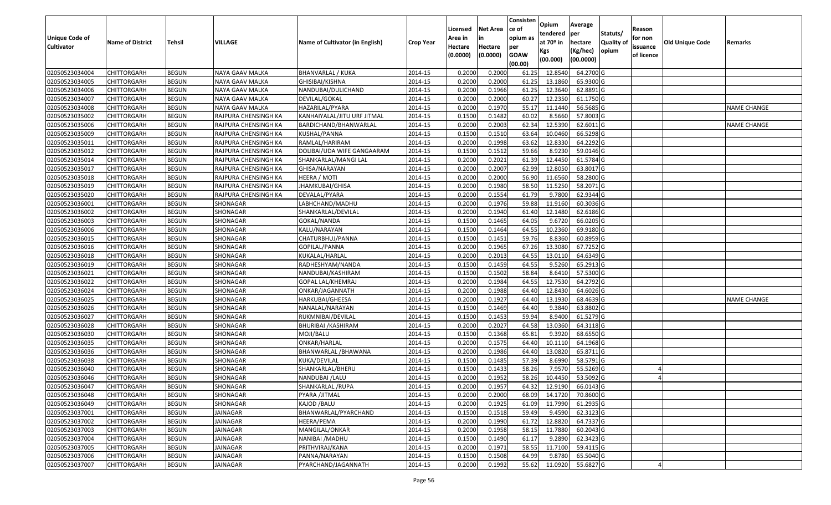| <b>Unique Code of</b><br><b>Cultivator</b> | <b>Name of District</b> | Tehsil       | VILLAGE              | Name of Cultivator (in English) | <b>Crop Year</b> | Licensed<br>Area in<br>Hectare<br>(0.0000) | Net Area<br>in<br>Hectare<br>(0.0000) | Consisten<br>ce of<br>opium as<br>per<br><b>GOAW</b><br>(00.00) | Opium<br>tendered<br>at $70°$ in<br>Kgs<br>(00.000) | Average<br>per<br>hectare<br>(Kg/hec)<br>(00.0000) | Statuts/<br>Quality of<br>opium | Reason<br>for non<br>issuance<br>of licence | <b>Old Unique Code</b> | Remarks            |
|--------------------------------------------|-------------------------|--------------|----------------------|---------------------------------|------------------|--------------------------------------------|---------------------------------------|-----------------------------------------------------------------|-----------------------------------------------------|----------------------------------------------------|---------------------------------|---------------------------------------------|------------------------|--------------------|
| 02050523034004                             | CHITTORGARH             | <b>BEGUN</b> | NAYA GAAV MALKA      | BHANVARLAL / KUKA               | 2014-15          | 0.200                                      | 0.2000                                | 61.2                                                            | 12.8540                                             | 64.2700 G                                          |                                 |                                             |                        |                    |
| 02050523034005                             | <b>CHITTORGARH</b>      | <b>BEGUN</b> | NAYA GAAV MALKA      | GHISIBAI/KISHNA                 | 2014-15          | 0.2000                                     | 0.2000                                | 61.25                                                           | 13.1860                                             | 65.9300 G                                          |                                 |                                             |                        |                    |
| 02050523034006                             | CHITTORGARH             | <b>BEGUN</b> | NAYA GAAV MALKA      | NANDUBAI/DULICHAND              | 2014-15          | 0.2000                                     | 0.1966                                | 61.25                                                           | 12.3640                                             | 62.8891 G                                          |                                 |                                             |                        |                    |
| 02050523034007                             | <b>CHITTORGARH</b>      | <b>BEGUN</b> | NAYA GAAV MALKA      | DEVILAL/GOKAL                   | 2014-15          | 0.2000                                     | 0.2000                                | 60.27                                                           | 12.2350                                             | 61.1750 G                                          |                                 |                                             |                        |                    |
| 02050523034008                             | <b>CHITTORGARH</b>      | <b>BEGUN</b> | NAYA GAAV MALKA      | HAZARILAL/PYARA                 | 2014-15          | 0.2000                                     | 0.1970                                | 55.17                                                           | 11.1440                                             | 56.5685 G                                          |                                 |                                             |                        | <b>NAME CHANGE</b> |
| 02050523035002                             | <b>CHITTORGARH</b>      | <b>BEGUN</b> | RAJPURA CHENSINGH KA | KANHAIYALAL/JITU URF JITMAL     | 2014-15          | 0.1500                                     | 0.1482                                | 60.02                                                           | 8.5660                                              | 57.8003 G                                          |                                 |                                             |                        |                    |
| 02050523035006                             | <b>CHITTORGARH</b>      | <b>BEGUN</b> | RAJPURA CHENSINGH KA | BARDICHAND/BHANWARLAL           | 2014-15          | 0.2000                                     | 0.2003                                | 62.34                                                           | 12.5390                                             | 62.6011 G                                          |                                 |                                             |                        | <b>NAME CHANGE</b> |
| 02050523035009                             | <b>CHITTORGARH</b>      | <b>BEGUN</b> | RAJPURA CHENSINGH KA | KUSHAL/PANNA                    | 2014-15          | 0.1500                                     | 0.1510                                | 63.64                                                           | 10.0460                                             | 66.5298 G                                          |                                 |                                             |                        |                    |
| 02050523035011                             | <b>CHITTORGARH</b>      | <b>BEGUN</b> | RAJPURA CHENSINGH KA | RAMLAL/HARIRAM                  | 2014-15          | 0.2000                                     | 0.1998                                | 63.62                                                           | 12.8330                                             | 64.2292 G                                          |                                 |                                             |                        |                    |
| 02050523035012                             | <b>CHITTORGARH</b>      | <b>BEGUN</b> | RAJPURA CHENSINGH KA | DOLIBAI/UDA WIFE GANGAARAM      | 2014-15          | 0.1500                                     | 0.1512                                | 59.66                                                           | 8.9230                                              | 59.0146 G                                          |                                 |                                             |                        |                    |
| 02050523035014                             | <b>CHITTORGARH</b>      | <b>BEGUN</b> | RAJPURA CHENSINGH KA | SHANKARLAL/MANGI LAL            | 2014-15          | 0.2000                                     | 0.2021                                | 61.39                                                           | 12.4450                                             | 61.5784 G                                          |                                 |                                             |                        |                    |
| 02050523035017                             | <b>CHITTORGARH</b>      | <b>BEGUN</b> | RAJPURA CHENSINGH KA | GHISA/NARAYAN                   | 2014-15          | 0.2000                                     | 0.2007                                | 62.99                                                           | 12.8050                                             | 63.8017 G                                          |                                 |                                             |                        |                    |
| 02050523035018                             | <b>CHITTORGARH</b>      | <b>BEGUN</b> | RAJPURA CHENSINGH KA | HEERA / MOTI                    | 2014-15          | 0.2000                                     | 0.2000                                | 56.90                                                           | 11.6560                                             | 58.2800 G                                          |                                 |                                             |                        |                    |
| 02050523035019                             | CHITTORGARH             | <b>BEGUN</b> | RAJPURA CHENSINGH KA | IHAMKUBAI/GHISA                 | 2014-15          | 0.2000                                     | 0.1980                                | 58.50                                                           | 11.5250                                             | 58.2071 G                                          |                                 |                                             |                        |                    |
| 02050523035020                             | CHITTORGARH             | <b>BEGUN</b> | RAJPURA CHENSINGH KA | DEVALAL/PYARA                   | 2014-15          | 0.2000                                     | 0.1554                                | 61.79                                                           | 9.7800                                              | 62.9344 G                                          |                                 |                                             |                        |                    |
| 02050523036001                             | CHITTORGARH             | <b>BEGUN</b> | SHONAGAR             | LABHCHAND/MADHU                 | 2014-15          | 0.2000                                     | 0.1976                                | 59.88                                                           | 11.9160                                             | 60.3036 G                                          |                                 |                                             |                        |                    |
| 02050523036002                             | <b>CHITTORGARH</b>      | <b>BEGUN</b> | SHONAGAR             | SHANKARLAL/DEVILAL              | 2014-15          | 0.2000                                     | 0.1940                                | 61.40                                                           | 12.1480                                             | 62.6186 G                                          |                                 |                                             |                        |                    |
| 02050523036003                             | <b>CHITTORGARH</b>      | <b>BEGUN</b> | SHONAGAR             | GOKAL/NANDA                     | 2014-15          | 0.1500                                     | 0.1465                                | 64.05                                                           | 9.6720                                              | 66.0205 G                                          |                                 |                                             |                        |                    |
| 02050523036006                             | <b>CHITTORGARH</b>      | <b>BEGUN</b> | SHONAGAR             | KALU/NARAYAN                    | 2014-15          | 0.1500                                     | 0.1464                                | 64.5                                                            | 10.2360                                             | 69.9180 G                                          |                                 |                                             |                        |                    |
| 02050523036015                             | <b>CHITTORGARH</b>      | <b>BEGUN</b> | SHONAGAR             | CHATURBHUJ/PANNA                | 2014-15          | 0.1500                                     | 0.1451                                | 59.76                                                           | 8.8360                                              | 60.8959 G                                          |                                 |                                             |                        |                    |
| 02050523036016                             | <b>CHITTORGARH</b>      | <b>BEGUN</b> | SHONAGAR             | GOPILAL/PANNA                   | 2014-15          | 0.2000                                     | 0.1965                                | 67.26                                                           | 13.3080                                             | 67.7252 G                                          |                                 |                                             |                        |                    |
| 02050523036018                             | <b>CHITTORGARH</b>      | <b>BEGUN</b> | SHONAGAR             | KUKALAL/HARLAL                  | 2014-15          | 0.2000                                     | 0.2013                                | 64.55                                                           | 13.0110                                             | 64.6349 G                                          |                                 |                                             |                        |                    |
| 02050523036019                             | CHITTORGARH             | <b>BEGUN</b> | SHONAGAR             | RADHESHYAM/NANDA                | 2014-15          | 0.1500                                     | 0.1459                                | 64.5                                                            | 9.5260                                              | 65.2913 G                                          |                                 |                                             |                        |                    |
| 02050523036021                             | CHITTORGARH             | <b>BEGUN</b> | SHONAGAR             | NANDUBAI/KASHIRAM               | 2014-15          | 0.1500                                     | 0.1502                                | 58.84                                                           | 8.6410                                              | 57.5300 G                                          |                                 |                                             |                        |                    |
| 02050523036022                             | CHITTORGARH             | <b>BEGUN</b> | SHONAGAR             | GOPAL LAL/KHEMRAJ               | 2014-15          | 0.2000                                     | 0.1984                                | 64.5                                                            | 12.7530                                             | 64.2792 G                                          |                                 |                                             |                        |                    |
| 02050523036024                             | CHITTORGARH             | <b>BEGUN</b> | SHONAGAR             | ONKAR/JAGANNATH                 | 2014-15          | 0.2000                                     | 0.1988                                | 64.40                                                           | 12.8430                                             | 64.6026 G                                          |                                 |                                             |                        |                    |
| 02050523036025                             | CHITTORGARH             | <b>BEGUN</b> | SHONAGAR             | HARKUBAI/GHEESA                 | 2014-15          | 0.2000                                     | 0.1927                                | 64.40                                                           | 13.1930                                             | 68.4639 G                                          |                                 |                                             |                        | <b>NAME CHANGE</b> |
| 02050523036026                             | CHITTORGARH             | <b>BEGUN</b> | SHONAGAR             | NANALAL/NARAYAN                 | 2014-15          | 0.1500                                     | 0.1469                                | 64.40                                                           | 9.3840                                              | 63.8802 G                                          |                                 |                                             |                        |                    |
| 02050523036027                             | <b>CHITTORGARH</b>      | <b>BEGUN</b> | SHONAGAR             | RUKMNIBAI/DEVILAL               | 2014-15          | 0.1500                                     | 0.1453                                | 59.94                                                           | 8.9400                                              | 61.5279 G                                          |                                 |                                             |                        |                    |
| 02050523036028                             | <b>CHITTORGARH</b>      | <b>BEGUN</b> | SHONAGAR             | BHURIBAI / KASHIRAM             | 2014-15          | 0.2000                                     | 0.2027                                | 64.58                                                           | 13.0360                                             | 64.3118 G                                          |                                 |                                             |                        |                    |
| 02050523036030                             | <b>CHITTORGARH</b>      | <b>BEGUN</b> | SHONAGAR             | MOJI/BALU                       | 2014-15          | 0.1500                                     | 0.1368                                | 65.81                                                           | 9.3920                                              | 68.6550 G                                          |                                 |                                             |                        |                    |
| 02050523036035                             | <b>CHITTORGARH</b>      | <b>BEGUN</b> | SHONAGAR             | ONKAR/HARLAL                    | 2014-15          | 0.2000                                     | 0.1575                                | 64.40                                                           | 10.1110                                             | 64.1968 G                                          |                                 |                                             |                        |                    |
| 02050523036036                             | <b>CHITTORGARH</b>      | <b>BEGUN</b> | SHONAGAR             | BHANWARLAL / BHAWANA            | 2014-15          | 0.2000                                     | 0.1986                                | 64.40                                                           | 13.0820                                             | 65.8711 G                                          |                                 |                                             |                        |                    |
| 02050523036038                             | <b>CHITTORGARH</b>      | <b>BEGUN</b> | SHONAGAR             | KUKA/DEVILAL                    | 2014-15          | 0.1500                                     | 0.1485                                | 57.39                                                           | 8.6990                                              | 58.5791 G                                          |                                 |                                             |                        |                    |
| 02050523036040                             | CHITTORGARH             | <b>BEGUN</b> | SHONAGAR             | SHANKARLAL/BHERU                | 2014-15          | 0.150                                      | 0.1433                                | 58.26                                                           | 7.9570                                              | 55.5269 G                                          |                                 |                                             |                        |                    |
| 02050523036046                             | <b>CHITTORGARH</b>      | <b>BEGUN</b> | SHONAGAR             | NANDUBAI /LALU                  | 2014-15          | 0.2000                                     | 0.1952                                | 58.26                                                           | 10.4450                                             | 53.5092 G                                          |                                 |                                             |                        |                    |
| 02050523036047                             | <b>CHITTORGARH</b>      | <b>BEGUN</b> | SHONAGAR             | SHANKARLAL /RUPA                | 2014-15          | 0.2000                                     | 0.1957                                | 64.32                                                           | 12.9190                                             | 66.0143 G                                          |                                 |                                             |                        |                    |
| 02050523036048                             | <b>CHITTORGARH</b>      | <b>BEGUN</b> | SHONAGAR             | PYARA /JITMAL                   | 2014-15          | 0.2000                                     | 0.2000                                | 68.09                                                           | 14.1720                                             | 70.8600 G                                          |                                 |                                             |                        |                    |
| 02050523036049                             | <b>CHITTORGARH</b>      | <b>BEGUN</b> | SHONAGAR             | KAJOD / BALU                    | 2014-15          | 0.2000                                     | 0.1925                                | 61.09                                                           | 11.7990                                             | 61.2935 G                                          |                                 |                                             |                        |                    |
| 02050523037001                             | <b>CHITTORGARH</b>      | <b>BEGUN</b> | <b>JAINAGAR</b>      | BHANWARLAL/PYARCHAND            | 2014-15          | 0.1500                                     | 0.1518                                | 59.49                                                           | 9.4590                                              | 62.3123 G                                          |                                 |                                             |                        |                    |
| 02050523037002                             | <b>CHITTORGARH</b>      | <b>BEGUN</b> | JAINAGAR             | HEERA/PEMA                      | 2014-15          | 0.2000                                     | 0.1990                                | 61.72                                                           | 12.8820                                             | 64.7337 G                                          |                                 |                                             |                        |                    |
| 02050523037003                             | <b>CHITTORGARH</b>      | <b>BEGUN</b> | <b>JAINAGAR</b>      | MANGILAL/ONKAR                  | 2014-15          | 0.2000                                     | 0.1958                                | 58.15                                                           | 11.7880                                             | 60.2043 G                                          |                                 |                                             |                        |                    |
| 02050523037004                             | <b>CHITTORGARH</b>      | <b>BEGUN</b> | <b>JAINAGAR</b>      | NANIBAI / MADHU                 | 2014-15          | 0.1500                                     | 0.1490                                | 61.17                                                           | 9.2890                                              | 62.3423 G                                          |                                 |                                             |                        |                    |
| 02050523037005                             | <b>CHITTORGARH</b>      | <b>BEGUN</b> | <b>JAINAGAR</b>      | PRITHVIRAJ/KANA                 | 2014-15          | 0.2000                                     | 0.1971                                | 58.55                                                           | 11.7100                                             | 59.4115 G                                          |                                 |                                             |                        |                    |
| 02050523037006                             | <b>CHITTORGARH</b>      | <b>BEGUN</b> | JAINAGAR             | PANNA/NARAYAN                   | 2014-15          | 0.1500                                     | 0.1508                                | 64.99                                                           | 9.8780                                              | 65.5040 G                                          |                                 |                                             |                        |                    |
| 02050523037007                             | <b>CHITTORGARH</b>      | <b>BEGUN</b> | <b>JAINAGAR</b>      | PYARCHAND/JAGANNATH             | 2014-15          | 0.2000                                     | 0.1992                                | 55.62                                                           | 11.0920                                             | 55.6827 G                                          |                                 |                                             |                        |                    |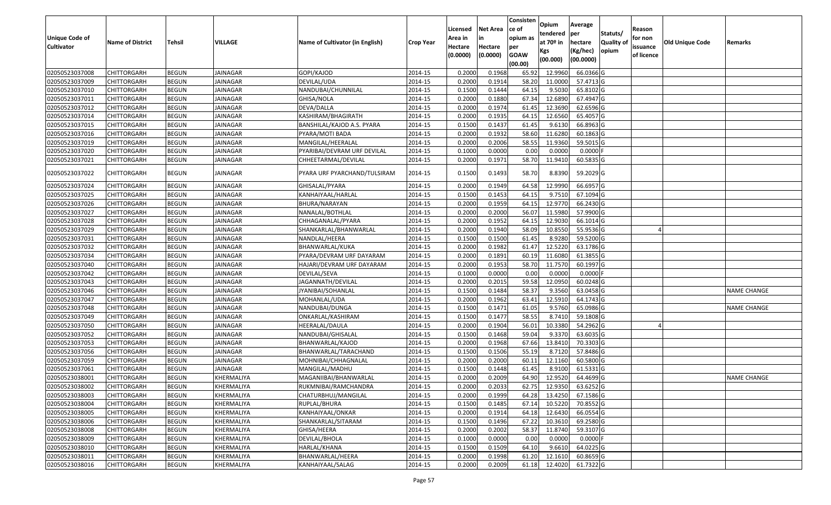|                   |                         |               |                 |                                 |                  |          |                 | Consisten        | Opium       | Average    |                  |            |                        |                    |
|-------------------|-------------------------|---------------|-----------------|---------------------------------|------------------|----------|-----------------|------------------|-------------|------------|------------------|------------|------------------------|--------------------|
|                   |                         |               |                 |                                 |                  | Licensed | <b>Net Area</b> | ce of            | tendered    | per        | Statuts/         | Reason     |                        |                    |
| Unique Code of    | <b>Name of District</b> | <b>Tehsil</b> | VILLAGE         | Name of Cultivator (in English) | <b>Crop Year</b> | Area in  | in              | opium as         | at $70°$ in | hectare    | <b>Quality o</b> | for non    | <b>Old Unique Code</b> | Remarks            |
| <b>Cultivator</b> |                         |               |                 |                                 |                  | Hectare  | Hectare         | per              | Kgs         | (Kg/hec)   | opium            | issuance   |                        |                    |
|                   |                         |               |                 |                                 |                  | (0.0000) | (0.0000)        | <b>GOAW</b>      | (00.000)    | (00.0000)  |                  | of licence |                        |                    |
| 02050523037008    | CHITTORGARH             | <b>BEGUN</b>  | JAINAGAR        | GOPI/KAJOD                      | 2014-15          | 0.2000   | 0.1968          | (00.00)<br>65.92 | 12.9960     | 66.0366 G  |                  |            |                        |                    |
| 02050523037009    | CHITTORGARH             | <b>BEGUN</b>  | JAINAGAR        | DEVILAL/UDA                     | 2014-15          | 0.2000   | 0.1914          | 58.20            | 11.0000     | 57.4713 G  |                  |            |                        |                    |
| 02050523037010    | CHITTORGARH             | <b>BEGUN</b>  | JAINAGAR        | NANDUBAI/CHUNNILAL              | 2014-15          | 0.1500   | 0.1444          | 64.15            | 9.5030      | 65.8102G   |                  |            |                        |                    |
| 02050523037011    | <b>CHITTORGARH</b>      | <b>BEGUN</b>  | <b>JAINAGAR</b> | GHISA/NOLA                      | 2014-15          | 0.2000   | 0.1880          | 67.34            | 12.6890     | 67.4947 G  |                  |            |                        |                    |
| 02050523037012    | CHITTORGARH             | <b>BEGUN</b>  | JAINAGAR        | DEVA/DALLA                      | 2014-15          | 0.2000   | 0.1974          | 61.4             | 12.3690     | 62.6596 G  |                  |            |                        |                    |
| 02050523037014    | CHITTORGARH             | <b>BEGUN</b>  | JAINAGAR        | KASHIRAM/BHAGIRATH              | 2014-15          | 0.2000   | 0.1935          | 64.15            | 12.6560     | 65.4057 G  |                  |            |                        |                    |
| 02050523037015    | CHITTORGARH             | <b>BEGUN</b>  | JAINAGAR        | BANSHILAL/KAJOD A.S. PYARA      | 2014-15          | 0.1500   | 0.1437          | 61.45            | 9.6130      | 66.8963 G  |                  |            |                        |                    |
| 02050523037016    | <b>CHITTORGARH</b>      | <b>BEGUN</b>  | JAINAGAR        | PYARA/MOTI BADA                 | 2014-15          | 0.2000   | 0.1932          | 58.60            | 11.6280     | 60.1863 G  |                  |            |                        |                    |
| 02050523037019    | CHITTORGARH             | <b>BEGUN</b>  | JAINAGAR        | MANGILAL/HEERALAL               | 2014-15          | 0.2000   | 0.2006          | 58.55            | 11.9360     | 59.5015 G  |                  |            |                        |                    |
| 02050523037020    | CHITTORGARH             | <b>BEGUN</b>  | JAINAGAR        | PYARIBAI/DEVRAM URF DEVILAL     | 2014-15          | 0.1000   | 0.0000          | 0.00             | 0.0000      | $0.0000$ F |                  |            |                        |                    |
| 02050523037021    | CHITTORGARH             | <b>BEGUN</b>  | JAINAGAR        | CHHEETARMAL/DEVILAL             | 2014-15          | 0.2000   | 0.1971          | 58.70            | 11.9410     | 60.5835 G  |                  |            |                        |                    |
|                   |                         |               |                 |                                 |                  |          |                 |                  |             |            |                  |            |                        |                    |
| 02050523037022    | CHITTORGARH             | <b>BEGUN</b>  | JAINAGAR        | PYARA URF PYARCHAND/TULSIRAM    | 2014-15          | 0.1500   | 0.1493          | 58.70            | 8.8390      | 59.2029 G  |                  |            |                        |                    |
| 02050523037024    | CHITTORGARH             | <b>BEGUN</b>  | JAINAGAR        | GHISALAL/PYARA                  | 2014-15          | 0.2000   | 0.1949          | 64.58            | 12.9990     | 66.6957 G  |                  |            |                        |                    |
| 02050523037025    | CHITTORGARH             | <b>BEGUN</b>  | JAINAGAR        | KANHAIYAAL/HARLAL               | 2014-15          | 0.1500   | 0.1453          | 64.15            | 9.7510      | 67.1094 G  |                  |            |                        |                    |
| 02050523037026    | CHITTORGARH             | <b>BEGUN</b>  | JAINAGAR        | BHURA/NARAYAN                   | 2014-15          | 0.2000   | 0.1959          | 64.15            | 12.9770     | 66.2430 G  |                  |            |                        |                    |
| 02050523037027    | CHITTORGARH             | <b>BEGUN</b>  | <b>JAINAGAR</b> | NANALAL/BOTHLAL                 | 2014-15          | 0.2000   | 0.2000          | 56.07            | 11.5980     | 57.9900 G  |                  |            |                        |                    |
| 02050523037028    | CHITTORGARH             | <b>BEGUN</b>  | JAINAGAR        | CHHAGANALAL/PYARA               | 2014-15          | 0.2000   | 0.1952          | 64.15            | 12.9030     | 66.1014 G  |                  |            |                        |                    |
| 02050523037029    | CHITTORGARH             | <b>BEGUN</b>  | JAINAGAR        | SHANKARLAL/BHANWARLAL           | 2014-15          | 0.2000   | 0.1940          | 58.09            | 10.855      | 55.9536 G  |                  |            |                        |                    |
| 02050523037031    | CHITTORGARH             | <b>BEGUN</b>  | JAINAGAR        | NANDLAL/HEERA                   | 2014-15          | 0.1500   | 0.1500          | 61.45            | 8.9280      | 59.5200 G  |                  |            |                        |                    |
| 02050523037032    | CHITTORGARH             | <b>BEGUN</b>  | <b>JAINAGAR</b> | BHANWARLAL/KUKA                 | 2014-15          | 0.2000   | 0.1982          | 61.47            | 12.5220     | 63.1786 G  |                  |            |                        |                    |
| 02050523037034    | CHITTORGARH             | <b>BEGUN</b>  | JAINAGAR        | PYARA/DEVRAM URF DAYARAM        | 2014-15          | 0.2000   | 0.1891          | 60.19            | 11.6080     | 61.3855 G  |                  |            |                        |                    |
| 02050523037040    | CHITTORGARH             | <b>BEGUN</b>  | <b>JAINAGAR</b> | HAJARI/DEVRAM URF DAYARAM       | 2014-15          | 0.2000   | 0.1953          | 58.70            | 11.7570     | 60.1997 G  |                  |            |                        |                    |
| 02050523037042    | CHITTORGARH             | <b>BEGUN</b>  | JAINAGAR        | DEVILAL/SEVA                    | 2014-15          | 0.1000   | 0.0000          | 0.00             | 0.0000      | 0.0000F    |                  |            |                        |                    |
| 02050523037043    | CHITTORGARH             | <b>BEGUN</b>  | <b>JAINAGAR</b> | JAGANNATH/DEVILAL               | 2014-15          | 0.2000   | 0.2015          | 59.58            | 12.0950     | 60.0248 G  |                  |            |                        |                    |
| 02050523037046    | CHITTORGARH             | <b>BEGUN</b>  | JAINAGAR        | JYANIBAI/SOHANLAL               | 2014-15          | 0.1500   | 0.1484          | 58.37            | 9.3560      | 63.0458 G  |                  |            |                        | <b>NAME CHANGE</b> |
| 02050523037047    | CHITTORGARH             | <b>BEGUN</b>  | <b>JAINAGAR</b> | MOHANLAL/UDA                    | 2014-15          | 0.2000   | 0.1962          | 63.41            | 12.5910     | 64.1743 G  |                  |            |                        |                    |
| 02050523037048    | CHITTORGARH             | <b>BEGUN</b>  | JAINAGAR        | NANDUBAI/DUNGA                  | 2014-15          | 0.1500   | 0.1471          | 61.05            | 9.5760      | 65.0986 G  |                  |            |                        | <b>NAME CHANGE</b> |
| 02050523037049    | <b>CHITTORGARH</b>      | <b>BEGUN</b>  | JAINAGAR        | ONKARLAL/KASHIRAM               | 2014-15          | 0.1500   | 0.1477          | 58.55            | 8.7410      | 59.1808 G  |                  |            |                        |                    |
| 02050523037050    | CHITTORGARH             | <b>BEGUN</b>  | JAINAGAR        | HEERALAL/DAULA                  | 2014-15          | 0.2000   | 0.1904          | 56.01            | 10.3380     | 54.2962 G  |                  |            |                        |                    |
| 02050523037052    | CHITTORGARH             | <b>BEGUN</b>  | JAINAGAR        | NANDUBAI/GHISALAL               | 2014-15          | 0.1500   | 0.1468          | 59.04            | 9.3370      | 63.6035 G  |                  |            |                        |                    |
| 02050523037053    | CHITTORGARH             | <b>BEGUN</b>  | JAINAGAR        | BHANWARLAL/KAJOD                | 2014-15          | 0.2000   | 0.1968          | 67.66            | 13.8410     | 70.3303 G  |                  |            |                        |                    |
| 02050523037056    | <b>CHITTORGARH</b>      | <b>BEGUN</b>  | JAINAGAR        | BHANWARLAL/TARACHAND            | 2014-15          | 0.1500   | 0.1506          | 55.19            | 8.7120      | 57.8486 G  |                  |            |                        |                    |
| 02050523037059    | <b>CHITTORGARH</b>      | <b>BEGUN</b>  | JAINAGAR        | MOHNIBAI/CHHAGNALAL             | 2014-15          | 0.2000   | 0.2000          | 60.11            | 12.1160     | 60.5800 G  |                  |            |                        |                    |
| 02050523037061    | CHITTORGARH             | <b>BEGUN</b>  | JAINAGAR        | MANGILAL/MADHU                  | 2014-15          | 0.150    | 0.1448          | 61.45            | 8.9100      | 61.5331 G  |                  |            |                        |                    |
| 02050523038001    | CHITTORGARH             | <b>BEGUN</b>  | KHERMALIYA      | MAGANIIBAI/BHANWARLAL           | 2014-15          | 0.2000   | 0.2009          | 64.90            | 12.9520     | 64.4699 G  |                  |            |                        | <b>NAME CHANGE</b> |
| 02050523038002    | <b>CHITTORGARH</b>      | <b>BEGUN</b>  | KHERMALIYA      | RUKMNIBAI/RAMCHANDRA            | 2014-15          | 0.2000   | 0.2033          | 62.75            | 12.9350     | 63.6252 G  |                  |            |                        |                    |
| 02050523038003    | <b>CHITTORGARH</b>      | <b>BEGUN</b>  | KHERMALIYA      | CHATURBHUJ/MANGILAL             | 2014-15          | 0.2000   | 0.1999          | 64.28            | 13.4250     | 67.1586 G  |                  |            |                        |                    |
| 02050523038004    | <b>CHITTORGARH</b>      | <b>BEGUN</b>  | KHERMALIYA      | RUPLAL/BHURA                    | 2014-15          | 0.1500   | 0.1485          | 67.14            | 10.5220     | 70.8552 G  |                  |            |                        |                    |
| 02050523038005    | <b>CHITTORGARH</b>      | <b>BEGUN</b>  | KHERMALIYA      | KANHAIYAAL/ONKAR                | 2014-15          | 0.2000   | 0.1914          | 64.18            | 12.6430     | 66.0554 G  |                  |            |                        |                    |
| 02050523038006    | CHITTORGARH             | <b>BEGUN</b>  | KHERMALIYA      | SHANKARLAL/SITARAM              | 2014-15          | 0.1500   | 0.1496          | 67.22            | 10.3610     | 69.2580 G  |                  |            |                        |                    |
| 02050523038008    | <b>CHITTORGARH</b>      | <b>BEGUN</b>  | KHERMALIYA      | GHISA/HEERA                     | 2014-15          | 0.2000   | 0.2002          | 58.37            | 11.8740     | 59.3107 G  |                  |            |                        |                    |
| 02050523038009    | <b>CHITTORGARH</b>      | <b>BEGUN</b>  | KHERMALIYA      | DEVILAL/BHOLA                   | 2014-15          | 0.1000   | 0.0000          | 0.00             | 0.0000      | $0.0000$ F |                  |            |                        |                    |
| 02050523038010    | <b>CHITTORGARH</b>      | <b>BEGUN</b>  | KHERMALIYA      | HARLAL/KHANA                    | 2014-15          | 0.1500   | 0.1509          | 64.10            | 9.6610      | 64.0225 G  |                  |            |                        |                    |
| 02050523038011    | <b>CHITTORGARH</b>      | <b>BEGUN</b>  | KHERMALIYA      | BHANWARLAL/HEERA                | 2014-15          | 0.2000   | 0.1998          | 61.20            | 12.1610     | 60.8659 G  |                  |            |                        |                    |
| 02050523038016    | <b>CHITTORGARH</b>      | <b>BEGUN</b>  | KHERMALIYA      | KANHAIYAAL/SALAG                | 2014-15          | 0.2000   | 0.2009          | 61.18            | 12.4020     | 61.7322 G  |                  |            |                        |                    |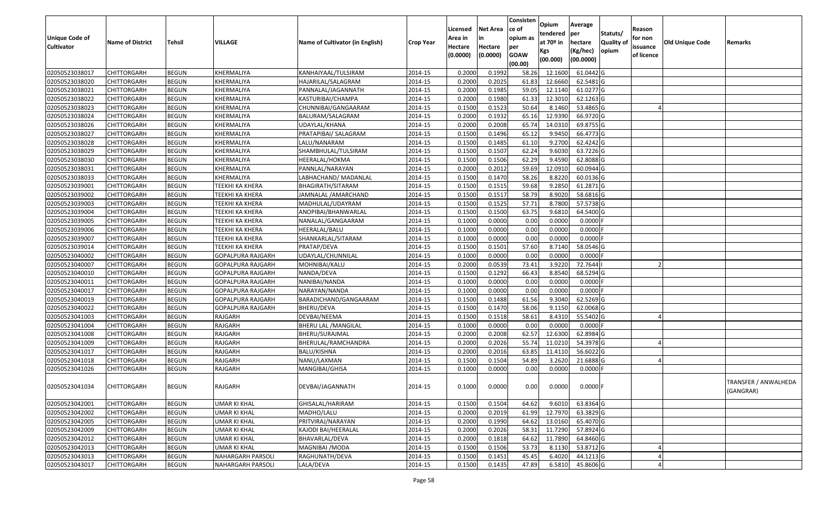| <b>Unique Code of</b><br><b>Cultivator</b> | <b>Name of District</b> | Tehsil       | VILLAGE                  | Name of Cultivator (in English) | <b>Crop Year</b> | Licensed<br>Area in<br>Hectare<br>(0.0000) | <b>Net Area</b><br>in<br>Hectare<br>(0.0000) | Consisten<br>ce of<br>opium as<br>per<br><b>GOAW</b><br>(00.00) | Opium<br>tendered<br>at $70°$ in<br>Kgs<br>(00.000) | Average<br>per<br>hectare<br>(Kg/hec)<br>(00.0000) | Statuts/<br>Quality of<br>opium | Reason<br>for non<br>issuance<br>of licence | Old Unique Code | Remarks                           |
|--------------------------------------------|-------------------------|--------------|--------------------------|---------------------------------|------------------|--------------------------------------------|----------------------------------------------|-----------------------------------------------------------------|-----------------------------------------------------|----------------------------------------------------|---------------------------------|---------------------------------------------|-----------------|-----------------------------------|
| 02050523038017                             | <b>CHITTORGARH</b>      | <b>BEGUN</b> | KHERMALIYA               | KANHAIYAAL/TULSIRAM             | 2014-15          | 0.2000                                     | 0.1992                                       | 58.26                                                           | 12.1600                                             | 61.0442 G                                          |                                 |                                             |                 |                                   |
| 02050523038020                             | <b>CHITTORGARH</b>      | <b>BEGUN</b> | KHERMALIYA               | HAJARILAL/SALAGRAM              | 2014-15          | 0.2000                                     | 0.2025                                       | 61.83                                                           | 12.6660                                             | 62.5481 G                                          |                                 |                                             |                 |                                   |
| 02050523038021                             | CHITTORGARH             | <b>BEGUN</b> | KHERMALIYA               | PANNALAL/JAGANNATH              | 2014-15          | 0.2000                                     | 0.1985                                       | 59.05                                                           | 12.1140                                             | 61.0277 G                                          |                                 |                                             |                 |                                   |
| 02050523038022                             | <b>CHITTORGARH</b>      | <b>BEGUN</b> | KHERMALIYA               | KASTURIBAI/CHAMPA               | 2014-15          | 0.2000                                     | 0.1980                                       | 61.33                                                           | 12.3010                                             | 62.1263 G                                          |                                 |                                             |                 |                                   |
| 02050523038023                             | <b>CHITTORGARH</b>      | <b>BEGUN</b> | KHERMALIYA               | CHUNNIBAI/GANGAARAM             | 2014-15          | 0.1500                                     | 0.1523                                       | 50.64                                                           | 8.1460                                              | 53.4865 G                                          |                                 |                                             |                 |                                   |
| 02050523038024                             | <b>CHITTORGARH</b>      | <b>BEGUN</b> | KHERMALIYA               | BALURAM/SALAGRAM                | 2014-15          | 0.2000                                     | 0.1932                                       | 65.16                                                           | 12.9390                                             | 66.9720 G                                          |                                 |                                             |                 |                                   |
| 02050523038026                             | <b>CHITTORGARH</b>      | <b>BEGUN</b> | KHERMALIYA               | UDAYLAL/KHANA                   | 2014-15          | 0.2000                                     | 0.2008                                       | 65.74                                                           | 14.0310                                             | 69.8755 G                                          |                                 |                                             |                 |                                   |
| 02050523038027                             | <b>CHITTORGARH</b>      | <b>BEGUN</b> | KHERMALIYA               | PRATAPIBAI/ SALAGRAM            | 2014-15          | 0.1500                                     | 0.1496                                       | 65.12                                                           | 9.9450                                              | 66.4773 G                                          |                                 |                                             |                 |                                   |
| 02050523038028                             | <b>CHITTORGARH</b>      | <b>BEGUN</b> | KHERMALIYA               | LALU/NANARAM                    | 2014-15          | 0.1500                                     | 0.1485                                       | 61.10                                                           | 9.2700                                              | 62.4242 G                                          |                                 |                                             |                 |                                   |
| 02050523038029                             | <b>CHITTORGARH</b>      | <b>BEGUN</b> | KHERMALIYA               | SHAMBHULAL/TULSIRAM             | 2014-15          | 0.1500                                     | 0.1507                                       | 62.24                                                           | 9.6030                                              | 63.7226 G                                          |                                 |                                             |                 |                                   |
| 02050523038030                             | <b>CHITTORGARH</b>      | <b>BEGUN</b> | KHERMALIYA               | HEERALAL/HOKMA                  | 2014-15          | 0.1500                                     | 0.1506                                       | 62.29                                                           | 9.4590                                              | 62.8088 G                                          |                                 |                                             |                 |                                   |
| 02050523038031                             | <b>CHITTORGARH</b>      | <b>BEGUN</b> | KHERMALIYA               | PANNLAL/NARAYAN                 | 2014-15          | 0.2000                                     | 0.2012                                       | 59.69                                                           | 12.0910                                             | 60.0944 G                                          |                                 |                                             |                 |                                   |
| 02050523038033                             | <b>CHITTORGARH</b>      | <b>BEGUN</b> | KHERMALIYA               | LABHACHAND/ MADANLAL            | 2014-15          | 0.1500                                     | 0.1470                                       | 58.26                                                           | 8.8220                                              | 60.0136 G                                          |                                 |                                             |                 |                                   |
| 02050523039001                             | <b>CHITTORGARH</b>      | <b>BEGUN</b> | <b>TEEKHI KA KHERA</b>   | BHAGIRATH/SITARAM               | 2014-15          | 0.1500                                     | 0.1515                                       | 59.68                                                           | 9.2850                                              | 61.2871 G                                          |                                 |                                             |                 |                                   |
| 02050523039002                             | <b>CHITTORGARH</b>      | <b>BEGUN</b> | TEEKHI KA KHERA          | JAMNALAL /AMARCHAND             | 2014-15          | 0.1500                                     | 0.1517                                       | 58.79                                                           | 8.9020                                              | 58.6816 G                                          |                                 |                                             |                 |                                   |
| 02050523039003                             | <b>CHITTORGARH</b>      | <b>BEGUN</b> | <b>TEEKHI KA KHERA</b>   | MADHULAL/UDAYRAM                | 2014-15          | 0.1500                                     | 0.1525                                       | 57.71                                                           | 8.7800                                              | 57.5738 G                                          |                                 |                                             |                 |                                   |
| 02050523039004                             | <b>CHITTORGARH</b>      | <b>BEGUN</b> | TEEKHI KA KHERA          | ANOPIBAI/BHANWARLAL             | 2014-15          | 0.1500                                     | 0.1500                                       | 63.75                                                           | 9.6810                                              | 64.5400 G                                          |                                 |                                             |                 |                                   |
| 02050523039005                             | <b>CHITTORGARH</b>      | <b>BEGUN</b> | <b>TEEKHI KA KHERA</b>   | NANALAL/GANGAARAM               | 2014-15          | 0.1000                                     | 0.0000                                       | 0.00                                                            | 0.0000                                              | 0.0000                                             |                                 |                                             |                 |                                   |
| 02050523039006                             | <b>CHITTORGARH</b>      | <b>BEGUN</b> | <b>TEEKHI KA KHERA</b>   | HEERALAL/BALU                   | 2014-15          | 0.1000                                     | 0.0000                                       | 0.00                                                            | 0.0000                                              | 0.0000                                             |                                 |                                             |                 |                                   |
| 02050523039007                             | <b>CHITTORGARH</b>      | <b>BEGUN</b> | TEEKHI KA KHERA          | SHANKARLAL/SITARAM              | 2014-15          | 0.1000                                     | 0.0000                                       | 0.00                                                            | 0.0000                                              | 0.0000                                             |                                 |                                             |                 |                                   |
| 02050523039014                             | <b>CHITTORGARH</b>      | <b>BEGUN</b> | <b>TEEKHI KA KHERA</b>   | PRATAP/DEVA                     | 2014-15          | 0.1500                                     | 0.1501                                       | 57.60                                                           | 8.7140                                              | 58.0546 G                                          |                                 |                                             |                 |                                   |
| 02050523040002                             | <b>CHITTORGARH</b>      | <b>BEGUN</b> | GOPALPURA RAJGARH        | UDAYLAL/CHUNNILAL               | 2014-15          | 0.1000                                     | 0.0000                                       | 0.00                                                            | 0.0000                                              | 0.0000                                             |                                 |                                             |                 |                                   |
| 02050523040007                             | <b>CHITTORGARH</b>      | <b>BEGUN</b> | GOPALPURA RAJGARH        | MOHNIBAI/KALU                   | 2014-15          | 0.2000                                     | 0.0539                                       | 73.41                                                           | 3.9220                                              | 72.7644                                            |                                 |                                             |                 |                                   |
| 02050523040010                             | <b>CHITTORGARH</b>      | <b>BEGUN</b> | GOPALPURA RAJGARH        | NANDA/DEVA                      | 2014-15          | 0.1500                                     | 0.1292                                       | 66.43                                                           | 8.8540                                              | 68.5294 G                                          |                                 |                                             |                 |                                   |
| 02050523040011                             | <b>CHITTORGARH</b>      | <b>BEGUN</b> | GOPALPURA RAJGARH        | NANIBAI/NANDA                   | 2014-15          | 0.1000                                     | 0.0000                                       | 0.00                                                            | 0.0000                                              | 0.0000                                             |                                 |                                             |                 |                                   |
| 02050523040017                             | <b>CHITTORGARH</b>      | <b>BEGUN</b> | <b>GOPALPURA RAJGARH</b> | NARAYAN/NANDA                   | 2014-15          | 0.1000                                     | 0.0000                                       | 0.00                                                            | 0.0000                                              | 0.0000                                             |                                 |                                             |                 |                                   |
| 02050523040019                             | <b>CHITTORGARH</b>      | <b>BEGUN</b> | GOPALPURA RAJGARH        | BARADICHAND/GANGAARAM           | 2014-15          | 0.1500                                     | 0.1488                                       | 61.56                                                           | 9.3040                                              | 62.5269 G                                          |                                 |                                             |                 |                                   |
| 02050523040022                             | <b>CHITTORGARH</b>      | <b>BEGUN</b> | GOPALPURA RAJGARH        | BHERU/DEVA                      | 2014-15          | 0.1500                                     | 0.1470                                       | 58.06                                                           | 9.1150                                              | 62.0068 G                                          |                                 |                                             |                 |                                   |
| 02050523041003                             | <b>CHITTORGARH</b>      | <b>BEGUN</b> | RAJGARH                  | DEVBAI/NEEMA                    | 2014-15          | 0.1500                                     | 0.1518                                       | 58.61                                                           | 8.4310                                              | 55.5402 G                                          |                                 |                                             |                 |                                   |
| 02050523041004                             | <b>CHITTORGARH</b>      | <b>BEGUN</b> | RAJGARH                  | <b>BHERU LAL /MANGILAL</b>      | 2014-15          | 0.1000                                     | 0.0000                                       | 0.00                                                            | 0.0000                                              | 0.0000                                             |                                 |                                             |                 |                                   |
| 02050523041008                             | <b>CHITTORGARH</b>      | <b>BEGUN</b> | RAJGARH                  | BHERU/SURAJMAL                  | 2014-15          | 0.2000                                     | 0.2008                                       | 62.57                                                           | 12.6300                                             | 62.8984 G                                          |                                 |                                             |                 |                                   |
| 02050523041009                             | CHITTORGARH             | <b>BEGUN</b> | RAJGARH                  | BHERULAL/RAMCHANDRA             | 2014-15          | 0.2000                                     | 0.2026                                       | 55.74                                                           | 11.0210                                             | 54.3978 G                                          |                                 |                                             |                 |                                   |
| 02050523041017                             | <b>CHITTORGARH</b>      | <b>BEGUN</b> | RAJGARH                  | BALU/KISHNA                     | 2014-15          | 0.2000                                     | 0.2016                                       | 63.85                                                           | 11.4110                                             | 56.6022 G                                          |                                 |                                             |                 |                                   |
| 02050523041018                             | <b>CHITTORGARH</b>      | <b>BEGUN</b> | RAJGARH                  | NANU/LAXMAN                     | 2014-15          | 0.1500                                     | 0.1504                                       | 54.89                                                           | 3.2620                                              | 21.6888 G                                          |                                 |                                             |                 |                                   |
| 02050523041026                             | <b>CHITTORGARH</b>      | <b>BEGUN</b> | RAJGARH                  | MANGIBAI/GHISA                  | 2014-15          | 0.1000                                     | 0.0000                                       | 0.00                                                            | 0.0000                                              | 0.0000                                             |                                 |                                             |                 |                                   |
| 02050523041034                             | <b>CHITTORGARH</b>      | <b>BEGUN</b> | RAJGARH                  | DEVBAI/JAGANNATH                | 2014-15          | 0.1000                                     | 0.0000                                       | 0.00                                                            | 0.0000                                              | 0.0000                                             |                                 |                                             |                 | TRANSFER / ANWALHEDA<br>(GANGRAR) |
| 02050523042001                             | <b>CHITTORGARH</b>      | <b>BEGUN</b> | UMAR KI KHAL             | GHISALAL/HARIRAM                | 2014-15          | 0.1500                                     | 0.1504                                       | 64.62                                                           | 9.6010                                              | 63.8364 G                                          |                                 |                                             |                 |                                   |
| 02050523042002                             | <b>CHITTORGARH</b>      | <b>BEGUN</b> | UMAR KI KHAL             | MADHO/LALU                      | 2014-15          | 0.2000                                     | 0.2019                                       | 61.99                                                           | 12.7970                                             | 63.3829 G                                          |                                 |                                             |                 |                                   |
| 02050523042005                             | <b>CHITTORGARH</b>      | <b>BEGUN</b> | UMAR KI KHAL             | PRITVIRAJ/NARAYAN               | 2014-15          | 0.2000                                     | 0.1990                                       | 64.62                                                           | 13.0160                                             | 65.4070 G                                          |                                 |                                             |                 |                                   |
| 02050523042009                             | <b>CHITTORGARH</b>      | <b>BEGUN</b> | UMAR KI KHAL             | KAJODI BAI/HEERALAL             | 2014-15          | 0.2000                                     | 0.2026                                       | 58.31                                                           | 11.7290                                             | 57.8924 G                                          |                                 |                                             |                 |                                   |
| 02050523042012                             | <b>CHITTORGARH</b>      | <b>BEGUN</b> | UMAR KI KHAL             | BHAVARLAL/DEVA                  | 2014-15          | 0.2000                                     | 0.1818                                       | 64.62                                                           | 11.7890                                             | 64.8460 G                                          |                                 |                                             |                 |                                   |
| 02050523042013                             | <b>CHITTORGARH</b>      | <b>BEGUN</b> | UMAR KI KHAL             | MAGNIBAI / MODA                 | 2014-15          | 0.1500                                     | 0.1506                                       | 53.73                                                           | 8.1130                                              | 53.8712 G                                          |                                 |                                             |                 |                                   |
| 02050523043013                             | CHITTORGARH             | <b>BEGUN</b> | NAHARGARH PARSOLI        | RAGHUNATH/DEVA                  | 2014-15          | 0.1500                                     | 0.1451                                       | 45.45                                                           | 6.4020                                              | 44.1213 G                                          |                                 |                                             |                 |                                   |
| 02050523043017                             | <b>CHITTORGARH</b>      | <b>BEGUN</b> | NAHARGARH PARSOLI        | LALA/DEVA                       | 2014-15          | 0.1500                                     | 0.1435                                       | 47.89                                                           | 6.5810                                              | 45.8606 G                                          |                                 |                                             |                 |                                   |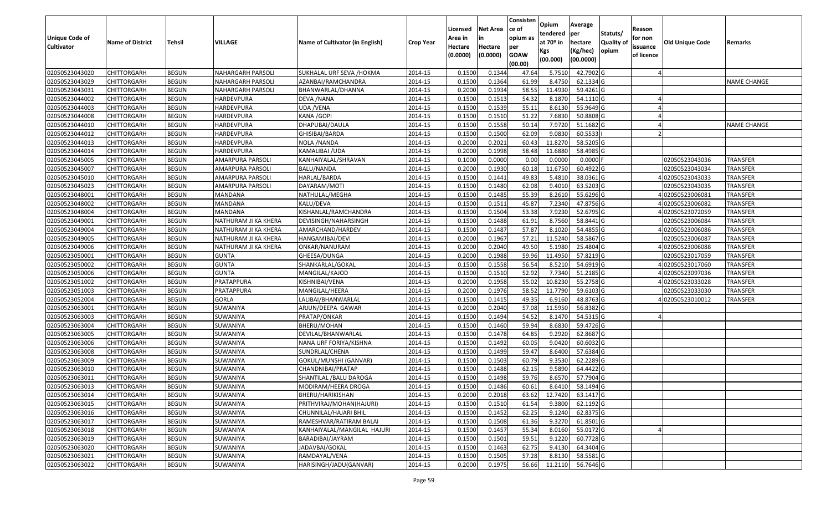| Unique Code of<br><b>Cultivator</b> | <b>Name of District</b> | <b>Tehsil</b> | VILLAGE                  | Name of Cultivator (in English) | <b>Crop Year</b> | Licensed<br>Area in<br>Hectare<br>(0.0000) | <b>Net Area</b><br>in<br>Hectare<br>(0.0000) | Consisten<br>ce of<br>opium as<br>per<br><b>GOAW</b><br>(00.00) | Opium<br>tendered<br>at $70°$ in<br>Kgs<br>(00.000) | Average<br>per<br>hectare<br>(Kg/hec)<br>(00.0000) | Statuts/<br>Quality of<br>opium | Reason<br>for non<br>issuance<br>of licence | <b>Old Unique Code</b> | Remarks            |
|-------------------------------------|-------------------------|---------------|--------------------------|---------------------------------|------------------|--------------------------------------------|----------------------------------------------|-----------------------------------------------------------------|-----------------------------------------------------|----------------------------------------------------|---------------------------------|---------------------------------------------|------------------------|--------------------|
| 02050523043020                      | <b>CHITTORGARH</b>      | <b>BEGUN</b>  | <b>NAHARGARH PARSOLI</b> | SUKHALAL URF SEVA /HOKMA        | 2014-15          | 0.1500                                     | 0.1344                                       | 47.64                                                           | 5.7510                                              | 42.7902 G                                          |                                 |                                             |                        |                    |
| 02050523043029                      | CHITTORGARH             | <b>BEGUN</b>  | NAHARGARH PARSOLI        | AZANBAI/RAMCHANDRA              | 2014-15          | 0.1500                                     | 0.1364                                       | 61.99                                                           | 8.4750                                              | 62.1334 G                                          |                                 |                                             |                        | <b>NAME CHANGE</b> |
| 02050523043031                      | CHITTORGARH             | <b>BEGUN</b>  | NAHARGARH PARSOLI        | BHANWARLAL/DHANNA               | 2014-15          | 0.2000                                     | 0.1934                                       | 58.55                                                           | 11.4930                                             | 59.4261G                                           |                                 |                                             |                        |                    |
| 02050523044002                      | CHITTORGARH             | <b>BEGUN</b>  | HARDEVPURA               | DEVA / NANA                     | 2014-15          | 0.1500                                     | 0.1513                                       | 54.32                                                           | 8.1870                                              | 54.1110G                                           |                                 |                                             |                        |                    |
| 02050523044003                      | <b>CHITTORGARH</b>      | <b>BEGUN</b>  | HARDEVPURA               | UDA /VENA                       | 2014-15          | 0.1500                                     | 0.1539                                       | 55.11                                                           | 8.6130                                              | 55.9649 G                                          |                                 |                                             |                        |                    |
| 02050523044008                      | CHITTORGARH             | <b>BEGUN</b>  | HARDEVPURA               | KANA / GOPI                     | 2014-15          | 0.1500                                     | 0.1510                                       | 51.22                                                           | 7.6830                                              | 50.8808 G                                          |                                 |                                             |                        |                    |
| 02050523044010                      | CHITTORGARH             | <b>BEGUN</b>  | HARDEVPURA               | DHAPUBAI/DAULA                  | 2014-15          | 0.1500                                     | 0.1558                                       | 50.14                                                           | 7.9720                                              | 51.1682 G                                          |                                 |                                             |                        | <b>NAME CHANGE</b> |
| 02050523044012                      | CHITTORGARH             | <b>BEGUN</b>  | HARDEVPURA               | GHISIBAI/BARDA                  | 2014-15          | 0.1500                                     | 0.1500                                       | 62.09                                                           | 9.0830                                              | 60.5533                                            |                                 |                                             |                        |                    |
| 02050523044013                      | CHITTORGARH             | <b>BEGUN</b>  | HARDEVPURA               | NOLA / NANDA                    | 2014-15          | 0.2000                                     | 0.2021                                       | 60.43                                                           | 11.8270                                             | 58.5205 G                                          |                                 |                                             |                        |                    |
| 02050523044014                      | CHITTORGARH             | <b>BEGUN</b>  | HARDEVPURA               | KAMALIBAI /UDA                  | 2014-15          | 0.2000                                     | 0.1998                                       | 58.48                                                           | 11.6880                                             | 58.4985 G                                          |                                 |                                             |                        |                    |
| 02050523045005                      | <b>CHITTORGARH</b>      | <b>BEGUN</b>  | AMARPURA PARSOLI         | KANHAIYALAL/SHRAVAN             | 2014-15          | 0.1000                                     | 0.0000                                       | 0.00                                                            | 0.0000                                              | $0.0000$ F                                         |                                 |                                             | 02050523043036         | <b>TRANSFER</b>    |
| 02050523045007                      | CHITTORGARH             | <b>BEGUN</b>  | AMARPURA PARSOLI         | BALU/NANDA                      | 2014-15          | 0.2000                                     | 0.1930                                       | 60.18                                                           | 11.6750                                             | 60.4922 G                                          |                                 |                                             | 02050523043034         | <b>TRANSFER</b>    |
| 02050523045010                      | CHITTORGARH             | <b>BEGUN</b>  | AMARPURA PARSOLI         | HARLAL/BARDA                    | 2014-15          | 0.1500                                     | 0.1441                                       | 49.83                                                           | 5.4810                                              | 38.0361G                                           |                                 |                                             | 402050523043033        | <b>TRANSFER</b>    |
| 02050523045023                      | CHITTORGARH             | <b>BEGUN</b>  | AMARPURA PARSOLI         | DAYARAM/MOTI                    | 2014-15          | 0.150                                      | 0.1480                                       | 62.08                                                           | 9.4010                                              | 63.5203 G                                          |                                 |                                             | 02050523043035         | <b>TRANSFER</b>    |
| 02050523048001                      | CHITTORGARH             | <b>BEGUN</b>  | MANDANA                  | NATHULAL/MEGHA                  | 2014-15          | 0.1500                                     | 0.1485                                       | 55.39                                                           | 8.2610                                              | 55.6296 G                                          |                                 |                                             | 402050523006081        | <b>TRANSFER</b>    |
| 02050523048002                      | CHITTORGARH             | <b>BEGUN</b>  | MANDANA                  | KALU/DEVA                       | 2014-15          | 0.150                                      | 0.1511                                       | 45.87                                                           | 7.2340                                              | 47.8756 G                                          |                                 |                                             | 402050523006082        | <b>TRANSFER</b>    |
| 02050523048004                      | CHITTORGARH             | <b>BEGUN</b>  | <b>MANDANA</b>           | KISHANLAL/RAMCHANDRA            | 2014-15          | 0.1500                                     | 0.1504                                       | 53.38                                                           | 7.9230                                              | 52.6795 G                                          |                                 |                                             | 4 02050523072059       | <b>TRANSFER</b>    |
| 02050523049001                      | CHITTORGARH             | <b>BEGUN</b>  | NATHURAM JI KA KHERA     | DEVISINGH/NAHARSINGH            | 2014-15          | 0.150                                      | 0.1488                                       | 61.91                                                           | 8.7560                                              | 58.8441 G                                          |                                 |                                             | 02050523006084         | <b>TRANSFER</b>    |
| 02050523049004                      | CHITTORGARH             | <b>BEGUN</b>  | NATHURAM JI KA KHERA     | AMARCHAND/HARDEV                | 2014-15          | 0.1500                                     | 0.1487                                       | 57.87                                                           | 8.1020                                              | 54.4855 G                                          |                                 |                                             | 402050523006086        | <b>TRANSFER</b>    |
| 02050523049005                      | CHITTORGARH             | <b>BEGUN</b>  | NATHURAM JI KA KHERA     | HANGAMIBAI/DEVI                 | 2014-15          | 0.2000                                     | 0.1967                                       | 57.21                                                           | 11.5240                                             | 58.5867 G                                          |                                 |                                             | 02050523006087         | <b>TRANSFER</b>    |
| 02050523049006                      | CHITTORGARH             | <b>BEGUN</b>  | NATHURAM JI KA KHERA     | ONKAR/NANURAM                   | 2014-15          | 0.2000                                     | 0.2040                                       | 49.50                                                           | 5.1980                                              | 25.4804 G                                          |                                 |                                             | 402050523006088        | <b>TRANSFER</b>    |
| 02050523050001                      | CHITTORGARH             | <b>BEGUN</b>  | <b>GUNTA</b>             | GHEESA/DUNGA                    | 2014-15          | 0.2000                                     | 0.1988                                       | 59.96                                                           | 11.495                                              | 57.8219 G                                          |                                 |                                             | 02050523017059         | <b>TRANSFER</b>    |
| 02050523050002                      | CHITTORGARH             | <b>BEGUN</b>  | <b>GUNTA</b>             | SHANKARLAL/GOKAL                | 2014-15          | 0.1500                                     | 0.1558                                       | 56.54                                                           | 8.5210                                              | 54.6919 G                                          |                                 |                                             | 402050523017060        | <b>TRANSFER</b>    |
| 02050523050006                      | CHITTORGARH             | <b>BEGUN</b>  | <b>GUNTA</b>             | MANGILAL/KAJOD                  | 2014-15          | 0.1500                                     | 0.1510                                       | 52.92                                                           | 7.7340                                              | 51.2185 G                                          |                                 |                                             | 402050523097036        | <b>TRANSFER</b>    |
| 02050523051002                      | CHITTORGARH             | <b>BEGUN</b>  | PRATAPPURA               | KISHNIBAI/VENA                  | 2014-15          | 0.2000                                     | 0.1958                                       | 55.02                                                           | 10.8230                                             | 55.2758 G                                          |                                 |                                             | 402050523033028        | <b>TRANSFER</b>    |
| 02050523051003                      | CHITTORGARH             | <b>BEGUN</b>  | PRATAPPURA               | MANGILAL/HEERA                  | 2014-15          | 0.2000                                     | 0.1976                                       | 58.52                                                           | 11.7790                                             | 59.6103 G                                          |                                 |                                             | 02050523033030         | <b>TRANSFER</b>    |
| 02050523052004                      | CHITTORGARH             | <b>BEGUN</b>  | <b>GORLA</b>             | LALIBAI/BHANWARLAL              | 2014-15          | 0.1500                                     | 0.1415                                       | 49.35                                                           | 6.9160                                              | 48.8763 G                                          |                                 |                                             | 402050523010012        | <b>TRANSFER</b>    |
| 02050523063001                      | CHITTORGARH             | <b>BEGUN</b>  | SUWANIYA                 | ARJUN/DEEPA GAWAR               | 2014-15          | 0.2000                                     | 0.2040                                       | 57.08                                                           | 11.5950                                             | 56.8382 G                                          |                                 |                                             |                        |                    |
| 02050523063003                      | <b>CHITTORGARH</b>      | <b>BEGUN</b>  | SUWANIYA                 | PRATAP/ONKAR                    | 2014-15          | 0.1500                                     | 0.1494                                       | 54.52                                                           | 8.1470                                              | 54.5315 G                                          |                                 |                                             |                        |                    |
| 02050523063004                      | <b>CHITTORGARH</b>      | <b>BEGUN</b>  | SUWANIYA                 | BHERU/MOHAN                     | 2014-15          | 0.1500                                     | 0.1460                                       | 59.94                                                           | 8.6830                                              | 59.4726 G                                          |                                 |                                             |                        |                    |
| 02050523063005                      | CHITTORGARH             | <b>BEGUN</b>  | SUWANIYA                 | DEVILAL/BHANWARLAL              | 2014-15          | 0.1500                                     | 0.1478                                       | 64.85                                                           | 9.2920                                              | 62.8687 G                                          |                                 |                                             |                        |                    |
| 02050523063006                      | CHITTORGARH             | <b>BEGUN</b>  | SUWANIYA                 | NANA URF FORIYA/KISHNA          | 2014-15          | 0.1500                                     | 0.1492                                       | 60.05                                                           | 9.0420                                              | 60.6032 G                                          |                                 |                                             |                        |                    |
| 02050523063008                      | <b>CHITTORGARH</b>      | <b>BEGUN</b>  | SUWANIYA                 | SUNDRLAL/CHENA                  | 2014-15          | 0.1500                                     | 0.1499                                       | 59.47                                                           | 8.6400                                              | 57.6384 G                                          |                                 |                                             |                        |                    |
| 02050523063009                      | <b>CHITTORGARH</b>      | <b>BEGUN</b>  | SUWANIYA                 | GOKUL/MUNSHI (GANVAR)           | 2014-15          | 0.1500                                     | 0.1503                                       | 60.79                                                           | 9.3530                                              | 62.2289 G                                          |                                 |                                             |                        |                    |
| 02050523063010                      | CHITTORGARH             | <b>BEGUN</b>  | SUWANIYA                 | CHANDNIBAI/PRATAP               | 2014-15          | 0.150                                      | 0.1488                                       | 62.15                                                           | 9.5890                                              | 64.4422 G                                          |                                 |                                             |                        |                    |
| 02050523063011                      | CHITTORGARH             | <b>BEGUN</b>  | SUWANIYA                 | SHANTILAL /BALU DAROGA          | 2014-15          | 0.1500                                     | 0.1498                                       | 59.76                                                           | 8.6570                                              | 57.7904 G                                          |                                 |                                             |                        |                    |
| 02050523063013                      | <b>CHITTORGARH</b>      | <b>BEGUN</b>  | <b>SUWANIYA</b>          | MODIRAM/HEERA DROGA             | 2014-15          | 0.1500                                     | 0.1486                                       | 60.61                                                           | 8.6410                                              | 58.1494 G                                          |                                 |                                             |                        |                    |
| 02050523063014                      | <b>CHITTORGARH</b>      | <b>BEGUN</b>  | SUWANIYA                 | BHERU/HARIKISHAN                | 2014-15          | 0.2000                                     | 0.2018                                       | 63.62                                                           | 12.7420                                             | 63.1417 G                                          |                                 |                                             |                        |                    |
| 02050523063015                      | <b>CHITTORGARH</b>      | <b>BEGUN</b>  | SUWANIYA                 | PRITHVIRAJ/MOHAN(HAJURI)        | 2014-15          | 0.1500                                     | 0.1510                                       | 61.54                                                           | 9.3800                                              | 62.1192 G                                          |                                 |                                             |                        |                    |
| 02050523063016                      | <b>CHITTORGARH</b>      | <b>BEGUN</b>  | SUWANIYA                 | CHUNNILAL/HAJARI BHIL           | 2014-15          | 0.1500                                     | 0.1452                                       | 62.25                                                           | 9.1240                                              | 62.8375 G                                          |                                 |                                             |                        |                    |
| 02050523063017                      | <b>CHITTORGARH</b>      | <b>BEGUN</b>  | SUWANIYA                 | RAMESHVAR/RATIRAM BALAI         | 2014-15          | 0.1500                                     | 0.1508                                       | 61.36                                                           | 9.3270                                              | 61.8501 G                                          |                                 |                                             |                        |                    |
| 02050523063018                      | <b>CHITTORGARH</b>      | <b>BEGUN</b>  | SUWANIYA                 | KANHAIYALAL/MANGILAL HAJURI     | 2014-15          | 0.1500                                     | 0.1457                                       | 55.34                                                           | 8.0160                                              | 55.0172G                                           |                                 |                                             |                        |                    |
| 02050523063019                      | <b>CHITTORGARH</b>      | <b>BEGUN</b>  | SUWANIYA                 | BARADIBAI/JAYRAM                | 2014-15          | 0.1500                                     | 0.1501                                       | 59.51                                                           | 9.1220                                              | 60.7728 G                                          |                                 |                                             |                        |                    |
| 02050523063020                      | <b>CHITTORGARH</b>      | <b>BEGUN</b>  | SUWANIYA                 | JADAVBAI/GOKAL                  | 2014-15          | 0.1500                                     | 0.1463                                       | 62.75                                                           | 9.4130                                              | 64.3404 G                                          |                                 |                                             |                        |                    |
| 02050523063021                      | CHITTORGARH             | <b>BEGUN</b>  | SUWANIYA                 | RAMDAYAL/VENA                   | 2014-15          | 0.1500                                     | 0.1505                                       | 57.28                                                           | 8.8130                                              | 58.5581 G                                          |                                 |                                             |                        |                    |
| 02050523063022                      | <b>CHITTORGARH</b>      | <b>BEGUN</b>  | SUWANIYA                 | HARISINGH/JADU(GANVAR)          | 2014-15          | 0.2000                                     | 0.1975                                       | 56.66                                                           | 11.2110                                             | 56.7646 G                                          |                                 |                                             |                        |                    |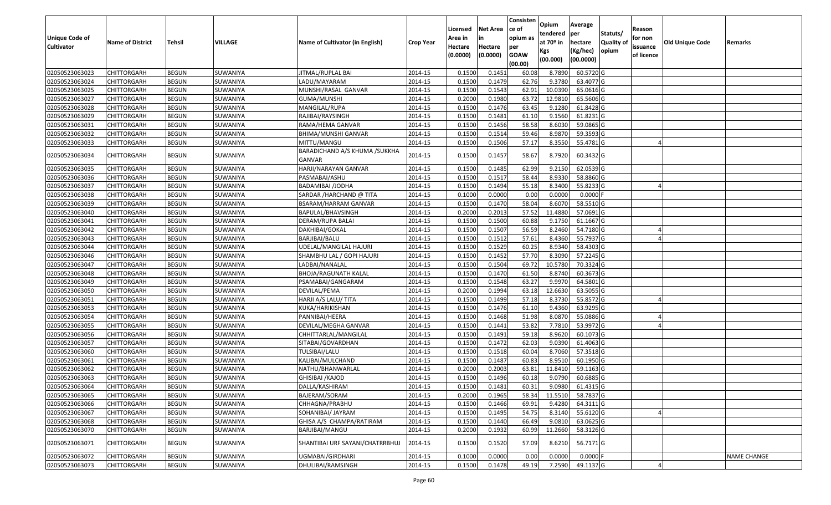|                       |                         |               |          |                                          |                  |          |                 | Consisten   | Opium       | Average    |           |            |                 |                    |
|-----------------------|-------------------------|---------------|----------|------------------------------------------|------------------|----------|-----------------|-------------|-------------|------------|-----------|------------|-----------------|--------------------|
|                       |                         |               |          |                                          |                  | Licensed | <b>Net Area</b> | ce of       | tendered    | per        | Statuts/  | Reason     |                 |                    |
| <b>Unique Code of</b> | <b>Name of District</b> | <b>Tehsil</b> | VILLAGE  | Name of Cultivator (in English)          | <b>Crop Year</b> | Area in  |                 | opium as    | at $70°$ in | hectare    | Quality o | for non    | Old Unique Code | Remarks            |
| <b>Cultivator</b>     |                         |               |          |                                          |                  | Hectare  | Hectare         | per         | Kgs         | (Kg/hec)   | opium     | issuance   |                 |                    |
|                       |                         |               |          |                                          |                  | (0.0000) | (0.0000)        | <b>GOAW</b> | (00.000)    | (00.0000)  |           | of licence |                 |                    |
|                       |                         |               |          |                                          |                  |          |                 | (00.00)     |             |            |           |            |                 |                    |
| 02050523063023        | CHITTORGARH             | <b>BEGUN</b>  | SUWANIYA | JITMAL/RUPLAL BAI                        | 2014-15          | 0.1500   | 0.1451          | 60.08       | 8.7890      | 60.5720 G  |           |            |                 |                    |
| 02050523063024        | CHITTORGARH             | <b>BEGUN</b>  | SUWANIYA | LADU/MAYARAM                             | 2014-15          | 0.1500   | 0.1479          | 62.76       | 9.3780      | 63.4077 G  |           |            |                 |                    |
| 02050523063025        | CHITTORGARH             | <b>BEGUN</b>  | SUWANIYA | MUNSHI/RASAL GANVAR                      | 2014-15          | 0.1500   | 0.1543          | 62.91       | 10.0390     | 65.0616 G  |           |            |                 |                    |
| 02050523063027        | <b>CHITTORGARH</b>      | <b>BEGUN</b>  | SUWANIYA | <b>GUMA/MUNSHI</b>                       | 2014-15          | 0.2000   | 0.1980          | 63.72       | 12.9810     | 65.5606 G  |           |            |                 |                    |
| 02050523063028        | CHITTORGARH             | <b>BEGUN</b>  | SUWANIYA | MANGILAL/RUPA                            | 2014-15          | 0.1500   | 0.1476          | 63.45       | 9.1280      | 61.8428 G  |           |            |                 |                    |
| 02050523063029        | CHITTORGARH             | <b>BEGUN</b>  | SUWANIYA | RAJIBAI/RAYSINGH                         | 2014-15          | 0.1500   | 0.1481          | 61.10       | 9.1560      | 61.8231 G  |           |            |                 |                    |
| 02050523063031        | CHITTORGARH             | <b>BEGUN</b>  | SUWANIYA | RAMA/HEMA GANVAR                         | 2014-15          | 0.1500   | 0.1456          | 58.58       | 8.6030      | 59.0865 G  |           |            |                 |                    |
| 02050523063032        | CHITTORGARH             | <b>BEGUN</b>  | SUWANIYA | BHIMA/MUNSHI GANVAR                      | 2014-15          | 0.1500   | 0.1514          | 59.46       | 8.9870      | 59.3593 G  |           |            |                 |                    |
| 02050523063033        | CHITTORGARH             | <b>BEGUN</b>  | SUWANIYA | MITTU/MANGU                              | 2014-15          | 0.1500   | 0.1506          | 57.17       | 8.3550      | 55.4781 G  |           |            |                 |                    |
| 02050523063034        | CHITTORGARH             | <b>BEGUN</b>  | SUWANIYA | BARADICHAND A/S KHUMA / SUKKHA<br>GANVAR | 2014-15          | 0.1500   | 0.1457          | 58.67       | 8.7920      | 60.3432 G  |           |            |                 |                    |
| 02050523063035        | CHITTORGARH             | <b>BEGUN</b>  | SUWANIYA | HARJI/NARAYAN GANVAR                     | 2014-15          | 0.1500   | 0.1485          | 62.99       | 9.2150      | 62.0539 G  |           |            |                 |                    |
| 02050523063036        | CHITTORGARH             | <b>BEGUN</b>  | SUWANIYA | PASMABAI/ASHU                            | 2014-15          | 0.1500   | 0.1517          | 58.44       | 8.9330      | 58.8860 G  |           |            |                 |                    |
| 02050523063037        | CHITTORGARH             | <b>BEGUN</b>  | SUWANIYA | BADAMIBAI /JODHA                         | 2014-15          | 0.1500   | 0.1494          | 55.18       | 8.3400      | 55.8233 G  |           |            |                 |                    |
| 02050523063038        | CHITTORGARH             | <b>BEGUN</b>  | SUWANIYA | SARDAR / HARCHAND @ TITA                 | 2014-15          | 0.1000   | 0.0000          | 0.00        | 0.0000      | $0.0000$ F |           |            |                 |                    |
| 02050523063039        | CHITTORGARH             | <b>BEGUN</b>  | SUWANIYA | BSARAM/HARRAM GANVAR                     | 2014-15          | 0.1500   | 0.1470          | 58.04       | 8.6070      | 58.5510G   |           |            |                 |                    |
| 02050523063040        | CHITTORGARH             | <b>BEGUN</b>  | SUWANIYA | BAPULAL/BHAVSINGH                        | 2014-15          | 0.2000   | 0.2013          | 57.52       | 11.4880     | 57.0691G   |           |            |                 |                    |
| 02050523063041        | CHITTORGARH             | <b>BEGUN</b>  | SUWANIYA | DERAM/RUPA BALAI                         | 2014-15          | 0.150    | 0.1500          | 60.88       | 9.175       | 61.1667 G  |           |            |                 |                    |
| 02050523063042        | CHITTORGARH             | <b>BEGUN</b>  | SUWANIYA | DAKHIBAI/GOKAL                           | 2014-15          | 0.1500   | 0.1507          | 56.59       | 8.2460      | 54.7180 G  |           |            |                 |                    |
| 02050523063043        | CHITTORGARH             | <b>BEGUN</b>  | SUWANIYA | BARJIBAI/BALU                            | 2014-15          | 0.1500   | 0.1512          | 57.61       | 8.4360      | 55.7937 G  |           |            |                 |                    |
| 02050523063044        | CHITTORGARH             | <b>BEGUN</b>  | SUWANIYA | UDELAL/MANGILAL HAJURI                   | 2014-15          | 0.1500   | 0.1529          | 60.25       | 8.9340      | 58.4303 G  |           |            |                 |                    |
| 02050523063046        | CHITTORGARH             | <b>BEGUN</b>  | SUWANIYA | SHAMBHU LAL / GOPI HAJURI                | 2014-15          | 0.1500   | 0.1452          | 57.70       | 8.3090      | 57.2245 G  |           |            |                 |                    |
| 02050523063047        | CHITTORGARH             | <b>BEGUN</b>  | SUWANIYA | LADBAI/NANALAL                           | 2014-15          | 0.1500   | 0.1504          | 69.72       | 10.5780     | 70.3324 G  |           |            |                 |                    |
| 02050523063048        | CHITTORGARH             | <b>BEGUN</b>  | SUWANIYA | BHOJA/RAGUNATH KALAL                     | 2014-15          | 0.1500   | 0.1470          | 61.50       | 8.8740      | 60.3673 G  |           |            |                 |                    |
| 02050523063049        | CHITTORGARH             | <b>BEGUN</b>  | SUWANIYA | PSAMABAI/GANGARAM                        | 2014-15          | 0.1500   | 0.1548          | 63.27       | 9.9970      | 64.5801G   |           |            |                 |                    |
| 02050523063050        | CHITTORGARH             | <b>BEGUN</b>  | SUWANIYA | DEVILAL/PEMA                             | 2014-15          | 0.2000   | 0.1994          | 63.18       | 12.6630     | 63.5055 G  |           |            |                 |                    |
| 02050523063051        | CHITTORGARH             | <b>BEGUN</b>  | SUWANIYA | HARJI A/S LALU/ TITA                     | 2014-15          | 0.1500   | 0.1499          | 57.18       | 8.3730      | 55.8572 G  |           |            |                 |                    |
| 02050523063053        | CHITTORGARH             | <b>BEGUN</b>  | SUWANIYA | KUKA/HARIKISHAN                          | 2014-15          | 0.1500   | 0.1476          | 61.10       | 9.4360      | 63.9295 G  |           |            |                 |                    |
| 02050523063054        | CHITTORGARH             | <b>BEGUN</b>  | SUWANIYA | PANNIBAI/HEERA                           | 2014-15          | 0.1500   | 0.1468          | 51.98       | 8.0870      | 55.0886 G  |           |            |                 |                    |
| 02050523063055        | CHITTORGARH             | <b>BEGUN</b>  | SUWANIYA | DEVILAL/MEGHA GANVAR                     | 2014-15          | 0.1500   | 0.1441          | 53.82       | 7.781       | 53.9972 G  |           |            |                 |                    |
| 02050523063056        | CHITTORGARH             | <b>BEGUN</b>  | SUWANIYA | CHHITTARLAL/MANGILAL                     | 2014-15          | 0.1500   | 0.1491          | 59.18       | 8.9620      | 60.1073 G  |           |            |                 |                    |
| 02050523063057        | CHITTORGARH             | <b>BEGUN</b>  | SUWANIYA | SITABAI/GOVARDHAN                        | 2014-15          | 0.1500   | 0.1472          | 62.03       | 9.0390      | 61.4063 G  |           |            |                 |                    |
| 02050523063060        | CHITTORGARH             | <b>BEGUN</b>  | SUWANIYA | TULSIBAI/LALU                            | 2014-15          | 0.1500   | 0.1518          | 60.04       | 8.7060      | 57.3518 G  |           |            |                 |                    |
| 02050523063061        | <b>CHITTORGARH</b>      | <b>BEGUN</b>  | SUWANIYA | KALIBAI/MULCHAND                         | 2014-15          | 0.1500   | 0.1487          | 60.83       | 8.9510      | 60.1950 G  |           |            |                 |                    |
| 02050523063062        | CHITTORGARH             | <b>BEGUN</b>  | SUWANIYA | NATHU/BHANWARLAL                         | 2014-15          | 0.2000   | 0.2003          | 63.81       | 11.8410     | 59.1163 G  |           |            |                 |                    |
| 02050523063063        | CHITTORGARH             | <b>BEGUN</b>  | SUWANIYA | GHISIBAI /KAJOD                          | 2014-15          | 0.1500   | 0.1496          | 60.18       | 9.0790      | 60.6885 G  |           |            |                 |                    |
| 02050523063064        | <b>CHITTORGARH</b>      | <b>BEGUN</b>  | SUWANIYA | DALLA/KASHIRAM                           | 2014-15          | 0.1500   | 0.1481          | 60.31       | 9.0980      | 61.4315 G  |           |            |                 |                    |
| 02050523063065        | <b>CHITTORGARH</b>      | <b>BEGUN</b>  | SUWANIYA | BAJERAM/SORAM                            | 2014-15          | 0.2000   | 0.1965          | 58.34       | 11.5510     | 58.7837 G  |           |            |                 |                    |
| 02050523063066        | <b>CHITTORGARH</b>      | <b>BEGUN</b>  | SUWANIYA | CHHAGNA/PRABHU                           | 2014-15          | 0.1500   | 0.1466          | 69.91       | 9.4280      | 64.3111 G  |           |            |                 |                    |
| 02050523063067        | <b>CHITTORGARH</b>      | <b>BEGUN</b>  | SUWANIYA | SOHANIBAI/ JAYRAM                        | 2014-15          | 0.1500   | 0.1495          | 54.75       | 8.3140      | 55.6120 G  |           |            |                 |                    |
| 02050523063068        | <b>CHITTORGARH</b>      | <b>BEGUN</b>  | SUWANIYA | GHISA A/S CHAMPA/RATIRAM                 | 2014-15          | 0.1500   | 0.1440          | 66.49       | 9.0810      | 63.0625 G  |           |            |                 |                    |
| 02050523063070        | <b>CHITTORGARH</b>      | <b>BEGUN</b>  | SUWANIYA | BARJIBAI/MANGU                           | 2014-15          | 0.2000   | 0.1932          | 60.99       | 11.2660     | 58.3126 G  |           |            |                 |                    |
| 02050523063071        | <b>CHITTORGARH</b>      | <b>BEGUN</b>  | SUWANIYA | SHANTIBAI URF SAYANI/CHATRRBHUJ          | 2014-15          | 0.1500   | 0.1520          | 57.09       | 8.6210      | 56.7171 G  |           |            |                 |                    |
| 02050523063072        | <b>CHITTORGARH</b>      | <b>BEGUN</b>  | SUWANIYA | UGMABAI/GIRDHARI                         | 2014-15          | 0.1000   | 0.0000          | 0.00        | 0.0000      | $0.0000$ F |           |            |                 | <b>NAME CHANGE</b> |
| 02050523063073        | <b>CHITTORGARH</b>      | <b>BEGUN</b>  | SUWANIYA | DHULIBAI/RAMSINGH                        | 2014-15          | 0.1500   | 0.1478          | 49.19       | 7.2590      | 49.1137 G  |           |            |                 |                    |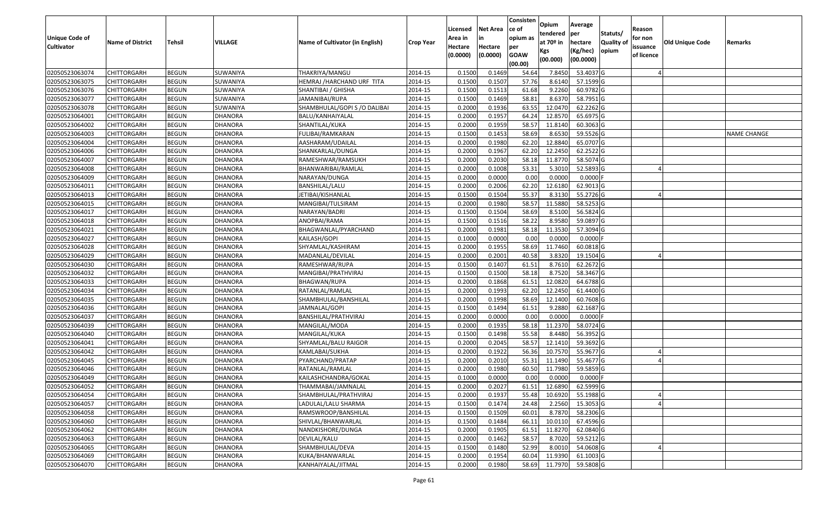| Unique Code of    | <b>Name of District</b> | Tehsil       | VILLAGE        | Name of Cultivator (in English) | <b>Crop Year</b> | Licensed<br>Area in | Net Area<br>in      | Consisten<br>ce of<br>opium as | Opium<br>tendered<br>at 70 <sup>o</sup> in | Average<br>per<br>hectare | Statuts/<br><b>Quality of</b> | Reason<br>for non      | <b>Old Unique Code</b> | Remarks            |
|-------------------|-------------------------|--------------|----------------|---------------------------------|------------------|---------------------|---------------------|--------------------------------|--------------------------------------------|---------------------------|-------------------------------|------------------------|------------------------|--------------------|
| <b>Cultivator</b> |                         |              |                |                                 |                  | Hectare<br>(0.0000) | Hectare<br>(0.0000) | per<br><b>GOAW</b><br>(00.00)  | Kgs<br>(00.000)                            | (Kg/hec)<br>(00.0000)     | opium                         | issuance<br>of licence |                        |                    |
| 02050523063074    | <b>CHITTORGARH</b>      | <b>BEGUN</b> | SUWANIYA       | THAKRIYA/MANGU                  | 2014-15          | 0.1500              | 0.1469              | 54.64                          | 7.8450                                     | 53.4037 G                 |                               |                        |                        |                    |
| 02050523063075    | CHITTORGARH             | <b>BEGUN</b> | SUWANIYA       | HEMRAJ /HARCHAND URF TITA       | 2014-15          | 0.1500              | 0.1507              | 57.76                          | 8.6140                                     | 57.1599 G                 |                               |                        |                        |                    |
| 02050523063076    | CHITTORGARH             | <b>BEGUN</b> | SUWANIYA       | SHANTIBAI / GHISHA              | 2014-15          | 0.1500              | 0.1513              | 61.68                          | 9.2260                                     | 60.9782 G                 |                               |                        |                        |                    |
| 02050523063077    | <b>CHITTORGARH</b>      | <b>BEGUN</b> | SUWANIYA       | JAMANIBAI/RUPA                  | 2014-15          | 0.1500              | 0.1469              | 58.81                          | 8.6370                                     | 58.7951 G                 |                               |                        |                        |                    |
| 02050523063078    | CHITTORGARH             | <b>BEGUN</b> | SUWANIYA       | SHAMBHULAL/GOPI S / O DALIBAI   | 2014-15          | 0.2000              | 0.1936              | 63.55                          | 12.0470                                    | 62.2262 G                 |                               |                        |                        |                    |
| 02050523064001    | CHITTORGARH             | <b>BEGUN</b> | <b>DHANORA</b> | BALU/KANHAIYALAL                | 2014-15          | 0.2000              | 0.1957              | 64.24                          | 12.8570                                    | 65.6975 G                 |                               |                        |                        |                    |
| 02050523064002    | CHITTORGARH             | <b>BEGUN</b> | DHANORA        | SHANTILAL/KUKA                  | 2014-15          | 0.2000              | 0.1959              | 58.57                          | 11.8140                                    | 60.3063 G                 |                               |                        |                        |                    |
| 02050523064003    | CHITTORGARH             | <b>BEGUN</b> | <b>DHANORA</b> | FULIBAI/RAMKARAN                | 2014-15          | 0.1500              | 0.1453              | 58.69                          | 8.6530                                     | 59.5526 G                 |                               |                        |                        | <b>NAME CHANGE</b> |
| 02050523064004    | CHITTORGARH             | <b>BEGUN</b> | <b>DHANORA</b> | AASHARAM/UDAILAL                | 2014-15          | 0.2000              | 0.1980              | 62.20                          | 12.8840                                    | 65.0707 G                 |                               |                        |                        |                    |
| 02050523064006    | CHITTORGARH             | <b>BEGUN</b> | <b>DHANORA</b> | SHANKARLAL/DUNGA                | 2014-15          | 0.2000              | 0.1967              | 62.20                          | 12.2450                                    | 62.2522 G                 |                               |                        |                        |                    |
| 02050523064007    | CHITTORGARH             | <b>BEGUN</b> | <b>DHANORA</b> | RAMESHWAR/RAMSUKH               | 2014-15          | 0.2000              | 0.2030              | 58.18                          | 11.8770                                    | 58.5074 G                 |                               |                        |                        |                    |
| 02050523064008    | <b>CHITTORGARH</b>      | <b>BEGUN</b> | <b>DHANORA</b> | BHANWARIBAI/RAMLAL              | 2014-15          | 0.2000              | 0.1008              | 53.31                          | 5.3010                                     | 52.5893 G                 |                               |                        |                        |                    |
| 02050523064009    | <b>CHITTORGARH</b>      | <b>BEGUN</b> | <b>DHANORA</b> | NARAYAN/DUNGA                   | 2014-15          | 0.2000              | 0.0000              | 0.00                           | 0.0000                                     | $0.0000$ F                |                               |                        |                        |                    |
| 02050523064011    | <b>CHITTORGARH</b>      | <b>BEGUN</b> | DHANORA        | BANSHILAL/LALU                  | 2014-15          | 0.2000              | 0.2006              | 62.20                          | 12.6180                                    | 62.9013 G                 |                               |                        |                        |                    |
| 02050523064013    | CHITTORGARH             | <b>BEGUN</b> | DHANORA        | JETIBAI/KISHANLAL               | 2014-15          | 0.1500              | 0.1504              | 55.37                          | 8.3130                                     | 55.2726 G                 |                               |                        |                        |                    |
| 02050523064015    | <b>CHITTORGARH</b>      | <b>BEGUN</b> | <b>DHANORA</b> | MANGIBAI/TULSIRAM               | 2014-15          | 0.2000              | 0.1980              | 58.57                          | 11.5880                                    | 58.5253 G                 |                               |                        |                        |                    |
| 02050523064017    | CHITTORGARH             | <b>BEGUN</b> | <b>DHANORA</b> | NARAYAN/BADRI                   | 2014-15          | 0.1500              | 0.1504              | 58.69                          | 8.5100                                     | 56.5824 G                 |                               |                        |                        |                    |
| 02050523064018    | CHITTORGARH             | <b>BEGUN</b> | DHANORA        | ANOPBAI/RAMA                    | 2014-15          | 0.1500              | 0.1516              | 58.22                          | 8.9580                                     | 59.0897 G                 |                               |                        |                        |                    |
| 02050523064021    | CHITTORGARH             | <b>BEGUN</b> | DHANORA        | BHAGWANLAL/PYARCHAND            | 2014-15          | 0.2000              | 0.1981              | 58.18                          | 11.3530                                    | 57.3094 G                 |                               |                        |                        |                    |
| 02050523064027    | CHITTORGARH             | <b>BEGUN</b> | DHANORA        | KAILASH/GOPI                    | 2014-15          | 0.1000              | 0.0000              | 0.00                           | 0.0000                                     | $0.0000$ F                |                               |                        |                        |                    |
| 02050523064028    | CHITTORGARH             | <b>BEGUN</b> | <b>DHANORA</b> | SHYAMLAL/KASHIRAM               | 2014-15          | 0.2000              | 0.1955              | 58.69                          | 11.7460                                    | 60.0818 G                 |                               |                        |                        |                    |
| 02050523064029    | CHITTORGARH             | <b>BEGUN</b> | DHANORA        | MADANLAL/DEVILAL                | 2014-15          | 0.2000              | 0.2001              | 40.58                          | 3.8320                                     | 19.1504 G                 |                               |                        |                        |                    |
| 02050523064030    | CHITTORGARH             | <b>BEGUN</b> | DHANORA        | RAMESHWAR/RUPA                  | 2014-15          | 0.1500              | 0.1407              | 61.51                          | 8.7610                                     | 62.2672 G                 |                               |                        |                        |                    |
| 02050523064032    | CHITTORGARH             | <b>BEGUN</b> | DHANORA        | MANGIBAI/PRATHVIRAJ             | 2014-15          | 0.1500              | 0.1500              | 58.18                          | 8.7520                                     | 58.3467 G                 |                               |                        |                        |                    |
| 02050523064033    | CHITTORGARH             | <b>BEGUN</b> | <b>DHANORA</b> | <b>BHAGWAN/RUPA</b>             | 2014-15          | 0.2000              | 0.1868              | 61.51                          | 12.0820                                    | 64.6788 G                 |                               |                        |                        |                    |
| 02050523064034    | CHITTORGARH             | <b>BEGUN</b> | <b>DHANORA</b> | RATANLAL/RAMLAL                 | 2014-15          | 0.2000              | 0.1993              | 62.20                          | 12.2450                                    | 61.4400 G                 |                               |                        |                        |                    |
| 02050523064035    | CHITTORGARH             | <b>BEGUN</b> | <b>DHANORA</b> | SHAMBHULAL/BANSHILAL            | 2014-15          | 0.2000              | 0.1998              | 58.69                          | 12.1400                                    | 60.7608 G                 |                               |                        |                        |                    |
| 02050523064036    | CHITTORGARH             | <b>BEGUN</b> | <b>DHANORA</b> | JAMNALAL/GOPI                   | 2014-15          | 0.1500              | 0.1494              | 61.51                          | 9.2880                                     | 62.1687 G                 |                               |                        |                        |                    |
| 02050523064037    | CHITTORGARH             | <b>BEGUN</b> | <b>DHANORA</b> | BANSHILAL/PRATHVIRAJ            | 2014-15          | 0.2000              | 0.0000              | 0.00                           | 0.0000                                     | $0.0000$ F                |                               |                        |                        |                    |
| 02050523064039    | CHITTORGARH             | <b>BEGUN</b> | <b>DHANORA</b> | MANGILAL/MODA                   | 2014-15          | 0.2000              | 0.1935              | 58.18                          | 11.2370                                    | 58.0724 G                 |                               |                        |                        |                    |
| 02050523064040    | CHITTORGARH             | <b>BEGUN</b> | <b>DHANORA</b> | MANGILAL/KUKA                   | 2014-15          | 0.1500              | 0.1498              | 55.58                          | 8.4480                                     | 56.3952 G                 |                               |                        |                        |                    |
| 02050523064041    | CHITTORGARH             | <b>BEGUN</b> | DHANORA        | SHYAMLAL/BALU RAIGOR            | 2014-15          | 0.2000              | 0.2045              | 58.57                          | 12.1410                                    | 59.3692 G                 |                               |                        |                        |                    |
| 02050523064042    | CHITTORGARH             | <b>BEGUN</b> | <b>DHANORA</b> | KAMLABAI/SUKHA                  | 2014-15          | 0.2000              | 0.1922              | 56.36                          | 10.7570                                    | 55.9677 G                 |                               |                        |                        |                    |
| 02050523064045    | CHITTORGARH             | <b>BEGUN</b> | <b>DHANORA</b> | PYARCHAND/PRATAP                | 2014-15          | 0.2000              | 0.2010              | 55.31                          | 11.1490                                    | 55.4677 G                 |                               |                        |                        |                    |
| 02050523064046    | CHITTORGARH             | <b>BEGUN</b> | <b>DHANORA</b> | RATANLAL/RAMLAL                 | 2014-15          | 0.2000              | 0.1980              | 60.50                          | 11.7980                                    | 59.5859 G                 |                               |                        |                        |                    |
| 02050523064049    | CHITTORGARH             | <b>BEGUN</b> | <b>DHANORA</b> | KAILASHCHANDRA/GOKAL            | 2014-15          | 0.1000              | 0.0000              | 0.00                           | 0.0000                                     | $0.0000$ F                |                               |                        |                        |                    |
| 02050523064052    | <b>CHITTORGARH</b>      | <b>BEGUN</b> | <b>DHANORA</b> | THAMMABAI/JAMNALAL              | 2014-15          | 0.2000              | 0.2027              | 61.51                          |                                            | 12.6890 62.5999 G         |                               |                        |                        |                    |
| 02050523064054    | <b>CHITTORGARH</b>      | <b>BEGUN</b> | <b>DHANORA</b> | SHAMBHULAL/PRATHVIRAJ           | 2014-15          | 0.2000              | 0.1937              | 55.48                          | 10.6920                                    | 55.1988 G                 |                               |                        |                        |                    |
| 02050523064057    | <b>CHITTORGARH</b>      | <b>BEGUN</b> | <b>DHANORA</b> | LADULAL/LALU SHARMA             | 2014-15          | 0.1500              | 0.1474              | 24.48                          | 2.2560                                     | 15.3053 G                 |                               |                        |                        |                    |
| 02050523064058    | <b>CHITTORGARH</b>      | <b>BEGUN</b> | <b>DHANORA</b> | RAMSWROOP/BANSHILAL             | 2014-15          | 0.1500              | 0.1509              | 60.01                          | 8.7870                                     | 58.2306 G                 |                               |                        |                        |                    |
| 02050523064060    | <b>CHITTORGARH</b>      | <b>BEGUN</b> | <b>DHANORA</b> | SHIVLAL/BHANWARLAL              | 2014-15          | 0.1500              | 0.1484              | 66.11                          | 10.0110                                    | 67.4596 G                 |                               |                        |                        |                    |
| 02050523064062    | <b>CHITTORGARH</b>      | <b>BEGUN</b> | <b>DHANORA</b> | NANDKISHORE/DUNGA               | 2014-15          | 0.2000              | 0.1905              | 61.51                          | 11.8270                                    | 62.0840 G                 |                               |                        |                        |                    |
| 02050523064063    | <b>CHITTORGARH</b>      | <b>BEGUN</b> | <b>DHANORA</b> | DEVILAL/KALU                    | 2014-15          | 0.2000              | 0.1462              | 58.57                          | 8.7020                                     | 59.5212 G                 |                               |                        |                        |                    |
| 02050523064065    | <b>CHITTORGARH</b>      | <b>BEGUN</b> | <b>DHANORA</b> | SHAMBHULAL/DEVA                 | 2014-15          | 0.1500              | 0.1480              | 52.99                          | 8.0010                                     | 54.0608 G                 |                               |                        |                        |                    |
| 02050523064069    | <b>CHITTORGARH</b>      | <b>BEGUN</b> | <b>DHANORA</b> | KUKA/BHANWARLAL                 | 2014-15          | 0.2000              | 0.1954              | 60.04                          | 11.9390                                    | $61.1003$ G               |                               |                        |                        |                    |
| 02050523064070    | <b>CHITTORGARH</b>      | <b>BEGUN</b> | <b>DHANORA</b> | KANHAIYALAL/JITMAL              | 2014-15          | 0.2000              | 0.1980              | 58.69                          | 11.7970                                    | 59.5808 G                 |                               |                        |                        |                    |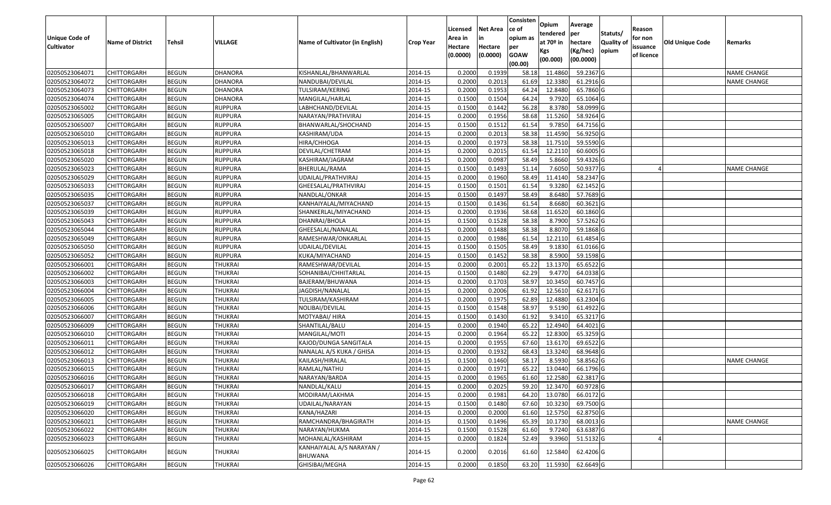| <b>Unique Code of</b> |                         |              |                |                                      |                  | Licensed<br>Area in | <b>Net Area</b><br>in | Consisten<br>ce of<br>opium as | Opium<br>tendered              | Average<br>per                   | Statuts/                  | Reason<br>for non      |                 |                    |
|-----------------------|-------------------------|--------------|----------------|--------------------------------------|------------------|---------------------|-----------------------|--------------------------------|--------------------------------|----------------------------------|---------------------------|------------------------|-----------------|--------------------|
| <b>Cultivator</b>     | <b>Name of District</b> | Tehsil       | VILLAGE        | Name of Cultivator (in English)      | <b>Crop Year</b> | Hectare<br>(0.0000) | Hectare<br>(0.0000)   | per<br><b>GOAW</b><br>(00.00)  | at $70°$ in<br>Kgs<br>(00.000) | hectare<br>(Kg/hec)<br>(00.0000) | <b>Quality o</b><br>opium | issuance<br>of licence | Old Unique Code | Remarks            |
| 02050523064071        | <b>CHITTORGARH</b>      | <b>BEGUN</b> | <b>DHANORA</b> | KISHANLAL/BHANWARLAL                 | 2014-15          | 0.2000              | 0.1939                | 58.18                          | 11.4860                        | 59.2367 G                        |                           |                        |                 | <b>NAME CHANGE</b> |
| 02050523064072        | <b>CHITTORGARH</b>      | <b>BEGUN</b> | <b>DHANORA</b> | NANDUBAI/DEVILAL                     | 2014-15          | 0.2000              | 0.2013                | 61.69                          | 12.3380                        | 61.2916 G                        |                           |                        |                 | <b>NAME CHANGE</b> |
| 02050523064073        | <b>CHITTORGARH</b>      | <b>BEGUN</b> | <b>DHANORA</b> | TULSIRAM/KERING                      | 2014-15          | 0.2000              | 0.1953                | 64.24                          | 12.8480                        | 65.7860 G                        |                           |                        |                 |                    |
| 02050523064074        | <b>CHITTORGARH</b>      | <b>BEGUN</b> | <b>DHANORA</b> | MANGILAL/HARLAL                      | 2014-15          | 0.1500              | 0.1504                | 64.24                          | 9.7920                         | 65.1064 G                        |                           |                        |                 |                    |
| 02050523065002        | <b>CHITTORGARH</b>      | <b>BEGUN</b> | <b>RUPPURA</b> | LABHCHAND/DEVILAL                    | 2014-15          | 0.1500              | 0.1442                | 56.28                          | 8.3780                         | 58.0999 G                        |                           |                        |                 |                    |
| 02050523065005        | <b>CHITTORGARH</b>      | <b>BEGUN</b> | <b>RUPPURA</b> | NARAYAN/PRATHVIRAJ                   | 2014-15          | 0.2000              | 0.1956                | 58.68                          | 11.5260                        | 58.9264 G                        |                           |                        |                 |                    |
| 02050523065007        | CHITTORGARH             | <b>BEGUN</b> | RUPPURA        | BHANWARLAL/SHOCHAND                  | 2014-15          | 0.1500              | 0.1512                | 61.54                          | 9.7850                         | 64.7156 G                        |                           |                        |                 |                    |
| 02050523065010        | <b>CHITTORGARH</b>      | <b>BEGUN</b> | <b>RUPPURA</b> | KASHIRAM/UDA                         | 2014-15          | 0.2000              | 0.2013                | 58.38                          | 11.4590                        | 56.9250 G                        |                           |                        |                 |                    |
| 02050523065013        | <b>CHITTORGARH</b>      | <b>BEGUN</b> | <b>RUPPURA</b> | HIRA/CHHOGA                          | 2014-15          | 0.2000              | 0.1973                | 58.38                          | 11.7510                        | 59.5590 G                        |                           |                        |                 |                    |
| 02050523065018        | <b>CHITTORGARH</b>      | <b>BEGUN</b> | <b>RUPPURA</b> | DEVILAL/CHETRAM                      | 2014-15          | 0.2000              | 0.2015                | 61.54                          | 12.2110                        | 60.6005 G                        |                           |                        |                 |                    |
| 02050523065020        | <b>CHITTORGARH</b>      | <b>BEGUN</b> | <b>RUPPURA</b> | KASHIRAM/JAGRAM                      | 2014-15          | 0.2000              | 0.0987                | 58.49                          | 5.8660                         | 59.4326 G                        |                           |                        |                 |                    |
| 02050523065023        | <b>CHITTORGARH</b>      | <b>BEGUN</b> | <b>RUPPURA</b> | BHERULAL/RAMA                        | 2014-15          | 0.1500              | 0.1493                | 51.14                          | 7.6050                         | 50.9377 G                        |                           |                        |                 | <b>NAME CHANGE</b> |
| 02050523065029        | <b>CHITTORGARH</b>      | <b>BEGUN</b> | <b>RUPPURA</b> | UDAILAL/PRATHVIRAJ                   | 2014-15          | 0.2000              | 0.1960                | 58.49                          | 11.4140                        | 58.2347 G                        |                           |                        |                 |                    |
| 02050523065033        | <b>CHITTORGARH</b>      | <b>BEGUN</b> | <b>RUPPURA</b> | GHEESALAL/PRATHVIRAJ                 | 2014-15          | 0.1500              | 0.1501                | 61.54                          | 9.3280                         | 62.1452 G                        |                           |                        |                 |                    |
| 02050523065035        | CHITTORGARH             | <b>BEGUN</b> | <b>RUPPURA</b> | NANDLAL/ONKAR                        | 2014-15          | 0.1500              | 0.1497                | 58.49                          | 8.6480                         | 57.7689 G                        |                           |                        |                 |                    |
| 02050523065037        | <b>CHITTORGARH</b>      | <b>BEGUN</b> | <b>RUPPURA</b> | KANHAIYALAL/MIYACHAND                | 2014-15          | 0.1500              | 0.1436                | 61.54                          | 8.6680                         | 60.3621 G                        |                           |                        |                 |                    |
| 02050523065039        | <b>CHITTORGARH</b>      | <b>BEGUN</b> | <b>RUPPURA</b> | SHANKERLAL/MIYACHAND                 | 2014-15          | 0.2000              | 0.1936                | 58.68                          | 11.6520                        | 60.1860 G                        |                           |                        |                 |                    |
| 02050523065043        | <b>CHITTORGARH</b>      | <b>BEGUN</b> | <b>RUPPURA</b> | DHANRAJ/BHOLA                        | 2014-15          | 0.1500              | 0.1528                | 58.38                          | 8.7900                         | 57.5262 G                        |                           |                        |                 |                    |
| 02050523065044        | <b>CHITTORGARH</b>      | <b>BEGUN</b> | <b>RUPPURA</b> | GHEESALAL/NANALAL                    | 2014-15          | 0.2000              | 0.1488                | 58.38                          | 8.8070                         | 59.1868 G                        |                           |                        |                 |                    |
| 02050523065049        | <b>CHITTORGARH</b>      | <b>BEGUN</b> | <b>RUPPURA</b> | RAMESHWAR/ONKARLAL                   | 2014-15          | 0.2000              | 0.1986                | 61.54                          | 12.2110                        | 61.4854 G                        |                           |                        |                 |                    |
| 02050523065050        | <b>CHITTORGARH</b>      | <b>BEGUN</b> | <b>RUPPURA</b> | UDAILAL/DEVILAL                      | 2014-15          | 0.1500              | 0.1505                | 58.49                          | 9.1830                         | 61.0166 G                        |                           |                        |                 |                    |
| 02050523065052        | <b>CHITTORGARH</b>      | <b>BEGUN</b> | <b>RUPPURA</b> | KUKA/MIYACHAND                       | 2014-15          | 0.1500              | 0.1452                | 58.38                          | 8.5900                         | 59.1598 G                        |                           |                        |                 |                    |
| 02050523066001        | CHITTORGARH             | <b>BEGUN</b> | <b>THUKRAI</b> | RAMESHWAR/DEVILAL                    | 2014-15          | 0.2000              | 0.2001                | 65.22                          | 13.1370                        | 65.6522 G                        |                           |                        |                 |                    |
| 02050523066002        | <b>CHITTORGARH</b>      | <b>BEGUN</b> | THUKRAI        | SOHANIBAI/CHHITARLAL                 | 2014-15          | 0.1500              | 0.1480                | 62.29                          | 9.4770                         | 64.0338 G                        |                           |                        |                 |                    |
| 02050523066003        | <b>CHITTORGARH</b>      | <b>BEGUN</b> | <b>THUKRAI</b> | BAJERAM/BHUWANA                      | 2014-15          | 0.2000              | 0.1703                | 58.97                          | 10.3450                        | 60.7457 G                        |                           |                        |                 |                    |
| 02050523066004        | <b>CHITTORGARH</b>      | <b>BEGUN</b> | <b>THUKRAI</b> | JAGDISH/NANALAL                      | 2014-15          | 0.2000              | 0.2006                | 61.92                          | 12.5610                        | 62.6171 G                        |                           |                        |                 |                    |
| 02050523066005        | <b>CHITTORGARH</b>      | <b>BEGUN</b> | <b>THUKRAI</b> | TULSIRAM/KASHIRAM                    | 2014-15          | 0.2000              | 0.1975                | 62.89                          | 12.4880                        | 63.2304 G                        |                           |                        |                 |                    |
| 02050523066006        | <b>CHITTORGARH</b>      | <b>BEGUN</b> | <b>THUKRAI</b> | NOLIBAI/DEVILAL                      | 2014-15          | 0.1500              | 0.1548                | 58.97                          | 9.5190                         | 61.4922 G                        |                           |                        |                 |                    |
| 02050523066007        | <b>CHITTORGARH</b>      | <b>BEGUN</b> | <b>THUKRAI</b> | MOTYABAI/ HIRA                       | 2014-15          | 0.1500              | 0.1430                | 61.92                          | 9.3410                         | 65.3217 G                        |                           |                        |                 |                    |
| 02050523066009        | <b>CHITTORGARH</b>      | <b>BEGUN</b> | <b>THUKRAI</b> | SHANTILAL/BALU                       | 2014-15          | 0.2000              | 0.1940                | 65.22                          | 12.4940                        | 64.4021 G                        |                           |                        |                 |                    |
| 02050523066010        | <b>CHITTORGARH</b>      | <b>BEGUN</b> | <b>THUKRAI</b> | MANGILAL/MOTI                        | 2014-15          | 0.2000              | 0.1964                | 65.22                          | 12.8300                        | 65.3259 G                        |                           |                        |                 |                    |
| 02050523066011        | CHITTORGARH             | <b>BEGUN</b> | <b>THUKRAI</b> | KAJOD/DUNGA SANGITALA                | 2014-15          | 0.2000              | 0.1955                | 67.60                          | 13.6170                        | 69.6522 G                        |                           |                        |                 |                    |
| 02050523066012        | <b>CHITTORGARH</b>      | <b>BEGUN</b> | <b>THUKRAI</b> | NANALAL A/S KUKA / GHISA             | 2014-15          | 0.2000              | 0.1932                | 68.43                          | 13.3240                        | 68.9648 G                        |                           |                        |                 |                    |
| 02050523066013        | <b>CHITTORGARH</b>      | <b>BEGUN</b> | <b>THUKRAI</b> | KAILASH/HIRALAL                      | 2014-15          | 0.1500              | 0.1460                | 58.17                          | 8.5930                         | 58.8562 G                        |                           |                        |                 | <b>NAME CHANGE</b> |
| 02050523066015        | CHITTORGARH             | <b>BEGUN</b> | <b>THUKRAI</b> | RAMLAL/NATHU                         | 2014-15          | 0.2000              | 0.1971                | 65.22                          | 13.0440                        | 66.1796 G                        |                           |                        |                 |                    |
| 02050523066016        | <b>CHITTORGARH</b>      | <b>BEGUN</b> | <b>THUKRAI</b> | NARAYAN/BARDA                        | 2014-15          | 0.2000              | 0.1965                | 61.60                          | 12.2580                        | 62.3817 G                        |                           |                        |                 |                    |
| 02050523066017        | CHITTORGARH             | <b>BEGUN</b> | <b>THUKRAI</b> | NANDLAL/KALU                         | 2014-15          | 0.2000              | 0.2025                | 59.20                          | 12.3470                        | 60.9728 G                        |                           |                        |                 |                    |
| 02050523066018        | <b>CHITTORGARH</b>      | <b>BEGUN</b> | <b>THUKRAI</b> | MODIRAM/LAKHMA                       | 2014-15          | 0.2000              | 0.1981                | 64.20                          | 13.0780                        | 66.0172 G                        |                           |                        |                 |                    |
| 02050523066019        | <b>CHITTORGARH</b>      | <b>BEGUN</b> | <b>THUKRAI</b> | UDAILAL/NARAYAN                      | 2014-15          | 0.1500              | 0.1480                | 67.60                          | 10.3230                        | 69.7500 G                        |                           |                        |                 |                    |
| 02050523066020        | <b>CHITTORGARH</b>      | <b>BEGUN</b> | <b>THUKRAI</b> | KANA/HAZARI                          | 2014-15          | 0.2000              | 0.2000                | 61.60                          | 12.5750                        | 62.8750 G                        |                           |                        |                 |                    |
| 02050523066021        | <b>CHITTORGARH</b>      | <b>BEGUN</b> | <b>THUKRAI</b> | RAMCHANDRA/BHAGIRATH                 | 2014-15          | 0.1500              | 0.1496                | 65.39                          | 10.1730                        | 68.0013 G                        |                           |                        |                 | <b>NAME CHANGE</b> |
| 02050523066022        | <b>CHITTORGARH</b>      | <b>BEGUN</b> | <b>THUKRAI</b> | NARAYAN/HUKMA                        | 2014-15          | 0.1500              | 0.1528                | 61.60                          | 9.7240                         | 63.6387 G                        |                           |                        |                 |                    |
| 02050523066023        | <b>CHITTORGARH</b>      | <b>BEGUN</b> | <b>THUKRAI</b> | MOHANLAL/KASHIRAM                    | 2014-15          | 0.2000              | 0.1824                | 52.49                          | 9.3960                         | 51.5132 G                        |                           |                        |                 |                    |
| 02050523066025        | <b>CHITTORGARH</b>      | <b>BEGUN</b> | THUKRAI        | KANHAIYALAL A/S NARAYAN /<br>BHUWANA | 2014-15          | 0.2000              | 0.2016                | 61.60                          | 12.5840                        | 62.4206 G                        |                           |                        |                 |                    |
| 02050523066026        | <b>CHITTORGARH</b>      | <b>BEGUN</b> | <b>THUKRAI</b> | GHISIBAI/MEGHA                       | 2014-15          | 0.2000              | 0.1850                |                                | 63.20 11.5930                  | 62.6649 G                        |                           |                        |                 |                    |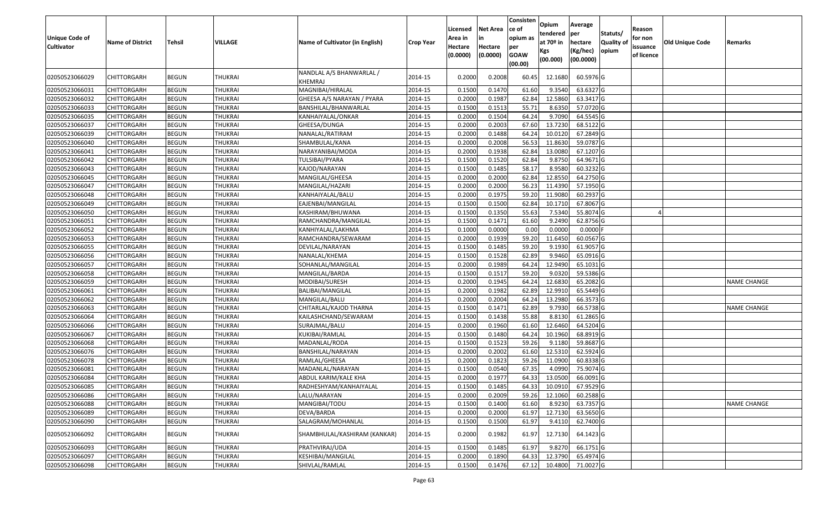| <b>Unique Code of</b><br><b>Cultivator</b> | <b>Name of District</b> | <b>Tehsil</b> | VILLAGE        | Name of Cultivator (in English)     | <b>Crop Year</b> | Licensed<br>Area in<br>Hectare<br>(0.0000) | <b>Net Area</b><br>in<br>Hectare<br>(0.0000) | Consisten<br>ce of<br>opium as<br>per<br><b>GOAW</b><br>(00.00) | Opium<br>tendered<br>at $70°$ in<br>Kgs<br>(00.000) | Average<br>per<br>hectare<br>(Kg/hec)<br>(00.0000) | Statuts/<br>Quality of<br>opium | Reason<br>for non<br>issuance<br>of licence | <b>Old Unique Code</b> | Remarks            |
|--------------------------------------------|-------------------------|---------------|----------------|-------------------------------------|------------------|--------------------------------------------|----------------------------------------------|-----------------------------------------------------------------|-----------------------------------------------------|----------------------------------------------------|---------------------------------|---------------------------------------------|------------------------|--------------------|
| 02050523066029                             | CHITTORGARH             | <b>BEGUN</b>  | THUKRAI        | NANDLAL A/S BHANWARLAL /<br>KHEMRAJ | 2014-15          | 0.2000                                     | 0.2008                                       | 60.45                                                           | 12.1680                                             | 60.5976 G                                          |                                 |                                             |                        |                    |
| 02050523066031                             | <b>CHITTORGARH</b>      | <b>BEGUN</b>  | <b>THUKRAI</b> | MAGNIBAI/HIRALAL                    | 2014-15          | 0.1500                                     | 0.1470                                       | 61.60                                                           | 9.3540                                              | 63.6327 G                                          |                                 |                                             |                        |                    |
| 02050523066032                             | <b>CHITTORGARH</b>      | <b>BEGUN</b>  | <b>THUKRAI</b> | GHEESA A/S NARAYAN / PYARA          | 2014-15          | 0.2000                                     | 0.1987                                       | 62.84                                                           | 12.5860                                             | 63.3417 G                                          |                                 |                                             |                        |                    |
| 02050523066033                             | <b>CHITTORGARH</b>      | <b>BEGUN</b>  | <b>THUKRAI</b> | BANSHILAL/BHANWARLAL                | 2014-15          | 0.1500                                     | 0.1513                                       | 55.71                                                           | 8.6350                                              | 57.0720 G                                          |                                 |                                             |                        |                    |
| 02050523066035                             | CHITTORGARH             | <b>BEGUN</b>  | <b>THUKRAI</b> | KANHAIYALAL/ONKAR                   | 2014-15          | 0.2000                                     | 0.1504                                       | 64.24                                                           | 9.7090                                              | 64.5545 G                                          |                                 |                                             |                        |                    |
| 02050523066037                             | <b>CHITTORGARH</b>      | <b>BEGUN</b>  | <b>THUKRAI</b> | GHEESA/DUNGA                        | 2014-15          | 0.2000                                     | 0.2003                                       | 67.60                                                           | 13.7230                                             | 68.5122 G                                          |                                 |                                             |                        |                    |
| 02050523066039                             | CHITTORGARH             | <b>BEGUN</b>  | <b>THUKRAI</b> | NANALAL/RATIRAM                     | 2014-15          | 0.2000                                     | 0.1488                                       | 64.24                                                           | 10.0120                                             | 67.2849 G                                          |                                 |                                             |                        |                    |
| 02050523066040                             | CHITTORGARH             | <b>BEGUN</b>  | <b>THUKRAI</b> | SHAMBULAL/KANA                      | 2014-15          | 0.2000                                     | 0.2008                                       | 56.53                                                           | 11.8630                                             | 59.0787 G                                          |                                 |                                             |                        |                    |
| 02050523066041                             | CHITTORGARH             | <b>BEGUN</b>  | <b>THUKRAI</b> | NARAYANIBAI/MODA                    | 2014-15          | 0.2000                                     | 0.1938                                       | 62.84                                                           | 13.0080                                             | 67.1207 G                                          |                                 |                                             |                        |                    |
| 02050523066042                             | CHITTORGARH             | <b>BEGUN</b>  | <b>THUKRAI</b> | TULSIBAI/PYARA                      | 2014-15          | 0.1500                                     | 0.1520                                       | 62.84                                                           | 9.8750                                              | 64.9671 G                                          |                                 |                                             |                        |                    |
| 02050523066043                             | CHITTORGARH             | <b>BEGUN</b>  | <b>THUKRAI</b> | KAJOD/NARAYAN                       | 2014-15          | 0.1500                                     | 0.1485                                       | 58.17                                                           | 8.9580                                              | 60.3232 G                                          |                                 |                                             |                        |                    |
| 02050523066045                             | CHITTORGARH             | <b>BEGUN</b>  | <b>THUKRAI</b> | MANGILAL/GHEESA                     | 2014-15          | 0.2000                                     | 0.2000                                       | 62.84                                                           | 12.855                                              | 64.2750 G                                          |                                 |                                             |                        |                    |
| 02050523066047                             | CHITTORGARH             | <b>BEGUN</b>  | <b>THUKRAI</b> | MANGILAL/HAZARI                     | 2014-15          | 0.2000                                     | 0.2000                                       | 56.23                                                           | 11.4390                                             | 57.1950 G                                          |                                 |                                             |                        |                    |
| 02050523066048                             | CHITTORGARH             | <b>BEGUN</b>  | <b>THUKRAI</b> | KANHAIYALAL/BALU                    | 2014-15          | 0.2000                                     | 0.1975                                       | 59.20                                                           | 11.9080                                             | 60.2937 G                                          |                                 |                                             |                        |                    |
| 02050523066049                             | CHITTORGARH             | <b>BEGUN</b>  | <b>THUKRAI</b> | EAJENBAI/MANGILAL                   | 2014-15          | 0.1500                                     | 0.1500                                       | 62.84                                                           | 10.1710                                             | 67.8067 G                                          |                                 |                                             |                        |                    |
| 02050523066050                             | CHITTORGARH             | <b>BEGUN</b>  | <b>THUKRAI</b> | KASHIRAM/BHUWANA                    | 2014-15          | 0.1500                                     | 0.1350                                       | 55.63                                                           | 7.5340                                              | 55.8074 G                                          |                                 |                                             |                        |                    |
| 02050523066051                             | CHITTORGARH             | <b>BEGUN</b>  | <b>THUKRAI</b> | RAMCHANDRA/MANGILAL                 | 2014-15          | 0.1500                                     | 0.1471                                       | 61.60                                                           | 9.2490                                              | 62.8756 G                                          |                                 |                                             |                        |                    |
| 02050523066052                             | CHITTORGARH             | <b>BEGUN</b>  | <b>THUKRAI</b> | KANHIYALAL/LAKHMA                   | 2014-15          | 0.1000                                     | 0.0000                                       | 0.00                                                            | 0.0000                                              | $0.0000$ F                                         |                                 |                                             |                        |                    |
| 02050523066053                             | CHITTORGARH             | <b>BEGUN</b>  | <b>THUKRAI</b> | RAMCHANDRA/SEWARAM                  | 2014-15          | 0.2000                                     | 0.1939                                       | 59.20                                                           | 11.6450                                             | 60.0567 G                                          |                                 |                                             |                        |                    |
| 02050523066055                             | CHITTORGARH             | <b>BEGUN</b>  | <b>THUKRAI</b> | DEVILAL/NARAYAN                     | 2014-15          | 0.1500                                     | 0.1485                                       | 59.20                                                           | 9.1930                                              | 61.9057 G                                          |                                 |                                             |                        |                    |
| 02050523066056                             | CHITTORGARH             | <b>BEGUN</b>  | <b>THUKRAI</b> | NANALAL/KHEMA                       | 2014-15          | 0.1500                                     | 0.1528                                       | 62.89                                                           | 9.9460                                              | 65.0916 G                                          |                                 |                                             |                        |                    |
| 02050523066057                             | CHITTORGARH             | <b>BEGUN</b>  | <b>THUKRAI</b> | SOHANLAL/MANGILAL                   | 2014-15          | 0.2000                                     | 0.1989                                       | 64.24                                                           | 12.9490                                             | 65.1031 G                                          |                                 |                                             |                        |                    |
| 02050523066058                             | CHITTORGARH             | <b>BEGUN</b>  | <b>THUKRAI</b> | MANGILAL/BARDA                      | 2014-15          | 0.1500                                     | 0.1517                                       | 59.20                                                           | 9.0320                                              | 59.5386 G                                          |                                 |                                             |                        |                    |
| 02050523066059                             | CHITTORGARH             | <b>BEGUN</b>  | <b>THUKRAI</b> | MODIBAI/SURESH                      | 2014-15          | 0.2000                                     | 0.1945                                       | 64.24                                                           | 12.6830                                             | 65.2082 G                                          |                                 |                                             |                        | <b>NAME CHANGE</b> |
| 02050523066061                             | CHITTORGARH             | <b>BEGUN</b>  | <b>THUKRAI</b> | BALIBAI/MANGILAL                    | 2014-15          | 0.2000                                     | 0.1982                                       | 62.89                                                           | 12.991                                              | 65.5449 G                                          |                                 |                                             |                        |                    |
| 02050523066062                             | CHITTORGARH             | <b>BEGUN</b>  | <b>THUKRAI</b> | MANGILAL/BALU                       | 2014-15          | 0.2000                                     | 0.2004                                       | 64.24                                                           | 13.2980                                             | 66.3573 G                                          |                                 |                                             |                        |                    |
| 02050523066063                             | <b>CHITTORGARH</b>      | <b>BEGUN</b>  | <b>THUKRAI</b> | CHITARLAL/KAJOD THARNA              | 2014-15          | 0.1500                                     | 0.1471                                       | 62.89                                                           | 9.7930                                              | 66.5738 G                                          |                                 |                                             |                        | <b>NAME CHANGE</b> |
| 02050523066064                             | CHITTORGARH             | <b>BEGUN</b>  | <b>THUKRAI</b> | KAILASHCHAND/SEWARAM                | 2014-15          | 0.1500                                     | 0.1438                                       | 55.88                                                           | 8.8130                                              | 61.2865 G                                          |                                 |                                             |                        |                    |
| 02050523066066                             | CHITTORGARH             | <b>BEGUN</b>  | <b>THUKRAI</b> | SURAJMAL/BALU                       | 2014-15          | 0.2000                                     | 0.1960                                       | 61.60                                                           | 12.6460                                             | 64.5204 G                                          |                                 |                                             |                        |                    |
| 02050523066067                             | CHITTORGARH             | <b>BEGUN</b>  | <b>THUKRAI</b> | KUKIBAI/RAMLAL                      | 2014-15          | 0.1500                                     | 0.1480                                       | 64.24                                                           | 10.1960                                             | 68.8919 G                                          |                                 |                                             |                        |                    |
| 02050523066068                             | CHITTORGARH             | <b>BEGUN</b>  | <b>THUKRAI</b> | MADANLAL/RODA                       | 2014-15          | 0.1500                                     | 0.1523                                       | 59.26                                                           | 9.1180                                              | 59.8687 G                                          |                                 |                                             |                        |                    |
| 02050523066076                             | CHITTORGARH             | <b>BEGUN</b>  | <b>THUKRAI</b> | BANSHILAL/NARAYAN                   | 2014-15          | 0.2000                                     | 0.2002                                       | 61.60                                                           | 12.5310                                             | 62.5924 G                                          |                                 |                                             |                        |                    |
| 02050523066078                             | CHITTORGARH             | <b>BEGUN</b>  | <b>THUKRAI</b> | RAMLAL/GHEESA                       | 2014-15          | 0.2000                                     | 0.1823                                       | 59.26                                                           | 11.0900                                             | 60.8338 G                                          |                                 |                                             |                        |                    |
| 02050523066081                             | CHITTORGARH             | <b>BEGUN</b>  | <b>THUKRAI</b> | MADANLAL/NARAYAN                    | 2014-15          | 0.150                                      | 0.0540                                       | 67.35                                                           | 4.099                                               | 75.9074 G                                          |                                 |                                             |                        |                    |
| 02050523066084                             | CHITTORGARH             | <b>BEGUN</b>  | <b>THUKRAI</b> | ABDUL KARIM/KALE KHA                | 2014-15          | 0.2000                                     | 0.1977                                       | 64.33                                                           | 13.0500                                             | 66.0091G                                           |                                 |                                             |                        |                    |
| 02050523066085                             | <b>CHITTORGARH</b>      | <b>BEGUN</b>  | <b>THUKRAI</b> | RADHESHYAM/KANHAIYALAL              | 2014-15          | 0.1500                                     | 0.1485                                       | 64.33                                                           | 10.0910                                             | 67.9529 G                                          |                                 |                                             |                        |                    |
| 02050523066086                             | <b>CHITTORGARH</b>      | <b>BEGUN</b>  | <b>THUKRAI</b> | LALU/NARAYAN                        | 2014-15          | 0.2000                                     | 0.2009                                       | 59.26                                                           | 12.1060                                             | 60.2588 G                                          |                                 |                                             |                        |                    |
| 02050523066088                             | <b>CHITTORGARH</b>      | <b>BEGUN</b>  | <b>THUKRAI</b> | MANGIBAI/TODU                       | 2014-15          | 0.1500                                     | 0.1400                                       | 61.60                                                           | 8.9230                                              | 63.7357 G                                          |                                 |                                             |                        | <b>NAME CHANGE</b> |
| 02050523066089                             | <b>CHITTORGARH</b>      | <b>BEGUN</b>  | <b>THUKRAI</b> | DEVA/BARDA                          | 2014-15          | 0.2000                                     | 0.2000                                       | 61.97                                                           | 12.7130                                             | 63.5650 G                                          |                                 |                                             |                        |                    |
| 02050523066090                             | CHITTORGARH             | <b>BEGUN</b>  | THUKRAI        | SALAGRAM/MOHANLAL                   | 2014-15          | 0.1500                                     | 0.1500                                       | 61.97                                                           | 9.4110                                              | 62.7400 G                                          |                                 |                                             |                        |                    |
| 02050523066092                             | <b>CHITTORGARH</b>      | <b>BEGUN</b>  | THUKRAI        | SHAMBHULAL/KASHIRAM (KANKAR)        | 2014-15          | 0.2000                                     | 0.1982                                       | 61.97                                                           | 12.7130                                             | 64.1423 G                                          |                                 |                                             |                        |                    |
| 02050523066093                             | <b>CHITTORGARH</b>      | <b>BEGUN</b>  | <b>THUKRAI</b> | PRATHVIRAJ/UDA                      | 2014-15          | 0.1500                                     | 0.1485                                       | 61.97                                                           | 9.8270                                              | 66.1751 G                                          |                                 |                                             |                        |                    |
| 02050523066097                             | CHITTORGARH             | <b>BEGUN</b>  | THUKRAI        | KESHIBAI/MANGILAL                   | 2014-15          | 0.2000                                     | 0.1890                                       | 64.33                                                           | 12.3790                                             | 65.4974 G                                          |                                 |                                             |                        |                    |
| 02050523066098                             | <b>CHITTORGARH</b>      | <b>BEGUN</b>  | THUKRAI        | SHIVLAL/RAMLAL                      | 2014-15          | 0.1500                                     | 0.1476                                       | 67.12                                                           | 10.4800                                             | 71.0027 G                                          |                                 |                                             |                        |                    |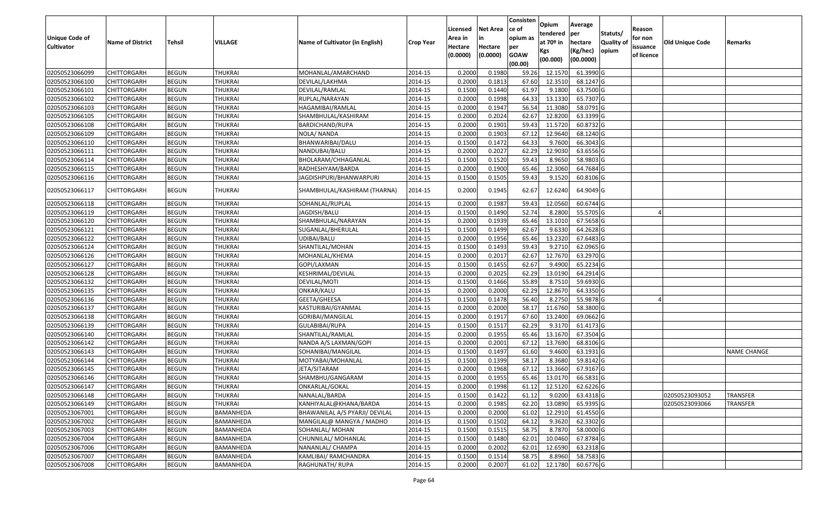|                   |                         |               |                |                                 |                  |          |                 | Consisten   | Opium                   | Average        |                  |            |                 |                    |
|-------------------|-------------------------|---------------|----------------|---------------------------------|------------------|----------|-----------------|-------------|-------------------------|----------------|------------------|------------|-----------------|--------------------|
|                   |                         |               |                |                                 |                  | Licensed | <b>Net Area</b> | ce of       |                         |                | Statuts/         | Reason     |                 |                    |
| Unique Code of    | <b>Name of District</b> | <b>Tehsil</b> | VILLAGE        | Name of Cultivator (in English) |                  | Area in  | in              | opium as    | tendered<br>at $70°$ in | per<br>hectare | <b>Quality o</b> | for non    | Old Unique Code | Remarks            |
| <b>Cultivator</b> |                         |               |                |                                 | <b>Crop Year</b> | Hectare  | Hectare         | per         | Kgs                     | (Kg/hec)       | opium            | issuance   |                 |                    |
|                   |                         |               |                |                                 |                  | (0.0000) | (0.0000)        | <b>GOAW</b> | (00.000)                | (00.0000)      |                  | of licence |                 |                    |
|                   |                         |               |                |                                 |                  |          |                 | (00.00)     |                         |                |                  |            |                 |                    |
| 02050523066099    | CHITTORGARH             | <b>BEGUN</b>  | <b>THUKRAI</b> | MOHANLAL/AMARCHAND              | 2014-15          | 0.2000   | 0.1980          | 59.26       | 12.1570                 | 61.3990 G      |                  |            |                 |                    |
| 02050523066100    | CHITTORGARH             | <b>BEGUN</b>  | <b>THUKRAI</b> | DEVILAL/LAKHMA                  | 2014-15          | 0.2000   | 0.1813          | 67.60       | 12.3510                 | 68.1247 G      |                  |            |                 |                    |
| 02050523066101    | CHITTORGARH             | <b>BEGUN</b>  | <b>THUKRAI</b> | DEVILAL/RAMLAL                  | 2014-15          | 0.1500   | 0.1440          | 61.97       | 9.1800                  | 63.7500 G      |                  |            |                 |                    |
| 02050523066102    | <b>CHITTORGARH</b>      | <b>BEGUN</b>  | <b>THUKRAI</b> | RUPLAL/NARAYAN                  | 2014-15          | 0.2000   | 0.1998          | 64.33       | 13.1330                 | 65.7307 G      |                  |            |                 |                    |
| 02050523066103    | CHITTORGARH             | <b>BEGUN</b>  | <b>THUKRAI</b> | HAGAMIBAI/RAMLAL                | 2014-15          | 0.2000   | 0.1947          | 56.54       | 11.3080                 | 58.0791 G      |                  |            |                 |                    |
| 02050523066105    | CHITTORGARH             | <b>BEGUN</b>  | <b>THUKRAI</b> | SHAMBHULAL/KASHIRAM             | 2014-15          | 0.2000   | 0.2024          | 62.67       | 12.8200                 | 63.3399 G      |                  |            |                 |                    |
| 02050523066108    | CHITTORGARH             | <b>BEGUN</b>  | <b>THUKRAI</b> | BARDICHAND/RUPA                 | 2014-15          | 0.2000   | 0.1901          | 59.43       | 11.5720                 | 60.8732 G      |                  |            |                 |                    |
| 02050523066109    | CHITTORGARH             | <b>BEGUN</b>  | <b>THUKRAI</b> | NOLA/ NANDA                     | 2014-15          | 0.2000   | 0.1903          | 67.12       | 12.9640                 | 68.1240 G      |                  |            |                 |                    |
| 02050523066110    | CHITTORGARH             | <b>BEGUN</b>  | <b>THUKRAI</b> | BHANWARIBAI/DALU                | 2014-15          | 0.1500   | 0.1472          | 64.33       | 9.7600                  | 66.3043 G      |                  |            |                 |                    |
| 02050523066111    | CHITTORGARH             | <b>BEGUN</b>  | <b>THUKRAI</b> | NANDUBAI/BALU                   | 2014-15          | 0.2000   | 0.2027          | 62.29       | 12.9030                 | 63.6556 G      |                  |            |                 |                    |
| 02050523066114    | CHITTORGARH             | <b>BEGUN</b>  | <b>THUKRAI</b> | BHOLARAM/CHHAGANLAL             | 2014-15          | 0.1500   | 0.1520          | 59.43       | 8.9650                  | 58.9803 G      |                  |            |                 |                    |
| 02050523066115    | CHITTORGARH             | <b>BEGUN</b>  | <b>THUKRAI</b> | RADHESHYAM/BARDA                | 2014-15          | 0.2000   | 0.1900          | 65.46       | 12.3060                 | 64.7684 G      |                  |            |                 |                    |
| 02050523066116    | CHITTORGARH             | <b>BEGUN</b>  | <b>THUKRAI</b> | JAGDISHPURI/BHANWARPURI         | 2014-15          | 0.1500   | 0.1505          | 59.43       | 9.1520                  | 60.8106 G      |                  |            |                 |                    |
| 02050523066117    | CHITTORGARH             | <b>BEGUN</b>  | THUKRAI        | SHAMBHULAL/KASHIRAM (THARNA)    | 2014-15          | 0.2000   | 0.1945          | 62.67       | 12.6240                 | 64.9049 G      |                  |            |                 |                    |
| 02050523066118    | CHITTORGARH             | <b>BEGUN</b>  | <b>THUKRAI</b> | SOHANLAL/RUPLAL                 | 2014-15          | 0.2000   | 0.1987          | 59.43       | 12.0560                 | 60.6744 G      |                  |            |                 |                    |
| 02050523066119    | CHITTORGARH             | <b>BEGUN</b>  | <b>THUKRAI</b> | JAGDISH/BALU                    | 2014-15          | 0.1500   | 0.1490          | 52.74       | 8.2800                  | 55.5705 G      |                  |            |                 |                    |
| 02050523066120    | CHITTORGARH             | <b>BEGUN</b>  | <b>THUKRAI</b> | SHAMBHULAL/NARAYAN              | 2014-15          | 0.2000   | 0.1939          | 65.46       | 13.1010                 | 67.5658 G      |                  |            |                 |                    |
| 02050523066121    | CHITTORGARH             | <b>BEGUN</b>  | <b>THUKRAI</b> | SUGANLAL/BHERULAL               | 2014-15          | 0.1500   | 0.1499          | 62.67       | 9.6330                  | 64.2628 G      |                  |            |                 |                    |
| 02050523066122    | CHITTORGARH             | <b>BEGUN</b>  | <b>THUKRAI</b> | JDIBAI/BALU                     | 2014-15          | 0.2000   | 0.1956          | 65.46       | 13.2320                 | 67.6483 G      |                  |            |                 |                    |
| 02050523066124    | CHITTORGARH             | <b>BEGUN</b>  | <b>THUKRAI</b> | SHANTILAL/MOHAN                 | 2014-15          | 0.1500   | 0.1493          | 59.43       | 9.2710                  | 62.0965 G      |                  |            |                 |                    |
| 02050523066126    | CHITTORGARH             | <b>BEGUN</b>  | <b>THUKRAI</b> | MOHANLAL/KHEMA                  | 2014-15          | 0.2000   | 0.2017          | 62.67       | 12.7670                 | 63.2970 G      |                  |            |                 |                    |
| 02050523066127    | CHITTORGARH             | <b>BEGUN</b>  | <b>THUKRAI</b> | GOPI/LAXMAN                     | 2014-15          | 0.1500   | 0.1455          | 62.67       | 9.4900                  | 65.2234 G      |                  |            |                 |                    |
| 02050523066128    | CHITTORGARH             | <b>BEGUN</b>  | <b>THUKRAI</b> | KESHRIMAL/DEVILAL               | 2014-15          | 0.2000   | 0.2025          | 62.29       | 13.0190                 | 64.2914 G      |                  |            |                 |                    |
| 02050523066132    | <b>CHITTORGARH</b>      | <b>BEGUN</b>  | <b>THUKRAI</b> | DEVILAL/MOTI                    | 2014-15          | 0.1500   | 0.1466          | 55.89       | 8.7510                  | 59.6930 G      |                  |            |                 |                    |
| 02050523066135    | CHITTORGARH             | <b>BEGUN</b>  | <b>THUKRAI</b> | ONKAR/KALU                      | 2014-15          | 0.2000   | 0.2000          | 62.29       | 12.8670                 | 64.3350 G      |                  |            |                 |                    |
| 02050523066136    | CHITTORGARH             | <b>BEGUN</b>  | <b>THUKRAI</b> | GEETA/GHEESA                    | 2014-15          | 0.1500   | 0.1478          | 56.40       | 8.2750                  | 55.9878 G      |                  |            |                 |                    |
| 02050523066137    | CHITTORGARH             | <b>BEGUN</b>  | <b>THUKRAI</b> | KASTURIBAI/GYANMAL              | 2014-15          | 0.2000   | 0.2000          | 58.17       | 11.6760                 | 58.3800 G      |                  |            |                 |                    |
| 02050523066138    | CHITTORGARH             | <b>BEGUN</b>  | <b>THUKRAI</b> | GORIBAI/MANGILAL                | 2014-15          | 0.2000   | 0.1917          | 67.60       | 13.2400                 | 69.0662 G      |                  |            |                 |                    |
| 02050523066139    | CHITTORGARH             | <b>BEGUN</b>  | <b>THUKRAI</b> | GULABIBAI/RUPA                  | 2014-15          | 0.1500   | 0.1517          | 62.29       | 9.3170                  | 61.4173 G      |                  |            |                 |                    |
| 02050523066140    | CHITTORGARH             | <b>BEGUN</b>  | <b>THUKRAI</b> | SHANTILAL/RAMLAL                | 2014-15          | 0.2000   | 0.1955          | 65.46       | 13.1670                 | 67.3504 G      |                  |            |                 |                    |
| 02050523066142    | CHITTORGARH             | <b>BEGUN</b>  | <b>THUKRAI</b> | NANDA A/S LAXMAN/GOPI           | 2014-15          | 0.2000   | 0.2001          | 67.12       | 13.7690                 | 68.8106 G      |                  |            |                 |                    |
| 02050523066143    | CHITTORGARH             | <b>BEGUN</b>  | <b>THUKRAI</b> | SOHANIBAI/MANGILAL              | 2014-15          | 0.1500   | 0.1497          | 61.60       | 9.4600                  | 63.1931G       |                  |            |                 | <b>NAME CHANGE</b> |
| 02050523066144    | <b>CHITTORGARH</b>      | <b>BEGUN</b>  | <b>THUKRAI</b> | MOTYABAI/MOHANLAL               | 2014-15          | 0.1500   | 0.1399          | 58.17       | 8.3680                  | 59.8142 G      |                  |            |                 |                    |
| 02050523066145    | CHITTORGARH             | <b>BEGUN</b>  | <b>THUKRAI</b> | JETA/SITARAM                    | 2014-15          | 0.2000   | 0.1968          | 67.12       | 13.3660                 | 67.9167 G      |                  |            |                 |                    |
| 02050523066146    | CHITTORGARH             | <b>BEGUN</b>  | <b>THUKRAI</b> | SHAMBHU/GANGARAM                | 2014-15          | 0.2000   | 0.1955          | 65.46       | 13.0170                 | 66.5831G       |                  |            |                 |                    |
| 02050523066147    | <b>CHITTORGARH</b>      | <b>BEGUN</b>  | <b>THUKRAI</b> | ONKARLAL/GOKAL                  | 2014-15          | 0.2000   | 0.1998          | 61.12       | 12.5120                 | 62.6226 G      |                  |            |                 |                    |
| 02050523066148    | <b>CHITTORGARH</b>      | <b>BEGUN</b>  | <b>THUKRAI</b> | NANALAL/BARDA                   | 2014-15          | 0.1500   | 0.1422          | 61.12       | 9.0200                  | 63.4318 G      |                  |            | 02050523093052  | <b>TRANSFER</b>    |
| 02050523066149    | <b>CHITTORGARH</b>      | <b>BEGUN</b>  | <b>THUKRAI</b> | KANHIYALAL@KHANA/BARDA          | 2014-15          | 0.2000   | 0.1985          | 62.20       | 13.0890                 | 65.9395 G      |                  |            | 02050523093066  | <b>TRANSFER</b>    |
| 02050523067001    | <b>CHITTORGARH</b>      | <b>BEGUN</b>  | BAMANHEDA      | BHAWANILAL A/S PYARJI/ DEVILAL  | 2014-15          | 0.2000   | 0.2000          | 61.02       | 12.2910                 | $61.4550$ G    |                  |            |                 |                    |
| 02050523067002    | CHITTORGARH             | <b>BEGUN</b>  | BAMANHEDA      | MANGILAL@ MANGYA / MADHO        | 2014-15          | 0.1500   | 0.1502          | 64.12       | 9.3620                  | 62.3302 G      |                  |            |                 |                    |
| 02050523067003    | <b>CHITTORGARH</b>      | <b>BEGUN</b>  | BAMANHEDA      | SOHANLAL/ MOHAN                 | 2014-15          | 0.1500   | 0.1515          | 58.75       | 8.7870                  | 58.0000G       |                  |            |                 |                    |
| 02050523067004    | <b>CHITTORGARH</b>      | <b>BEGUN</b>  | BAMANHEDA      | CHUNNILAL/ MOHANLAL             | 2014-15          | 0.1500   | 0.1480          | 62.01       | 10.0460                 | 67.8784 G      |                  |            |                 |                    |
| 02050523067006    | CHITTORGARH             | <b>BEGUN</b>  | BAMANHEDA      | NANANLAL/ CHAMPA                | 2014-15          | 0.2000   | 0.2002          | 62.01       | 12.6590                 | 63.2318 G      |                  |            |                 |                    |
| 02050523067007    | <b>CHITTORGARH</b>      | <b>BEGUN</b>  | BAMANHEDA      | KAMLIBAI/ RAMCHANDRA            | 2014-15          | 0.1500   | 0.1514          | 58.75       | 8.8960                  | 58.7583 G      |                  |            |                 |                    |
| 02050523067008    | <b>CHITTORGARH</b>      | <b>BEGUN</b>  | BAMANHEDA      | RAGHUNATH/RUPA                  | 2014-15          | 0.2000   | 0.2007          | 61.02       | 12.1780                 | 60.6776 G      |                  |            |                 |                    |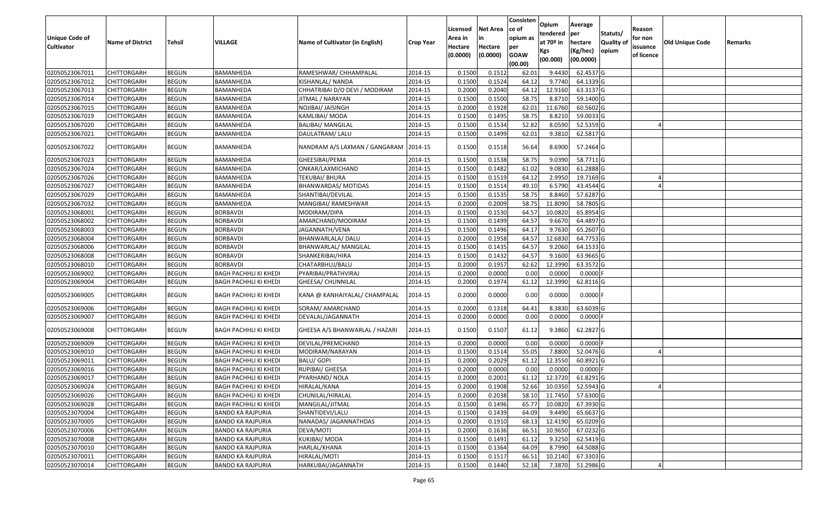| <b>Unique Code of</b> | <b>Name of District</b> | <b>Tehsil</b> | VILLAGE                      | Name of Cultivator (in English) | <b>Crop Year</b> | Licensed<br>Area in | <b>Net Area</b><br>in | Consisten<br>ce of<br>opium as | Opium<br>tendered<br>at $70°$ in | Average<br>per<br>hectare | Statuts/<br>Quality of | Reason<br>for non      | <b>Old Unique Code</b> | Remarks |
|-----------------------|-------------------------|---------------|------------------------------|---------------------------------|------------------|---------------------|-----------------------|--------------------------------|----------------------------------|---------------------------|------------------------|------------------------|------------------------|---------|
| <b>Cultivator</b>     |                         |               |                              |                                 |                  | Hectare<br>(0.0000) | Hectare<br>(0.0000)   | per<br><b>GOAW</b><br>(00.00)  | Kgs<br>(00.000)                  | (Kg/hec)<br>(00.0000)     | opium                  | issuance<br>of licence |                        |         |
| 02050523067011        | <b>CHITTORGARH</b>      | <b>BEGUN</b>  | BAMANHEDA                    | RAMESHWAR/ CHHAMPALAL           | 2014-15          | 0.1500              | 0.1512                | 62.01                          | 9.4430                           | 62.4537 G                 |                        |                        |                        |         |
| 02050523067012        | CHITTORGARH             | <b>BEGUN</b>  | BAMANHEDA                    | KISHANLAL/ NANDA                | 2014-15          | 0.1500              | 0.1524                | 64.12                          | 9.7740                           | 64.1339 G                 |                        |                        |                        |         |
| 02050523067013        | CHITTORGARH             | <b>BEGUN</b>  | BAMANHEDA                    | CHHATRIBAI D/O DEVI / MODIRAM   | 2014-15          | 0.2000              | 0.2040                | 64.12                          | 12.9160                          | 63.3137 G                 |                        |                        |                        |         |
| 02050523067014        | <b>CHITTORGARH</b>      | <b>BEGUN</b>  | BAMANHEDA                    | JITMAL / NARAYAN                | 2014-15          | 0.1500              | 0.1500                | 58.75                          | 8.8710                           | 59.1400 G                 |                        |                        |                        |         |
| 02050523067015        | <b>CHITTORGARH</b>      | <b>BEGUN</b>  | BAMANHEDA                    | NOJIBAI/ JAISINGH               | 2014-15          | 0.2000              | 0.1928                | 62.01                          | 11.6760                          | 60.5602G                  |                        |                        |                        |         |
| 02050523067019        | CHITTORGARH             | <b>BEGUN</b>  | BAMANHEDA                    | KAMLIBAI/ MODA                  | 2014-15          | 0.1500              | 0.1495                | 58.75                          | 8.8210                           | 59.0033 G                 |                        |                        |                        |         |
| 02050523067020        | <b>CHITTORGARH</b>      | <b>BEGUN</b>  | BAMANHEDA                    | <b>BALIBAI/ MANGILAL</b>        | 2014-15          | 0.1500              | 0.1534                | 52.82                          | 8.0590                           | 52.5359 G                 |                        |                        |                        |         |
| 02050523067021        | <b>CHITTORGARH</b>      | <b>BEGUN</b>  | BAMANHEDA                    | DAULATRAM/ LALU                 | 2014-15          | 0.1500              | 0.1499                | 62.01                          | 9.3810                           | 62.5817 G                 |                        |                        |                        |         |
| 02050523067022        | CHITTORGARH             | <b>BEGUN</b>  | BAMANHEDA                    | NANDRAM A/S LAXMAN / GANGARAM   | 2014-15          | 0.1500              | 0.1518                | 56.64                          | 8.6900                           | 57.2464 G                 |                        |                        |                        |         |
| 02050523067023        | CHITTORGARH             | <b>BEGUN</b>  | BAMANHEDA                    | GHEESIBAI/PEMA                  | 2014-15          | 0.1500              | 0.1538                | 58.75                          | 9.0390                           | 58.7711 G                 |                        |                        |                        |         |
| 02050523067024        | CHITTORGARH             | <b>BEGUN</b>  | BAMANHEDA                    | ONKAR/LAXMICHAND                | 2014-15          | 0.1500              | 0.1482                | 61.02                          | 9.0830                           | 61.2888 G                 |                        |                        |                        |         |
| 02050523067026        | CHITTORGARH             | <b>BEGUN</b>  | BAMANHEDA                    | TEKUBAI/ BHURA                  | 2014-15          | 0.1500              | 0.1519                | 64.12                          | 2.9950                           | 19.7169 G                 |                        |                        |                        |         |
| 02050523067027        | CHITTORGARH             | <b>BEGUN</b>  | BAMANHEDA                    | BHANWARDAS/ MOTIDAS             | 2014-15          | 0.1500              | 0.1514                | 49.10                          | 6.5790                           | 43.4544 G                 |                        |                        |                        |         |
| 02050523067029        | CHITTORGARH             | <b>BEGUN</b>  | BAMANHEDA                    | SHANTIBAI/DEVILAL               | 2014-15          | 0.1500              | 0.1535                | 58.75                          | 8.8460                           | 57.6287 G                 |                        |                        |                        |         |
| 02050523067032        | <b>CHITTORGARH</b>      | <b>BEGUN</b>  | BAMANHEDA                    | MANGIBAI/ RAMESHWAR             | 2014-15          | 0.2000              | 0.2009                | 58.75                          | 11.8090                          | 58.7805 G                 |                        |                        |                        |         |
| 02050523068001        | CHITTORGARH             | <b>BEGUN</b>  | <b>BORBAVDI</b>              | MODIRAM/DIPA                    | 2014-15          | 0.1500              | 0.1530                | 64.57                          | 10.0820                          | 65.8954 G                 |                        |                        |                        |         |
| 02050523068002        | CHITTORGARH             | <b>BEGUN</b>  | <b>BORBAVDI</b>              | AMARCHAND/MODIRAM               | 2014-15          | 0.1500              | 0.1499                | 64.57                          | 9.6670                           | 64.4897 G                 |                        |                        |                        |         |
| 02050523068003        | CHITTORGARH             | <b>BEGUN</b>  | <b>BORBAVDI</b>              | JAGANNATH/VENA                  | 2014-15          | 0.1500              | 0.1496                | 64.17                          | 9.7630                           | 65.2607 G                 |                        |                        |                        |         |
| 02050523068004        | CHITTORGARH             | <b>BEGUN</b>  | <b>BORBAVDI</b>              | BHANWARLALA/ DALU               | 2014-15          | 0.2000              | 0.1958                | 64.57                          | 12.6830                          | 64.7753 G                 |                        |                        |                        |         |
| 02050523068006        | CHITTORGARH             | <b>BEGUN</b>  | <b>BORBAVDI</b>              | <b>BHANWARLAL/ MANGILAL</b>     | 2014-15          | 0.1500              | 0.1435                | 64.57                          | 9.2060                           | 64.1533 G                 |                        |                        |                        |         |
| 02050523068008        | CHITTORGARH             | <b>BEGUN</b>  | <b>BORBAVDI</b>              | SHANKERIBAI/HIRA                | 2014-15          | 0.1500              | 0.1432                | 64.57                          | 9.1600                           | 63.9665 G                 |                        |                        |                        |         |
| 02050523068010        | CHITTORGARH             | <b>BEGUN</b>  | <b>BORBAVDI</b>              | CHATARBHUJ/BALU                 | 2014-15          | 0.2000              | 0.1957                | 62.62                          | 12.3990                          | 63.3572 G                 |                        |                        |                        |         |
| 02050523069002        | CHITTORGARH             | <b>BEGUN</b>  | BAGH PACHHLI KI KHEDI        | PYARIBAI/PRATHVIRAJ             | 2014-15          | 0.2000              | 0.0000                | 0.00                           | 0.0000                           | 0.0000F                   |                        |                        |                        |         |
| 02050523069004        | CHITTORGARH             | <b>BEGUN</b>  | <b>BAGH PACHHLI KI KHEDI</b> | GHEESA/ CHUNNILAL               | 2014-15          | 0.2000              | 0.1974                | 61.12                          | 12.3990                          | 62.8116 G                 |                        |                        |                        |         |
| 02050523069005        | CHITTORGARH             | <b>BEGUN</b>  | <b>BAGH PACHHLI KI KHEDI</b> | KANA @ KANHAIYALAL/ CHAMPALAL   | 2014-15          | 0.2000              | 0.0000                | 0.00                           | 0.0000                           | $0.0000$ F                |                        |                        |                        |         |
| 02050523069006        | <b>CHITTORGARH</b>      | <b>BEGUN</b>  | <b>BAGH PACHHLI KI KHEDI</b> | SORAM/ AMARCHAND                | 2014-15          | 0.2000              | 0.1318                | 64.41                          | 8.3830                           | 63.6039 G                 |                        |                        |                        |         |
| 02050523069007        | <b>CHITTORGARH</b>      | <b>BEGUN</b>  | BAGH PACHHLI KI KHEDI        | DEVALAL/JAGANNATH               | 2014-15          | 0.2000              | 0.0000                | 0.00                           | 0.0000                           | 0.0000 F                  |                        |                        |                        |         |
| 02050523069008        | CHITTORGARH             | <b>BEGUN</b>  | <b>BAGH PACHHLI KI KHEDI</b> | GHEESA A/S BHANWARLAL / HAZARI  | 2014-15          | 0.1500              | 0.1507                | 61.12                          | 9.3860                           | 62.2827 G                 |                        |                        |                        |         |
| 02050523069009        | CHITTORGARH             | <b>BEGUN</b>  | <b>BAGH PACHHLI KI KHEDI</b> | DEVILAL/PREMCHAND               | 2014-15          | 0.2000              | 0.0000                | 0.00                           | 0.0000                           | $0.0000$ F                |                        |                        |                        |         |
| 02050523069010        | CHITTORGARH             | <b>BEGUN</b>  | BAGH PACHHLI KI KHEDI        | MODIRAM/NARAYAN                 | 2014-15          | 0.1500              | 0.1514                | 55.05                          | 7.8800                           | 52.0476 G                 |                        |                        |                        |         |
| 02050523069011        | CHITTORGARH             | <b>BEGUN</b>  | BAGH PACHHLI KI KHEDI        | <b>BALU/ GOPI</b>               | 2014-15          | 0.2000              | 0.2029                | 61.12                          | 12.3550                          | 60.8921 G                 |                        |                        |                        |         |
| 02050523069016        | CHITTORGARH             | <b>BEGUN</b>  | <b>BAGH PACHHLI KI KHEDI</b> | RUPIBAI/ GHEESA                 | 2014-15          | 0.2000              | 0.0000                | 0.00                           | 0.000                            | 0.0000                    |                        |                        |                        |         |
| 02050523069017        | CHITTORGARH             | <b>BEGUN</b>  | <b>BAGH PACHHLI KI KHEDI</b> | PYARHAND/ NOLA                  | 2014-15          | 0.2000              | 0.2001                | 61.12                          | 12.3720                          | $61.8291$ G               |                        |                        |                        |         |
| 02050523069024        | <b>CHITTORGARH</b>      | <b>BEGUN</b>  | <b>BAGH PACHHLI KI KHEDI</b> | HIRALAL/KANA                    | 2014-15          | 0.2000              | 0.1908                | 52.66                          | 10.0350                          | 52.5943 G                 |                        |                        |                        |         |
| 02050523069026        | <b>CHITTORGARH</b>      | <b>BEGUN</b>  | <b>BAGH PACHHLI KI KHEDI</b> | CHUNILAL/HIRALAL                | 2014-15          | 0.2000              | 0.2038                | 58.10                          | 11.7450                          | 57.6300 G                 |                        |                        |                        |         |
| 02050523069028        | <b>CHITTORGARH</b>      | <b>BEGUN</b>  | BAGH PACHHLI KI KHEDI        | MANGILAL/JITMAL                 | 2014-15          | 0.1500              | 0.1496                | 65.77                          | 10.0820                          | 67.3930 G                 |                        |                        |                        |         |
| 02050523070004        | <b>CHITTORGARH</b>      | <b>BEGUN</b>  | <b>BANDO KA RAJPURIA</b>     | SHANTIDEVI/LALU                 | 2014-15          | 0.1500              | 0.1439                | 64.09                          | 9.4490                           | 65.6637 G                 |                        |                        |                        |         |
| 02050523070005        | <b>CHITTORGARH</b>      | <b>BEGUN</b>  | <b>BANDO KA RAJPURIA</b>     | NANADAS/ JAGANNATHDAS           | 2014-15          | 0.2000              | 0.1910                | 68.13                          | 12.4190                          | 65.0209 G                 |                        |                        |                        |         |
| 02050523070006        | <b>CHITTORGARH</b>      | <b>BEGUN</b>  | <b>BANDO KA RAJPURIA</b>     | DEVA/MOTI                       | 2014-15          | 0.2000              | 0.1636                | 66.51                          | 10.9650                          | $67.0232$ G               |                        |                        |                        |         |
| 02050523070008        | <b>CHITTORGARH</b>      | <b>BEGUN</b>  | <b>BANDO KA RAJPURIA</b>     | <b>KUKIBAI/ MODA</b>            | 2014-15          | 0.1500              | 0.1491                | 61.12                          | 9.3250                           | 62.5419 G                 |                        |                        |                        |         |
| 02050523070010        | <b>CHITTORGARH</b>      | <b>BEGUN</b>  | <b>BANDO KA RAJPURIA</b>     | HARLAL/KHANA                    | 2014-15          | 0.1500              | 0.1364                | 64.09                          | 8.7990                           | 64.5088 G                 |                        |                        |                        |         |
| 02050523070011        | CHITTORGARH             | <b>BEGUN</b>  | <b>BANDO KA RAJPURIA</b>     | HIRALAL/MOTI                    | 2014-15          | 0.1500              | 0.1517                | 66.51                          | 10.2140                          | 67.3303 G                 |                        |                        |                        |         |
| 02050523070014        | <b>CHITTORGARH</b>      | <b>BEGUN</b>  | <b>BANDO KA RAJPURIA</b>     | HARKUBAI/JAGANNATH              | 2014-15          | 0.1500              | 0.1440                | 52.18                          | 7.3870                           | 51.2986 G                 |                        |                        |                        |         |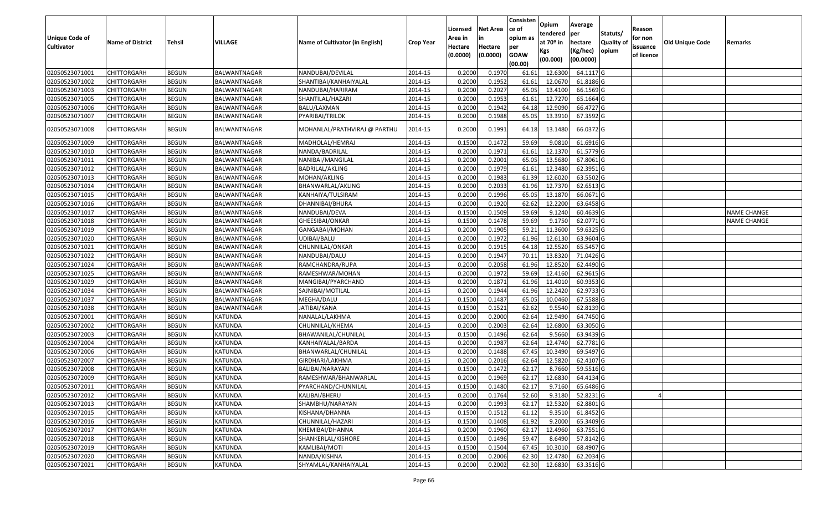| <b>Unique Code of</b><br><b>Cultivator</b> | <b>Name of District</b> | <b>Tehsil</b> | VILLAGE        | Name of Cultivator (in English) | <b>Crop Year</b> | Licensed<br>Area in<br>Hectare<br>(0.0000) | <b>Net Area</b><br>in<br>Hectare<br>(0.0000) | Consisten<br>ce of<br>opium as<br>per<br><b>GOAW</b><br>(00.00) | Opium<br>tendered<br>at $70°$ in<br>Kgs<br>(00.000) | Average<br>per<br>hectare<br>(Kg/hec)<br>(00.0000) | Statuts/<br>Quality of<br>opium | Reason<br>for non<br>issuance<br>of licence | <b>Old Unique Code</b> | Remarks            |
|--------------------------------------------|-------------------------|---------------|----------------|---------------------------------|------------------|--------------------------------------------|----------------------------------------------|-----------------------------------------------------------------|-----------------------------------------------------|----------------------------------------------------|---------------------------------|---------------------------------------------|------------------------|--------------------|
| 02050523071001                             | <b>CHITTORGARH</b>      | <b>BEGUN</b>  | BALWANTNAGAR   | NANDUBAI/DEVILAL                | 2014-15          | 0.2000                                     | 0.1970                                       | 61.6                                                            | 12.6300                                             | 64.1117 G                                          |                                 |                                             |                        |                    |
| 02050523071002                             | CHITTORGARH             | <b>BEGUN</b>  | BALWANTNAGAR   | SHANTIBAI/KANHAIYALAL           | 2014-15          | 0.2000                                     | 0.1952                                       | 61.6                                                            | 12.0670                                             | 61.8186 G                                          |                                 |                                             |                        |                    |
| 02050523071003                             | CHITTORGARH             | <b>BEGUN</b>  | BALWANTNAGAR   | NANDUBAI/HARIRAM                | 2014-15          | 0.2000                                     | 0.2027                                       | 65.05                                                           | 13.4100                                             | 66.1569 G                                          |                                 |                                             |                        |                    |
| 02050523071005                             | <b>CHITTORGARH</b>      | <b>BEGUN</b>  | BALWANTNAGAR   | SHANTILAL/HAZARI                | 2014-15          | 0.2000                                     | 0.1953                                       | 61.61                                                           | 12.7270                                             | 65.1664G                                           |                                 |                                             |                        |                    |
| 02050523071006                             | <b>CHITTORGARH</b>      | <b>BEGUN</b>  | BALWANTNAGAR   | BALU/LAXMAN                     | 2014-15          | 0.2000                                     | 0.1942                                       | 64.18                                                           | 12.9090                                             | 66.4727 G                                          |                                 |                                             |                        |                    |
| 02050523071007                             | CHITTORGARH             | <b>BEGUN</b>  | BALWANTNAGAR   | PYARIBAI/TRILOK                 | 2014-15          | 0.2000                                     | 0.1988                                       | 65.05                                                           | 13.3910                                             | 67.3592 G                                          |                                 |                                             |                        |                    |
| 02050523071008                             | CHITTORGARH             | <b>BEGUN</b>  | BALWANTNAGAR   | MOHANLAL/PRATHVIRAJ @ PARTHU    | 2014-15          | 0.2000                                     | 0.1991                                       | 64.18                                                           | 13.1480                                             | 66.0372 G                                          |                                 |                                             |                        |                    |
| 02050523071009                             | CHITTORGARH             | <b>BEGUN</b>  | BALWANTNAGAR   | MADHOLAL/HEMRAJ                 | 2014-15          | 0.1500                                     | 0.1472                                       | 59.69                                                           | 9.081                                               | 61.6916 G                                          |                                 |                                             |                        |                    |
| 02050523071010                             | CHITTORGARH             | <b>BEGUN</b>  | BALWANTNAGAR   | NANDA/BADRILAL                  | 2014-15          | 0.2000                                     | 0.1971                                       | 61.61                                                           | 12.1370                                             | 61.5779 G                                          |                                 |                                             |                        |                    |
| 02050523071011                             | CHITTORGARH             | <b>BEGUN</b>  | BALWANTNAGAR   | NANIBAI/MANGILAL                | 2014-15          | 0.2000                                     | 0.2001                                       | 65.05                                                           | 13.5680                                             | 67.8061G                                           |                                 |                                             |                        |                    |
| 02050523071012                             | CHITTORGARH             | <b>BEGUN</b>  | BALWANTNAGAR   | BADRILAL/AKLING                 | 2014-15          | 0.2000                                     | 0.1979                                       | 61.6                                                            | 12.3480                                             | 62.3951G                                           |                                 |                                             |                        |                    |
| 02050523071013                             | CHITTORGARH             | <b>BEGUN</b>  | BALWANTNAGAR   | MOHAN/AKLING                    | 2014-15          | 0.2000                                     | 0.1983                                       | 61.39                                                           | 12.6020                                             | 63.5502 G                                          |                                 |                                             |                        |                    |
| 02050523071014                             | CHITTORGARH             | <b>BEGUN</b>  | BALWANTNAGAR   | BHANWARLAL/AKLING               | 2014-15          | 0.2000                                     | 0.2033                                       | 61.96                                                           | 12.7370                                             | 62.6513 G                                          |                                 |                                             |                        |                    |
| 02050523071015                             | CHITTORGARH             | <b>BEGUN</b>  | BALWANTNAGAR   | KANHAIYA/TULSIRAM               | 2014-15          | 0.2000                                     | 0.1996                                       | 65.05                                                           | 13.1870                                             | 66.0671 G                                          |                                 |                                             |                        |                    |
| 02050523071016                             | <b>CHITTORGARH</b>      | <b>BEGUN</b>  | BALWANTNAGAR   | DHANNIBAI/BHURA                 | 2014-15          | 0.2000                                     | 0.1920                                       | 62.62                                                           | 12.2200                                             | 63.6458 G                                          |                                 |                                             |                        |                    |
| 02050523071017                             | CHITTORGARH             | <b>BEGUN</b>  | BALWANTNAGAR   | NANDUBAI/DEVA                   | 2014-15          | 0.1500                                     | 0.1509                                       | 59.69                                                           | 9.124                                               | 60.4639 G                                          |                                 |                                             |                        | <b>NAME CHANGE</b> |
| 02050523071018                             | CHITTORGARH             | <b>BEGUN</b>  | BALWANTNAGAR   | GHEESIBAI/ONKAR                 | 2014-15          | 0.1500                                     | 0.1478                                       | 59.69                                                           | 9.175                                               | 62.0771G                                           |                                 |                                             |                        | <b>NAME CHANGE</b> |
| 02050523071019                             | CHITTORGARH             | <b>BEGUN</b>  | BALWANTNAGAR   | GANGABAI/MOHAN                  | 2014-15          | 0.2000                                     | 0.1905                                       | 59.21                                                           | 11.3600                                             | 59.6325 G                                          |                                 |                                             |                        |                    |
| 02050523071020                             | CHITTORGARH             | <b>BEGUN</b>  | BALWANTNAGAR   | UDIBAI/BALU                     | 2014-15          | 0.2000                                     | 0.1972                                       | 61.96                                                           | 12.6130                                             | 63.9604 G                                          |                                 |                                             |                        |                    |
| 02050523071021                             | <b>CHITTORGARH</b>      | <b>BEGUN</b>  | BALWANTNAGAR   | CHUNNILAL/ONKAR                 | 2014-15          | 0.2000                                     | 0.1915                                       | 64.18                                                           | 12.5520                                             | 65.5457 G                                          |                                 |                                             |                        |                    |
| 02050523071022                             | CHITTORGARH             | <b>BEGUN</b>  | BALWANTNAGAR   | NANDUBAI/DALU                   | 2014-15          | 0.2000                                     | 0.1947                                       | 70.1                                                            | 13.8320                                             | 71.0426 G                                          |                                 |                                             |                        |                    |
| 02050523071024                             | CHITTORGARH             | <b>BEGUN</b>  | BALWANTNAGAR   | RAMCHANDRA/RUPA                 | 2014-15          | 0.2000                                     | 0.2058                                       | 61.96                                                           | 12.8520                                             | 62.4490 G                                          |                                 |                                             |                        |                    |
| 02050523071025                             | CHITTORGARH             | <b>BEGUN</b>  | BALWANTNAGAR   | RAMESHWAR/MOHAN                 | 2014-15          | 0.2000                                     | 0.1972                                       | 59.69                                                           | 12.4160                                             | 62.9615 G                                          |                                 |                                             |                        |                    |
| 02050523071029                             | CHITTORGARH             | <b>BEGUN</b>  | BALWANTNAGAR   | MANGIBAI/PYARCHAND              | 2014-15          | 0.2000                                     | 0.1871                                       | 61.96                                                           | 11.4010                                             | 60.9353 G                                          |                                 |                                             |                        |                    |
| 02050523071034                             | CHITTORGARH             | <b>BEGUN</b>  | BALWANTNAGAR   | SAJNIBAI/MOTILAL                | 2014-15          | 0.2000                                     | 0.1944                                       | 61.96                                                           | 12.2420                                             | 62.9733 G                                          |                                 |                                             |                        |                    |
| 02050523071037                             | <b>CHITTORGARH</b>      | <b>BEGUN</b>  | BALWANTNAGAR   | MEGHA/DALU                      | 2014-15          | 0.1500                                     | 0.1487                                       | 65.05                                                           | 10.0460                                             | 67.5588 G                                          |                                 |                                             |                        |                    |
| 02050523071038                             | <b>CHITTORGARH</b>      | <b>BEGUN</b>  | BALWANTNAGAR   | JATIBAI/KANA                    | 2014-15          | 0.1500                                     | 0.1521                                       | 62.62                                                           | 9.5540                                              | 62.8139 G                                          |                                 |                                             |                        |                    |
| 02050523072001                             | <b>CHITTORGARH</b>      | <b>BEGUN</b>  | <b>KATUNDA</b> | NANALAL/LAKHMA                  | 2014-15          | 0.2000                                     | 0.2000                                       | 62.64                                                           | 12.9490                                             | 64.7450 G                                          |                                 |                                             |                        |                    |
| 02050523072002                             | <b>CHITTORGARH</b>      | <b>BEGUN</b>  | <b>KATUNDA</b> | CHUNNILAL/KHEMA                 | 2014-15          | 0.2000                                     | 0.2003                                       | 62.64                                                           | 12.6800                                             | 63.3050 G                                          |                                 |                                             |                        |                    |
| 02050523072003                             | CHITTORGARH             | <b>BEGUN</b>  | KATUNDA        | BHAWANILAL/CHUNILAL             | 2014-15          | 0.1500                                     | 0.1496                                       | 62.64                                                           | 9.5660                                              | 63.9439 G                                          |                                 |                                             |                        |                    |
| 02050523072004                             | CHITTORGARH             | <b>BEGUN</b>  | KATUNDA        | KANHAIYALAL/BARDA               | 2014-15          | 0.2000                                     | 0.1987                                       | 62.64                                                           | 12.4740                                             | 62.7781G                                           |                                 |                                             |                        |                    |
| 02050523072006                             | CHITTORGARH             | <b>BEGUN</b>  | KATUNDA        | BHANWARLAL/CHUNILAL             | 2014-15          | 0.2000                                     | 0.1488                                       | 67.45                                                           | 10.3490                                             | 69.5497 G                                          |                                 |                                             |                        |                    |
| 02050523072007                             | <b>CHITTORGARH</b>      | <b>BEGUN</b>  | <b>KATUNDA</b> | GIRDHARI/LAKHMA                 | 2014-15          | 0.2000                                     | 0.2016                                       | 62.64                                                           | 12.5820                                             | 62.4107 G                                          |                                 |                                             |                        |                    |
| 02050523072008                             | CHITTORGARH             | <b>BEGUN</b>  | KATUNDA        | BALIBAI/NARAYAN                 | 2014-15          | 0.150                                      | 0.1472                                       | 62.1                                                            | 8.7660                                              | 59.5516 G                                          |                                 |                                             |                        |                    |
| 02050523072009                             | CHITTORGARH             | <b>BEGUN</b>  | KATUNDA        | RAMESHWAR/BHANWARLAL            | 2014-15          | 0.2000                                     | 0.1969                                       | 62.17                                                           | 12.6830                                             | 64.4134 G                                          |                                 |                                             |                        |                    |
| 02050523072011                             | <b>CHITTORGARH</b>      | <b>BEGUN</b>  | <b>KATUNDA</b> | PYARCHAND/CHUNNILAL             | 2014-15          | 0.1500                                     | 0.1480                                       | 62.17                                                           | 9.7160                                              | 65.6486 G                                          |                                 |                                             |                        |                    |
| 02050523072012                             | <b>CHITTORGARH</b>      | <b>BEGUN</b>  | KATUNDA        | KALIBAI/BHERU                   | 2014-15          | 0.2000                                     | 0.1764                                       | 52.60                                                           | 9.3180                                              | 52.8231 G                                          |                                 |                                             |                        |                    |
| 02050523072013                             | <b>CHITTORGARH</b>      | <b>BEGUN</b>  | KATUNDA        | SHAMBHU/NARAYAN                 | 2014-15          | 0.2000                                     | 0.1993                                       | 62.17                                                           | 12.5320                                             | 62.8801 G                                          |                                 |                                             |                        |                    |
| 02050523072015                             | <b>CHITTORGARH</b>      | <b>BEGUN</b>  | <b>KATUNDA</b> | KISHANA/DHANNA                  | 2014-15          | 0.1500                                     | 0.1512                                       | 61.12                                                           | 9.3510                                              | 61.8452 G                                          |                                 |                                             |                        |                    |
| 02050523072016                             | <b>CHITTORGARH</b>      | <b>BEGUN</b>  | KATUNDA        | CHUNNILAL/HAZARI                | 2014-15          | 0.1500                                     | 0.1408                                       | 61.92                                                           | 9.2000                                              | 65.3409 G                                          |                                 |                                             |                        |                    |
| 02050523072017                             | <b>CHITTORGARH</b>      | <b>BEGUN</b>  | <b>KATUNDA</b> | KHEMIBAI/DHANNA                 | 2014-15          | 0.2000                                     | 0.1960                                       | 62.17                                                           | 12.4960                                             | 63.7551 G                                          |                                 |                                             |                        |                    |
| 02050523072018                             | <b>CHITTORGARH</b>      | <b>BEGUN</b>  | <b>KATUNDA</b> | SHANKERLAL/KISHORE              | 2014-15          | 0.1500                                     | 0.1496                                       | 59.47                                                           | 8.6490                                              | 57.8142 G                                          |                                 |                                             |                        |                    |
| 02050523072019                             | <b>CHITTORGARH</b>      | <b>BEGUN</b>  | KATUNDA        | KAMLIBAI/MOTI                   | 2014-15          | 0.1500                                     | 0.1504                                       | 67.45                                                           | 10.3010                                             | 68.4907 G                                          |                                 |                                             |                        |                    |
| 02050523072020                             | CHITTORGARH             | <b>BEGUN</b>  | KATUNDA        | NANDA/KISHNA                    | 2014-15          | 0.2000                                     | 0.2006                                       | 62.30                                                           | 12.4780                                             | 62.2034 G                                          |                                 |                                             |                        |                    |
| 02050523072021                             | <b>CHITTORGARH</b>      | <b>BEGUN</b>  | KATUNDA        | SHYAMLAL/KANHAIYALAL            | 2014-15          | 0.2000                                     | 0.2002                                       | 62.30                                                           | 12.6830                                             | 63.3516 G                                          |                                 |                                             |                        |                    |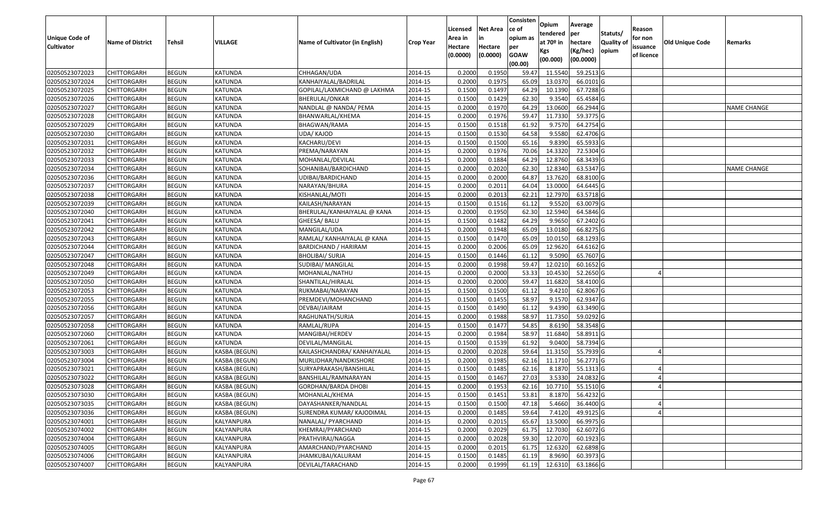| Statuts/<br>tendered<br>per<br><b>Unique Code of</b><br>opium as<br>for non<br>Area in<br>in<br>at 70º in<br><b>Quality of</b><br><b>Tehsil</b><br>VILLAGE<br>Old Unique Code<br><b>Name of District</b><br>Name of Cultivator (in English)<br>hectare<br><b>Crop Year</b><br>Remarks<br><b>Cultivator</b><br>Hectare<br>Hectare<br>per<br>issuance<br>(Kg/hec)<br>opium<br>Kgs<br>(0.0000)<br>(0.0000)<br><b>GOAW</b><br>of licence<br>(00.0000)<br>(00.000)<br>(00.00)<br>0.2000<br>0.1950<br>11.5540<br>59.2513 G<br>02050523072023<br><b>CHITTORGARH</b><br><b>BEGUN</b><br>KATUNDA<br>CHHAGAN/UDA<br>2014-15<br>59.47<br>02050523072024<br>0.2000<br>0.1975<br>65.09<br>13.0370<br>66.0101G<br><b>CHITTORGARH</b><br><b>BEGUN</b><br>KATUNDA<br>KANHAIYALAL/BADRILAL<br>2014-15<br>0.1500<br>0.1497<br>64.29<br>10.1390<br>67.7288 G<br>02050523072025<br><b>CHITTORGARH</b><br><b>BEGUN</b><br>KATUNDA<br>2014-15<br>GOPILAL/LAXMICHAND @ LAKHMA<br>02050523072026<br><b>BEGUN</b><br>KATUNDA<br><b>BHERULAL/ONKAR</b><br>2014-15<br>0.1500<br>0.1429<br>62.30<br>9.3540<br>65.4584 G<br><b>CHITTORGARH</b><br>02050523072027<br><b>BEGUN</b><br>0.2000<br>0.1970<br>13.0600<br>66.2944 G<br><b>CHITTORGARH</b><br>KATUNDA<br>NANDLAL @ NANDA/ PEMA<br>2014-15<br>64.29<br><b>NAME CHANGE</b><br>02050523072028<br><b>BEGUN</b><br>KATUNDA<br>0.2000<br>0.1976<br>59.47<br>11.7330<br>59.3775 G<br><b>CHITTORGARH</b><br>BHANWARLAL/KHEMA<br>2014-15<br><b>BEGUN</b><br>0.1500<br>61.92<br>9.7570<br>64.2754 G<br>02050523072029<br>KATUNDA<br>2014-15<br>0.1518<br>CHITTORGARH<br>BHAGWAN/RAMA<br>02050523072030<br><b>CHITTORGARH</b><br><b>BEGUN</b><br>KATUNDA<br>UDA/ KAJOD<br>2014-15<br>0.1500<br>0.1530<br>64.58<br>9.5580<br>62.4706 G<br>02050523072031<br>65.16<br>9.8390<br>65.5933 G<br><b>CHITTORGARH</b><br><b>BEGUN</b><br>KATUNDA<br>KACHARU/DEVI<br>2014-15<br>0.1500<br>0.1500<br>02050523072032<br><b>BEGUN</b><br>2014-15<br>0.2000<br>0.1976<br>70.06<br>14.3320<br>72.5304 G<br><b>CHITTORGARH</b><br>KATUNDA<br>PREMA/NARAYAN<br>0.2000<br>12.8760<br><b>BEGUN</b><br>0.1884<br>64.29<br>68.3439 G<br>02050523072033<br><b>CHITTORGARH</b><br>KATUNDA<br>MOHANLAL/DEVILAL<br>2014-15<br>02050523072034<br><b>BEGUN</b><br>KATUNDA<br>0.2000<br>0.2020<br>62.30<br>12.8340<br>63.5347 G<br><b>CHITTORGARH</b><br>SOHANIBAI/BARDICHAND<br>2014-15<br>NAME CHANGE<br>02050523072036<br><b>BEGUN</b><br><b>KATUNDA</b><br>0.2000<br>0.2000<br>64.87<br>13.7620<br>68.8100 G<br><b>CHITTORGARH</b><br>UDIBAI/BARDICHAND<br>2014-15<br>02050523072037<br><b>BEGUN</b><br>0.2000<br>0.2011<br>64.04<br>13.0000<br>64.6445 G<br><b>CHITTORGARH</b><br>KATUNDA<br>NARAYAN/BHURA<br>2014-15<br><b>BEGUN</b><br>0.2000<br>0.2013<br>62.21<br>12.7970<br>63.5718 G<br>02050523072038<br>KATUNDA<br>2014-15<br><b>CHITTORGARH</b><br>KISHANLAL/MOTI<br><b>BEGUN</b><br>2014-15<br>0.1500<br>0.1516<br>61.12<br>9.5520<br>63.0079 G<br>02050523072039<br><b>CHITTORGARH</b><br>KATUNDA<br>KAILASH/NARAYAN<br>0.2000<br>0.1950<br>62.30<br>12.5940<br>02050523072040<br><b>CHITTORGARH</b><br><b>BEGUN</b><br>KATUNDA<br>BHERULAL/KANHAIYALAL @ KANA<br>2014-15<br>64.5846 G<br>02050523072041<br><b>BEGUN</b><br>GHEESA/ BALU<br>0.1500<br>0.1482<br>64.29<br>9.9650<br>67.2402 G<br><b>CHITTORGARH</b><br>KATUNDA<br>2014-15<br>02050523072042<br>0.2000<br>0.1948<br>65.09<br>13.0180<br>66.8275 G<br><b>CHITTORGARH</b><br><b>BEGUN</b><br>KATUNDA<br>MANGILAL/UDA<br>2014-15<br><b>BEGUN</b><br>0.1500<br>0.1470<br>65.09<br>10.0150<br>68.1293 G<br>02050523072043<br><b>CHITTORGARH</b><br>KATUNDA<br>RAMLAL/ KANHAIYALAL @ KANA<br>2014-15<br>02050523072044<br><b>KATUNDA</b><br>0.2000<br>0.2006<br>65.09<br>12.9620<br>64.6162 G<br><b>CHITTORGARH</b><br><b>BEGUN</b><br>BARDICHAND / HARIRAM<br>2014-15<br>02050523072047<br><b>BEGUN</b><br>0.1500<br>0.1446<br>61.12<br>9.5090<br>65.7607 G<br><b>CHITTORGARH</b><br>KATUNDA<br><b>BHOLIBAI/ SURJA</b><br>2014-15<br>02050523072048<br>0.2000<br>0.1998<br>59.47<br>12.0210<br>60.1652 G<br><b>CHITTORGARH</b><br><b>BEGUN</b><br>KATUNDA<br>SUDIBAI/ MANGILAL<br>2014-15<br>53.33<br>0.2000<br>0.2000<br>10.4530<br>52.2650 G<br>02050523072049<br><b>CHITTORGARH</b><br><b>BEGUN</b><br>KATUNDA<br>MOHANLAL/NATHU<br>2014-15<br>02050523072050<br><b>BEGUN</b><br>KATUNDA<br>2014-15<br>0.2000<br>0.2000<br>59.47<br>11.6820<br>58.4100 G<br><b>CHITTORGARH</b><br>SHANTILAL/HIRALAL<br>02050523072053<br>62.8067 G<br><b>CHITTORGARH</b><br><b>BEGUN</b><br>KATUNDA<br>RUKMABAI/NARAYAN<br>2014-15<br>0.1500<br>0.1500<br>61.12<br>9.4210<br>02050523072055<br><b>BEGUN</b><br>0.1500<br>0.1455<br>58.97<br>9.1570<br>62.9347 G<br><b>CHITTORGARH</b><br>KATUNDA<br>PREMDEVI/MOHANCHAND<br>2014-15<br>0.1500<br>0.1490<br>61.12<br>9.4390<br>63.3490 G<br>02050523072056<br><b>CHITTORGARH</b><br><b>BEGUN</b><br>KATUNDA<br>2014-15<br>DEVBAI/JAIRAM<br>02050523072057<br>KATUNDA<br>0.2000<br>0.1988<br>58.97<br>11.7350<br>59.0292 G<br><b>CHITTORGARH</b><br><b>BEGUN</b><br>RAGHUNATH/SURJA<br>2014-15<br>02050523072058<br><b>BEGUN</b><br>KATUNDA<br>2014-15<br>0.1500<br>0.1477<br>54.85<br>8.6190<br>58.3548 G<br><b>CHITTORGARH</b><br>RAMLAL/RUPA<br>02050523072060<br><b>BEGUN</b><br>0.2000<br>0.1984<br>58.97<br>11.6840<br>58.8911 G<br><b>CHITTORGARH</b><br>KATUNDA<br>MANGIBAI/HERDEV<br>2014-15<br><b>BEGUN</b><br>0.1500<br>0.1539<br>61.92<br>9.0400<br>58.7394 G<br>02050523072061<br>KATUNDA<br>2014-15<br><b>CHITTORGARH</b><br>DEVILAL/MANGILAL<br>02050523073003<br><b>BEGUN</b><br>KASBA (BEGUN)<br>KAILASHCHANDRA/ KANHAIYALAL<br>2014-15<br>0.2000<br>0.2028<br>59.64<br>11.3150<br>55.7939 G<br><b>CHITTORGARH</b><br>0.2000<br>56.2771 G<br>02050523073004<br><b>CHITTORGARH</b><br><b>BEGUN</b><br>KASBA (BEGUN)<br>2014-15<br>0.1985<br>62.16<br>11.1710<br>MURLIDHAR/NANDKISHORE<br>02050523073021<br><b>BEGUN</b><br>0.1500<br>0.1485<br>62.16<br>8.1870<br>55.1313 G<br>CHITTORGARH<br>KASBA (BEGUN)<br>SURYAPRAKASH/BANSHILAL<br>2014-15<br>27.03<br>3.5330<br>0.1500<br>0.1467<br>24.0832 G<br>02050523073022<br><b>CHITTORGARH</b><br>BEGUN<br>2014-15<br>KASBA (BEGUN)<br>BANSHILAL/RAMNARAYAN<br>CHITTORGARH<br><b>BEGUN</b><br>2014-15<br>0.2000<br>0.1953<br>10.7710 55.1510 G<br>02050523073028<br>KASBA (BEGUN)<br>GORDHAN/BARDA DHOBI<br>62.16<br>0.1451<br>56.4232 G<br>02050523073030<br><b>BEGUN</b><br>KASBA (BEGUN)<br>2014-15<br>0.1500<br>53.81<br>8.1870<br><b>CHITTORGARH</b><br>MOHANLAL/KHEMA<br>02050523073035<br>5.4660<br>36.4400 G<br><b>CHITTORGARH</b><br><b>BEGUN</b><br>KASBA (BEGUN)<br>DAYASHANKER/NANDLAL<br>2014-15<br>0.1500<br>0.1500<br>47.18<br>49.9125 G<br>02050523073036<br>2014-15<br>0.2000<br>0.1485<br>59.64<br>7.4120<br><b>CHITTORGARH</b><br><b>BEGUN</b><br>KASBA (BEGUN)<br>SURENDRA KUMAR/ KAJODIMAL<br>66.9975 G<br>02050523074001<br><b>BEGUN</b><br>KALYANPURA<br>2014-15<br>0.2015<br>65.67<br>13.5000<br><b>CHITTORGARH</b><br>NANALAL/ PYARCHAND<br>0.2000<br>KALYANPURA<br>0.2029<br>12.7030<br>62.6072 G<br>02050523074002<br><b>CHITTORGARH</b><br><b>BEGUN</b><br>2014-15<br>0.2000<br>61.75<br>KHEMRAJ/PYARCHAND<br>0.2028<br>60.1923 G<br>02050523074004<br><b>CHITTORGARH</b><br><b>BEGUN</b><br>KALYANPURA<br>PRATHVIRAJ/NAGGA<br>2014-15<br>0.2000<br>59.30<br>12.2070<br>62.6898 G<br>02050523074005<br><b>BEGUN</b><br>0.2000<br>0.2015<br>61.75<br>12.6320<br><b>CHITTORGARH</b><br>KALYANPURA<br>AMARCHAND/PYARCHAND<br>2014-15<br>60.3973 G<br><b>BEGUN</b><br>KALYANPURA<br>2014-15<br>0.1485<br>8.9690<br>02050523074006<br><b>CHITTORGARH</b><br>JHAMKUBAI/KALURAM<br>0.1500<br>61.19<br>63.1866 G<br>02050523074007<br><b>BEGUN</b><br>KALYANPURA<br>DEVILAL/TARACHAND<br>2014-15<br>0.2000<br>0.1999<br>12.6310<br><b>CHITTORGARH</b><br>61.19 |  |  |  | Licensed | <b>Net Area</b> | Consisten<br>ce of | Opium | Average | Reason |  |
|------------------------------------------------------------------------------------------------------------------------------------------------------------------------------------------------------------------------------------------------------------------------------------------------------------------------------------------------------------------------------------------------------------------------------------------------------------------------------------------------------------------------------------------------------------------------------------------------------------------------------------------------------------------------------------------------------------------------------------------------------------------------------------------------------------------------------------------------------------------------------------------------------------------------------------------------------------------------------------------------------------------------------------------------------------------------------------------------------------------------------------------------------------------------------------------------------------------------------------------------------------------------------------------------------------------------------------------------------------------------------------------------------------------------------------------------------------------------------------------------------------------------------------------------------------------------------------------------------------------------------------------------------------------------------------------------------------------------------------------------------------------------------------------------------------------------------------------------------------------------------------------------------------------------------------------------------------------------------------------------------------------------------------------------------------------------------------------------------------------------------------------------------------------------------------------------------------------------------------------------------------------------------------------------------------------------------------------------------------------------------------------------------------------------------------------------------------------------------------------------------------------------------------------------------------------------------------------------------------------------------------------------------------------------------------------------------------------------------------------------------------------------------------------------------------------------------------------------------------------------------------------------------------------------------------------------------------------------------------------------------------------------------------------------------------------------------------------------------------------------------------------------------------------------------------------------------------------------------------------------------------------------------------------------------------------------------------------------------------------------------------------------------------------------------------------------------------------------------------------------------------------------------------------------------------------------------------------------------------------------------------------------------------------------------------------------------------------------------------------------------------------------------------------------------------------------------------------------------------------------------------------------------------------------------------------------------------------------------------------------------------------------------------------------------------------------------------------------------------------------------------------------------------------------------------------------------------------------------------------------------------------------------------------------------------------------------------------------------------------------------------------------------------------------------------------------------------------------------------------------------------------------------------------------------------------------------------------------------------------------------------------------------------------------------------------------------------------------------------------------------------------------------------------------------------------------------------------------------------------------------------------------------------------------------------------------------------------------------------------------------------------------------------------------------------------------------------------------------------------------------------------------------------------------------------------------------------------------------------------------------------------------------------------------------------------------------------------------------------------------------------------------------------------------------------------------------------------------------------------------------------------------------------------------------------------------------------------------------------------------------------------------------------------------------------------------------------------------------------------------------------------------------------------------------------------------------------------------------------------------------------------------------------------------------------------------------------------------------------------------------------------------------------------------------------------------------------------------------------------------------------------------------------------------------------------------------------------------------------------------------------------------------------------------------------------------------------------------------------------------------------------------------------------------------------------------------------------------------------------------------------------------------------------------------------------------------------------------------------------------------------------------------------------------------------------------------------------------------------------------------------------------------------------------------------------------------------------------------------------------------------------------------------------------------------------------------------------------------------------------------------------------------------------------------------------------------------------------------------------------------------------------------------------------------------------------------------------------------------------------------------------------------------------------------------------------------------------------------------------------------------------------------------------------------------------------------------------------------------------------------------------------------------------------------------------------------------------------------------------------------------------------------------------------------------------------------------------------------------------------------------------------------------------------------------------------------------------------|--|--|--|----------|-----------------|--------------------|-------|---------|--------|--|
|                                                                                                                                                                                                                                                                                                                                                                                                                                                                                                                                                                                                                                                                                                                                                                                                                                                                                                                                                                                                                                                                                                                                                                                                                                                                                                                                                                                                                                                                                                                                                                                                                                                                                                                                                                                                                                                                                                                                                                                                                                                                                                                                                                                                                                                                                                                                                                                                                                                                                                                                                                                                                                                                                                                                                                                                                                                                                                                                                                                                                                                                                                                                                                                                                                                                                                                                                                                                                                                                                                                                                                                                                                                                                                                                                                                                                                                                                                                                                                                                                                                                                                                                                                                                                                                                                                                                                                                                                                                                                                                                                                                                                                                                                                                                                                                                                                                                                                                                                                                                                                                                                                                                                                                                                                                                                                                                                                                                                                                                                                                                                                                                                                                                                                                                                                                                                                                                                                                                                                                                                                                                                                                                                                                                                                                                                                                                                                                                                                                                                                                                                                                                                                                                                                                                                                                                                                                                                                                                                                                                                                                                                                                                                                                                                                                                                                                                                                                                                                                                                                                                                                                                                                                                                                                                                                                                                                                |  |  |  |          |                 |                    |       |         |        |  |
|                                                                                                                                                                                                                                                                                                                                                                                                                                                                                                                                                                                                                                                                                                                                                                                                                                                                                                                                                                                                                                                                                                                                                                                                                                                                                                                                                                                                                                                                                                                                                                                                                                                                                                                                                                                                                                                                                                                                                                                                                                                                                                                                                                                                                                                                                                                                                                                                                                                                                                                                                                                                                                                                                                                                                                                                                                                                                                                                                                                                                                                                                                                                                                                                                                                                                                                                                                                                                                                                                                                                                                                                                                                                                                                                                                                                                                                                                                                                                                                                                                                                                                                                                                                                                                                                                                                                                                                                                                                                                                                                                                                                                                                                                                                                                                                                                                                                                                                                                                                                                                                                                                                                                                                                                                                                                                                                                                                                                                                                                                                                                                                                                                                                                                                                                                                                                                                                                                                                                                                                                                                                                                                                                                                                                                                                                                                                                                                                                                                                                                                                                                                                                                                                                                                                                                                                                                                                                                                                                                                                                                                                                                                                                                                                                                                                                                                                                                                                                                                                                                                                                                                                                                                                                                                                                                                                                                                |  |  |  |          |                 |                    |       |         |        |  |
|                                                                                                                                                                                                                                                                                                                                                                                                                                                                                                                                                                                                                                                                                                                                                                                                                                                                                                                                                                                                                                                                                                                                                                                                                                                                                                                                                                                                                                                                                                                                                                                                                                                                                                                                                                                                                                                                                                                                                                                                                                                                                                                                                                                                                                                                                                                                                                                                                                                                                                                                                                                                                                                                                                                                                                                                                                                                                                                                                                                                                                                                                                                                                                                                                                                                                                                                                                                                                                                                                                                                                                                                                                                                                                                                                                                                                                                                                                                                                                                                                                                                                                                                                                                                                                                                                                                                                                                                                                                                                                                                                                                                                                                                                                                                                                                                                                                                                                                                                                                                                                                                                                                                                                                                                                                                                                                                                                                                                                                                                                                                                                                                                                                                                                                                                                                                                                                                                                                                                                                                                                                                                                                                                                                                                                                                                                                                                                                                                                                                                                                                                                                                                                                                                                                                                                                                                                                                                                                                                                                                                                                                                                                                                                                                                                                                                                                                                                                                                                                                                                                                                                                                                                                                                                                                                                                                                                                |  |  |  |          |                 |                    |       |         |        |  |
|                                                                                                                                                                                                                                                                                                                                                                                                                                                                                                                                                                                                                                                                                                                                                                                                                                                                                                                                                                                                                                                                                                                                                                                                                                                                                                                                                                                                                                                                                                                                                                                                                                                                                                                                                                                                                                                                                                                                                                                                                                                                                                                                                                                                                                                                                                                                                                                                                                                                                                                                                                                                                                                                                                                                                                                                                                                                                                                                                                                                                                                                                                                                                                                                                                                                                                                                                                                                                                                                                                                                                                                                                                                                                                                                                                                                                                                                                                                                                                                                                                                                                                                                                                                                                                                                                                                                                                                                                                                                                                                                                                                                                                                                                                                                                                                                                                                                                                                                                                                                                                                                                                                                                                                                                                                                                                                                                                                                                                                                                                                                                                                                                                                                                                                                                                                                                                                                                                                                                                                                                                                                                                                                                                                                                                                                                                                                                                                                                                                                                                                                                                                                                                                                                                                                                                                                                                                                                                                                                                                                                                                                                                                                                                                                                                                                                                                                                                                                                                                                                                                                                                                                                                                                                                                                                                                                                                                |  |  |  |          |                 |                    |       |         |        |  |
|                                                                                                                                                                                                                                                                                                                                                                                                                                                                                                                                                                                                                                                                                                                                                                                                                                                                                                                                                                                                                                                                                                                                                                                                                                                                                                                                                                                                                                                                                                                                                                                                                                                                                                                                                                                                                                                                                                                                                                                                                                                                                                                                                                                                                                                                                                                                                                                                                                                                                                                                                                                                                                                                                                                                                                                                                                                                                                                                                                                                                                                                                                                                                                                                                                                                                                                                                                                                                                                                                                                                                                                                                                                                                                                                                                                                                                                                                                                                                                                                                                                                                                                                                                                                                                                                                                                                                                                                                                                                                                                                                                                                                                                                                                                                                                                                                                                                                                                                                                                                                                                                                                                                                                                                                                                                                                                                                                                                                                                                                                                                                                                                                                                                                                                                                                                                                                                                                                                                                                                                                                                                                                                                                                                                                                                                                                                                                                                                                                                                                                                                                                                                                                                                                                                                                                                                                                                                                                                                                                                                                                                                                                                                                                                                                                                                                                                                                                                                                                                                                                                                                                                                                                                                                                                                                                                                                                                |  |  |  |          |                 |                    |       |         |        |  |
|                                                                                                                                                                                                                                                                                                                                                                                                                                                                                                                                                                                                                                                                                                                                                                                                                                                                                                                                                                                                                                                                                                                                                                                                                                                                                                                                                                                                                                                                                                                                                                                                                                                                                                                                                                                                                                                                                                                                                                                                                                                                                                                                                                                                                                                                                                                                                                                                                                                                                                                                                                                                                                                                                                                                                                                                                                                                                                                                                                                                                                                                                                                                                                                                                                                                                                                                                                                                                                                                                                                                                                                                                                                                                                                                                                                                                                                                                                                                                                                                                                                                                                                                                                                                                                                                                                                                                                                                                                                                                                                                                                                                                                                                                                                                                                                                                                                                                                                                                                                                                                                                                                                                                                                                                                                                                                                                                                                                                                                                                                                                                                                                                                                                                                                                                                                                                                                                                                                                                                                                                                                                                                                                                                                                                                                                                                                                                                                                                                                                                                                                                                                                                                                                                                                                                                                                                                                                                                                                                                                                                                                                                                                                                                                                                                                                                                                                                                                                                                                                                                                                                                                                                                                                                                                                                                                                                                                |  |  |  |          |                 |                    |       |         |        |  |
|                                                                                                                                                                                                                                                                                                                                                                                                                                                                                                                                                                                                                                                                                                                                                                                                                                                                                                                                                                                                                                                                                                                                                                                                                                                                                                                                                                                                                                                                                                                                                                                                                                                                                                                                                                                                                                                                                                                                                                                                                                                                                                                                                                                                                                                                                                                                                                                                                                                                                                                                                                                                                                                                                                                                                                                                                                                                                                                                                                                                                                                                                                                                                                                                                                                                                                                                                                                                                                                                                                                                                                                                                                                                                                                                                                                                                                                                                                                                                                                                                                                                                                                                                                                                                                                                                                                                                                                                                                                                                                                                                                                                                                                                                                                                                                                                                                                                                                                                                                                                                                                                                                                                                                                                                                                                                                                                                                                                                                                                                                                                                                                                                                                                                                                                                                                                                                                                                                                                                                                                                                                                                                                                                                                                                                                                                                                                                                                                                                                                                                                                                                                                                                                                                                                                                                                                                                                                                                                                                                                                                                                                                                                                                                                                                                                                                                                                                                                                                                                                                                                                                                                                                                                                                                                                                                                                                                                |  |  |  |          |                 |                    |       |         |        |  |
|                                                                                                                                                                                                                                                                                                                                                                                                                                                                                                                                                                                                                                                                                                                                                                                                                                                                                                                                                                                                                                                                                                                                                                                                                                                                                                                                                                                                                                                                                                                                                                                                                                                                                                                                                                                                                                                                                                                                                                                                                                                                                                                                                                                                                                                                                                                                                                                                                                                                                                                                                                                                                                                                                                                                                                                                                                                                                                                                                                                                                                                                                                                                                                                                                                                                                                                                                                                                                                                                                                                                                                                                                                                                                                                                                                                                                                                                                                                                                                                                                                                                                                                                                                                                                                                                                                                                                                                                                                                                                                                                                                                                                                                                                                                                                                                                                                                                                                                                                                                                                                                                                                                                                                                                                                                                                                                                                                                                                                                                                                                                                                                                                                                                                                                                                                                                                                                                                                                                                                                                                                                                                                                                                                                                                                                                                                                                                                                                                                                                                                                                                                                                                                                                                                                                                                                                                                                                                                                                                                                                                                                                                                                                                                                                                                                                                                                                                                                                                                                                                                                                                                                                                                                                                                                                                                                                                                                |  |  |  |          |                 |                    |       |         |        |  |
|                                                                                                                                                                                                                                                                                                                                                                                                                                                                                                                                                                                                                                                                                                                                                                                                                                                                                                                                                                                                                                                                                                                                                                                                                                                                                                                                                                                                                                                                                                                                                                                                                                                                                                                                                                                                                                                                                                                                                                                                                                                                                                                                                                                                                                                                                                                                                                                                                                                                                                                                                                                                                                                                                                                                                                                                                                                                                                                                                                                                                                                                                                                                                                                                                                                                                                                                                                                                                                                                                                                                                                                                                                                                                                                                                                                                                                                                                                                                                                                                                                                                                                                                                                                                                                                                                                                                                                                                                                                                                                                                                                                                                                                                                                                                                                                                                                                                                                                                                                                                                                                                                                                                                                                                                                                                                                                                                                                                                                                                                                                                                                                                                                                                                                                                                                                                                                                                                                                                                                                                                                                                                                                                                                                                                                                                                                                                                                                                                                                                                                                                                                                                                                                                                                                                                                                                                                                                                                                                                                                                                                                                                                                                                                                                                                                                                                                                                                                                                                                                                                                                                                                                                                                                                                                                                                                                                                                |  |  |  |          |                 |                    |       |         |        |  |
|                                                                                                                                                                                                                                                                                                                                                                                                                                                                                                                                                                                                                                                                                                                                                                                                                                                                                                                                                                                                                                                                                                                                                                                                                                                                                                                                                                                                                                                                                                                                                                                                                                                                                                                                                                                                                                                                                                                                                                                                                                                                                                                                                                                                                                                                                                                                                                                                                                                                                                                                                                                                                                                                                                                                                                                                                                                                                                                                                                                                                                                                                                                                                                                                                                                                                                                                                                                                                                                                                                                                                                                                                                                                                                                                                                                                                                                                                                                                                                                                                                                                                                                                                                                                                                                                                                                                                                                                                                                                                                                                                                                                                                                                                                                                                                                                                                                                                                                                                                                                                                                                                                                                                                                                                                                                                                                                                                                                                                                                                                                                                                                                                                                                                                                                                                                                                                                                                                                                                                                                                                                                                                                                                                                                                                                                                                                                                                                                                                                                                                                                                                                                                                                                                                                                                                                                                                                                                                                                                                                                                                                                                                                                                                                                                                                                                                                                                                                                                                                                                                                                                                                                                                                                                                                                                                                                                                                |  |  |  |          |                 |                    |       |         |        |  |
|                                                                                                                                                                                                                                                                                                                                                                                                                                                                                                                                                                                                                                                                                                                                                                                                                                                                                                                                                                                                                                                                                                                                                                                                                                                                                                                                                                                                                                                                                                                                                                                                                                                                                                                                                                                                                                                                                                                                                                                                                                                                                                                                                                                                                                                                                                                                                                                                                                                                                                                                                                                                                                                                                                                                                                                                                                                                                                                                                                                                                                                                                                                                                                                                                                                                                                                                                                                                                                                                                                                                                                                                                                                                                                                                                                                                                                                                                                                                                                                                                                                                                                                                                                                                                                                                                                                                                                                                                                                                                                                                                                                                                                                                                                                                                                                                                                                                                                                                                                                                                                                                                                                                                                                                                                                                                                                                                                                                                                                                                                                                                                                                                                                                                                                                                                                                                                                                                                                                                                                                                                                                                                                                                                                                                                                                                                                                                                                                                                                                                                                                                                                                                                                                                                                                                                                                                                                                                                                                                                                                                                                                                                                                                                                                                                                                                                                                                                                                                                                                                                                                                                                                                                                                                                                                                                                                                                                |  |  |  |          |                 |                    |       |         |        |  |
|                                                                                                                                                                                                                                                                                                                                                                                                                                                                                                                                                                                                                                                                                                                                                                                                                                                                                                                                                                                                                                                                                                                                                                                                                                                                                                                                                                                                                                                                                                                                                                                                                                                                                                                                                                                                                                                                                                                                                                                                                                                                                                                                                                                                                                                                                                                                                                                                                                                                                                                                                                                                                                                                                                                                                                                                                                                                                                                                                                                                                                                                                                                                                                                                                                                                                                                                                                                                                                                                                                                                                                                                                                                                                                                                                                                                                                                                                                                                                                                                                                                                                                                                                                                                                                                                                                                                                                                                                                                                                                                                                                                                                                                                                                                                                                                                                                                                                                                                                                                                                                                                                                                                                                                                                                                                                                                                                                                                                                                                                                                                                                                                                                                                                                                                                                                                                                                                                                                                                                                                                                                                                                                                                                                                                                                                                                                                                                                                                                                                                                                                                                                                                                                                                                                                                                                                                                                                                                                                                                                                                                                                                                                                                                                                                                                                                                                                                                                                                                                                                                                                                                                                                                                                                                                                                                                                                                                |  |  |  |          |                 |                    |       |         |        |  |
|                                                                                                                                                                                                                                                                                                                                                                                                                                                                                                                                                                                                                                                                                                                                                                                                                                                                                                                                                                                                                                                                                                                                                                                                                                                                                                                                                                                                                                                                                                                                                                                                                                                                                                                                                                                                                                                                                                                                                                                                                                                                                                                                                                                                                                                                                                                                                                                                                                                                                                                                                                                                                                                                                                                                                                                                                                                                                                                                                                                                                                                                                                                                                                                                                                                                                                                                                                                                                                                                                                                                                                                                                                                                                                                                                                                                                                                                                                                                                                                                                                                                                                                                                                                                                                                                                                                                                                                                                                                                                                                                                                                                                                                                                                                                                                                                                                                                                                                                                                                                                                                                                                                                                                                                                                                                                                                                                                                                                                                                                                                                                                                                                                                                                                                                                                                                                                                                                                                                                                                                                                                                                                                                                                                                                                                                                                                                                                                                                                                                                                                                                                                                                                                                                                                                                                                                                                                                                                                                                                                                                                                                                                                                                                                                                                                                                                                                                                                                                                                                                                                                                                                                                                                                                                                                                                                                                                                |  |  |  |          |                 |                    |       |         |        |  |
|                                                                                                                                                                                                                                                                                                                                                                                                                                                                                                                                                                                                                                                                                                                                                                                                                                                                                                                                                                                                                                                                                                                                                                                                                                                                                                                                                                                                                                                                                                                                                                                                                                                                                                                                                                                                                                                                                                                                                                                                                                                                                                                                                                                                                                                                                                                                                                                                                                                                                                                                                                                                                                                                                                                                                                                                                                                                                                                                                                                                                                                                                                                                                                                                                                                                                                                                                                                                                                                                                                                                                                                                                                                                                                                                                                                                                                                                                                                                                                                                                                                                                                                                                                                                                                                                                                                                                                                                                                                                                                                                                                                                                                                                                                                                                                                                                                                                                                                                                                                                                                                                                                                                                                                                                                                                                                                                                                                                                                                                                                                                                                                                                                                                                                                                                                                                                                                                                                                                                                                                                                                                                                                                                                                                                                                                                                                                                                                                                                                                                                                                                                                                                                                                                                                                                                                                                                                                                                                                                                                                                                                                                                                                                                                                                                                                                                                                                                                                                                                                                                                                                                                                                                                                                                                                                                                                                                                |  |  |  |          |                 |                    |       |         |        |  |
|                                                                                                                                                                                                                                                                                                                                                                                                                                                                                                                                                                                                                                                                                                                                                                                                                                                                                                                                                                                                                                                                                                                                                                                                                                                                                                                                                                                                                                                                                                                                                                                                                                                                                                                                                                                                                                                                                                                                                                                                                                                                                                                                                                                                                                                                                                                                                                                                                                                                                                                                                                                                                                                                                                                                                                                                                                                                                                                                                                                                                                                                                                                                                                                                                                                                                                                                                                                                                                                                                                                                                                                                                                                                                                                                                                                                                                                                                                                                                                                                                                                                                                                                                                                                                                                                                                                                                                                                                                                                                                                                                                                                                                                                                                                                                                                                                                                                                                                                                                                                                                                                                                                                                                                                                                                                                                                                                                                                                                                                                                                                                                                                                                                                                                                                                                                                                                                                                                                                                                                                                                                                                                                                                                                                                                                                                                                                                                                                                                                                                                                                                                                                                                                                                                                                                                                                                                                                                                                                                                                                                                                                                                                                                                                                                                                                                                                                                                                                                                                                                                                                                                                                                                                                                                                                                                                                                                                |  |  |  |          |                 |                    |       |         |        |  |
|                                                                                                                                                                                                                                                                                                                                                                                                                                                                                                                                                                                                                                                                                                                                                                                                                                                                                                                                                                                                                                                                                                                                                                                                                                                                                                                                                                                                                                                                                                                                                                                                                                                                                                                                                                                                                                                                                                                                                                                                                                                                                                                                                                                                                                                                                                                                                                                                                                                                                                                                                                                                                                                                                                                                                                                                                                                                                                                                                                                                                                                                                                                                                                                                                                                                                                                                                                                                                                                                                                                                                                                                                                                                                                                                                                                                                                                                                                                                                                                                                                                                                                                                                                                                                                                                                                                                                                                                                                                                                                                                                                                                                                                                                                                                                                                                                                                                                                                                                                                                                                                                                                                                                                                                                                                                                                                                                                                                                                                                                                                                                                                                                                                                                                                                                                                                                                                                                                                                                                                                                                                                                                                                                                                                                                                                                                                                                                                                                                                                                                                                                                                                                                                                                                                                                                                                                                                                                                                                                                                                                                                                                                                                                                                                                                                                                                                                                                                                                                                                                                                                                                                                                                                                                                                                                                                                                                                |  |  |  |          |                 |                    |       |         |        |  |
|                                                                                                                                                                                                                                                                                                                                                                                                                                                                                                                                                                                                                                                                                                                                                                                                                                                                                                                                                                                                                                                                                                                                                                                                                                                                                                                                                                                                                                                                                                                                                                                                                                                                                                                                                                                                                                                                                                                                                                                                                                                                                                                                                                                                                                                                                                                                                                                                                                                                                                                                                                                                                                                                                                                                                                                                                                                                                                                                                                                                                                                                                                                                                                                                                                                                                                                                                                                                                                                                                                                                                                                                                                                                                                                                                                                                                                                                                                                                                                                                                                                                                                                                                                                                                                                                                                                                                                                                                                                                                                                                                                                                                                                                                                                                                                                                                                                                                                                                                                                                                                                                                                                                                                                                                                                                                                                                                                                                                                                                                                                                                                                                                                                                                                                                                                                                                                                                                                                                                                                                                                                                                                                                                                                                                                                                                                                                                                                                                                                                                                                                                                                                                                                                                                                                                                                                                                                                                                                                                                                                                                                                                                                                                                                                                                                                                                                                                                                                                                                                                                                                                                                                                                                                                                                                                                                                                                                |  |  |  |          |                 |                    |       |         |        |  |
|                                                                                                                                                                                                                                                                                                                                                                                                                                                                                                                                                                                                                                                                                                                                                                                                                                                                                                                                                                                                                                                                                                                                                                                                                                                                                                                                                                                                                                                                                                                                                                                                                                                                                                                                                                                                                                                                                                                                                                                                                                                                                                                                                                                                                                                                                                                                                                                                                                                                                                                                                                                                                                                                                                                                                                                                                                                                                                                                                                                                                                                                                                                                                                                                                                                                                                                                                                                                                                                                                                                                                                                                                                                                                                                                                                                                                                                                                                                                                                                                                                                                                                                                                                                                                                                                                                                                                                                                                                                                                                                                                                                                                                                                                                                                                                                                                                                                                                                                                                                                                                                                                                                                                                                                                                                                                                                                                                                                                                                                                                                                                                                                                                                                                                                                                                                                                                                                                                                                                                                                                                                                                                                                                                                                                                                                                                                                                                                                                                                                                                                                                                                                                                                                                                                                                                                                                                                                                                                                                                                                                                                                                                                                                                                                                                                                                                                                                                                                                                                                                                                                                                                                                                                                                                                                                                                                                                                |  |  |  |          |                 |                    |       |         |        |  |
|                                                                                                                                                                                                                                                                                                                                                                                                                                                                                                                                                                                                                                                                                                                                                                                                                                                                                                                                                                                                                                                                                                                                                                                                                                                                                                                                                                                                                                                                                                                                                                                                                                                                                                                                                                                                                                                                                                                                                                                                                                                                                                                                                                                                                                                                                                                                                                                                                                                                                                                                                                                                                                                                                                                                                                                                                                                                                                                                                                                                                                                                                                                                                                                                                                                                                                                                                                                                                                                                                                                                                                                                                                                                                                                                                                                                                                                                                                                                                                                                                                                                                                                                                                                                                                                                                                                                                                                                                                                                                                                                                                                                                                                                                                                                                                                                                                                                                                                                                                                                                                                                                                                                                                                                                                                                                                                                                                                                                                                                                                                                                                                                                                                                                                                                                                                                                                                                                                                                                                                                                                                                                                                                                                                                                                                                                                                                                                                                                                                                                                                                                                                                                                                                                                                                                                                                                                                                                                                                                                                                                                                                                                                                                                                                                                                                                                                                                                                                                                                                                                                                                                                                                                                                                                                                                                                                                                                |  |  |  |          |                 |                    |       |         |        |  |
|                                                                                                                                                                                                                                                                                                                                                                                                                                                                                                                                                                                                                                                                                                                                                                                                                                                                                                                                                                                                                                                                                                                                                                                                                                                                                                                                                                                                                                                                                                                                                                                                                                                                                                                                                                                                                                                                                                                                                                                                                                                                                                                                                                                                                                                                                                                                                                                                                                                                                                                                                                                                                                                                                                                                                                                                                                                                                                                                                                                                                                                                                                                                                                                                                                                                                                                                                                                                                                                                                                                                                                                                                                                                                                                                                                                                                                                                                                                                                                                                                                                                                                                                                                                                                                                                                                                                                                                                                                                                                                                                                                                                                                                                                                                                                                                                                                                                                                                                                                                                                                                                                                                                                                                                                                                                                                                                                                                                                                                                                                                                                                                                                                                                                                                                                                                                                                                                                                                                                                                                                                                                                                                                                                                                                                                                                                                                                                                                                                                                                                                                                                                                                                                                                                                                                                                                                                                                                                                                                                                                                                                                                                                                                                                                                                                                                                                                                                                                                                                                                                                                                                                                                                                                                                                                                                                                                                                |  |  |  |          |                 |                    |       |         |        |  |
|                                                                                                                                                                                                                                                                                                                                                                                                                                                                                                                                                                                                                                                                                                                                                                                                                                                                                                                                                                                                                                                                                                                                                                                                                                                                                                                                                                                                                                                                                                                                                                                                                                                                                                                                                                                                                                                                                                                                                                                                                                                                                                                                                                                                                                                                                                                                                                                                                                                                                                                                                                                                                                                                                                                                                                                                                                                                                                                                                                                                                                                                                                                                                                                                                                                                                                                                                                                                                                                                                                                                                                                                                                                                                                                                                                                                                                                                                                                                                                                                                                                                                                                                                                                                                                                                                                                                                                                                                                                                                                                                                                                                                                                                                                                                                                                                                                                                                                                                                                                                                                                                                                                                                                                                                                                                                                                                                                                                                                                                                                                                                                                                                                                                                                                                                                                                                                                                                                                                                                                                                                                                                                                                                                                                                                                                                                                                                                                                                                                                                                                                                                                                                                                                                                                                                                                                                                                                                                                                                                                                                                                                                                                                                                                                                                                                                                                                                                                                                                                                                                                                                                                                                                                                                                                                                                                                                                                |  |  |  |          |                 |                    |       |         |        |  |
|                                                                                                                                                                                                                                                                                                                                                                                                                                                                                                                                                                                                                                                                                                                                                                                                                                                                                                                                                                                                                                                                                                                                                                                                                                                                                                                                                                                                                                                                                                                                                                                                                                                                                                                                                                                                                                                                                                                                                                                                                                                                                                                                                                                                                                                                                                                                                                                                                                                                                                                                                                                                                                                                                                                                                                                                                                                                                                                                                                                                                                                                                                                                                                                                                                                                                                                                                                                                                                                                                                                                                                                                                                                                                                                                                                                                                                                                                                                                                                                                                                                                                                                                                                                                                                                                                                                                                                                                                                                                                                                                                                                                                                                                                                                                                                                                                                                                                                                                                                                                                                                                                                                                                                                                                                                                                                                                                                                                                                                                                                                                                                                                                                                                                                                                                                                                                                                                                                                                                                                                                                                                                                                                                                                                                                                                                                                                                                                                                                                                                                                                                                                                                                                                                                                                                                                                                                                                                                                                                                                                                                                                                                                                                                                                                                                                                                                                                                                                                                                                                                                                                                                                                                                                                                                                                                                                                                                |  |  |  |          |                 |                    |       |         |        |  |
|                                                                                                                                                                                                                                                                                                                                                                                                                                                                                                                                                                                                                                                                                                                                                                                                                                                                                                                                                                                                                                                                                                                                                                                                                                                                                                                                                                                                                                                                                                                                                                                                                                                                                                                                                                                                                                                                                                                                                                                                                                                                                                                                                                                                                                                                                                                                                                                                                                                                                                                                                                                                                                                                                                                                                                                                                                                                                                                                                                                                                                                                                                                                                                                                                                                                                                                                                                                                                                                                                                                                                                                                                                                                                                                                                                                                                                                                                                                                                                                                                                                                                                                                                                                                                                                                                                                                                                                                                                                                                                                                                                                                                                                                                                                                                                                                                                                                                                                                                                                                                                                                                                                                                                                                                                                                                                                                                                                                                                                                                                                                                                                                                                                                                                                                                                                                                                                                                                                                                                                                                                                                                                                                                                                                                                                                                                                                                                                                                                                                                                                                                                                                                                                                                                                                                                                                                                                                                                                                                                                                                                                                                                                                                                                                                                                                                                                                                                                                                                                                                                                                                                                                                                                                                                                                                                                                                                                |  |  |  |          |                 |                    |       |         |        |  |
|                                                                                                                                                                                                                                                                                                                                                                                                                                                                                                                                                                                                                                                                                                                                                                                                                                                                                                                                                                                                                                                                                                                                                                                                                                                                                                                                                                                                                                                                                                                                                                                                                                                                                                                                                                                                                                                                                                                                                                                                                                                                                                                                                                                                                                                                                                                                                                                                                                                                                                                                                                                                                                                                                                                                                                                                                                                                                                                                                                                                                                                                                                                                                                                                                                                                                                                                                                                                                                                                                                                                                                                                                                                                                                                                                                                                                                                                                                                                                                                                                                                                                                                                                                                                                                                                                                                                                                                                                                                                                                                                                                                                                                                                                                                                                                                                                                                                                                                                                                                                                                                                                                                                                                                                                                                                                                                                                                                                                                                                                                                                                                                                                                                                                                                                                                                                                                                                                                                                                                                                                                                                                                                                                                                                                                                                                                                                                                                                                                                                                                                                                                                                                                                                                                                                                                                                                                                                                                                                                                                                                                                                                                                                                                                                                                                                                                                                                                                                                                                                                                                                                                                                                                                                                                                                                                                                                                                |  |  |  |          |                 |                    |       |         |        |  |
|                                                                                                                                                                                                                                                                                                                                                                                                                                                                                                                                                                                                                                                                                                                                                                                                                                                                                                                                                                                                                                                                                                                                                                                                                                                                                                                                                                                                                                                                                                                                                                                                                                                                                                                                                                                                                                                                                                                                                                                                                                                                                                                                                                                                                                                                                                                                                                                                                                                                                                                                                                                                                                                                                                                                                                                                                                                                                                                                                                                                                                                                                                                                                                                                                                                                                                                                                                                                                                                                                                                                                                                                                                                                                                                                                                                                                                                                                                                                                                                                                                                                                                                                                                                                                                                                                                                                                                                                                                                                                                                                                                                                                                                                                                                                                                                                                                                                                                                                                                                                                                                                                                                                                                                                                                                                                                                                                                                                                                                                                                                                                                                                                                                                                                                                                                                                                                                                                                                                                                                                                                                                                                                                                                                                                                                                                                                                                                                                                                                                                                                                                                                                                                                                                                                                                                                                                                                                                                                                                                                                                                                                                                                                                                                                                                                                                                                                                                                                                                                                                                                                                                                                                                                                                                                                                                                                                                                |  |  |  |          |                 |                    |       |         |        |  |
|                                                                                                                                                                                                                                                                                                                                                                                                                                                                                                                                                                                                                                                                                                                                                                                                                                                                                                                                                                                                                                                                                                                                                                                                                                                                                                                                                                                                                                                                                                                                                                                                                                                                                                                                                                                                                                                                                                                                                                                                                                                                                                                                                                                                                                                                                                                                                                                                                                                                                                                                                                                                                                                                                                                                                                                                                                                                                                                                                                                                                                                                                                                                                                                                                                                                                                                                                                                                                                                                                                                                                                                                                                                                                                                                                                                                                                                                                                                                                                                                                                                                                                                                                                                                                                                                                                                                                                                                                                                                                                                                                                                                                                                                                                                                                                                                                                                                                                                                                                                                                                                                                                                                                                                                                                                                                                                                                                                                                                                                                                                                                                                                                                                                                                                                                                                                                                                                                                                                                                                                                                                                                                                                                                                                                                                                                                                                                                                                                                                                                                                                                                                                                                                                                                                                                                                                                                                                                                                                                                                                                                                                                                                                                                                                                                                                                                                                                                                                                                                                                                                                                                                                                                                                                                                                                                                                                                                |  |  |  |          |                 |                    |       |         |        |  |
|                                                                                                                                                                                                                                                                                                                                                                                                                                                                                                                                                                                                                                                                                                                                                                                                                                                                                                                                                                                                                                                                                                                                                                                                                                                                                                                                                                                                                                                                                                                                                                                                                                                                                                                                                                                                                                                                                                                                                                                                                                                                                                                                                                                                                                                                                                                                                                                                                                                                                                                                                                                                                                                                                                                                                                                                                                                                                                                                                                                                                                                                                                                                                                                                                                                                                                                                                                                                                                                                                                                                                                                                                                                                                                                                                                                                                                                                                                                                                                                                                                                                                                                                                                                                                                                                                                                                                                                                                                                                                                                                                                                                                                                                                                                                                                                                                                                                                                                                                                                                                                                                                                                                                                                                                                                                                                                                                                                                                                                                                                                                                                                                                                                                                                                                                                                                                                                                                                                                                                                                                                                                                                                                                                                                                                                                                                                                                                                                                                                                                                                                                                                                                                                                                                                                                                                                                                                                                                                                                                                                                                                                                                                                                                                                                                                                                                                                                                                                                                                                                                                                                                                                                                                                                                                                                                                                                                                |  |  |  |          |                 |                    |       |         |        |  |
|                                                                                                                                                                                                                                                                                                                                                                                                                                                                                                                                                                                                                                                                                                                                                                                                                                                                                                                                                                                                                                                                                                                                                                                                                                                                                                                                                                                                                                                                                                                                                                                                                                                                                                                                                                                                                                                                                                                                                                                                                                                                                                                                                                                                                                                                                                                                                                                                                                                                                                                                                                                                                                                                                                                                                                                                                                                                                                                                                                                                                                                                                                                                                                                                                                                                                                                                                                                                                                                                                                                                                                                                                                                                                                                                                                                                                                                                                                                                                                                                                                                                                                                                                                                                                                                                                                                                                                                                                                                                                                                                                                                                                                                                                                                                                                                                                                                                                                                                                                                                                                                                                                                                                                                                                                                                                                                                                                                                                                                                                                                                                                                                                                                                                                                                                                                                                                                                                                                                                                                                                                                                                                                                                                                                                                                                                                                                                                                                                                                                                                                                                                                                                                                                                                                                                                                                                                                                                                                                                                                                                                                                                                                                                                                                                                                                                                                                                                                                                                                                                                                                                                                                                                                                                                                                                                                                                                                |  |  |  |          |                 |                    |       |         |        |  |
|                                                                                                                                                                                                                                                                                                                                                                                                                                                                                                                                                                                                                                                                                                                                                                                                                                                                                                                                                                                                                                                                                                                                                                                                                                                                                                                                                                                                                                                                                                                                                                                                                                                                                                                                                                                                                                                                                                                                                                                                                                                                                                                                                                                                                                                                                                                                                                                                                                                                                                                                                                                                                                                                                                                                                                                                                                                                                                                                                                                                                                                                                                                                                                                                                                                                                                                                                                                                                                                                                                                                                                                                                                                                                                                                                                                                                                                                                                                                                                                                                                                                                                                                                                                                                                                                                                                                                                                                                                                                                                                                                                                                                                                                                                                                                                                                                                                                                                                                                                                                                                                                                                                                                                                                                                                                                                                                                                                                                                                                                                                                                                                                                                                                                                                                                                                                                                                                                                                                                                                                                                                                                                                                                                                                                                                                                                                                                                                                                                                                                                                                                                                                                                                                                                                                                                                                                                                                                                                                                                                                                                                                                                                                                                                                                                                                                                                                                                                                                                                                                                                                                                                                                                                                                                                                                                                                                                                |  |  |  |          |                 |                    |       |         |        |  |
|                                                                                                                                                                                                                                                                                                                                                                                                                                                                                                                                                                                                                                                                                                                                                                                                                                                                                                                                                                                                                                                                                                                                                                                                                                                                                                                                                                                                                                                                                                                                                                                                                                                                                                                                                                                                                                                                                                                                                                                                                                                                                                                                                                                                                                                                                                                                                                                                                                                                                                                                                                                                                                                                                                                                                                                                                                                                                                                                                                                                                                                                                                                                                                                                                                                                                                                                                                                                                                                                                                                                                                                                                                                                                                                                                                                                                                                                                                                                                                                                                                                                                                                                                                                                                                                                                                                                                                                                                                                                                                                                                                                                                                                                                                                                                                                                                                                                                                                                                                                                                                                                                                                                                                                                                                                                                                                                                                                                                                                                                                                                                                                                                                                                                                                                                                                                                                                                                                                                                                                                                                                                                                                                                                                                                                                                                                                                                                                                                                                                                                                                                                                                                                                                                                                                                                                                                                                                                                                                                                                                                                                                                                                                                                                                                                                                                                                                                                                                                                                                                                                                                                                                                                                                                                                                                                                                                                                |  |  |  |          |                 |                    |       |         |        |  |
|                                                                                                                                                                                                                                                                                                                                                                                                                                                                                                                                                                                                                                                                                                                                                                                                                                                                                                                                                                                                                                                                                                                                                                                                                                                                                                                                                                                                                                                                                                                                                                                                                                                                                                                                                                                                                                                                                                                                                                                                                                                                                                                                                                                                                                                                                                                                                                                                                                                                                                                                                                                                                                                                                                                                                                                                                                                                                                                                                                                                                                                                                                                                                                                                                                                                                                                                                                                                                                                                                                                                                                                                                                                                                                                                                                                                                                                                                                                                                                                                                                                                                                                                                                                                                                                                                                                                                                                                                                                                                                                                                                                                                                                                                                                                                                                                                                                                                                                                                                                                                                                                                                                                                                                                                                                                                                                                                                                                                                                                                                                                                                                                                                                                                                                                                                                                                                                                                                                                                                                                                                                                                                                                                                                                                                                                                                                                                                                                                                                                                                                                                                                                                                                                                                                                                                                                                                                                                                                                                                                                                                                                                                                                                                                                                                                                                                                                                                                                                                                                                                                                                                                                                                                                                                                                                                                                                                                |  |  |  |          |                 |                    |       |         |        |  |
|                                                                                                                                                                                                                                                                                                                                                                                                                                                                                                                                                                                                                                                                                                                                                                                                                                                                                                                                                                                                                                                                                                                                                                                                                                                                                                                                                                                                                                                                                                                                                                                                                                                                                                                                                                                                                                                                                                                                                                                                                                                                                                                                                                                                                                                                                                                                                                                                                                                                                                                                                                                                                                                                                                                                                                                                                                                                                                                                                                                                                                                                                                                                                                                                                                                                                                                                                                                                                                                                                                                                                                                                                                                                                                                                                                                                                                                                                                                                                                                                                                                                                                                                                                                                                                                                                                                                                                                                                                                                                                                                                                                                                                                                                                                                                                                                                                                                                                                                                                                                                                                                                                                                                                                                                                                                                                                                                                                                                                                                                                                                                                                                                                                                                                                                                                                                                                                                                                                                                                                                                                                                                                                                                                                                                                                                                                                                                                                                                                                                                                                                                                                                                                                                                                                                                                                                                                                                                                                                                                                                                                                                                                                                                                                                                                                                                                                                                                                                                                                                                                                                                                                                                                                                                                                                                                                                                                                |  |  |  |          |                 |                    |       |         |        |  |
|                                                                                                                                                                                                                                                                                                                                                                                                                                                                                                                                                                                                                                                                                                                                                                                                                                                                                                                                                                                                                                                                                                                                                                                                                                                                                                                                                                                                                                                                                                                                                                                                                                                                                                                                                                                                                                                                                                                                                                                                                                                                                                                                                                                                                                                                                                                                                                                                                                                                                                                                                                                                                                                                                                                                                                                                                                                                                                                                                                                                                                                                                                                                                                                                                                                                                                                                                                                                                                                                                                                                                                                                                                                                                                                                                                                                                                                                                                                                                                                                                                                                                                                                                                                                                                                                                                                                                                                                                                                                                                                                                                                                                                                                                                                                                                                                                                                                                                                                                                                                                                                                                                                                                                                                                                                                                                                                                                                                                                                                                                                                                                                                                                                                                                                                                                                                                                                                                                                                                                                                                                                                                                                                                                                                                                                                                                                                                                                                                                                                                                                                                                                                                                                                                                                                                                                                                                                                                                                                                                                                                                                                                                                                                                                                                                                                                                                                                                                                                                                                                                                                                                                                                                                                                                                                                                                                                                                |  |  |  |          |                 |                    |       |         |        |  |
|                                                                                                                                                                                                                                                                                                                                                                                                                                                                                                                                                                                                                                                                                                                                                                                                                                                                                                                                                                                                                                                                                                                                                                                                                                                                                                                                                                                                                                                                                                                                                                                                                                                                                                                                                                                                                                                                                                                                                                                                                                                                                                                                                                                                                                                                                                                                                                                                                                                                                                                                                                                                                                                                                                                                                                                                                                                                                                                                                                                                                                                                                                                                                                                                                                                                                                                                                                                                                                                                                                                                                                                                                                                                                                                                                                                                                                                                                                                                                                                                                                                                                                                                                                                                                                                                                                                                                                                                                                                                                                                                                                                                                                                                                                                                                                                                                                                                                                                                                                                                                                                                                                                                                                                                                                                                                                                                                                                                                                                                                                                                                                                                                                                                                                                                                                                                                                                                                                                                                                                                                                                                                                                                                                                                                                                                                                                                                                                                                                                                                                                                                                                                                                                                                                                                                                                                                                                                                                                                                                                                                                                                                                                                                                                                                                                                                                                                                                                                                                                                                                                                                                                                                                                                                                                                                                                                                                                |  |  |  |          |                 |                    |       |         |        |  |
|                                                                                                                                                                                                                                                                                                                                                                                                                                                                                                                                                                                                                                                                                                                                                                                                                                                                                                                                                                                                                                                                                                                                                                                                                                                                                                                                                                                                                                                                                                                                                                                                                                                                                                                                                                                                                                                                                                                                                                                                                                                                                                                                                                                                                                                                                                                                                                                                                                                                                                                                                                                                                                                                                                                                                                                                                                                                                                                                                                                                                                                                                                                                                                                                                                                                                                                                                                                                                                                                                                                                                                                                                                                                                                                                                                                                                                                                                                                                                                                                                                                                                                                                                                                                                                                                                                                                                                                                                                                                                                                                                                                                                                                                                                                                                                                                                                                                                                                                                                                                                                                                                                                                                                                                                                                                                                                                                                                                                                                                                                                                                                                                                                                                                                                                                                                                                                                                                                                                                                                                                                                                                                                                                                                                                                                                                                                                                                                                                                                                                                                                                                                                                                                                                                                                                                                                                                                                                                                                                                                                                                                                                                                                                                                                                                                                                                                                                                                                                                                                                                                                                                                                                                                                                                                                                                                                                                                |  |  |  |          |                 |                    |       |         |        |  |
|                                                                                                                                                                                                                                                                                                                                                                                                                                                                                                                                                                                                                                                                                                                                                                                                                                                                                                                                                                                                                                                                                                                                                                                                                                                                                                                                                                                                                                                                                                                                                                                                                                                                                                                                                                                                                                                                                                                                                                                                                                                                                                                                                                                                                                                                                                                                                                                                                                                                                                                                                                                                                                                                                                                                                                                                                                                                                                                                                                                                                                                                                                                                                                                                                                                                                                                                                                                                                                                                                                                                                                                                                                                                                                                                                                                                                                                                                                                                                                                                                                                                                                                                                                                                                                                                                                                                                                                                                                                                                                                                                                                                                                                                                                                                                                                                                                                                                                                                                                                                                                                                                                                                                                                                                                                                                                                                                                                                                                                                                                                                                                                                                                                                                                                                                                                                                                                                                                                                                                                                                                                                                                                                                                                                                                                                                                                                                                                                                                                                                                                                                                                                                                                                                                                                                                                                                                                                                                                                                                                                                                                                                                                                                                                                                                                                                                                                                                                                                                                                                                                                                                                                                                                                                                                                                                                                                                                |  |  |  |          |                 |                    |       |         |        |  |
|                                                                                                                                                                                                                                                                                                                                                                                                                                                                                                                                                                                                                                                                                                                                                                                                                                                                                                                                                                                                                                                                                                                                                                                                                                                                                                                                                                                                                                                                                                                                                                                                                                                                                                                                                                                                                                                                                                                                                                                                                                                                                                                                                                                                                                                                                                                                                                                                                                                                                                                                                                                                                                                                                                                                                                                                                                                                                                                                                                                                                                                                                                                                                                                                                                                                                                                                                                                                                                                                                                                                                                                                                                                                                                                                                                                                                                                                                                                                                                                                                                                                                                                                                                                                                                                                                                                                                                                                                                                                                                                                                                                                                                                                                                                                                                                                                                                                                                                                                                                                                                                                                                                                                                                                                                                                                                                                                                                                                                                                                                                                                                                                                                                                                                                                                                                                                                                                                                                                                                                                                                                                                                                                                                                                                                                                                                                                                                                                                                                                                                                                                                                                                                                                                                                                                                                                                                                                                                                                                                                                                                                                                                                                                                                                                                                                                                                                                                                                                                                                                                                                                                                                                                                                                                                                                                                                                                                |  |  |  |          |                 |                    |       |         |        |  |
|                                                                                                                                                                                                                                                                                                                                                                                                                                                                                                                                                                                                                                                                                                                                                                                                                                                                                                                                                                                                                                                                                                                                                                                                                                                                                                                                                                                                                                                                                                                                                                                                                                                                                                                                                                                                                                                                                                                                                                                                                                                                                                                                                                                                                                                                                                                                                                                                                                                                                                                                                                                                                                                                                                                                                                                                                                                                                                                                                                                                                                                                                                                                                                                                                                                                                                                                                                                                                                                                                                                                                                                                                                                                                                                                                                                                                                                                                                                                                                                                                                                                                                                                                                                                                                                                                                                                                                                                                                                                                                                                                                                                                                                                                                                                                                                                                                                                                                                                                                                                                                                                                                                                                                                                                                                                                                                                                                                                                                                                                                                                                                                                                                                                                                                                                                                                                                                                                                                                                                                                                                                                                                                                                                                                                                                                                                                                                                                                                                                                                                                                                                                                                                                                                                                                                                                                                                                                                                                                                                                                                                                                                                                                                                                                                                                                                                                                                                                                                                                                                                                                                                                                                                                                                                                                                                                                                                                |  |  |  |          |                 |                    |       |         |        |  |
|                                                                                                                                                                                                                                                                                                                                                                                                                                                                                                                                                                                                                                                                                                                                                                                                                                                                                                                                                                                                                                                                                                                                                                                                                                                                                                                                                                                                                                                                                                                                                                                                                                                                                                                                                                                                                                                                                                                                                                                                                                                                                                                                                                                                                                                                                                                                                                                                                                                                                                                                                                                                                                                                                                                                                                                                                                                                                                                                                                                                                                                                                                                                                                                                                                                                                                                                                                                                                                                                                                                                                                                                                                                                                                                                                                                                                                                                                                                                                                                                                                                                                                                                                                                                                                                                                                                                                                                                                                                                                                                                                                                                                                                                                                                                                                                                                                                                                                                                                                                                                                                                                                                                                                                                                                                                                                                                                                                                                                                                                                                                                                                                                                                                                                                                                                                                                                                                                                                                                                                                                                                                                                                                                                                                                                                                                                                                                                                                                                                                                                                                                                                                                                                                                                                                                                                                                                                                                                                                                                                                                                                                                                                                                                                                                                                                                                                                                                                                                                                                                                                                                                                                                                                                                                                                                                                                                                                |  |  |  |          |                 |                    |       |         |        |  |
|                                                                                                                                                                                                                                                                                                                                                                                                                                                                                                                                                                                                                                                                                                                                                                                                                                                                                                                                                                                                                                                                                                                                                                                                                                                                                                                                                                                                                                                                                                                                                                                                                                                                                                                                                                                                                                                                                                                                                                                                                                                                                                                                                                                                                                                                                                                                                                                                                                                                                                                                                                                                                                                                                                                                                                                                                                                                                                                                                                                                                                                                                                                                                                                                                                                                                                                                                                                                                                                                                                                                                                                                                                                                                                                                                                                                                                                                                                                                                                                                                                                                                                                                                                                                                                                                                                                                                                                                                                                                                                                                                                                                                                                                                                                                                                                                                                                                                                                                                                                                                                                                                                                                                                                                                                                                                                                                                                                                                                                                                                                                                                                                                                                                                                                                                                                                                                                                                                                                                                                                                                                                                                                                                                                                                                                                                                                                                                                                                                                                                                                                                                                                                                                                                                                                                                                                                                                                                                                                                                                                                                                                                                                                                                                                                                                                                                                                                                                                                                                                                                                                                                                                                                                                                                                                                                                                                                                |  |  |  |          |                 |                    |       |         |        |  |
|                                                                                                                                                                                                                                                                                                                                                                                                                                                                                                                                                                                                                                                                                                                                                                                                                                                                                                                                                                                                                                                                                                                                                                                                                                                                                                                                                                                                                                                                                                                                                                                                                                                                                                                                                                                                                                                                                                                                                                                                                                                                                                                                                                                                                                                                                                                                                                                                                                                                                                                                                                                                                                                                                                                                                                                                                                                                                                                                                                                                                                                                                                                                                                                                                                                                                                                                                                                                                                                                                                                                                                                                                                                                                                                                                                                                                                                                                                                                                                                                                                                                                                                                                                                                                                                                                                                                                                                                                                                                                                                                                                                                                                                                                                                                                                                                                                                                                                                                                                                                                                                                                                                                                                                                                                                                                                                                                                                                                                                                                                                                                                                                                                                                                                                                                                                                                                                                                                                                                                                                                                                                                                                                                                                                                                                                                                                                                                                                                                                                                                                                                                                                                                                                                                                                                                                                                                                                                                                                                                                                                                                                                                                                                                                                                                                                                                                                                                                                                                                                                                                                                                                                                                                                                                                                                                                                                                                |  |  |  |          |                 |                    |       |         |        |  |
|                                                                                                                                                                                                                                                                                                                                                                                                                                                                                                                                                                                                                                                                                                                                                                                                                                                                                                                                                                                                                                                                                                                                                                                                                                                                                                                                                                                                                                                                                                                                                                                                                                                                                                                                                                                                                                                                                                                                                                                                                                                                                                                                                                                                                                                                                                                                                                                                                                                                                                                                                                                                                                                                                                                                                                                                                                                                                                                                                                                                                                                                                                                                                                                                                                                                                                                                                                                                                                                                                                                                                                                                                                                                                                                                                                                                                                                                                                                                                                                                                                                                                                                                                                                                                                                                                                                                                                                                                                                                                                                                                                                                                                                                                                                                                                                                                                                                                                                                                                                                                                                                                                                                                                                                                                                                                                                                                                                                                                                                                                                                                                                                                                                                                                                                                                                                                                                                                                                                                                                                                                                                                                                                                                                                                                                                                                                                                                                                                                                                                                                                                                                                                                                                                                                                                                                                                                                                                                                                                                                                                                                                                                                                                                                                                                                                                                                                                                                                                                                                                                                                                                                                                                                                                                                                                                                                                                                |  |  |  |          |                 |                    |       |         |        |  |
|                                                                                                                                                                                                                                                                                                                                                                                                                                                                                                                                                                                                                                                                                                                                                                                                                                                                                                                                                                                                                                                                                                                                                                                                                                                                                                                                                                                                                                                                                                                                                                                                                                                                                                                                                                                                                                                                                                                                                                                                                                                                                                                                                                                                                                                                                                                                                                                                                                                                                                                                                                                                                                                                                                                                                                                                                                                                                                                                                                                                                                                                                                                                                                                                                                                                                                                                                                                                                                                                                                                                                                                                                                                                                                                                                                                                                                                                                                                                                                                                                                                                                                                                                                                                                                                                                                                                                                                                                                                                                                                                                                                                                                                                                                                                                                                                                                                                                                                                                                                                                                                                                                                                                                                                                                                                                                                                                                                                                                                                                                                                                                                                                                                                                                                                                                                                                                                                                                                                                                                                                                                                                                                                                                                                                                                                                                                                                                                                                                                                                                                                                                                                                                                                                                                                                                                                                                                                                                                                                                                                                                                                                                                                                                                                                                                                                                                                                                                                                                                                                                                                                                                                                                                                                                                                                                                                                                                |  |  |  |          |                 |                    |       |         |        |  |
|                                                                                                                                                                                                                                                                                                                                                                                                                                                                                                                                                                                                                                                                                                                                                                                                                                                                                                                                                                                                                                                                                                                                                                                                                                                                                                                                                                                                                                                                                                                                                                                                                                                                                                                                                                                                                                                                                                                                                                                                                                                                                                                                                                                                                                                                                                                                                                                                                                                                                                                                                                                                                                                                                                                                                                                                                                                                                                                                                                                                                                                                                                                                                                                                                                                                                                                                                                                                                                                                                                                                                                                                                                                                                                                                                                                                                                                                                                                                                                                                                                                                                                                                                                                                                                                                                                                                                                                                                                                                                                                                                                                                                                                                                                                                                                                                                                                                                                                                                                                                                                                                                                                                                                                                                                                                                                                                                                                                                                                                                                                                                                                                                                                                                                                                                                                                                                                                                                                                                                                                                                                                                                                                                                                                                                                                                                                                                                                                                                                                                                                                                                                                                                                                                                                                                                                                                                                                                                                                                                                                                                                                                                                                                                                                                                                                                                                                                                                                                                                                                                                                                                                                                                                                                                                                                                                                                                                |  |  |  |          |                 |                    |       |         |        |  |
|                                                                                                                                                                                                                                                                                                                                                                                                                                                                                                                                                                                                                                                                                                                                                                                                                                                                                                                                                                                                                                                                                                                                                                                                                                                                                                                                                                                                                                                                                                                                                                                                                                                                                                                                                                                                                                                                                                                                                                                                                                                                                                                                                                                                                                                                                                                                                                                                                                                                                                                                                                                                                                                                                                                                                                                                                                                                                                                                                                                                                                                                                                                                                                                                                                                                                                                                                                                                                                                                                                                                                                                                                                                                                                                                                                                                                                                                                                                                                                                                                                                                                                                                                                                                                                                                                                                                                                                                                                                                                                                                                                                                                                                                                                                                                                                                                                                                                                                                                                                                                                                                                                                                                                                                                                                                                                                                                                                                                                                                                                                                                                                                                                                                                                                                                                                                                                                                                                                                                                                                                                                                                                                                                                                                                                                                                                                                                                                                                                                                                                                                                                                                                                                                                                                                                                                                                                                                                                                                                                                                                                                                                                                                                                                                                                                                                                                                                                                                                                                                                                                                                                                                                                                                                                                                                                                                                                                |  |  |  |          |                 |                    |       |         |        |  |
|                                                                                                                                                                                                                                                                                                                                                                                                                                                                                                                                                                                                                                                                                                                                                                                                                                                                                                                                                                                                                                                                                                                                                                                                                                                                                                                                                                                                                                                                                                                                                                                                                                                                                                                                                                                                                                                                                                                                                                                                                                                                                                                                                                                                                                                                                                                                                                                                                                                                                                                                                                                                                                                                                                                                                                                                                                                                                                                                                                                                                                                                                                                                                                                                                                                                                                                                                                                                                                                                                                                                                                                                                                                                                                                                                                                                                                                                                                                                                                                                                                                                                                                                                                                                                                                                                                                                                                                                                                                                                                                                                                                                                                                                                                                                                                                                                                                                                                                                                                                                                                                                                                                                                                                                                                                                                                                                                                                                                                                                                                                                                                                                                                                                                                                                                                                                                                                                                                                                                                                                                                                                                                                                                                                                                                                                                                                                                                                                                                                                                                                                                                                                                                                                                                                                                                                                                                                                                                                                                                                                                                                                                                                                                                                                                                                                                                                                                                                                                                                                                                                                                                                                                                                                                                                                                                                                                                                |  |  |  |          |                 |                    |       |         |        |  |
|                                                                                                                                                                                                                                                                                                                                                                                                                                                                                                                                                                                                                                                                                                                                                                                                                                                                                                                                                                                                                                                                                                                                                                                                                                                                                                                                                                                                                                                                                                                                                                                                                                                                                                                                                                                                                                                                                                                                                                                                                                                                                                                                                                                                                                                                                                                                                                                                                                                                                                                                                                                                                                                                                                                                                                                                                                                                                                                                                                                                                                                                                                                                                                                                                                                                                                                                                                                                                                                                                                                                                                                                                                                                                                                                                                                                                                                                                                                                                                                                                                                                                                                                                                                                                                                                                                                                                                                                                                                                                                                                                                                                                                                                                                                                                                                                                                                                                                                                                                                                                                                                                                                                                                                                                                                                                                                                                                                                                                                                                                                                                                                                                                                                                                                                                                                                                                                                                                                                                                                                                                                                                                                                                                                                                                                                                                                                                                                                                                                                                                                                                                                                                                                                                                                                                                                                                                                                                                                                                                                                                                                                                                                                                                                                                                                                                                                                                                                                                                                                                                                                                                                                                                                                                                                                                                                                                                                |  |  |  |          |                 |                    |       |         |        |  |
|                                                                                                                                                                                                                                                                                                                                                                                                                                                                                                                                                                                                                                                                                                                                                                                                                                                                                                                                                                                                                                                                                                                                                                                                                                                                                                                                                                                                                                                                                                                                                                                                                                                                                                                                                                                                                                                                                                                                                                                                                                                                                                                                                                                                                                                                                                                                                                                                                                                                                                                                                                                                                                                                                                                                                                                                                                                                                                                                                                                                                                                                                                                                                                                                                                                                                                                                                                                                                                                                                                                                                                                                                                                                                                                                                                                                                                                                                                                                                                                                                                                                                                                                                                                                                                                                                                                                                                                                                                                                                                                                                                                                                                                                                                                                                                                                                                                                                                                                                                                                                                                                                                                                                                                                                                                                                                                                                                                                                                                                                                                                                                                                                                                                                                                                                                                                                                                                                                                                                                                                                                                                                                                                                                                                                                                                                                                                                                                                                                                                                                                                                                                                                                                                                                                                                                                                                                                                                                                                                                                                                                                                                                                                                                                                                                                                                                                                                                                                                                                                                                                                                                                                                                                                                                                                                                                                                                                |  |  |  |          |                 |                    |       |         |        |  |
|                                                                                                                                                                                                                                                                                                                                                                                                                                                                                                                                                                                                                                                                                                                                                                                                                                                                                                                                                                                                                                                                                                                                                                                                                                                                                                                                                                                                                                                                                                                                                                                                                                                                                                                                                                                                                                                                                                                                                                                                                                                                                                                                                                                                                                                                                                                                                                                                                                                                                                                                                                                                                                                                                                                                                                                                                                                                                                                                                                                                                                                                                                                                                                                                                                                                                                                                                                                                                                                                                                                                                                                                                                                                                                                                                                                                                                                                                                                                                                                                                                                                                                                                                                                                                                                                                                                                                                                                                                                                                                                                                                                                                                                                                                                                                                                                                                                                                                                                                                                                                                                                                                                                                                                                                                                                                                                                                                                                                                                                                                                                                                                                                                                                                                                                                                                                                                                                                                                                                                                                                                                                                                                                                                                                                                                                                                                                                                                                                                                                                                                                                                                                                                                                                                                                                                                                                                                                                                                                                                                                                                                                                                                                                                                                                                                                                                                                                                                                                                                                                                                                                                                                                                                                                                                                                                                                                                                |  |  |  |          |                 |                    |       |         |        |  |
|                                                                                                                                                                                                                                                                                                                                                                                                                                                                                                                                                                                                                                                                                                                                                                                                                                                                                                                                                                                                                                                                                                                                                                                                                                                                                                                                                                                                                                                                                                                                                                                                                                                                                                                                                                                                                                                                                                                                                                                                                                                                                                                                                                                                                                                                                                                                                                                                                                                                                                                                                                                                                                                                                                                                                                                                                                                                                                                                                                                                                                                                                                                                                                                                                                                                                                                                                                                                                                                                                                                                                                                                                                                                                                                                                                                                                                                                                                                                                                                                                                                                                                                                                                                                                                                                                                                                                                                                                                                                                                                                                                                                                                                                                                                                                                                                                                                                                                                                                                                                                                                                                                                                                                                                                                                                                                                                                                                                                                                                                                                                                                                                                                                                                                                                                                                                                                                                                                                                                                                                                                                                                                                                                                                                                                                                                                                                                                                                                                                                                                                                                                                                                                                                                                                                                                                                                                                                                                                                                                                                                                                                                                                                                                                                                                                                                                                                                                                                                                                                                                                                                                                                                                                                                                                                                                                                                                                |  |  |  |          |                 |                    |       |         |        |  |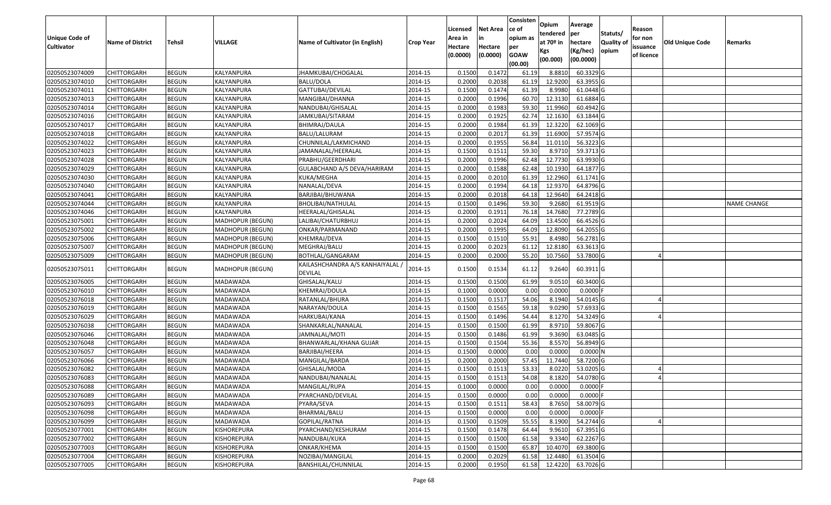|                       |                         |               |                    |                                           |                  |          |                 | Consisten   | Opium       | Average     |                  |            |                 |                    |
|-----------------------|-------------------------|---------------|--------------------|-------------------------------------------|------------------|----------|-----------------|-------------|-------------|-------------|------------------|------------|-----------------|--------------------|
|                       |                         |               |                    |                                           |                  | Licensed | <b>Net Area</b> | ce of       | tendered    | per         | Statuts/         | Reason     |                 |                    |
| <b>Unique Code of</b> | <b>Name of District</b> | <b>Tehsil</b> | VILLAGE            | Name of Cultivator (in English)           | <b>Crop Year</b> | Area in  |                 | opium as    | at $70°$ in | hectare     | <b>Quality o</b> | for non    | Old Unique Code | Remarks            |
| <b>Cultivator</b>     |                         |               |                    |                                           |                  | Hectare  | Hectare         | per         | Kgs         | (Kg/hec)    | opium            | issuance   |                 |                    |
|                       |                         |               |                    |                                           |                  | (0.0000) | (0.0000)        | <b>GOAW</b> | (00.000)    | (00.0000)   |                  | of licence |                 |                    |
|                       |                         |               |                    |                                           |                  |          |                 | (00.00)     |             |             |                  |            |                 |                    |
| 02050523074009        | CHITTORGARH             | <b>BEGUN</b>  | KALYANPURA         | JHAMKUBAI/CHOGALAL                        | 2014-15          | 0.1500   | 0.1472          | 61.19       | 8.8810      | 60.3329 G   |                  |            |                 |                    |
| 02050523074010        | CHITTORGARH             | <b>BEGUN</b>  | KALYANPURA         | BALU/DOLA                                 | 2014-15          | 0.2000   | 0.2038          | 61.19       | 12.9200     | 63.3955 G   |                  |            |                 |                    |
| 02050523074011        | CHITTORGARH             | <b>BEGUN</b>  | KALYANPURA         | GATTUBAI/DEVILAL                          | 2014-15          | 0.1500   | 0.1474          | 61.39       | 8.998       | 61.0448 G   |                  |            |                 |                    |
| 02050523074013        | <b>CHITTORGARH</b>      | <b>BEGUN</b>  | KALYANPURA         | MANGIBAI/DHANNA                           | 2014-15          | 0.2000   | 0.1996          | 60.70       | 12.3130     | 61.6884 G   |                  |            |                 |                    |
| 02050523074014        | CHITTORGARH             | <b>BEGUN</b>  | KALYANPURA         | NANDUBAI/GHISALAL                         | 2014-15          | 0.2000   | 0.1983          | 59.3        | 11.9960     | 60.4942 G   |                  |            |                 |                    |
| 02050523074016        | CHITTORGARH             | <b>BEGUN</b>  | KALYANPURA         | JAMKUBAI/SITARAM                          | 2014-15          | 0.2000   | 0.1925          | 62.74       | 12.1630     | 63.1844 G   |                  |            |                 |                    |
| 02050523074017        | CHITTORGARH             | <b>BEGUN</b>  | KALYANPURA         | BHIMRAJ/DAULA                             | 2014-15          | 0.2000   | 0.1984          | 61.39       | 12.3220     | 62.1069 G   |                  |            |                 |                    |
| 02050523074018        | <b>CHITTORGARH</b>      | <b>BEGUN</b>  | KALYANPURA         | BALU/LALURAM                              | 2014-15          | 0.2000   | 0.2017          | 61.39       | 11.6900     | 57.9574 G   |                  |            |                 |                    |
| 02050523074022        | CHITTORGARH             | <b>BEGUN</b>  | KALYANPURA         | CHUNNILAL/LAKMICHAND                      | 2014-15          | 0.2000   | 0.1955          | 56.84       | 11.011      | 56.3223 G   |                  |            |                 |                    |
| 02050523074023        | CHITTORGARH             | <b>BEGUN</b>  | KALYANPURA         | JAMANALAL/HEERALAL                        | 2014-15          | 0.1500   | 0.1511          | 59.30       | 8.9710      | 59.3713 G   |                  |            |                 |                    |
| 02050523074028        | CHITTORGARH             | <b>BEGUN</b>  | KALYANPURA         | PRABHU/GEERDHARI                          | 2014-15          | 0.2000   | 0.1996          | 62.48       | 12.7730     | 63.9930 G   |                  |            |                 |                    |
| 02050523074029        | CHITTORGARH             | <b>BEGUN</b>  | <b>KALYANPURA</b>  | GULABCHAND A/S DEVA/HARIRAM               | 2014-15          | 0.2000   | 0.1588          | 62.48       | 10.1930     | 64.1877 G   |                  |            |                 |                    |
| 02050523074030        | <b>CHITTORGARH</b>      | <b>BEGUN</b>  | KALYANPURA         | KUKA/MEGHA                                | 2014-15          | 0.2000   | 0.2010          | 61.39       | 12.2960     | $61.1741$ G |                  |            |                 |                    |
| 02050523074040        | CHITTORGARH             | <b>BEGUN</b>  | KALYANPURA         | NANALAL/DEVA                              | 2014-15          | 0.2000   | 0.1994          | 64.18       | 12.9370     | 64.8796 G   |                  |            |                 |                    |
| 02050523074041        | CHITTORGARH             | <b>BEGUN</b>  | KALYANPURA         | BARJIBAI/BHUWANA                          | 2014-15          | 0.2000   | 0.2018          | 64.18       | 12.9640     | 64.2418 G   |                  |            |                 |                    |
| 02050523074044        | CHITTORGARH             | <b>BEGUN</b>  | KALYANPURA         | BHOLIBAI/NATHULAL                         | 2014-15          | 0.1500   | 0.1496          | 59.30       | 9.2680      | 61.9519G    |                  |            |                 | <b>NAME CHANGE</b> |
| 02050523074046        | CHITTORGARH             | <b>BEGUN</b>  | KALYANPURA         | HEERALAL/GHISALAL                         | 2014-15          | 0.2000   | 0.1911          | 76.18       | 14.7680     | 77.2789 G   |                  |            |                 |                    |
| 02050523075001        | CHITTORGARH             | <b>BEGUN</b>  | MADHOPUR (BEGUN)   | LALIBAI/CHATURBHUJ                        | 2014-15          | 0.2000   | 0.2024          | 64.09       | 13.4500     | 66.4526 G   |                  |            |                 |                    |
| 02050523075002        | CHITTORGARH             | <b>BEGUN</b>  | MADHOPUR (BEGUN)   | ONKAR/PARMANAND                           | 2014-15          | 0.2000   | 0.1995          | 64.09       | 12.8090     | 64.2055 G   |                  |            |                 |                    |
| 02050523075006        | CHITTORGARH             | <b>BEGUN</b>  | MADHOPUR (BEGUN)   | KHEMRAJ/DEVA                              | 2014-15          | 0.1500   | 0.1510          | 55.9        | 8.4980      | 56.2781G    |                  |            |                 |                    |
| 02050523075007        | CHITTORGARH             | <b>BEGUN</b>  | MADHOPUR (BEGUN)   | MEGHRAJ/BALU                              | 2014-15          | 0.2000   | 0.2023          | 61.12       | 12.8180     | 63.3613 G   |                  |            |                 |                    |
| 02050523075009        | CHITTORGARH             | <b>BEGUN</b>  | MADHOPUR (BEGUN)   | BOTHLAL/GANGARAM                          | 2014-15          | 0.2000   | 0.2000          | 55.20       | 10.7560     | 53.7800 G   |                  |            |                 |                    |
| 02050523075011        | CHITTORGARH             | <b>BEGUN</b>  | MADHOPUR (BEGUN)   | KAILASHCHANDRA A/S KANHAIYALAL<br>DEVILAL | 2014-15          | 0.1500   | 0.1534          | 61.12       | 9.2640      | 60.3911 G   |                  |            |                 |                    |
| 02050523076005        | CHITTORGARH             | <b>BEGUN</b>  | MADAWADA           | GHISALAL/KALU                             | 2014-15          | 0.1500   | 0.1500          | 61.99       | 9.0510      | 60.3400 G   |                  |            |                 |                    |
| 02050523076010        | CHITTORGARH             | <b>BEGUN</b>  | MADAWADA           | KHEMRAJ/DOULA                             | 2014-15          | 0.1000   | 0.0000          | 0.00        | 0.0000      | $0.0000$ F  |                  |            |                 |                    |
| 02050523076018        | CHITTORGARH             | <b>BEGUN</b>  | MADAWADA           | RATANLAL/BHURA                            | 2014-15          | 0.1500   | 0.1517          | 54.06       | 8.1940      | 54.0145 G   |                  |            |                 |                    |
| 02050523076019        | CHITTORGARH             | <b>BEGUN</b>  | MADAWADA           | NARAYAN/DOULA                             | 2014-15          | 0.1500   | 0.1565          | 59.18       | 9.0290      | 57.6933 G   |                  |            |                 |                    |
| 02050523076029        | <b>CHITTORGARH</b>      | <b>BEGUN</b>  | MADAWADA           | HARKUBAI/KANA                             | 2014-15          | 0.1500   | 0.1496          | 54.44       | 8.1270      | 54.3249 G   |                  |            |                 |                    |
| 02050523076038        | CHITTORGARH             | <b>BEGUN</b>  | MADAWADA           | SHANKARLAL/NANALAL                        | 2014-15          | 0.1500   | 0.1500          | 61.99       | 8.9710      | 59.8067 G   |                  |            |                 |                    |
| 02050523076046        | CHITTORGARH             | <b>BEGUN</b>  | MADAWADA           | JAMNALAL/MOTI                             | 2014-15          | 0.1500   | 0.1486          | 61.99       | 9.3690      | 63.0485 G   |                  |            |                 |                    |
| 02050523076048        | CHITTORGARH             | <b>BEGUN</b>  | MADAWADA           | BHANWARLAL/KHANA GUJAR                    | 2014-15          | 0.1500   | 0.1504          | 55.36       | 8.5570      | 56.8949 G   |                  |            |                 |                    |
| 02050523076057        | CHITTORGARH             | <b>BEGUN</b>  | MADAWADA           | BARJIBAI/HEERA                            | 2014-15          | 0.1500   | 0.0000          | 0.00        | 0.0000      | 0.0000N     |                  |            |                 |                    |
| 02050523076066        | <b>CHITTORGARH</b>      | <b>BEGUN</b>  | MADAWADA           | MANGILAL/BARDA                            | 2014-15          | 0.2000   | 0.2000          | 57.45       | 11.7440     | 58.7200 G   |                  |            |                 |                    |
| 02050523076082        | CHITTORGARH             | <b>BEGUN</b>  | MADAWADA           | GHISALAL/MODA                             | 2014-15          | 0.150    | 0.1513          | 53.33       | 8.0220      | 53.0205 G   |                  |            |                 |                    |
| 02050523076083        | CHITTORGARH             | <b>BEGUN</b>  | MADAWADA           | NANDUBAI/NANALAL                          | 2014-15          | 0.1500   | 0.1513          | 54.08       | 8.1820      | 54.0780 G   |                  |            |                 |                    |
| 02050523076088        | <b>CHITTORGARH</b>      | <b>BEGUN</b>  | MADAWADA           | MANGILAL/RUPA                             | 2014-15          | 0.1000   | 0.0000          | 0.00        | 0.0000      | 0.0000 F    |                  |            |                 |                    |
| 02050523076089        | <b>CHITTORGARH</b>      | <b>BEGUN</b>  | MADAWADA           | PYARCHAND/DEVILAL                         | 2014-15          | 0.1500   | 0.0000          | 0.00        | 0.0000      | $0.0000$ F  |                  |            |                 |                    |
| 02050523076093        | <b>CHITTORGARH</b>      | <b>BEGUN</b>  | MADAWADA           | PYARA/SEVA                                | 2014-15          | 0.1500   | 0.1511          | 58.43       | 8.7650      | 58.0079 G   |                  |            |                 |                    |
| 02050523076098        | <b>CHITTORGARH</b>      | <b>BEGUN</b>  | MADAWADA           | BHARMAL/BALU                              | 2014-15          | 0.1500   | 0.0000          | 0.00        | 0.0000      | $0.0000$ F  |                  |            |                 |                    |
| 02050523076099        | <b>CHITTORGARH</b>      | <b>BEGUN</b>  | MADAWADA           | GOPILAL/RATNA                             | 2014-15          | 0.1500   | 0.1509          | 55.55       | 8.1900      | 54.2744 G   |                  |            |                 |                    |
| 02050523077001        | <b>CHITTORGARH</b>      | <b>BEGUN</b>  | <b>KISHOREPURA</b> | PYARCHAND/KESHURAM                        | 2014-15          | 0.1500   | 0.1478          | 64.44       | 9.9610      | 67.3951 G   |                  |            |                 |                    |
| 02050523077002        | <b>CHITTORGARH</b>      | <b>BEGUN</b>  | KISHOREPURA        | NANDUBAI/KUKA                             | 2014-15          | 0.1500   | 0.1500          | 61.58       | 9.3340      | 62.2267 G   |                  |            |                 |                    |
| 02050523077003        | <b>CHITTORGARH</b>      | <b>BEGUN</b>  | KISHOREPURA        | ONKAR/KHEMA                               | 2014-15          | 0.1500   | 0.1500          | 65.87       | 10.4070     | $69.3800$ G |                  |            |                 |                    |
| 02050523077004        | <b>CHITTORGARH</b>      | <b>BEGUN</b>  | KISHOREPURA        | NOZIBAI/MANGILAL                          | 2014-15          | 0.2000   | 0.2029          | 61.58       | 12.4480     | 61.3504 G   |                  |            |                 |                    |
| 02050523077005        | <b>CHITTORGARH</b>      | <b>BEGUN</b>  | KISHOREPURA        | BANSHILAL/CHUNNILAL                       | 2014-15          | 0.2000   | 0.1950          | 61.58       | 12.4220     | 63.7026 G   |                  |            |                 |                    |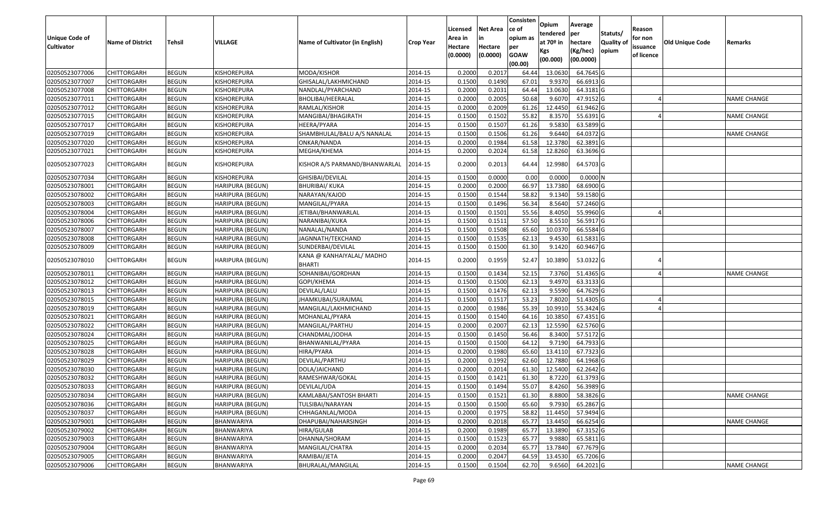| <b>Unique Code of</b> |                         |               |                         |                                            |                  | Licensed<br>Area in | <b>Net Area</b><br>in | Consisten<br>ce of<br>opium as | Opium<br>tendered                        | Average<br>per                   | Statuts/                   | Reason<br>for non      |                 |                    |
|-----------------------|-------------------------|---------------|-------------------------|--------------------------------------------|------------------|---------------------|-----------------------|--------------------------------|------------------------------------------|----------------------------------|----------------------------|------------------------|-----------------|--------------------|
| <b>Cultivator</b>     | <b>Name of District</b> | <b>Tehsil</b> | VILLAGE                 | Name of Cultivator (in English)            | <b>Crop Year</b> | Hectare<br>(0.0000) | Hectare<br>(0.0000)   | per<br><b>GOAW</b><br>(00.00)  | at 70 <sup>o</sup> in<br>Kgs<br>(00.000) | hectare<br>(Kg/hec)<br>(00.0000) | <b>Quality of</b><br>opium | issuance<br>of licence | Old Unique Code | Remarks            |
| 02050523077006        | <b>CHITTORGARH</b>      | <b>BEGUN</b>  | KISHOREPURA             | MODA/KISHOR                                | 2014-15          | 0.2000              | 0.201                 | 64.44                          | 13.0630                                  | 64.7645 G                        |                            |                        |                 |                    |
| 02050523077007        | <b>CHITTORGARH</b>      | <b>BEGUN</b>  | KISHOREPURA             | GHISALAL/LAKHMICHAND                       | 2014-15          | 0.1500              | 0.1490                | 67.01                          | 9.9370                                   | 66.6913 G                        |                            |                        |                 |                    |
| 02050523077008        | <b>CHITTORGARH</b>      | <b>BEGUN</b>  | KISHOREPURA             | NANDLAL/PYARCHAND                          | 2014-15          | 0.2000              | 0.2031                | 64.44                          | 13.0630                                  | 64.3181 G                        |                            |                        |                 |                    |
| 02050523077011        | <b>CHITTORGARH</b>      | <b>BEGUN</b>  | KISHOREPURA             | BHOLIBAI/HEERALAL                          | 2014-15          | 0.2000              | 0.2005                | 50.68                          | 9.6070                                   | 47.9152 G                        |                            |                        |                 | <b>NAME CHANGE</b> |
| 02050523077012        | <b>CHITTORGARH</b>      | <b>BEGUN</b>  | KISHOREPURA             | RAMLAL/KISHOR                              | 2014-15          | 0.2000              | 0.2009                | 61.26                          | 12.4450                                  | 61.9462 G                        |                            |                        |                 |                    |
| 02050523077015        | <b>CHITTORGARH</b>      | <b>BEGUN</b>  | KISHOREPURA             | MANGIBAI/BHAGIRATH                         | 2014-15          | 0.1500              | 0.1502                | 55.82                          | 8.3570                                   | 55.6391 G                        |                            |                        |                 | NAME CHANGE        |
| 02050523077017        | <b>CHITTORGARH</b>      | <b>BEGUN</b>  | KISHOREPURA             | HEERA/PYARA                                | 2014-15          | 0.1500              | 0.1507                | 61.26                          | 9.5830                                   | 63.5899 G                        |                            |                        |                 |                    |
| 02050523077019        | <b>CHITTORGARH</b>      | <b>BEGUN</b>  | KISHOREPURA             | SHAMBHULAL/BALU A/S NANALAL                | 2014-15          | 0.1500              | 0.1506                | 61.26                          | 9.6440                                   | 64.0372 G                        |                            |                        |                 | <b>NAME CHANGE</b> |
| 02050523077020        | <b>CHITTORGARH</b>      | <b>BEGUN</b>  | KISHOREPURA             | ONKAR/NANDA                                | 2014-15          | 0.2000              | 0.1984                | 61.58                          | 12.3780                                  | 62.3891 G                        |                            |                        |                 |                    |
| 02050523077021        | <b>CHITTORGARH</b>      | <b>BEGUN</b>  | KISHOREPURA             | MEGHA/KHEMA                                | 2014-15          | 0.2000              | 0.2024                | 61.58                          | 12.8260                                  | 63.3696 G                        |                            |                        |                 |                    |
| 02050523077023        | <b>CHITTORGARH</b>      | <b>BEGUN</b>  | KISHOREPURA             | KISHOR A/S PARMAND/BHANWARLAL              | 2014-15          | 0.2000              | 0.2013                | 64.44                          | 12.9980                                  | 64.5703 G                        |                            |                        |                 |                    |
| 02050523077034        | <b>CHITTORGARH</b>      | <b>BEGUN</b>  | KISHOREPURA             | GHISIBAI/DEVILAL                           | 2014-15          | 0.1500              | 0.0000                | 0.00                           | 0.0000                                   | 0.0000N                          |                            |                        |                 |                    |
| 02050523078001        | <b>CHITTORGARH</b>      | <b>BEGUN</b>  | HARIPURA (BEGUN)        | <b>BHURIBAI/ KUKA</b>                      | 2014-15          | 0.2000              | 0.2000                | 66.97                          | 13.7380                                  | 68.6900 G                        |                            |                        |                 |                    |
| 02050523078002        | <b>CHITTORGARH</b>      | <b>BEGUN</b>  | HARIPURA (BEGUN)        | NARAYAN/KAJOD                              | 2014-15          | 0.1500              | 0.1544                | 58.82                          | 9.1340                                   | 59.1580 G                        |                            |                        |                 |                    |
| 02050523078003        | <b>CHITTORGARH</b>      | <b>BEGUN</b>  | HARIPURA (BEGUN)        | MANGILAL/PYARA                             | 2014-15          | 0.1500              | 0.1496                | 56.34                          | 8.5640                                   | 57.2460 G                        |                            |                        |                 |                    |
| 02050523078004        | <b>CHITTORGARH</b>      | <b>BEGUN</b>  | HARIPURA (BEGUN)        | JETIBAI/BHANWARLAL                         | 2014-15          | 0.1500              | 0.1501                | 55.56                          | 8.4050                                   | 55.9960 G                        |                            |                        |                 |                    |
| 02050523078006        | <b>CHITTORGARH</b>      | <b>BEGUN</b>  | HARIPURA (BEGUN)        | NARANIBAI/KUKA                             | 2014-15          | 0.1500              | 0.1511                | 57.50                          | 8.5510                                   | 56.5917 G                        |                            |                        |                 |                    |
| 02050523078007        | <b>CHITTORGARH</b>      | <b>BEGUN</b>  | HARIPURA (BEGUN)        | NANALAL/NANDA                              | 2014-15          | 0.1500              | 0.1508                | 65.60                          | 10.0370                                  | 66.5584 G                        |                            |                        |                 |                    |
| 02050523078008        | <b>CHITTORGARH</b>      | <b>BEGUN</b>  | HARIPURA (BEGUN)        | JAGNNATH/TEKCHAND                          | 2014-15          | 0.1500              | 0.1535                | 62.13                          | 9.4530                                   | 61.5831 G                        |                            |                        |                 |                    |
| 02050523078009        | <b>CHITTORGARH</b>      | <b>BEGUN</b>  | <b>HARIPURA (BEGUN)</b> | SUNDERBAI/DEVILAL                          | 2014-15          | 0.1500              | 0.1500                | 61.30                          | 9.1420                                   | 60.9467 G                        |                            |                        |                 |                    |
| 02050523078010        | <b>CHITTORGARH</b>      | <b>BEGUN</b>  | HARIPURA (BEGUN)        | KANA @ KANHAIYALAL/ MADHO<br><b>BHARTI</b> | 2014-15          | 0.2000              | 0.1959                | 52.47                          | 10.3890                                  | 53.0322 G                        |                            |                        |                 |                    |
| 02050523078011        | <b>CHITTORGARH</b>      | <b>BEGUN</b>  | HARIPURA (BEGUN)        | SOHANIBAI/GORDHAN                          | 2014-15          | 0.1500              | 0.1434                | 52.15                          | 7.3760                                   | 51.4365 G                        |                            |                        |                 | NAME CHANGE        |
| 02050523078012        | <b>CHITTORGARH</b>      | <b>BEGUN</b>  | HARIPURA (BEGUN)        | GOPI/KHEMA                                 | 2014-15          | 0.1500              | 0.1500                | 62.13                          | 9.4970                                   | 63.3133 G                        |                            |                        |                 |                    |
| 02050523078013        | <b>CHITTORGARH</b>      | <b>BEGUN</b>  | HARIPURA (BEGUN)        | DEVILAL/LALU                               | 2014-15          | 0.1500              | 0.1476                | 62.13                          | 9.5590                                   | 64.7629 G                        |                            |                        |                 |                    |
| 02050523078015        | <b>CHITTORGARH</b>      | <b>BEGUN</b>  | HARIPURA (BEGUN)        | JHAMKUBAI/SURAJMAL                         | 2014-15          | 0.1500              | 0.1517                | 53.23                          | 7.8020                                   | 51.4305 G                        |                            |                        |                 |                    |
| 02050523078019        | <b>CHITTORGARH</b>      | <b>BEGUN</b>  | HARIPURA (BEGUN)        | MANGILAL/LAKHMICHAND                       | 2014-15          | 0.2000              | 0.1986                | 55.39                          | 10.9910                                  | 55.3424 G                        |                            |                        |                 |                    |
| 02050523078021        | <b>CHITTORGARH</b>      | <b>BEGUN</b>  | HARIPURA (BEGUN)        | MOHANLAL/PYARA                             | 2014-15          | 0.1500              | 0.1540                | 64.16                          | 10.3850                                  | 67.4351 G                        |                            |                        |                 |                    |
| 02050523078022        | <b>CHITTORGARH</b>      | <b>BEGUN</b>  | HARIPURA (BEGUN)        | MANGILAL/PARTHU                            | 2014-15          | 0.2000              | 0.2007                | 62.13                          | 12.5590                                  | 62.5760 G                        |                            |                        |                 |                    |
| 02050523078024        | <b>CHITTORGARH</b>      | <b>BEGUN</b>  | HARIPURA (BEGUN)        | CHANDMAL/JODHA                             | 2014-15          | 0.1500              | 0.1450                | 56.46                          | 8.3400                                   | 57.5172 G                        |                            |                        |                 |                    |
| 02050523078025        | <b>CHITTORGARH</b>      | <b>BEGUN</b>  | HARIPURA (BEGUN)        | BHANWANILAL/PYARA                          | 2014-15          | 0.1500              | 0.1500                | 64.12                          | 9.7190                                   | 64.7933 G                        |                            |                        |                 |                    |
| 02050523078028        | <b>CHITTORGARH</b>      | <b>BEGUN</b>  | HARIPURA (BEGUN)        | HIRA/PYARA                                 | 2014-15          | 0.2000              | 0.1980                | 65.60                          | 13.4110                                  | 67.7323 G                        |                            |                        |                 |                    |
| 02050523078029        | <b>CHITTORGARH</b>      | <b>BEGUN</b>  | HARIPURA (BEGUN)        | DEVILAL/PARTHU                             | 2014-15          | 0.2000              | 0.1992                | 62.60                          | 12.7880                                  | 64.1968 G                        |                            |                        |                 |                    |
| 02050523078030        | <b>CHITTORGARH</b>      | <b>BEGUN</b>  | HARIPURA (BEGUN)        | DOLA/JAICHAND                              | 2014-15          | 0.2000              | 0.2014                | 61.30                          | 12.5400                                  | 62.2642 G                        |                            |                        |                 |                    |
| 02050523078032        | <b>CHITTORGARH</b>      | BEGUN         | <b>HARIPURA (BEGUN)</b> | RAMESHWAR/GOKAL                            | 2014-15          | 0.1500              | 0.1421                | 61.30                          | 8.7220                                   | 61.3793 G                        |                            |                        |                 |                    |
| 02050523078033        | CHITTORGARH             | <b>BEGUN</b>  | HARIPURA (BEGUN)        | DEVILAL/UDA                                | 2014-15          | 0.1500              | 0.1494                | 55.07                          | 8.4260                                   | 56.3989 G                        |                            |                        |                 |                    |
| 02050523078034        | <b>CHITTORGARH</b>      | <b>BEGUN</b>  | HARIPURA (BEGUN)        | KAMLABAI/SANTOSH BHARTI                    | 2014-15          | 0.1500              | 0.1521                | 61.30                          | 8.8800                                   | 58.3826 G                        |                            |                        |                 | <b>NAME CHANGE</b> |
| 02050523078036        | <b>CHITTORGARH</b>      | <b>BEGUN</b>  | HARIPURA (BEGUN)        | TULSIBAI/NARAYAN                           | 2014-15          | 0.1500              | 0.1500                | 65.60                          | 9.7930                                   | 65.2867 G                        |                            |                        |                 |                    |
| 02050523078037        | <b>CHITTORGARH</b>      | <b>BEGUN</b>  | HARIPURA (BEGUN)        | CHHAGANLAL/MODA                            | 2014-15          | 0.2000              | 0.1975                | 58.82                          | 11.4450                                  | 57.9494 G                        |                            |                        |                 |                    |
| 02050523079001        | <b>CHITTORGARH</b>      | <b>BEGUN</b>  | BHANWARIYA              | DHAPUBAI/NAHARSINGH                        | 2014-15          | 0.2000              | 0.2018                | 65.77                          | 13.4450                                  | 66.6254 G                        |                            |                        |                 | <b>NAME CHANGE</b> |
| 02050523079002        | <b>CHITTORGARH</b>      | <b>BEGUN</b>  | BHANWARIYA              | HIRA/GULAB                                 | 2014-15          | 0.2000              | 0.1989                | 65.77                          | 13.3890                                  | 67.3152 G                        |                            |                        |                 |                    |
| 02050523079003        | <b>CHITTORGARH</b>      | <b>BEGUN</b>  | BHANWARIYA              | DHANNA/SHORAM                              | 2014-15          | 0.1500              | 0.1523                | 65.77                          | 9.9880                                   | 65.5811 G                        |                            |                        |                 |                    |
| 02050523079004        | <b>CHITTORGARH</b>      | <b>BEGUN</b>  | BHANWARIYA              | MANGILAL/CHATRA                            | 2014-15          | 0.2000              | 0.2034                | 65.77                          | 13.7840                                  | 67.7679 G                        |                            |                        |                 |                    |
| 02050523079005        | <b>CHITTORGARH</b>      | <b>BEGUN</b>  | BHANWARIYA              | RAMIBAI/JETA                               | 2014-15          | 0.2000              | 0.2047                | 64.59                          | 13.4530                                  | 65.7206 G                        |                            |                        |                 |                    |
| 02050523079006        | <b>CHITTORGARH</b>      | <b>BEGUN</b>  | BHANWARIYA              | BHURALAL/MANGILAL                          | 2014-15          | 0.1500              | 0.1504                | 62.70                          | 9.6560                                   | 64.2021 G                        |                            |                        |                 | <b>NAME CHANGE</b> |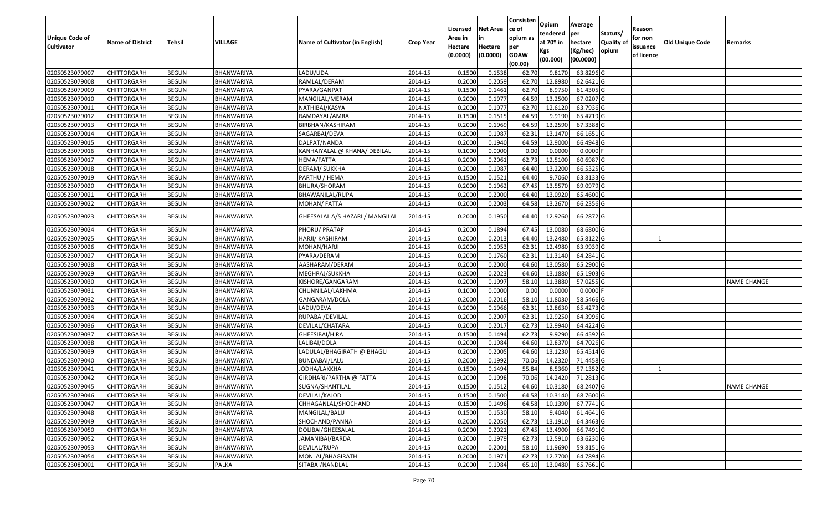|                       |                         |               |                   |                                 |                  |          |                 | Consisten   | Opium         | Average    |                  |            |                 |                    |
|-----------------------|-------------------------|---------------|-------------------|---------------------------------|------------------|----------|-----------------|-------------|---------------|------------|------------------|------------|-----------------|--------------------|
|                       |                         |               |                   |                                 |                  | Licensed | <b>Net Area</b> | ce of       | tendered      | per        | Statuts/         | Reason     |                 |                    |
| <b>Unique Code of</b> | <b>Name of District</b> | <b>Tehsil</b> | VILLAGE           | Name of Cultivator (in English) | <b>Crop Year</b> | Area in  |                 | opium as    | at $70°$ in   | hectare    | <b>Quality o</b> | for non    | Old Unique Code | Remarks            |
| <b>Cultivator</b>     |                         |               |                   |                                 |                  | Hectare  | Hectare         | per         | Kgs           | (Kg/hec)   | opium            | issuance   |                 |                    |
|                       |                         |               |                   |                                 |                  | (0.0000) | (0.0000)        | <b>GOAW</b> | (00.000)      | (00.0000)  |                  | of licence |                 |                    |
|                       |                         |               |                   |                                 |                  |          |                 | (00.00)     |               |            |                  |            |                 |                    |
| 02050523079007        | CHITTORGARH             | <b>BEGUN</b>  | BHANWARIYA        | LADU/UDA                        | 2014-15          | 0.1500   | 0.1538          | 62.70       | 9.8170        | 63.8296 G  |                  |            |                 |                    |
| 02050523079008        | CHITTORGARH             | <b>BEGUN</b>  | BHANWARIYA        | RAMLAL/DERAM                    | 2014-15          | 0.2000   | 0.2059          | 62.70       | 12.8980       | 62.6421G   |                  |            |                 |                    |
| 02050523079009        | CHITTORGARH             | <b>BEGUN</b>  | BHANWARIYA        | PYARA/GANPAT                    | 2014-15          | 0.1500   | 0.1461          | 62.70       | 8.975         | 61.4305 G  |                  |            |                 |                    |
| 02050523079010        | <b>CHITTORGARH</b>      | <b>BEGUN</b>  | <b>BHANWARIYA</b> | MANGILAL/MERAM                  | 2014-15          | 0.2000   | 0.1977          | 64.59       | 13.2500       | 67.0207 G  |                  |            |                 |                    |
| 02050523079011        | CHITTORGARH             | <b>BEGUN</b>  | BHANWARIYA        | NATHIBAI/KASYA                  | 2014-15          | 0.2000   | 0.1977          | 62.70       | 12.6120       | 63.7936 G  |                  |            |                 |                    |
| 02050523079012        | CHITTORGARH             | <b>BEGUN</b>  | BHANWARIYA        | RAMDAYAL/AMRA                   | 2014-15          | 0.1500   | 0.1515          | 64.59       | 9.9190        | 65.4719 G  |                  |            |                 |                    |
| 02050523079013        | CHITTORGARH             | <b>BEGUN</b>  | BHANWARIYA        | BIRBHAN/KASHIRAM                | 2014-15          | 0.2000   | 0.1969          | 64.59       | 13.2590       | 67.3388 G  |                  |            |                 |                    |
| 02050523079014        | CHITTORGARH             | <b>BEGUN</b>  | BHANWARIYA        | SAGARBAI/DEVA                   | 2014-15          | 0.2000   | 0.1987          | 62.31       | 13.1470       | 66.1651G   |                  |            |                 |                    |
| 02050523079015        | CHITTORGARH             | <b>BEGUN</b>  | BHANWARIYA        | DALPAT/NANDA                    | 2014-15          | 0.2000   | 0.1940          | 64.59       | 12.9000       | 66.4948 G  |                  |            |                 |                    |
| 02050523079016        | CHITTORGARH             | <b>BEGUN</b>  | BHANWARIYA        | KANHAIYALAL @ KHANA/ DEBILAL    | 2014-15          | 0.1000   | 0.0000          | 0.00        | 0.0000        | $0.0000$ F |                  |            |                 |                    |
| 02050523079017        | CHITTORGARH             | <b>BEGUN</b>  | BHANWARIYA        | HEMA/FATTA                      | 2014-15          | 0.2000   | 0.2061          | 62.73       | 12.5100       | 60.6987 G  |                  |            |                 |                    |
| 02050523079018        | CHITTORGARH             | <b>BEGUN</b>  | BHANWARIYA        | DERAM/ SUKKHA                   | 2014-15          | 0.2000   | 0.1987          | 64.40       | 13.2200       | 66.5325 G  |                  |            |                 |                    |
| 02050523079019        | <b>CHITTORGARH</b>      | <b>BEGUN</b>  | BHANWARIYA        | PARTHU / HEMA                   | 2014-15          | 0.1500   | 0.1521          | 64.40       | 9.7060        | 63.8133 G  |                  |            |                 |                    |
| 02050523079020        | CHITTORGARH             | <b>BEGUN</b>  | BHANWARIYA        | BHURA/SHORAM                    | 2014-15          | 0.2000   | 0.1962          | 67.45       | 13.5570       | 69.0979 G  |                  |            |                 |                    |
| 02050523079021        | CHITTORGARH             | <b>BEGUN</b>  | BHANWARIYA        | BHAWANILAL/RUPA                 | 2014-15          | 0.2000   | 0.2000          | 64.40       | 13.0920       | 65.4600 G  |                  |            |                 |                    |
| 02050523079022        | <b>CHITTORGARH</b>      | <b>BEGUN</b>  | BHANWARIYA        | MOHAN/ FATTA                    | 2014-15          | 0.2000   | 0.2003          | 64.58       | 13.2670       | 66.2356 G  |                  |            |                 |                    |
| 02050523079023        | CHITTORGARH             | <b>BEGUN</b>  | BHANWARIYA        | GHEESALAL A/S HAZARI / MANGILAL | 2014-15          | 0.2000   | 0.1950          | 64.40       | 12.9260       | 66.2872 G  |                  |            |                 |                    |
| 02050523079024        | CHITTORGARH             | <b>BEGUN</b>  | BHANWARIYA        | PHORU/ PRATAP                   | 2014-15          | 0.2000   | 0.1894          | 67.45       | 13.0080       | 68.6800 G  |                  |            |                 |                    |
| 02050523079025        | CHITTORGARH             | <b>BEGUN</b>  | BHANWARIYA        | HARJI/ KASHIRAM                 | 2014-15          | 0.2000   | 0.2013          | 64.40       | 13.2480       | 65.8122 G  |                  |            |                 |                    |
| 02050523079026        | CHITTORGARH             | <b>BEGUN</b>  | BHANWARIYA        | MOHAN/HARJI                     | 2014-15          | 0.2000   | 0.1953          | 62.31       | 12.4980       | 63.9939 G  |                  |            |                 |                    |
| 02050523079027        | CHITTORGARH             | <b>BEGUN</b>  | BHANWARIYA        | PYARA/DERAM                     | 2014-15          | 0.2000   | 0.1760          | 62.3        | 11.3140       | 64.2841 G  |                  |            |                 |                    |
| 02050523079028        | CHITTORGARH             | <b>BEGUN</b>  | BHANWARIYA        | AASHARAM/DERAM                  | 2014-15          | 0.2000   | 0.2000          | 64.60       | 13.0580       | 65.2900 G  |                  |            |                 |                    |
| 02050523079029        | CHITTORGARH             | <b>BEGUN</b>  | BHANWARIYA        | MEGHRAJ/SUKKHA                  | 2014-15          | 0.2000   | 0.2023          | 64.60       | 13.1880       | 65.1903 G  |                  |            |                 |                    |
| 02050523079030        | CHITTORGARH             | <b>BEGUN</b>  | BHANWARIYA        | KISHORE/GANGARAM                | 2014-15          | 0.2000   | 0.1997          | 58.10       | 11.3880       | 57.0255 G  |                  |            |                 | <b>NAME CHANGE</b> |
| 02050523079031        | CHITTORGARH             | <b>BEGUN</b>  | BHANWARIYA        | CHUNNILAL/LAKHMA                | 2014-15          | 0.1000   | 0.0000          | 0.00        | 0.0000        | 0.0000F    |                  |            |                 |                    |
| 02050523079032        | CHITTORGARH             | <b>BEGUN</b>  | BHANWARIYA        | GANGARAM/DOLA                   | 2014-15          | 0.2000   | 0.2016          | 58.10       | 11.8030       | 58.5466 G  |                  |            |                 |                    |
| 02050523079033        | CHITTORGARH             | <b>BEGUN</b>  | BHANWARIYA        | LADU/DEVA                       | 2014-15          | 0.2000   | 0.1966          | 62.31       | 12.8630       | 65.4273 G  |                  |            |                 |                    |
| 02050523079034        | CHITTORGARH             | <b>BEGUN</b>  | BHANWARIYA        | RUPABAI/DEVILAL                 | 2014-15          | 0.2000   | 0.2007          | 62.31       | 12.9250       | 64.3996 G  |                  |            |                 |                    |
| 02050523079036        | CHITTORGARH             | <b>BEGUN</b>  | BHANWARIYA        | DEVILAL/CHATARA                 | 2014-15          | 0.2000   | 0.2017          | 62.73       | 12.9940       | 64.4224 G  |                  |            |                 |                    |
| 02050523079037        | CHITTORGARH             | <b>BEGUN</b>  | BHANWARIYA        | GHEESIBAI/HIRA                  | 2014-15          | 0.1500   | 0.1494          | 62.73       | 9.9290        | 66.4592 G  |                  |            |                 |                    |
| 02050523079038        | CHITTORGARH             | <b>BEGUN</b>  | BHANWARIYA        | LALIBAI/DOLA                    | 2014-15          | 0.2000   | 0.1984          | 64.60       | 12.8370       | 64.7026 G  |                  |            |                 |                    |
| 02050523079039        | <b>CHITTORGARH</b>      | <b>BEGUN</b>  | BHANWARIYA        | LADULAL/BHAGIRATH @ BHAGU       | 2014-15          | 0.2000   | 0.2005          | 64.60       | 13.1230       | 65.4514 G  |                  |            |                 |                    |
| 02050523079040        | <b>CHITTORGARH</b>      | <b>BEGUN</b>  | <b>BHANWARIYA</b> | <b>BUNDABAI/LALU</b>            | 2014-15          | 0.2000   | 0.1992          | 70.06       | 14.2320       | 71.4458 G  |                  |            |                 |                    |
| 02050523079041        | CHITTORGARH             | <b>BEGUN</b>  | BHANWARIYA        | JODHA/LAKKHA                    | 2014-15          | 0.150    | 0.1494          | 55.84       | 8.5360        | 57.1352 G  |                  |            |                 |                    |
| 02050523079042        | CHITTORGARH             | <b>BEGUN</b>  | BHANWARIYA        | GIRDHARI/PARTHA @ FATTA         | 2014-15          | 0.2000   | 0.1998          | 70.06       | 14.2420       | 71.2813 G  |                  |            |                 |                    |
| 02050523079045        | <b>CHITTORGARH</b>      | <b>BEGUN</b>  | BHANWARIYA        | SUGNA/SHANTILAL                 | 2014-15          | 0.1500   | 0.1512          |             | 64.60 10.3180 | 68.2407 G  |                  |            |                 | <b>NAME CHANGE</b> |
| 02050523079046        | <b>CHITTORGARH</b>      | <b>BEGUN</b>  | BHANWARIYA        | DEVILAL/KAJOD                   | 2014-15          | 0.1500   | 0.1500          | 64.58       | 10.3140       | 68.7600 G  |                  |            |                 |                    |
| 02050523079047        | <b>CHITTORGARH</b>      | <b>BEGUN</b>  | BHANWARIYA        | CHHAGANLAL/SHOCHAND             | 2014-15          | 0.1500   | 0.1496          | 64.58       | 10.1390       | 67.7741 G  |                  |            |                 |                    |
| 02050523079048        | <b>CHITTORGARH</b>      | <b>BEGUN</b>  | BHANWARIYA        | MANGILAL/BALU                   | 2014-15          | 0.1500   | 0.1530          | 58.10       | 9.4040        | 61.4641 G  |                  |            |                 |                    |
| 02050523079049        | <b>CHITTORGARH</b>      | <b>BEGUN</b>  | BHANWARIYA        | SHOCHAND/PANNA                  | 2014-15          | 0.2000   | 0.2050          | 62.73       | 13.1910       | 64.3463 G  |                  |            |                 |                    |
| 02050523079050        | <b>CHITTORGARH</b>      | <b>BEGUN</b>  | BHANWARIYA        | DOLIBAI/GHEESALAL               | 2014-15          | 0.2000   | 0.2021          | 67.45       | 13.4900       | 66.7491 G  |                  |            |                 |                    |
| 02050523079052        | <b>CHITTORGARH</b>      | <b>BEGUN</b>  | BHANWARIYA        | JAMANIBAI/BARDA                 | 2014-15          | 0.2000   | 0.1979          | 62.73       | 12.5910       | 63.6230 G  |                  |            |                 |                    |
| 02050523079053        | <b>CHITTORGARH</b>      | <b>BEGUN</b>  | <b>BHANWARIYA</b> | DEVILAL/RUPA                    | 2014-15          | 0.2000   | 0.2001          | 58.10       | 11.9690       | 59.8151 G  |                  |            |                 |                    |
| 02050523079054        | <b>CHITTORGARH</b>      | <b>BEGUN</b>  | BHANWARIYA        | MONLAL/BHAGIRATH                | 2014-15          | 0.2000   | 0.1971          | 62.73       | 12.7700       | 64.7894 G  |                  |            |                 |                    |
| 02050523080001        | <b>CHITTORGARH</b>      | <b>BEGUN</b>  | PALKA             | SITABAI/NANDLAL                 | 2014-15          | 0.2000   | 0.1984          | 65.10       | 13.0480       | 65.7661G   |                  |            |                 |                    |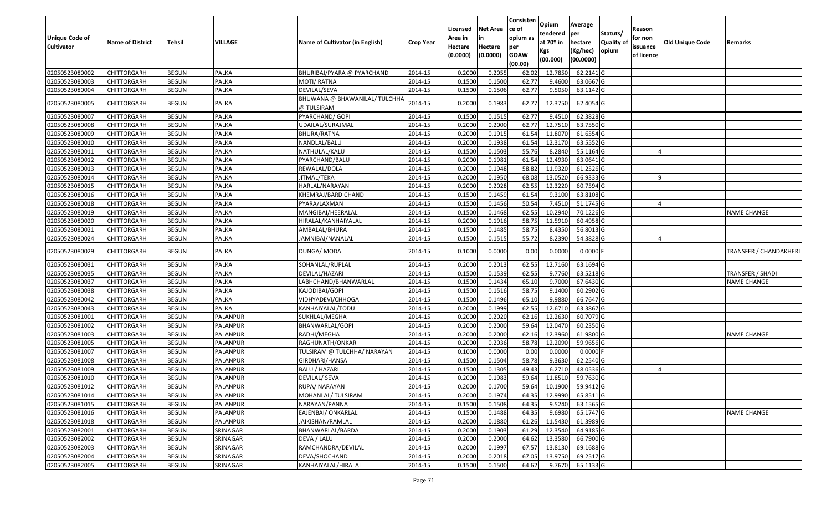| Unique Code of<br><b>Cultivator</b> | <b>Name of District</b> | Tehsil       | VILLAGE      | Name of Cultivator (in English)             | <b>Crop Year</b> | Licensed<br>Area in<br>Hectare<br>(0.0000) | Net Area<br>in<br>Hectare<br>(0.0000) | Consisten<br>ce of<br>opium as<br>per<br><b>GOAW</b><br>(00.00) | Opium<br>tendered<br>at 70º in<br>Kgs<br>(00.000) | Average<br>per<br>hectare<br>(Kg/hec)<br>(00.0000) | Statuts/<br><b>Quality of</b><br>opium | Reason<br>for non<br>issuance<br>of licence | <b>Old Unique Code</b> | Remarks                      |
|-------------------------------------|-------------------------|--------------|--------------|---------------------------------------------|------------------|--------------------------------------------|---------------------------------------|-----------------------------------------------------------------|---------------------------------------------------|----------------------------------------------------|----------------------------------------|---------------------------------------------|------------------------|------------------------------|
| 02050523080002                      | <b>CHITTORGARH</b>      | <b>BEGUN</b> | <b>PALKA</b> | BHURIBAI/PYARA @ PYARCHAND                  | 2014-15          | 0.2000                                     | 0.2055                                | 62.02                                                           | 12.7850                                           | 62.2141 G                                          |                                        |                                             |                        |                              |
| 02050523080003                      | CHITTORGARH             | <b>BEGUN</b> | <b>PALKA</b> | MOTI/ RATNA                                 | 2014-15          | 0.1500                                     | 0.1500                                | 62.77                                                           | 9.4600                                            | 63.0667 G                                          |                                        |                                             |                        |                              |
| 02050523080004                      | CHITTORGARH             | <b>BEGUN</b> | PALKA        | DEVILAL/SEVA                                | 2014-15          | 0.1500                                     | 0.1506                                | 62.77                                                           | 9.5050                                            | 63.1142 G                                          |                                        |                                             |                        |                              |
| 02050523080005                      | CHITTORGARH             | <b>BEGUN</b> | PALKA        | BHUWANA @ BHAWANILAL/ TULCHHA<br>@ TULSIRAM | 2014-15          | 0.2000                                     | 0.1983                                | 62.77                                                           | 12.3750                                           | 62.4054 G                                          |                                        |                                             |                        |                              |
| 02050523080007                      | CHITTORGARH             | <b>BEGUN</b> | <b>PALKA</b> | PYARCHAND/ GOPI                             | 2014-15          | 0.1500                                     | 0.1515                                | 62.77                                                           | 9.4510                                            | 62.3828 G                                          |                                        |                                             |                        |                              |
| 02050523080008                      | CHITTORGARH             | <b>BEGUN</b> | PALKA        | UDAILAL/SURAJMAL                            | 2014-15          | 0.2000                                     | 0.2000                                | 62.77                                                           | 12.7510                                           | 63.7550 G                                          |                                        |                                             |                        |                              |
| 02050523080009                      | <b>CHITTORGARH</b>      | <b>BEGUN</b> | <b>PALKA</b> | BHURA/RATNA                                 | 2014-15          | 0.2000                                     | 0.1915                                | 61.54                                                           | 11.8070                                           | 61.6554 G                                          |                                        |                                             |                        |                              |
| 02050523080010                      | <b>CHITTORGARH</b>      | <b>BEGUN</b> | <b>PALKA</b> | NANDLAL/BALU                                | 2014-15          | 0.2000                                     | 0.1938                                | 61.54                                                           | 12.3170                                           | 63.5552 G                                          |                                        |                                             |                        |                              |
| 02050523080011                      | CHITTORGARH             | <b>BEGUN</b> | <b>PALKA</b> | NATHULAL/KALU                               | 2014-15          | 0.1500                                     | 0.1503                                | 55.76                                                           | 8.2840                                            | 55.1164 G                                          |                                        |                                             |                        |                              |
| 02050523080012                      | CHITTORGARH             | <b>BEGUN</b> | <b>PALKA</b> | PYARCHAND/BALU                              | 2014-15          | 0.2000                                     | 0.1981                                | 61.54                                                           | 12.4930                                           | 63.0641 G                                          |                                        |                                             |                        |                              |
| 02050523080013                      | <b>CHITTORGARH</b>      | <b>BEGUN</b> | <b>PALKA</b> | REWALAL/DOLA                                | 2014-15          | 0.2000                                     | 0.1948                                | 58.82                                                           | 11.9320                                           | 61.2526 G                                          |                                        |                                             |                        |                              |
| 02050523080014                      | <b>CHITTORGARH</b>      | <b>BEGUN</b> | <b>PALKA</b> | JITMAL/TEKA                                 | 2014-15          | 0.2000                                     | 0.1950                                | 68.08                                                           | 13.0520                                           | 66.9333 G                                          |                                        |                                             |                        |                              |
| 02050523080015                      | <b>CHITTORGARH</b>      | <b>BEGUN</b> | <b>PALKA</b> | HARLAL/NARAYAN                              | 2014-15          | 0.2000                                     | 0.2028                                | 62.55                                                           | 12.3220                                           | 60.7594 G                                          |                                        |                                             |                        |                              |
| 02050523080016                      | CHITTORGARH             | <b>BEGUN</b> | <b>PALKA</b> | KHEMRAJ/BARDICHAND                          | 2014-15          | 0.1500                                     | 0.1459                                | 61.54                                                           | 9.3100                                            | 63.8108 G                                          |                                        |                                             |                        |                              |
| 02050523080018                      | CHITTORGARH             | <b>BEGUN</b> | <b>PALKA</b> | PYARA/LAXMAN                                | 2014-15          | 0.1500                                     | 0.1456                                | 50.54                                                           | 7.4510                                            | 51.1745 G                                          |                                        |                                             |                        |                              |
| 02050523080019                      | CHITTORGARH             | <b>BEGUN</b> | PALKA        | MANGIBAI/HEERALAL                           | 2014-15          | 0.1500                                     | 0.1468                                | 62.55                                                           | 10.2940                                           | 70.1226 G                                          |                                        |                                             |                        | <b>NAME CHANGE</b>           |
| 02050523080020                      | CHITTORGARH             | <b>BEGUN</b> | <b>PALKA</b> | HIRALAL/KANHAIYALAL                         | 2014-15          | 0.2000                                     | 0.1916                                | 58.75                                                           | 11.5910                                           | 60.4958 G                                          |                                        |                                             |                        |                              |
| 02050523080021                      | CHITTORGARH             | <b>BEGUN</b> | <b>PALKA</b> | AMBALAL/BHURA                               | 2014-15          | 0.1500                                     | 0.1485                                | 58.75                                                           | 8.4350                                            | 56.8013 G                                          |                                        |                                             |                        |                              |
| 02050523080024                      | CHITTORGARH             | <b>BEGUN</b> | PALKA        | JAMNIBAI/NANALAL                            | 2014-15          | 0.1500                                     | 0.1515                                | 55.72                                                           | 8.2390                                            | 54.3828 G                                          |                                        |                                             |                        |                              |
| 02050523080029                      | CHITTORGARH             | <b>BEGUN</b> | PALKA        | DUNGA/ MODA                                 | 2014-15          | 0.1000                                     | 0.0000                                | 0.00                                                            | 0.0000                                            | $0.0000$ F                                         |                                        |                                             |                        | <b>TRANSFER / CHANDAKHER</b> |
| 02050523080031                      | CHITTORGARH             | <b>BEGUN</b> | <b>PALKA</b> | SOHANLAL/RUPLAL                             | 2014-15          | 0.2000                                     | 0.2013                                | 62.55                                                           | 12.7160                                           | 63.1694 G                                          |                                        |                                             |                        |                              |
| 02050523080035                      | CHITTORGARH             | <b>BEGUN</b> | <b>PALKA</b> | DEVILAL/HAZARI                              | 2014-15          | 0.1500                                     | 0.1539                                | 62.55                                                           | 9.7760                                            | 63.5218 G                                          |                                        |                                             |                        | TRANSFER / SHADI             |
| 02050523080037                      | CHITTORGARH             | <b>BEGUN</b> | PALKA        | LABHCHAND/BHANWARLAL                        | 2014-15          | 0.1500                                     | 0.1434                                | 65.10                                                           | 9.7000                                            | 67.6430 G                                          |                                        |                                             |                        | <b>NAME CHANGE</b>           |
| 02050523080038                      | CHITTORGARH             | <b>BEGUN</b> | <b>PALKA</b> | KAJODIBAI/GOPI                              | 2014-15          | 0.1500                                     | 0.1516                                | 58.75                                                           | 9.1400                                            | 60.2902 G                                          |                                        |                                             |                        |                              |
| 02050523080042                      | CHITTORGARH             | <b>BEGUN</b> | <b>PALKA</b> | VIDHYADEVI/CHHOGA                           | 2014-15          | 0.1500                                     | 0.1496                                | 65.10                                                           | 9.9880                                            | 66.7647 G                                          |                                        |                                             |                        |                              |
| 02050523080043                      | CHITTORGARH             | <b>BEGUN</b> | <b>PALKA</b> | KANHAIYALAL/TODU                            | 2014-15          | 0.2000                                     | 0.1999                                | 62.55                                                           | 12.6710                                           | 63.3867 G                                          |                                        |                                             |                        |                              |
| 02050523081001                      | <b>CHITTORGARH</b>      | <b>BEGUN</b> | PALANPUR     | SUKHLAL/MEGHA                               | 2014-15          | 0.2000                                     | 0.2020                                | 62.16                                                           | 12.2630                                           | 60.7079 G                                          |                                        |                                             |                        |                              |
| 02050523081002                      | CHITTORGARH             | <b>BEGUN</b> | PALANPUR     | BHANWARLAL/GOPI                             | 2014-15          | 0.2000                                     | 0.2000                                | 59.64                                                           | 12.0470                                           | 60.2350 G                                          |                                        |                                             |                        |                              |
| 02050523081003                      | CHITTORGARH             | <b>BEGUN</b> | PALANPUR     | RADHI/MEGHA                                 | 2014-15          | 0.2000                                     | 0.2000                                | 62.16                                                           | 12.3960                                           | 61.9800 G                                          |                                        |                                             |                        | NAME CHANGE                  |
| 02050523081005                      | CHITTORGARH             | <b>BEGUN</b> | PALANPUR     | RAGHUNATH/ONKAR                             | 2014-15          | 0.2000                                     | 0.2036                                | 58.78                                                           | 12.2090                                           | 59.9656 G                                          |                                        |                                             |                        |                              |
| 02050523081007                      | <b>CHITTORGARH</b>      | <b>BEGUN</b> | PALANPUR     | TULSIRAM @ TULCHHA/ NARAYAN                 | 2014-15          | 0.1000                                     | 0.0000                                | 0.00                                                            | 0.0000                                            | $0.0000$ F                                         |                                        |                                             |                        |                              |
| 02050523081008                      | <b>CHITTORGARH</b>      | <b>BEGUN</b> | PALANPUR     | GIRDHARI/HANSA                              | 2014-15          | 0.1500                                     | 0.1504                                | 58.78                                                           | 9.3630                                            | 62.2540 G                                          |                                        |                                             |                        |                              |
| 02050523081009                      | CHITTORGARH             | <b>BEGUN</b> | PALANPUR     | BALU / HAZARI                               | 2014-15          | 0.1500                                     | 0.1305                                | 49.43                                                           | 6.2710                                            | 48.0536 G                                          |                                        |                                             |                        |                              |
| 02050523081010                      | CHITTORGARH             | <b>BEGUN</b> | PALANPUR     | DEVILAL/ SEVA                               | 2014-15          | 0.2000                                     | 0.1983                                | 59.64                                                           | 11.8510                                           | 59.7630 G                                          |                                        |                                             |                        |                              |
| 02050523081012                      | <b>CHITTORGARH</b>      | <b>BEGUN</b> | PALANPUR     | RUPA/ NARAYAN                               | 2014-15          | 0.2000                                     | 0.1700                                | 59.64                                                           |                                                   | 10.1900 59.9412 G                                  |                                        |                                             |                        |                              |
| 02050523081014                      | <b>CHITTORGARH</b>      | <b>BEGUN</b> | PALANPUR     | MOHANLAL/ TULSIRAM                          | 2014-15          | 0.2000                                     | 0.1974                                | 64.35                                                           | 12.9990                                           | 65.8511 G                                          |                                        |                                             |                        |                              |
| 02050523081015                      | <b>CHITTORGARH</b>      | <b>BEGUN</b> | PALANPUR     | NARAYAN/PANNA                               | 2014-15          | 0.1500                                     | 0.1508                                | 64.35                                                           | 9.5240                                            | 63.1565 G                                          |                                        |                                             |                        |                              |
| 02050523081016                      | <b>CHITTORGARH</b>      | <b>BEGUN</b> | PALANPUR     | EAJENBAI/ ONKARLAL                          | 2014-15          | 0.1500                                     | 0.1488                                | 64.35                                                           | 9.6980                                            | 65.1747 G                                          |                                        |                                             |                        | <b>NAME CHANGE</b>           |
| 02050523081018                      | <b>CHITTORGARH</b>      | <b>BEGUN</b> | PALANPUR     | JAIKISHAN/RAMLAL                            | 2014-15          | 0.2000                                     | 0.1880                                | 61.26                                                           | 11.5430                                           | 61.3989 G                                          |                                        |                                             |                        |                              |
| 02050523082001                      | <b>CHITTORGARH</b>      | <b>BEGUN</b> | SRINAGAR     | BHANWARLAL/BARDA                            | 2014-15          | 0.2000                                     | 0.1903                                | 61.29                                                           | 12.3540                                           | 64.9185 G                                          |                                        |                                             |                        |                              |
| 02050523082002                      | <b>CHITTORGARH</b>      | <b>BEGUN</b> | SRINAGAR     | DEVA / LALU                                 | 2014-15          | 0.2000                                     | 0.2000                                | 64.62                                                           | 13.3580                                           | 66.7900 G                                          |                                        |                                             |                        |                              |
| 02050523082003                      | <b>CHITTORGARH</b>      | <b>BEGUN</b> | SRINAGAR     | RAMCHANDRA/DEVILAL                          | 2014-15          | 0.2000                                     | 0.1997                                | 67.57                                                           | 13.8130                                           | 69.1688 G                                          |                                        |                                             |                        |                              |
| 02050523082004                      | <b>CHITTORGARH</b>      | <b>BEGUN</b> | SRINAGAR     | DEVA/SHOCHAND                               | 2014-15          | 0.2000                                     | 0.2018                                | 67.05                                                           | 13.9750                                           | 69.2517 G                                          |                                        |                                             |                        |                              |
| 02050523082005                      | <b>CHITTORGARH</b>      | <b>BEGUN</b> | SRINAGAR     | KANHAIYALAL/HIRALAL                         | 2014-15          | 0.1500                                     | 0.1500                                | 64.62                                                           |                                                   | 9.7670 65.1133 G                                   |                                        |                                             |                        |                              |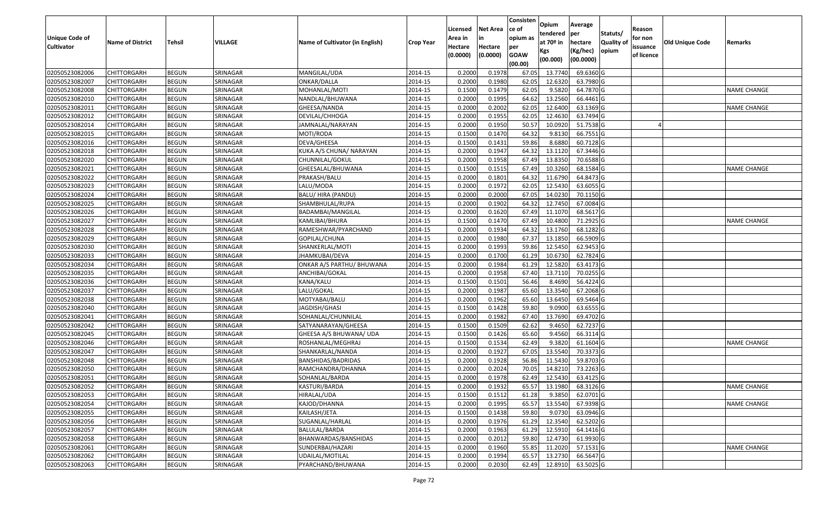|                       |                         |              |          |                                 |                  | Licensed | Net Area | Consisten<br>ce of     | Opium<br>tendered     | Average<br>per | Statuts/          | Reason     |                        |                    |
|-----------------------|-------------------------|--------------|----------|---------------------------------|------------------|----------|----------|------------------------|-----------------------|----------------|-------------------|------------|------------------------|--------------------|
| <b>Unique Code of</b> | <b>Name of District</b> | Tehsil       | VILLAGE  | Name of Cultivator (in English) | <b>Crop Year</b> | Area in  | in       | opium as               | at 70 <sup>o</sup> in | hectare        | <b>Quality of</b> | for non    | <b>Old Unique Code</b> | Remarks            |
| <b>Cultivator</b>     |                         |              |          |                                 |                  | Hectare  | Hectare  | per                    | Kgs                   | (Kg/hec)       | opium             | issuance   |                        |                    |
|                       |                         |              |          |                                 |                  | (0.0000) | (0.0000) | <b>GOAW</b><br>(00.00) | (00.000)              | (00.0000)      |                   | of licence |                        |                    |
| 02050523082006        | CHITTORGARH             | <b>BEGUN</b> | SRINAGAR | MANGILAL/UDA                    | 2014-15          | 0.2000   | 0.1978   | 67.05                  | 13.7740               | 69.6360 G      |                   |            |                        |                    |
| 02050523082007        | CHITTORGARH             | <b>BEGUN</b> | SRINAGAR | ONKAR/DALLA                     | 2014-15          | 0.2000   | 0.1980   | 62.05                  | 12.6320               | 63.7980 G      |                   |            |                        |                    |
| 02050523082008        | CHITTORGARH             | <b>BEGUN</b> | SRINAGAR | MOHANLAL/MOTI                   | 2014-15          | 0.1500   | 0.1479   | 62.05                  | 9.5820                | 64.7870 G      |                   |            |                        | NAME CHANGE        |
| 02050523082010        | <b>CHITTORGARH</b>      | <b>BEGUN</b> | SRINAGAR | NANDLAL/BHUWANA                 | 2014-15          | 0.2000   | 0.1995   | 64.62                  | 13.2560               | 66.4461 G      |                   |            |                        |                    |
| 02050523082011        | CHITTORGARH             | <b>BEGUN</b> | SRINAGAR | GHEESA/NANDA                    | 2014-15          | 0.2000   | 0.2002   | 62.05                  | 12.6400               | 63.1369 G      |                   |            |                        | NAME CHANGE        |
| 02050523082012        | CHITTORGARH             | <b>BEGUN</b> | SRINAGAR | DEVILAL/CHHOGA                  | 2014-15          | 0.2000   | 0.1955   | 62.05                  | 12.4630               | 63.7494 G      |                   |            |                        |                    |
| 02050523082014        | CHITTORGARH             | <b>BEGUN</b> | SRINAGAR | JAMNALAL/NARAYAN                | 2014-15          | 0.2000   | 0.1950   | 50.57                  | 10.0920               | 51.7538 G      |                   |            |                        |                    |
| 02050523082015        | <b>CHITTORGARH</b>      | <b>BEGUN</b> | SRINAGAR | MOTI/RODA                       | 2014-15          | 0.1500   | 0.1470   | 64.32                  | 9.8130                | 66.7551 G      |                   |            |                        |                    |
| 02050523082016        | <b>CHITTORGARH</b>      | <b>BEGUN</b> | SRINAGAR | DEVA/GHEESA                     | 2014-15          | 0.1500   | 0.1431   | 59.86                  | 8.6880                | 60.7128 G      |                   |            |                        |                    |
| 02050523082018        | CHITTORGARH             | <b>BEGUN</b> | SRINAGAR | KUKA A/S CHUNA/ NARAYAN         | 2014-15          | 0.2000   | 0.1947   | 64.32                  | 13.1120               | 67.3446 G      |                   |            |                        |                    |
| 02050523082020        | CHITTORGARH             | <b>BEGUN</b> | SRINAGAR | CHUNNILAL/GOKUL                 | 2014-15          | 0.2000   | 0.1958   | 67.49                  | 13.8350               | 70.6588 G      |                   |            |                        |                    |
| 02050523082021        | <b>CHITTORGARH</b>      | <b>BEGUN</b> | SRINAGAR | GHEESALAL/BHUWANA               | 2014-15          | 0.1500   | 0.1515   | 67.49                  | 10.3260               | 68.1584 G      |                   |            |                        | NAME CHANGE        |
| 02050523082022        | <b>CHITTORGARH</b>      | <b>BEGUN</b> | SRINAGAR | PRAKASH/BALU                    | 2014-15          | 0.2000   | 0.1801   | 64.32                  | 11.6790               | 64.8473 G      |                   |            |                        |                    |
| 02050523082023        | <b>CHITTORGARH</b>      | <b>BEGUN</b> | SRINAGAR | LALU/MODA                       | 2014-15          | 0.2000   | 0.1972   | 62.05                  | 12.5430               | 63.6055 G      |                   |            |                        |                    |
| 02050523082024        | CHITTORGARH             | <b>BEGUN</b> | SRINAGAR | BALU/ HIRA (PANDU)              | 2014-15          | 0.2000   | 0.2000   | 67.05                  | 14.0230               | 70.1150 G      |                   |            |                        |                    |
| 02050523082025        | <b>CHITTORGARH</b>      | <b>BEGUN</b> | SRINAGAR | SHAMBHULAL/RUPA                 | 2014-15          | 0.2000   | 0.1902   | 64.32                  | 12.7450               | 67.0084 G      |                   |            |                        |                    |
| 02050523082026        | <b>CHITTORGARH</b>      | <b>BEGUN</b> | SRINAGAR | BADAMBAI/MANGILAL               | 2014-15          | 0.2000   | 0.1620   | 67.49                  | 11.1070               | 68.5617 G      |                   |            |                        |                    |
| 02050523082027        | CHITTORGARH             | <b>BEGUN</b> | SRINAGAR | KAMLIBAI/BHURA                  | 2014-15          | 0.1500   | 0.1470   | 67.49                  | 10.4800               | 71.2925 G      |                   |            |                        | NAME CHANGE        |
| 02050523082028        | CHITTORGARH             | <b>BEGUN</b> | SRINAGAR | RAMESHWAR/PYARCHAND             | 2014-15          | 0.2000   | 0.1934   | 64.32                  | 13.1760               | 68.1282 G      |                   |            |                        |                    |
| 02050523082029        | CHITTORGARH             | <b>BEGUN</b> | SRINAGAR | GOPILAL/CHUNA                   | 2014-15          | 0.2000   | 0.1980   | 67.37                  | 13.1850               | 66.5909 G      |                   |            |                        |                    |
| 02050523082030        | CHITTORGARH             | <b>BEGUN</b> | SRINAGAR | SHANKERLAL/MOTI                 | 2014-15          | 0.2000   | 0.1993   | 59.86                  | 12.5450               | 62.9453 G      |                   |            |                        |                    |
| 02050523082033        | CHITTORGARH             | <b>BEGUN</b> | SRINAGAR | JHAMKUBAI/DEVA                  | 2014-15          | 0.2000   | 0.1700   | 61.29                  | 10.6730               | 62.7824 G      |                   |            |                        |                    |
| 02050523082034        | CHITTORGARH             | <b>BEGUN</b> | SRINAGAR | ONKAR A/S PARTHU/ BHUWANA       | 2014-15          | 0.2000   | 0.1984   | 61.29                  | 12.5820               | 63.4173 G      |                   |            |                        |                    |
| 02050523082035        | CHITTORGARH             | <b>BEGUN</b> | SRINAGAR | ANCHIBAI/GOKAL                  | 2014-15          | 0.2000   | 0.1958   | 67.40                  | 13.7110               | 70.0255 G      |                   |            |                        |                    |
| 02050523082036        | CHITTORGARH             | <b>BEGUN</b> | SRINAGAR | KANA/KALU                       | 2014-15          | 0.1500   | 0.1501   | 56.46                  | 8.4690                | 56.4224 G      |                   |            |                        |                    |
| 02050523082037        | CHITTORGARH             | <b>BEGUN</b> | SRINAGAR | LALU/GOKAL                      | 2014-15          | 0.2000   | 0.1987   | 65.60                  | 13.3540               | 67.2068 G      |                   |            |                        |                    |
| 02050523082038        | CHITTORGARH             | <b>BEGUN</b> | SRINAGAR | MOTYABAI/BALU                   | 2014-15          | 0.2000   | 0.1962   | 65.60                  | 13.6450               | 69.5464 G      |                   |            |                        |                    |
| 02050523082040        | CHITTORGARH             | <b>BEGUN</b> | SRINAGAR | JAGDISH/GHASI                   | 2014-15          | 0.1500   | 0.1428   | 59.80                  | 9.0900                | 63.6555 G      |                   |            |                        |                    |
| 02050523082041        | CHITTORGARH             | <b>BEGUN</b> | SRINAGAR | SOHANLAL/CHUNNILAL              | 2014-15          | 0.2000   | 0.1982   | 67.40                  | 13.7690               | 69.4702 G      |                   |            |                        |                    |
| 02050523082042        | CHITTORGARH             | <b>BEGUN</b> | SRINAGAR | SATYANARAYAN/GHEESA             | 2014-15          | 0.1500   | 0.1509   | 62.62                  | 9.4650                | 62.7237 G      |                   |            |                        |                    |
| 02050523082045        | CHITTORGARH             | <b>BEGUN</b> | SRINAGAR | GHEESA A/S BHUWANA/ UDA         | 2014-15          | 0.1500   | 0.1426   | 65.60                  | 9.4560                | 66.3114 G      |                   |            |                        |                    |
| 02050523082046        | CHITTORGARH             | <b>BEGUN</b> | SRINAGAR | ROSHANLAL/MEGHRAJ               | 2014-15          | 0.1500   | 0.1534   | 62.49                  | 9.3820                | 61.1604 G      |                   |            |                        | NAME CHANGE        |
| 02050523082047        | CHITTORGARH             | <b>BEGUN</b> | SRINAGAR | SHANKARLAL/NANDA                | 2014-15          | 0.2000   | 0.1927   | 67.05                  | 13.5540               | 70.3373 G      |                   |            |                        |                    |
| 02050523082048        | CHITTORGARH             | <b>BEGUN</b> | SRINAGAR | BANSHIDAS/BADRIDAS              | 2014-15          | 0.2000   | 0.1928   | 56.86                  | 11.5430               | 59.8703 G      |                   |            |                        |                    |
| 02050523082050        | CHITTORGARH             | <b>BEGUN</b> | SRINAGAR | RAMCHANDRA/DHANNA               | 2014-15          | 0.2000   | 0.2024   | 70.05                  | 14.8210               | 73.2263 G      |                   |            |                        |                    |
| 02050523082051        | CHITTORGARH             | <b>BEGUN</b> | SRINAGAR | SOHANLAL/BARDA                  | 2014-15          | 0.2000   | 0.1978   | 62.49                  | 12.5430               | 63.4125 G      |                   |            |                        |                    |
| 02050523082052        | <b>CHITTORGARH</b>      | <b>BEGUN</b> | SRINAGAR | KASTURI/BARDA                   | 2014-15          | 0.2000   | 0.1932   | 65.57                  | 13.1980               | 68.3126 G      |                   |            |                        | <b>NAME CHANGE</b> |
| 02050523082053        | <b>CHITTORGARH</b>      | <b>BEGUN</b> | SRINAGAR | HIRALAL/UDA                     | 2014-15          | 0.1500   | 0.1512   | 61.28                  | 9.3850                | 62.0701 G      |                   |            |                        |                    |
| 02050523082054        | <b>CHITTORGARH</b>      | <b>BEGUN</b> | SRINAGAR | KAJOD/DHANNA                    | 2014-15          | 0.2000   | 0.1995   | 65.57                  | 13.5540               | 67.9398 G      |                   |            |                        | <b>NAME CHANGE</b> |
| 02050523082055        | <b>CHITTORGARH</b>      | <b>BEGUN</b> | SRINAGAR | KAILASH/JETA                    | 2014-15          | 0.1500   | 0.1438   | 59.80                  | 9.0730                | 63.0946 G      |                   |            |                        |                    |
| 02050523082056        | <b>CHITTORGARH</b>      | <b>BEGUN</b> | SRINAGAR | SUGANLAL/HARLAL                 | 2014-15          | 0.2000   | 0.1976   | 61.29                  | 12.3540               | 62.5202 G      |                   |            |                        |                    |
| 02050523082057        | <b>CHITTORGARH</b>      | <b>BEGUN</b> | SRINAGAR | BALULAL/BARDA                   | 2014-15          | 0.2000   | 0.1963   | 61.29                  | 12.5910               | 64.1416 G      |                   |            |                        |                    |
| 02050523082058        | <b>CHITTORGARH</b>      | <b>BEGUN</b> | SRINAGAR | BHANWARDAS/BANSHIDAS            | 2014-15          | 0.2000   | 0.2012   | 59.80                  | 12.4730               | 61.9930 G      |                   |            |                        |                    |
| 02050523082061        | <b>CHITTORGARH</b>      | <b>BEGUN</b> | SRINAGAR | SUNDERBAI/HAZARI                | 2014-15          | 0.2000   | 0.1960   | 55.85                  | 11.2020               | 57.1531 G      |                   |            |                        | <b>NAME CHANGE</b> |
| 02050523082062        | <b>CHITTORGARH</b>      | <b>BEGUN</b> | SRINAGAR | UDAILAL/MOTILAL                 | 2014-15          | 0.2000   | 0.1994   | 65.57                  | 13.2730               | 66.5647 G      |                   |            |                        |                    |
| 02050523082063        | <b>CHITTORGARH</b>      | <b>BEGUN</b> | SRINAGAR | PYARCHAND/BHUWANA               | 2014-15          | 0.2000   | 0.2030   | 62.49                  | 12.8910               | 63.5025 G      |                   |            |                        |                    |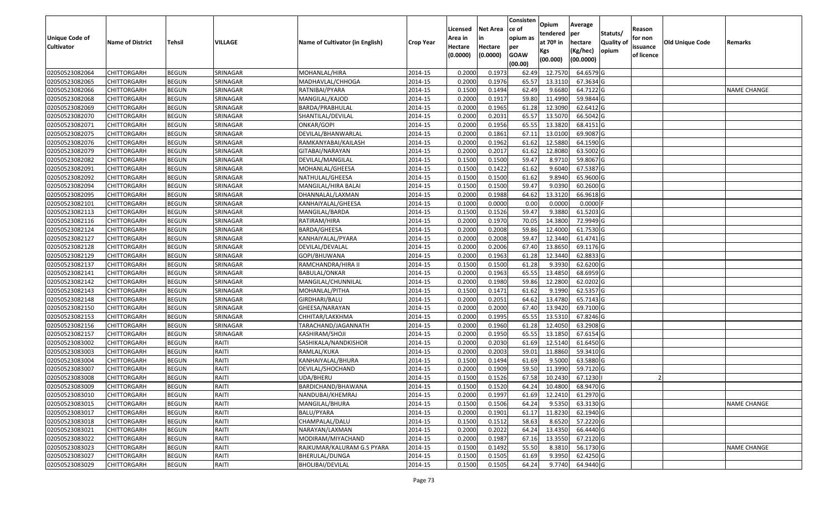|                       |                         |               |          |                                 |                  |          |                 | Consisten   | Opium                   | Average               |                           |            |                        |                    |
|-----------------------|-------------------------|---------------|----------|---------------------------------|------------------|----------|-----------------|-------------|-------------------------|-----------------------|---------------------------|------------|------------------------|--------------------|
|                       |                         |               |          |                                 |                  | Licensed | <b>Net Area</b> | lce of      |                         |                       |                           | Reason     |                        |                    |
| <b>Unique Code of</b> |                         |               | VILLAGE  | Name of Cultivator (in English) |                  | Area in  | in              | opium as    | tendered<br>at $70°$ in | per                   | Statuts/                  | for non    |                        |                    |
| <b>Cultivator</b>     | <b>Name of District</b> | <b>Tehsil</b> |          |                                 | <b>Crop Year</b> | Hectare  | Hectare         | per         |                         | hectare               | <b>Quality o</b><br>opium | issuance   | <b>Old Unique Code</b> | Remarks            |
|                       |                         |               |          |                                 |                  | (0.0000) | (0.0000)        | <b>GOAW</b> | Kgs<br>(00.000)         | (Kg/hec)<br>(00.0000) |                           | of licence |                        |                    |
|                       |                         |               |          |                                 |                  |          |                 | (00.00)     |                         |                       |                           |            |                        |                    |
| 02050523082064        | CHITTORGARH             | <b>BEGUN</b>  | SRINAGAR | MOHANLAL/HIRA                   | 2014-15          | 0.2000   | 0.1973          | 62.49       | 12.7570                 | 64.6579 G             |                           |            |                        |                    |
| 02050523082065        | CHITTORGARH             | <b>BEGUN</b>  | SRINAGAR | MADHAVLAL/CHHOGA                | 2014-15          | 0.2000   | 0.1976          | 65.57       | 13.3110                 | 67.3634 G             |                           |            |                        |                    |
| 02050523082066        | CHITTORGARH             | <b>BEGUN</b>  | SRINAGAR | RATNIBAI/PYARA                  | 2014-15          | 0.1500   | 0.1494          | 62.49       | 9.6680                  | 64.7122 G             |                           |            |                        | <b>NAME CHANGE</b> |
| 02050523082068        | <b>CHITTORGARH</b>      | <b>BEGUN</b>  | SRINAGAR | MANGILAL/KAJOD                  | 2014-15          | 0.2000   | 0.1917          | 59.80       | 11.4990                 | 59.9844 G             |                           |            |                        |                    |
| 02050523082069        | CHITTORGARH             | <b>BEGUN</b>  | SRINAGAR | BARDA/PRABHULAL                 | 2014-15          | 0.2000   | 0.1965          | 61.28       | 12.3090                 | 62.6412G              |                           |            |                        |                    |
| 02050523082070        | CHITTORGARH             | <b>BEGUN</b>  | SRINAGAR | SHANTILAL/DEVILAL               | 2014-15          | 0.2000   | 0.2031          | 65.57       | 13.5070                 | 66.5042 G             |                           |            |                        |                    |
| 02050523082071        | CHITTORGARH             | <b>BEGUN</b>  | SRINAGAR | ONKAR/GOPI                      | 2014-15          | 0.2000   | 0.1956          | 65.55       | 13.3820                 | 68.4151 G             |                           |            |                        |                    |
| 02050523082075        | CHITTORGARH             | <b>BEGUN</b>  | SRINAGAR | DEVILAL/BHANWARLAL              | 2014-15          | 0.2000   | 0.1861          | 67.11       | 13.0100                 | 69.9087 G             |                           |            |                        |                    |
| 02050523082076        | CHITTORGARH             | <b>BEGUN</b>  | SRINAGAR | RAMKANYABAI/KAILASH             | 2014-15          | 0.2000   | 0.1962          | 61.62       | 12.5880                 | 64.1590 G             |                           |            |                        |                    |
| 02050523082079        | CHITTORGARH             | <b>BEGUN</b>  | SRINAGAR | GITABAI/NARAYAN                 | 2014-15          | 0.2000   | 0.2017          | 61.62       | 12.8080                 | 63.5002 G             |                           |            |                        |                    |
| 02050523082082        | CHITTORGARH             | <b>BEGUN</b>  | SRINAGAR | DEVILAL/MANGILAL                | 2014-15          | 0.1500   | 0.1500          | 59.47       | 8.9710                  | 59.8067 G             |                           |            |                        |                    |
| 02050523082091        | CHITTORGARH             | <b>BEGUN</b>  | SRINAGAR | MOHANLAL/GHEESA                 | 2014-15          | 0.1500   | 0.1422          | 61.62       | 9.6040                  | 67.5387 G             |                           |            |                        |                    |
| 02050523082092        | <b>CHITTORGARH</b>      | <b>BEGUN</b>  | SRINAGAR | NATHULAL/GHEESA                 | 2014-15          | 0.1500   | 0.1500          | 61.62       | 9.8940                  | 65.9600 G             |                           |            |                        |                    |
| 02050523082094        | CHITTORGARH             | <b>BEGUN</b>  | SRINAGAR | MANGILAL/HIRA BALAI             | 2014-15          | 0.1500   | 0.1500          | 59.47       | 9.0390                  | 60.2600 G             |                           |            |                        |                    |
| 02050523082095        | CHITTORGARH             | <b>BEGUN</b>  | SRINAGAR | DHANNALAL/LAXMAN                | 2014-15          | 0.2000   | 0.1988          | 64.62       | 13.3120                 | 66.9618 G             |                           |            |                        |                    |
| 02050523082101        | CHITTORGARH             | <b>BEGUN</b>  | SRINAGAR | KANHAIYALAL/GHEESA              | 2014-15          | 0.1000   | 0.0000          | 0.00        | 0.0000                  | $0.0000$ F            |                           |            |                        |                    |
| 02050523082113        | CHITTORGARH             | <b>BEGUN</b>  | SRINAGAR | MANGILAL/BARDA                  | 2014-15          | 0.1500   | 0.1526          | 59.47       | 9.3880                  | 61.5203 G             |                           |            |                        |                    |
| 02050523082116        | CHITTORGARH             | <b>BEGUN</b>  | SRINAGAR | RATIRAM/HIRA                    | 2014-15          | 0.2000   | 0.1970          | 70.05       | 14.3800                 | 72.9949 G             |                           |            |                        |                    |
| 02050523082124        | CHITTORGARH             | <b>BEGUN</b>  | SRINAGAR | <b>BARDA/GHEESA</b>             | 2014-15          | 0.2000   | 0.2008          | 59.86       | 12.4000                 | 61.7530 G             |                           |            |                        |                    |
| 02050523082127        | CHITTORGARH             | <b>BEGUN</b>  | SRINAGAR | KANHAIYALAL/PYARA               | 2014-15          | 0.2000   | 0.2008          | 59.47       | 12.3440                 | 61.4741 G             |                           |            |                        |                    |
| 02050523082128        | CHITTORGARH             | <b>BEGUN</b>  | SRINAGAR | DEVILAL/DEVALAL                 | 2014-15          | 0.2000   | 0.2006          | 67.40       | 13.8650                 | 69.1176 G             |                           |            |                        |                    |
| 02050523082129        | CHITTORGARH             | <b>BEGUN</b>  | SRINAGAR | GOPI/BHUWANA                    | 2014-15          | 0.2000   | 0.1963          | 61.28       | 12.344                  | 62.8833 G             |                           |            |                        |                    |
| 02050523082137        | CHITTORGARH             | <b>BEGUN</b>  | SRINAGAR | RAMCHANDRA/HIRA II              | 2014-15          | 0.1500   | 0.1500          | 61.28       | 9.3930                  | 62.6200 G             |                           |            |                        |                    |
| 02050523082141        | CHITTORGARH             | <b>BEGUN</b>  | SRINAGAR | BABULAL/ONKAR                   | 2014-15          | 0.2000   | 0.1963          | 65.55       | 13.4850                 | 68.6959 G             |                           |            |                        |                    |
| 02050523082142        | <b>CHITTORGARH</b>      | <b>BEGUN</b>  | SRINAGAR | MANGILAL/CHUNNILAL              | 2014-15          | 0.2000   | 0.1980          | 59.86       | 12.2800                 | 62.0202G              |                           |            |                        |                    |
| 02050523082143        | CHITTORGARH             | <b>BEGUN</b>  | SRINAGAR | MOHANLAL/PITHA                  | 2014-15          | 0.1500   | 0.1471          | 61.62       | 9.1990                  | 62.5357 G             |                           |            |                        |                    |
| 02050523082148        | CHITTORGARH             | <b>BEGUN</b>  | SRINAGAR | GIRDHARI/BALU                   | 2014-15          | 0.2000   | 0.2051          | 64.62       | 13.4780                 | 65.7143 G             |                           |            |                        |                    |
| 02050523082150        | CHITTORGARH             | <b>BEGUN</b>  | SRINAGAR | GHEESA/NARAYAN                  | 2014-15          | 0.2000   | 0.2000          | 67.40       | 13.9420                 | 69.7100 G             |                           |            |                        |                    |
| 02050523082153        | CHITTORGARH             | <b>BEGUN</b>  | SRINAGAR | CHHITAR/LAKKHMA                 | 2014-15          | 0.2000   | 0.1995          | 65.55       | 13.5310                 | 67.8246 G             |                           |            |                        |                    |
| 02050523082156        | CHITTORGARH             | <b>BEGUN</b>  | SRINAGAR | TARACHAND/JAGANNATH             | 2014-15          | 0.2000   | 0.1960          | 61.28       | 12.4050                 | 63.2908 G             |                           |            |                        |                    |
| 02050523082157        | CHITTORGARH             | <b>BEGUN</b>  | SRINAGAR | KASHIRAM/SHOJI                  | 2014-15          | 0.2000   | 0.1950          | 65.55       | 13.185                  | 67.6154 G             |                           |            |                        |                    |
| 02050523083002        | CHITTORGARH             | <b>BEGUN</b>  | RAITI    | SASHIKALA/NANDKISHOR            | 2014-15          | 0.2000   | 0.2030          | 61.69       | 12.5140                 | 61.6450 G             |                           |            |                        |                    |
| 02050523083003        | CHITTORGARH             | <b>BEGUN</b>  | RAITI    | RAMLAL/KUKA                     | 2014-15          | 0.2000   | 0.2003          | 59.01       | 11.8860                 | 59.3410 G             |                           |            |                        |                    |
| 02050523083004        | CHITTORGARH             | <b>BEGUN</b>  | RAITI    | KANHAIYALAL/BHURA               | 2014-15          | 0.1500   | 0.1494          | 61.69       | 9.5000                  | 63.5880 G             |                           |            |                        |                    |
| 02050523083007        | CHITTORGARH             | <b>BEGUN</b>  | RAITI    | DEVILAL/SHOCHAND                | 2014-15          | 0.2000   | 0.1909          | 59.50       | 11.3990                 | 59.7120G              |                           |            |                        |                    |
| 02050523083008        | CHITTORGARH             | <b>BEGUN</b>  | RAITI    | JDA/BHERU                       | 2014-15          | 0.1500   | 0.1526          | 67.58       | 10.2430                 | 67.1230               |                           |            |                        |                    |
| 02050523083009        | <b>CHITTORGARH</b>      | <b>BEGUN</b>  | RAITI    | BARDICHAND/BHAWANA              | 2014-15          | 0.1500   | 0.1520          | 64.24       | 10.4800                 | 68.9470 G             |                           |            |                        |                    |
| 02050523083010        | <b>CHITTORGARH</b>      | <b>BEGUN</b>  | RAITI    | NANDUBAI/KHEMRAJ                | 2014-15          | 0.2000   | 0.1997          | 61.69       | 12.2410                 | 61.2970 G             |                           |            |                        |                    |
| 02050523083015        | <b>CHITTORGARH</b>      | <b>BEGUN</b>  | RAITI    | MANGILAL/BHURA                  | 2014-15          | 0.1500   | 0.1506          | 64.24       | 9.5350                  | 63.3130 G             |                           |            |                        | <b>NAME CHANGE</b> |
| 02050523083017        | <b>CHITTORGARH</b>      | <b>BEGUN</b>  | RAITI    | BALU/PYARA                      | 2014-15          | 0.2000   | 0.1901          | 61.17       | 11.8230                 | 62.1940 G             |                           |            |                        |                    |
| 02050523083018        | CHITTORGARH             | <b>BEGUN</b>  | RAITI    | CHAMPALAL/DALU                  | 2014-15          | 0.1500   | 0.1512          | 58.63       | 8.6520                  | 57.2220 G             |                           |            |                        |                    |
| 02050523083021        | <b>CHITTORGARH</b>      | <b>BEGUN</b>  | RAITI    | NARAYAN/LAXMAN                  | 2014-15          | 0.2000   | 0.2022          | 64.24       | 13.4350                 | 66.4440 G             |                           |            |                        |                    |
| 02050523083022        | <b>CHITTORGARH</b>      | <b>BEGUN</b>  | RAITI    | MODIRAM/MIYACHAND               | 2014-15          | 0.2000   | 0.1987          | 67.16       | 13.3550                 | 67.2120 G             |                           |            |                        |                    |
| 02050523083023        | <b>CHITTORGARH</b>      | <b>BEGUN</b>  | RAITI    | RAJKUMAR/KALURAM G.S PYARA      | 2014-15          | 0.1500   | 0.1492          | 55.50       | 8.3810                  | 56.1730 G             |                           |            |                        | <b>NAME CHANGE</b> |
| 02050523083027        | CHITTORGARH             | <b>BEGUN</b>  | RAITI    | BHERULAL/DUNGA                  | 2014-15          | 0.1500   | 0.1505          | 61.69       | 9.3950                  | 62.4250 G             |                           |            |                        |                    |
| 02050523083029        | <b>CHITTORGARH</b>      | <b>BEGUN</b>  | RAITI    | BHOLIBAI/DEVILAL                | 2014-15          | 0.1500   | 0.1505          | 64.24       | 9.7740                  | 64.9440 G             |                           |            |                        |                    |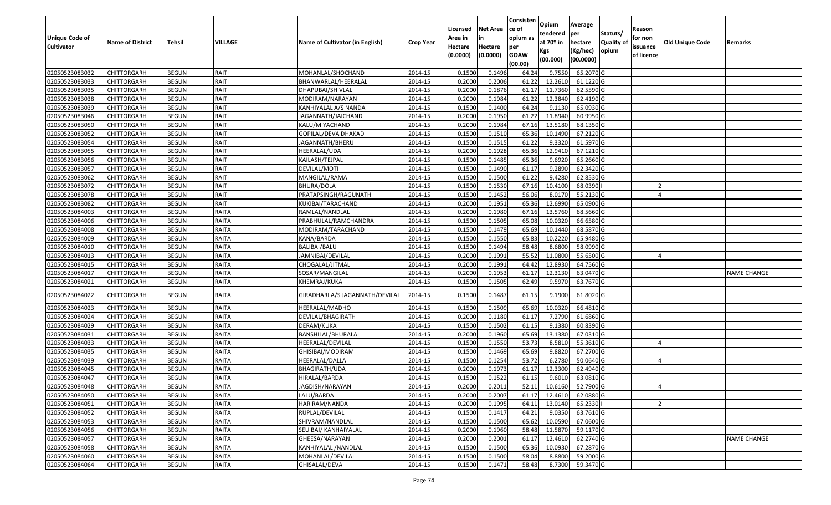|                   |                         |               |                |                                 |                  |          |                 | Consisten   | Opium         | Average     |                  |            |                 |                    |
|-------------------|-------------------------|---------------|----------------|---------------------------------|------------------|----------|-----------------|-------------|---------------|-------------|------------------|------------|-----------------|--------------------|
|                   |                         |               |                |                                 |                  | Licensed | <b>Net Area</b> | ce of       | tendered      | per         | Statuts/         | Reason     |                 |                    |
| Unique Code of    | <b>Name of District</b> | <b>Tehsil</b> | <b>VILLAGE</b> | Name of Cultivator (in English) | <b>Crop Year</b> | Area in  |                 | opium as    | at $70°$ in   | hectare     | <b>Quality o</b> | for non    | Old Unique Code | Remarks            |
| <b>Cultivator</b> |                         |               |                |                                 |                  | Hectare  | Hectare         | per         | Kgs           | (Kg/hec)    | opium            | issuance   |                 |                    |
|                   |                         |               |                |                                 |                  | (0.0000) | (0.0000)        | <b>GOAW</b> | (00.000)      | (00.0000)   |                  | of licence |                 |                    |
|                   |                         |               |                |                                 |                  |          |                 | (00.00)     |               |             |                  |            |                 |                    |
| 02050523083032    | CHITTORGARH             | <b>BEGUN</b>  | RAITI          | MOHANLAL/SHOCHAND               | 2014-15          | 0.1500   | 0.1496          | 64.24       | 9.755         | 65.2070 G   |                  |            |                 |                    |
| 02050523083033    | CHITTORGARH             | <b>BEGUN</b>  | RAITI          | BHANWARLAL/HEERALAL             | 2014-15          | 0.2000   | 0.2006          | 61.22       | 12.2610       | $61.1220$ G |                  |            |                 |                    |
| 02050523083035    | CHITTORGARH             | <b>BEGUN</b>  | RAITI          | DHAPUBAI/SHIVLAL                | 2014-15          | 0.2000   | 0.1876          | 61.17       | 11.7360       | 62.5590 G   |                  |            |                 |                    |
| 02050523083038    | <b>CHITTORGARH</b>      | <b>BEGUN</b>  | RAITI          | MODIRAM/NARAYAN                 | 2014-15          | 0.2000   | 0.1984          | 61.22       | 12.3840       | 62.4190 G   |                  |            |                 |                    |
| 02050523083039    | CHITTORGARH             | <b>BEGUN</b>  | RAITI          | KANHIYALAL A/S NANDA            | 2014-15          | 0.1500   | 0.1400          | 64.24       | 9.113         | 65.0930 G   |                  |            |                 |                    |
| 02050523083046    | CHITTORGARH             | <b>BEGUN</b>  | RAITI          | JAGANNATH/JAICHAND              | 2014-15          | 0.2000   | 0.1950          | 61.22       | 11.8940       | 60.9950G    |                  |            |                 |                    |
| 02050523083050    | CHITTORGARH             | <b>BEGUN</b>  | RAITI          | KALU/MIYACHAND                  | 2014-15          | 0.2000   | 0.1984          | 67.1        | 13.5180       | 68.1350 G   |                  |            |                 |                    |
| 02050523083052    | CHITTORGARH             | <b>BEGUN</b>  | RAITI          | GOPILAL/DEVA DHAKAD             | 2014-15          | 0.1500   | 0.1510          | 65.36       | 10.1490       | 67.2120 G   |                  |            |                 |                    |
| 02050523083054    | CHITTORGARH             | <b>BEGUN</b>  | RAITI          | JAGANNATH/BHERU                 | 2014-15          | 0.1500   | 0.1515          | 61.22       | 9.3320        | 61.5970 G   |                  |            |                 |                    |
| 02050523083055    | CHITTORGARH             | <b>BEGUN</b>  | RAITI          | HEERALAL/UDA                    | 2014-15          | 0.2000   | 0.1928          | 65.36       | 12.941        | 67.1210 G   |                  |            |                 |                    |
| 02050523083056    | CHITTORGARH             | <b>BEGUN</b>  | RAITI          | KAILASH/TEJPAL                  | 2014-15          | 0.1500   | 0.1485          | 65.36       | 9.6920        | 65.2660 G   |                  |            |                 |                    |
| 02050523083057    | CHITTORGARH             | <b>BEGUN</b>  | RAITI          | DEVILAL/MOTI                    | 2014-15          | 0.1500   | 0.1490          | 61.17       | 9.2890        | 62.3420 G   |                  |            |                 |                    |
| 02050523083062    | <b>CHITTORGARH</b>      | <b>BEGUN</b>  | RAITI          | MANGILAL/RAMA                   | 2014-15          | 0.1500   | 0.1500          | 61.22       | 9.4280        | 62.8530 G   |                  |            |                 |                    |
| 02050523083072    | <b>CHITTORGARH</b>      | <b>BEGUN</b>  | RAITI          | BHURA/DOLA                      | 2014-15          | 0.1500   | 0.1530          | 67.16       | 10.4100       | 68.0390     |                  |            |                 |                    |
| 02050523083078    | CHITTORGARH             | <b>BEGUN</b>  | RAITI          | PRATAPSINGH/RAGUNATH            | 2014-15          | 0.1500   | 0.1452          | 56.06       | 8.0170        | 55.2130 G   |                  |            |                 |                    |
| 02050523083082    | CHITTORGARH             | <b>BEGUN</b>  | RAITI          | KUKIBAI/TARACHAND               | 2014-15          | 0.2000   | 0.1951          | 65.36       | 12.6990       | 65.0900G    |                  |            |                 |                    |
| 02050523084003    | CHITTORGARH             | <b>BEGUN</b>  | <b>RAITA</b>   | RAMLAL/NANDLAL                  | 2014-15          | 0.2000   | 0.1980          | 67.16       | 13.5760       | 68.5660 G   |                  |            |                 |                    |
| 02050523084006    | CHITTORGARH             | <b>BEGUN</b>  | <b>RAITA</b>   | PRABHULAL/RAMCHANDRA            | 2014-15          | 0.1500   | 0.1505          | 65.08       | 10.0320       | 66.6580 G   |                  |            |                 |                    |
| 02050523084008    | CHITTORGARH             | <b>BEGUN</b>  | RAITA          | MODIRAM/TARACHAND               | 2014-15          | 0.1500   | 0.1479          | 65.69       | 10.1440       | 68.5870 G   |                  |            |                 |                    |
| 02050523084009    | CHITTORGARH             | <b>BEGUN</b>  | <b>RAITA</b>   | KANA/BARDA                      | 2014-15          | 0.1500   | 0.1550          | 65.83       | 10.2220       | 65.9480 G   |                  |            |                 |                    |
| 02050523084010    | CHITTORGARH             | <b>BEGUN</b>  | RAITA          | BALIBAI/BALU                    | 2014-15          | 0.1500   | 0.1494          | 58.48       | 8.6800        | 58.0990 G   |                  |            |                 |                    |
| 02050523084013    | CHITTORGARH             | <b>BEGUN</b>  | RAITA          | JAMNIBAI/DEVILAL                | 2014-15          | 0.2000   | 0.1991          | 55.52       | 11.0800       | 55.6500 G   |                  |            |                 |                    |
| 02050523084015    | CHITTORGARH             | <b>BEGUN</b>  | RAITA          | CHOGALAL/JITMAL                 | 2014-15          | 0.2000   | 0.1991          | 64.42       | 12.8930       | 64.7560 G   |                  |            |                 |                    |
| 02050523084017    | CHITTORGARH             | <b>BEGUN</b>  | <b>RAITA</b>   | SOSAR/MANGILAL                  | 2014-15          | 0.2000   | 0.1953          | 61.1        | 12.3130       | 63.0470 G   |                  |            |                 | <b>NAME CHANGE</b> |
| 02050523084021    | CHITTORGARH             | <b>BEGUN</b>  | RAITA          | KHEMRAJ/KUKA                    | 2014-15          | 0.1500   | 0.1505          | 62.49       | 9.5970        | 63.7670 G   |                  |            |                 |                    |
| 02050523084022    | CHITTORGARH             | <b>BEGUN</b>  | RAITA          | GIRADHARI A/S JAGANNATH/DEVILAL | 2014-15          | 0.1500   | 0.1487          | 61.15       | 9.1900        | 61.8020 G   |                  |            |                 |                    |
| 02050523084023    | CHITTORGARH             | <b>BEGUN</b>  | <b>RAITA</b>   | HEERALAL/MADHO                  | 2014-15          | 0.1500   | 0.1509          | 65.69       | 10.0320       | 66.4810 G   |                  |            |                 |                    |
| 02050523084024    | CHITTORGARH             | <b>BEGUN</b>  | RAITA          | DEVILAL/BHAGIRATH               | 2014-15          | 0.2000   | 0.1180          | 61.17       | 7.2790        | 61.6860 G   |                  |            |                 |                    |
| 02050523084029    | CHITTORGARH             | <b>BEGUN</b>  | <b>RAITA</b>   | DERAM/KUKA                      | 2014-15          | 0.1500   | 0.1502          | 61.15       | 9.1380        | 60.8390 G   |                  |            |                 |                    |
| 02050523084031    | CHITTORGARH             | <b>BEGUN</b>  | RAITA          | BANSHILAL/BHURALAL              | 2014-15          | 0.2000   | 0.1960          | 65.69       | 13.1380       | 67.0310 G   |                  |            |                 |                    |
| 02050523084033    | CHITTORGARH             | <b>BEGUN</b>  | RAITA          | HEERALAL/DEVILAL                | 2014-15          | 0.1500   | 0.1550          | 53.73       | 8.5810        | 55.3610 G   |                  |            |                 |                    |
| 02050523084035    | <b>CHITTORGARH</b>      | <b>BEGUN</b>  | <b>RAITA</b>   | GHISIBAI/MODIRAM                | 2014-15          | 0.1500   | 0.1469          | 65.69       | 9.8820        | 67.2700 G   |                  |            |                 |                    |
| 02050523084039    | <b>CHITTORGARH</b>      | <b>BEGUN</b>  | <b>RAITA</b>   | HEERALAL/DALLA                  | 2014-15          | 0.1500   | 0.1254          | 53.72       | 6.2780        | 50.0640 G   |                  |            |                 |                    |
| 02050523084045    | CHITTORGARH             | <b>BEGUN</b>  | <b>RAITA</b>   | BHAGIRATH/UDA                   | 2014-15          | 0.2000   | 0.1973          | 61.17       | 12.3300       | 62.4940 G   |                  |            |                 |                    |
| 02050523084047    | CHITTORGARH             | <b>BEGUN</b>  | RAITA          | HIRALAL/BARDA                   | 2014-15          | 0.1500   | 0.1522          | 61.15       | 9.6010        | 63.0810 G   |                  |            |                 |                    |
| 02050523084048    | <b>CHITTORGARH</b>      | <b>BEGUN</b>  | RAITA          | JAGDISH/NARAYAN                 | 2014-15          | 0.2000   | 0.2011          |             | 52.11 10.6160 | 52.7900 G   |                  |            |                 |                    |
| 02050523084050    | <b>CHITTORGARH</b>      | <b>BEGUN</b>  | RAITA          | LALU/BARDA                      | 2014-15          | 0.2000   | 0.2007          | 61.17       | 12.4610       | 62.0880 G   |                  |            |                 |                    |
| 02050523084051    | <b>CHITTORGARH</b>      | <b>BEGUN</b>  | <b>RAITA</b>   | HARIRAM/NANDA                   | 2014-15          | 0.2000   | 0.1995          | 64.11       | 13.0140       | 65.2330     |                  |            |                 |                    |
| 02050523084052    | <b>CHITTORGARH</b>      | <b>BEGUN</b>  | <b>RAITA</b>   | RUPLAL/DEVILAL                  | 2014-15          | 0.1500   | 0.1417          | 64.21       | 9.0350        | 63.7610 G   |                  |            |                 |                    |
| 02050523084053    | CHITTORGARH             | <b>BEGUN</b>  | RAITA          | SHIVRAM/NANDLAL                 | 2014-15          | 0.1500   | 0.1500          | 65.62       | 10.0590       | 67.0600 G   |                  |            |                 |                    |
| 02050523084056    | <b>CHITTORGARH</b>      | <b>BEGUN</b>  | <b>RAITA</b>   | SEU BAI/ KANHAIYALAL            | 2014-15          | 0.2000   | 0.1960          | 58.48       | 11.5870       | 59.1170 G   |                  |            |                 |                    |
| 02050523084057    | <b>CHITTORGARH</b>      | <b>BEGUN</b>  | <b>RAITA</b>   | GHEESA/NARAYAN                  | 2014-15          | 0.2000   | 0.2001          | 61.17       | 12.4610       | 62.2740 G   |                  |            |                 | <b>NAME CHANGE</b> |
| 02050523084058    | CHITTORGARH             | <b>BEGUN</b>  | <b>RAITA</b>   | KANHIYALAL /NANDLAL             | 2014-15          | 0.1500   | 0.1500          | 65.36       | 10.0930       | 67.2870 G   |                  |            |                 |                    |
| 02050523084060    | <b>CHITTORGARH</b>      | <b>BEGUN</b>  | <b>RAITA</b>   | MOHANLAL/DEVILAL                | 2014-15          | 0.1500   | 0.1500          | 58.04       | 8.8800        | 59.2000 G   |                  |            |                 |                    |
| 02050523084064    | <b>CHITTORGARH</b>      | <b>BEGUN</b>  | RAITA          | GHISALAL/DEVA                   | 2014-15          | 0.1500   | 0.1471          | 58.48       | 8.7300        | 59.3470 G   |                  |            |                 |                    |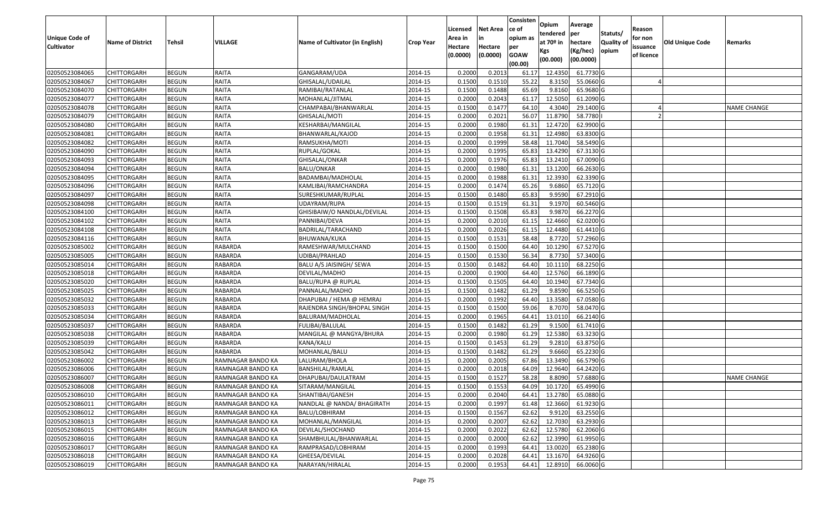| Unique Code of    | <b>Name of District</b> | Tehsil       | VILLAGE           | Name of Cultivator (in English) |                  | Licensed<br>Area in | Net Area<br>in      | Consisten<br>ce of<br>opium as | Opium<br>tendered<br>at 70º in | Average<br>per                   | Statuts/<br><b>Quality of</b> | Reason<br>for non      | <b>Old Unique Code</b> |             |
|-------------------|-------------------------|--------------|-------------------|---------------------------------|------------------|---------------------|---------------------|--------------------------------|--------------------------------|----------------------------------|-------------------------------|------------------------|------------------------|-------------|
| <b>Cultivator</b> |                         |              |                   |                                 | <b>Crop Year</b> | Hectare<br>(0.0000) | Hectare<br>(0.0000) | per<br><b>GOAW</b><br>(00.00)  | Kgs<br>(00.000)                | hectare<br>(Kg/hec)<br>(00.0000) | opium                         | issuance<br>of licence |                        | Remarks     |
| 02050523084065    | <b>CHITTORGARH</b>      | <b>BEGUN</b> | RAITA             | GANGARAM/UDA                    | 2014-15          | 0.2000              | 0.2013              | 61.17                          | 12.4350                        | 61.7730 G                        |                               |                        |                        |             |
| 02050523084067    | CHITTORGARH             | <b>BEGUN</b> | RAITA             | GHISALAL/UDAILAL                | 2014-15          | 0.1500              | 0.1510              | 55.22                          | 8.3150                         | 55.0660 G                        |                               |                        |                        |             |
| 02050523084070    | CHITTORGARH             | <b>BEGUN</b> | RAITA             | RAMIBAI/RATANLAL                | 2014-15          | 0.1500              | 0.1488              | 65.69                          | 9.8160                         | 65.9680 G                        |                               |                        |                        |             |
| 02050523084077    | <b>CHITTORGARH</b>      | <b>BEGUN</b> | RAITA             | MOHANLAL/JITMAL                 | 2014-15          | 0.2000              | 0.2043              | 61.17                          | 12.5050                        | 61.2090 G                        |                               |                        |                        |             |
| 02050523084078    | CHITTORGARH             | <b>BEGUN</b> | RAITA             | CHAMPABAI/BHANWARLAL            | 2014-15          | 0.1500              | 0.1477              | 64.10                          | 4.3040                         | 29.1400 G                        |                               |                        |                        | NAME CHANGE |
| 02050523084079    | CHITTORGARH             | <b>BEGUN</b> | RAITA             | GHISALAL/MOTI                   | 2014-15          | 0.2000              | 0.2021              | 56.07                          | 11.8790                        | 58.7780                          |                               |                        |                        |             |
| 02050523084080    | CHITTORGARH             | <b>BEGUN</b> | RAITA             | KESHARBAI/MANGILAL              | 2014-15          | 0.2000              | 0.1980              | 61.31                          | 12.4720                        | 62.9900 G                        |                               |                        |                        |             |
| 02050523084081    | <b>CHITTORGARH</b>      | <b>BEGUN</b> | RAITA             | BHANWARLAL/KAJOD                | 2014-15          | 0.2000              | 0.1958              | 61.31                          | 12.4980                        | 63.8300 G                        |                               |                        |                        |             |
| 02050523084082    | CHITTORGARH             | <b>BEGUN</b> | RAITA             | RAMSUKHA/MOTI                   | 2014-15          | 0.2000              | 0.1999              | 58.48                          | 11.7040                        | 58.5490 G                        |                               |                        |                        |             |
| 02050523084090    | CHITTORGARH             | <b>BEGUN</b> | RAITA             | RUPLAL/GOKAL                    | 2014-15          | 0.2000              | 0.1995              | 65.83                          | 13.4290                        | 67.3130 G                        |                               |                        |                        |             |
| 02050523084093    | CHITTORGARH             | <b>BEGUN</b> | RAITA             | GHISALAL/ONKAR                  | 2014-15          | 0.2000              | 0.1976              | 65.83                          | 13.2410                        | 67.0090 G                        |                               |                        |                        |             |
| 02050523084094    | <b>CHITTORGARH</b>      | <b>BEGUN</b> | RAITA             | <b>BALU/ONKAR</b>               | 2014-15          | 0.2000              | 0.1980              | 61.31                          | 13.1200                        | 66.2630 G                        |                               |                        |                        |             |
| 02050523084095    | <b>CHITTORGARH</b>      | <b>BEGUN</b> | RAITA             | BADAMBAI/MADHOLAL               | 2014-15          | 0.2000              | 0.1988              | 61.31                          | 12.3930                        | 62.3390 G                        |                               |                        |                        |             |
| 02050523084096    | <b>CHITTORGARH</b>      | <b>BEGUN</b> | RAITA             | KAMLIBAI/RAMCHANDRA             | 2014-15          | 0.2000              | 0.1474              | 65.26                          | 9.6860                         | 65.7120 G                        |                               |                        |                        |             |
| 02050523084097    | CHITTORGARH             | <b>BEGUN</b> | RAITA             | SURESHKUMAR/RUPLAL              | 2014-15          | 0.1500              | 0.1480              | 65.83                          | 9.9590                         | 67.2910 G                        |                               |                        |                        |             |
| 02050523084098    | <b>CHITTORGARH</b>      | <b>BEGUN</b> | RAITA             | UDAYRAM/RUPA                    | 2014-15          | 0.1500              | 0.1519              | 61.31                          | 9.1970                         | 60.5460 G                        |                               |                        |                        |             |
| 02050523084100    | <b>CHITTORGARH</b>      | <b>BEGUN</b> | RAITA             | GHISIBAIW/O NANDLAL/DEVILAL     | 2014-15          | 0.1500              | 0.1508              | 65.83                          | 9.9870                         | 66.2270 G                        |                               |                        |                        |             |
| 02050523084102    | CHITTORGARH             | <b>BEGUN</b> | RAITA             | PANNIBAI/DEVA                   | 2014-15          | 0.2000              | 0.2010              | 61.15                          | 12.4660                        | 62.0200 G                        |                               |                        |                        |             |
| 02050523084108    | CHITTORGARH             | <b>BEGUN</b> | RAITA             | BADRILAL/TARACHAND              | 2014-15          | 0.2000              | 0.2026              | 61.15                          | 12.4480                        | 61.4410 G                        |                               |                        |                        |             |
| 02050523084116    | CHITTORGARH             | <b>BEGUN</b> | RAITA             | BHUWANA/KUKA                    | 2014-15          | 0.1500              | 0.1531              | 58.48                          | 8.7720                         | 57.2960 G                        |                               |                        |                        |             |
| 02050523085002    | CHITTORGARH             | <b>BEGUN</b> | RABARDA           | RAMESHWAR/MULCHAND              | 2014-15          | 0.1500              | 0.1500              | 64.40                          | 10.1290                        | 67.5270 G                        |                               |                        |                        |             |
| 02050523085005    | CHITTORGARH             | <b>BEGUN</b> | RABARDA           | UDIBAI/PRAHLAD                  | 2014-15          | 0.1500              | 0.1530              | 56.34                          | 8.7730                         | 57.3400 G                        |                               |                        |                        |             |
| 02050523085014    | CHITTORGARH             | <b>BEGUN</b> | RABARDA           | BALU A/S JAISINGH/ SEWA         | 2014-15          | 0.1500              | 0.1482              | 64.40                          | 10.1110                        | 68.2250 G                        |                               |                        |                        |             |
| 02050523085018    | CHITTORGARH             | <b>BEGUN</b> | RABARDA           | DEVILAL/MADHO                   | 2014-15          | 0.2000              | 0.1900              | 64.40                          | 12.5760                        | 66.1890 G                        |                               |                        |                        |             |
| 02050523085020    | <b>CHITTORGARH</b>      | <b>BEGUN</b> | <b>RABARDA</b>    | BALU/RUPA @ RUPLAL              | 2014-15          | 0.1500              | 0.1505              | 64.40                          | 10.1940                        | 67.7340 G                        |                               |                        |                        |             |
| 02050523085025    | CHITTORGARH             | <b>BEGUN</b> | RABARDA           | PANNALAL/MADHO                  | 2014-15          | 0.1500              | 0.1482              | 61.29                          | 9.8590                         | 66.5250 G                        |                               |                        |                        |             |
| 02050523085032    | CHITTORGARH             | <b>BEGUN</b> | <b>RABARDA</b>    | DHAPUBAI / HEMA @ HEMRAJ        | 2014-15          | 0.2000              | 0.1992              | 64.40                          | 13.3580                        | 67.0580 G                        |                               |                        |                        |             |
| 02050523085033    | CHITTORGARH             | <b>BEGUN</b> | RABARDA           | RAJENDRA SINGH/BHOPAL SINGH     | 2014-15          | 0.1500              | 0.1500              | 59.06                          | 8.7070                         | 58.0470 G                        |                               |                        |                        |             |
| 02050523085034    | CHITTORGARH             | <b>BEGUN</b> | <b>RABARDA</b>    | BALURAM/MADHOLAL                | 2014-15          | 0.2000              | 0.1965              | 64.41                          | 13.0110                        | 66.2140 G                        |                               |                        |                        |             |
| 02050523085037    | CHITTORGARH             | <b>BEGUN</b> | <b>RABARDA</b>    | FULIBAI/BALULAL                 | 2014-15          | 0.1500              | 0.1482              | 61.29                          | 9.1500                         | 61.7410 G                        |                               |                        |                        |             |
| 02050523085038    | CHITTORGARH             | <b>BEGUN</b> | RABARDA           | MANGILAL @ MANGYA/BHURA         | 2014-15          | 0.2000              | 0.1980              | 61.29                          | 12.5380                        | 63.3230 G                        |                               |                        |                        |             |
| 02050523085039    | CHITTORGARH             | <b>BEGUN</b> | RABARDA           | KANA/KALU                       | 2014-15          | 0.1500              | 0.1453              | 61.29                          | 9.2810                         | 63.8750 G                        |                               |                        |                        |             |
| 02050523085042    | CHITTORGARH             | <b>BEGUN</b> | RABARDA           | MOHANLAL/BALU                   | 2014-15          | 0.1500              | 0.1482              | 61.29                          | 9.6660                         | 65.2230 G                        |                               |                        |                        |             |
| 02050523086002    | <b>CHITTORGARH</b>      | <b>BEGUN</b> | RAMNAGAR BANDO KA | LALURAM/BHOLA                   | 2014-15          | 0.2000              | 0.2005              | 67.86                          | 13.3490                        | 66.5790 G                        |                               |                        |                        |             |
| 02050523086006    | CHITTORGARH             | <b>BEGUN</b> | RAMNAGAR BANDO KA | BANSHILAL/RAMLAL                | 2014-15          | 0.2000              | 0.2018              | 64.09                          | 12.9640                        | 64.2420 G                        |                               |                        |                        |             |
| 02050523086007    | CHITTORGARH             | <b>BEGUN</b> | RAMNAGAR BANDO KA | DHAPUBAI/DAULATRAM              | 2014-15          | 0.1500              | 0.1527              | 58.28                          | 8.8090                         | 57.6880 G                        |                               |                        |                        | NAME CHANGE |
| 02050523086008    | <b>CHITTORGARH</b>      | <b>BEGUN</b> | RAMNAGAR BANDO KA | SITARAM/MANGILAL                | 2014-15          | 0.1500              | 0.1553              | 64.09                          |                                | 10.1720 65.4990 G                |                               |                        |                        |             |
| 02050523086010    | <b>CHITTORGARH</b>      | <b>BEGUN</b> | RAMNAGAR BANDO KA | SHANTIBAI/GANESH                | 2014-15          | 0.2000              | 0.2040              | 64.41                          | 13.2780                        | 65.0880 G                        |                               |                        |                        |             |
| 02050523086011    | <b>CHITTORGARH</b>      | <b>BEGUN</b> | RAMNAGAR BANDO KA | NANDLAL @ NANDA/ BHAGIRATH      | 2014-15          | 0.2000              | 0.1997              | 61.48                          | 12.3660                        | 61.9230 G                        |                               |                        |                        |             |
| 02050523086012    | <b>CHITTORGARH</b>      | <b>BEGUN</b> | RAMNAGAR BANDO KA | BALU/LOBHIRAM                   | 2014-15          | 0.1500              | 0.1567              | 62.62                          | 9.9120                         | 63.2550 G                        |                               |                        |                        |             |
| 02050523086013    | <b>CHITTORGARH</b>      | <b>BEGUN</b> | RAMNAGAR BANDO KA | MOHANLAL/MANGILAL               | 2014-15          | 0.2000              | 0.2007              | 62.62                          | 12.7030                        | 63.2930 G                        |                               |                        |                        |             |
| 02050523086015    | <b>CHITTORGARH</b>      | <b>BEGUN</b> | RAMNAGAR BANDO KA | DEVILAL/SHOCHAND                | 2014-15          | 0.2000              | 0.2022              | 62.62                          | 12.5780                        | 62.2060 G                        |                               |                        |                        |             |
| 02050523086016    | <b>CHITTORGARH</b>      | <b>BEGUN</b> | RAMNAGAR BANDO KA | SHAMBHULAL/BHANWARLAL           | 2014-15          | 0.2000              | 0.2000              | 62.62                          | 12.3990                        | 61.9950 G                        |                               |                        |                        |             |
| 02050523086017    | <b>CHITTORGARH</b>      | <b>BEGUN</b> | RAMNAGAR BANDO KA | RAMPRASAD/LOBHIRAM              | 2014-15          | 0.2000              | 0.1993              | 64.41                          | 13.0020                        | 65.2380 G                        |                               |                        |                        |             |
| 02050523086018    | <b>CHITTORGARH</b>      | <b>BEGUN</b> | RAMNAGAR BANDO KA | GHEESA/DEVILAL                  | 2014-15          | 0.2000              | 0.2028              | 64.41                          | 13.1670                        | 64.9260 G                        |                               |                        |                        |             |
| 02050523086019    | <b>CHITTORGARH</b>      | <b>BEGUN</b> | RAMNAGAR BANDO KA | NARAYAN/HIRALAL                 | 2014-15          | 0.2000              | 0.1953              | 64.41                          | 12.8910                        | 66.0060 G                        |                               |                        |                        |             |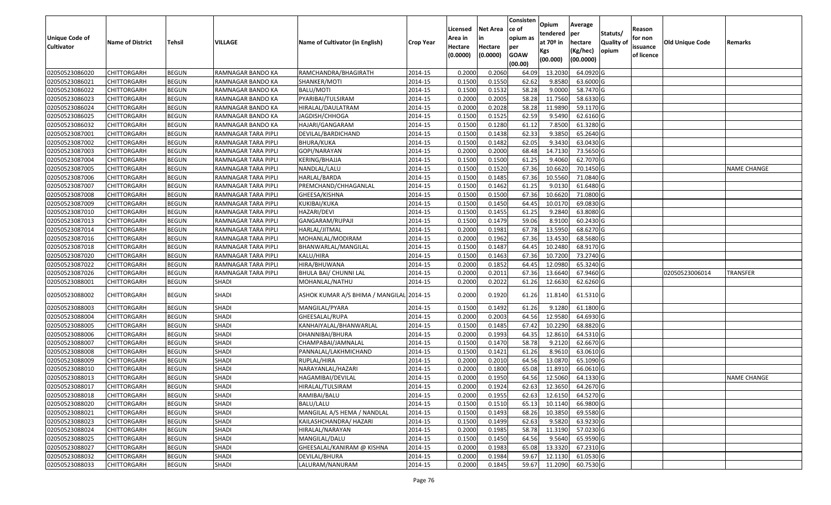|                   |                         |               |                     |                                          |                  |          |                 | Consisten              | Opium         | Average   |                  |            |                        |                    |
|-------------------|-------------------------|---------------|---------------------|------------------------------------------|------------------|----------|-----------------|------------------------|---------------|-----------|------------------|------------|------------------------|--------------------|
|                   |                         |               |                     |                                          |                  | Licensed | <b>Net Area</b> | ce of                  | tendered      | per       | Statuts/         | Reason     |                        |                    |
| Unique Code of    | <b>Name of District</b> | <b>Tehsil</b> | <b>VILLAGE</b>      | Name of Cultivator (in English)          | <b>Crop Year</b> | Area in  | in              | opium as               | at $70°$ in   | hectare   | <b>Quality o</b> | for non    | <b>Old Unique Code</b> | Remarks            |
| <b>Cultivator</b> |                         |               |                     |                                          |                  | Hectare  | Hectare         | per                    | Kgs           | (Kg/hec)  | opium            | issuance   |                        |                    |
|                   |                         |               |                     |                                          |                  | (0.0000) | (0.0000)        | <b>GOAW</b><br>(00.00) | (00.000)      | (00.0000) |                  | of licence |                        |                    |
| 02050523086020    | CHITTORGARH             | <b>BEGUN</b>  | RAMNAGAR BANDO KA   | RAMCHANDRA/BHAGIRATH                     | 2014-15          | 0.2000   | 0.2060          | 64.09                  | 13.203        | 64.0920 G |                  |            |                        |                    |
| 02050523086021    | CHITTORGARH             | <b>BEGUN</b>  | RAMNAGAR BANDO KA   | SHANKER/MOTI                             | 2014-15          | 0.1500   | 0.1550          | 62.62                  | 9.8580        | 63.6000 G |                  |            |                        |                    |
| 02050523086022    | CHITTORGARH             | <b>BEGUN</b>  | RAMNAGAR BANDO KA   | BALU/MOTI                                | 2014-15          | 0.1500   | 0.1532          | 58.28                  | 9.0000        | 58.7470 G |                  |            |                        |                    |
| 02050523086023    | <b>CHITTORGARH</b>      | <b>BEGUN</b>  | RAMNAGAR BANDO KA   | PYARIBAI/TULSIRAM                        | 2014-15          | 0.2000   | 0.2005          | 58.28                  | 11.7560       | 58.6330 G |                  |            |                        |                    |
| 02050523086024    | CHITTORGARH             | <b>BEGUN</b>  | RAMNAGAR BANDO KA   | HIRALAL/DAULATRAM                        | 2014-15          | 0.2000   | 0.2028          | 58.28                  | 11.9890       | 59.1170G  |                  |            |                        |                    |
| 02050523086025    | CHITTORGARH             | <b>BEGUN</b>  | RAMNAGAR BANDO KA   | JAGDISH/CHHOGA                           | 2014-15          | 0.1500   | 0.1525          | 62.59                  | 9.5490        | 62.6160 G |                  |            |                        |                    |
| 02050523086032    | CHITTORGARH             | <b>BEGUN</b>  | RAMNAGAR BANDO KA   | HAJARI/GANGARAM                          | 2014-15          | 0.1500   | 0.1280          | 61.12                  | 7.8500        | 61.3280 G |                  |            |                        |                    |
| 02050523087001    | CHITTORGARH             | <b>BEGUN</b>  | RAMNAGAR TARA PIPLI | DEVILAL/BARDICHAND                       | 2014-15          | 0.1500   | 0.1438          | 62.33                  | 9.3850        | 65.2640 G |                  |            |                        |                    |
| 02050523087002    | CHITTORGARH             | <b>BEGUN</b>  | RAMNAGAR TARA PIPLI | BHURA/KUKA                               | 2014-15          | 0.1500   | 0.1482          | 62.05                  | 9.3430        | 63.0430 G |                  |            |                        |                    |
| 02050523087003    | CHITTORGARH             | <b>BEGUN</b>  | RAMNAGAR TARA PIPLI | GOPI/NARAYAN                             | 2014-15          | 0.2000   | 0.2000          | 68.48                  | 14.7130       | 73.5650 G |                  |            |                        |                    |
| 02050523087004    | CHITTORGARH             | <b>BEGUN</b>  | RAMNAGAR TARA PIPLI | KERING/BHAJJA                            | 2014-15          | 0.1500   | 0.1500          | 61.25                  | 9.4060        | 62.7070 G |                  |            |                        |                    |
| 02050523087005    | <b>CHITTORGARH</b>      | <b>BEGUN</b>  | RAMNAGAR TARA PIPLI | NANDLAL/LALU                             | 2014-15          | 0.1500   | 0.1520          | 67.36                  | 10.6620       | 70.1450 G |                  |            |                        | <b>NAME CHANGE</b> |
| 02050523087006    | <b>CHITTORGARH</b>      | <b>BEGUN</b>  | RAMNAGAR TARA PIPLI | HARLAL/BARDA                             | 2014-15          | 0.1500   | 0.1485          | 67.36                  | 10.5560       | 71.0840 G |                  |            |                        |                    |
| 02050523087007    | CHITTORGARH             | <b>BEGUN</b>  | RAMNAGAR TARA PIPLI | PREMCHAND/CHHAGANLAL                     | 2014-15          | 0.1500   | 0.1462          | 61.25                  | 9.013         | 61.6480 G |                  |            |                        |                    |
| 02050523087008    | <b>CHITTORGARH</b>      | <b>BEGUN</b>  | RAMNAGAR TARA PIPLI | GHEESA/KISHNA                            | 2014-15          | 0.1500   | 0.1500          | 67.36                  | 10.6620       | 71.0800 G |                  |            |                        |                    |
| 02050523087009    | <b>CHITTORGARH</b>      | <b>BEGUN</b>  | RAMNAGAR TARA PIPLI | KUKIBAI/KUKA                             | 2014-15          | 0.1500   | 0.1450          | 64.45                  | 10.0170       | 69.0830 G |                  |            |                        |                    |
| 02050523087010    | <b>CHITTORGARH</b>      | <b>BEGUN</b>  | RAMNAGAR TARA PIPLI | HAZARI/DEVI                              | 2014-15          | 0.1500   | 0.1455          | 61.25                  | 9.2840        | 63.8080 G |                  |            |                        |                    |
| 02050523087013    | CHITTORGARH             | <b>BEGUN</b>  | RAMNAGAR TARA PIPLI | GANGARAM/RUPAJI                          | 2014-15          | 0.1500   | 0.1479          | 59.06                  | 8.9100        | 60.2430 G |                  |            |                        |                    |
| 02050523087014    | CHITTORGARH             | <b>BEGUN</b>  | RAMNAGAR TARA PIPLI | HARLAL/JITMAL                            | 2014-15          | 0.2000   | 0.1981          | 67.78                  | 13.5950       | 68.6270 G |                  |            |                        |                    |
| 02050523087016    | CHITTORGARH             | <b>BEGUN</b>  | RAMNAGAR TARA PIPLI | MOHANLAL/MODIRAM                         | 2014-15          | 0.2000   | 0.1962          | 67.36                  | 13.4530       | 68.5680 G |                  |            |                        |                    |
| 02050523087018    | CHITTORGARH             | <b>BEGUN</b>  | RAMNAGAR TARA PIPLI | BHANWARLAL/MANGILAL                      | 2014-15          | 0.1500   | 0.1487          | 64.45                  | 10.2480       | 68.9170 G |                  |            |                        |                    |
| 02050523087020    | CHITTORGARH             | <b>BEGUN</b>  | RAMNAGAR TARA PIPLI | KALU/HIRA                                | 2014-15          | 0.150    | 0.1463          | 67.36                  | 10.7200       | 73.2740 G |                  |            |                        |                    |
| 02050523087022    | CHITTORGARH             | <b>BEGUN</b>  | RAMNAGAR TARA PIPLI | HIRA/BHUWANA                             | 2014-15          | 0.2000   | 0.1852          | 64.45                  | 12.0980       | 65.3240 G |                  |            |                        |                    |
| 02050523087026    | CHITTORGARH             | <b>BEGUN</b>  | RAMNAGAR TARA PIPLI | BHULA BAI/ CHUNNI LAL                    | 2014-15          | 0.2000   | 0.2011          | 67.36                  | 13.6640       | 67.9460 G |                  |            | 02050523006014         | <b>TRANSFER</b>    |
| 02050523088001    | CHITTORGARH             | <b>BEGUN</b>  | SHADI               | MOHANLAL/NATHU                           | 2014-15          | 0.2000   | 0.2022          | 61.26                  | 12.6630       | 62.6260 G |                  |            |                        |                    |
| 02050523088002    | CHITTORGARH             | <b>BEGUN</b>  | SHADI               | ASHOK KUMAR A/S BHIMA / MANGILAL 2014-15 |                  | 0.2000   | 0.1920          | 61.26                  | 11.8140       | 61.5310 G |                  |            |                        |                    |
| 02050523088003    | CHITTORGARH             | <b>BEGUN</b>  | <b>SHADI</b>        | MANGILAL/PYARA                           | 2014-15          | 0.1500   | 0.1492          | 61.26                  | 9.128         | 61.1800 G |                  |            |                        |                    |
| 02050523088004    | CHITTORGARH             | <b>BEGUN</b>  | <b>SHADI</b>        | GHEESALAL/RUPA                           | 2014-15          | 0.2000   | 0.2003          | 64.56                  | 12.9580       | 64.6930 G |                  |            |                        |                    |
| 02050523088005    | CHITTORGARH             | <b>BEGUN</b>  | <b>SHADI</b>        | KANHAIYALAL/BHANWARLAL                   | 2014-15          | 0.1500   | 0.1485          | 67.42                  | 10.2290       | 68.8820 G |                  |            |                        |                    |
| 02050523088006    | CHITTORGARH             | <b>BEGUN</b>  | SHADI               | DHANNIBAI/BHURA                          | 2014-15          | 0.2000   | 0.1993          | 64.35                  | 12.861        | 64.5310 G |                  |            |                        |                    |
| 02050523088007    | CHITTORGARH             | <b>BEGUN</b>  | <b>SHADI</b>        | CHAMPABAI/JAMNALAL                       | 2014-15          | 0.1500   | 0.1470          | 58.78                  | 9.2120        | 62.6670 G |                  |            |                        |                    |
| 02050523088008    | CHITTORGARH             | <b>BEGUN</b>  | <b>SHADI</b>        | PANNALAL/LAKHMICHAND                     | 2014-15          | 0.1500   | 0.1421          | 61.26                  | 8.9610        | 63.0610 G |                  |            |                        |                    |
| 02050523088009    | <b>CHITTORGARH</b>      | <b>BEGUN</b>  | <b>SHADI</b>        | RUPLAL/HIRA                              | 2014-15          | 0.2000   | 0.2010          | 64.56                  | 13.0870       | 65.1090 G |                  |            |                        |                    |
| 02050523088010    | CHITTORGARH             | <b>BEGUN</b>  | <b>SHADI</b>        | NARAYANLAL/HAZARI                        | 2014-15          | 0.2000   | 0.1800          | 65.08                  | 11.8910       | 66.0610 G |                  |            |                        |                    |
| 02050523088013    | CHITTORGARH             | <b>BEGUN</b>  | SHADI               | HAGAMIBAI/DEVILAL                        | 2014-15          | 0.2000   | 0.1950          | 64.56                  | 12.5060       | 64.1330 G |                  |            |                        | <b>NAME CHANGE</b> |
| 02050523088017    | <b>CHITTORGARH</b>      | <b>BEGUN</b>  | <b>SHADI</b>        | HIRALAL/TULSIRAM                         | 2014-15          | 0.2000   | 0.1924          |                        | 62.63 12.3650 | 64.2670 G |                  |            |                        |                    |
| 02050523088018    | <b>CHITTORGARH</b>      | <b>BEGUN</b>  | <b>SHADI</b>        | RAMIBAI/BALU                             | 2014-15          | 0.2000   | 0.1955          | 62.63                  | 12.6150       | 64.5270 G |                  |            |                        |                    |
| 02050523088020    | <b>CHITTORGARH</b>      | <b>BEGUN</b>  | SHADI               | BALU/LALU                                | 2014-15          | 0.1500   | 0.1510          | 65.13                  | 10.1140       | 66.9800 G |                  |            |                        |                    |
| 02050523088021    | <b>CHITTORGARH</b>      | <b>BEGUN</b>  | SHADI               | MANGILAL A/S HEMA / NANDLAL              | 2014-15          | 0.1500   | 0.1493          | 68.26                  | 10.3850       | 69.5580 G |                  |            |                        |                    |
| 02050523088023    | <b>CHITTORGARH</b>      | <b>BEGUN</b>  | <b>SHADI</b>        | KAILASHCHANDRA/ HAZARI                   | 2014-15          | 0.1500   | 0.1499          | 62.63                  | 9.5820        | 63.9230 G |                  |            |                        |                    |
| 02050523088024    | <b>CHITTORGARH</b>      | <b>BEGUN</b>  | SHADI               | HIRALAL/NARAYAN                          | 2014-15          | 0.2000   | 0.1985          | 58.78                  | 11.3190       | 57.0230 G |                  |            |                        |                    |
| 02050523088025    | <b>CHITTORGARH</b>      | <b>BEGUN</b>  | SHADI               | MANGILAL/DALU                            | 2014-15          | 0.1500   | 0.1450          | 64.56                  | 9.5640        | 65.9590 G |                  |            |                        |                    |
| 02050523088027    | CHITTORGARH             | <b>BEGUN</b>  | <b>SHADI</b>        | GHEESALAL/KANIRAM @ KISHNA               | 2014-15          | 0.2000   | 0.1983          | 65.08                  | 13.3320       | 67.2310 G |                  |            |                        |                    |
| 02050523088032    | CHITTORGARH             | <b>BEGUN</b>  | SHADI               | DEVILAL/BHURA                            | 2014-15          | 0.2000   | 0.1984          | 59.67                  | 12.1130       | 61.0530 G |                  |            |                        |                    |
| 02050523088033    | <b>CHITTORGARH</b>      | <b>BEGUN</b>  | SHADI               | LALURAM/NANURAM                          | 2014-15          | 0.2000   | 0.1845          | 59.67                  | 11.2090       | 60.7530 G |                  |            |                        |                    |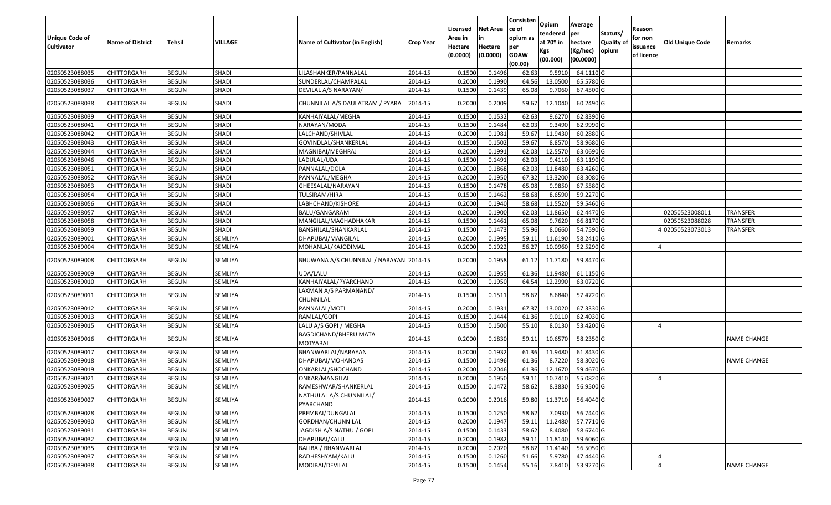| <b>Unique Code of</b><br><b>Cultivator</b> | <b>Name of District</b> | Tehsil       | VILLAGE      | Name of Cultivator (in English)         | Crop Year | Licensed<br>Area in<br>Hectare<br>(0.0000) | Net Area<br>in<br>Hectare<br>(0.0000) | Consisten<br>ce of<br>opium as<br>per<br><b>GOAW</b><br>(00.00) | Opium<br>tendered<br>at 70º in<br>Kgs<br>(00.000) | Average<br>per<br>hectare<br>(Kg/hec)<br>(00.0000) | Statuts/<br><b>Quality of</b><br>opium | Reason<br>for non<br>issuance<br>of licence | <b>Old Unique Code</b> | Remarks            |
|--------------------------------------------|-------------------------|--------------|--------------|-----------------------------------------|-----------|--------------------------------------------|---------------------------------------|-----------------------------------------------------------------|---------------------------------------------------|----------------------------------------------------|----------------------------------------|---------------------------------------------|------------------------|--------------------|
| 02050523088035                             | <b>CHITTORGARH</b>      | <b>BEGUN</b> | SHADI        | LILASHANKER/PANNALAL                    | 2014-15   | 0.1500                                     | 0.1496                                | 62.63                                                           | 9.5910                                            | 64.1110 G                                          |                                        |                                             |                        |                    |
| 02050523088036                             | CHITTORGARH             | <b>BEGUN</b> | <b>SHADI</b> | SUNDERLAL/CHAMPALAL                     | 2014-15   | 0.2000                                     | 0.1990                                | 64.56                                                           | 13.0500                                           | 65.5780 G                                          |                                        |                                             |                        |                    |
| 02050523088037                             | CHITTORGARH             | <b>BEGUN</b> | <b>SHADI</b> | DEVILAL A/S NARAYAN/                    | 2014-15   | 0.1500                                     | 0.1439                                | 65.08                                                           | 9.7060                                            | 67.4500 G                                          |                                        |                                             |                        |                    |
| 02050523088038                             | CHITTORGARH             | <b>BEGUN</b> | <b>SHADI</b> | CHUNNILAL A/S DAULATRAM / PYARA         | 2014-15   | 0.2000                                     | 0.2009                                | 59.67                                                           | 12.1040                                           | 60.2490 G                                          |                                        |                                             |                        |                    |
| 02050523088039                             | CHITTORGARH             | <b>BEGUN</b> | <b>SHADI</b> | KANHAIYALAL/MEGHA                       | 2014-15   | 0.1500                                     | 0.1532                                | 62.63                                                           | 9.6270                                            | 62.8390 G                                          |                                        |                                             |                        |                    |
| 02050523088041                             | CHITTORGARH             | <b>BEGUN</b> | <b>SHADI</b> | NARAYAN/MODA                            | 2014-15   | 0.1500                                     | 0.1484                                | 62.03                                                           | 9.3490                                            | 62.9990 G                                          |                                        |                                             |                        |                    |
| 02050523088042                             | <b>CHITTORGARH</b>      | <b>BEGUN</b> | <b>SHADI</b> | LALCHAND/SHIVLAL                        | 2014-15   | 0.2000                                     | 0.1981                                | 59.67                                                           | 11.9430                                           | 60.2880 G                                          |                                        |                                             |                        |                    |
| 02050523088043                             | CHITTORGARH             | <b>BEGUN</b> | <b>SHADI</b> | GOVINDLAL/SHANKERLAL                    | 2014-15   | 0.1500                                     | 0.1502                                | 59.67                                                           | 8.8570                                            | 58.9680 G                                          |                                        |                                             |                        |                    |
| 02050523088044                             | CHITTORGARH             | <b>BEGUN</b> | <b>SHADI</b> | MAGNIBAI/MEGHRAJ                        | 2014-15   | 0.2000                                     | 0.1991                                | 62.03                                                           | 12.5570                                           | 63.0690 G                                          |                                        |                                             |                        |                    |
| 02050523088046                             | CHITTORGARH             | <b>BEGUN</b> | <b>SHADI</b> | LADULAL/UDA                             | 2014-15   | 0.1500                                     | 0.1491                                | 62.03                                                           | 9.4110                                            | 63.1190 G                                          |                                        |                                             |                        |                    |
| 02050523088051                             | <b>CHITTORGARH</b>      | <b>BEGUN</b> | <b>SHADI</b> | PANNALAL/DOLA                           | 2014-15   | 0.2000                                     | 0.1868                                | 62.03                                                           | 11.8480                                           | 63.4260 G                                          |                                        |                                             |                        |                    |
| 02050523088052                             | <b>CHITTORGARH</b>      | <b>BEGUN</b> | <b>SHADI</b> | PANNALAL/MEGHA                          | 2014-15   | 0.2000                                     | 0.1950                                | 67.32                                                           | 13.3200                                           | 68.3080 G                                          |                                        |                                             |                        |                    |
| 02050523088053                             | <b>CHITTORGARH</b>      | <b>BEGUN</b> | <b>SHADI</b> | GHEESALAL/NARAYAN                       | 2014-15   | 0.1500                                     | 0.1478                                | 65.08                                                           | 9.9850                                            | 67.5580 G                                          |                                        |                                             |                        |                    |
| 02050523088054                             | CHITTORGARH             | <b>BEGUN</b> | <b>SHADI</b> | TULSIRAM/HIRA                           | 2014-15   | 0.1500                                     | 0.1462                                | 58.68                                                           | 8.6590                                            | 59.2270 G                                          |                                        |                                             |                        |                    |
| 02050523088056                             | CHITTORGARH             | <b>BEGUN</b> | <b>SHADI</b> | LABHCHAND/KISHORE                       | 2014-15   | 0.2000                                     | 0.1940                                | 58.68                                                           | 11.5520                                           | 59.5460 G                                          |                                        |                                             |                        |                    |
| 02050523088057                             | CHITTORGARH             | <b>BEGUN</b> | <b>SHADI</b> | BALU/GANGARAM                           | 2014-15   | 0.2000                                     | 0.1900                                | 62.03                                                           | 11.8650                                           | 62.4470 G                                          |                                        |                                             | 02050523008011         | <b>TRANSFER</b>    |
| 02050523088058                             | CHITTORGARH             | <b>BEGUN</b> | <b>SHADI</b> | MANGILAL/MAGHADHAKAR                    | 2014-15   | 0.1500                                     | 0.1461                                | 65.08                                                           | 9.7620                                            | 66.8170 G                                          |                                        |                                             | 02050523088028         | <b>TRANSFER</b>    |
| 02050523088059                             | CHITTORGARH             | <b>BEGUN</b> | <b>SHADI</b> | BANSHILAL/SHANKARLAL                    | 2014-15   | 0.1500                                     | 0.1473                                | 55.96                                                           | 8.0660                                            | 54.7590 G                                          |                                        |                                             | 402050523073013        | <b>TRANSFER</b>    |
| 02050523089001                             | CHITTORGARH             | <b>BEGUN</b> | SEMLIYA      | DHAPUBAI/MANGILAL                       | 2014-15   | 0.2000                                     | 0.1995                                | 59.11                                                           | 11.6190                                           | 58.2410 G                                          |                                        |                                             |                        |                    |
| 02050523089004                             | CHITTORGARH             | <b>BEGUN</b> | SEMLIYA      | MOHANLAL/KAJODIMAL                      | 2014-15   | 0.2000                                     | 0.1922                                | 56.27                                                           | 10.0960                                           | 52.5290 G                                          |                                        |                                             |                        |                    |
| 02050523089008                             | CHITTORGARH             | <b>BEGUN</b> | SEMLIYA      | BHUWANA A/S CHUNNILAL / NARAYAN 2014-15 |           | 0.2000                                     | 0.1958                                | 61.12                                                           | 11.7180                                           | 59.8470 G                                          |                                        |                                             |                        |                    |
| 02050523089009                             | CHITTORGARH             | <b>BEGUN</b> | SEMLIYA      | UDA/LALU                                | 2014-15   | 0.2000                                     | 0.1955                                | 61.36                                                           | 11.9480                                           | 61.1150 G                                          |                                        |                                             |                        |                    |
| 02050523089010                             | CHITTORGARH             | <b>BEGUN</b> | SEMLIYA      | KANHAIYALAL/PYARCHAND                   | 2014-15   | 0.2000                                     | 0.1950                                | 64.54                                                           | 12.2990                                           | 63.0720 G                                          |                                        |                                             |                        |                    |
| 02050523089011                             | CHITTORGARH             | <b>BEGUN</b> | SEMLIYA      | LAXMAN A/S PARMANAND/<br>CHUNNILAL      | 2014-15   | 0.1500                                     | 0.1511                                | 58.62                                                           | 8.6840                                            | 57.4720 G                                          |                                        |                                             |                        |                    |
| 02050523089012                             | CHITTORGARH             | <b>BEGUN</b> | SEMLIYA      | PANNALAL/MOTI                           | 2014-15   | 0.2000                                     | 0.1931                                | 67.37                                                           | 13.0020                                           | 67.3330 G                                          |                                        |                                             |                        |                    |
| 02050523089013                             | <b>CHITTORGARH</b>      | <b>BEGUN</b> | SEMLIYA      | RAMLAL/GOPI                             | 2014-15   | 0.1500                                     | 0.1444                                | 61.36                                                           | 9.0110                                            | 62.4030 G                                          |                                        |                                             |                        |                    |
| 02050523089015                             | <b>CHITTORGARH</b>      | <b>BEGUN</b> | SEMLIYA      | LALU A/S GOPI / MEGHA                   | 2014-15   | 0.1500                                     | 0.1500                                | 55.10                                                           | 8.0130                                            | 53.4200 G                                          |                                        |                                             |                        |                    |
| 02050523089016                             | CHITTORGARH             | <b>BEGUN</b> | SEMLIYA      | BAGDICHAND/BHERU MATA<br>MOTYABAI       | 2014-15   | 0.2000                                     | 0.1830                                | 59.11                                                           | 10.6570                                           | 58.2350 G                                          |                                        |                                             |                        | <b>NAME CHANGE</b> |
| 02050523089017                             | CHITTORGARH             | <b>BEGUN</b> | SEMLIYA      | BHANWARLAL/NARAYAN                      | 2014-15   | 0.2000                                     | 0.1932                                | 61.36                                                           | 11.9480                                           | 61.8430 G                                          |                                        |                                             |                        |                    |
| 02050523089018                             | CHITTORGARH             | <b>BEGUN</b> | SEMLIYA      | DHAPUBAI/MOHANDAS                       | 2014-15   | 0.1500                                     | 0.1496                                | 61.36                                                           | 8.7220                                            | 58.3020 G                                          |                                        |                                             |                        | <b>NAME CHANGE</b> |
| 02050523089019                             | CHITTORGARH             | <b>BEGUN</b> | SEMLIYA      | ONKARLAL/SHOCHAND                       | 2014-15   | 0.2000                                     | 0.2046                                | 61.36                                                           | 12.1670                                           | 59.4670 G                                          |                                        |                                             |                        |                    |
| 02050523089021                             | CHITTORGARH             | <b>BEGUN</b> | SEMLIYA      | ONKAR/MANGILAL                          | 2014-15   | 0.2000                                     | 0.1950                                | 59.11                                                           | 10.7410                                           | 55.0820 G                                          |                                        |                                             |                        |                    |
| 02050523089025                             | <b>CHITTORGARH</b>      | <b>BEGUN</b> | SEMLIYA      | RAMESHWAR/SHANKERLAL                    | 2014-15   | 0.1500                                     | 0.1472                                | 58.62                                                           | 8.3830                                            | 56.9500 G                                          |                                        |                                             |                        |                    |
| 02050523089027                             | <b>CHITTORGARH</b>      | <b>BEGUN</b> | SEMLIYA      | NATHULAL A/S CHUNNILAL/<br>PYARCHAND    | 2014-15   | 0.2000                                     | 0.2016                                | 59.80                                                           | 11.3710                                           | 56.4040 G                                          |                                        |                                             |                        |                    |
| 02050523089028                             | <b>CHITTORGARH</b>      | <b>BEGUN</b> | SEMLIYA      | PREMBAI/DUNGALAL                        | 2014-15   | 0.1500                                     | 0.1250                                | 58.62                                                           | 7.0930                                            | 56.7440 G                                          |                                        |                                             |                        |                    |
| 02050523089030                             | <b>CHITTORGARH</b>      | <b>BEGUN</b> | SEMLIYA      | GORDHAN/CHUNNILAL                       | 2014-15   | 0.2000                                     | 0.1947                                | 59.11                                                           | 11.2480                                           | 57.7710 G                                          |                                        |                                             |                        |                    |
| 02050523089031                             | <b>CHITTORGARH</b>      | <b>BEGUN</b> | SEMLIYA      | JAGDISH A/S NATHU / GOPI                | 2014-15   | 0.1500                                     | 0.1433                                | 58.62                                                           | 8.4080                                            | 58.6740 G                                          |                                        |                                             |                        |                    |
| 02050523089032                             | <b>CHITTORGARH</b>      | <b>BEGUN</b> | SEMLIYA      | DHAPUBAI/KALU                           | 2014-15   | 0.2000                                     | 0.1982                                | 59.11                                                           | 11.8140                                           | 59.6060 G                                          |                                        |                                             |                        |                    |
| 02050523089035                             | <b>CHITTORGARH</b>      | <b>BEGUN</b> | SEMLIYA      | BALIBAI/ BHANWARLAL                     | 2014-15   | 0.2000                                     | 0.2020                                | 58.62                                                           | 11.4140                                           | 56.5050 G                                          |                                        |                                             |                        |                    |
| 02050523089037                             | CHITTORGARH             | <b>BEGUN</b> | SEMLIYA      | RADHESHYAM/KALU                         | 2014-15   | 0.1500                                     | 0.1260                                | 51.66                                                           | 5.9780                                            | 47.4440 G                                          |                                        |                                             |                        |                    |
| 02050523089038                             | <b>CHITTORGARH</b>      | <b>BEGUN</b> | SEMLIYA      | MODIBAI/DEVILAL                         | 2014-15   | 0.1500                                     | 0.1454                                | 55.16                                                           | 7.8410                                            | 53.9270 G                                          |                                        |                                             |                        | NAME CHANGE        |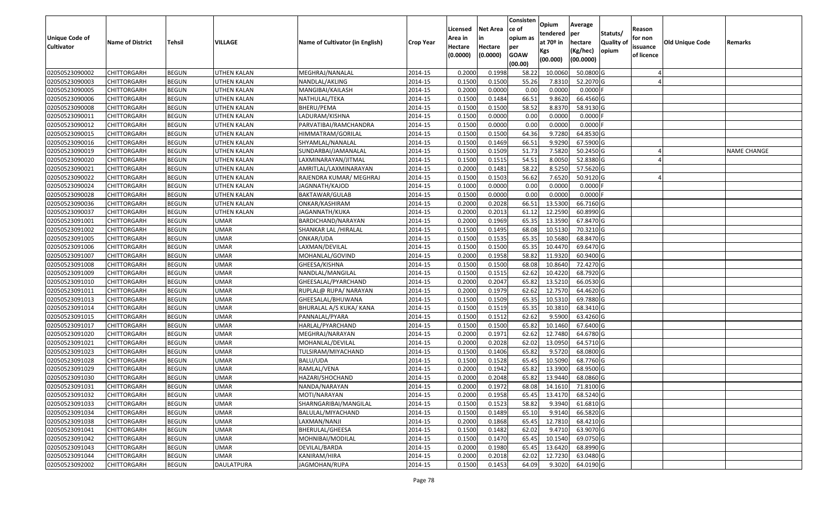|                                  |                            |                              |                            |                                        |                    | Licensed         | <b>Net Area</b>  | Consisten<br>ce of | Opium             | Average                 |                  | Reason     |                 |                    |
|----------------------------------|----------------------------|------------------------------|----------------------------|----------------------------------------|--------------------|------------------|------------------|--------------------|-------------------|-------------------------|------------------|------------|-----------------|--------------------|
| Unique Code of                   |                            |                              |                            |                                        |                    | Area in          | in               | opium as           | tendered          | per                     | Statuts/         | for non    |                 |                    |
| <b>Cultivator</b>                | <b>Name of District</b>    | <b>Tehsil</b>                | VILLAGE                    | Name of Cultivator (in English)        | <b>Crop Year</b>   | Hectare          | Hectare          | per                | at $70°$ in       | hectare                 | <b>Quality o</b> | issuance   | Old Unique Code | Remarks            |
|                                  |                            |                              |                            |                                        |                    | (0.0000)         | (0.0000)         | <b>GOAW</b>        | Kgs               | (Kg/hec)                | opium            | of licence |                 |                    |
|                                  |                            |                              |                            |                                        |                    |                  |                  | (00.00)            | (00.000)          | (00.0000)               |                  |            |                 |                    |
| 02050523090002                   | CHITTORGARH                | <b>BEGUN</b>                 | UTHEN KALAN                | MEGHRAJ/NANALAL                        | 2014-15            | 0.2000           | 0.1998           | 58.22              | 10.0060           | 50.0800 G               |                  |            |                 |                    |
| 02050523090003                   | CHITTORGARH                | <b>BEGUN</b>                 | UTHEN KALAN                | NANDLAL/AKLING                         | 2014-15            | 0.1500           | 0.1500           | 55.26              | 7.8310            | 52.2070 G               |                  |            |                 |                    |
| 02050523090005                   | CHITTORGARH                | <b>BEGUN</b>                 | UTHEN KALAN                | MANGIBAI/KAILASH                       | 2014-15            | 0.2000           | 0.0000           | 0.00               | 0.0000            | 0.0000                  |                  |            |                 |                    |
| 02050523090006                   | <b>CHITTORGARH</b>         | <b>BEGUN</b>                 | <b>UTHEN KALAN</b>         | NATHULAL/TEKA                          | 2014-15            | 0.1500           | 0.1484           | 66.51              | 9.8620            | 66.4560 G               |                  |            |                 |                    |
| 02050523090008                   | CHITTORGARH                | <b>BEGUN</b>                 | UTHEN KALAN                | BHERU/PEMA                             | 2014-15            | 0.1500           | 0.1500           | 58.52              | 8.8370            | 58.9130 G               |                  |            |                 |                    |
| 02050523090011                   | CHITTORGARH                | <b>BEGUN</b>                 | UTHEN KALAN                | LADURAM/KISHNA                         | 2014-15            | 0.1500           | 0.0000           | 0.00               | 0.0000            | $0.0000$ F              |                  |            |                 |                    |
| 02050523090012                   | CHITTORGARH                | <b>BEGUN</b>                 | UTHEN KALAN                | PARVATIBAI/RAMCHANDRA                  | 2014-15            | 0.1500           | 0.0000           | 0.00               | 0.0000            | 0.0000                  |                  |            |                 |                    |
| 02050523090015                   | CHITTORGARH                | <b>BEGUN</b>                 | <b>UTHEN KALAN</b>         | HIMMATRAM/GORILAL                      | 2014-15            | 0.1500           | 0.1500           | 64.36              | 9.7280            | 64.8530 G               |                  |            |                 |                    |
| 02050523090016                   | CHITTORGARH                | <b>BEGUN</b>                 | UTHEN KALAN                | SHYAMLAL/NANALAL                       | 2014-15            | 0.1500           | 0.1469           | 66.51              | 9.9290            | 67.5900 G               |                  |            |                 |                    |
| 02050523090019                   | CHITTORGARH                | <b>BEGUN</b>                 | UTHEN KALAN                | SUNDARBAI/JAMANALAL                    | 2014-15            | 0.1500           | 0.1509           | 51.73              | 7.5820            | 50.2450 G               |                  |            |                 | <b>NAME CHANGE</b> |
| 02050523090020                   | CHITTORGARH                | <b>BEGUN</b>                 | UTHEN KALAN                | LAXMINARAYAN/JITMAL                    | 2014-15            | 0.1500           | 0.1515           | 54.51              | 8.0050            | 52.8380 G               |                  |            |                 |                    |
| 02050523090021                   | <b>CHITTORGARH</b>         | <b>BEGUN</b>                 | <b>UTHEN KALAN</b>         | AMRITLAL/LAXMINARAYAN                  | 2014-15            | 0.2000           | 0.1481           | 58.22              | 8.5250            | 57.5620 G               |                  |            |                 |                    |
| 02050523090022                   | <b>CHITTORGARH</b>         | <b>BEGUN</b>                 | UTHEN KALAN                | RAJENDRA KUMAR/ MEGHRAJ                | 2014-15            | 0.1500           | 0.1503           | 56.62              | 7.6520            | 50.9120G                |                  |            |                 |                    |
| 02050523090024                   | CHITTORGARH                | <b>BEGUN</b>                 | UTHEN KALAN                | JAGNNATH/KAJOD                         | 2014-15            | 0.1000           | 0.0000           | 0.00               | 0.0000            | $0.0000$ F              |                  |            |                 |                    |
| 02050523090028                   | CHITTORGARH                | <b>BEGUN</b>                 | UTHEN KALAN                | BAKTAWAR/GULAB                         | 2014-15            | 0.1500           | 0.0000           | 0.00               | 0.0000            | $0.0000$ F              |                  |            |                 |                    |
| 02050523090036                   | CHITTORGARH                | <b>BEGUN</b>                 | UTHEN KALAN                | ONKAR/KASHIRAM                         | 2014-15            | 0.2000           | 0.2028           | 66.51              | 13.5300           | 66.7160 G               |                  |            |                 |                    |
| 02050523090037                   | CHITTORGARH                | <b>BEGUN</b>                 | UTHEN KALAN                | JAGANNATH/KUKA                         | 2014-15            | 0.2000           | 0.2013           | 61.12              | 12.2590           | 60.8990G                |                  |            |                 |                    |
| 02050523091001                   | CHITTORGARH                | <b>BEGUN</b>                 | <b>UMAR</b>                | BARDICHAND/NARAYAN                     | 2014-15            | 0.2000           | 0.1969           | 65.35              | 13.3590           | 67.8470 G               |                  |            |                 |                    |
| 02050523091002                   | CHITTORGARH                | <b>BEGUN</b>                 | <b>UMAR</b>                | SHANKAR LAL /HIRALAL                   | 2014-15            | 0.1500           | 0.1495           | 68.08              | 10.5130           | 70.3210 G               |                  |            |                 |                    |
| 02050523091005                   | CHITTORGARH                | <b>BEGUN</b>                 | <b>UMAR</b>                | ONKAR/UDA                              | 2014-15            | 0.1500           | 0.1535           | 65.35              | 10.5680           | 68.8470 G               |                  |            |                 |                    |
| 02050523091006                   | CHITTORGARH                | <b>BEGUN</b>                 | <b>UMAR</b>                | LAXMAN/DEVILAL                         | 2014-15            | 0.1500           | 0.1500           | 65.35              | 10.4470           | 69.6470 G               |                  |            |                 |                    |
| 02050523091007                   | CHITTORGARH                | <b>BEGUN</b>                 | <b>UMAR</b>                | MOHANLAL/GOVIND                        | 2014-15            | 0.2000           | 0.1958           | 58.82              | 11.9320           | 60.9400 G               |                  |            |                 |                    |
| 02050523091008                   | CHITTORGARH                | <b>BEGUN</b>                 | <b>UMAR</b>                | GHEESA/KISHNA                          | 2014-15            | 0.1500           | 0.1500           | 68.08              | 10.8640           | 72.4270 G               |                  |            |                 |                    |
| 02050523091009                   | CHITTORGARH                | <b>BEGUN</b>                 | <b>UMAR</b>                | NANDLAL/MANGILAL                       | 2014-15            | 0.1500           | 0.1515           | 62.62              | 10.4220           | 68.7920 G               |                  |            |                 |                    |
| 02050523091010                   | CHITTORGARH                | <b>BEGUN</b>                 | <b>UMAR</b>                | GHEESALAL/PYARCHAND                    | 2014-15            | 0.2000           | 0.2047           | 65.82              | 13.5210           | 66.0530 G               |                  |            |                 |                    |
| 02050523091011                   | CHITTORGARH                | <b>BEGUN</b>                 | <b>UMAR</b>                | RUPLAL@ RUPA/ NARAYAN                  | 2014-15            | 0.2000           | 0.1979           | 62.62              | 12.7570           | 64.4620 G               |                  |            |                 |                    |
| 02050523091013                   | CHITTORGARH                | <b>BEGUN</b>                 | <b>UMAR</b>                | GHEESALAL/BHUWANA                      | 2014-15            | 0.1500           | 0.1509           | 65.35              | 10.5310           | 69.7880 G               |                  |            |                 |                    |
| 02050523091014                   | CHITTORGARH                | <b>BEGUN</b>                 | <b>UMAR</b>                | BHURALAL A/S KUKA/ KANA                | 2014-15            | 0.1500           | 0.1519           | 65.35              | 10.3810           | 68.3410 G               |                  |            |                 |                    |
| 02050523091015<br>02050523091017 | CHITTORGARH                | <b>BEGUN</b><br><b>BEGUN</b> | <b>UMAR</b><br><b>UMAR</b> | PANNALAL/PYARA                         | 2014-15<br>2014-15 | 0.1500<br>0.1500 | 0.1512<br>0.1500 | 62.62<br>65.82     | 9.5900<br>10.1460 | 63.4260 G<br>67.6400 G  |                  |            |                 |                    |
| 02050523091020                   | CHITTORGARH                | <b>BEGUN</b>                 |                            | HARLAL/PYARCHAND                       | 2014-15            | 0.2000           | 0.1971           | 62.62              | 12.7480           | 64.6780 G               |                  |            |                 |                    |
| 02050523091021                   | CHITTORGARH                | <b>BEGUN</b>                 | <b>UMAR</b><br><b>UMAR</b> | MEGHRAJ/NARAYAN                        | 2014-15            | 0.2000           | 0.2028           | 62.02              | 13.095            | 64.5710 G               |                  |            |                 |                    |
| 02050523091023                   | CHITTORGARH<br>CHITTORGARH | <b>BEGUN</b>                 | <b>UMAR</b>                | MOHANLAL/DEVILAL<br>TULSIRAM/MIYACHAND | 2014-15            | 0.1500           | 0.1406           | 65.82              | 9.5720            | 68.0800 G               |                  |            |                 |                    |
| 02050523091028                   | CHITTORGARH                | <b>BEGUN</b>                 | <b>UMAR</b>                | BALU/UDA                               | 2014-15            | 0.1500           | 0.1528           | 65.45              | 10.5090           | 68.7760 G               |                  |            |                 |                    |
| 02050523091029                   | CHITTORGARH                | <b>BEGUN</b>                 | <b>UMAR</b>                | RAMLAL/VENA                            | 2014-15            | 0.2000           | 0.1942           | 65.82              | 13.3900           | 68.9500 G               |                  |            |                 |                    |
| 02050523091030                   | CHITTORGARH                | <b>BEGUN</b>                 | <b>UMAR</b>                | HAZARI/SHOCHAND                        | 2014-15            | 0.2000           | 0.2048           | 65.82              | 13.9440           | 68.0860 G               |                  |            |                 |                    |
| 02050523091031                   | <b>CHITTORGARH</b>         | <b>BEGUN</b>                 | <b>UMAR</b>                | NANDA/NARAYAN                          | 2014-15            | 0.2000           | 0.1972           |                    |                   | 68.08 14.1610 71.8100 G |                  |            |                 |                    |
| 02050523091032                   | <b>CHITTORGARH</b>         | <b>BEGUN</b>                 | <b>UMAR</b>                | MOTI/NARAYAN                           | 2014-15            | 0.2000           | 0.1958           | 65.45              | 13.4170           | 68.5240 G               |                  |            |                 |                    |
| 02050523091033                   | <b>CHITTORGARH</b>         | <b>BEGUN</b>                 | <b>UMAR</b>                | SHARNGARIBAI/MANGILAL                  | 2014-15            | 0.1500           | 0.1523           | 58.82              | 9.3940            | 61.6810 G               |                  |            |                 |                    |
| 02050523091034                   | <b>CHITTORGARH</b>         | <b>BEGUN</b>                 | <b>UMAR</b>                | BALULAL/MIYACHAND                      | 2014-15            | 0.1500           | 0.1489           | 65.10              | 9.9140            | 66.5820 G               |                  |            |                 |                    |
| 02050523091038                   | <b>CHITTORGARH</b>         | <b>BEGUN</b>                 | <b>UMAR</b>                | LAXMAN/NANJI                           | 2014-15            | 0.2000           | 0.1868           | 65.45              | 12.7810           | 68.4210 G               |                  |            |                 |                    |
| 02050523091041                   | <b>CHITTORGARH</b>         | <b>BEGUN</b>                 | <b>UMAR</b>                | BHERULAL/GHEESA                        | 2014-15            | 0.1500           | 0.1482           | 62.02              | 9.4710            | 63.9070 G               |                  |            |                 |                    |
| 02050523091042                   | <b>CHITTORGARH</b>         | <b>BEGUN</b>                 | UMAR                       | MOHNIBAI/MODILAL                       | 2014-15            | 0.1500           | 0.1470           | 65.45              | 10.1540           | 69.0750 G               |                  |            |                 |                    |
| 02050523091043                   | <b>CHITTORGARH</b>         | <b>BEGUN</b>                 | <b>UMAR</b>                | DEVILAL/BARDA                          | 2014-15            | 0.2000           | 0.1980           | 65.45              | 13.6420           | 68.8990 G               |                  |            |                 |                    |
| 02050523091044                   | CHITTORGARH                | <b>BEGUN</b>                 | <b>UMAR</b>                | KANIRAM/HIRA                           | 2014-15            | 0.2000           | 0.2018           | 62.02              | 12.7230           | 63.0480 G               |                  |            |                 |                    |
| 02050523092002                   | <b>CHITTORGARH</b>         | <b>BEGUN</b>                 | DAULATPURA                 | JAGMOHAN/RUPA                          | 2014-15            | 0.1500           | 0.1453           | 64.09              | 9.3020            | 64.0190 G               |                  |            |                 |                    |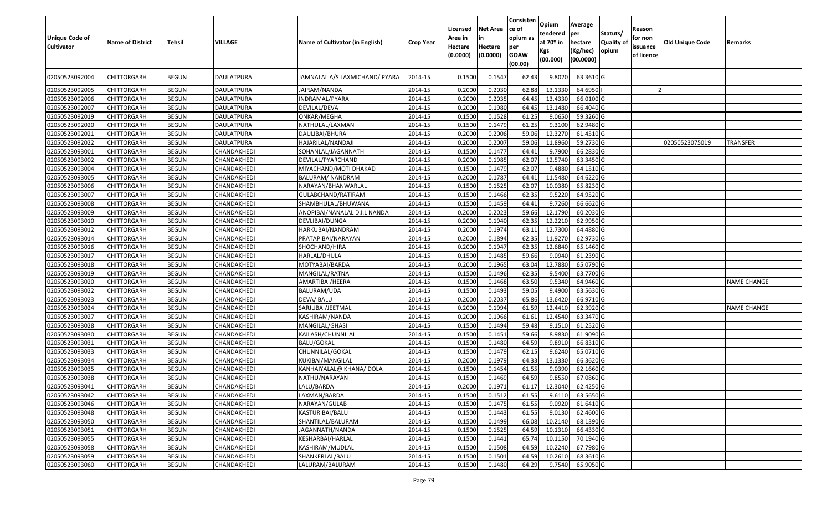| Unique Code of<br><b>Cultivator</b> | <b>Name of District</b> | <b>Tehsil</b> | VILLAGE           | Name of Cultivator (in English) | <b>Crop Year</b> | Licensed<br>Area in<br>Hectare<br>(0.0000) | <b>Net Area</b><br>Hectare<br>(0.0000) | Consisten<br>ce of<br>opium as<br>per<br><b>GOAW</b><br>(00.00) | Opium<br>tendered<br>at 70 <sup>o</sup> in<br>Kgs<br>(00.000) | Average<br>per<br>hectare<br>(Kg/hec)<br>(00.0000) | Statuts/<br><b>Quality o</b><br>opium | Reason<br>for non<br>issuance<br>of licence | Old Unique Code | Remarks            |
|-------------------------------------|-------------------------|---------------|-------------------|---------------------------------|------------------|--------------------------------------------|----------------------------------------|-----------------------------------------------------------------|---------------------------------------------------------------|----------------------------------------------------|---------------------------------------|---------------------------------------------|-----------------|--------------------|
| 02050523092004                      | CHITTORGARH             | <b>BEGUN</b>  | DAULATPURA        | JAMNALAL A/S LAXMICHAND/ PYARA  | 2014-15          | 0.1500                                     | 0.1547                                 | 62.43                                                           | 9.8020                                                        | 63.3610 G                                          |                                       |                                             |                 |                    |
| 02050523092005                      | CHITTORGARH             | <b>BEGUN</b>  | DAULATPURA        | JAIRAM/NANDA                    | 2014-15          | 0.2000                                     | 0.2030                                 | 62.88                                                           | 13.1330                                                       | 64.6950                                            |                                       |                                             |                 |                    |
| 02050523092006                      | CHITTORGARH             | <b>BEGUN</b>  | DAULATPURA        | INDRAMAL/PYARA                  | 2014-15          | 0.2000                                     | 0.2035                                 | 64.45                                                           | 13.4330                                                       | 66.0100 G                                          |                                       |                                             |                 |                    |
| 02050523092007                      | CHITTORGARH             | <b>BEGUN</b>  | <b>DAULATPURA</b> | DEVILAL/DEVA                    | 2014-15          | 0.2000                                     | 0.1980                                 | 64.45                                                           | 13.1480                                                       | 66.4040 G                                          |                                       |                                             |                 |                    |
| 02050523092019                      | CHITTORGARH             | <b>BEGUN</b>  | DAULATPURA        | ONKAR/MEGHA                     | 2014-15          | 0.1500                                     | 0.1528                                 | 61.25                                                           | 9.065                                                         | 59.3260G                                           |                                       |                                             |                 |                    |
| 02050523092020                      | CHITTORGARH             | <b>BEGUN</b>  | DAULATPURA        | NATHULAL/LAXMAN                 | 2014-15          | 0.1500                                     | 0.1479                                 | 61.25                                                           | 9.3100                                                        | 62.9480 G                                          |                                       |                                             |                 |                    |
| 02050523092021                      | <b>CHITTORGARH</b>      | <b>BEGUN</b>  | <b>DAULATPURA</b> | DAULIBAI/BHURA                  | 2014-15          | 0.2000                                     | 0.2006                                 | 59.06                                                           | 12.3270                                                       | 61.4510 G                                          |                                       |                                             |                 |                    |
| 02050523092022                      | CHITTORGARH             | <b>BEGUN</b>  | DAULATPURA        | HAJARILAL/NANDAJI               | 2014-15          | 0.2000                                     | 0.2007                                 | 59.06                                                           | 11.8960                                                       | 59.2730 G                                          |                                       |                                             | 02050523075019  | <b>TRANSFER</b>    |
| 02050523093001                      | <b>CHITTORGARH</b>      | <b>BEGUN</b>  | CHANDAKHEDI       | SOHANLAL/JAGANNATH              | 2014-15          | 0.1500                                     | 0.1477                                 | 64.41                                                           | 9.7900                                                        | 66.2830 G                                          |                                       |                                             |                 |                    |
| 02050523093002                      | <b>CHITTORGARH</b>      | <b>BEGUN</b>  | CHANDAKHEDI       | DEVILAL/PYARCHAND               | 2014-15          | 0.2000                                     | 0.1985                                 | 62.07                                                           | 12.5740                                                       | 63.3450 G                                          |                                       |                                             |                 |                    |
| 02050523093004                      | CHITTORGARH             | <b>BEGUN</b>  | CHANDAKHEDI       | MIYACHAND/MOTI DHAKAD           | 2014-15          | 0.1500                                     | 0.1479                                 | 62.07                                                           | 9.4880                                                        | 64.1510 G                                          |                                       |                                             |                 |                    |
| 02050523093005                      | <b>CHITTORGARH</b>      | <b>BEGUN</b>  | CHANDAKHEDI       | BALURAM/ NANDRAM                | 2014-15          | 0.2000                                     | 0.1787                                 | 64.41                                                           | 11.5480                                                       | 64.6220 G                                          |                                       |                                             |                 |                    |
| 02050523093006                      | CHITTORGARH             | <b>BEGUN</b>  | CHANDAKHEDI       | NARAYAN/BHANWARLAL              | 2014-15          | 0.1500                                     | 0.1525                                 | 62.07                                                           | 10.0380                                                       | 65.8230 G                                          |                                       |                                             |                 |                    |
| 02050523093007                      | CHITTORGARH             | <b>BEGUN</b>  | CHANDAKHEDI       | GULABCHAND/RATIRAM              | 2014-15          | 0.1500                                     | 0.1466                                 | 62.35                                                           | 9.5220                                                        | 64.9520 G                                          |                                       |                                             |                 |                    |
| 02050523093008                      | CHITTORGARH             | <b>BEGUN</b>  | CHANDAKHEDI       | SHAMBHULAL/BHUWANA              | 2014-15          | 0.1500                                     | 0.1459                                 | 64.41                                                           | 9.7260                                                        | 66.6620 G                                          |                                       |                                             |                 |                    |
| 02050523093009                      | CHITTORGARH             | <b>BEGUN</b>  | CHANDAKHEDI       | ANOPIBAI/NANALAL D.I.L NANDA    | 2014-15          | 0.2000                                     | 0.2023                                 | 59.66                                                           | 12.1790                                                       | 60.2030 G                                          |                                       |                                             |                 |                    |
| 02050523093010                      | CHITTORGARH             | <b>BEGUN</b>  | CHANDAKHEDI       | DEVLIBAI/DUNGA                  | 2014-15          | 0.2000                                     | 0.1940                                 | 62.35                                                           | 12.221                                                        | 62.9950 G                                          |                                       |                                             |                 |                    |
| 02050523093012                      | CHITTORGARH             | <b>BEGUN</b>  | CHANDAKHEDI       | HARKUBAI/NANDRAM                | 2014-15          | 0.2000                                     | 0.1974                                 | 63.1                                                            | 12.7300                                                       | 64.4880 G                                          |                                       |                                             |                 |                    |
| 02050523093014                      | CHITTORGARH             | <b>BEGUN</b>  | CHANDAKHEDI       | PRATAPIBAI/NARAYAN              | 2014-15          | 0.2000                                     | 0.1894                                 | 62.35                                                           | 11.9270                                                       | 62.9730 G                                          |                                       |                                             |                 |                    |
| 02050523093016                      | CHITTORGARH             | <b>BEGUN</b>  | CHANDAKHEDI       | SHOCHAND/HIRA                   | 2014-15          | 0.2000                                     | 0.1947                                 | 62.35                                                           | 12.6840                                                       | 65.1460 G                                          |                                       |                                             |                 |                    |
| 02050523093017                      | CHITTORGARH             | <b>BEGUN</b>  | CHANDAKHEDI       | HARLAL/DHULA                    | 2014-15          | 0.1500                                     | 0.1485                                 | 59.66                                                           | 9.094                                                         | 61.2390 G                                          |                                       |                                             |                 |                    |
| 02050523093018                      | CHITTORGARH             | <b>BEGUN</b>  | CHANDAKHEDI       | MOTYABAI/BARDA                  | 2014-15          | 0.2000                                     | 0.1965                                 | 63.04                                                           | 12.7880                                                       | 65.0790 G                                          |                                       |                                             |                 |                    |
| 02050523093019                      | CHITTORGARH             | <b>BEGUN</b>  | CHANDAKHEDI       | MANGILAL/RATNA                  | 2014-15          | 0.1500                                     | 0.1496                                 | 62.35                                                           | 9.5400                                                        | 63.7700 G                                          |                                       |                                             |                 |                    |
| 02050523093020                      | CHITTORGARH             | <b>BEGUN</b>  | CHANDAKHEDI       | AMARTIBAI/HEERA                 | 2014-15          | 0.1500                                     | 0.1468                                 | 63.50                                                           | 9.5340                                                        | 64.9460 G                                          |                                       |                                             |                 | <b>NAME CHANGE</b> |
| 02050523093022                      | CHITTORGARH             | <b>BEGUN</b>  | CHANDAKHEDI       | BALURAM/UDA                     | 2014-15          | 0.1500                                     | 0.1493                                 | 59.05                                                           | 9.4900                                                        | 63.5630 G                                          |                                       |                                             |                 |                    |
| 02050523093023                      | CHITTORGARH             | <b>BEGUN</b>  | CHANDAKHEDI       | DEVA/ BALU                      | 2014-15          | 0.2000                                     | 0.2037                                 | 65.86                                                           | 13.6420                                                       | 66.9710 G                                          |                                       |                                             |                 |                    |
| 02050523093024                      | CHITTORGARH             | <b>BEGUN</b>  | CHANDAKHEDI       | SARJUBAI/JEETMAL                | 2014-15          | 0.2000                                     | 0.1994                                 | 61.59                                                           | 12.4410                                                       | 62.3920 G                                          |                                       |                                             |                 | <b>NAME CHANGE</b> |
| 02050523093027                      | CHITTORGARH             | <b>BEGUN</b>  | CHANDAKHEDI       | KASHIRAM/NANDA                  | 2014-15          | 0.2000                                     | 0.1966                                 | 61.61                                                           | 12.4540                                                       | 63.3470 G                                          |                                       |                                             |                 |                    |
| 02050523093028                      | CHITTORGARH             | <b>BEGUN</b>  | CHANDAKHEDI       | MANGILAL/GHASI                  | 2014-15          | 0.1500                                     | 0.1494                                 | 59.48                                                           | 9.1510                                                        | 61.2520 G                                          |                                       |                                             |                 |                    |
| 02050523093030                      | CHITTORGARH             | <b>BEGUN</b>  | CHANDAKHEDI       | KAILASH/CHUNNILAL               | 2014-15          | 0.1500                                     | 0.1451                                 | 59.66                                                           | 8.9830                                                        | 61.9090 G                                          |                                       |                                             |                 |                    |
| 02050523093031                      | CHITTORGARH             | <b>BEGUN</b>  | CHANDAKHEDI       | <b>BALU/GOKAL</b>               | 2014-15          | 0.1500                                     | 0.1480                                 | 64.59                                                           | 9.891                                                         | 66.8310 G                                          |                                       |                                             |                 |                    |
| 02050523093033                      | CHITTORGARH             | <b>BEGUN</b>  | CHANDAKHEDI       | CHUNNILAL/GOKAL                 | 2014-15          | 0.1500                                     | 0.1479                                 | 62.15                                                           | 9.6240                                                        | 65.0710G                                           |                                       |                                             |                 |                    |
| 02050523093034                      | <b>CHITTORGARH</b>      | <b>BEGUN</b>  | CHANDAKHEDI       | KUKIBAI/MANGILAL                | 2014-15          | 0.2000                                     | 0.1979                                 | 64.33                                                           | 13.1330                                                       | 66.3620 G                                          |                                       |                                             |                 |                    |
| 02050523093035                      | CHITTORGARH             | <b>BEGUN</b>  | CHANDAKHEDI       | KANHAIYALAL@ KHANA/ DOLA        | 2014-15          | 0.150                                      | 0.1454                                 | 61.55                                                           | 9.0390                                                        | 62.1660 G                                          |                                       |                                             |                 |                    |
| 02050523093038                      | CHITTORGARH             | <b>BEGUN</b>  | CHANDAKHEDI       | NATHU/NARAYAN                   | 2014-15          | 0.1500                                     | 0.1469                                 | 64.59                                                           | 9.8550                                                        | 67.0860 G                                          |                                       |                                             |                 |                    |
| 02050523093041                      | <b>CHITTORGARH</b>      | <b>BEGUN</b>  | CHANDAKHEDI       | LALU/BARDA                      | 2014-15          | 0.2000                                     | 0.1971                                 | 61.17                                                           | 12.3040                                                       | 62.4250 G                                          |                                       |                                             |                 |                    |
| 02050523093042                      | <b>CHITTORGARH</b>      | <b>BEGUN</b>  | CHANDAKHEDI       | LAXMAN/BARDA                    | 2014-15          | 0.1500                                     | 0.1512                                 | 61.55                                                           | 9.6110                                                        | 63.5650 G                                          |                                       |                                             |                 |                    |
| 02050523093046                      | <b>CHITTORGARH</b>      | <b>BEGUN</b>  | CHANDAKHEDI       | NARAYAN/GULAB                   | 2014-15          | 0.1500                                     | 0.1475                                 | 61.55                                                           | 9.0920                                                        | 61.6410 G                                          |                                       |                                             |                 |                    |
| 02050523093048                      | <b>CHITTORGARH</b>      | <b>BEGUN</b>  | CHANDAKHEDI       | KASTURIBAI/BALU                 | 2014-15          | 0.1500                                     | 0.1443                                 | 61.55                                                           | 9.0130                                                        | 62.4600 G                                          |                                       |                                             |                 |                    |
| 02050523093050                      | <b>CHITTORGARH</b>      | <b>BEGUN</b>  | CHANDAKHEDI       | SHANTILAL/BALURAM               | 2014-15          | 0.1500                                     | 0.1499                                 | 66.08                                                           | 10.2140                                                       | 68.1390 G                                          |                                       |                                             |                 |                    |
| 02050523093051                      | <b>CHITTORGARH</b>      | <b>BEGUN</b>  | CHANDAKHEDI       | JAGANNATH/NANDA                 | 2014-15          | 0.1500                                     | 0.1525                                 | 64.59                                                           | 10.1310                                                       | 66.4330 G                                          |                                       |                                             |                 |                    |
| 02050523093055                      | <b>CHITTORGARH</b>      | <b>BEGUN</b>  | CHANDAKHEDI       | KESHARBAI/HARLAL                | 2014-15          | 0.1500                                     | 0.1441                                 | 65.74                                                           | 10.1150                                                       | 70.1940 G                                          |                                       |                                             |                 |                    |
| 02050523093058                      | <b>CHITTORGARH</b>      | <b>BEGUN</b>  | CHANDAKHEDI       | KASHIRAM/MUDLAL                 | 2014-15          | 0.1500                                     | 0.1508                                 | 64.59                                                           | 10.2240                                                       | 67.7980 G                                          |                                       |                                             |                 |                    |
| 02050523093059                      | <b>CHITTORGARH</b>      | <b>BEGUN</b>  | CHANDAKHEDI       | SHANKERLAL/BALU                 | 2014-15          | 0.1500                                     | 0.1501                                 | 64.59                                                           | 10.2610                                                       | 68.3610 G                                          |                                       |                                             |                 |                    |
| 02050523093060                      | <b>CHITTORGARH</b>      | <b>BEGUN</b>  | CHANDAKHEDI       | LALURAM/BALURAM                 | 2014-15          | 0.1500                                     | 0.1480                                 | 64.29                                                           | 9.7540                                                        | 65.9050 G                                          |                                       |                                             |                 |                    |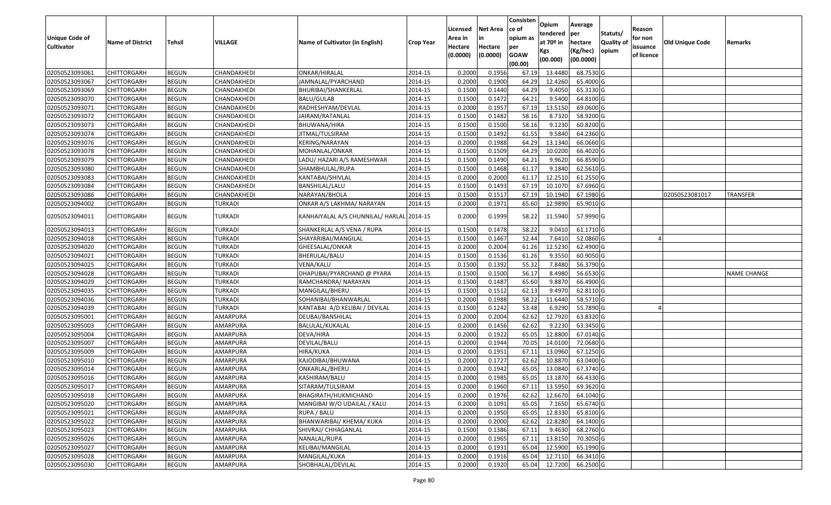|                       |                         |               |                |                                           |                  | Licensed | <b>Net Area</b> | Consisten<br>ce of | Opium         | Average   |                  | Reason     |                        |                    |
|-----------------------|-------------------------|---------------|----------------|-------------------------------------------|------------------|----------|-----------------|--------------------|---------------|-----------|------------------|------------|------------------------|--------------------|
| <b>Unique Code of</b> |                         |               |                |                                           |                  | Area in  |                 | opium as           | tendered      | per       | Statuts/         | for non    |                        |                    |
| <b>Cultivator</b>     | <b>Name of District</b> | <b>Tehsil</b> | VILLAGE        | Name of Cultivator (in English)           | <b>Crop Year</b> | Hectare  | Hectare         | per                | at $70°$ in   | hectare   | <b>Quality o</b> | issuance   | <b>Old Unique Code</b> | Remarks            |
|                       |                         |               |                |                                           |                  | (0.0000) | (0.0000)        | <b>GOAW</b>        | Kgs           | (Kg/hec)  | opium            | of licence |                        |                    |
|                       |                         |               |                |                                           |                  |          |                 | (00.00)            | (00.000)      | (00.0000) |                  |            |                        |                    |
| 02050523093061        | CHITTORGARH             | <b>BEGUN</b>  | CHANDAKHEDI    | ONKAR/HIRALAL                             | 2014-15          | 0.2000   | 0.1956          | 67.19              | 13.4480       | 68.7530 G |                  |            |                        |                    |
| 02050523093067        | CHITTORGARH             | <b>BEGUN</b>  | CHANDAKHEDI    | JAMNALAL/PYARCHAND                        | 2014-15          | 0.2000   | 0.1900          | 64.29              | 12.4260       | 65.4000 G |                  |            |                        |                    |
| 02050523093069        | CHITTORGARH             | <b>BEGUN</b>  | CHANDAKHEDI    | BHURIBAI/SHANKERLAL                       | 2014-15          | 0.1500   | 0.1440          | 64.29              | 9.4050        | 65.3130 G |                  |            |                        |                    |
| 02050523093070        | CHITTORGARH             | <b>BEGUN</b>  | CHANDAKHEDI    | <b>BALU/GULAB</b>                         | 2014-15          | 0.1500   | 0.1472          | 64.21              | 9.5400        | 64.8100 G |                  |            |                        |                    |
| 02050523093071        | CHITTORGARH             | <b>BEGUN</b>  | CHANDAKHEDI    | RADHESHYAM/DEVLAL                         | 2014-15          | 0.2000   | 0.1957          | 67.19              | 13.515        | 69.0600 G |                  |            |                        |                    |
| 02050523093072        | CHITTORGARH             | <b>BEGUN</b>  | CHANDAKHEDI    | JAIRAM/RATANLAL                           | 2014-15          | 0.1500   | 0.1482          | 58.16              | 8.7320        | 58.9200 G |                  |            |                        |                    |
| 02050523093073        | CHITTORGARH             | <b>BEGUN</b>  | CHANDAKHEDI    | BHUWANA/HIRA                              | 2014-15          | 0.1500   | 0.1500          | 58.16              | 9.1230        | 60.8200 G |                  |            |                        |                    |
| 02050523093074        | CHITTORGARH             | <b>BEGUN</b>  | CHANDAKHEDI    | JITMAL/TULSIRAM                           | 2014-15          | 0.1500   | 0.1492          | 61.55              | 9.5840        | 64.2360 G |                  |            |                        |                    |
| 02050523093076        | <b>CHITTORGARH</b>      | <b>BEGUN</b>  | CHANDAKHEDI    | KERING/NARAYAN                            | 2014-15          | 0.2000   | 0.1988          | 64.29              | 13.1340       | 66.0660 G |                  |            |                        |                    |
| 02050523093078        | CHITTORGARH             | <b>BEGUN</b>  | CHANDAKHEDI    | MOHANLAL/ONKAR                            | 2014-15          | 0.1500   | 0.1509          | 64.29              | 10.0200       | 66.4020 G |                  |            |                        |                    |
| 02050523093079        | CHITTORGARH             | <b>BEGUN</b>  | CHANDAKHEDI    | LADU/ HAZARI A/S RAMESHWAR                | 2014-15          | 0.1500   | 0.1490          | 64.21              | 9.9620        | 66.8590 G |                  |            |                        |                    |
| 02050523093080        | CHITTORGARH             | <b>BEGUN</b>  | CHANDAKHEDI    | SHAMBHULAL/RUPA                           | 2014-15          | 0.1500   | 0.1468          | 61.17              | 9.1840        | 62.5610 G |                  |            |                        |                    |
| 02050523093083        | <b>CHITTORGARH</b>      | <b>BEGUN</b>  | CHANDAKHEDI    | KANTABAI/SHIVLAL                          | 2014-15          | 0.2000   | 0.2000          | 61.17              | 12.2510       | 61.2550 G |                  |            |                        |                    |
| 02050523093084        | <b>CHITTORGARH</b>      | <b>BEGUN</b>  | CHANDAKHEDI    | BANSHILAL/LALU                            | 2014-15          | 0.1500   | 0.1493          | 67.19              | 10.1070       | 67.6960 G |                  |            |                        |                    |
| 02050523093086        | CHITTORGARH             | <b>BEGUN</b>  | CHANDAKHEDI    | NARAYAN/BHOLA                             | 2014-15          | 0.1500   | 0.1517          | 67.19              | 10.1940       | 67.1980 G |                  |            | 02050523081017         | TRANSFER           |
| 02050523094002        | <b>CHITTORGARH</b>      | <b>BEGUN</b>  | <b>TURKADI</b> | ONKAR A/S LAKHMA/ NARAYAN                 | 2014-15          | 0.2000   | 0.1971          | 65.60              | 12.9890       | 65.9010 G |                  |            |                        |                    |
| 02050523094011        | CHITTORGARH             | <b>BEGUN</b>  | TURKADI        | KANHAIYALAL A/S CHUNNILAL/ HARLAL 2014-15 |                  | 0.2000   | 0.1999          | 58.22              | 11.5940       | 57.9990 G |                  |            |                        |                    |
| 02050523094013        | CHITTORGARH             | <b>BEGUN</b>  | TURKADI        | SHANKERLAL A/S VENA / RUPA                | 2014-15          | 0.150    | 0.1478          | 58.22              | 9.041         | 61.1710 G |                  |            |                        |                    |
| 02050523094018        | CHITTORGARH             | <b>BEGUN</b>  | <b>TURKADI</b> | SHAYARIBAI/MANGILAL                       | 2014-15          | 0.1500   | 0.1467          | 52.44              | 7.6410        | 52.0860 G |                  |            |                        |                    |
| 02050523094020        | CHITTORGARH             | <b>BEGUN</b>  | <b>TURKADI</b> | GHEESALAL/ONKAR                           | 2014-15          | 0.2000   | 0.2004          | 61.26              | 12.5230       | 62.4900 G |                  |            |                        |                    |
| 02050523094021        | CHITTORGARH             | <b>BEGUN</b>  | <b>TURKADI</b> | BHERULAL/BALU                             | 2014-15          | 0.1500   | 0.1536          | 61.26              | 9.355         | 60.9050 G |                  |            |                        |                    |
| 02050523094025        | CHITTORGARH             | <b>BEGUN</b>  | <b>TURKADI</b> | VENA/KALU                                 | 2014-15          | 0.1500   | 0.1392          | 55.32              | 7.8480        | 56.3790 G |                  |            |                        |                    |
| 02050523094028        | CHITTORGARH             | <b>BEGUN</b>  | TURKADI        | DHAPUBAI/PYARCHAND @ PYARA                | 2014-15          | 0.1500   | 0.1500          | 56.17              | 8.4980        | 56.6530 G |                  |            |                        | <b>NAME CHANGE</b> |
| 02050523094029        | CHITTORGARH             | <b>BEGUN</b>  | <b>TURKADI</b> | RAMCHANDRA/ NARAYAN                       | 2014-15          | 0.1500   | 0.1487          | 65.60              | 9.8870        | 66.4900 G |                  |            |                        |                    |
| 02050523094035        | CHITTORGARH             | <b>BEGUN</b>  | <b>TURKADI</b> | MANGILAL/BHERU                            | 2014-15          | 0.1500   | 0.1512          | 62.13              | 9.4970        | 62.8110 G |                  |            |                        |                    |
| 02050523094036        | CHITTORGARH             | <b>BEGUN</b>  | <b>TURKADI</b> | SOHANIBAI/BHANWARLAL                      | 2014-15          | 0.2000   | 0.1988          | 58.22              | 11.6440       | 58.5710 G |                  |            |                        |                    |
| 02050523094039        | <b>CHITTORGARH</b>      | <b>BEGUN</b>  | <b>TURKADI</b> | KANTABAI A/D KELIBAI / DEVILAL            | 2014-15          | 0.1500   | 0.1242          | 53.48              | 6.9290        | 55.7890 G |                  |            |                        |                    |
| 02050523095001        | CHITTORGARH             | <b>BEGUN</b>  | AMARPURA       | DEUBAI/BANSHILAL                          | 2014-15          | 0.2000   | 0.2004          | 62.62              | 12.7920       | 63.8320 G |                  |            |                        |                    |
| 02050523095003        | CHITTORGARH             | <b>BEGUN</b>  | AMARPURA       | BALULAL/KUKALAL                           | 2014-15          | 0.2000   | 0.1456          | 62.62              | 9.2230        | 63.3450 G |                  |            |                        |                    |
| 02050523095004        | CHITTORGARH             | <b>BEGUN</b>  | AMARPURA       | DEVA/HIRA                                 | 2014-15          | 0.2000   | 0.1922          | 65.05              | 12.8800       | 67.0140 G |                  |            |                        |                    |
| 02050523095007        | CHITTORGARH             | <b>BEGUN</b>  | AMARPURA       | DEVILAL/BALU                              | 2014-15          | 0.2000   | 0.1944          | 70.05              | 14.0100       | 72.0680 G |                  |            |                        |                    |
| 02050523095009        | CHITTORGARH             | <b>BEGUN</b>  | AMARPURA       | HIRA/KUKA                                 | 2014-15          | 0.2000   | 0.1951          | 67.13              | 13.0960       | 67.1250 G |                  |            |                        |                    |
| 02050523095010        | <b>CHITTORGARH</b>      | <b>BEGUN</b>  | AMARPURA       | KAJODIBAI/BHUWANA                         | 2014-15          | 0.2000   | 0.1727          | 62.62              | 10.8870       | 63.0400 G |                  |            |                        |                    |
| 02050523095014        | CHITTORGARH             | <b>BEGUN</b>  | AMARPURA       | ONKARLAL/BHERU                            | 2014-15          | 0.2000   | 0.1942          | 65.05              | 13.0840       | 67.3740 G |                  |            |                        |                    |
| 02050523095016        | CHITTORGARH             | <b>BEGUN</b>  | AMARPURA       | KASHIRAM/BALU                             | 2014-15          | 0.2000   | 0.1985          | 65.05              | 13.1870       | 66.4330 G |                  |            |                        |                    |
| 02050523095017        | CHITTORGARH             | <b>BEGUN</b>  | AMARPURA       | SITARAM/TULSIRAM                          | 2014-15          | 0.2000   | 0.1960          |                    | 67.11 13.5950 | 69.3620 G |                  |            |                        |                    |
| 02050523095018        | <b>CHITTORGARH</b>      | <b>BEGUN</b>  | AMARPURA       | BHAGIRATH/HUKMICHAND                      | 2014-15          | 0.2000   | 0.1976          | 62.62              | 12.6670       | 64.1040 G |                  |            |                        |                    |
| 02050523095020        | <b>CHITTORGARH</b>      | <b>BEGUN</b>  | AMARPURA       | MANGIBAI W/O UDAILAL / KALU               | 2014-15          | 0.2000   | 0.1091          | 65.05              | 7.1650        | 65.6740 G |                  |            |                        |                    |
| 02050523095021        | <b>CHITTORGARH</b>      | <b>BEGUN</b>  | AMARPURA       | RUPA / BALU                               | 2014-15          | 0.2000   | 0.1950          | 65.05              | 12.8330       | 65.8100 G |                  |            |                        |                    |
| 02050523095022        | CHITTORGARH             | <b>BEGUN</b>  | AMARPURA       | BHANWARIBAI/ KHEMA/ KUKA                  | 2014-15          | 0.2000   | 0.2000          | 62.62              | 12.8280       | 64.1400 G |                  |            |                        |                    |
| 02050523095023        | <b>CHITTORGARH</b>      | <b>BEGUN</b>  | AMARPURA       | SHIVRAJ/ CHHAGANLAL                       | 2014-15          | 0.1500   | 0.1386          | 67.11              | 9.4630        | 68.2760 G |                  |            |                        |                    |
| 02050523095026        | <b>CHITTORGARH</b>      | <b>BEGUN</b>  | AMARPURA       | NANALAL/RUPA                              | 2014-15          | 0.2000   | 0.1965          | 67.11              | 13.8150       | 70.3050 G |                  |            |                        |                    |
| 02050523095027        | <b>CHITTORGARH</b>      | <b>BEGUN</b>  | AMARPURA       | KELIBAI/MANGILAL                          | 2014-15          | 0.2000   | 0.1931          | 65.04              | 12.5900       | 65.1990 G |                  |            |                        |                    |
| 02050523095028        | <b>CHITTORGARH</b>      | <b>BEGUN</b>  | AMARPURA       | MANGILAL/KUKA                             | 2014-15          | 0.2000   | 0.1916          | 65.04              | 12.7110       | 66.3410 G |                  |            |                        |                    |
| 02050523095030        | <b>CHITTORGARH</b>      | <b>BEGUN</b>  | AMARPURA       | SHOBHALAL/DEVILAL                         | 2014-15          | 0.2000   | 0.1920          | 65.04              | 12.7200       | 66.2500 G |                  |            |                        |                    |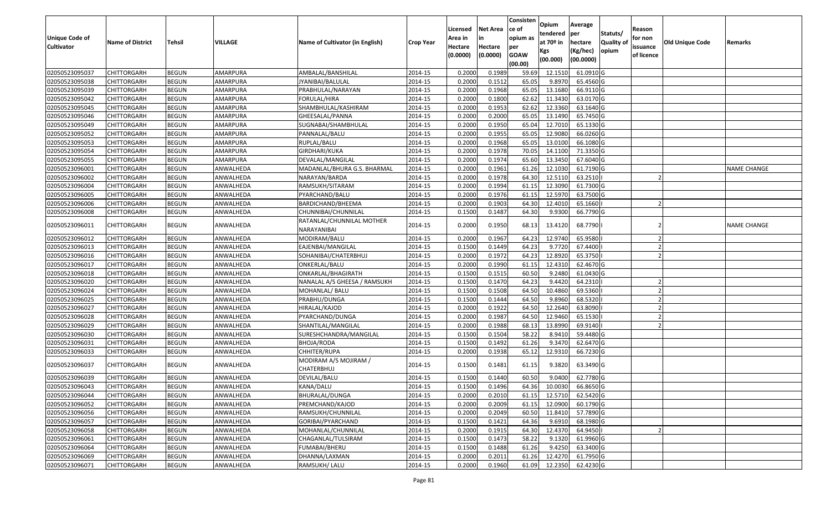|                   |                         |               |                |                                          |                  | Licensed | <b>Net Area</b> | Consisten<br>ce of | Opium           | Average               |                           | Reason     |                        |                    |
|-------------------|-------------------------|---------------|----------------|------------------------------------------|------------------|----------|-----------------|--------------------|-----------------|-----------------------|---------------------------|------------|------------------------|--------------------|
| Unique Code of    |                         |               |                |                                          |                  | Area in  | in              | opium as           | tendered        | per                   | Statuts/                  | for non    |                        |                    |
| <b>Cultivator</b> | <b>Name of District</b> | <b>Tehsil</b> | <b>VILLAGE</b> | Name of Cultivator (in English)          | <b>Crop Year</b> | Hectare  | Hectare         | per                | at $70°$ in     | hectare               | <b>Quality o</b><br>opium | issuance   | <b>Old Unique Code</b> | Remarks            |
|                   |                         |               |                |                                          |                  | (0.0000) | (0.0000)        | <b>GOAW</b>        | Kgs<br>(00.000) | (Kg/hec)<br>(00.0000) |                           | of licence |                        |                    |
|                   |                         |               |                |                                          |                  |          |                 | (00.00)            |                 |                       |                           |            |                        |                    |
| 02050523095037    | CHITTORGARH             | <b>BEGUN</b>  | AMARPURA       | AMBALAL/BANSHILAL                        | 2014-15          | 0.2000   | 0.1989          | 59.69              | 12.151          | 61.0910G              |                           |            |                        |                    |
| 02050523095038    | CHITTORGARH             | <b>BEGUN</b>  | AMARPURA       | JYANIBAI/BALULAL                         | 2014-15          | 0.2000   | 0.1512          | 65.05              | 9.8970          | 65.4560 G             |                           |            |                        |                    |
| 02050523095039    | CHITTORGARH             | <b>BEGUN</b>  | AMARPURA       | PRABHULAL/NARAYAN                        | 2014-15          | 0.2000   | 0.1968          | 65.05              | 13.1680         | 66.9110 G             |                           |            |                        |                    |
| 02050523095042    | <b>CHITTORGARH</b>      | <b>BEGUN</b>  | AMARPURA       | FORULAL/HIRA                             | 2014-15          | 0.2000   | 0.1800          | 62.62              | 11.3430         | 63.0170G              |                           |            |                        |                    |
| 02050523095045    | CHITTORGARH             | <b>BEGUN</b>  | AMARPURA       | SHAMBHULAL/KASHIRAM                      | 2014-15          | 0.2000   | 0.1953          | 62.62              | 12.3360         | 63.1640 G             |                           |            |                        |                    |
| 02050523095046    | CHITTORGARH             | <b>BEGUN</b>  | AMARPURA       | GHEESALAL/PANNA                          | 2014-15          | 0.2000   | 0.2000          | 65.05              | 13.1490         | 65.7450 G             |                           |            |                        |                    |
| 02050523095049    | CHITTORGARH             | <b>BEGUN</b>  | AMARPURA       | SUGNABAI/SHAMBHULAL                      | 2014-15          | 0.2000   | 0.1950          | 65.04              | 12.7010         | 65.1330 G             |                           |            |                        |                    |
| 02050523095052    | CHITTORGARH             | <b>BEGUN</b>  | AMARPURA       | PANNALAL/BALU                            | 2014-15          | 0.2000   | 0.1955          | 65.05              | 12.9080         | 66.0260 G             |                           |            |                        |                    |
| 02050523095053    | CHITTORGARH             | <b>BEGUN</b>  | AMARPURA       | RUPLAL/BALU                              | 2014-15          | 0.2000   | 0.1968          | 65.05              | 13.0100         | 66.1080 G             |                           |            |                        |                    |
| 02050523095054    | CHITTORGARH             | <b>BEGUN</b>  | AMARPURA       | GIRDHARI/KUKA                            | 2014-15          | 0.2000   | 0.1978          | 70.05              | 14.1100         | 71.3350 G             |                           |            |                        |                    |
| 02050523095055    | CHITTORGARH             | <b>BEGUN</b>  | AMARPURA       | DEVALAL/MANGILAL                         | 2014-15          | 0.2000   | 0.1974          | 65.60              | 13.3450         | 67.6040 G             |                           |            |                        |                    |
| 02050523096001    | <b>CHITTORGARH</b>      | <b>BEGUN</b>  | ANWALHEDA      | MADANLAL/BHURA G.S. BHARMAL              | 2014-15          | 0.2000   | 0.1961          | 61.26              | 12.1030         | 61.7190 G             |                           |            |                        | <b>NAME CHANGE</b> |
| 02050523096002    | <b>CHITTORGARH</b>      | <b>BEGUN</b>  | ANWALHEDA      | NARAYAN/BARDA                            | 2014-15          | 0.2000   | 0.1978          | 64.30              | 12.5110         | 63.2510               |                           |            |                        |                    |
| 02050523096004    | <b>CHITTORGARH</b>      | <b>BEGUN</b>  | ANWALHEDA      | RAMSUKH/SITARAM                          | 2014-15          | 0.2000   | 0.1994          | 61.15              | 12.3090         | 61.7300 G             |                           |            |                        |                    |
| 02050523096005    | <b>CHITTORGARH</b>      | <b>BEGUN</b>  | ANWALHEDA      | PYARCHAND/BALU                           | 2014-15          | 0.2000   | 0.1976          | 61.15              | 12.5970         | 63.7500 G             |                           |            |                        |                    |
| 02050523096006    | CHITTORGARH             | <b>BEGUN</b>  | ANWALHEDA      | BARDICHAND/BHEEMA                        | 2014-15          | 0.2000   | 0.1903          | 64.30              | 12.4010         | 65.1660               |                           |            |                        |                    |
| 02050523096008    | CHITTORGARH             | <b>BEGUN</b>  | ANWALHEDA      | CHUNNIBAI/CHUNNILAL                      | 2014-15          | 0.1500   | 0.1487          | 64.30              | 9.9300          | 66.7790 G             |                           |            |                        |                    |
| 02050523096011    | CHITTORGARH             | <b>BEGUN</b>  | ANWALHEDA      | RATANLAL/CHUNNILAL MOTHER<br>NARAYANIBAI | 2014-15          | 0.2000   | 0.1950          | 68.13              | 13.4120         | 68.7790               |                           |            |                        | <b>NAME CHANGE</b> |
| 02050523096012    | CHITTORGARH             | <b>BEGUN</b>  | ANWALHEDA      | MODIRAM/BALU                             | 2014-15          | 0.2000   | 0.1967          | 64.23              | 12.974          | 65.9580               |                           |            |                        |                    |
| 02050523096013    | CHITTORGARH             | <b>BEGUN</b>  | ANWALHEDA      | EAJENBAI/MANGILAL                        | 2014-15          | 0.1500   | 0.1449          | 64.23              | 9.7720          | 67.4400               |                           |            |                        |                    |
| 02050523096016    | CHITTORGARH             | <b>BEGUN</b>  | ANWALHEDA      | SOHANIBAI/CHATERBHUJ                     | 2014-15          | 0.2000   | 0.1972          | 64.23              | 12.8920         | 65.3750               |                           |            |                        |                    |
| 02050523096017    | CHITTORGARH             | <b>BEGUN</b>  | ANWALHEDA      | ONKERLAL/BALU                            | 2014-15          | 0.2000   | 0.1990          | 61.15              | 12.4310         | 62.4670 G             |                           |            |                        |                    |
| 02050523096018    | CHITTORGARH             | <b>BEGUN</b>  | ANWALHEDA      | ONKARLAL/BHAGIRATH                       | 2014-15          | 0.1500   | 0.1515          | 60.50              | 9.2480          | 61.0430 G             |                           |            |                        |                    |
| 02050523096020    | <b>CHITTORGARH</b>      | <b>BEGUN</b>  | ANWALHEDA      | NANALAL A/S GHEESA / RAMSUKH             | 2014-15          | 0.1500   | 0.1470          | 64.23              | 9.4420          | 64.2310               |                           |            |                        |                    |
| 02050523096024    | CHITTORGARH             | <b>BEGUN</b>  | ANWALHEDA      | MOHANLAL/ BALU                           | 2014-15          | 0.1500   | 0.1508          | 64.50              | 10.4860         | 69.5360               |                           |            |                        |                    |
| 02050523096025    | CHITTORGARH             | <b>BEGUN</b>  | ANWALHEDA      | PRABHU/DUNGA                             | 2014-15          | 0.1500   | 0.1444          | 64.50              | 9.8960          | 68.5320               |                           |            |                        |                    |
| 02050523096027    | CHITTORGARH             | <b>BEGUN</b>  | ANWALHEDA      | HIRALAL/KAJOD                            | 2014-15          | 0.2000   | 0.1922          | 64.50              | 12.2640         | 63.8090               |                           |            |                        |                    |
| 02050523096028    | CHITTORGARH             | <b>BEGUN</b>  | ANWALHEDA      | PYARCHAND/DUNGA                          | 2014-15          | 0.2000   | 0.1987          | 64.50              | 12.9460         | 65.1530               |                           |            |                        |                    |
| 02050523096029    | CHITTORGARH             | <b>BEGUN</b>  | ANWALHEDA      | SHANTILAL/MANGILAL                       | 2014-15          | 0.2000   | 0.1988          | 68.13              | 13.8990         | 69.9140               |                           |            |                        |                    |
| 02050523096030    | CHITTORGARH             | <b>BEGUN</b>  | ANWALHEDA      | SURESHCHANDRA/MANGILAL                   | 2014-15          | 0.1500   | 0.1504          | 58.22              | 8.9410          | 59.4480 G             |                           |            |                        |                    |
| 02050523096031    | CHITTORGARH             | <b>BEGUN</b>  | ANWALHEDA      | BHOJA/RODA                               | 2014-15          | 0.1500   | 0.1492          | 61.26              | 9.3470          | 62.6470 G             |                           |            |                        |                    |
| 02050523096033    | CHITTORGARH             | <b>BEGUN</b>  | ANWALHEDA      | CHHITER/RUPA                             | 2014-15          | 0.2000   | 0.1938          | 65.12              | 12.9310         | 66.7230 G             |                           |            |                        |                    |
| 02050523096037    | CHITTORGARH             | <b>BEGUN</b>  | ANWALHEDA      | MODIRAM A/S MOJIRAM /<br>CHATERBHUJ      | 2014-15          | 0.1500   | 0.1481          | 61.15              | 9.3820          | 63.3490 G             |                           |            |                        |                    |
| 02050523096039    | CHITTORGARH             | <b>BEGUN</b>  | ANWALHEDA      | DEVILAL/BALU                             | 2014-15          | 0.1500   | 0.1440          | 60.50              | 9.0400          | 62.7780 G             |                           |            |                        |                    |
| 02050523096043    | <b>CHITTORGARH</b>      | <b>BEGUN</b>  | ANWALHEDA      | KANA/DALU                                | 2014-15          | 0.1500   | 0.1496          | 64.36              | 10.0030         | 66.8650 G             |                           |            |                        |                    |
| 02050523096044    | <b>CHITTORGARH</b>      | <b>BEGUN</b>  | ANWALHEDA      | BHURALAL/DUNGA                           | 2014-15          | 0.2000   | 0.2010          | 61.15              | 12.5710         | 62.5420 G             |                           |            |                        |                    |
| 02050523096052    | <b>CHITTORGARH</b>      | <b>BEGUN</b>  | ANWALHEDA      | PREMCHAND/KAJOD                          | 2014-15          | 0.2000   | 0.2009          | 61.15              | 12.0900         | 60.1790 G             |                           |            |                        |                    |
| 02050523096056    | <b>CHITTORGARH</b>      | <b>BEGUN</b>  | ANWALHEDA      | RAMSUKH/CHUNNILAL                        | 2014-15          | 0.2000   | 0.2049          | 60.50              | 11.8410         | 57.7890 G             |                           |            |                        |                    |
| 02050523096057    | <b>CHITTORGARH</b>      | <b>BEGUN</b>  | ANWALHEDA      | GORIBAI/PYARCHAND                        | 2014-15          | 0.1500   | 0.1421          | 64.36              | 9.6910          | 68.1980 G             |                           |            |                        |                    |
| 02050523096058    | <b>CHITTORGARH</b>      | <b>BEGUN</b>  | ANWALHEDA      | MOHANLAL/CHUNNILAL                       | 2014-15          | 0.2000   | 0.1915          | 64.30              | 12.4370         | 64.9450               |                           |            |                        |                    |
| 02050523096061    | <b>CHITTORGARH</b>      | <b>BEGUN</b>  | ANWALHEDA      | CHAGANLAL/TULSIRAM                       | 2014-15          | 0.1500   | 0.1473          | 58.22              | 9.1320          | 61.9960 G             |                           |            |                        |                    |
| 02050523096064    | <b>CHITTORGARH</b>      | <b>BEGUN</b>  | ANWALHEDA      | FUMABAI/BHERU                            | 2014-15          | 0.1500   | 0.1488          | 61.26              | 9.4250          | 63.3400 G             |                           |            |                        |                    |
| 02050523096069    | <b>CHITTORGARH</b>      | <b>BEGUN</b>  | ANWALHEDA      | DHANNA/LAXMAN                            | 2014-15          | 0.2000   | 0.2011          | 61.26              | 12.4270         | 61.7950 G             |                           |            |                        |                    |
| 02050523096071    | <b>CHITTORGARH</b>      | <b>BEGUN</b>  | ANWALHEDA      | RAMSUKH/ LALU                            | 2014-15          | 0.2000   | 0.1960          | 61.09              | 12.2350         | 62.4230 G             |                           |            |                        |                    |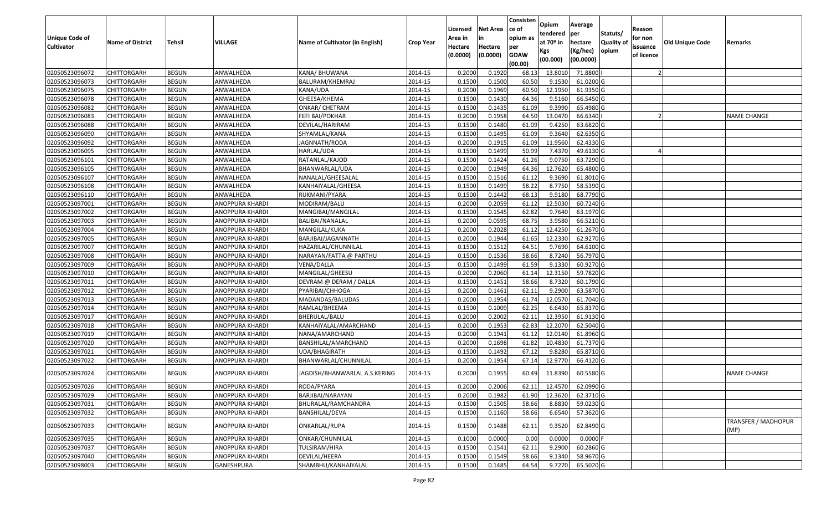| <b>Unique Code of</b><br><b>Cultivator</b> | <b>Name of District</b> | <b>Tehsil</b> | VILLAGE         | Name of Cultivator (in English) | <b>Crop Year</b> | Licensed<br>Area in<br>Hectare<br>(0.0000) | <b>Net Area</b><br>in<br>Hectare<br>(0.0000) | Consisten<br>ce of<br>opium as<br>per<br><b>GOAW</b><br>(00.00) | Opium<br>tendered<br>at $70°$ in<br>Kgs<br>(00.000) | Average<br>per<br>hectare<br>(Kg/hec)<br>(00.0000) | Statuts/<br>Quality of<br>opium | Reason<br>for non<br>issuance<br>of licence | <b>Old Unique Code</b> | Remarks                            |
|--------------------------------------------|-------------------------|---------------|-----------------|---------------------------------|------------------|--------------------------------------------|----------------------------------------------|-----------------------------------------------------------------|-----------------------------------------------------|----------------------------------------------------|---------------------------------|---------------------------------------------|------------------------|------------------------------------|
| 02050523096072                             | <b>CHITTORGARH</b>      | <b>BEGUN</b>  | ANWALHEDA       | KANA/ BHUWANA                   | 2014-15          | 0.2000                                     | 0.1920                                       | 68.13                                                           | 13.801                                              | 71.8800                                            |                                 |                                             |                        |                                    |
| 02050523096073                             | CHITTORGARH             | <b>BEGUN</b>  | ANWALHEDA       | BALURAM/KHEMRAJ                 | 2014-15          | 0.1500                                     | 0.1500                                       | 60.50                                                           | 9.1530                                              | 61.0200 G                                          |                                 |                                             |                        |                                    |
| 02050523096075                             | CHITTORGARH             | <b>BEGUN</b>  | ANWALHEDA       | KANA/UDA                        | 2014-15          | 0.2000                                     | 0.1969                                       | 60.50                                                           | 12.1950                                             | 61.9350 G                                          |                                 |                                             |                        |                                    |
| 02050523096078                             | <b>CHITTORGARH</b>      | <b>BEGUN</b>  | ANWALHEDA       | GHEESA/KHEMA                    | 2014-15          | 0.1500                                     | 0.1430                                       | 64.36                                                           | 9.5160                                              | 66.5450 G                                          |                                 |                                             |                        |                                    |
| 02050523096082                             | <b>CHITTORGARH</b>      | <b>BEGUN</b>  | ANWALHEDA       | ONKAR/ CHETRAM                  | 2014-15          | 0.1500                                     | 0.1435                                       | 61.09                                                           | 9.3990                                              | 65.4980 G                                          |                                 |                                             |                        |                                    |
| 02050523096083                             | <b>CHITTORGARH</b>      | <b>BEGUN</b>  | ANWALHEDA       | FEFI BAI/POKHAR                 | 2014-15          | 0.2000                                     | 0.1958                                       | 64.50                                                           | 13.0470                                             | 66.6340                                            |                                 |                                             |                        | <b>NAME CHANGE</b>                 |
| 02050523096088                             | <b>CHITTORGARH</b>      | <b>BEGUN</b>  | ANWALHEDA       | DEVILAL/HARIRAM                 | 2014-15          | 0.1500                                     | 0.1480                                       | 61.09                                                           | 9.4250                                              | 63.6820 G                                          |                                 |                                             |                        |                                    |
| 02050523096090                             | <b>CHITTORGARH</b>      | <b>BEGUN</b>  | ANWALHEDA       | SHYAMLAL/KANA                   | 2014-15          | 0.1500                                     | 0.1495                                       | 61.09                                                           | 9.3640                                              | 62.6350 G                                          |                                 |                                             |                        |                                    |
| 02050523096092                             | CHITTORGARH             | <b>BEGUN</b>  | ANWALHEDA       | JAGNNATH/RODA                   | 2014-15          | 0.2000                                     | 0.1915                                       | 61.09                                                           | 11.9560                                             | 62.4330 G                                          |                                 |                                             |                        |                                    |
| 02050523096095                             | CHITTORGARH             | <b>BEGUN</b>  | ANWALHEDA       | HARLAL/UDA                      | 2014-15          | 0.1500                                     | 0.1499                                       | 50.99                                                           | 7.4370                                              | 49.6130 G                                          |                                 |                                             |                        |                                    |
| 02050523096101                             | <b>CHITTORGARH</b>      | <b>BEGUN</b>  | ANWALHEDA       | RATANLAL/KAJOD                  | 2014-15          | 0.1500                                     | 0.1424                                       | 61.26                                                           | 9.075                                               | 63.7290 G                                          |                                 |                                             |                        |                                    |
| 02050523096105                             | CHITTORGARH             | <b>BEGUN</b>  | ANWALHEDA       | BHANWARLAL/UDA                  | 2014-15          | 0.2000                                     | 0.1949                                       | 64.36                                                           | 12.7620                                             | 65.4800 G                                          |                                 |                                             |                        |                                    |
| 02050523096107                             | CHITTORGARH             | <b>BEGUN</b>  | ANWALHEDA       | NANALAL/GHEESALAL               | 2014-15          | 0.1500                                     | 0.1516                                       | 61.12                                                           | 9.3690                                              | 61.8010 G                                          |                                 |                                             |                        |                                    |
| 02050523096108                             | CHITTORGARH             | <b>BEGUN</b>  | ANWALHEDA       | KANHAIYALAL/GHEESA              | 2014-15          | 0.1500                                     | 0.1499                                       | 58.22                                                           | 8.7750                                              | 58.5390 G                                          |                                 |                                             |                        |                                    |
| 02050523096110                             | CHITTORGARH             | <b>BEGUN</b>  | ANWALHEDA       | RUKMANI/PYARA                   | 2014-15          | 0.1500                                     | 0.1442                                       | 68.13                                                           | 9.9180                                              | 68.7790 G                                          |                                 |                                             |                        |                                    |
| 02050523097001                             | CHITTORGARH             | <b>BEGUN</b>  | ANOPPURA KHARDI | MODIRAM/BALU                    | 2014-15          | 0.2000                                     | 0.2059                                       | 61.12                                                           | 12.5030                                             | 60.7240 G                                          |                                 |                                             |                        |                                    |
| 02050523097002                             | CHITTORGARH             | <b>BEGUN</b>  | ANOPPURA KHARDI | MANGIBAI/MANGILAL               | 2014-15          | 0.1500                                     | 0.1545                                       | 62.82                                                           | 9.7640                                              | 63.1970 G                                          |                                 |                                             |                        |                                    |
| 02050523097003                             | CHITTORGARH             | <b>BEGUN</b>  | ANOPPURA KHARDI | BALIBAI/NANALAL                 | 2014-15          | 0.2000                                     | 0.0595                                       | 68.75                                                           | 3.9580                                              | 66.5210 G                                          |                                 |                                             |                        |                                    |
| 02050523097004                             | <b>CHITTORGARH</b>      | <b>BEGUN</b>  | ANOPPURA KHARDI | MANGILAL/KUKA                   | 2014-15          | 0.2000                                     | 0.2028                                       | 61.12                                                           | 12.4250                                             | 61.2670 G                                          |                                 |                                             |                        |                                    |
| 02050523097005                             | CHITTORGARH             | <b>BEGUN</b>  | ANOPPURA KHARDI | BARJIBAI/JAGANNATH              | 2014-15          | 0.2000                                     | 0.1944                                       | 61.65                                                           | 12.2330                                             | 62.9270 G                                          |                                 |                                             |                        |                                    |
| 02050523097007                             | CHITTORGARH             | <b>BEGUN</b>  | ANOPPURA KHARDI | HAZARILAL/CHUNNILAL             | 2014-15          | 0.1500                                     | 0.1512                                       | 64.51                                                           | 9.7690                                              | 64.6100 G                                          |                                 |                                             |                        |                                    |
| 02050523097008                             | CHITTORGARH             | <b>BEGUN</b>  | ANOPPURA KHARDI | NARAYAN/FATTA @ PARTHU          | 2014-15          | 0.1500                                     | 0.1536                                       | 58.66                                                           | 8.7240                                              | 56.7970 G                                          |                                 |                                             |                        |                                    |
| 02050523097009                             | CHITTORGARH             | <b>BEGUN</b>  | ANOPPURA KHARDI | VENA/DALLA                      | 2014-15          | 0.1500                                     | 0.1499                                       | 61.59                                                           | 9.1330                                              | 60.9270 G                                          |                                 |                                             |                        |                                    |
| 02050523097010                             | CHITTORGARH             | <b>BEGUN</b>  | ANOPPURA KHARDI | MANGILAL/GHEESU                 | 2014-15          | 0.2000                                     | 0.2060                                       | 61.14                                                           | 12.3150                                             | 59.7820 G                                          |                                 |                                             |                        |                                    |
| 02050523097011                             | CHITTORGARH             | <b>BEGUN</b>  | ANOPPURA KHARDI | DEVRAM @ DERAM / DALLA          | 2014-15          | 0.1500                                     | 0.1451                                       | 58.66                                                           | 8.7320                                              | 60.1790 G                                          |                                 |                                             |                        |                                    |
| 02050523097012                             | CHITTORGARH             | <b>BEGUN</b>  | ANOPPURA KHARDI | PYARIBAI/CHHOGA                 | 2014-15          | 0.2000                                     | 0.1461                                       | 62.1                                                            | 9.2900                                              | 63.5870 G                                          |                                 |                                             |                        |                                    |
| 02050523097013                             | CHITTORGARH             | <b>BEGUN</b>  | ANOPPURA KHARDI | MADANDAS/BALUDAS                | 2014-15          | 0.2000                                     | 0.1954                                       | 61.74                                                           | 12.0570                                             | 61.7040 G                                          |                                 |                                             |                        |                                    |
| 02050523097014                             | CHITTORGARH             | <b>BEGUN</b>  | ANOPPURA KHARDI | RAMLAL/BHEEMA                   | 2014-15          | 0.1500                                     | 0.1009                                       | 62.25                                                           | 6.6430                                              | 65.8370 G                                          |                                 |                                             |                        |                                    |
| 02050523097017                             | <b>CHITTORGARH</b>      | <b>BEGUN</b>  | ANOPPURA KHARDI | BHERULAL/BALU                   | 2014-15          | 0.2000                                     | 0.2002                                       | 62.11                                                           | 12.3950                                             | 61.9130 G                                          |                                 |                                             |                        |                                    |
| 02050523097018                             | <b>CHITTORGARH</b>      | <b>BEGUN</b>  | ANOPPURA KHARDI | KANHAIYALAL/AMARCHAND           | 2014-15          | 0.2000                                     | 0.1953                                       | 62.83                                                           | 12.2070                                             | 62.5040 G                                          |                                 |                                             |                        |                                    |
| 02050523097019                             | <b>CHITTORGARH</b>      | <b>BEGUN</b>  | ANOPPURA KHARDI | NANA/AMARCHAND                  | 2014-15          | 0.2000                                     | 0.1941                                       | 61.12                                                           | 12.0140                                             | 61.8960 G                                          |                                 |                                             |                        |                                    |
| 02050523097020                             | <b>CHITTORGARH</b>      | <b>BEGUN</b>  | ANOPPURA KHARDI | BANSHILAL/AMARCHAND             | 2014-15          | 0.2000                                     | 0.1698                                       | 61.82                                                           | 10.4830                                             | 61.7370 G                                          |                                 |                                             |                        |                                    |
| 02050523097021                             | <b>CHITTORGARH</b>      | <b>BEGUN</b>  | ANOPPURA KHARDI | UDA/BHAGIRATH                   | 2014-15          | 0.1500                                     | 0.1492                                       | 67.12                                                           | 9.8280                                              | 65.8710 G                                          |                                 |                                             |                        |                                    |
| 02050523097022                             | CHITTORGARH             | <b>BEGUN</b>  | ANOPPURA KHARDI | BHANWARLAL/CHUNNILAL            | 2014-15          | 0.2000                                     | 0.1954                                       | 67.14                                                           | 12.9770                                             | 66.4120G                                           |                                 |                                             |                        |                                    |
| 02050523097024                             | CHITTORGARH             | <b>BEGUN</b>  | ANOPPURA KHARDI | JAGDISH/BHANWARLAL A.S.KERING   | 2014-15          | 0.2000                                     | 0.1955                                       | 60.49                                                           | 11.8390                                             | 60.5580 G                                          |                                 |                                             |                        | <b>NAME CHANGE</b>                 |
| 02050523097026                             | <b>CHITTORGARH</b>      | <b>BEGUN</b>  | ANOPPURA KHARDI | RODA/PYARA                      | 2014-15          | 0.2000                                     | 0.2006                                       | 62.11                                                           |                                                     | 12.4570 62.0990 G                                  |                                 |                                             |                        |                                    |
| 02050523097029                             | <b>CHITTORGARH</b>      | <b>BEGUN</b>  | ANOPPURA KHARDI | BARJIBAI/NARAYAN                | 2014-15          | 0.2000                                     | 0.1982                                       | 61.90                                                           | 12.3620                                             | 62.3710 G                                          |                                 |                                             |                        |                                    |
| 02050523097031                             | <b>CHITTORGARH</b>      | <b>BEGUN</b>  | ANOPPURA KHARDI | BHURALAL/RAMCHANDRA             | 2014-15          | 0.1500                                     | 0.1505                                       | 58.66                                                           | 8.8830                                              | 59.0230 G                                          |                                 |                                             |                        |                                    |
| 02050523097032                             | <b>CHITTORGARH</b>      | <b>BEGUN</b>  | ANOPPURA KHARDI | BANSHILAL/DEVA                  | 2014-15          | 0.1500                                     | 0.1160                                       | 58.66                                                           | 6.6540                                              | 57.3620 G                                          |                                 |                                             |                        |                                    |
| 02050523097033                             | CHITTORGARH             | <b>BEGUN</b>  | ANOPPURA KHARDI | ONKARLAL/RUPA                   | 2014-15          | 0.1500                                     | 0.1488                                       | 62.11                                                           | 9.3520                                              | 62.8490 G                                          |                                 |                                             |                        | <b>TRANSFER / MADHOPUR</b><br>(MP) |
| 02050523097035                             | CHITTORGARH             | <b>BEGUN</b>  | ANOPPURA KHARDI | ONKAR/CHUNNILAL                 | 2014-15          | 0.1000                                     | 0.0000                                       | 0.00                                                            | 0.0000                                              | $0.0000$ F                                         |                                 |                                             |                        |                                    |
| 02050523097037                             | <b>CHITTORGARH</b>      | <b>BEGUN</b>  | ANOPPURA KHARDI | TULSIRAM/HIRA                   | 2014-15          | 0.1500                                     | 0.1541                                       | 62.11                                                           | 9.2900                                              | 60.2860 G                                          |                                 |                                             |                        |                                    |
| 02050523097040                             | CHITTORGARH             | <b>BEGUN</b>  | ANOPPURA KHARDI | DEVILAL/HEERA                   | 2014-15          | 0.1500                                     | 0.1549                                       | 58.66                                                           | 9.1340                                              | 58.9670 G                                          |                                 |                                             |                        |                                    |
| 02050523098003                             | CHITTORGARH             | <b>BEGUN</b>  | GANESHPURA      | SHAMBHU/KANHAIYALAL             | 2014-15          | 0.1500                                     | 0.1485                                       | 64.54                                                           | 9.7270                                              | 65.5020 G                                          |                                 |                                             |                        |                                    |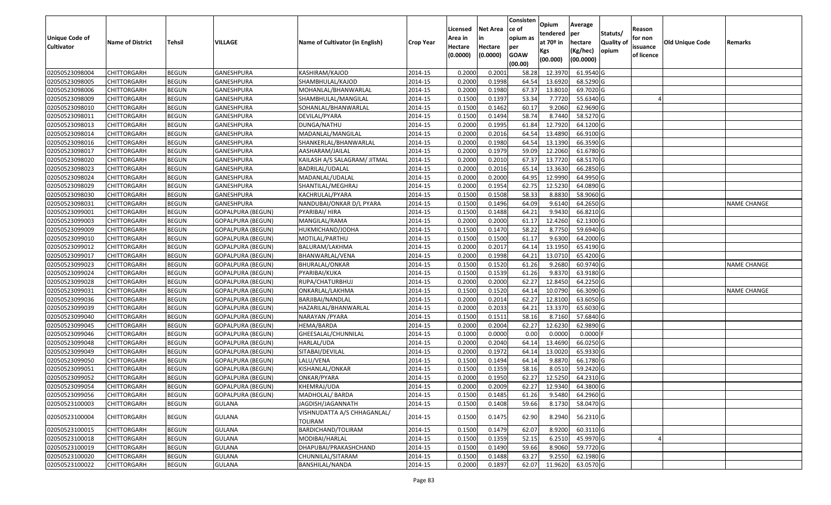|                       |                         |               |                          |                                        |                  | Licensed | <b>Net Area</b> | Consisten<br>ce of | Opium           | Average               |                  | Reason     |                        |                    |
|-----------------------|-------------------------|---------------|--------------------------|----------------------------------------|------------------|----------|-----------------|--------------------|-----------------|-----------------------|------------------|------------|------------------------|--------------------|
| <b>Unique Code of</b> |                         |               |                          |                                        |                  | Area in  |                 | opium as           | tendered        | per                   | Statuts/         | for non    |                        |                    |
| <b>Cultivator</b>     | <b>Name of District</b> | <b>Tehsil</b> | VILLAGE                  | Name of Cultivator (in English)        | <b>Crop Year</b> | Hectare  | Hectare         | per                | at $70°$ in     | hectare               | <b>Quality o</b> | issuance   | <b>Old Unique Code</b> | Remarks            |
|                       |                         |               |                          |                                        |                  | (0.0000) | (0.0000)        | <b>GOAW</b>        | Kgs<br>(00.000) | (Kg/hec)<br>(00.0000) | opium            | of licence |                        |                    |
|                       |                         |               |                          |                                        |                  |          |                 | (00.00)            |                 |                       |                  |            |                        |                    |
| 02050523098004        | CHITTORGARH             | <b>BEGUN</b>  | <b>GANESHPURA</b>        | KASHIRAM/KAJOD                         | 2014-15          | 0.2000   | 0.2001          | 58.28              | 12.397          | 61.9540 G             |                  |            |                        |                    |
| 02050523098005        | CHITTORGARH             | <b>BEGUN</b>  | GANESHPURA               | SHAMBHULAL/KAJOD                       | 2014-15          | 0.2000   | 0.1998          | 64.54              | 13.6920         | 68.5290 G             |                  |            |                        |                    |
| 02050523098006        | CHITTORGARH             | <b>BEGUN</b>  | GANESHPURA               | MOHANLAL/BHANWARLAL                    | 2014-15          | 0.2000   | 0.1980          | 67.37              | 13.8010         | 69.7020 G             |                  |            |                        |                    |
| 02050523098009        | CHITTORGARH             | <b>BEGUN</b>  | <b>GANESHPURA</b>        | SHAMBHULAL/MANGILAL                    | 2014-15          | 0.1500   | 0.1397          | 53.34              | 7.7720          | 55.6340 G             |                  |            |                        |                    |
| 02050523098010        | CHITTORGARH             | <b>BEGUN</b>  | GANESHPURA               | SOHANLAL/BHANWARLAL                    | 2014-15          | 0.1500   | 0.1462          | 60.17              | 9.2060          | 62.9690 G             |                  |            |                        |                    |
| 02050523098011        | CHITTORGARH             | <b>BEGUN</b>  | GANESHPURA               | DEVILAL/PYARA                          | 2014-15          | 0.1500   | 0.1494          | 58.74              | 8.7440          | 58.5270 G             |                  |            |                        |                    |
| 02050523098013        | CHITTORGARH             | <b>BEGUN</b>  | GANESHPURA               | DUNGA/NATHU                            | 2014-15          | 0.2000   | 0.1995          | 61.84              | 12.7920         | 64.1200 G             |                  |            |                        |                    |
| 02050523098014        | CHITTORGARH             | <b>BEGUN</b>  | GANESHPURA               | MADANLAL/MANGILAL                      | 2014-15          | 0.2000   | 0.2016          | 64.54              | 13.4890         | 66.9100G              |                  |            |                        |                    |
| 02050523098016        | <b>CHITTORGARH</b>      | <b>BEGUN</b>  | GANESHPURA               | SHANKERLAL/BHANWARLAL                  | 2014-15          | 0.2000   | 0.1980          | 64.54              | 13.1390         | 66.3590 G             |                  |            |                        |                    |
| 02050523098017        | CHITTORGARH             | <b>BEGUN</b>  | GANESHPURA               | AASHARAM/JAILAL                        | 2014-15          | 0.2000   | 0.1979          | 59.09              | 12.2060         | 61.6780 G             |                  |            |                        |                    |
| 02050523098020        | CHITTORGARH             | <b>BEGUN</b>  | GANESHPURA               | KAILASH A/S SALAGRAM/ JITMAL           | 2014-15          | 0.2000   | 0.2010          | 67.37              | 13.7720         | 68.5170 G             |                  |            |                        |                    |
| 02050523098023        | CHITTORGARH             | <b>BEGUN</b>  | GANESHPURA               | BADRILAL/UDALAL                        | 2014-15          | 0.2000   | 0.2016          | 65.1               | 13.3630         | 66.2850 G             |                  |            |                        |                    |
| 02050523098024        | <b>CHITTORGARH</b>      | <b>BEGUN</b>  | <b>GANESHPURA</b>        | MADANLAL/UDALAL                        | 2014-15          | 0.2000   | 0.2000          | 64.95              | 12.9990         | 64.9950 G             |                  |            |                        |                    |
| 02050523098029        | <b>CHITTORGARH</b>      | <b>BEGUN</b>  | GANESHPURA               | SHANTILAL/MEGHRAJ                      | 2014-15          | 0.2000   | 0.1954          | 62.75              | 12.5230         | 64.0890 G             |                  |            |                        |                    |
| 02050523098030        | CHITTORGARH             | <b>BEGUN</b>  | GANESHPURA               | KACHRULAL/PYARA                        | 2014-15          | 0.1500   | 0.1508          | 58.33              | 8.8830          | 58.9060 G             |                  |            |                        |                    |
| 02050523098031        | <b>CHITTORGARH</b>      | <b>BEGUN</b>  | GANESHPURA               | NANDUBAI/ONKAR D/L PYARA               | 2014-15          | 0.1500   | 0.1496          | 64.09              | 9.6140          | 64.2650 G             |                  |            |                        | <b>NAME CHANGE</b> |
| 02050523099001        | <b>CHITTORGARH</b>      | <b>BEGUN</b>  | <b>GOPALPURA (BEGUN)</b> | PYARIBAI/ HIRA                         | 2014-15          | 0.1500   | 0.1488          | 64.21              | 9.9430          | 66.8210 G             |                  |            |                        |                    |
| 02050523099003        | CHITTORGARH             | <b>BEGUN</b>  | <b>GOPALPURA (BEGUN)</b> | MANGILAL/RAMA                          | 2014-15          | 0.2000   | 0.2000          | 61.17              | 12.4260         | 62.1300 G             |                  |            |                        |                    |
| 02050523099009        | CHITTORGARH             | <b>BEGUN</b>  | <b>GOPALPURA (BEGUN)</b> | HUKMICHAND/JODHA                       | 2014-15          | 0.1500   | 0.1470          | 58.22              | 8.7750          | 59.6940 G             |                  |            |                        |                    |
| 02050523099010        | CHITTORGARH             | <b>BEGUN</b>  | <b>GOPALPURA (BEGUN)</b> | MOTILAL/PARTHU                         | 2014-15          | 0.1500   | 0.1500          | 61.17              | 9.6300          | 64.2000 G             |                  |            |                        |                    |
| 02050523099012        | CHITTORGARH             | <b>BEGUN</b>  | <b>GOPALPURA (BEGUN)</b> | BALURAM/LAKHMA                         | 2014-15          | 0.2000   | 0.2017          | 64.14              | 13.1950         | 65.4190 G             |                  |            |                        |                    |
| 02050523099017        | CHITTORGARH             | <b>BEGUN</b>  | <b>GOPALPURA (BEGUN)</b> | BHANWARLAL/VENA                        | 2014-15          | 0.2000   | 0.1998          | 64.21              | 13.071          | 65.4200 G             |                  |            |                        |                    |
| 02050523099023        | CHITTORGARH             | <b>BEGUN</b>  | <b>GOPALPURA (BEGUN)</b> | BHURALAL/ONKAR                         | 2014-15          | 0.1500   | 0.1520          | 61.26              | 9.2680          | 60.9740 G             |                  |            |                        | <b>NAME CHANGE</b> |
| 02050523099024        | <b>CHITTORGARH</b>      | <b>BEGUN</b>  | <b>GOPALPURA (BEGUN)</b> | PYARIBAI/KUKA                          | 2014-15          | 0.1500   | 0.1539          | 61.26              | 9.8370          | 63.9180 G             |                  |            |                        |                    |
| 02050523099028        | CHITTORGARH             | <b>BEGUN</b>  | <b>GOPALPURA (BEGUN)</b> | RUPA/CHATURBHUJ                        | 2014-15          | 0.2000   | 0.2000          | 62.27              | 12.845          | 64.2250 G             |                  |            |                        |                    |
| 02050523099031        | CHITTORGARH             | <b>BEGUN</b>  | <b>GOPALPURA (BEGUN)</b> | ONKARLAL/LAKHMA                        | 2014-15          | 0.1500   | 0.1520          | 64.14              | 10.0790         | 66.3090 G             |                  |            |                        | <b>NAME CHANGE</b> |
| 02050523099036        | CHITTORGARH             | <b>BEGUN</b>  | <b>GOPALPURA (BEGUN)</b> | BARJIBAI/NANDLAL                       | 2014-15          | 0.2000   | 0.2014          | 62.27              | 12.8100         | 63.6050 G             |                  |            |                        |                    |
| 02050523099039        | CHITTORGARH             | <b>BEGUN</b>  | <b>GOPALPURA (BEGUN)</b> | HAZARILAL/BHANWARLAL                   | 2014-15          | 0.2000   | 0.2033          | 64.21              | 13.3370         | 65.6030 G             |                  |            |                        |                    |
| 02050523099040        | CHITTORGARH             | <b>BEGUN</b>  | <b>GOPALPURA (BEGUN)</b> | NARAYAN / PYARA                        | 2014-15          | 0.1500   | 0.1511          | 58.16              | 8.7160          | 57.6840 G             |                  |            |                        |                    |
| 02050523099045        | CHITTORGARH             | <b>BEGUN</b>  | <b>GOPALPURA (BEGUN)</b> | HEMA/BARDA                             | 2014-15          | 0.2000   | 0.2004          | 62.27              | 12.6230         | 62.9890 G             |                  |            |                        |                    |
| 02050523099046        | CHITTORGARH             | <b>BEGUN</b>  | <b>GOPALPURA (BEGUN)</b> | GHEESALAL/CHUNNILAL                    | 2014-15          | 0.1000   | 0.0000          | 0.00               | 0.000           | $0.0000$ F            |                  |            |                        |                    |
| 02050523099048        | CHITTORGARH             | <b>BEGUN</b>  | GOPALPURA (BEGUN)        | HARLAL/UDA                             | 2014-15          | 0.2000   | 0.2040          | 64.1               | 13.4690         | 66.0250 G             |                  |            |                        |                    |
| 02050523099049        | CHITTORGARH             | <b>BEGUN</b>  | <b>GOPALPURA (BEGUN)</b> | SITABAI/DEVILAL                        | 2014-15          | 0.2000   | 0.1972          | 64.1               | 13.0020         | 65.9330 G             |                  |            |                        |                    |
| 02050523099050        | <b>CHITTORGARH</b>      | <b>BEGUN</b>  | GOPALPURA (BEGUN)        | LALU/VENA                              | 2014-15          | 0.1500   | 0.1494          | 64.1               | 9.8870          | 66.1780 G             |                  |            |                        |                    |
| 02050523099051        | CHITTORGARH             | <b>BEGUN</b>  | <b>GOPALPURA (BEGUN)</b> | KISHANLAL/ONKAR                        | 2014-15          | 0.1500   | 0.1359          | 58.16              | 8.0510          | 59.2420 G             |                  |            |                        |                    |
| 02050523099052        | CHITTORGARH             | <b>BEGUN</b>  | GOPALPURA (BEGUN)        | ONKAR/PYARA                            | 2014-15          | 0.2000   | 0.1950          | 62.27              | 12.5250         | 64.2310 G             |                  |            |                        |                    |
| 02050523099054        | <b>CHITTORGARH</b>      | <b>BEGUN</b>  | GOPALPURA (BEGUN)        | KHEMRAJ/UDA                            | 2014-15          | 0.2000   | 0.2009          | 62.27              | 12.9340         | 64.3800 G             |                  |            |                        |                    |
| 02050523099056        | <b>CHITTORGARH</b>      | <b>BEGUN</b>  | <b>GOPALPURA (BEGUN)</b> | MADHOLAL/ BARDA                        | 2014-15          | 0.1500   | 0.1485          | 61.26              | 9.5480          | 64.2960 G             |                  |            |                        |                    |
| 02050523100003        | CHITTORGARH             | <b>BEGUN</b>  | <b>GULANA</b>            | JAGDISH/JAGANNATH                      | 2014-15          | 0.1500   | 0.1408          | 59.66              | 8.1730          | 58.0470 G             |                  |            |                        |                    |
| 02050523100004        | <b>CHITTORGARH</b>      | <b>BEGUN</b>  | <b>GULANA</b>            | VISHNUDATTA A/S CHHAGANLAL/<br>TOLIRAM | 2014-15          | 0.1500   | 0.1475          | 62.90              | 8.2940          | 56.2310 G             |                  |            |                        |                    |
| 02050523100015        | <b>CHITTORGARH</b>      | <b>BEGUN</b>  | <b>GULANA</b>            | BARDICHAND/TOLIRAM                     | 2014-15          | 0.1500   | 0.1479          | 62.07              | 8.9200          | 60.3110 G             |                  |            |                        |                    |
| 02050523100018        | <b>CHITTORGARH</b>      | <b>BEGUN</b>  | <b>GULANA</b>            | MODIBAI/HARLAL                         | 2014-15          | 0.1500   | 0.1359          | 52.15              | 6.2510          | 45.9970 G             |                  |            |                        |                    |
| 02050523100019        | <b>CHITTORGARH</b>      | <b>BEGUN</b>  | <b>GULANA</b>            | DHAPUBAI/PRAKASHCHAND                  | 2014-15          | 0.1500   | 0.1490          | 59.66              | 8.9060          | 59.7720 G             |                  |            |                        |                    |
| 02050523100020        | <b>CHITTORGARH</b>      | <b>BEGUN</b>  | <b>GULANA</b>            | CHUNNILAL/SITARAM                      | 2014-15          | 0.1500   | 0.1488          | 63.27              | 9.2550          | 62.1980 G             |                  |            |                        |                    |
| 02050523100022        | <b>CHITTORGARH</b>      | <b>BEGUN</b>  | <b>GULANA</b>            | BANSHILAL/NANDA                        | 2014-15          | 0.2000   | 0.1897          | 62.07              | 11.9620         | 63.0570 G             |                  |            |                        |                    |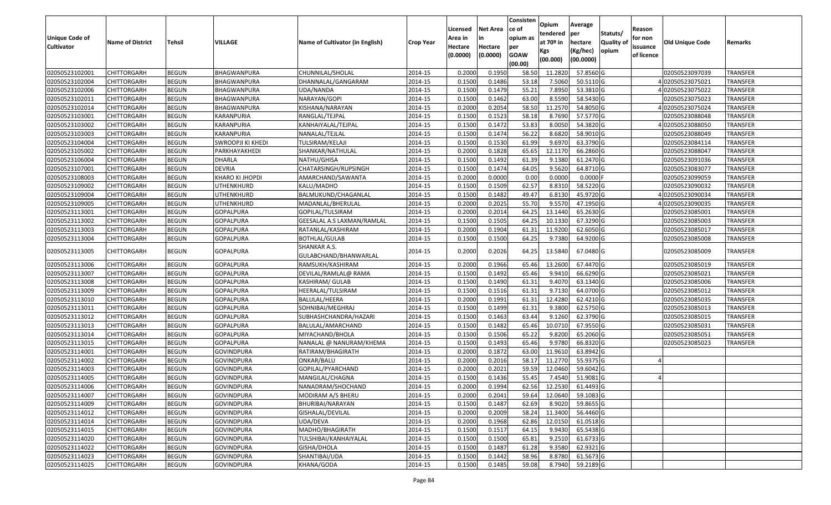| <b>Unique Code of</b><br><b>Cultivator</b> | <b>Name of District</b> | <b>Tehsil</b> | VILLAGE           | Name of Cultivator (in English)       | <b>Crop Year</b> | Licensed<br>Area in<br>Hectare | <b>Net Area</b><br>in<br>Hectare | Consisten<br>ce of<br>opium as<br>per | Opium<br>tendered<br>at $70°$ in | Average<br>per<br>hectare | Statuts/<br><b>Quality of</b> | Reason<br>for non<br>issuance | Old Unique Code | Remarks         |
|--------------------------------------------|-------------------------|---------------|-------------------|---------------------------------------|------------------|--------------------------------|----------------------------------|---------------------------------------|----------------------------------|---------------------------|-------------------------------|-------------------------------|-----------------|-----------------|
|                                            |                         |               |                   |                                       |                  | (0.0000)                       | (0.0000)                         | <b>GOAW</b><br>(00.00)                | Kgs<br>(00.000)                  | (Kg/hec)<br>(00.0000)     | opium                         | of licence                    |                 |                 |
| 02050523102001                             | <b>CHITTORGARH</b>      | <b>BEGUN</b>  | BHAGWANPURA       | CHUNNILAL/SHOLAL                      | 2014-15          | 0.2000                         | 0.1950                           | 58.50                                 | 11.2820                          | 57.8560 G                 |                               |                               | 02050523097039  | <b>TRANSFER</b> |
| 02050523102004                             | <b>CHITTORGARH</b>      | <b>BEGUN</b>  | BHAGWANPURA       | DHANNALAL/GANGARAM                    | 2014-15          | 0.1500                         | 0.1486                           | 53.18                                 | 7.5060                           | 50.5110 G                 |                               |                               | 402050523075021 | TRANSFER        |
| 02050523102006                             | <b>CHITTORGARH</b>      | <b>BEGUN</b>  | BHAGWANPURA       | UDA/NANDA                             | 2014-15          | 0.1500                         | 0.1479                           | 55.21                                 | 7.8950                           | 53.3810 G                 |                               |                               | 402050523075022 | TRANSFER        |
| 02050523102011                             | <b>CHITTORGARH</b>      | <b>BEGUN</b>  | BHAGWANPURA       | NARAYAN/GOPI                          | 2014-15          | 0.1500                         | 0.1462                           | 63.00                                 | 8.5590                           | 58.5430 G                 |                               |                               | 02050523075023  | <b>TRANSFER</b> |
| 02050523102014                             | <b>CHITTORGARH</b>      | <b>BEGUN</b>  | BHAGWANPURA       | KISHANA/NARAYAN                       | 2014-15          | 0.2000                         | 0.2054                           | 58.50                                 | 11.2570                          | 54.8050 G                 |                               |                               | 402050523075024 | <b>TRANSFER</b> |
| 02050523103001                             | <b>CHITTORGARH</b>      | <b>BEGUN</b>  | KARANPURIA        | RANGLAL/TEJPAL                        | 2014-15          | 0.1500                         | 0.1523                           | 58.18                                 | 8.7690                           | 57.5770 G                 |                               |                               | 02050523088048  | TRANSFER        |
| 02050523103002                             | <b>CHITTORGARH</b>      | <b>BEGUN</b>  | KARANPURIA        | KANHAIYALAL/TEJPAL                    | 2014-15          | 0.1500                         | 0.1472                           | 53.83                                 | 8.0050                           | 54.3820 G                 |                               |                               | 02050523088050  | TRANSFER        |
| 02050523103003                             | <b>CHITTORGARH</b>      | <b>BEGUN</b>  | KARANPURIA        | NANALAL/TEJLAL                        | 2014-15          | 0.1500                         | 0.1474                           | 56.22                                 | 8.6820                           | 58.9010 G                 |                               |                               | 02050523088049  | <b>TRANSFER</b> |
| 02050523104004                             | <b>CHITTORGARH</b>      | <b>BEGUN</b>  | SWROOPJI KI KHEDI | TULSIRAM/KELAJI                       | 2014-15          | 0.1500                         | 0.1530                           | 61.99                                 | 9.6970                           | 63.3790 G                 |                               |                               | 02050523084114  | <b>TRANSFER</b> |
| 02050523105002                             | <b>CHITTORGARH</b>      | <b>BEGUN</b>  | PARKHAYAKHEDI     | SHANKAR/NATHULAL                      | 2014-15          | 0.2000                         | 0.1828                           | 65.65                                 | 12.1170                          | 66.2860 G                 |                               |                               | 02050523088047  | TRANSFER        |
| 02050523106004                             | <b>CHITTORGARH</b>      | <b>BEGUN</b>  | DHARLA            | NATHU/GHISA                           | 2014-15          | 0.1500                         | 0.1492                           | 61.39                                 | 9.1380                           | 61.2470 G                 |                               |                               | 02050523091036  | TRANSFER        |
| 02050523107001                             | <b>CHITTORGARH</b>      | <b>BEGUN</b>  | <b>DEVRIA</b>     | CHATARSINGH/RUPSINGH                  | 2014-15          | 0.1500                         | 0.1474                           | 64.05                                 | 9.5620                           | 64.8710 G                 |                               |                               | 02050523083077  | <b>TRANSFER</b> |
| 02050523108003                             | <b>CHITTORGARH</b>      | <b>BEGUN</b>  | KHARO KI JHOPDI   | AMARCHAND/SAWANTA                     | 2014-15          | 0.2000                         | 0.0000                           | 0.00                                  | 0.0000                           | $0.0000$ F                |                               |                               | 02050523099059  | <b>TRANSFER</b> |
| 02050523109002                             | <b>CHITTORGARH</b>      | <b>BEGUN</b>  | UTHENKHURD        | KALU/MADHO                            | 2014-15          | 0.1500                         | 0.1509                           | 62.57                                 | 8.8310                           | 58.5220 G                 |                               |                               | 02050523090032  | <b>TRANSFER</b> |
| 02050523109004                             | <b>CHITTORGARH</b>      | <b>BEGUN</b>  | UTHENKHURD        | BALMUKUND/CHAGANLAL                   | 2014-15          | 0.1500                         | 0.1482                           | 49.47                                 | 6.8130                           | 45.9720 G                 |                               |                               | 402050523090034 | TRANSFER        |
| 02050523109005                             | <b>CHITTORGARH</b>      | <b>BEGUN</b>  | UTHENKHURD        | MADANLAL/BHERULAL                     | 2014-15          | 0.2000                         | 0.2025                           | 55.70                                 | 9.5570                           | 47.1950 G                 |                               |                               | 402050523090035 | <b>TRANSFER</b> |
| 02050523113001                             | <b>CHITTORGARH</b>      | <b>BEGUN</b>  | <b>GOPALPURA</b>  | GOPILAL/TULSIRAM                      | 2014-15          | 0.2000                         | 0.2014                           | 64.25                                 | 13.1440                          | 65.2630 G                 |                               |                               | 02050523085001  | <b>TRANSFER</b> |
| 02050523113002                             | <b>CHITTORGARH</b>      | <b>BEGUN</b>  | GOPALPURA         | GEESALAL A.S LAXMAN/RAMLAL            | 2014-15          | 0.1500                         | 0.1505                           | 64.25                                 | 10.1330                          | 67.3290 G                 |                               |                               | 02050523085003  | <b>TRANSFER</b> |
| 02050523113003                             | <b>CHITTORGARH</b>      | <b>BEGUN</b>  | GOPALPURA         | RATANLAL/KASHIRAM                     | 2014-15          | 0.2000                         | 0.1904                           | 61.3                                  | 11.9200                          | 62.6050 G                 |                               |                               | 02050523085017  | TRANSFER        |
| 02050523113004                             | <b>CHITTORGARH</b>      | <b>BEGUN</b>  | GOPALPURA         | <b>BOTHLAL/GULAB</b>                  | 2014-15          | 0.1500                         | 0.1500                           | 64.25                                 | 9.7380                           | 64.9200 G                 |                               |                               | 02050523085008  | <b>TRANSFER</b> |
| 02050523113005                             | <b>CHITTORGARH</b>      | <b>BEGUN</b>  | GOPALPURA         | SHANKAR A.S.<br>GULABCHAND/BHANWARLAL | 2014-15          | 0.2000                         | 0.2026                           | 64.25                                 | 13.5840                          | 67.0480 G                 |                               |                               | 02050523085009  | TRANSFER        |
| 02050523113006                             | <b>CHITTORGARH</b>      | <b>BEGUN</b>  | GOPALPURA         | RAMSUKH/KASHIRAM                      | 2014-15          | 0.2000                         | 0.1966                           | 65.46                                 | 13.2600                          | 67.4470 G                 |                               |                               | 02050523085019  | TRANSFER        |
| 02050523113007                             | <b>CHITTORGARH</b>      | <b>BEGUN</b>  | GOPALPURA         | DEVILAL/RAMLAL@ RAMA                  | 2014-15          | 0.1500                         | 0.1492                           | 65.46                                 | 9.9410                           | 66.6290 G                 |                               |                               | 02050523085021  | TRANSFER        |
| 02050523113008                             | <b>CHITTORGARH</b>      | <b>BEGUN</b>  | GOPALPURA         | KASHIRAM/ GULAB                       | 2014-15          | 0.1500                         | 0.1490                           | 61.31                                 | 9.4070                           | 63.1340 G                 |                               |                               | 02050523085006  | <b>TRANSFER</b> |
| 02050523113009                             | <b>CHITTORGARH</b>      | <b>BEGUN</b>  | GOPALPURA         | HEERALAL/TULSIRAM                     | 2014-15          | 0.1500                         | 0.1516                           | 61.31                                 | 9.7130                           | 64.0700 G                 |                               |                               | 02050523085012  | <b>TRANSFER</b> |
| 02050523113010                             | <b>CHITTORGARH</b>      | <b>BEGUN</b>  | GOPALPURA         | BALULAL/HEERA                         | 2014-15          | 0.2000                         | 0.1991                           | 61.31                                 | 12.4280                          | 62.4210 G                 |                               |                               | 02050523085035  | TRANSFER        |
| 02050523113011                             | <b>CHITTORGARH</b>      | <b>BEGUN</b>  | GOPALPURA         | SOHNIBAI/MEGHRAJ                      | 2014-15          | 0.1500                         | 0.1499                           | 61.31                                 | 9.3800                           | 62.5750 G                 |                               |                               | 02050523085013  | TRANSFER        |
| 02050523113012                             | <b>CHITTORGARH</b>      | <b>BEGUN</b>  | <b>GOPALPURA</b>  | SUBHASHCHANDRA/HAZARI                 | 2014-15          | 0.1500                         | 0.1463                           | 63.44                                 | 9.1260                           | 62.3790 G                 |                               |                               | 02050523085015  | <b>TRANSFER</b> |
| 02050523113013                             | <b>CHITTORGARH</b>      | <b>BEGUN</b>  | <b>GOPALPURA</b>  | BALULAL/AMARCHAND                     | 2014-15          | 0.1500                         | 0.1482                           | 65.46                                 | 10.0710                          | 67.9550 G                 |                               |                               | 02050523085031  | <b>TRANSFER</b> |
| 02050523113014                             | <b>CHITTORGARH</b>      | <b>BEGUN</b>  | GOPALPURA         | MIYACHAND/BHOLA                       | 2014-15          | 0.1500                         | 0.1506                           | 65.22                                 | 9.8200                           | 65.2060 G                 |                               |                               | 02050523085051  | TRANSFER        |
| 02050523113015                             | <b>CHITTORGARH</b>      | <b>BEGUN</b>  | GOPALPURA         | NANALAL @ NANURAM/KHEMA               | 2014-15          | 0.1500                         | 0.1493                           | 65.46                                 | 9.9780                           | 66.8320 G                 |                               |                               | 02050523085023  | TRANSFER        |
| 02050523114001                             | <b>CHITTORGARH</b>      | <b>BEGUN</b>  | GOVINDPURA        | RATIRAM/BHAGIRATH                     | 2014-15          | 0.2000                         | 0.1872                           | 63.00                                 | 11.9610                          | 63.8942 G                 |                               |                               |                 |                 |
| 02050523114002                             | <b>CHITTORGARH</b>      | <b>BEGUN</b>  | GOVINDPURA        | ONKAR/BALU                            | 2014-15          | 0.2000                         | 0.2016                           | 58.17                                 | 11.2770                          | 55.9375 G                 |                               |                               |                 |                 |
| 02050523114003                             | <b>CHITTORGARH</b>      | <b>BEGUN</b>  | GOVINDPURA        | GOPILAL/PYARCHAND                     | 2014-15          | 0.2000                         | 0.2021                           | 59.59                                 | 12.0460                          | 59.6042 G                 |                               |                               |                 |                 |
| 02050523114005                             | <b>CHITTORGARH</b>      | BEGUN         | GOVINDPURA        | MANGILAL/CHAGNA                       | 2014-15          | 0.1500                         | 0.1436                           | 55.45                                 | 7.4540                           | 51.9081 G                 |                               |                               |                 |                 |
| 02050523114006                             | <b>CHITTORGARH</b>      | <b>BEGUN</b>  | <b>GOVINDPURA</b> | NANADRAM/SHOCHAND                     | 2014-15          | 0.2000                         | 0.1994                           | 62.56                                 | 12.2530                          | 61.4493 G                 |                               |                               |                 |                 |
| 02050523114007                             | <b>CHITTORGARH</b>      | <b>BEGUN</b>  | <b>GOVINDPURA</b> | MODIRAM A/S BHERU                     | 2014-15          | 0.2000                         | 0.2041                           | 59.64                                 | 12.0640                          | 59.1083 G                 |                               |                               |                 |                 |
| 02050523114009                             | <b>CHITTORGARH</b>      | <b>BEGUN</b>  | <b>GOVINDPURA</b> | BHURIBAI/NARAYAN                      | 2014-15          | 0.1500                         | 0.1487                           | 62.69                                 | 8.9020                           | 59.8655 G                 |                               |                               |                 |                 |
| 02050523114012                             | <b>CHITTORGARH</b>      | <b>BEGUN</b>  | <b>GOVINDPURA</b> | GISHALAL/DEVILAL                      | 2014-15          | 0.2000                         | 0.2009                           | 58.24                                 | 11.3400                          | 56.4460 G                 |                               |                               |                 |                 |
| 02050523114014                             | <b>CHITTORGARH</b>      | <b>BEGUN</b>  | GOVINDPURA        | UDA/DEVA                              | 2014-15          | 0.2000                         | 0.1968                           | 62.86                                 | 12.0150                          | 61.0518 G                 |                               |                               |                 |                 |
| 02050523114015                             | <b>CHITTORGARH</b>      | <b>BEGUN</b>  | <b>GOVINDPURA</b> | MADHO/BHAGIRATH                       | 2014-15          | 0.1500                         | 0.1517                           | 64.15                                 | 9.9430                           | 65.5438 G                 |                               |                               |                 |                 |
| 02050523114020                             | <b>CHITTORGARH</b>      | <b>BEGUN</b>  | GOVINDPURA        | TULSHIBAI/KANHAIYALAL                 | 2014-15          | 0.1500                         | 0.1500                           | 65.81                                 | 9.2510                           | 61.6733 G                 |                               |                               |                 |                 |
| 02050523114022                             | <b>CHITTORGARH</b>      | <b>BEGUN</b>  | <b>GOVINDPURA</b> | GISHA/DHOLA                           | 2014-15          | 0.1500                         | 0.1487                           | 61.28                                 | 9.3580                           | 62.9321 G                 |                               |                               |                 |                 |
| 02050523114023                             | <b>CHITTORGARH</b>      | <b>BEGUN</b>  | GOVINDPURA        | SHANTIBAI/UDA                         | 2014-15          | 0.1500                         | 0.1442                           | 58.96                                 | 8.8780                           | 61.5673 G                 |                               |                               |                 |                 |
| 02050523114025                             | <b>CHITTORGARH</b>      | <b>BEGUN</b>  | <b>GOVINDPURA</b> | KHANA/GODA                            | 2014-15          | 0.1500                         | 0.1485                           | 59.08                                 |                                  | 8.7940 59.2189 G          |                               |                               |                 |                 |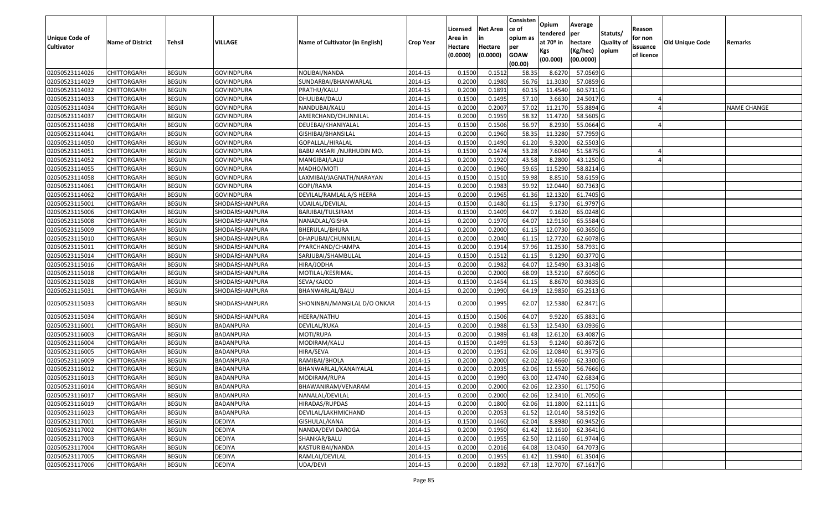| <b>Unique Code of</b> | <b>Name of District</b> | Tehsil       | VILLAGE           | Name of Cultivator (in English) | <b>Crop Year</b> | Licensed<br>Area in | Net Area<br>in      | Consisten<br>ce of<br>opium as | <b>Opium</b><br>tendered<br>at 70 <sup>o</sup> in | Average<br>per<br>hectare | Statuts/<br><b>Quality of</b> | Reason<br>for non      | <b>Old Unique Code</b> | Remarks     |
|-----------------------|-------------------------|--------------|-------------------|---------------------------------|------------------|---------------------|---------------------|--------------------------------|---------------------------------------------------|---------------------------|-------------------------------|------------------------|------------------------|-------------|
| <b>Cultivator</b>     |                         |              |                   |                                 |                  | Hectare<br>(0.0000) | Hectare<br>(0.0000) | per<br><b>GOAW</b><br>(00.00)  | Kgs<br>(00.000)                                   | (Kg/hec)<br>(00.0000)     | opium                         | issuance<br>of licence |                        |             |
| 02050523114026        | CHITTORGARH             | <b>BEGUN</b> | <b>GOVINDPURA</b> | NOLIBAI/NANDA                   | 2014-15          | 0.1500              | 0.151               | 58.35                          | 8.6270                                            | 57.0569 G                 |                               |                        |                        |             |
| 02050523114029        | CHITTORGARH             | <b>BEGUN</b> | GOVINDPURA        | SUNDARBAI/BHANWARLAL            | 2014-15          | 0.2000              | 0.1980              | 56.76                          | 11.3030                                           | 57.0859 G                 |                               |                        |                        |             |
| 02050523114032        | CHITTORGARH             | <b>BEGUN</b> | GOVINDPURA        | PRATHU/KALU                     | 2014-15          | 0.2000              | 0.1891              | 60.15                          | 11.4540                                           | 60.5711 G                 |                               |                        |                        |             |
| 02050523114033        | <b>CHITTORGARH</b>      | <b>BEGUN</b> | <b>GOVINDPURA</b> | DHULIBAI/DALU                   | 2014-15          | 0.1500              | 0.1495              | 57.10                          | 3.6630                                            | 24.5017 G                 |                               |                        |                        |             |
| 02050523114034        | CHITTORGARH             | <b>BEGUN</b> | <b>GOVINDPURA</b> | NANDUBAI/KALU                   | 2014-15          | 0.2000              | 0.2007              | 57.02                          | 11.2170                                           | 55.8894 G                 |                               |                        |                        | NAME CHANGE |
| 02050523114037        | CHITTORGARH             | <b>BEGUN</b> | <b>GOVINDPURA</b> | AMERCHAND/CHUNNILAL             | 2014-15          | 0.2000              | 0.1959              | 58.32                          | 11.4720                                           | 58.5605 G                 |                               |                        |                        |             |
| 02050523114038        | CHITTORGARH             | <b>BEGUN</b> | GOVINDPURA        | DEUEBAI/KHANIYALAL              | 2014-15          | 0.1500              | 0.1506              | 56.97                          | 8.2930                                            | 55.0664 G                 |                               |                        |                        |             |
| 02050523114041        | <b>CHITTORGARH</b>      | <b>BEGUN</b> | <b>GOVINDPURA</b> | GISHIBAI/BHANSILAL              | 2014-15          | 0.2000              | 0.1960              | 58.35                          | 11.3280                                           | 57.7959 G                 |                               |                        |                        |             |
| 02050523114050        | CHITTORGARH             | <b>BEGUN</b> | GOVINDPURA        | GOPALLAL/HIRALAL                | 2014-15          | 0.1500              | 0.1490              | 61.20                          | 9.3200                                            | 62.5503 G                 |                               |                        |                        |             |
| 02050523114051        | CHITTORGARH             | <b>BEGUN</b> | GOVINDPURA        | BABU ANSARI / NURHUDIN MO.      | 2014-15          | 0.1500              | 0.1474              | 53.28                          | 7.6040                                            | 51.5875 G                 |                               |                        |                        |             |
| 02050523114052        | CHITTORGARH             | <b>BEGUN</b> | <b>GOVINDPURA</b> | MANGIBAI/LALU                   | 2014-15          | 0.2000              | 0.1920              | 43.58                          | 8.2800                                            | 43.1250 G                 |                               |                        |                        |             |
| 02050523114055        | <b>CHITTORGARH</b>      | <b>BEGUN</b> | <b>GOVINDPURA</b> | MADHO/MOTI                      | 2014-15          | 0.2000              | 0.1960              | 59.65                          | 11.5290                                           | 58.8214 G                 |                               |                        |                        |             |
| 02050523114058        | <b>CHITTORGARH</b>      | <b>BEGUN</b> | <b>GOVINDPURA</b> | LAXMIBAI/JAGNATH/NARAYAN        | 2014-15          | 0.1500              | 0.1510              | 59.98                          | 8.8510                                            | 58.6159 G                 |                               |                        |                        |             |
| 02050523114061        | <b>CHITTORGARH</b>      | <b>BEGUN</b> | GOVINDPURA        | GOPI/RAMA                       | 2014-15          | 0.2000              | 0.1983              | 59.92                          | 12.0440                                           | 60.7363 G                 |                               |                        |                        |             |
| 02050523114062        | CHITTORGARH             | <b>BEGUN</b> | <b>GOVINDPURA</b> | DEVILAL/RAMLAL A/S HEERA        | 2014-15          | 0.2000              | 0.1965              | 61.36                          | 12.1320                                           | 61.7405 G                 |                               |                        |                        |             |
| 02050523115001        | <b>CHITTORGARH</b>      | <b>BEGUN</b> | SHODARSHANPURA    | UDAILAL/DEVILAL                 | 2014-15          | 0.1500              | 0.1480              | 61.15                          | 9.1730                                            | 61.9797 G                 |                               |                        |                        |             |
| 02050523115006        | <b>CHITTORGARH</b>      | <b>BEGUN</b> | SHODARSHANPURA    | BARJIBAI/TULSIRAM               | 2014-15          | 0.1500              | 0.1409              | 64.07                          | 9.1620                                            | 65.0248 G                 |                               |                        |                        |             |
| 02050523115008        | CHITTORGARH             | <b>BEGUN</b> | SHODARSHANPURA    | NANADLAL/GISHA                  | 2014-15          | 0.2000              | 0.1970              | 64.07                          | 12.9150                                           | 65.5584 G                 |                               |                        |                        |             |
| 02050523115009        | CHITTORGARH             | <b>BEGUN</b> | SHODARSHANPURA    | BHERULAL/BHURA                  | 2014-15          | 0.2000              | 0.2000              | 61.15                          | 12.0730                                           | 60.3650 G                 |                               |                        |                        |             |
| 02050523115010        | CHITTORGARH             | <b>BEGUN</b> | SHODARSHANPURA    | DHAPUBAI/CHUNNILAL              | 2014-15          | 0.2000              | 0.2040              | 61.15                          | 12.7720                                           | 62.6078 G                 |                               |                        |                        |             |
| 02050523115011        | CHITTORGARH             | <b>BEGUN</b> | SHODARSHANPURA    | PYARCHAND/CHAMPA                | 2014-15          | 0.2000              | 0.1914              | 57.96                          | 11.2530                                           | 58.7931 G                 |                               |                        |                        |             |
| 02050523115014        | CHITTORGARH             | <b>BEGUN</b> | SHODARSHANPURA    | SARJUBAI/SHAMBULAL              | 2014-15          | 0.1500              | 0.1512              | 61.15                          | 9.1290                                            | 60.3770 G                 |                               |                        |                        |             |
| 02050523115016        | CHITTORGARH             | <b>BEGUN</b> | SHODARSHANPURA    | HIRA/JODHA                      | 2014-15          | 0.2000              | 0.1982              | 64.07                          | 12.5490                                           | 63.3148 G                 |                               |                        |                        |             |
| 02050523115018        | CHITTORGARH             | <b>BEGUN</b> | SHODARSHANPURA    | MOTILAL/KESRIMAL                | 2014-15          | 0.2000              | 0.2000              | 68.09                          | 13.5210                                           | 67.6050 G                 |                               |                        |                        |             |
| 02050523115028        | CHITTORGARH             | <b>BEGUN</b> | SHODARSHANPURA    | SEVA/KAJOD                      | 2014-15          | 0.1500              | 0.1454              | 61.15                          | 8.8670                                            | 60.9835 G                 |                               |                        |                        |             |
| 02050523115031        | CHITTORGARH             | <b>BEGUN</b> | SHODARSHANPURA    | BHANWARLAL/BALU                 | 2014-15          | 0.2000              | 0.1990              | 64.19                          | 12.9850                                           | 65.2513 G                 |                               |                        |                        |             |
| 02050523115033        | CHITTORGARH             | <b>BEGUN</b> | SHODARSHANPURA    | SHONINBAI/MANGILAL D/O ONKAR    | 2014-15          | 0.2000              | 0.1995              | 62.07                          | 12.5380                                           | 62.8471 G                 |                               |                        |                        |             |
| 02050523115034        | CHITTORGARH             | <b>BEGUN</b> | SHODARSHANPURA    | HEERA/NATHU                     | 2014-15          | 0.1500              | 0.1506              | 64.07                          | 9.9220                                            | 65.8831 G                 |                               |                        |                        |             |
| 02050523116001        | CHITTORGARH             | <b>BEGUN</b> | BADANPURA         | DEVILAL/KUKA                    | 2014-15          | 0.2000              | 0.1988              | 61.53                          | 12.5430                                           | 63.0936 G                 |                               |                        |                        |             |
| 02050523116003        | CHITTORGARH             | <b>BEGUN</b> | BADANPURA         | MOTI/RUPA                       | 2014-15          | 0.2000              | 0.1989              | 61.48                          | 12.6120                                           | 63.4087 G                 |                               |                        |                        |             |
| 02050523116004        | CHITTORGARH             | <b>BEGUN</b> | BADANPURA         | MODIRAM/KALU                    | 2014-15          | 0.1500              | 0.1499              | 61.53                          | 9.1240                                            | 60.8672 G                 |                               |                        |                        |             |
| 02050523116005        | <b>CHITTORGARH</b>      | <b>BEGUN</b> | <b>BADANPURA</b>  | HIRA/SEVA                       | 2014-15          | 0.2000              | 0.1951              | 62.06                          | 12.0840                                           | 61.9375 G                 |                               |                        |                        |             |
| 02050523116009        | <b>CHITTORGARH</b>      | <b>BEGUN</b> | BADANPURA         | RAMIBAI/BHOLA                   | 2014-15          | 0.2000              | 0.2000              | 62.02                          | 12.4660                                           | 62.3300 G                 |                               |                        |                        |             |
| 02050523116012        | CHITTORGARH             | <b>BEGUN</b> | BADANPURA         | BHANWARLAL/KANAIYALAL           | 2014-15          | 0.2000              | 0.2035              | 62.06                          | 11.5520                                           | 56.7666 G                 |                               |                        |                        |             |
| 02050523116013        | <b>CHITTORGARH</b>      | <b>BEGUN</b> | BADANPURA         | MODIRAM/RUPA                    | 2014-15          | 0.2000              | 0.1990              | 63.00                          | 12.4740                                           | 62.6834 G                 |                               |                        |                        |             |
| 02050523116014        | <b>CHITTORGARH</b>      | <b>BEGUN</b> | BADANPURA         | BHAWANIRAM/VENARAM              | 2014-15          | 0.2000              | 0.2000              | 62.06                          |                                                   | 12.2350 61.1750 G         |                               |                        |                        |             |
| 02050523116017        | <b>CHITTORGARH</b>      | <b>BEGUN</b> | BADANPURA         | NANALAL/DEVILAL                 | 2014-15          | 0.2000              | 0.2000              | 62.06                          | 12.3410                                           | 61.7050 G                 |                               |                        |                        |             |
| 02050523116019        | <b>CHITTORGARH</b>      | <b>BEGUN</b> | BADANPURA         | HIRADAS/RUPDAS                  | 2014-15          | 0.2000              | 0.1800              | 62.06                          | 11.1800                                           | $62.1111$ G               |                               |                        |                        |             |
| 02050523116023        | <b>CHITTORGARH</b>      | <b>BEGUN</b> | BADANPURA         | DEVILAL/LAKHMICHAND             | 2014-15          | 0.2000              | 0.2053              | 61.52                          | 12.0140                                           | 58.5192 G                 |                               |                        |                        |             |
| 02050523117001        | <b>CHITTORGARH</b>      | <b>BEGUN</b> | <b>DEDIYA</b>     | GISHULAL/KANA                   | 2014-15          | 0.1500              | 0.1460              | 62.04                          | 8.8980                                            | 60.9452 G                 |                               |                        |                        |             |
| 02050523117002        | <b>CHITTORGARH</b>      | <b>BEGUN</b> | <b>DEDIYA</b>     | NANDA/DEVI DAROGA               | 2014-15          | 0.2000              | 0.1950              | 61.42                          | 12.1610                                           | 62.3641 G                 |                               |                        |                        |             |
| 02050523117003        | <b>CHITTORGARH</b>      | <b>BEGUN</b> | <b>DEDIYA</b>     | SHANKAR/BALU                    | 2014-15          | 0.2000              | 0.1955              | 62.50                          | 12.1160                                           | 61.9744 G                 |                               |                        |                        |             |
| 02050523117004        | <b>CHITTORGARH</b>      | <b>BEGUN</b> | <b>DEDIYA</b>     | KASTURIBAI/NANDA                | 2014-15          | 0.2000              | 0.2016              | 64.08                          | 13.0450                                           | 64.7073 G                 |                               |                        |                        |             |
| 02050523117005        | <b>CHITTORGARH</b>      | <b>BEGUN</b> | <b>DEDIYA</b>     | RAMLAL/DEVILAL                  | 2014-15          | 0.2000              | 0.1955              | 61.42                          | 11.9940                                           | 61.3504 G                 |                               |                        |                        |             |
| 02050523117006        | <b>CHITTORGARH</b>      | <b>BEGUN</b> | <b>DEDIYA</b>     | UDA/DEVI                        | 2014-15          | 0.2000              | 0.1892              | 67.18                          |                                                   | 12.7070 67.1617 G         |                               |                        |                        |             |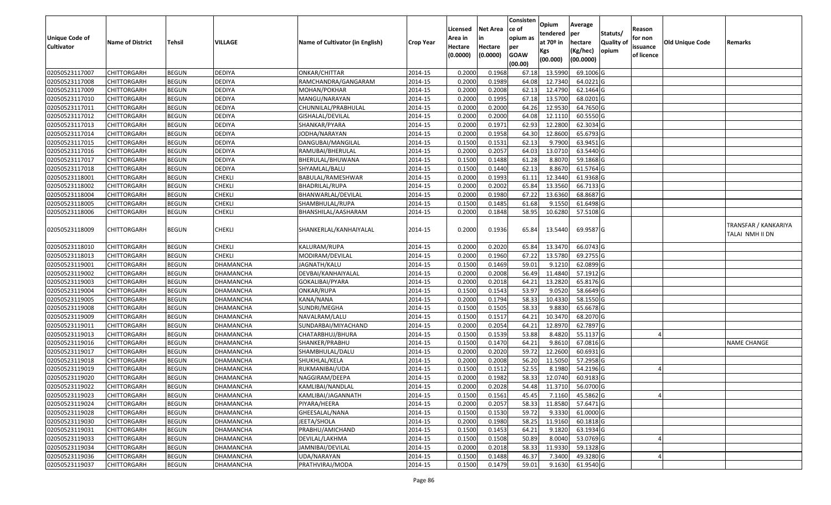|                                     |                         |               |                  |                                 |                  |                    |                 | Consisten          | Opium       | Average                 |                  |                     |                 |                                         |
|-------------------------------------|-------------------------|---------------|------------------|---------------------------------|------------------|--------------------|-----------------|--------------------|-------------|-------------------------|------------------|---------------------|-----------------|-----------------------------------------|
|                                     |                         |               |                  |                                 |                  | Licensed           | <b>Net Area</b> | lce of             | tendered    | per                     | Statuts/         | Reason              |                 |                                         |
| Unique Code of<br><b>Cultivator</b> | <b>Name of District</b> | <b>Tehsil</b> | VILLAGE          | Name of Cultivator (in English) | <b>Crop Year</b> | Area in<br>Hectare | Hectare         | opium as           | at $70°$ in | hectare                 | <b>Quality o</b> | for non<br>issuance | Old Unique Code | Remarks                                 |
|                                     |                         |               |                  |                                 |                  | (0.0000)           | (0.0000)        | per<br><b>GOAW</b> | Kgs         | (Kg/hec)                | opium            | of licence          |                 |                                         |
|                                     |                         |               |                  |                                 |                  |                    |                 | (00.00)            | (00.000)    | (00.0000)               |                  |                     |                 |                                         |
| 02050523117007                      | CHITTORGARH             | <b>BEGUN</b>  | <b>DEDIYA</b>    | ONKAR/CHITTAR                   | 2014-15          | 0.2000             | 0.1968          | 67.18              | 13.5990     | 69.1006 G               |                  |                     |                 |                                         |
| 02050523117008                      | CHITTORGARH             | <b>BEGUN</b>  | <b>DEDIYA</b>    | RAMCHANDRA/GANGARAM             | 2014-15          | 0.2000             | 0.1989          | 64.08              | 12.7340     | 64.0221G                |                  |                     |                 |                                         |
| 02050523117009                      | CHITTORGARH             | <b>BEGUN</b>  | <b>DEDIYA</b>    | MOHAN/POKHAR                    | 2014-15          | 0.2000             | 0.2008          | 62.13              | 12.4790     | 62.1464 G               |                  |                     |                 |                                         |
| 02050523117010                      | <b>CHITTORGARH</b>      | <b>BEGUN</b>  | <b>DEDIYA</b>    | MANGU/NARAYAN                   | 2014-15          | 0.2000             | 0.1995          | 67.18              | 13.5700     | 68.0201G                |                  |                     |                 |                                         |
| 02050523117011                      | CHITTORGARH             | <b>BEGUN</b>  | <b>DEDIYA</b>    | CHUNNILAL/PRABHULAL             | 2014-15          | 0.2000             | 0.2000          | 64.26              | 12.9530     | 64.7650 G               |                  |                     |                 |                                         |
| 02050523117012                      | CHITTORGARH             | <b>BEGUN</b>  | <b>DEDIYA</b>    | GISHALAL/DEVILAL                | 2014-15          | 0.2000             | 0.2000          | 64.08              | 12.1110     | 60.5550 G               |                  |                     |                 |                                         |
| 02050523117013                      | CHITTORGARH             | <b>BEGUN</b>  | <b>DEDIYA</b>    | SHANKAR/PYARA                   | 2014-15          | 0.2000             | 0.1971          | 62.93              | 12.2800     | 62.3034 G               |                  |                     |                 |                                         |
| 02050523117014                      | <b>CHITTORGARH</b>      | <b>BEGUN</b>  | <b>DEDIYA</b>    | IODHA/NARAYAN                   | 2014-15          | 0.2000             | 0.1958          | 64.30              | 12.8600     | 65.6793 G               |                  |                     |                 |                                         |
| 02050523117015                      | CHITTORGARH             | <b>BEGUN</b>  | DEDIYA           | DANGUBAI/MANGILAL               | 2014-15          | 0.1500             | 0.1531          | 62.13              | 9.7900      | 63.9451 G               |                  |                     |                 |                                         |
| 02050523117016                      | CHITTORGARH             | <b>BEGUN</b>  | <b>DEDIYA</b>    | RAMUBAI/BHERULAL                | 2014-15          | 0.2000             | 0.2057          | 64.03              | 13.0710     | 63.5440 G               |                  |                     |                 |                                         |
| 02050523117017                      | CHITTORGARH             | <b>BEGUN</b>  | <b>DEDIYA</b>    | BHERULAL/BHUWANA                | 2014-15          | 0.1500             | 0.1488          | 61.28              | 8.8070      | 59.1868 G               |                  |                     |                 |                                         |
| 02050523117018                      | <b>CHITTORGARH</b>      | <b>BEGUN</b>  | <b>DEDIYA</b>    | SHYAMLAL/BALU                   | 2014-15          | 0.1500             | 0.1440          | 62.13              | 8.8670      | 61.5764 G               |                  |                     |                 |                                         |
| 02050523118001                      | <b>CHITTORGARH</b>      | <b>BEGUN</b>  | <b>CHEKLI</b>    | BABULAL/RAMESHWAR               | 2014-15          | 0.2000             | 0.1993          | 61.11              | 12.3440     | 61.9368 G               |                  |                     |                 |                                         |
| 02050523118002                      | <b>CHITTORGARH</b>      | <b>BEGUN</b>  | <b>CHEKLI</b>    | BHADRILAL/RUPA                  | 2014-15          | 0.2000             | 0.2002          | 65.84              | 13.3560     | 66.7133 G               |                  |                     |                 |                                         |
| 02050523118004                      | CHITTORGARH             | <b>BEGUN</b>  | <b>CHEKLI</b>    | BHANWARLAL/DEVILAL              | 2014-15          | 0.2000             | 0.1980          | 67.22              | 13.6360     | 68.8687G                |                  |                     |                 |                                         |
| 02050523118005                      | CHITTORGARH             | <b>BEGUN</b>  | <b>CHEKLI</b>    | SHAMBHULAL/RUPA                 | 2014-15          | 0.1500             | 0.1485          | 61.68              | 9.1550      | 61.6498 G               |                  |                     |                 |                                         |
| 02050523118006                      | CHITTORGARH             | <b>BEGUN</b>  | <b>CHEKLI</b>    | BHANSHILAL/AASHARAM             | 2014-15          | 0.2000             | 0.1848          | 58.95              | 10.6280     | 57.5108 G               |                  |                     |                 |                                         |
| 02050523118009                      | CHITTORGARH             | <b>BEGUN</b>  | <b>CHEKLI</b>    | SHANKERLAL/KANHAIYALAL          | 2014-15          | 0.2000             | 0.1936          | 65.84              | 13.5440     | 69.9587 G               |                  |                     |                 | TRANSFAR / KANKARIYA<br>TALAI NMH II DN |
| 02050523118010                      | CHITTORGARH             | <b>BEGUN</b>  | <b>CHEKLI</b>    | KALURAM/RUPA                    | 2014-15          | 0.2000             | 0.2020          | 65.84              | 13.3470     | 66.0743 G               |                  |                     |                 |                                         |
| 02050523118013                      | CHITTORGARH             | <b>BEGUN</b>  | <b>CHEKLI</b>    | MODIRAM/DEVILAL                 | 2014-15          | 0.2000             | 0.1960          | 67.22              | 13.5780     | 69.2755 G               |                  |                     |                 |                                         |
| 02050523119001                      | CHITTORGARH             | <b>BEGUN</b>  | DHAMANCHA        | JAGNATH/KALU                    | 2014-15          | 0.1500             | 0.1469          | 59.01              | 9.1210      | 62.0899 G               |                  |                     |                 |                                         |
| 02050523119002                      | CHITTORGARH             | <b>BEGUN</b>  | DHAMANCHA        | DEVBAI/KANHAIYALAL              | 2014-15          | 0.2000             | 0.2008          | 56.49              | 11.4840     | 57.1912G                |                  |                     |                 |                                         |
| 02050523119003                      | <b>CHITTORGARH</b>      | <b>BEGUN</b>  | DHAMANCHA        | GOKALIBAI/PYARA                 | 2014-15          | 0.2000             | 0.2018          | 64.21              | 13.2820     | 65.8176 G               |                  |                     |                 |                                         |
| 02050523119004                      | CHITTORGARH             | <b>BEGUN</b>  | DHAMANCHA        | ONKAR/RUPA                      | 2014-15          | 0.1500             | 0.1543          | 53.97              | 9.0520      | 58.6649 G               |                  |                     |                 |                                         |
| 02050523119005                      | CHITTORGARH             | <b>BEGUN</b>  | DHAMANCHA        | KANA/NANA                       | 2014-15          | 0.2000             | 0.1794          | 58.33              | 10.4330     | 58.1550 G               |                  |                     |                 |                                         |
| 02050523119008                      | CHITTORGARH             | <b>BEGUN</b>  | DHAMANCHA        | SUNDRI/MEGHA                    | 2014-15          | 0.1500             | 0.1505          | 58.33              | 9.8830      | 65.6678 G               |                  |                     |                 |                                         |
| 02050523119009                      | <b>CHITTORGARH</b>      | <b>BEGUN</b>  | DHAMANCHA        | NAVALRAM/LALU                   | 2014-15          | 0.1500             | 0.1517          | 64.21              | 10.3470     | 68.2070 G               |                  |                     |                 |                                         |
| 02050523119011                      | CHITTORGARH             | <b>BEGUN</b>  | DHAMANCHA        | SUNDARBAI/MIYACHAND             | 2014-15          | 0.2000             | 0.2054          | 64.21              | 12.8970     | 62.7897 G               |                  |                     |                 |                                         |
| 02050523119013                      | CHITTORGARH             | <b>BEGUN</b>  | DHAMANCHA        | CHATARBHUJ/BHURA                | 2014-15          | 0.1500             | 0.1539          | 53.88              | 8.4820      | 55.1137 G               |                  |                     |                 |                                         |
| 02050523119016                      | CHITTORGARH             | <b>BEGUN</b>  | DHAMANCHA        | SHANKER/PRABHU                  | 2014-15          | 0.1500             | 0.1470          | 64.21              | 9.8610      | 67.0816 G               |                  |                     |                 | <b>NAME CHANGE</b>                      |
| 02050523119017                      | CHITTORGARH             | <b>BEGUN</b>  | DHAMANCHA        | SHAMBHULAL/DALU                 | 2014-15          | 0.2000             | 0.2020          | 59.72              | 12.2600     | 60.6931 G               |                  |                     |                 |                                         |
| 02050523119018                      | <b>CHITTORGARH</b>      | <b>BEGUN</b>  | DHAMANCHA        | SHUKHLAL/KELA                   | 2014-15          | 0.2000             | 0.2008          | 56.20              | 11.5050     | 57.2958 G               |                  |                     |                 |                                         |
| 02050523119019                      | CHITTORGARH             | <b>BEGUN</b>  | DHAMANCHA        | RUKMANIBAI/UDA                  | 2014-15          | 0.150              | 0.1512          | 52.55              | 8.1980      | 54.2196 G               |                  |                     |                 |                                         |
| 02050523119020                      | CHITTORGARH             | <b>BEGUN</b>  | DHAMANCHA        | NAGGIRAM/DEEPA                  | 2014-15          | 0.2000             | 0.1982          | 58.33              | 12.0740     | 60.9183 G               |                  |                     |                 |                                         |
| 02050523119022                      | <b>CHITTORGARH</b>      | <b>BEGUN</b>  | <b>DHAMANCHA</b> | KAMLIBAI/NANDLAL                | 2014-15          | 0.2000             | 0.2028          |                    |             | 54.48 11.3710 56.0700 G |                  |                     |                 |                                         |
| 02050523119023                      | <b>CHITTORGARH</b>      | <b>BEGUN</b>  | DHAMANCHA        | KAMLIBAI/JAGANNATH              | 2014-15          | 0.1500             | 0.1561          | 45.45              | 7.1160      | 45.5862 G               |                  |                     |                 |                                         |
| 02050523119024                      | <b>CHITTORGARH</b>      | <b>BEGUN</b>  | <b>DHAMANCHA</b> | PIYARA/HEERA                    | 2014-15          | 0.2000             | 0.2057          | 58.33              | 11.8580     | 57.6471 G               |                  |                     |                 |                                         |
| 02050523119028                      | <b>CHITTORGARH</b>      | <b>BEGUN</b>  | <b>DHAMANCHA</b> | GHEESALAL/NANA                  | 2014-15          | 0.1500             | 0.1530          | 59.72              | 9.3330      | 61.0000 G               |                  |                     |                 |                                         |
| 02050523119030                      | <b>CHITTORGARH</b>      | <b>BEGUN</b>  | DHAMANCHA        | JEETA/SHOLA                     | 2014-15          | 0.2000             | 0.1980          | 58.25              | 11.9160     | 60.1818 G               |                  |                     |                 |                                         |
| 02050523119031                      | <b>CHITTORGARH</b>      | <b>BEGUN</b>  | <b>DHAMANCHA</b> | PRABHU/AMICHAND                 | 2014-15          | 0.1500             | 0.1453          | 64.21              | 9.1820      | 63.1934 G               |                  |                     |                 |                                         |
| 02050523119033                      | <b>CHITTORGARH</b>      | <b>BEGUN</b>  | DHAMANCHA        | DEVILAL/LAKHMA                  | 2014-15          | 0.1500             | 0.1508          | 50.89              | 8.0040      | 53.0769 G               |                  |                     |                 |                                         |
| 02050523119034                      | <b>CHITTORGARH</b>      | <b>BEGUN</b>  | DHAMANCHA        | JAMNIBAI/DEVILAL                | 2014-15          | 0.2000             | 0.2018          | 58.33              | 11.9330     | 59.1328 G               |                  |                     |                 |                                         |
| 02050523119036                      | <b>CHITTORGARH</b>      | <b>BEGUN</b>  | DHAMANCHA        | UDA/NARAYAN                     | 2014-15          | 0.1500             | 0.1488          | 46.37              | 7.3400      | 49.3280 G               |                  |                     |                 |                                         |
| 02050523119037                      | <b>CHITTORGARH</b>      | <b>BEGUN</b>  | <b>DHAMANCHA</b> | PRATHVIRAJ/MODA                 | 2014-15          | 0.1500             | 0.1479          | 59.01              | 9.1630      | 61.9540 G               |                  |                     |                 |                                         |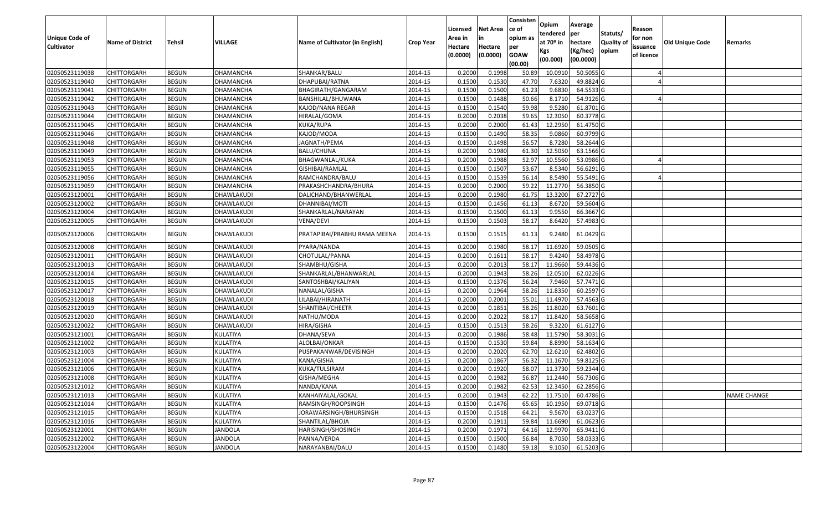| <b>Unique Code of</b><br><b>Cultivator</b> | <b>Name of District</b> | <b>Tehsil</b> | VILLAGE          | Name of Cultivator (in English) | <b>Crop Year</b> | Licensed<br>Area in<br>Hectare<br>(0.0000) | <b>Net Area</b><br>in<br>Hectare<br>(0.0000) | Consisten<br>ce of<br>opium as<br>per<br><b>GOAW</b><br>(00.00) | Opium<br>tendered<br>at $70°$ in<br>Kgs<br>(00.000) | Average<br>per<br>hectare<br>(Kg/hec)<br>(00.0000) | Statuts/<br>Quality of<br>opium | Reason<br>for non<br>issuance<br>of licence | <b>Old Unique Code</b> | Remarks            |
|--------------------------------------------|-------------------------|---------------|------------------|---------------------------------|------------------|--------------------------------------------|----------------------------------------------|-----------------------------------------------------------------|-----------------------------------------------------|----------------------------------------------------|---------------------------------|---------------------------------------------|------------------------|--------------------|
| 02050523119038                             | <b>CHITTORGARH</b>      | <b>BEGUN</b>  | DHAMANCHA        | SHANKAR/BALU                    | 2014-15          | 0.2000                                     | 0.1998                                       | 50.89                                                           | 10.091                                              | 50.5055 G                                          |                                 |                                             |                        |                    |
| 02050523119040                             | CHITTORGARH             | <b>BEGUN</b>  | DHAMANCHA        | DHAPUBAI/RATNA                  | 2014-15          | 0.1500                                     | 0.1530                                       | 47.70                                                           | 7.6320                                              | 49.8824 G                                          |                                 |                                             |                        |                    |
| 02050523119041                             | CHITTORGARH             | <b>BEGUN</b>  | DHAMANCHA        | BHAGIRATH/GANGARAM              | 2014-15          | 0.1500                                     | 0.1500                                       | 61.23                                                           | 9.6830                                              | 64.5533 G                                          |                                 |                                             |                        |                    |
| 02050523119042                             | <b>CHITTORGARH</b>      | <b>BEGUN</b>  | DHAMANCHA        | BANSHILAL/BHUWANA               | 2014-15          | 0.1500                                     | 0.1488                                       | 50.66                                                           | 8.1710                                              | 54.9126 G                                          |                                 |                                             |                        |                    |
| 02050523119043                             | <b>CHITTORGARH</b>      | <b>BEGUN</b>  | DHAMANCHA        | KAJOD/NANA REGAR                | 2014-15          | 0.1500                                     | 0.1540                                       | 59.98                                                           | 9.5280                                              | 61.8701 G                                          |                                 |                                             |                        |                    |
| 02050523119044                             | CHITTORGARH             | <b>BEGUN</b>  | DHAMANCHA        | HIRALAL/GOMA                    | 2014-15          | 0.2000                                     | 0.2038                                       | 59.65                                                           | 12.3050                                             | 60.3778 G                                          |                                 |                                             |                        |                    |
| 02050523119045                             | <b>CHITTORGARH</b>      | <b>BEGUN</b>  | <b>DHAMANCHA</b> | KUKA/RUPA                       | 2014-15          | 0.2000                                     | 0.2000                                       | 61.43                                                           | 12.2950                                             | 61.4750 G                                          |                                 |                                             |                        |                    |
| 02050523119046                             | <b>CHITTORGARH</b>      | <b>BEGUN</b>  | <b>DHAMANCHA</b> | KAJOD/MODA                      | 2014-15          | 0.1500                                     | 0.1490                                       | 58.35                                                           | 9.0860                                              | 60.9799 G                                          |                                 |                                             |                        |                    |
| 02050523119048                             | CHITTORGARH             | <b>BEGUN</b>  | DHAMANCHA        | JAGNATH/PEMA                    | 2014-15          | 0.1500                                     | 0.1498                                       | 56.57                                                           | 8.7280                                              | 58.2644 G                                          |                                 |                                             |                        |                    |
| 02050523119049                             | CHITTORGARH             | <b>BEGUN</b>  | DHAMANCHA        | BALU/CHUNA                      | 2014-15          | 0.2000                                     | 0.1980                                       | 61.30                                                           | 12.5050                                             | 63.1566 G                                          |                                 |                                             |                        |                    |
| 02050523119053                             | <b>CHITTORGARH</b>      | <b>BEGUN</b>  | DHAMANCHA        | BHAGWANLAL/KUKA                 | 2014-15          | 0.2000                                     | 0.1988                                       | 52.97                                                           | 10.5560                                             | 53.0986 G                                          |                                 |                                             |                        |                    |
| 02050523119055                             | CHITTORGARH             | <b>BEGUN</b>  | DHAMANCHA        | GISHIBAI/RAMLAL                 | 2014-15          | 0.1500                                     | 0.1507                                       | 53.67                                                           | 8.5340                                              | 56.6291 G                                          |                                 |                                             |                        |                    |
| 02050523119056                             | CHITTORGARH             | <b>BEGUN</b>  | DHAMANCHA        | RAMCHANDRA/BALU                 | 2014-15          | 0.1500                                     | 0.1539                                       | 56.14                                                           | 8.5490                                              | 55.5491 G                                          |                                 |                                             |                        |                    |
| 02050523119059                             | CHITTORGARH             | <b>BEGUN</b>  | DHAMANCHA        | PRAKASHCHANDRA/BHURA            | 2014-15          | 0.2000                                     | 0.2000                                       | 59.22                                                           | 11.2770                                             | 56.3850 G                                          |                                 |                                             |                        |                    |
| 02050523120001                             | CHITTORGARH             | <b>BEGUN</b>  | DHAWLAKUDI       | DALICHAND/BHANWERLAL            | 2014-15          | 0.2000                                     | 0.1980                                       | 61.75                                                           | 13.3200                                             | 67.2727 G                                          |                                 |                                             |                        |                    |
| 02050523120002                             | CHITTORGARH             | <b>BEGUN</b>  | DHAWLAKUDI       | DHANNIBAI/MOTI                  | 2014-15          | 0.1500                                     | 0.1456                                       | 61.13                                                           | 8.6720                                              | 59.5604 G                                          |                                 |                                             |                        |                    |
| 02050523120004                             | CHITTORGARH             | <b>BEGUN</b>  | DHAWLAKUDI       | SHANKARLAL/NARAYAN              | 2014-15          | 0.1500                                     | 0.1500                                       | 61.13                                                           | 9.9550                                              | 66.3667 G                                          |                                 |                                             |                        |                    |
| 02050523120005                             | CHITTORGARH             | <b>BEGUN</b>  | DHAWLAKUDI       | VENA/DEVI                       | 2014-15          | 0.1500                                     | 0.1503                                       | 58.17                                                           | 8.6420                                              | 57.4983 G                                          |                                 |                                             |                        |                    |
| 02050523120006                             | CHITTORGARH             | <b>BEGUN</b>  | DHAWLAKUDI       | PRATAPIBAI/PRABHU RAMA MEENA    | 2014-15          | 0.1500                                     | 0.1515                                       | 61.13                                                           | 9.2480                                              | 61.0429 G                                          |                                 |                                             |                        |                    |
| 02050523120008                             | CHITTORGARH             | <b>BEGUN</b>  | DHAWLAKUDI       | PYARA/NANDA                     | 2014-15          | 0.2000                                     | 0.1980                                       | 58.17                                                           | 11.6920                                             | 59.0505G                                           |                                 |                                             |                        |                    |
| 02050523120011                             | CHITTORGARH             | <b>BEGUN</b>  | DHAWLAKUDI       | CHOTULAL/PANNA                  | 2014-15          | 0.2000                                     | 0.1611                                       | 58.17                                                           | 9.4240                                              | 58.4978 G                                          |                                 |                                             |                        |                    |
| 02050523120013                             | <b>CHITTORGARH</b>      | <b>BEGUN</b>  | DHAWLAKUDI       | SHAMBHU/GISHA                   | 2014-15          | 0.2000                                     | 0.2013                                       | 58.17                                                           | 11.9660                                             | 59.4436 G                                          |                                 |                                             |                        |                    |
| 02050523120014                             | CHITTORGARH             | <b>BEGUN</b>  | DHAWLAKUDI       | SHANKARLAL/BHANWARLAL           | 2014-15          | 0.2000                                     | 0.1943                                       | 58.26                                                           | 12.0510                                             | 62.0226 G                                          |                                 |                                             |                        |                    |
| 02050523120015                             | <b>CHITTORGARH</b>      | <b>BEGUN</b>  | DHAWLAKUDI       | SANTOSHBAI/KALIYAN              | 2014-15          | 0.1500                                     | 0.1376                                       | 56.24                                                           | 7.9460                                              | 57.7471 G                                          |                                 |                                             |                        |                    |
| 02050523120017                             | CHITTORGARH             | <b>BEGUN</b>  | DHAWLAKUDI       | NANALAL/GISHA                   | 2014-15          | 0.2000                                     | 0.1964                                       | 58.26                                                           | 11.8350                                             | 60.2597 G                                          |                                 |                                             |                        |                    |
| 02050523120018                             | <b>CHITTORGARH</b>      | <b>BEGUN</b>  | DHAWLAKUDI       | LILABAI/HIRANATH                | 2014-15          | 0.2000                                     | 0.2001                                       | 55.01                                                           | 11.497                                              | 57.4563 G                                          |                                 |                                             |                        |                    |
| 02050523120019                             | <b>CHITTORGARH</b>      | <b>BEGUN</b>  | DHAWLAKUDI       | SHANTIBAI/CHEETR                | 2014-15          | 0.2000                                     | 0.1851                                       | 58.26                                                           | 11.8020                                             | 63.7601 G                                          |                                 |                                             |                        |                    |
| 02050523120020                             | CHITTORGARH             | <b>BEGUN</b>  | DHAWLAKUDI       | NATHU/MODA                      | 2014-15          | 0.2000                                     | 0.2022                                       | 58.17                                                           | 11.8420                                             | 58.5658 G                                          |                                 |                                             |                        |                    |
| 02050523120022                             | <b>CHITTORGARH</b>      | <b>BEGUN</b>  | DHAWLAKUDI       | HIRA/GISHA                      | 2014-15          | 0.1500                                     | 0.1513                                       | 58.26                                                           | 9.3220                                              | 61.6127 G                                          |                                 |                                             |                        |                    |
| 02050523121001                             | <b>CHITTORGARH</b>      | <b>BEGUN</b>  | KULATIYA         | DHANA/SEVA                      | 2014-15          | 0.2000                                     | 0.1986                                       | 58.48                                                           | 11.5790                                             | 58.3031 G                                          |                                 |                                             |                        |                    |
| 02050523121002                             | <b>CHITTORGARH</b>      | <b>BEGUN</b>  | KULATIYA         | ALOLBAI/ONKAR                   | 2014-15          | 0.1500                                     | 0.1530                                       | 59.84                                                           | 8.8990                                              | 58.1634 G                                          |                                 |                                             |                        |                    |
| 02050523121003                             | CHITTORGARH             | <b>BEGUN</b>  | KULATIYA         | PUSPAKANWAR/DEVISINGH           | 2014-15          | 0.2000                                     | 0.2020                                       | 62.70                                                           | 12.6210                                             | 62.4802G                                           |                                 |                                             |                        |                    |
| 02050523121004                             | CHITTORGARH             | <b>BEGUN</b>  | KULATIYA         | KANA/GISHA                      | 2014-15          | 0.2000                                     | 0.1867                                       | 56.32                                                           | 11.1670                                             | 59.8125 G                                          |                                 |                                             |                        |                    |
| 02050523121006                             | CHITTORGARH             | <b>BEGUN</b>  | KULATIYA         | KUKA/TULSIRAM                   | 2014-15          | 0.2000                                     | 0.1920                                       | 58.07                                                           | 11.3730                                             | 59.2344 G                                          |                                 |                                             |                        |                    |
| 02050523121008                             | CHITTORGARH             | <b>BEGUN</b>  | KULATIYA         | GISHA/MEGHA                     | 2014-15          | 0.2000                                     | 0.1982                                       | 56.87                                                           | 11.2440                                             | 56.7306 G                                          |                                 |                                             |                        |                    |
| 02050523121012                             | <b>CHITTORGARH</b>      | <b>BEGUN</b>  | <b>KULATIYA</b>  | NANDA/KANA                      | 2014-15          | 0.2000                                     | 0.1982                                       | 62.53                                                           | 12.3450                                             | 62.2856 G                                          |                                 |                                             |                        |                    |
| 02050523121013                             | <b>CHITTORGARH</b>      | <b>BEGUN</b>  | KULATIYA         | KANHAIYALAL/GOKAL               | 2014-15          | 0.2000                                     | 0.1943                                       | 62.22                                                           | 11.7510                                             | 60.4786 G                                          |                                 |                                             |                        | <b>NAME CHANGE</b> |
| 02050523121014                             | <b>CHITTORGARH</b>      | <b>BEGUN</b>  | KULATIYA         | RAMSINGH/ROOPSINGH              | 2014-15          | 0.1500                                     | 0.1476                                       | 65.65                                                           | 10.1950                                             | 69.0718 G                                          |                                 |                                             |                        |                    |
| 02050523121015                             | <b>CHITTORGARH</b>      | <b>BEGUN</b>  | KULATIYA         | JORAWARSINGH/BHURSINGH          | 2014-15          | 0.1500                                     | 0.1518                                       | 64.21                                                           | 9.5670                                              | 63.0237 G                                          |                                 |                                             |                        |                    |
| 02050523121016                             | <b>CHITTORGARH</b>      | <b>BEGUN</b>  | KULATIYA         | SHANTILAL/BHOJA                 | 2014-15          | 0.2000                                     | 0.1911                                       | 59.84                                                           | 11.6690                                             | $61.0623$ G                                        |                                 |                                             |                        |                    |
| 02050523122001                             | <b>CHITTORGARH</b>      | <b>BEGUN</b>  | <b>JANDOLA</b>   | HARISINGH/SHOSINGH              | 2014-15          | 0.2000                                     | 0.1971                                       | 64.16                                                           | 12.9970                                             | 65.9411 G                                          |                                 |                                             |                        |                    |
| 02050523122002                             | <b>CHITTORGARH</b>      | <b>BEGUN</b>  | <b>JANDOLA</b>   | PANNA/VERDA                     | 2014-15          | 0.1500                                     | 0.1500                                       | 56.84                                                           | 8.7050                                              | 58.0333 G                                          |                                 |                                             |                        |                    |
| 02050523122004                             | <b>CHITTORGARH</b>      | <b>BEGUN</b>  | JANDOLA          | NARAYANBAI/DALU                 | 2014-15          | 0.1500                                     | 0.1480                                       | 59.18                                                           | 9.1050                                              | 61.5203 G                                          |                                 |                                             |                        |                    |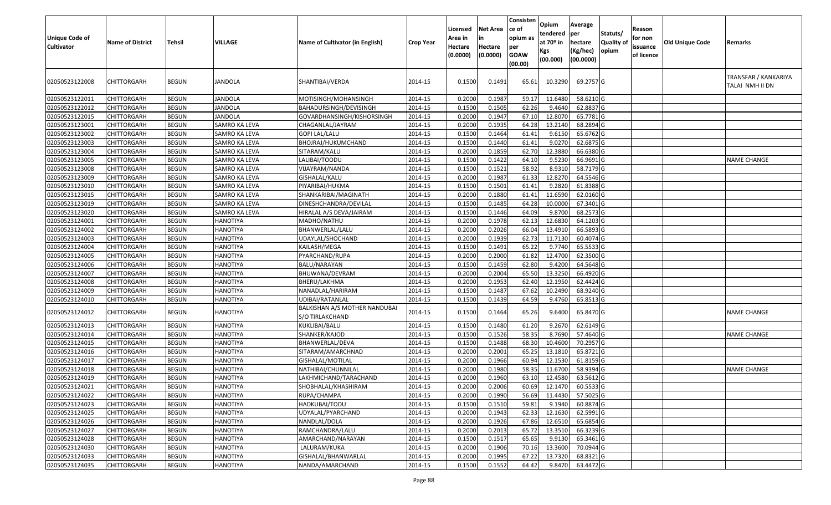| Unique Code of<br><b>Cultivator</b> | <b>Name of District</b> | <b>Tehsil</b> | <b>VILLAGE</b>  | Name of Cultivator (in English)                  | <b>Crop Year</b>     | Licensed<br>Area in<br>Hectare<br>(0.0000) | <b>Net Area</b><br>in<br>Hectare<br>(0.0000) | Consisten<br>ce of<br>opium as<br>per<br><b>GOAW</b><br>(00.00) | Opium<br>tendered<br>at $70°$ in<br>Kgs<br>(00.000) | Average<br> per<br>hectare<br>(Kg/hec)<br>(00.0000) | Statuts/<br>Quality of<br>opium | Reason<br>for non<br>issuance<br>of licence | Old Unique Code | Remarks                                 |
|-------------------------------------|-------------------------|---------------|-----------------|--------------------------------------------------|----------------------|--------------------------------------------|----------------------------------------------|-----------------------------------------------------------------|-----------------------------------------------------|-----------------------------------------------------|---------------------------------|---------------------------------------------|-----------------|-----------------------------------------|
| 02050523122008                      | CHITTORGARH             | <b>BEGUN</b>  | JANDOLA         | SHANTIBAI/VERDA                                  | 2014-15              | 0.1500                                     | 0.1491                                       | 65.61                                                           | 10.3290                                             | 69.2757 G                                           |                                 |                                             |                 | TRANSFAR / KANKARIYA<br>TALAI NMH II DN |
| 02050523122011                      | <b>CHITTORGARH</b>      | <b>BEGUN</b>  | JANDOLA         | MOTISINGH/MOHANSINGH                             | 2014-15              | 0.2000                                     | 0.1987                                       | 59.17                                                           | 11.6480                                             | 58.6210 G                                           |                                 |                                             |                 |                                         |
| 02050523122012                      | CHITTORGARH             | <b>BEGUN</b>  | JANDOLA         | BAHADURSINGH/DEVISINGH                           | 2014-15              | 0.1500                                     | 0.1505                                       | 62.26                                                           | 9.4640                                              | 62.8837 G                                           |                                 |                                             |                 |                                         |
| 02050523122015                      | <b>CHITTORGARH</b>      | <b>BEGUN</b>  | <b>JANDOLA</b>  | GOVARDHANSINGH/KISHORSINGH                       | 2014-15              | 0.2000                                     | 0.1947                                       | 67.10                                                           | 12.8070                                             | 65.7781 G                                           |                                 |                                             |                 |                                         |
| 02050523123001                      | CHITTORGARH             | <b>BEGUN</b>  | SAMRO KA LEVA   | CHAGANLAL/JAYRAM                                 | 2014-15              | 0.2000                                     | 0.1935                                       | 64.28                                                           | 13.2140                                             | 68.2894 G                                           |                                 |                                             |                 |                                         |
| 02050523123002                      | CHITTORGARH             | <b>BEGUN</b>  | SAMRO KA LEVA   | <b>GOPI LAL/LALU</b>                             | 2014-15              | 0.1500                                     | 0.1464                                       | 61.41                                                           | 9.6150                                              | 65.6762 G                                           |                                 |                                             |                 |                                         |
| 02050523123003                      | CHITTORGARH             | <b>BEGUN</b>  | SAMRO KA LEVA   | BHOJRAJ/HUKUMCHAND                               | 2014-15              | 0.1500                                     | 0.1440                                       | 61.41                                                           | 9.0270                                              | 62.6875 G                                           |                                 |                                             |                 |                                         |
| 02050523123004                      | CHITTORGARH             | <b>BEGUN</b>  | SAMRO KA LEVA   | SITARAM/KALU                                     | 2014-15              | 0.2000                                     | 0.1859                                       | 62.70                                                           | 12.3880                                             | 66.6380 G                                           |                                 |                                             |                 |                                         |
| 02050523123005                      | CHITTORGARH             | <b>BEGUN</b>  | SAMRO KA LEVA   | LALIBAI/TOODU                                    | 2014-15              | 0.1500                                     | 0.1422                                       | 64.10                                                           | 9.5230                                              | 66.9691 G                                           |                                 |                                             |                 | <b>NAME CHANGE</b>                      |
| 02050523123008                      | CHITTORGARH             | <b>BEGUN</b>  | SAMRO KA LEVA   | VIJAYRAM/NANDA                                   | 2014-15              | 0.1500                                     | 0.1521                                       | 58.92                                                           | 8.9310                                              | 58.7179 G                                           |                                 |                                             |                 |                                         |
| 02050523123009                      | CHITTORGARH             | <b>BEGUN</b>  | SAMRO KA LEVA   | GISHALAL/KALU                                    | 2014-15              | 0.2000                                     | 0.1987                                       | 61.33                                                           | 12.8270                                             | 64.5546 G                                           |                                 |                                             |                 |                                         |
| 02050523123010                      | <b>CHITTORGARH</b>      | <b>BEGUN</b>  | SAMRO KA LEVA   | PIYARIBAI/HUKMA                                  | 2014-15              | 0.1500                                     | 0.1501                                       | 61.41                                                           | 9.2820                                              | 61.8388 G                                           |                                 |                                             |                 |                                         |
| 02050523123015                      | CHITTORGARH             | <b>BEGUN</b>  | SAMRO KA LEVA   | SHANKARIBAI/MAGINATH                             | 2014-15              | 0.2000                                     | 0.1880                                       | 61.41                                                           | 11.6590                                             | 62.0160 G                                           |                                 |                                             |                 |                                         |
| 02050523123019                      | <b>CHITTORGARH</b>      | <b>BEGUN</b>  | SAMRO KA LEVA   | DINESHCHANDRA/DEVILAL                            | 2014-15              | 0.1500                                     | 0.1485                                       | 64.28                                                           | 10.0000                                             | 67.3401 G                                           |                                 |                                             |                 |                                         |
| 02050523123020                      | <b>CHITTORGARH</b>      | <b>BEGUN</b>  | SAMRO KA LEVA   | HIRALAL A/S DEVA/JAIRAM                          | 2014-15              | 0.1500                                     | 0.1446                                       | 64.09                                                           | 9.8700                                              | 68.2573 G                                           |                                 |                                             |                 |                                         |
| 02050523124001                      | CHITTORGARH             | <b>BEGUN</b>  | <b>HANOTIYA</b> | MADHO/NATHU                                      | 2014-15              | 0.2000                                     | 0.1978                                       | 62.13                                                           | 12.6830                                             | 64.1203 G                                           |                                 |                                             |                 |                                         |
| 02050523124002                      | <b>CHITTORGARH</b>      | <b>BEGUN</b>  | <b>HANOTIYA</b> | BHANWERLAL/LALU                                  | 2014-15              | 0.2000                                     | 0.2026                                       | 66.04                                                           | 13.4910                                             | 66.5893 G                                           |                                 |                                             |                 |                                         |
| 02050523124003                      | <b>CHITTORGARH</b>      | <b>BEGUN</b>  | <b>HANOTIYA</b> | UDAYLAL/SHOCHAND                                 | 2014-15              | 0.2000                                     | 0.1939                                       | 62.73                                                           | 11.7130                                             | 60.4074 G                                           |                                 |                                             |                 |                                         |
| 02050523124004                      | CHITTORGARH             | <b>BEGUN</b>  | <b>HANOTIYA</b> | KAILASH/MEGA                                     | 2014-15              | 0.1500                                     | 0.1491                                       | 65.22                                                           | 9.7740                                              | 65.5533 G                                           |                                 |                                             |                 |                                         |
| 02050523124005                      | CHITTORGARH             | <b>BEGUN</b>  | <b>HANOTIYA</b> | PYARCHAND/RUPA                                   | 2014-15              | 0.2000                                     | 0.2000                                       | 61.82                                                           | 12.4700                                             | 62.3500 G                                           |                                 |                                             |                 |                                         |
| 02050523124006                      | CHITTORGARH             | <b>BEGUN</b>  | <b>HANOTIYA</b> | BALU/NARAYAN                                     | 2014-15              | 0.1500                                     | 0.1459                                       | 62.80                                                           | 9.4200                                              | 64.5648 G                                           |                                 |                                             |                 |                                         |
| 02050523124007                      | CHITTORGARH             | <b>BEGUN</b>  | <b>HANOTIYA</b> | BHUWANA/DEVRAM                                   | 2014-15              | 0.2000                                     | 0.2004                                       | 65.50                                                           | 13.3250                                             | 66.4920 G                                           |                                 |                                             |                 |                                         |
| 02050523124008                      | CHITTORGARH             | <b>BEGUN</b>  | <b>HANOTIYA</b> | BHERU/LAKHMA                                     | 2014-15              | 0.2000                                     | 0.1953                                       | 62.40                                                           | 12.1950                                             | 62.4424 G                                           |                                 |                                             |                 |                                         |
| 02050523124009                      | CHITTORGARH             | <b>BEGUN</b>  | <b>HANOTIYA</b> | NANADLAL/HARIRAM                                 | 2014-15              | 0.1500                                     | 0.1487                                       | 67.62                                                           | 10.2490                                             | 68.9240 G                                           |                                 |                                             |                 |                                         |
| 02050523124010                      | CHITTORGARH             | <b>BEGUN</b>  | <b>HANOTIYA</b> | UDIBAI/RATANLAL                                  | 2014-15              | 0.1500                                     | 0.1439                                       | 64.59                                                           | 9.4760                                              | 65.8513 G                                           |                                 |                                             |                 |                                         |
| 02050523124012                      | CHITTORGARH             | <b>BEGUN</b>  | <b>HANOTIYA</b> | BALKISHAN A/S MOTHER NANDUBAI<br>S/O TIRLAKCHAND | 2014-15              | 0.1500                                     | 0.1464                                       | 65.26                                                           | 9.6400                                              | 65.8470 G                                           |                                 |                                             |                 | <b>NAME CHANGE</b>                      |
| 02050523124013                      | CHITTORGARH             | <b>BEGUN</b>  | <b>HANOTIYA</b> | KUKLIBAI/BALU                                    | 2014-15              | 0.1500                                     | 0.1480                                       | 61.20                                                           | 9.2670                                              | 62.6149 G                                           |                                 |                                             |                 |                                         |
| 02050523124014                      | CHITTORGARH             | <b>BEGUN</b>  | <b>HANOTIYA</b> | SHANKER/KAJOD                                    | 2014-15              | 0.1500                                     | 0.1526                                       | 58.35                                                           | 8.7690                                              | 57.4640 G                                           |                                 |                                             |                 | <b>NAME CHANGE</b>                      |
| 02050523124015                      | CHITTORGARH             | <b>BEGUN</b>  | <b>HANOTIYA</b> | BHANWERLAL/DEVA                                  | 2014-15              | 0.1500                                     | 0.1488                                       | 68.30                                                           | 10.4600                                             | 70.2957 G                                           |                                 |                                             |                 |                                         |
| 02050523124016                      | CHITTORGARH             | <b>BEGUN</b>  | <b>HANOTIYA</b> | SITARAM/AMARCHNAD                                | 2014-15              | 0.2000                                     | 0.2001                                       | 65.25                                                           | 13.1810                                             | 65.8721 G                                           |                                 |                                             |                 |                                         |
| 02050523124017                      | <b>CHITTORGARH</b>      | <b>BEGUN</b>  | <b>HANOTIYA</b> | GISHALAL/MOTILAL                                 | 2014-15              | 0.2000                                     | 0.1966                                       | 60.94                                                           | 12.1530                                             | 61.8159 G                                           |                                 |                                             |                 |                                         |
| 02050523124018                      | CHITTORGARH             | <b>BEGUN</b>  | <b>HANOTIYA</b> | NATHIBAI/CHUNNILAL                               | 2014-15              | 0.2000                                     | 0.1980                                       | 58.35                                                           | 11.6700                                             | 58.9394 G                                           |                                 |                                             |                 | <b>NAME CHANGE</b>                      |
| 02050523124019                      | CHITTORGARH             | <b>BEGUN</b>  | <b>HANOTIYA</b> | LAKHMICHAND/TARACHAND                            | 2014-15              | 0.2000                                     | 0.1960                                       | 63.10                                                           | 12.4580                                             | 63.5612 G                                           |                                 |                                             |                 |                                         |
| 02050523124021                      | CHITTORGARH             | <b>BEGUN</b>  | <b>HANOTIYA</b> | SHOBHALAL/KHASHIRAM                              | $\overline{2014-15}$ | 0.2000                                     | 0.2006                                       |                                                                 | 60.69 12.1470                                       | $60.5533$ G                                         |                                 |                                             |                 |                                         |
| 02050523124022                      | <b>CHITTORGARH</b>      | <b>BEGUN</b>  | HANOTIYA        | RUPA/CHAMPA                                      | 2014-15              | 0.2000                                     | 0.1990                                       | 56.69                                                           | 11.4430                                             | 57.5025 G                                           |                                 |                                             |                 |                                         |
| 02050523124023                      | <b>CHITTORGARH</b>      | <b>BEGUN</b>  | <b>HANOTIYA</b> | HADKUBAI/TODU                                    | 2014-15              | 0.1500                                     | 0.1510                                       | 59.81                                                           | 9.1940                                              | 60.8874 G                                           |                                 |                                             |                 |                                         |
| 02050523124025                      | <b>CHITTORGARH</b>      | <b>BEGUN</b>  | HANOTIYA        | UDYALAL/PYARCHAND                                | 2014-15              | 0.2000                                     | 0.1943                                       | 62.33                                                           | 12.1630                                             | 62.5991G                                            |                                 |                                             |                 |                                         |
| 02050523124026                      | CHITTORGARH             | <b>BEGUN</b>  | <b>HANOTIYA</b> | NANDLAL/DOLA                                     | 2014-15              | 0.2000                                     | 0.1926                                       | 67.86                                                           | 12.6510                                             | 65.6854 G                                           |                                 |                                             |                 |                                         |
| 02050523124027                      | <b>CHITTORGARH</b>      | <b>BEGUN</b>  | <b>HANOTIYA</b> | RAMCHANDRA/LALU                                  | 2014-15              | 0.2000                                     | 0.2013                                       | 65.72                                                           | 13.3510                                             | 66.3239 G                                           |                                 |                                             |                 |                                         |
| 02050523124028                      | <b>CHITTORGARH</b>      | <b>BEGUN</b>  | <b>HANOTIYA</b> | AMARCHAND/NARAYAN                                | 2014-15              | 0.1500                                     | 0.1517                                       | 65.65                                                           | 9.9130                                              | 65.3461 G                                           |                                 |                                             |                 |                                         |
| 02050523124030                      | <b>CHITTORGARH</b>      | <b>BEGUN</b>  | HANOTIYA        | LALURAM/KUKA                                     | 2014-15              | 0.2000                                     | 0.1906                                       | 70.16                                                           | 13.3600                                             | 70.0944 G                                           |                                 |                                             |                 |                                         |
| 02050523124033                      | <b>CHITTORGARH</b>      | <b>BEGUN</b>  | <b>HANOTIYA</b> | GISHALAL/BHANWARLAL                              | 2014-15              | 0.2000                                     | 0.1995                                       | 67.22                                                           | 13.7320                                             | 68.8321 G                                           |                                 |                                             |                 |                                         |
| 02050523124035                      | <b>CHITTORGARH</b>      | <b>BEGUN</b>  | <b>HANOTIYA</b> | NANDA/AMARCHAND                                  | 2014-15              | 0.1500                                     | 0.1552                                       | 64.42                                                           | 9.8470                                              | 63.4472 G                                           |                                 |                                             |                 |                                         |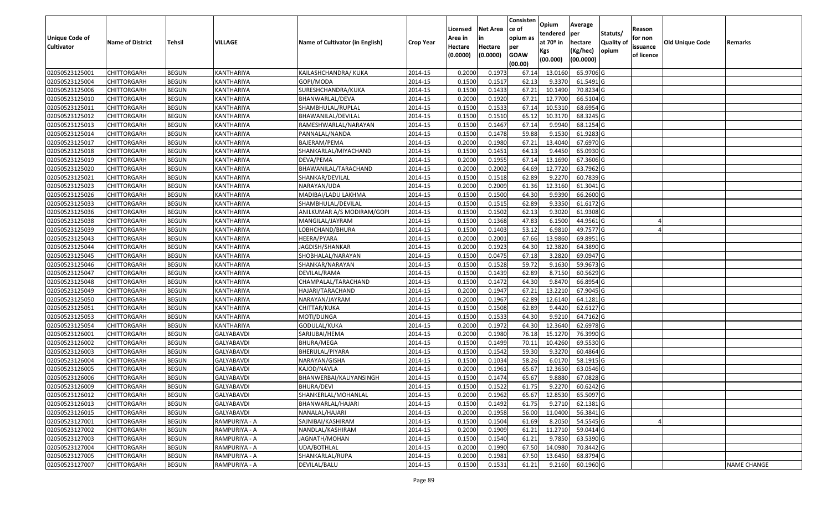|                   |                         |               |                   |                                 |                  |                     |                     | Consisten          | Opium       | Average     |                  |                        |                 |                    |
|-------------------|-------------------------|---------------|-------------------|---------------------------------|------------------|---------------------|---------------------|--------------------|-------------|-------------|------------------|------------------------|-----------------|--------------------|
|                   |                         |               |                   |                                 |                  | Licensed            | <b>Net Area</b>     | lce of             | tendered    | per         | Statuts/         | Reason                 |                 |                    |
| Unique Code of    | <b>Name of District</b> | <b>Tehsil</b> | VILLAGE           | Name of Cultivator (in English) | <b>Crop Year</b> | Area in             | in                  | opium as           | at $70°$ in | hectare     | <b>Quality o</b> | for non                | Old Unique Code | Remarks            |
| <b>Cultivator</b> |                         |               |                   |                                 |                  | Hectare<br>(0.0000) | Hectare<br>(0.0000) | per<br><b>GOAW</b> | Kgs         | (Kg/hec)    | opium            | issuance<br>of licence |                 |                    |
|                   |                         |               |                   |                                 |                  |                     |                     | (00.00)            | (00.000)    | (00.0000)   |                  |                        |                 |                    |
| 02050523125001    | CHITTORGARH             | <b>BEGUN</b>  | KANTHARIYA        | KAILASHCHANDRA/ KUKA            | 2014-15          | 0.2000              | 0.1973              | 67.14              | 13.0160     | 65.9706 G   |                  |                        |                 |                    |
| 02050523125004    | CHITTORGARH             | <b>BEGUN</b>  | KANTHARIYA        | GOPI/MODA                       | 2014-15          | 0.1500              | 0.1517              | 62.13              | 9.3370      | 61.5491 G   |                  |                        |                 |                    |
| 02050523125006    | CHITTORGARH             | <b>BEGUN</b>  | KANTHARIYA        | SURESHCHANDRA/KUKA              | 2014-15          | 0.1500              | 0.1433              | 67.21              | 10.1490     | 70.8234 G   |                  |                        |                 |                    |
| 02050523125010    | <b>CHITTORGARH</b>      | <b>BEGUN</b>  | KANTHARIYA        | BHANWARLAL/DEVA                 | 2014-15          | 0.2000              | 0.1920              | 67.21              | 12.7700     | 66.5104 G   |                  |                        |                 |                    |
| 02050523125011    | CHITTORGARH             | <b>BEGUN</b>  | KANTHARIYA        | SHAMBHULAL/RUPLAL               | 2014-15          | 0.1500              | 0.1533              | 67.1               | 10.531      | 68.6954 G   |                  |                        |                 |                    |
| 02050523125012    | CHITTORGARH             | <b>BEGUN</b>  | <b>KANTHARIYA</b> | BHAWANILAL/DEVILAL              | 2014-15          | 0.1500              | 0.1510              | 65.12              | 10.3170     | $68.3245$ G |                  |                        |                 |                    |
| 02050523125013    | CHITTORGARH             | <b>BEGUN</b>  | KANTHARIYA        | RAMESHWARLAL/NARAYAN            | 2014-15          | 0.1500              | 0.1467              | 67.1               | 9.9940      | 68.1254 G   |                  |                        |                 |                    |
| 02050523125014    | CHITTORGARH             | <b>BEGUN</b>  | KANTHARIYA        | PANNALAL/NANDA                  | 2014-15          | 0.1500              | 0.1478              | 59.88              | 9.1530      | 61.9283 G   |                  |                        |                 |                    |
| 02050523125017    | CHITTORGARH             | <b>BEGUN</b>  | KANTHARIYA        | BAJERAM/PEMA                    | 2014-15          | 0.2000              | 0.1980              | 67.21              | 13.4040     | 67.6970 G   |                  |                        |                 |                    |
| 02050523125018    | CHITTORGARH             | <b>BEGUN</b>  | KANTHARIYA        | SHANKARLAL/MIYACHAND            | 2014-15          | 0.1500              | 0.1451              | 64.13              | 9.4450      | 65.0930 G   |                  |                        |                 |                    |
| 02050523125019    | CHITTORGARH             | <b>BEGUN</b>  | KANTHARIYA        | DEVA/PEMA                       | 2014-15          | 0.2000              | 0.1955              | 67.14              | 13.1690     | 67.3606 G   |                  |                        |                 |                    |
| 02050523125020    | <b>CHITTORGARH</b>      | <b>BEGUN</b>  | KANTHARIYA        | BHAWANILAL/TARACHAND            | 2014-15          | 0.2000              | 0.2002              | 64.69              | 12.7720     | 63.7962 G   |                  |                        |                 |                    |
| 02050523125021    | <b>CHITTORGARH</b>      | <b>BEGUN</b>  | KANTHARIYA        | SHANKAR/DEVILAL                 | 2014-15          | 0.1500              | 0.1518              | 62.89              | 9.2270      | 60.7839 G   |                  |                        |                 |                    |
| 02050523125023    | <b>CHITTORGARH</b>      | <b>BEGUN</b>  | KANTHARIYA        | NARAYAN/UDA                     | 2014-15          | 0.2000              | 0.2009              | 61.36              | 12.3160     | $61.3041$ G |                  |                        |                 |                    |
| 02050523125026    | CHITTORGARH             | <b>BEGUN</b>  | KANTHARIYA        | MADIBAI/LADU LAKHMA             | 2014-15          | 0.1500              | 0.1500              | 64.30              | 9.9390      | 66.2600 G   |                  |                        |                 |                    |
| 02050523125033    | CHITTORGARH             | <b>BEGUN</b>  | KANTHARIYA        | SHAMBHULAL/DEVILAL              | 2014-15          | 0.1500              | 0.1515              | 62.89              | 9.3350      | 61.6172 G   |                  |                        |                 |                    |
| 02050523125036    | CHITTORGARH             | <b>BEGUN</b>  | KANTHARIYA        | ANILKUMAR A/S MODIRAM/GOPI      | 2014-15          | 0.1500              | 0.1502              | 62.13              | 9.3020      | 61.9308 G   |                  |                        |                 |                    |
| 02050523125038    | CHITTORGARH             | <b>BEGUN</b>  | KANTHARIYA        | MANGILAL/JAYRAM                 | 2014-15          | 0.1500              | 0.1368              | 47.83              | 6.1500      | 44.9561 G   |                  |                        |                 |                    |
| 02050523125039    | CHITTORGARH             | <b>BEGUN</b>  | KANTHARIYA        | LOBHCHAND/BHURA                 | 2014-15          | 0.1500              | 0.1403              | 53.12              | 6.9810      | 49.7577 G   |                  |                        |                 |                    |
| 02050523125043    | CHITTORGARH             | <b>BEGUN</b>  | KANTHARIYA        | HEERA/PYARA                     | 2014-15          | 0.2000              | 0.2001              | 67.66              | 13.9860     | 69.8951G    |                  |                        |                 |                    |
| 02050523125044    | CHITTORGARH             | <b>BEGUN</b>  | KANTHARIYA        | JAGDISH/SHANKAR                 | 2014-15          | 0.2000              | 0.1923              | 64.30              | 12.3820     | 64.3890 G   |                  |                        |                 |                    |
| 02050523125045    | CHITTORGARH             | <b>BEGUN</b>  | KANTHARIYA        | SHOBHALAL/NARAYAN               | 2014-15          | 0.1500              | 0.0475              | 67.18              | 3.2820      | 69.0947 G   |                  |                        |                 |                    |
| 02050523125046    | CHITTORGARH             | <b>BEGUN</b>  | KANTHARIYA        | SHANKAR/NARAYAN                 | 2014-15          | 0.1500              | 0.1528              | 59.72              | 9.1630      | 59.9673 G   |                  |                        |                 |                    |
| 02050523125047    | CHITTORGARH             | <b>BEGUN</b>  | KANTHARIYA        | DEVILAL/RAMA                    | 2014-15          | 0.1500              | 0.1439              | 62.89              | 8.7150      | 60.5629 G   |                  |                        |                 |                    |
| 02050523125048    | CHITTORGARH             | <b>BEGUN</b>  | KANTHARIYA        | CHAMPALAL/TARACHAND             | 2014-15          | 0.1500              | 0.1472              | 64.30              | 9.8470      | 66.8954 G   |                  |                        |                 |                    |
| 02050523125049    | CHITTORGARH             | <b>BEGUN</b>  | KANTHARIYA        | HAJARI/TARACHAND                | 2014-15          | 0.2000              | 0.1947              | 67.21              | 13.2210     | 67.9045 G   |                  |                        |                 |                    |
| 02050523125050    | CHITTORGARH             | <b>BEGUN</b>  | KANTHARIYA        | NARAYAN/JAYRAM                  | 2014-15          | 0.2000              | 0.1967              | 62.89              | 12.6140     | 64.1281G    |                  |                        |                 |                    |
| 02050523125051    | CHITTORGARH             | <b>BEGUN</b>  | KANTHARIYA        | CHITTAR/KUKA                    | 2014-15          | 0.1500              | 0.1508              | 62.89              | 9.4420      | 62.6127 G   |                  |                        |                 |                    |
| 02050523125053    | CHITTORGARH             | <b>BEGUN</b>  | KANTHARIYA        | MOTI/DUNGA                      | 2014-15          | 0.1500              | 0.1533              | 64.30              | 9.9210      | 64.7162 G   |                  |                        |                 |                    |
| 02050523125054    | CHITTORGARH             | <b>BEGUN</b>  | KANTHARIYA        | GODULAL/KUKA                    | 2014-15          | 0.2000              | 0.1972              | 64.30              | 12.3640     | 62.6978 G   |                  |                        |                 |                    |
| 02050523126001    | CHITTORGARH             | <b>BEGUN</b>  | GALYABAVDI        | SARJUBAI/HEMA                   | 2014-15          | 0.2000              | 0.1980              | 76.18              | 15.1270     | 76.3990 G   |                  |                        |                 |                    |
| 02050523126002    | CHITTORGARH             | <b>BEGUN</b>  | GALYABAVDI        | <b>BHURA/MEGA</b>               | 2014-15          | 0.1500              | 0.1499              | 70.1               | 10.4260     | 69.5530 G   |                  |                        |                 |                    |
| 02050523126003    | CHITTORGARH             | <b>BEGUN</b>  | <b>GALYABAVDI</b> | BHERULAL/PIYARA                 | 2014-15          | 0.1500              | 0.1542              | 59.30              | 9.3270      | 60.4864 G   |                  |                        |                 |                    |
| 02050523126004    | CHITTORGARH             | <b>BEGUN</b>  | GALYABAVDI        | NARAYAN/GISHA                   | 2014-15          | 0.1500              | 0.1034              | 58.26              | 6.0170      | 58.1915 G   |                  |                        |                 |                    |
| 02050523126005    | CHITTORGARH             | <b>BEGUN</b>  | GALYABAVDI        | KAJOD/NAVLA                     | 2014-15          | 0.2000              | 0.1961              | 65.67              | 12.365      | 63.0546 G   |                  |                        |                 |                    |
| 02050523126006    | CHITTORGARH             | <b>BEGUN</b>  | GALYABAVDI        | BHANWERBAI/KALIYANSINGH         | 2014-15          | 0.1500              | 0.1474              | 65.67              | 9.8880      | 67.0828 G   |                  |                        |                 |                    |
| 02050523126009    | <b>CHITTORGARH</b>      | <b>BEGUN</b>  | GALYABAVDI        | BHURA/DEVI                      | 2014-15          | 0.1500              | 0.1522              | 61.75              | 9.2270      | 60.6242 G   |                  |                        |                 |                    |
| 02050523126012    | <b>CHITTORGARH</b>      | <b>BEGUN</b>  | <b>GALYABAVDI</b> | SHANKERLAL/MOHANLAL             | 2014-15          | 0.2000              | 0.1962              | 65.67              | 12.8530     | 65.5097 G   |                  |                        |                 |                    |
| 02050523126013    | <b>CHITTORGARH</b>      | <b>BEGUN</b>  | GALYABAVDI        | BHANWARLAL/HAJARI               | 2014-15          | 0.1500              | 0.1492              | 61.75              | 9.2710      | 62.1381 G   |                  |                        |                 |                    |
| 02050523126015    | <b>CHITTORGARH</b>      | <b>BEGUN</b>  | GALYABAVDI        | NANALAL/HAJARI                  | 2014-15          | 0.2000              | 0.1958              | 56.00              | 11.0400     | 56.3841 G   |                  |                        |                 |                    |
| 02050523127001    | CHITTORGARH             | <b>BEGUN</b>  | RAMPURIYA - A     | SAJNIBAI/KASHIRAM               | 2014-15          | 0.1500              | 0.1504              | 61.69              | 8.2050      | 54.5545 G   |                  |                        |                 |                    |
| 02050523127002    | <b>CHITTORGARH</b>      | <b>BEGUN</b>  | RAMPURIYA - A     | NANDLAL/KASHIRAM                | 2014-15          | 0.2000              | 0.1909              | 61.21              | 11.2710     | 59.0414 G   |                  |                        |                 |                    |
| 02050523127003    | <b>CHITTORGARH</b>      | <b>BEGUN</b>  | RAMPURIYA - A     | JAGNATH/MOHAN                   | 2014-15          | 0.1500              | 0.1540              | 61.21              | 9.7850      | 63.5390 G   |                  |                        |                 |                    |
| 02050523127004    | <b>CHITTORGARH</b>      | <b>BEGUN</b>  | RAMPURIYA - A     | UDA/BOTHLAL                     | 2014-15          | 0.2000              | 0.1990              | 67.50              | 14.0980     | 70.8442 G   |                  |                        |                 |                    |
| 02050523127005    | <b>CHITTORGARH</b>      | <b>BEGUN</b>  | RAMPURIYA - A     | SHANKARLAL/RUPA                 | 2014-15          | 0.2000              | 0.1981              | 67.50              | 13.6450     | 68.8794 G   |                  |                        |                 |                    |
| 02050523127007    | <b>CHITTORGARH</b>      | <b>BEGUN</b>  | RAMPURIYA - A     | DEVILAL/BALU                    | 2014-15          | 0.1500              | 0.1531              | 61.21              | 9.2160      | 60.1960 G   |                  |                        |                 | <b>NAME CHANGE</b> |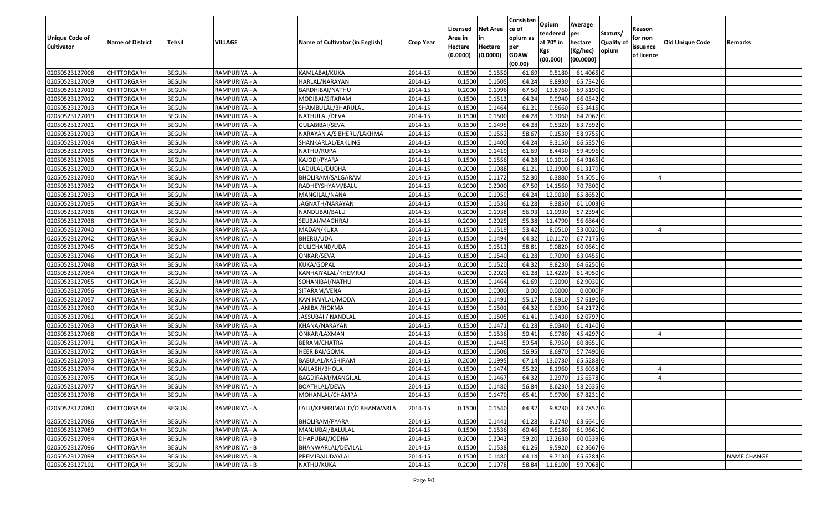|                                     |                         |               |                |                                 |                  |                     |                 | Consisten          | Opium       | Average          |                  |                        |                 |                    |
|-------------------------------------|-------------------------|---------------|----------------|---------------------------------|------------------|---------------------|-----------------|--------------------|-------------|------------------|------------------|------------------------|-----------------|--------------------|
|                                     |                         |               |                |                                 |                  | Licensed            | <b>Net Area</b> | ce of              | tendered    | per              | Statuts/         | Reason                 |                 |                    |
| Unique Code of<br><b>Cultivator</b> | <b>Name of District</b> | <b>Tehsil</b> | <b>VILLAGE</b> | Name of Cultivator (in English) | <b>Crop Year</b> | Area in             | in<br>Hectare   | opium as           | at $70°$ in | hectare          | <b>Quality o</b> | for non                | Old Unique Code | Remarks            |
|                                     |                         |               |                |                                 |                  | Hectare<br>(0.0000) | (0.0000)        | per<br><b>GOAW</b> | Kgs         | (Kg/hec)         | opium            | issuance<br>of licence |                 |                    |
|                                     |                         |               |                |                                 |                  |                     |                 | (00.00)            | (00.000)    | (00.0000)        |                  |                        |                 |                    |
| 02050523127008                      | CHITTORGARH             | <b>BEGUN</b>  | RAMPURIYA - A  | KAMLABAI/KUKA                   | 2014-15          | 0.1500              | 0.1550          | 61.69              | 9.5180      | 61.4065 G        |                  |                        |                 |                    |
| 02050523127009                      | CHITTORGARH             | <b>BEGUN</b>  | RAMPURIYA - A  | HARLAL/NARAYAN                  | 2014-15          | 0.1500              | 0.1505          | 64.24              | 9.8930      | 65.7342 G        |                  |                        |                 |                    |
| 02050523127010                      | CHITTORGARH             | <b>BEGUN</b>  | RAMPURIYA - A  | BARDHIBAI/NATHU                 | 2014-15          | 0.2000              | 0.1996          | 67.50              | 13.8760     | 69.5190 G        |                  |                        |                 |                    |
| 02050523127012                      | <b>CHITTORGARH</b>      | <b>BEGUN</b>  | RAMPURIYA - A  | MODIBAI/SITARAM                 | 2014-15          | 0.1500              | 0.1513          | 64.24              | 9.9940      | 66.0542 G        |                  |                        |                 |                    |
| 02050523127013                      | CHITTORGARH             | <b>BEGUN</b>  | RAMPURIYA - A  | SHAMBULAL/BHARULAL              | 2014-15          | 0.1500              | 0.1464          | 61.21              | 9.5660      | 65.3415 G        |                  |                        |                 |                    |
| 02050523127019                      | CHITTORGARH             | <b>BEGUN</b>  | RAMPURIYA - A  | NATHULAL/DEVA                   | 2014-15          | 0.1500              | 0.1500          | 64.28              | 9.7060      | $64.7067$ G      |                  |                        |                 |                    |
| 02050523127021                      | CHITTORGARH             | <b>BEGUN</b>  | RAMPURIYA - A  | GULABIBAI/SEVA                  | 2014-15          | 0.1500              | 0.1495          | 64.28              | 9.5320      | 63.7592 G        |                  |                        |                 |                    |
| 02050523127023                      | <b>CHITTORGARH</b>      | <b>BEGUN</b>  | RAMPURIYA - A  | NARAYAN A/S BHERU/LAKHMA        | 2014-15          | 0.1500              | 0.1552          | 58.67              | 9.1530      | 58.9755 G        |                  |                        |                 |                    |
| 02050523127024                      | CHITTORGARH             | <b>BEGUN</b>  | RAMPURIYA - A  | SHANKARLAL/EAKLING              | 2014-15          | 0.1500              | 0.1400          | 64.24              | 9.3150      | 66.5357 G        |                  |                        |                 |                    |
| 02050523127025                      | CHITTORGARH             | <b>BEGUN</b>  | RAMPURIYA - A  | NATHU/RUPA                      | 2014-15          | 0.1500              | 0.1419          | 61.69              | 8.4430      | 59.4996 G        |                  |                        |                 |                    |
| 02050523127026                      | CHITTORGARH             | <b>BEGUN</b>  | RAMPURIYA - A  | KAJODI/PYARA                    | 2014-15          | 0.1500              | 0.1556          | 64.28              | 10.1010     | 64.9165 G        |                  |                        |                 |                    |
| 02050523127029                      | CHITTORGARH             | <b>BEGUN</b>  | RAMPURIYA - A  | LADULAL/DUDHA                   | 2014-15          | 0.2000              | 0.1988          | 61.21              | 12.1900     | 61.3179 G        |                  |                        |                 |                    |
| 02050523127030                      | <b>CHITTORGARH</b>      | <b>BEGUN</b>  | RAMPURIYA - A  | BHOLIRAM/SALGARAM               | 2014-15          | 0.1500              | 0.1172          | 52.30              | 6.3880      | 54.5051 G        |                  |                        |                 |                    |
| 02050523127032                      | <b>CHITTORGARH</b>      | <b>BEGUN</b>  | RAMPURIYA - A  | RADHEYSHYAM/BALU                | 2014-15          | 0.2000              | 0.2000          | 67.50              | 14.1560     | 70.7800 G        |                  |                        |                 |                    |
| 02050523127033                      | CHITTORGARH             | <b>BEGUN</b>  | RAMPURIYA - A  | MANGILAL/NANA                   | 2014-15          | 0.2000              | 0.1959          | 64.24              | 12.9030     | 65.8652 G        |                  |                        |                 |                    |
| 02050523127035                      | CHITTORGARH             | <b>BEGUN</b>  | RAMPURIYA - A  | JAGNATH/NARAYAN                 | 2014-15          | 0.1500              | 0.1536          | 61.28              | 9.3850      | 61.1003 G        |                  |                        |                 |                    |
| 02050523127036                      | CHITTORGARH             | <b>BEGUN</b>  | RAMPURIYA - A  | NANDUBAI/BALU                   | 2014-15          | 0.2000              | 0.1938          | 56.93              | 11.0930     | 57.2394 G        |                  |                        |                 |                    |
| 02050523127038                      | CHITTORGARH             | <b>BEGUN</b>  | RAMPURIYA - A  | SEUBAI/MAGHRAJ                  | 2014-15          | 0.2000              | 0.2025          | 55.38              | 11.4790     | 56.6864 G        |                  |                        |                 |                    |
| 02050523127040                      | CHITTORGARH             | <b>BEGUN</b>  | RAMPURIYA - A  | MADAN/KUKA                      | 2014-15          | 0.1500              | 0.1519          | 53.42              | 8.0510      | 53.0020 G        |                  |                        |                 |                    |
| 02050523127042                      | CHITTORGARH             | <b>BEGUN</b>  | RAMPURIYA - A  | BHERU/UDA                       | 2014-15          | 0.1500              | 0.1494          | 64.32              | 10.1170     | 67.7175 G        |                  |                        |                 |                    |
| 02050523127045                      | CHITTORGARH             | <b>BEGUN</b>  | RAMPURIYA - A  | DULICHAND/UDA                   | 2014-15          | 0.1500              | 0.1512          | 58.81              | 9.0820      | 60.0661G         |                  |                        |                 |                    |
| 02050523127046                      | CHITTORGARH             | <b>BEGUN</b>  | RAMPURIYA - A  | ONKAR/SEVA                      | 2014-15          | 0.1500              | 0.1540          | 61.28              | 9.7090      | 63.0455 G        |                  |                        |                 |                    |
| 02050523127048                      | CHITTORGARH             | <b>BEGUN</b>  | RAMPURIYA - A  | KUKA/GOPAL                      | 2014-15          | 0.2000              | 0.1520          | 64.32              | 9.8230      | 64.6250 G        |                  |                        |                 |                    |
| 02050523127054                      | CHITTORGARH             | <b>BEGUN</b>  | RAMPURIYA - A  | KANHAIYALAL/KHEMRAJ             | 2014-15          | 0.2000              | 0.2020          | 61.28              | 12.4220     | 61.4950 G        |                  |                        |                 |                    |
| 02050523127055                      | <b>CHITTORGARH</b>      | <b>BEGUN</b>  | RAMPURIYA - A  | SOHANIBAI/NATHU                 | 2014-15          | 0.1500              | 0.1464          | 61.69              | 9.2090      | 62.9030 G        |                  |                        |                 |                    |
| 02050523127056                      | CHITTORGARH             | <b>BEGUN</b>  | RAMPURIYA - A  | SITARAM/VENA                    | 2014-15          | 0.1000              | 0.0000          | 0.00               | 0.0000      | $0.0000$ F       |                  |                        |                 |                    |
| 02050523127057                      | CHITTORGARH             | <b>BEGUN</b>  | RAMPURIYA - A  | KANIHAIYLAL/MODA                | 2014-15          | 0.1500              | 0.1491          | 55.17              | 8.5910      | 57.6190 G        |                  |                        |                 |                    |
| 02050523127060                      | CHITTORGARH             | <b>BEGUN</b>  | RAMPURIYA - A  | JANIBAI/HOKMA                   | 2014-15          | 0.1500              | 0.1501          | 64.32              | 9.6390      | 64.2172 G        |                  |                        |                 |                    |
| 02050523127061                      | CHITTORGARH             | <b>BEGUN</b>  | RAMPURIYA - A  | JASSUBAI / NANDLAL              | 2014-15          | 0.1500              | 0.1505          | 61.41              | 9.3430      | 62.0797 G        |                  |                        |                 |                    |
| 02050523127063                      | CHITTORGARH             | <b>BEGUN</b>  | RAMPURIYA - A  | KHANA/NARAYAN                   | 2014-15          | 0.1500              | 0.1471          | 61.28              | 9.0340      | 61.4140 G        |                  |                        |                 |                    |
| 02050523127068                      | CHITTORGARH             | <b>BEGUN</b>  | RAMPURIYA - A  | ONKAR/LAXMAN                    | 2014-15          | 0.1500              | 0.1536          | 50.4               | 6.9780      | 45.4297 G        |                  |                        |                 |                    |
| 02050523127071                      | CHITTORGARH             | <b>BEGUN</b>  | RAMPURIYA - A  | BERAM/CHATRA                    | 2014-15          | 0.1500              | 0.1445          | 59.54              | 8.795       | 60.8651G         |                  |                        |                 |                    |
| 02050523127072                      | CHITTORGARH             | <b>BEGUN</b>  | RAMPURIYA - A  | HEERIBAI/GOMA                   | 2014-15          | 0.1500              | 0.1506          | 56.95              | 8.6970      | 57.7490 G        |                  |                        |                 |                    |
| 02050523127073                      | CHITTORGARH             | <b>BEGUN</b>  | RAMPURIYA - A  | BABULAL/KASHIRAM                | 2014-15          | 0.2000              | 0.1995          | 67.14              | 13.073      | 65.5288 G        |                  |                        |                 |                    |
| 02050523127074                      | CHITTORGARH             | <b>BEGUN</b>  | RAMPURIYA - A  | KAILASH/BHOLA                   | 2014-15          | 0.1500              | 0.1474          | 55.22              | 8.1960      | 55.6038 G        |                  |                        |                 |                    |
| 02050523127075                      | CHITTORGARH             | <b>BEGUN</b>  | RAMPURIYA - A  | BAGDIRAM/MANGILAL               | 2014-15          | 0.1500              | 0.1467          | 64.32              | 2.2970      | 15.6578 G        |                  |                        |                 |                    |
| 02050523127077                      | <b>CHITTORGARH</b>      | <b>BEGUN</b>  | RAMPURIYA - A  | <b>BOATHLAL/DEVA</b>            | 2014-15          | 0.1500              | 0.1480          | 56.84              |             | 8.6230 58.2635 G |                  |                        |                 |                    |
| 02050523127078                      | <b>CHITTORGARH</b>      | <b>BEGUN</b>  | RAMPURIYA - A  | MOHANLAL/CHAMPA                 | 2014-15          | 0.1500              | 0.1470          | 65.41              | 9.9700      | 67.8231 G        |                  |                        |                 |                    |
| 02050523127080                      | CHITTORGARH             | <b>BEGUN</b>  | RAMPURIYA - A  | LALU/KESHRIMAL D/O BHANWARLAL   | 2014-15          | 0.1500              | 0.1540          | 64.32              | 9.8230      | 63.7857 G        |                  |                        |                 |                    |
| 02050523127086                      | <b>CHITTORGARH</b>      | <b>BEGUN</b>  | RAMPURIYA - A  | BHOLIRAM/PYARA                  | 2014-15          | 0.1500              | 0.1441          | 61.28              | 9.1740      | 63.6641 G        |                  |                        |                 |                    |
| 02050523127089                      | <b>CHITTORGARH</b>      | <b>BEGUN</b>  | RAMPURIYA - A  | MANJUBAI/BALULAL                | 2014-15          | 0.1500              | 0.1536          | 60.46              | 9.5180      | 61.9661G         |                  |                        |                 |                    |
| 02050523127094                      | <b>CHITTORGARH</b>      | <b>BEGUN</b>  | RAMPURIYA - B  | DHAPUBAI/JODHA                  | 2014-15          | 0.2000              | 0.2042          | 59.20              | 12.2630     | 60.0539 G        |                  |                        |                 |                    |
| 02050523127096                      | CHITTORGARH             | <b>BEGUN</b>  | RAMPURIYA - B  | BHANWARLAL/DEVILAL              | 2014-15          | 0.1500              | 0.1538          | 61.26              | 9.5920      | 62.3667 G        |                  |                        |                 |                    |
| 02050523127099                      | <b>CHITTORGARH</b>      | <b>BEGUN</b>  | RAMPURIYA - B  | PREMIBAIUDAYLAL                 | 2014-15          | 0.1500              | 0.1480          | 64.14              | 9.7130      | 65.6284 G        |                  |                        |                 | <b>NAME CHANGE</b> |
| 02050523127101                      | <b>CHITTORGARH</b>      | <b>BEGUN</b>  | RAMPURIYA - B  | NATHU/KUKA                      | 2014-15          | 0.2000              | 0.1978          | 58.84              | 11.8100     | 59.7068 G        |                  |                        |                 |                    |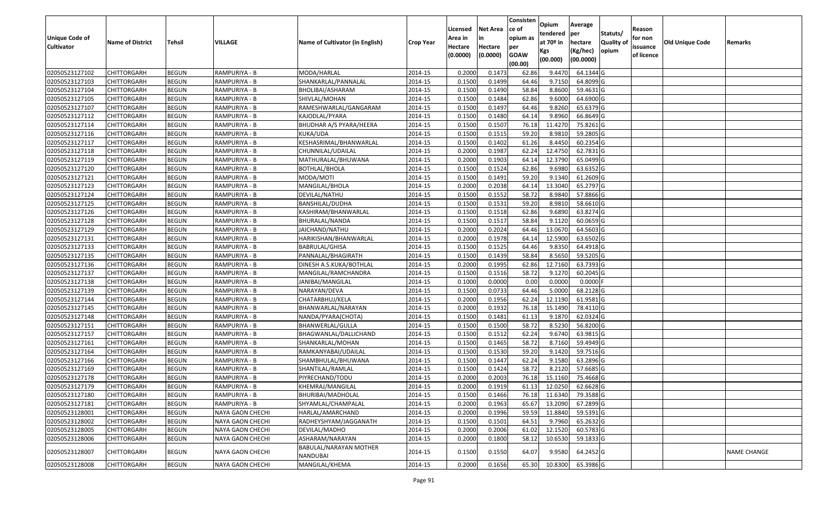|                   |                         |               |                         |                                    |                  | Licensed | <b>Net Area</b> | Consisten<br>ce of | Opium         | Average     |                  | Reason     |                 |             |
|-------------------|-------------------------|---------------|-------------------------|------------------------------------|------------------|----------|-----------------|--------------------|---------------|-------------|------------------|------------|-----------------|-------------|
| Unique Code of    |                         |               |                         |                                    |                  | Area in  | in              | opium as           | tendered      | per         | Statuts/         | for non    |                 |             |
| <b>Cultivator</b> | <b>Name of District</b> | <b>Tehsil</b> | VILLAGE                 | Name of Cultivator (in English)    | <b>Crop Year</b> | Hectare  | Hectare         | per                | at $70°$ in   | hectare     | <b>Quality o</b> | issuance   | Old Unique Code | Remarks     |
|                   |                         |               |                         |                                    |                  | (0.0000) | (0.0000)        | <b>GOAW</b>        | Kgs           | (Kg/hec)    | opium            | of licence |                 |             |
|                   |                         |               |                         |                                    |                  |          |                 | (00.00)            | (00.000)      | (00.0000)   |                  |            |                 |             |
| 02050523127102    | CHITTORGARH             | <b>BEGUN</b>  | RAMPURIYA - B           | MODA/HARLAL                        | 2014-15          | 0.2000   | 0.1473          | 62.86              | 9.4470        | 64.1344 G   |                  |            |                 |             |
| 02050523127103    | CHITTORGARH             | <b>BEGUN</b>  | RAMPURIYA - B           | SHANKARLAL/PANNALAL                | 2014-15          | 0.1500   | 0.1499          | 64.46              | 9.7150        | 64.8099 G   |                  |            |                 |             |
| 02050523127104    | CHITTORGARH             | <b>BEGUN</b>  | RAMPURIYA - B           | BHOLIBAI/ASHARAM                   | 2014-15          | 0.1500   | 0.1490          | 58.84              | 8.8600        | 59.4631G    |                  |            |                 |             |
| 02050523127105    | <b>CHITTORGARH</b>      | <b>BEGUN</b>  | RAMPURIYA - B           | SHIVLAL/MOHAN                      | 2014-15          | 0.1500   | 0.1484          | 62.86              | 9.6000        | 64.6900 G   |                  |            |                 |             |
| 02050523127107    | CHITTORGARH             | <b>BEGUN</b>  | RAMPURIYA - B           | RAMESHWARLAL/GANGARAM              | 2014-15          | 0.1500   | 0.1497          | 64.46              | 9.8260        | 65.6379 G   |                  |            |                 |             |
| 02050523127112    | CHITTORGARH             | <b>BEGUN</b>  | RAMPURIYA - B           | KAJODLAL/PYARA                     | 2014-15          | 0.1500   | 0.1480          | 64.14              | 9.8960        | 66.8649 G   |                  |            |                 |             |
| 02050523127114    | CHITTORGARH             | <b>BEGUN</b>  | RAMPURIYA - B           | BHUDHAR A/S PYARA/HEERA            | 2014-15          | 0.1500   | 0.1507          | 76.18              | 11.4270       | 75.8261G    |                  |            |                 |             |
| 02050523127116    | <b>CHITTORGARH</b>      | <b>BEGUN</b>  | RAMPURIYA - B           | KUKA/UDA                           | 2014-15          | 0.1500   | 0.1515          | 59.20              | 8.981         | 59.2805 G   |                  |            |                 |             |
| 02050523127117    | CHITTORGARH             | <b>BEGUN</b>  | RAMPURIYA - B           | KESHASRIMAL/BHANWARLAL             | 2014-15          | 0.1500   | 0.1402          | 61.26              | 8.4450        | 60.2354 G   |                  |            |                 |             |
| 02050523127118    | CHITTORGARH             | <b>BEGUN</b>  | RAMPURIYA - B           | CHUNNILAL/UDAILAL                  | 2014-15          | 0.2000   | 0.1987          | 62.24              | 12.4750       | 62.7831G    |                  |            |                 |             |
| 02050523127119    | CHITTORGARH             | <b>BEGUN</b>  | RAMPURIYA - B           | MATHURALAL/BHUWANA                 | 2014-15          | 0.2000   | 0.1903          | 64.14              | 12.3790       | 65.0499 G   |                  |            |                 |             |
| 02050523127120    | <b>CHITTORGARH</b>      | <b>BEGUN</b>  | RAMPURIYA - B           | <b>BOTHLAL/BHOLA</b>               | 2014-15          | 0.1500   | 0.1524          | 62.86              | 9.6980        | 63.6352 G   |                  |            |                 |             |
| 02050523127121    | <b>CHITTORGARH</b>      | <b>BEGUN</b>  | RAMPURIYA - B           | MODA/MOTI                          | 2014-15          | 0.1500   | 0.1491          | 59.20              | 9.1340        | 61.2609 G   |                  |            |                 |             |
| 02050523127123    | <b>CHITTORGARH</b>      | <b>BEGUN</b>  | RAMPURIYA - B           | MANGILAL/BHOLA                     | 2014-15          | 0.2000   | 0.2038          | 64.14              | 13.3040       | 65.2797 G   |                  |            |                 |             |
| 02050523127124    | CHITTORGARH             | <b>BEGUN</b>  | RAMPURIYA - B           | DEVILAL/NATHU                      | 2014-15          | 0.1500   | 0.1552          | 58.72              | 8.9840        | 57.8866 G   |                  |            |                 |             |
| 02050523127125    | <b>CHITTORGARH</b>      | <b>BEGUN</b>  | RAMPURIYA - B           | BANSHILAL/DUDHA                    | 2014-15          | 0.1500   | 0.1531          | 59.20              | 8.9810        | 58.6610 G   |                  |            |                 |             |
| 02050523127126    | CHITTORGARH             | <b>BEGUN</b>  | RAMPURIYA - B           | KASHIRAM/BHANWARLAL                | 2014-15          | 0.1500   | 0.1518          | 62.86              | 9.6890        | 63.8274 G   |                  |            |                 |             |
| 02050523127128    | CHITTORGARH             | <b>BEGUN</b>  | RAMPURIYA - B           | BHURALAL/NANDA                     | 2014-15          | 0.1500   | 0.1517          | 58.84              | 9.1120        | 60.0659 G   |                  |            |                 |             |
| 02050523127129    | CHITTORGARH             | <b>BEGUN</b>  | RAMPURIYA - B           | JAICHAND/NATHU                     | 2014-15          | 0.2000   | 0.2024          | 64.46              | 13.0670       | 64.5603 G   |                  |            |                 |             |
| 02050523127131    | CHITTORGARH             | <b>BEGUN</b>  | RAMPURIYA - B           | HARIKISHAN/BHANWARLAL              | 2014-15          | 0.2000   | 0.1978          | 64.1               | 12.5900       | 63.6502G    |                  |            |                 |             |
| 02050523127133    | CHITTORGARH             | <b>BEGUN</b>  | RAMPURIYA - B           | BABRULAL/GHISA                     | 2014-15          | 0.1500   | 0.1525          | 64.46              | 9.835         | 64.4918 G   |                  |            |                 |             |
| 02050523127135    | CHITTORGARH             | <b>BEGUN</b>  | RAMPURIYA - B           | PANNALAL/BHAGIRATH                 | 2014-15          | 0.1500   | 0.1439          | 58.84              | 8.5650        | 59.5205 G   |                  |            |                 |             |
| 02050523127136    | CHITTORGARH             | <b>BEGUN</b>  | RAMPURIYA - B           | DINESH A.S.KUKA/BOTHLAL            | 2014-15          | 0.2000   | 0.1995          | 62.86              | 12.7160       | 63.7393 G   |                  |            |                 |             |
| 02050523127137    | CHITTORGARH             | <b>BEGUN</b>  | RAMPURIYA - B           | MANGILAL/RAMCHANDRA                | 2014-15          | 0.1500   | 0.1516          | 58.72              | 9.1270        | 60.2045 G   |                  |            |                 |             |
| 02050523127138    | CHITTORGARH             | <b>BEGUN</b>  | RAMPURIYA - B           | JANIBAI/MANGILAL                   | 2014-15          | 0.1000   | 0.0000          | 0.00               | 0.0000        | $0.0000$ F  |                  |            |                 |             |
| 02050523127139    | CHITTORGARH             | <b>BEGUN</b>  | RAMPURIYA - B           | NARAYAN/DEVA                       | 2014-15          | 0.1500   | 0.0733          | 64.46              | 5.0000        | 68.2128 G   |                  |            |                 |             |
| 02050523127144    | CHITTORGARH             | <b>BEGUN</b>  | RAMPURIYA - B           | CHATARBHUJ/KELA                    | 2014-15          | 0.2000   | 0.1956          | 62.24              | 12.1190       | 61.9581G    |                  |            |                 |             |
| 02050523127145    | CHITTORGARH             | <b>BEGUN</b>  | RAMPURIYA - B           | BHANWARLAL/NARAYAN                 | 2014-15          | 0.2000   | 0.1932          | 76.18              | 15.1490       | 78.4110G    |                  |            |                 |             |
| 02050523127148    | CHITTORGARH             | <b>BEGUN</b>  | RAMPURIYA - B           | NANDA/PYARA(CHOTA)                 | 2014-15          | 0.1500   | 0.1481          | 61.13              | 9.1870        | 62.0324 G   |                  |            |                 |             |
| 02050523127151    | CHITTORGARH             | <b>BEGUN</b>  | RAMPURIYA - B           | BHANWERLAL/GULLA                   | 2014-15          | 0.1500   | 0.1500          | 58.72              | 8.5230        | $56.8200$ G |                  |            |                 |             |
| 02050523127157    | CHITTORGARH             | <b>BEGUN</b>  | RAMPURIYA - B           | BHAGWANLAL/DALLICHAND              | 2014-15          | 0.1500   | 0.1512          | 62.24              | 9.6740        | 63.9815 G   |                  |            |                 |             |
| 02050523127161    | CHITTORGARH             | <b>BEGUN</b>  | RAMPURIYA - B           | SHANKARLAL/MOHAN                   | 2014-15          | 0.1500   | 0.1465          | 58.72              | 8.7160        | 59.4949 G   |                  |            |                 |             |
| 02050523127164    | CHITTORGARH             | <b>BEGUN</b>  | RAMPURIYA - B           | RAMKANYABAI/UDAILAL                | 2014-15          | 0.1500   | 0.1530          | 59.20              | 9.1420        | 59.7516 G   |                  |            |                 |             |
| 02050523127166    | CHITTORGARH             | <b>BEGUN</b>  | RAMPURIYA - B           | SHAMBHULAL/BHUWANA                 | 2014-15          | 0.1500   | 0.1447          | 62.24              | 9.1580        | 63.2896 G   |                  |            |                 |             |
| 02050523127169    | CHITTORGARH             | <b>BEGUN</b>  | RAMPURIYA - B           | SHANTILAL/RAMLAL                   | 2014-15          | 0.1500   | 0.1424          | 58.72              | 8.2120        | 57.6685 G   |                  |            |                 |             |
| 02050523127178    | CHITTORGARH             | <b>BEGUN</b>  | RAMPURIYA - B           | PIYRECHAND/TODU                    | 2014-15          | 0.2000   | 0.2003          | 76.18              | 15.1160       | 75.4668 G   |                  |            |                 |             |
| 02050523127179    | <b>CHITTORGARH</b>      | <b>BEGUN</b>  | RAMPURIYA - B           | KHEMRAJ/MANGILAL                   | 2014-15          | 0.2000   | 0.1919          |                    | 61.13 12.0250 | 62.6628 G   |                  |            |                 |             |
| 02050523127180    | <b>CHITTORGARH</b>      | <b>BEGUN</b>  | RAMPURIYA - B           | BHURIBAI/MADHOLAL                  | 2014-15          | 0.1500   | 0.1466          | 76.18              | 11.6340       | 79.3588 G   |                  |            |                 |             |
| 02050523127181    | <b>CHITTORGARH</b>      | <b>BEGUN</b>  | RAMPURIYA - B           | SHYAMLAL/CHAMPALAL                 | 2014-15          | 0.2000   | 0.1963          | 65.67              | 13.2090       | 67.2899 G   |                  |            |                 |             |
| 02050523128001    | <b>CHITTORGARH</b>      | <b>BEGUN</b>  | NAYA GAON CHECHI        | HARLAL/AMARCHAND                   | 2014-15          | 0.2000   | 0.1996          | 59.59              | 11.8840       | 59.5391 G   |                  |            |                 |             |
| 02050523128002    | CHITTORGARH             | <b>BEGUN</b>  | NAYA GAON CHECHI        | RADHEYSHYAM/JAGGANATH              | 2014-15          | 0.1500   | 0.1501          | 64.51              | 9.7960        | 65.2632 G   |                  |            |                 |             |
| 02050523128005    | <b>CHITTORGARH</b>      | <b>BEGUN</b>  | NAYA GAON CHECHI        | DEVILAL/MADHO                      | 2014-15          | 0.2000   | 0.2006          | 61.02              | 12.1520       | 60.5783 G   |                  |            |                 |             |
| 02050523128006    | <b>CHITTORGARH</b>      | <b>BEGUN</b>  | NAYA GAON CHECHI        | ASHARAM/NARAYAN                    | 2014-15          | 0.2000   | 0.1800          | 58.12              | 10.6530       | 59.1833 G   |                  |            |                 |             |
| 02050523128007    | <b>CHITTORGARH</b>      | <b>BEGUN</b>  | NAYA GAON CHECHI        | BABULAL/NARAYAN MOTHER<br>NANDUBAI | 2014-15          | 0.1500   | 0.1550          | 64.07              | 9.9580        | 64.2452 G   |                  |            |                 | NAME CHANGE |
| 02050523128008    | <b>CHITTORGARH</b>      | <b>BEGUN</b>  | <b>NAYA GAON CHECHI</b> | MANGILAL/KHEMA                     | 2014-15          | 0.2000   | 0.1656          | 65.30              | 10.8300       | 65.3986 G   |                  |            |                 |             |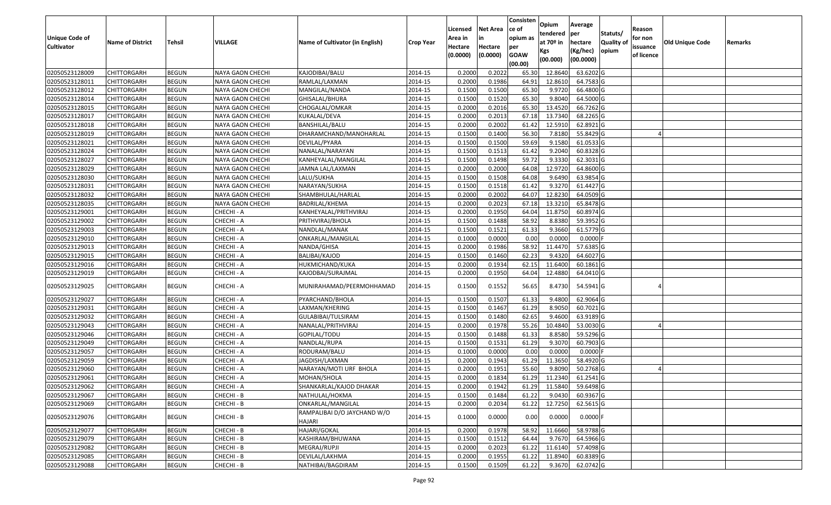|                       |                         |               |                         |                                       |                  |          |                 | Consisten          | Opium         | Average     |                  |            |                        |         |
|-----------------------|-------------------------|---------------|-------------------------|---------------------------------------|------------------|----------|-----------------|--------------------|---------------|-------------|------------------|------------|------------------------|---------|
|                       |                         |               |                         |                                       |                  | Licensed | <b>Net Area</b> | ce of              | tendered      | per         | Statuts/         | Reason     |                        |         |
| <b>Unique Code of</b> | <b>Name of District</b> | <b>Tehsil</b> | <b>VILLAGE</b>          | Name of Cultivator (in English)       | <b>Crop Year</b> | Area in  | in              | opium as           | at $70°$ in   | hectare     | <b>Quality o</b> | for non    | <b>Old Unique Code</b> | Remarks |
| <b>Cultivator</b>     |                         |               |                         |                                       |                  | Hectare  | Hectare         | per<br><b>GOAW</b> | Kgs           | (Kg/hec)    | opium            | issuance   |                        |         |
|                       |                         |               |                         |                                       |                  | (0.0000) | (0.0000)        | (00.00)            | (00.000)      | (00.0000)   |                  | of licence |                        |         |
| 02050523128009        | CHITTORGARH             | <b>BEGUN</b>  | NAYA GAON CHECHI        | KAJODIBAI/BALU                        | 2014-15          | 0.2000   | 0.2022          | 65.30              | 12.8640       | 63.6202G    |                  |            |                        |         |
| 02050523128011        | CHITTORGARH             | <b>BEGUN</b>  | NAYA GAON CHECHI        | RAMLAL/LAXMAN                         | 2014-15          | 0.2000   | 0.1986          | 64.91              | 12.8610       | 64.7583 G   |                  |            |                        |         |
| 02050523128012        | CHITTORGARH             | <b>BEGUN</b>  | NAYA GAON CHECHI        | MANGILAL/NANDA                        | 2014-15          | 0.1500   | 0.1500          | 65.30              | 9.9720        | 66.4800 G   |                  |            |                        |         |
| 02050523128014        | <b>CHITTORGARH</b>      | <b>BEGUN</b>  | <b>NAYA GAON CHECHI</b> | GHISALAL/BHURA                        | 2014-15          | 0.1500   | 0.1520          | 65.30              | 9.8040        | 64.5000 G   |                  |            |                        |         |
| 02050523128015        | CHITTORGARH             | <b>BEGUN</b>  | NAYA GAON CHECHI        | CHOGALAL/OMKAR                        | 2014-15          | 0.2000   | 0.2016          | 65.30              | 13.4520       | 66.7262 G   |                  |            |                        |         |
| 02050523128017        | <b>CHITTORGARH</b>      | <b>BEGUN</b>  | NAYA GAON CHECHI        | KUKALAL/DEVA                          | 2014-15          | 0.2000   | 0.2013          | 67.18              | 13.7340       | 68.2265 G   |                  |            |                        |         |
| 02050523128018        | CHITTORGARH             | <b>BEGUN</b>  | NAYA GAON CHECHI        | BANSHILAL/BALU                        | 2014-15          | 0.2000   | 0.2002          | 61.42              | 12.591        | 62.8921 G   |                  |            |                        |         |
| 02050523128019        | <b>CHITTORGARH</b>      | <b>BEGUN</b>  | NAYA GAON CHECHI        | DHARAMCHAND/MANOHARLAL                | 2014-15          | 0.1500   | 0.1400          | 56.30              | 7.8180        | 55.8429 G   |                  |            |                        |         |
| 02050523128021        | CHITTORGARH             | <b>BEGUN</b>  | NAYA GAON CHECHI        | DEVILAL/PYARA                         | 2014-15          | 0.1500   | 0.1500          | 59.69              | 9.1580        | 61.0533 G   |                  |            |                        |         |
| 02050523128024        | <b>CHITTORGARH</b>      | <b>BEGUN</b>  | NAYA GAON CHECHI        | NANALAL/NARAYAN                       | 2014-15          | 0.1500   | 0.1513          | 61.42              | 9.2040        | 60.8328 G   |                  |            |                        |         |
| 02050523128027        | CHITTORGARH             | <b>BEGUN</b>  | NAYA GAON CHECHI        | KANHEYALAL/MANGILAL                   | 2014-15          | 0.1500   | 0.1498          | 59.72              | 9.3330        | 62.3031G    |                  |            |                        |         |
| 02050523128029        | CHITTORGARH             | <b>BEGUN</b>  | NAYA GAON CHECHI        | JAMNA LAL/LAXMAN                      | 2014-15          | 0.2000   | 0.2000          | 64.08              | 12.9720       | 64.8600 G   |                  |            |                        |         |
| 02050523128030        | <b>CHITTORGARH</b>      | <b>BEGUN</b>  | NAYA GAON CHECHI        | LALU/SUKHA                            | 2014-15          | 0.1500   | 0.1508          | 64.08              | 9.6490        | 63.9854 G   |                  |            |                        |         |
| 02050523128031        | <b>CHITTORGARH</b>      | <b>BEGUN</b>  | NAYA GAON CHECHI        | NARAYAN/SUKHA                         | 2014-15          | 0.1500   | 0.1518          | 61.42              | 9.3270        | 61.4427 G   |                  |            |                        |         |
| 02050523128032        | <b>CHITTORGARH</b>      | <b>BEGUN</b>  | NAYA GAON CHECHI        | SHAMBHULAL/HARLAL                     | 2014-15          | 0.2000   | 0.2002          | 64.07              | 12.8230       | 64.0509 G   |                  |            |                        |         |
| 02050523128035        | <b>CHITTORGARH</b>      | <b>BEGUN</b>  | NAYA GAON CHECHI        | BADRILAL/KHEMA                        | 2014-15          | 0.2000   | 0.2023          | 67.18              | 13.3210       | 65.8478 G   |                  |            |                        |         |
| 02050523129001        | CHITTORGARH             | <b>BEGUN</b>  | CHECHI - A              | KANHEYALAL/PRITHVIRAJ                 | 2014-15          | 0.2000   | 0.1950          | 64.04              | 11.8750       | 60.8974 G   |                  |            |                        |         |
| 02050523129002        | CHITTORGARH             | <b>BEGUN</b>  | CHECHI - A              | PRITHVIRAJ/BHOLA                      | 2014-15          | 0.1500   | 0.1488          | 58.92              | 8.8380        | 59.3952 G   |                  |            |                        |         |
| 02050523129003        | CHITTORGARH             | <b>BEGUN</b>  | CHECHI - A              | NANDLAL/MANAK                         | 2014-15          | 0.1500   | 0.1521          | 61.33              | 9.3660        | 61.5779 G   |                  |            |                        |         |
| 02050523129010        | CHITTORGARH             | <b>BEGUN</b>  | CHECHI - A              | ONKARLAL/MANGILAL                     | 2014-15          | 0.1000   | 0.0000          | 0.00               | 0.0000        | 0.0000      |                  |            |                        |         |
| 02050523129013        | CHITTORGARH             | <b>BEGUN</b>  | CHECHI - A              | NANDA/GHISA                           | 2014-15          | 0.2000   | 0.1986          | 58.92              | 11.4470       | 57.6385 G   |                  |            |                        |         |
| 02050523129015        | CHITTORGARH             | <b>BEGUN</b>  | CHECHI - A              | BALIBAI/KAJOD                         | 2014-15          | 0.1500   | 0.1460          | 62.23              | 9.4320        | 64.6027 G   |                  |            |                        |         |
| 02050523129016        | CHITTORGARH             | <b>BEGUN</b>  | CHECHI - A              | HUKMICHAND/KUKA                       | 2014-15          | 0.2000   | 0.1934          | 62.15              | 11.6400       | 60.1861 G   |                  |            |                        |         |
| 02050523129019        | CHITTORGARH             | <b>BEGUN</b>  | CHECHI - A              | KAJODBAI/SURAJMAL                     | 2014-15          | 0.2000   | 0.1950          | 64.04              | 12.4880       | 64.0410 G   |                  |            |                        |         |
| 02050523129025        | CHITTORGARH             | <b>BEGUN</b>  | CHECHI - A              | MUNIRAHAMAD/PEERMOHHAMAD              | 2014-15          | 0.1500   | 0.1552          | 56.65              | 8.4730        | 54.5941 G   |                  |            |                        |         |
| 02050523129027        | CHITTORGARH             | <b>BEGUN</b>  | CHECHI - A              | PYARCHAND/BHOLA                       | 2014-15          | 0.1500   | 0.1507          | 61.33              | 9.4800        | 62.9064 G   |                  |            |                        |         |
| 02050523129031        | CHITTORGARH             | <b>BEGUN</b>  | CHECHI - A              | LAXMAN/KHERING                        | 2014-15          | 0.1500   | 0.1467          | 61.29              | 8.9050        | 60.7021G    |                  |            |                        |         |
| 02050523129032        | <b>CHITTORGARH</b>      | <b>BEGUN</b>  | CHECHI - A              | GULABIBAI/TULSIRAM                    | 2014-15          | 0.1500   | 0.1480          | 62.65              | 9.4600        | 63.9189 G   |                  |            |                        |         |
| 02050523129043        | <b>CHITTORGARH</b>      | <b>BEGUN</b>  | CHECHI - A              | NANALAL/PRITHVIRAJ                    | 2014-15          | 0.2000   | 0.1978          | 55.26              | 10.4840       | 53.0030 G   |                  |            |                        |         |
| 02050523129046        | CHITTORGARH             | <b>BEGUN</b>  | CHECHI - A              | GOPILAL/TODU                          | 2014-15          | 0.1500   | 0.1488          | 61.33              | 8.8580        | 59.5296 G   |                  |            |                        |         |
| 02050523129049        | CHITTORGARH             | <b>BEGUN</b>  | CHECHI - A              | NANDLAL/RUPA                          | 2014-15          | 0.1500   | 0.1531          | 61.29              | 9.3070        | 60.7903 G   |                  |            |                        |         |
| 02050523129057        | CHITTORGARH             | <b>BEGUN</b>  | CHECHI - A              | RODURAM/BALU                          | 2014-15          | 0.1000   | 0.0000          | 0.00               | 0.0000        | $0.0000$ F  |                  |            |                        |         |
| 02050523129059        | <b>CHITTORGARH</b>      | <b>BEGUN</b>  | CHECHI - A              | JAGDISH/LAXMAN                        | 2014-15          | 0.2000   | 0.1943          | 61.29              | 11.3650       | 58.4920 G   |                  |            |                        |         |
| 02050523129060        | CHITTORGARH             | <b>BEGUN</b>  | CHECHI - A              | NARAYAN/MOTI URF BHOLA                | 2014-15          | 0.2000   | 0.1951          | 55.60              | 9.8090        | 50.2768 G   |                  |            |                        |         |
| 02050523129061        | CHITTORGARH             | <b>BEGUN</b>  | CHECHI - A              | MOHAN/SHOLA                           | 2014-15          | 0.2000   | 0.1834          | 61.29              | 11.2340       | $61.2541$ G |                  |            |                        |         |
| 02050523129062        | <b>CHITTORGARH</b>      | <b>BEGUN</b>  | CHECHI - A              | SHANKARLAL/KAJOD DHAKAR               | 2014-15          | 0.2000   | 0.1942          |                    | 61.29 11.5840 | 59.6498 G   |                  |            |                        |         |
| 02050523129067        | <b>CHITTORGARH</b>      | <b>BEGUN</b>  | CHECHI - B              | NATHULAL/HOKMA                        | 2014-15          | 0.1500   | 0.1484          | 61.22              | 9.0430        | 60.9367 G   |                  |            |                        |         |
| 02050523129069        | <b>CHITTORGARH</b>      | <b>BEGUN</b>  | CHECHI - B              | ONKARLAL/MANGILAL                     | 2014-15          | 0.2000   | 0.2034          | 61.22              | 12.7250       | 62.5615 G   |                  |            |                        |         |
| 02050523129076        | CHITTORGARH             | <b>BEGUN</b>  | CHECHI - B              | RAMPALIBAI D/O JAYCHAND W/O<br>HAJARI | 2014-15          | 0.1000   | 0.0000          | 0.00               | 0.0000        | $0.0000$ F  |                  |            |                        |         |
| 02050523129077        | <b>CHITTORGARH</b>      | <b>BEGUN</b>  | CHECHI - B              | HAJARI/GOKAL                          | 2014-15          | 0.2000   | 0.1978          | 58.92              | 11.6660       | 58.9788 G   |                  |            |                        |         |
| 02050523129079        | <b>CHITTORGARH</b>      | <b>BEGUN</b>  | CHECHI - B              | KASHIRAM/BHUWANA                      | 2014-15          | 0.1500   | 0.1512          | 64.44              | 9.7670        | 64.5966 G   |                  |            |                        |         |
| 02050523129082        | <b>CHITTORGARH</b>      | <b>BEGUN</b>  | CHECHI - B              | MEGRAJ/RUPJI                          | 2014-15          | 0.2000   | 0.2023          | 61.22              | 11.6140       | 57.4098 G   |                  |            |                        |         |
| 02050523129085        | <b>CHITTORGARH</b>      | <b>BEGUN</b>  | CHECHI - B              | DEVILAL/LAKHMA                        | 2014-15          | 0.2000   | 0.1955          | 61.22              | 11.8940       | 60.8389 G   |                  |            |                        |         |
| 02050523129088        | <b>CHITTORGARH</b>      | <b>BEGUN</b>  | CHECHI - B              | NATHIBAI/BAGDIRAM                     | 2014-15          | 0.1500   | 0.1509          | 61.22              | 9.3670        | 62.0742 G   |                  |            |                        |         |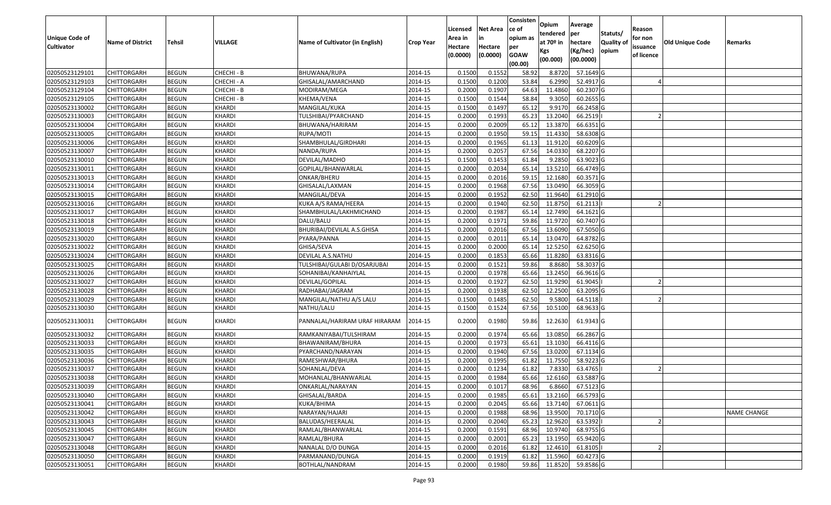|                                  |                            |                              |               |                                      |                    |          |                 | Consisten        | Opium       | Average                |                  |            |                 |                    |
|----------------------------------|----------------------------|------------------------------|---------------|--------------------------------------|--------------------|----------|-----------------|------------------|-------------|------------------------|------------------|------------|-----------------|--------------------|
|                                  |                            |                              |               |                                      |                    | Licensed | <b>Net Area</b> | ce of            | tendered    | per                    | Statuts/         | Reason     |                 |                    |
| <b>Unique Code of</b>            | <b>Name of District</b>    | <b>Tehsil</b>                | VILLAGE       | Name of Cultivator (in English)      | <b>Crop Year</b>   | Area in  |                 | opium as         | at $70°$ in | hectare                | <b>Quality o</b> | for non    | Old Unique Code | Remarks            |
| <b>Cultivator</b>                |                            |                              |               |                                      |                    | Hectare  | Hectare         | per              | Kgs         | (Kg/hec)               | opium            | issuance   |                 |                    |
|                                  |                            |                              |               |                                      |                    | (0.0000) | (0.0000)        | <b>GOAW</b>      | (00.000)    | (00.0000)              |                  | of licence |                 |                    |
| 02050523129101                   | CHITTORGARH                | <b>BEGUN</b>                 | CHECHI - B    | BHUWANA/RUPA                         | 2014-15            | 0.1500   | 0.1552          | (00.00)<br>58.92 | 8.8720      | 57.1649 G              |                  |            |                 |                    |
| 02050523129103                   | CHITTORGARH                | <b>BEGUN</b>                 | CHECHI - A    | GHISALAL/AMARCHAND                   | 2014-15            | 0.1500   | 0.1200          | 53.84            | 6.2990      | 52.4917 G              |                  |            |                 |                    |
| 02050523129104                   | CHITTORGARH                | <b>BEGUN</b>                 | CHECHI - B    | MODIRAM/MEGA                         | 2014-15            | 0.2000   | 0.1907          | 64.63            | 11.4860     | 60.2307 G              |                  |            |                 |                    |
| 02050523129105                   | <b>CHITTORGARH</b>         | <b>BEGUN</b>                 | CHECHI - B    | KHEMA/VENA                           | 2014-15            | 0.1500   | 0.1544          | 58.84            | 9.3050      | 60.2655 G              |                  |            |                 |                    |
| 02050523130002                   | CHITTORGARH                | <b>BEGUN</b>                 | <b>KHARDI</b> | MANGILAL/KUKA                        | 2014-15            | 0.1500   | 0.1497          | 65.12            | 9.9170      | 66.2458 G              |                  |            |                 |                    |
| 02050523130003                   | CHITTORGARH                | <b>BEGUN</b>                 | KHARDI        | TULSHIBAI/PYARCHAND                  | 2014-15            | 0.2000   | 0.1993          | 65.23            | 13.2040     | 66.2519                |                  |            |                 |                    |
| 02050523130004                   | CHITTORGARH                | <b>BEGUN</b>                 | <b>KHARDI</b> | BHUWANA/HARIRAM                      | 2014-15            | 0.2000   | 0.2009          | 65.1             | 13.3870     | 66.6351 G              |                  |            |                 |                    |
| 02050523130005                   | CHITTORGARH                | <b>BEGUN</b>                 | <b>KHARDI</b> | RUPA/MOTI                            | 2014-15            | 0.2000   | 0.1950          | 59.15            | 11.4330     | 58.6308 G              |                  |            |                 |                    |
| 02050523130006                   | CHITTORGARH                | <b>BEGUN</b>                 | <b>KHARDI</b> | SHAMBHULAL/GIRDHARI                  | 2014-15            | 0.2000   | 0.1965          | 61.13            | 11.9120     | 60.6209 G              |                  |            |                 |                    |
| 02050523130007                   | CHITTORGARH                | <b>BEGUN</b>                 | KHARDI        | NANDA/RUPA                           | 2014-15            | 0.2000   | 0.2057          | 67.56            | 14.0330     | 68.2207 G              |                  |            |                 |                    |
| 02050523130010                   | CHITTORGARH                | <b>BEGUN</b>                 | KHARDI        | DEVILAL/MADHO                        | 2014-15            | 0.1500   | 0.1453          | 61.84            | 9.2850      | 63.9023 G              |                  |            |                 |                    |
| 02050523130011                   | <b>CHITTORGARH</b>         | <b>BEGUN</b>                 | <b>KHARDI</b> | GOPILAL/BHANWARLAL                   | 2014-15            | 0.2000   | 0.2034          | 65.14            | 13.5210     | 66.4749 G              |                  |            |                 |                    |
| 02050523130013                   |                            |                              | <b>KHARDI</b> |                                      | 2014-15            | 0.2000   | 0.2016          | 59.15            | 12.1680     | 60.3571 G              |                  |            |                 |                    |
| 02050523130014                   | <b>CHITTORGARH</b>         | <b>BEGUN</b>                 | KHARDI        | ONKAR/BHERU                          | 2014-15            | 0.2000   | 0.1968          | 67.56            | 13.0490     |                        |                  |            |                 |                    |
|                                  | CHITTORGARH                | <b>BEGUN</b><br><b>BEGUN</b> | KHARDI        | GHISALAL/LAXMAN                      |                    | 0.2000   | 0.1952          | 62.50            | 11.9640     | 66.3059 G<br>61.2910 G |                  |            |                 |                    |
| 02050523130015                   | CHITTORGARH<br>CHITTORGARH | <b>BEGUN</b>                 | KHARDI        | MANGILAL/DEVA<br>KUKA A/S RAMA/HEERA | 2014-15<br>2014-15 | 0.2000   | 0.1940          | 62.50            | 11.8750     | 61.2113                |                  |            |                 |                    |
| 02050523130016                   |                            |                              | <b>KHARDI</b> |                                      |                    | 0.2000   | 0.1987          | 65.14            | 12.7490     | 64.1621G               |                  |            |                 |                    |
| 02050523130017<br>02050523130018 | CHITTORGARH<br>CHITTORGARH | <b>BEGUN</b>                 | <b>KHARDI</b> | SHAMBHULAL/LAKHMICHAND               | 2014-15<br>2014-15 | 0.2000   | 0.1971          | 59.86            | 11.9720     |                        |                  |            |                 |                    |
|                                  |                            | <b>BEGUN</b>                 |               | DALU/BALU                            |                    |          |                 |                  |             | 60.7407 G              |                  |            |                 |                    |
| 02050523130019                   | CHITTORGARH                | <b>BEGUN</b>                 | KHARDI        | BHURIBAI/DEVILAL A.S.GHISA           | 2014-15            | 0.2000   | 0.2016          | 67.56            | 13.6090     | 67.5050 G              |                  |            |                 |                    |
| 02050523130020                   | CHITTORGARH                | <b>BEGUN</b>                 | KHARDI        | PYARA/PANNA                          | 2014-15            | 0.2000   | 0.2011          | 65.1             | 13.047      | 64.8782 G              |                  |            |                 |                    |
| 02050523130022                   | CHITTORGARH                | <b>BEGUN</b>                 | <b>KHARDI</b> | GHISA/SEVA                           | 2014-15            | 0.2000   | 0.2000          | 65.14            | 12.5250     | 62.6250 G              |                  |            |                 |                    |
| 02050523130024                   | CHITTORGARH                | <b>BEGUN</b>                 | <b>KHARDI</b> | DEVILAL A.S.NATHU                    | 2014-15            | 0.2000   | 0.1853          | 65.66            | 11.8280     | 63.8316 G              |                  |            |                 |                    |
| 02050523130025                   | CHITTORGARH                | <b>BEGUN</b>                 | KHARDI        | TULSHIBAI/GULABI D/OSARJUBAI         | 2014-15            | 0.2000   | 0.1521          | 59.86            | 8.8680      | 58.3037 G              |                  |            |                 |                    |
| 02050523130026                   | CHITTORGARH                | <b>BEGUN</b>                 | <b>KHARDI</b> | SOHANIBAI/KANHAIYLAL                 | 2014-15            | 0.2000   | 0.1978          | 65.66            | 13.2450     | 66.9616 G              |                  |            |                 |                    |
| 02050523130027                   | CHITTORGARH                | <b>BEGUN</b>                 | <b>KHARDI</b> | DEVILAL/GOPILAL                      | 2014-15            | 0.2000   | 0.1927          | 62.50            | 11.9290     | 61.9045                |                  |            |                 |                    |
| 02050523130028                   | CHITTORGARH                | <b>BEGUN</b>                 | <b>KHARDI</b> | RADHABAI/JAGRAM                      | 2014-15            | 0.2000   | 0.1938          | 62.50            | 12.2500     | 63.2095 G              |                  |            |                 |                    |
| 02050523130029                   | CHITTORGARH                | <b>BEGUN</b>                 | KHARDI        | MANGILAL/NATHU A/S LALU              | 2014-15            | 0.1500   | 0.1485          | 62.50            | 9.5800      | 64.5118                |                  |            |                 |                    |
| 02050523130030                   | CHITTORGARH                | <b>BEGUN</b>                 | <b>KHARDI</b> | NATHU/LALU                           | 2014-15            | 0.1500   | 0.1524          | 67.56            | 10.5100     | 68.9633 G              |                  |            |                 |                    |
| 02050523130031                   | CHITTORGARH                | <b>BEGUN</b>                 | KHARDI        | PANNALAL/HARIRAM URAF HIRARAM        | 2014-15            | 0.2000   | 0.1980          | 59.86            | 12.2630     | 61.9343 G              |                  |            |                 |                    |
| 02050523130032                   | CHITTORGARH                | <b>BEGUN</b>                 | KHARDI        | RAMKANIYABAI/TULSHIRAM               | 2014-15            | 0.2000   | 0.1974          | 65.66            | 13.0850     | 66.2867 G              |                  |            |                 |                    |
| 02050523130033                   | CHITTORGARH                | <b>BEGUN</b>                 | <b>KHARDI</b> | BHAWANIRAM/BHURA                     | 2014-15            | 0.2000   | 0.1973          | 65.61            | 13.1030     | 66.4116 G              |                  |            |                 |                    |
| 02050523130035                   | <b>CHITTORGARH</b>         | <b>BEGUN</b>                 | KHARDI        | PYARCHAND/NARAYAN                    | 2014-15            | 0.2000   | 0.1940          | 67.56            | 13.0200     | 67.1134 G              |                  |            |                 |                    |
| 02050523130036                   | <b>CHITTORGARH</b>         | <b>BEGUN</b>                 | KHARDI        | RAMESHWAR/BHURA                      | 2014-15            | 0.2000   | 0.1995          | 61.82            | 11.7550     | 58.9223 G              |                  |            |                 |                    |
| 02050523130037                   | CHITTORGARH                | <b>BEGUN</b>                 | <b>KHARDI</b> | SOHANLAL/DEVA                        | 2014-15            | 0.2000   | 0.1234          | 61.82            | 7.8330      | 63.4765                |                  |            |                 |                    |
| 02050523130038                   | CHITTORGARH                | <b>BEGUN</b>                 | <b>KHARDI</b> | MOHANLAL/BHANWARLAL                  | 2014-15            | 0.2000   | 0.1984          | 65.66            | 12.6160     | 63.5887 G              |                  |            |                 |                    |
| 02050523130039                   | <b>CHITTORGARH</b>         | <b>BEGUN</b>                 | <b>KHARDI</b> | ONKARLAL/NARAYAN                     | 2014-15            | 0.2000   | 0.1017          | 68.96            | 6.8660      | 67.5123 G              |                  |            |                 |                    |
| 02050523130040                   | <b>CHITTORGARH</b>         | <b>BEGUN</b>                 | <b>KHARDI</b> | GHISALAL/BARDA                       | 2014-15            | 0.2000   | 0.1985          | 65.61            | 13.2160     | 66.5793 G              |                  |            |                 |                    |
| 02050523130041                   | <b>CHITTORGARH</b>         | <b>BEGUN</b>                 | KHARDI        | KUKA/BHIMA                           | 2014-15            | 0.2000   | 0.2045          | 65.66            | 13.7140     | 67.0611 G              |                  |            |                 |                    |
| 02050523130042                   | <b>CHITTORGARH</b>         | <b>BEGUN</b>                 | <b>KHARDI</b> | NARAYAN/HAJARI                       | 2014-15            | 0.2000   | 0.1988          | 68.96            | 13.9500     | 70.1710 G              |                  |            |                 | <b>NAME CHANGE</b> |
| 02050523130043                   | CHITTORGARH                | <b>BEGUN</b>                 | <b>KHARDI</b> | BALUDAS/HEERALAL                     | 2014-15            | 0.2000   | 0.2040          | 65.23            | 12.9620     | 63.5392                |                  |            |                 |                    |
| 02050523130045                   | <b>CHITTORGARH</b>         | <b>BEGUN</b>                 | <b>KHARDI</b> | RAMLAL/BHANWARLAL                    | 2014-15            | 0.2000   | 0.1591          | 68.96            | 10.9740     | 68.9755 G              |                  |            |                 |                    |
| 02050523130047                   | <b>CHITTORGARH</b>         | <b>BEGUN</b>                 | KHARDI        | RAMLAL/BHURA                         | 2014-15            | 0.2000   | 0.2001          | 65.23            | 13.1950     | 65.9420 G              |                  |            |                 |                    |
| 02050523130048                   | CHITTORGARH                | <b>BEGUN</b>                 | KHARDI        | NANALAL D/O DUNGA                    | 2014-15            | 0.2000   | 0.2016          | 61.82            | 12.4610     | 61.8105                |                  |            |                 |                    |
| 02050523130050                   | <b>CHITTORGARH</b>         | <b>BEGUN</b>                 | <b>KHARDI</b> | PARMANAND/DUNGA                      | 2014-15            | 0.2000   | 0.1919          | 61.82            | 11.5960     | 60.4273 G              |                  |            |                 |                    |
| 02050523130051                   | <b>CHITTORGARH</b>         | <b>BEGUN</b>                 | <b>KHARDI</b> | BOTHLAL/NANDRAM                      | 2014-15            | 0.2000   | 0.1980          | 59.86            | 11.8520     | 59.8586 G              |                  |            |                 |                    |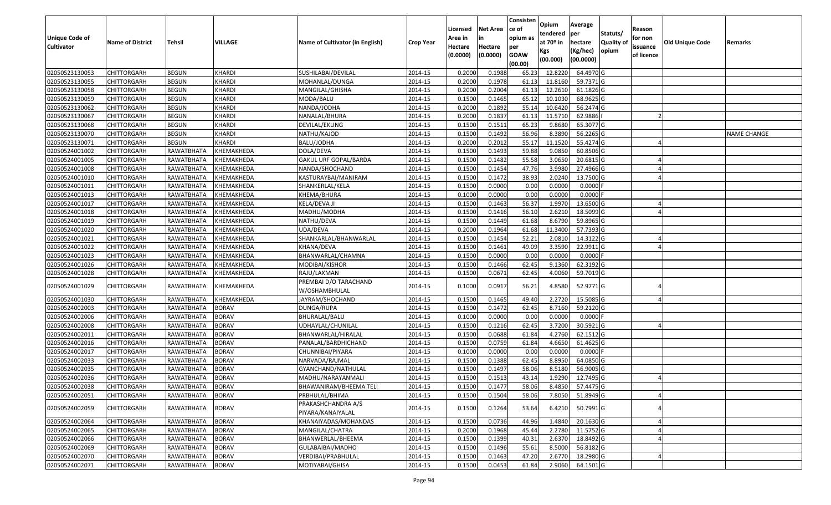|                       |                         |                   |                |                                 |                  | Licensed | <b>Net Area</b> | Consisten<br>ce of | Opium       | Average          |                  | Reason     |                        |                    |
|-----------------------|-------------------------|-------------------|----------------|---------------------------------|------------------|----------|-----------------|--------------------|-------------|------------------|------------------|------------|------------------------|--------------------|
| <b>Unique Code of</b> |                         |                   |                |                                 |                  | Area in  | in              | opium as           | tendered    | per              | Statuts/         | for non    |                        |                    |
| <b>Cultivator</b>     | <b>Name of District</b> | <b>Tehsil</b>     | <b>VILLAGE</b> | Name of Cultivator (in English) | <b>Crop Year</b> | Hectare  | Hectare         | per                | at $70°$ in | hectare          | <b>Quality o</b> | issuance   | <b>Old Unique Code</b> | Remarks            |
|                       |                         |                   |                |                                 |                  | (0.0000) | (0.0000)        | <b>GOAW</b>        | Kgs         | (Kg/hec)         | opium            | of licence |                        |                    |
|                       |                         |                   |                |                                 |                  |          |                 | (00.00)            | (00.000)    | (00.0000)        |                  |            |                        |                    |
| 02050523130053        | <b>CHITTORGARH</b>      | <b>BEGUN</b>      | <b>KHARDI</b>  | SUSHILABAI/DEVILAL              | 2014-15          | 0.2000   | 0.1988          | 65.23              | 12.8220     | 64.4970 G        |                  |            |                        |                    |
| 02050523130055        | CHITTORGARH             | <b>BEGUN</b>      | <b>KHARDI</b>  | MOHANLAL/DUNGA                  | 2014-15          | 0.2000   | 0.1978          | 61.13              | 11.8160     | 59.7371 G        |                  |            |                        |                    |
| 02050523130058        | CHITTORGARH             | <b>BEGUN</b>      | <b>KHARDI</b>  | MANGILAL/GHISHA                 | 2014-15          | 0.2000   | 0.2004          | 61.13              | 12.2610     | 61.1826 G        |                  |            |                        |                    |
| 02050523130059        | <b>CHITTORGARH</b>      | <b>BEGUN</b>      | KHARDI         | MODA/BALU                       | 2014-15          | 0.1500   | 0.1465          | 65.12              | 10.1030     | 68.9625 G        |                  |            |                        |                    |
| 02050523130062        | CHITTORGARH             | <b>BEGUN</b>      | KHARDI         | NANDA/JODHA                     | 2014-15          | 0.2000   | 0.1892          | 55.1               | 10.6420     | 56.2474 G        |                  |            |                        |                    |
| 02050523130067        | <b>CHITTORGARH</b>      | <b>BEGUN</b>      | KHARDI         | NANALAL/BHURA                   | 2014-15          | 0.2000   | 0.1837          | 61.13              | 11.5710     | 62.9886          |                  |            |                        |                    |
| 02050523130068        | CHITTORGARH             | <b>BEGUN</b>      | KHARDI         | DEVILAL/EKLING                  | 2014-15          | 0.1500   | 0.1511          | 65.23              | 9.8680      | 65.3077 G        |                  |            |                        |                    |
| 02050523130070        | <b>CHITTORGARH</b>      | <b>BEGUN</b>      | KHARDI         | NATHU/KAJOD                     | 2014-15          | 0.1500   | 0.1492          | 56.96              | 8.3890      | 56.2265 G        |                  |            |                        | <b>NAME CHANGE</b> |
| 02050523130071        | CHITTORGARH             | <b>BEGUN</b>      | <b>KHARDI</b>  | BALU/JODHA                      | 2014-15          | 0.2000   | 0.2012          | 55.17              | 11.1520     | 55.4274 G        |                  |            |                        |                    |
| 02050524001002        | <b>CHITTORGARH</b>      | RAWATBHATA        | KHEMAKHEDA     | DOLA/DEVA                       | 2014-15          | 0.1500   | 0.1493          | 59.88              | 9.0850      | 60.8506 G        |                  |            |                        |                    |
| 02050524001005        | CHITTORGARH             | RAWATBHATA        | KHEMAKHEDA     | GAKUL URF GOPAL/BARDA           | 2014-15          | 0.1500   | 0.1482          | 55.58              | 3.0650      | 20.6815 G        |                  |            |                        |                    |
| 02050524001008        | CHITTORGARH             | RAWATBHATA        | KHEMAKHEDA     | NANDA/SHOCHAND                  | 2014-15          | 0.1500   | 0.1454          | 47.76              | 3.998       | 27.4966 G        |                  |            |                        |                    |
| 02050524001010        | CHITTORGARH             | RAWATBHATA        | KHEMAKHEDA     | KASTURAYBAI/MANIRAM             | 2014-15          | 0.1500   | 0.1472          | 38.93              | 2.0240      | 13.7500 G        |                  |            |                        |                    |
| 02050524001011        | CHITTORGARH             | RAWATBHATA        | KHEMAKHEDA     | SHANKERLAL/KELA                 | 2014-15          | 0.1500   | 0.0000          | 0.00               | 0.0000      | $0.0000$ F       |                  |            |                        |                    |
| 02050524001013        | <b>CHITTORGARH</b>      | RAWATBHATA        | KHEMAKHEDA     | KHEMA/BHURA                     | 2014-15          | 0.1000   | 0.0000          | 0.00               | 0.0000      | $0.0000$ F       |                  |            |                        |                    |
| 02050524001017        | <b>CHITTORGARH</b>      | RAWATBHATA        | KHEMAKHEDA     | KELA/DEVA JI                    | 2014-15          | 0.1500   | 0.1463          | 56.37              | 1.9970      | 13.6500 G        |                  |            |                        |                    |
| 02050524001018        | <b>CHITTORGARH</b>      | RAWATBHATA        | KHEMAKHEDA     | MADHU/MODHA                     | 2014-15          | 0.1500   | 0.1416          | 56.10              | 2.6210      | 18.5099 G        |                  |            |                        |                    |
| 02050524001019        | <b>CHITTORGARH</b>      | RAWATBHATA        | KHEMAKHEDA     | NATHU/DEVA                      | 2014-15          | 0.1500   | 0.1449          | 61.68              | 8.6790      | 59.8965 G        |                  |            |                        |                    |
| 02050524001020        | CHITTORGARH             | RAWATBHATA        | KHEMAKHEDA     | UDA/DEVA                        | 2014-15          | 0.2000   | 0.1964          | 61.68              | 11.3400     | 57.7393 G        |                  |            |                        |                    |
| 02050524001021        | CHITTORGARH             | RAWATBHATA        | KHEMAKHEDA     | SHANKARLAL/BHANWARLAL           | 2014-15          | 0.1500   | 0.1454          | 52.21              | 2.0810      | 14.3122 G        |                  |            |                        |                    |
| 02050524001022        | CHITTORGARH             | RAWATBHATA        | KHEMAKHEDA     | KHANA/DEVA                      | 2014-15          | 0.1500   | 0.1461          | 49.09              | 3.3590      | 22.9911 G        |                  |            |                        |                    |
| 02050524001023        | <b>CHITTORGARH</b>      | RAWATBHATA        | KHEMAKHEDA     | BHANWARLAL/CHAMNA               | 2014-15          | 0.1500   | 0.0000          | 0.00               | 0.0000      | 0.0000           |                  |            |                        |                    |
| 02050524001026        | CHITTORGARH             | RAWATBHATA        | KHEMAKHEDA     | MODIBAI/KISHOR                  | 2014-15          | 0.1500   | 0.1466          | 62.45              | 9.1360      | 62.3192 G        |                  |            |                        |                    |
| 02050524001028        | CHITTORGARH             | RAWATBHATA        | KHEMAKHEDA     | RAJU/LAXMAN                     | 2014-15          | 0.1500   | 0.0671          | 62.45              | 4.0060      | 59.7019 G        |                  |            |                        |                    |
| 02050524001029        | CHITTORGARH             | RAWATBHATA        | KHEMAKHEDA     | PREMBAI D/O TARACHAND           | 2014-15          | 0.1000   | 0.0917          | 56.21              | 4.8580      | 52.9771 G        |                  |            |                        |                    |
|                       |                         |                   |                | W/OSHAMBHULAL                   |                  |          |                 |                    |             |                  |                  |            |                        |                    |
| 02050524001030        | CHITTORGARH             | RAWATBHATA        | KHEMAKHEDA     | JAYRAM/SHOCHAND                 | 2014-15          | 0.1500   | 0.1465          | 49.40              | 2.2720      | 15.5085 G        |                  |            |                        |                    |
| 02050524002003        | CHITTORGARH             | RAWATBHATA        | <b>BORAV</b>   | DUNGA/RUPA                      | 2014-15          | 0.1500   | 0.1472          | 62.45              | 8.7160      | 59.2120G         |                  |            |                        |                    |
| 02050524002006        | CHITTORGARH             | <b>RAWATBHATA</b> | <b>BORAV</b>   | BHURALAL/BALU                   | 2014-15          | 0.1000   | 0.0000          | 0.00               | 0.0000      | 0.0000           |                  |            |                        |                    |
| 02050524002008        | <b>CHITTORGARH</b>      | RAWATBHATA        | <b>BORAV</b>   | UDHAYLAL/CHUNILAL               | 2014-15          | 0.1500   | 0.1216          | 62.45              | 3.7200      | 30.5921 G        |                  |            |                        |                    |
| 02050524002011        | CHITTORGARH             | RAWATBHATA        | <b>BORAV</b>   | BHANWARLAL/HIRALAL              | 2014-15          | 0.1500   | 0.0688          | 61.84              | 4.2760      | 62.1512G         |                  |            |                        |                    |
| 02050524002016        | CHITTORGARH             | RAWATBHATA        | <b>BORAV</b>   | PANALAL/BARDHICHAND             | 2014-15          | 0.1500   | 0.0759          | 61.84              | 4.6650      | 61.4625 G        |                  |            |                        |                    |
| 02050524002017        | CHITTORGARH             | RAWATBHATA        | <b>BORAV</b>   | CHUNNIBAI/PIYARA                | 2014-15          | 0.1000   | 0.0000          | 0.00               | 0.0000      | $0.0000$ F       |                  |            |                        |                    |
| 02050524002033        | <b>CHITTORGARH</b>      | RAWATBHATA        | <b>BORAV</b>   | NARVADA/RAJMAL                  | 2014-15          | 0.1500   | 0.1388          | 62.45              | 8.8950      | 64.0850 G        |                  |            |                        |                    |
| 02050524002035        | CHITTORGARH             | RAWATBHATA        | <b>BORAV</b>   | GYANCHAND/NATHULAL              | 2014-15          | 0.1500   | 0.1497          | 58.06              | 8.5180      | 56.9005 G        |                  |            |                        |                    |
| 02050524002036        | CHITTORGARH             | RAWATBHATA        | <b>BORAV</b>   | MADHU/NARAYANMALI               | 2014-15          | 0.1500   | 0.1513          | 43.14              | 1.9290      | 12.7495 G        |                  |            |                        |                    |
| 02050524002038        | <b>CHITTORGARH</b>      | RAWATBHATA        | <b>BORAV</b>   | BHAWANIRAM/BHEEMA TELI          | 2014-15          | 0.1500   | 0.1477          | 58.06              |             | 8.4850 57.4475 G |                  |            |                        |                    |
| 02050524002051        | <b>CHITTORGARH</b>      | RAWATBHATA        | <b>BORAV</b>   | PRBHULAL/BHIMA                  | 2014-15          | 0.1500   | 0.1504          | 58.06              | 7.8050      | 51.8949 G        |                  |            |                        |                    |
| 02050524002059        | CHITTORGARH             | RAWATBHATA        | <b>BORAV</b>   | PRAKASHCHANDRA A/S              | 2014-15          | 0.1500   | 0.1264          | 53.64              | 6.4210      | 50.7991 G        |                  |            |                        |                    |
|                       |                         |                   |                | PIYARA/KANAIYALAL               |                  |          |                 |                    |             |                  |                  |            |                        |                    |
| 02050524002064        | <b>CHITTORGARH</b>      | RAWATBHATA        | <b>BORAV</b>   | KHANAIYADAS/MOHANDAS            | 2014-15          | 0.1500   | 0.0736          | 44.96              | 1.4840      | 20.1630 G        |                  |            |                        |                    |
| 02050524002065        | <b>CHITTORGARH</b>      | RAWATBHATA        | <b>BORAV</b>   | MANGILAL/CHATRA                 | 2014-15          | 0.2000   | 0.1968          | 45.44              | 2.2780      | 11.5752G         |                  |            |                        |                    |
| 02050524002066        | <b>CHITTORGARH</b>      | RAWATBHATA        | <b>BORAV</b>   | BHANWERLAL/BHEEMA               | 2014-15          | 0.1500   | 0.1399          | 40.31              | 2.6370      | 18.8492 G        |                  |            |                        |                    |
| 02050524002069        | <b>CHITTORGARH</b>      | RAWATBHATA        | <b>BORAV</b>   | GULABAIBAI/MADHO                | 2014-15          | 0.1500   | 0.1496          | 55.61              | 8.5000      | 56.8182 G        |                  |            |                        |                    |
| 02050524002070        | <b>CHITTORGARH</b>      | RAWATBHATA        | <b>BORAV</b>   | VERDIBAI/PRABHULAL              | 2014-15          | 0.1500   | 0.1463          | 47.20              | 2.6770      | 18.2980 G        |                  |            |                        |                    |
| 02050524002071        | <b>CHITTORGARH</b>      | RAWATBHATA        | <b>BORAV</b>   | MOTIYABAI/GHISA                 | 2014-15          | 0.1500   | 0.0453          | 61.84              | 2.9060      | 64.1501 G        |                  |            |                        |                    |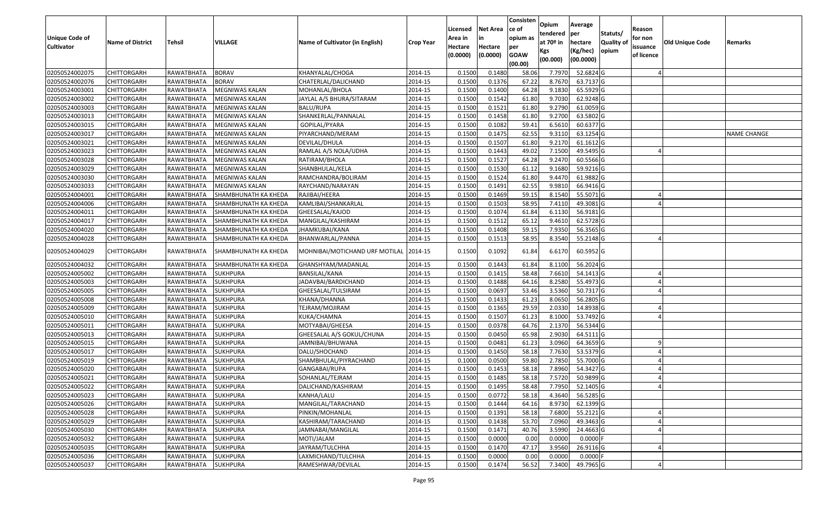| <b>Unique Code of</b> | <b>Name of District</b> | <b>Tehsil</b>       | <b>VILLAGE</b>        | Name of Cultivator (in English) | <b>Crop Year</b> | Licensed<br>Area in | <b>Net Area</b>     | Consisten<br>ce of<br>opium as | Opium<br>tendered<br>at $70°$ in | Average<br>per<br>hectare | Statuts/<br>Quality of | Reason<br>for non      | <b>Old Unique Code</b> | Remarks            |
|-----------------------|-------------------------|---------------------|-----------------------|---------------------------------|------------------|---------------------|---------------------|--------------------------------|----------------------------------|---------------------------|------------------------|------------------------|------------------------|--------------------|
| <b>Cultivator</b>     |                         |                     |                       |                                 |                  | Hectare<br>(0.0000) | Hectare<br>(0.0000) | per<br><b>GOAW</b><br>(00.00)  | Kgs<br>(00.000)                  | (Kg/hec)<br>(00.0000)     | opium                  | issuance<br>of licence |                        |                    |
| 02050524002075        | <b>CHITTORGARH</b>      | RAWATBHATA          | <b>BORAV</b>          | KHANYALAL/CHOGA                 | 2014-15          | 0.1500              | 0.1480              | 58.06                          | 7.7970                           | 52.6824 G                 |                        |                        |                        |                    |
| 02050524002076        | CHITTORGARH             | RAWATBHATA          | <b>BORAV</b>          | CHATERLAL/DALICHAND             | 2014-15          | 0.1500              | 0.1376              | 67.22                          | 8.7670                           | 63.7137 G                 |                        |                        |                        |                    |
| 02050524003001        | <b>CHITTORGARH</b>      | RAWATBHATA          | MEGNIWAS KALAN        | MOHANLAL/BHOLA                  | 2014-15          | 0.1500              | 0.1400              | 64.28                          | 9.1830                           | 65.5929 G                 |                        |                        |                        |                    |
| 02050524003002        | <b>CHITTORGARH</b>      | RAWATBHATA          | <b>MEGNIWAS KALAN</b> | JAYLAL A/S BHURA/SITARAM        | 2014-15          | 0.1500              | 0.1542              | 61.80                          | 9.7030                           | 62.9248 G                 |                        |                        |                        |                    |
| 02050524003003        | <b>CHITTORGARH</b>      | RAWATBHATA          | MEGNIWAS KALAN        | <b>BALU/RUPA</b>                | 2014-15          | 0.1500              | 0.1521              | 61.80                          | 9.2790                           | 61.0059 G                 |                        |                        |                        |                    |
| 02050524003013        | CHITTORGARH             | RAWATBHATA          | MEGNIWAS KALAN        | SHANKERLAL/PANNALAL             | 2014-15          | 0.1500              | 0.1458              | 61.80                          | 9.2700                           | 63.5802 G                 |                        |                        |                        |                    |
| 02050524003015        | CHITTORGARH             | RAWATBHATA          | MEGNIWAS KALAN        | GOPILAL/PYARA                   | 2014-15          | 0.1500              | 0.1082              | 59.41                          | 6.5610                           | 60.6377 G                 |                        |                        |                        |                    |
| 02050524003017        | <b>CHITTORGARH</b>      | RAWATBHATA          | <b>MEGNIWAS KALAN</b> | PIYARCHAND/MERAM                | 2014-15          | 0.1500              | 0.1475              | 62.55                          | 9.3110                           | 63.1254 G                 |                        |                        |                        | <b>NAME CHANGE</b> |
| 02050524003021        | <b>CHITTORGARH</b>      | RAWATBHATA          | MEGNIWAS KALAN        | DEVILAL/DHULA                   | 2014-15          | 0.1500              | 0.1507              | 61.80                          | 9.2170                           | 61.1612 G                 |                        |                        |                        |                    |
| 02050524003023        | CHITTORGARH             | RAWATBHATA          | MEGNIWAS KALAN        | RAMLAL A/S NOLA/UDHA            | 2014-15          | 0.1500              | 0.1443              | 49.02                          | 7.1500                           | 49.5495 G                 |                        |                        |                        |                    |
| 02050524003028        | <b>CHITTORGARH</b>      | RAWATBHATA          | MEGNIWAS KALAN        | RATIRAM/BHOLA                   | 2014-15          | 0.1500              | 0.1527              | 64.28                          | 9.2470                           | 60.5566 G                 |                        |                        |                        |                    |
| 02050524003029        | <b>CHITTORGARH</b>      | RAWATBHATA          | MEGNIWAS KALAN        | SHANBHULAL/KELA                 | 2014-15          | 0.1500              | 0.1530              | 61.12                          | 9.1680                           | 59.9216 G                 |                        |                        |                        |                    |
| 02050524003030        | CHITTORGARH             | RAWATBHATA          | MEGNIWAS KALAN        | RAMCHANDRA/BOLIRAM              | 2014-15          | 0.1500              | 0.1524              | 61.80                          | 9.4470                           | 61.9882 G                 |                        |                        |                        |                    |
| 02050524003033        | <b>CHITTORGARH</b>      | RAWATBHATA          | <b>MEGNIWAS KALAN</b> | RAYCHAND/NARAYAN                | 2014-15          | 0.1500              | 0.1491              | 62.55                          | 9.9810                           | 66.9416 G                 |                        |                        |                        |                    |
| 02050524004001        | <b>CHITTORGARH</b>      | RAWATBHATA          | SHAMBHUNATH KA KHEDA  | RAJIBAI/HEERA                   | 2014-15          | 0.1500              | 0.1469              | 59.15                          | 8.1540                           | 55.5071 G                 |                        |                        |                        |                    |
| 02050524004006        | <b>CHITTORGARH</b>      | RAWATBHATA          | SHAMBHUNATH KA KHEDA  | KAMLIBAI/SHANKARLAL             | 2014-15          | 0.1500              | 0.1503              | 58.95                          | 7.4110                           | 49.3081G                  |                        |                        |                        |                    |
| 02050524004011        | <b>CHITTORGARH</b>      | RAWATBHATA          | SHAMBHUNATH KA KHEDA  | GHEESALAL/KAJOD                 | 2014-15          | 0.1500              | 0.1074              | 61.84                          | 6.1130                           | 56.9181 G                 |                        |                        |                        |                    |
| 02050524004017        | <b>CHITTORGARH</b>      | RAWATBHATA          | SHAMBHUNATH KA KHEDA  | MANGILAL/KASHIRAM               | 2014-15          | 0.1500              | 0.1512              | 65.12                          | 9.4610                           | 62.5728 G                 |                        |                        |                        |                    |
| 02050524004020        | CHITTORGARH             | RAWATBHATA          | SHAMBHUNATH KA KHEDA  | JHAMKUBAI/KANA                  | 2014-15          | 0.1500              | 0.1408              | 59.1                           | 7.9350                           | 56.3565 G                 |                        |                        |                        |                    |
| 02050524004028        | CHITTORGARH             | RAWATBHATA          | SHAMBHUNATH KA KHEDA  | BHANWARLAL/PANNA                | 2014-15          | 0.1500              | 0.1513              | 58.95                          | 8.3540                           | 55.2148 G                 |                        |                        |                        |                    |
| 02050524004029        | CHITTORGARH             | RAWATBHATA          | SHAMBHUNATH KA KHEDA  | MOHNIBAI/MOTICHAND URF MOTILAL  | 2014-15          | 0.1500              | 0.1092              | 61.84                          | 6.6170                           | 60.5952 G                 |                        |                        |                        |                    |
| 02050524004032        | CHITTORGARH             | RAWATBHATA          | SHAMBHUNATH KA KHEDA  | GHANSHYAM/MADANLAL              | 2014-15          | 0.1500              | 0.1443              | 61.84                          | 8.1100                           | 56.2024 G                 |                        |                        |                        |                    |
| 02050524005002        | <b>CHITTORGARH</b>      | RAWATBHATA          | <b>SUKHPURA</b>       | BANSILAL/KANA                   | 2014-15          | 0.1500              | 0.1415              | 58.48                          | 7.6610                           | 54.1413 G                 |                        |                        |                        |                    |
| 02050524005003        | <b>CHITTORGARH</b>      | RAWATBHATA          | <b>SUKHPURA</b>       | JADAVBAI/BARDICHAND             | 2014-15          | 0.1500              | 0.1488              | 64.16                          | 8.2580                           | 55.4973 G                 |                        |                        |                        |                    |
| 02050524005005        | <b>CHITTORGARH</b>      | RAWATBHATA          | <b>SUKHPURA</b>       | GHEESALAL/TULSIRAM              | 2014-15          | 0.1500              | 0.0697              | 53.46                          | 3.5360                           | 50.7317 G                 |                        |                        |                        |                    |
| 02050524005008        | CHITTORGARH             | RAWATBHATA          | <b>SUKHPURA</b>       | KHANA/DHANNA                    | 2014-15          | 0.1500              | 0.1433              | 61.23                          | 8.0650                           | 56.2805 G                 |                        |                        |                        |                    |
| 02050524005009        | <b>CHITTORGARH</b>      | RAWATBHATA          | <b>SUKHPURA</b>       | TEJRAM/MOJIRAM                  | 2014-15          | 0.1500              | 0.1365              | 29.59                          | 2.0330                           | 14.8938 G                 |                        |                        |                        |                    |
| 02050524005010        | <b>CHITTORGARH</b>      | RAWATBHATA          | <b>SUKHPURA</b>       | KUKA/CHAMNA                     | 2014-15          | 0.1500              | 0.1507              | 61.23                          | 8.1000                           | 53.7492 G                 |                        |                        |                        |                    |
| 02050524005011        | CHITTORGARH             | RAWATBHATA          | <b>SUKHPURA</b>       | MOTYABAI/GHEESA                 | 2014-15          | 0.1500              | 0.0378              | 64.76                          | 2.1370                           | 56.5344 G                 |                        |                        |                        |                    |
| 02050524005013        | CHITTORGARH             | RAWATBHATA          | <b>SUKHPURA</b>       | GHEESALAL A/S GOKUL/CHUNA       | 2014-15          | 0.1500              | 0.0450              | 65.98                          | 2.9030                           | 64.5111G                  |                        |                        |                        |                    |
| 02050524005015        | CHITTORGARH             | RAWATBHATA          | <b>SUKHPURA</b>       | IAMNIBAI/BHUWANA                | 2014-15          | 0.1500              | 0.0481              | 61.23                          | 3.0960                           | 64.3659 G                 |                        |                        |                        |                    |
| 02050524005017        | <b>CHITTORGARH</b>      | RAWATBHATA          | <b>SUKHPURA</b>       | DALU/SHOCHAND                   | 2014-15          | 0.1500              | 0.1450              | 58.18                          | 7.7630                           | 53.5379 G                 |                        |                        |                        |                    |
| 02050524005019        | <b>CHITTORGARH</b>      | RAWATBHATA          | <b>SUKHPURA</b>       | SHAMBHULAL/PIYRACHAND           | 2014-15          | 0.1000              | 0.0500              | 59.80                          | 2.7850                           | 55.7000 G                 |                        |                        |                        |                    |
| 02050524005020        | <b>CHITTORGARH</b>      | RAWATBHATA          | <b>SUKHPURA</b>       | GANGABAI/RUPA                   | 2014-15          | 0.1500              | 0.1453              | 58.18                          | 7.8960                           | 54.3427 G                 |                        |                        |                        |                    |
| 02050524005021        | <b>CHITTORGARH</b>      | RAWATBHATA          | <b>SUKHPURA</b>       | SOHANLAL/TEJRAM                 | 2014-15          | 0.1500              | 0.1485              | 58.18                          | 7.5720                           | 50.9899 G                 |                        |                        |                        |                    |
| 02050524005022        | <b>CHITTORGARH</b>      | RAWATBHATA SUKHPURA |                       | DALICHAND/KASHIRAM              | 2014-15          | 0.1500              | 0.1495              | 58.48                          | 7.7950                           | 52.1405 G                 |                        |                        |                        |                    |
| 02050524005023        | <b>CHITTORGARH</b>      | RAWATBHATA          | SUKHPURA              | KANHA/LALU                      | 2014-15          | 0.1500              | 0.0772              | 58.18                          | 4.3640                           | 56.5285 G                 |                        |                        |                        |                    |
| 02050524005026        | <b>CHITTORGARH</b>      | RAWATBHATA          | <b>SUKHPURA</b>       | MANGILAL/TARACHAND              | 2014-15          | 0.1500              | 0.1444              | 64.16                          | 8.9730                           | 62.1399 G                 |                        |                        |                        |                    |
| 02050524005028        | CHITTORGARH             | RAWATBHATA          | <b>SUKHPURA</b>       | PINKIN/MOHANLAL                 | 2014-15          | 0.1500              | 0.1391              | 58.18                          | 7.6800                           | 55.2121 G                 |                        |                        |                        |                    |
| 02050524005029        | CHITTORGARH             | RAWATBHATA          | <b>SUKHPURA</b>       | KASHIRAM/TARACHAND              | 2014-15          | 0.1500              | 0.1438              | 53.70                          | 7.0960                           | 49.3463 G                 |                        |                        |                        |                    |
| 02050524005030        | <b>CHITTORGARH</b>      | RAWATBHATA          | <b>SUKHPURA</b>       | JAMNABAI/MANGILAL               | 2014-15          | 0.1500              | 0.1471              | 40.76                          | 3.5990                           | 24.4663 G                 |                        |                        |                        |                    |
| 02050524005032        | <b>CHITTORGARH</b>      | RAWATBHATA          | <b>SUKHPURA</b>       | MOTI/JALAM                      | 2014-15          | 0.1500              | 0.0000              | 0.00                           | 0.0000                           | $0.0000$ F                |                        |                        |                        |                    |
| 02050524005035        | <b>CHITTORGARH</b>      | RAWATBHATA          | <b>SUKHPURA</b>       | JAYRAM/TULCHHA                  | 2014-15          | 0.1500              | 0.1470              | 47.17                          | 3.9560                           | 26.9116 G                 |                        |                        |                        |                    |
| 02050524005036        | CHITTORGARH             | RAWATBHATA          | <b>SUKHPURA</b>       | LAXMICHAND/TULCHHA              | 2014-15          | 0.1500              | 0.0000              | 0.00                           | 0.0000                           | $0.0000$ F                |                        |                        |                        |                    |
| 02050524005037        | <b>CHITTORGARH</b>      | RAWATBHATA          | <b>SUKHPURA</b>       | RAMESHWAR/DEVILAL               | 2014-15          | 0.1500              | 0.1474              | 56.52                          | 7.3400                           | 49.7965 G                 |                        |                        |                        |                    |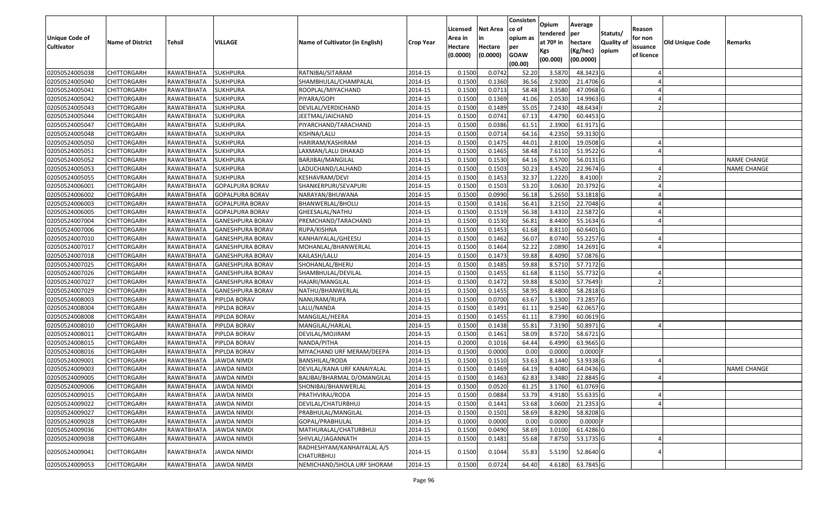| <b>Unique Code of</b> |                         |                        |                         |                                          |                  | Licensed<br>Area in | <b>Net Area</b>     | Consisten<br>ce of<br>opium as | Opium<br>tendered              | Average<br>per                   | Statuts/            | Reason<br>for non      |                        |                    |
|-----------------------|-------------------------|------------------------|-------------------------|------------------------------------------|------------------|---------------------|---------------------|--------------------------------|--------------------------------|----------------------------------|---------------------|------------------------|------------------------|--------------------|
| <b>Cultivator</b>     | <b>Name of District</b> | <b>Tehsil</b>          | VILLAGE                 | Name of Cultivator (in English)          | <b>Crop Year</b> | Hectare<br>(0.0000) | Hectare<br>(0.0000) | per<br><b>GOAW</b><br>(00.00)  | at $70°$ in<br>Kgs<br>(00.000) | hectare<br>(Kg/hec)<br>(00.0000) | Quality of<br>opium | issuance<br>of licence | <b>Old Unique Code</b> | Remarks            |
| 02050524005038        | <b>CHITTORGARH</b>      | RAWATBHATA             | <b>SUKHPURA</b>         | RATNIBAI/SITARAM                         | 2014-15          | 0.1500              | 0.0742              | 52.20                          | 3.5870                         | 48.3423 G                        |                     |                        |                        |                    |
| 02050524005040        | CHITTORGARH             | RAWATBHATA             | <b>SUKHPURA</b>         | SHAMBHULAL/CHAMPALAL                     | 2014-15          | 0.1500              | 0.1360              | 36.56                          | 2.9200                         | 21.4706 G                        |                     |                        |                        |                    |
| 02050524005041        | <b>CHITTORGARH</b>      | RAWATBHATA             | <b>SUKHPURA</b>         | ROOPLAL/MIYACHAND                        | 2014-15          | 0.1500              | 0.0713              | 58.48                          | 3.3580                         | 47.0968 G                        |                     |                        |                        |                    |
| 02050524005042        | <b>CHITTORGARH</b>      | RAWATBHATA             | <b>SUKHPURA</b>         | PIYARA/GOPI                              | 2014-15          | 0.1500              | 0.1369              | 41.06                          | 2.0530                         | 14.9963 G                        |                     |                        |                        |                    |
| 02050524005043        | <b>CHITTORGARH</b>      | RAWATBHATA             | <b>SUKHPURA</b>         | DEVILAL/VERDICHAND                       | 2014-15          | 0.1500              | 0.1489              | 55.05                          | 7.2430                         | 48.6434                          |                     |                        |                        |                    |
| 02050524005044        | <b>CHITTORGARH</b>      | <b>RAWATBHATA</b>      | <b>SUKHPURA</b>         | JEETMAL/JAICHAND                         | 2014-15          | 0.1500              | 0.0741              | 67.13                          | 4.4790                         | 60.4453 G                        |                     |                        |                        |                    |
| 02050524005047        | CHITTORGARH             | RAWATBHATA             | <b>SUKHPURA</b>         | PIYARCHAND/TARACHAND                     | 2014-15          | 0.1500              | 0.0386              | 61.5                           | 2.3900                         | 61.9171 G                        |                     |                        |                        |                    |
| 02050524005048        | <b>CHITTORGARH</b>      | RAWATBHATA             | <b>SUKHPURA</b>         | KISHNA/LALU                              | 2014-15          | 0.1500              | 0.0714              | 64.16                          | 4.2350                         | 59.3130 G                        |                     |                        |                        |                    |
| 02050524005050        | <b>CHITTORGARH</b>      | RAWATBHATA             | <b>SUKHPURA</b>         | HARIRAM/KASHIRAM                         | 2014-15          | 0.1500              | 0.1475              | 44.01                          | 2.8100                         | 19.0508 G                        |                     |                        |                        |                    |
| 02050524005051        | CHITTORGARH             | RAWATBHATA             | <b>SUKHPURA</b>         | LAXMAN/LALU DHAKAD                       | 2014-15          | 0.1500              | 0.1465              | 58.48                          | 7.6110                         | 51.9522 G                        |                     |                        |                        |                    |
| 02050524005052        | <b>CHITTORGARH</b>      | RAWATBHATA             | <b>SUKHPURA</b>         | BARJIBAI/MANGILAL                        | 2014-15          | 0.1500              | 0.1530              | 64.16                          | 8.5700                         | 56.0131 G                        |                     |                        |                        | NAME CHANGE        |
| 02050524005053        | <b>CHITTORGARH</b>      | RAWATBHATA             | <b>SUKHPURA</b>         | LADUCHAND/LALHAND                        | 2014-15          | 0.1500              | 0.1503              | 50.23                          | 3.4520                         | 22.9674 G                        |                     |                        |                        | NAME CHANGE        |
| 02050524005055        | <b>CHITTORGARH</b>      | RAWATBHATA             | <b>SUKHPURA</b>         | KESHAVRAM/DEVI                           | 2014-15          | 0.1500              | 0.1453              | 32.37                          | 1.2220                         | 8.4100                           |                     |                        |                        |                    |
| 02050524006001        | <b>CHITTORGARH</b>      | RAWATBHATA             | <b>GOPALPURA BORAV</b>  | SHANKERPURI/SEVAPURI                     | 2014-15          | 0.1500              | 0.1503              | 53.20                          | 3.0630                         | 20.3792 G                        |                     |                        |                        |                    |
| 02050524006002        | <b>CHITTORGARH</b>      | RAWATBHATA             | <b>GOPALPURA BORAV</b>  | NARAYAN/BHUWANA                          | 2014-15          | 0.1500              | 0.0990              | 56.18                          | 5.2650                         | 53.1818 G                        |                     |                        |                        |                    |
| 02050524006003        | <b>CHITTORGARH</b>      | RAWATBHATA             | <b>GOPALPURA BORAV</b>  | BHANWERLAL/BHOLU                         | 2014-15          | 0.1500              | 0.1416              | 56.41                          | 3.2150                         | 22.7048 G                        |                     |                        |                        |                    |
| 02050524006005        | <b>CHITTORGARH</b>      | RAWATBHATA             | <b>GOPALPURA BORAV</b>  | GHEESALAL/NATHU                          | 2014-15          | 0.1500              | 0.1519              | 56.38                          | 3.4310                         | 22.5872 G                        |                     |                        |                        |                    |
| 02050524007004        | <b>CHITTORGARH</b>      | RAWATBHATA             | <b>GANESHPURA BORAV</b> | PREMCHAND/TARACHAND                      | 2014-15          | 0.1500              | 0.1530              | 56.81                          | 8.4400                         | 55.1634 G                        |                     |                        |                        |                    |
| 02050524007006        | <b>CHITTORGARH</b>      | RAWATBHATA             | <b>GANESHPURA BORAV</b> | RUPA/KISHNA                              | 2014-15          | 0.1500              | 0.1453              | 61.68                          | 8.8110                         | 60.6401 G                        |                     |                        |                        |                    |
| 02050524007010        | <b>CHITTORGARH</b>      | RAWATBHATA             | <b>GANESHPURA BORAV</b> | KANHAIYALAL/GHEESU                       | 2014-15          | 0.1500              | 0.1462              | 56.07                          | 8.0740                         | 55.2257 G                        |                     |                        |                        |                    |
| 02050524007017        | <b>CHITTORGARH</b>      | RAWATBHATA             | <b>GANESHPURA BORAV</b> | MOHANLAL/BHANWERLAL                      | 2014-15          | 0.1500              | 0.1464              | 52.22                          | 2.0890                         | 14.2691 G                        |                     |                        |                        |                    |
| 02050524007018        | <b>CHITTORGARH</b>      | RAWATBHATA             | <b>GANESHPURA BORAV</b> | KAILASH/LALU                             | 2014-15          | 0.1500              | 0.1473              | 59.88                          | 8.4090                         | 57.0876 G                        |                     |                        |                        |                    |
| 02050524007025        | CHITTORGARH             | RAWATBHATA             | <b>GANESHPURA BORAV</b> | SHOHANLAL/BHERU                          | 2014-15          | 0.1500              | 0.1485              | 59.88                          | 8.5710                         | 57.7172 G                        |                     |                        |                        |                    |
| 02050524007026        | <b>CHITTORGARH</b>      | RAWATBHATA             | <b>GANESHPURA BORAV</b> | SHAMBHULAL/DEVILAL                       | 2014-15          | 0.1500              | 0.1455              | 61.68                          | 8.1150                         | 55.7732 G                        |                     |                        |                        |                    |
| 02050524007027        | <b>CHITTORGARH</b>      | RAWATBHATA             | <b>GANESHPURA BORAV</b> | HAJARI/MANGILAL                          | 2014-15          | 0.1500              | 0.1472              | 59.88                          | 8.5030                         | 57.7649                          |                     |                        |                        |                    |
| 02050524007029        | <b>CHITTORGARH</b>      | RAWATBHATA             | <b>GANESHPURA BORAV</b> | NATHU/BHANWERLAL                         | 2014-15          | 0.1500              | 0.1455              | 58.95                          | 8.4800                         | 58.2818 G                        |                     |                        |                        |                    |
| 02050524008003        | CHITTORGARH             | RAWATBHATA             | PIPLDA BORAV            | NANURAM/RUPA                             | 2014-15          | 0.1500              | 0.0700              | 63.67                          | 5.1300                         | 73.2857 G                        |                     |                        |                        |                    |
| 02050524008004        | <b>CHITTORGARH</b>      | RAWATBHATA             | PIPLDA BORAV            | LALU/NANDA                               | 2014-15          | 0.1500              | 0.1491              | 61.11                          | 9.2540                         | 62.0657 G                        |                     |                        |                        |                    |
| 02050524008008        | <b>CHITTORGARH</b>      | RAWATBHATA             | PIPLDA BORAV            | MANGILAL/HEERA                           | 2014-15          | 0.1500              | 0.1455              | 61.11                          | 8.7390                         | 60.0619 G                        |                     |                        |                        |                    |
| 02050524008010        | <b>CHITTORGARH</b>      | RAWATBHATA             | PIPLDA BORAV            | MANGILAL/HARLAL                          | 2014-15          | 0.1500              | 0.1438              | 55.81                          | 7.3190                         | 50.8971 G                        |                     |                        |                        |                    |
| 02050524008011        | <b>CHITTORGARH</b>      | RAWATBHATA             | PIPLDA BORAV            | DEVILAL/MOJIRAM                          | 2014-15          | 0.1500              | 0.1461              | 58.09                          | 8.5720                         | 58.6721 G                        |                     |                        |                        |                    |
| 02050524008015        | CHITTORGARH             | RAWATBHATA             | PIPLDA BORAV            | NANDA/PITHA                              | 2014-15          | 0.2000              | 0.1016              | 64.44                          | 6.4990                         | 63.9665 G                        |                     |                        |                        |                    |
| 02050524008016        | <b>CHITTORGARH</b>      | RAWATBHATA             | PIPLDA BORAV            | MIYACHAND URF MERAM/DEEPA                | 2014-15          | 0.1500              | 0.0000              | 0.00                           | 0.0000                         | $0.0000$ F                       |                     |                        |                        |                    |
| 02050524009001        | CHITTORGARH             | RAWATBHATA             | JAWDA NIMDI             | BANSHILAL/RODA                           | 2014-15          | 0.1500              | 0.1510              | 53.63                          | 8.1440                         | 53.9338 G                        |                     |                        |                        |                    |
| 02050524009003        | CHITTORGARH             | RAWATBHATA             | <b>JAWDA NIMDI</b>      | DEVILAL/KANA URF KANAIYALAL              | 2014-15          | 0.1500              | 0.1469              | 64.19                          | 9.4080                         | 64.0436 G                        |                     |                        |                        | <b>NAME CHANGE</b> |
| 02050524009005        | <b>CHITTORGARH</b>      | RAWATBHATA             | <b>JAWDA NIMDI</b>      | BALIBAI/BHARMAL D/OMANGILAL              | 2014-15          | 0.1500              | 0.1463              | 62.83                          | 3.3480                         | 22.8845 G                        |                     |                        |                        |                    |
| 02050524009006        | <b>CHITTORGARH</b>      | RAWATBHATA JAWDA NIMDI |                         | SHONIBAI/BHANWERLAL                      | 2014-15          | 0.1500              | 0.0520              | 61.25                          | 3.1760                         | 61.0769 G                        |                     |                        |                        |                    |
| 02050524009015        | <b>CHITTORGARH</b>      | RAWATBHATA             | <b>JAWDA NIMDI</b>      | PRATHVIRAJ/RODA                          | 2014-15          | 0.1500              | 0.0884              | 53.79                          | 4.9180                         | 55.6335 G                        |                     |                        |                        |                    |
| 02050524009022        | <b>CHITTORGARH</b>      | RAWATBHATA             | JAWDA NIMDI             | DEVILAL/CHATURBHUJ                       | 2014-15          | 0.1500              | 0.1441              | 53.68                          | 3.0600                         | 21.2353 G                        |                     |                        |                        |                    |
| 02050524009027        | <b>CHITTORGARH</b>      | RAWATBHATA             | <b>JAWDA NIMDI</b>      | PRABHULAL/MANGILAL                       | 2014-15          | 0.1500              | 0.1501              | 58.69                          | 8.8290                         | 58.8208 G                        |                     |                        |                        |                    |
| 02050524009028        | CHITTORGARH             | RAWATBHATA             | <b>JAWDA NIMDI</b>      | GOPAL/PRABHULAL                          | 2014-15          | 0.1000              | 0.0000              | 0.00                           | 0.0000                         | $0.0000$ F                       |                     |                        |                        |                    |
| 02050524009036        | <b>CHITTORGARH</b>      | RAWATBHATA             | <b>JAWDA NIMDI</b>      | MATHURALAL/CHATURBHUJ                    | 2014-15          | 0.1500              | 0.0490              | 58.69                          | 3.0100                         | 61.4286 G                        |                     |                        |                        |                    |
| 02050524009038        | <b>CHITTORGARH</b>      | RAWATBHATA             | <b>JAWDA NIMDI</b>      | SHIVLAL/JAGANNATH                        | 2014-15          | 0.1500              | 0.1481              | 55.68                          | 7.8750                         | 53.1735 G                        |                     |                        |                        |                    |
| 02050524009041        | <b>CHITTORGARH</b>      | RAWATBHATA             | JAWDA NIMDI             | RADHESHYAM/KANHAIYALAL A/S<br>CHATURBHUJ | 2014-15          | 0.1500              | 0.1044              | 55.83                          | 5.5190                         | 52.8640 G                        |                     |                        |                        |                    |
| 02050524009053        | <b>CHITTORGARH</b>      | RAWATBHATA             | <b>JAWDA NIMDI</b>      | NEMICHAND/SHOLA URF SHORAM               | 2014-15          | 0.1500              | 0.0724              | 64.40                          | 4.6180                         | 63.7845 G                        |                     |                        |                        |                    |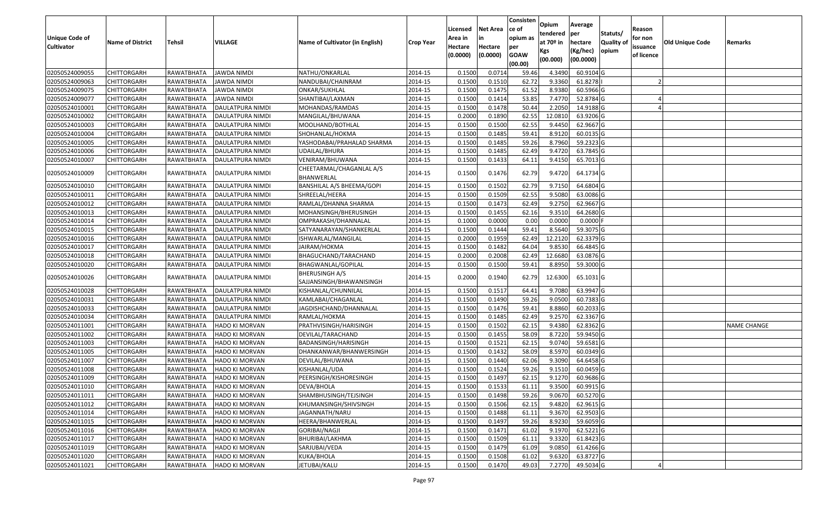| Unique Code of    |                         |            |                         |                                            |                  | Licensed<br>Area in | <b>Net Area</b><br>in | Consisten<br>ce of<br>opium as | Opium<br>tendered              | Average<br>per                   | Statuts/            | Reason<br>for non      |                 |                    |
|-------------------|-------------------------|------------|-------------------------|--------------------------------------------|------------------|---------------------|-----------------------|--------------------------------|--------------------------------|----------------------------------|---------------------|------------------------|-----------------|--------------------|
| <b>Cultivator</b> | <b>Name of District</b> | Tehsil     | VILLAGE                 | Name of Cultivator (in English)            | <b>Crop Year</b> | Hectare<br>(0.0000) | Hectare<br>(0.0000)   | per<br><b>GOAW</b><br>(00.00)  | at $70°$ in<br>Kgs<br>(00.000) | hectare<br>(Kg/hec)<br>(00.0000) | Quality of<br>opium | issuance<br>of licence | Old Unique Code | Remarks            |
| 02050524009055    | <b>CHITTORGARH</b>      | RAWATBHATA | JAWDA NIMDI             | NATHU/ONKARLAL                             | 2014-15          | 0.1500              | 0.0714                | 59.46                          | 4.3490                         | 60.9104 G                        |                     |                        |                 |                    |
| 02050524009063    | <b>CHITTORGARH</b>      | RAWATBHATA | JAWDA NIMDI             | NANDUBAI/CHAINRAM                          | 2014-15          | 0.1500              | 0.1510                | 62.72                          | 9.3360                         | 61.8278                          |                     |                        |                 |                    |
| 02050524009075    | <b>CHITTORGARH</b>      | RAWATBHATA | JAWDA NIMDI             | ONKAR/SUKHLAL                              | 2014-15          | 0.1500              | 0.1475                | 61.52                          | 8.9380                         | 60.5966 G                        |                     |                        |                 |                    |
| 02050524009077    | <b>CHITTORGARH</b>      | RAWATBHATA | <b>JAWDA NIMDI</b>      | SHANTIBAI/LAXMAN                           | 2014-15          | 0.1500              | 0.1414                | 53.85                          | 7.4770                         | 52.8784 G                        |                     |                        |                 |                    |
| 02050524010001    | <b>CHITTORGARH</b>      | RAWATBHATA | DAULATPURA NIMDI        | MOHANDAS/RAMDAS                            | 2014-15          | 0.1500              | 0.1478                | 50.44                          | 2.2050                         | 14.9188 G                        |                     |                        |                 |                    |
| 02050524010002    | <b>CHITTORGARH</b>      | RAWATBHATA | DAULATPURA NIMDI        | MANGILAL/BHUWANA                           | 2014-15          | 0.2000              | 0.1890                | 62.55                          | 12.0810                        | 63.9206 G                        |                     |                        |                 |                    |
| 02050524010003    | CHITTORGARH             | RAWATBHATA | DAULATPURA NIMDI        | MOOLHAND/BOTHLAL                           | 2014-15          | 0.1500              | 0.1500                | 62.55                          | 9.4450                         | 62.9667 G                        |                     |                        |                 |                    |
| 02050524010004    | <b>CHITTORGARH</b>      | RAWATBHATA | DAULATPURA NIMDI        | SHOHANLAL/HOKMA                            | 2014-15          | 0.1500              | 0.1485                | 59.41                          | 8.9120                         | 60.0135 G                        |                     |                        |                 |                    |
| 02050524010005    | <b>CHITTORGARH</b>      | RAWATBHATA | DAULATPURA NIMDI        | YASHODABAI/PRAHALAD SHARMA                 | 2014-15          | 0.1500              | 0.1485                | 59.26                          | 8.7960                         | 59.2323 G                        |                     |                        |                 |                    |
| 02050524010006    | <b>CHITTORGARH</b>      | RAWATBHATA | DAULATPURA NIMDI        | UDAILAL/BHURA                              | 2014-15          | 0.1500              | 0.1485                | 62.49                          | 9.4720                         | 63.7845 G                        |                     |                        |                 |                    |
| 02050524010007    | CHITTORGARH             | RAWATBHATA | DAULATPURA NIMDI        | VENIRAM/BHUWANA                            | 2014-15          | 0.1500              | 0.1433                | 64.11                          | 9.4150                         | 65.7013 G                        |                     |                        |                 |                    |
| 02050524010009    | <b>CHITTORGARH</b>      | RAWATBHATA | DAULATPURA NIMDI        | CHEETARMAL/CHAGANLAL A/S<br>BHANWERLAL     | 2014-15          | 0.1500              | 0.1476                | 62.79                          | 9.4720                         | 64.1734 G                        |                     |                        |                 |                    |
| 02050524010010    | <b>CHITTORGARH</b>      | RAWATBHATA | DAULATPURA NIMDI        | BANSHILAL A/S BHEEMA/GOPI                  | 2014-15          | 0.1500              | 0.1502                | 62.79                          | 9.7150                         | 64.6804 G                        |                     |                        |                 |                    |
| 02050524010011    | CHITTORGARH             | RAWATBHATA | DAULATPURA NIMDI        | SHREELAL/HEERA                             | 2014-15          | 0.1500              | 0.1509                | 62.55                          | 9.5080                         | 63.0086 G                        |                     |                        |                 |                    |
| 02050524010012    | <b>CHITTORGARH</b>      | RAWATBHATA | DAULATPURA NIMDI        | RAMLAL/DHANNA SHARMA                       | 2014-15          | 0.1500              | 0.1473                | 62.49                          | 9.2750                         | 62.9667 G                        |                     |                        |                 |                    |
| 02050524010013    | <b>CHITTORGARH</b>      | RAWATBHATA | DAULATPURA NIMDI        | MOHANSINGH/BHERUSINGH                      | 2014-15          | 0.1500              | 0.1455                | 62.16                          | 9.3510                         | 64.2680 G                        |                     |                        |                 |                    |
| 02050524010014    | <b>CHITTORGARH</b>      | RAWATBHATA | DAULATPURA NIMDI        | OMPRAKASH/DHANNALAL                        | 2014-15          | 0.1000              | 0.0000                | 0.00                           | 0.0000                         | 0.0000                           |                     |                        |                 |                    |
| 02050524010015    | <b>CHITTORGARH</b>      | RAWATBHATA | <b>DAULATPURA NIMDI</b> | SATYANARAYAN/SHANKERLAL                    | 2014-15          | 0.1500              | 0.1444                | 59.41                          | 8.5640                         | 59.3075 G                        |                     |                        |                 |                    |
| 02050524010016    | <b>CHITTORGARH</b>      | RAWATBHATA | DAULATPURA NIMDI        | ISHWARLAL/MANGILAL                         | 2014-15          | 0.2000              | 0.1959                | 62.49                          | 12.2120                        | 62.3379 G                        |                     |                        |                 |                    |
| 02050524010017    | <b>CHITTORGARH</b>      | RAWATBHATA | DAULATPURA NIMDI        | JAIRAM/HOKMA                               | 2014-15          | 0.1500              | 0.1482                | 64.04                          | 9.8530                         | 66.4845 G                        |                     |                        |                 |                    |
| 02050524010018    | <b>CHITTORGARH</b>      | RAWATBHATA | DAULATPURA NIMDI        | BHAGUCHAND/TARACHAND                       | 2014-15          | 0.2000              | 0.2008                | 62.49                          | 12.6680                        | 63.0876 G                        |                     |                        |                 |                    |
| 02050524010020    | <b>CHITTORGARH</b>      | RAWATBHATA | DAULATPURA NIMDI        | BHAGWANLAL/GOPILAL                         | 2014-15          | 0.1500              | 0.1500                | 59.41                          | 8.8950                         | 59.3000 G                        |                     |                        |                 |                    |
| 02050524010026    | <b>CHITTORGARH</b>      | RAWATBHATA | DAULATPURA NIMDI        | BHERUSINGH A/S<br>SAJJANSINGH/BHAWANISINGH | 2014-15          | 0.2000              | 0.1940                | 62.79                          | 12.6300                        | 65.1031 G                        |                     |                        |                 |                    |
| 02050524010028    | <b>CHITTORGARH</b>      | RAWATBHATA | DAULATPURA NIMDI        | KISHANLAL/CHUNNILAL                        | 2014-15          | 0.1500              | 0.1517                | 64.41                          | 9.7080                         | 63.9947 G                        |                     |                        |                 |                    |
| 02050524010031    | <b>CHITTORGARH</b>      | RAWATBHATA | DAULATPURA NIMDI        | KAMLABAI/CHAGANLAL                         | 2014-15          | 0.1500              | 0.1490                | 59.26                          | 9.0500                         | 60.7383 G                        |                     |                        |                 |                    |
| 02050524010033    | CHITTORGARH             | RAWATBHATA | DAULATPURA NIMDI        | JAGDISHCHAND/DHANNALAL                     | 2014-15          | 0.1500              | 0.1476                | 59.41                          | 8.8860                         | 60.2033 G                        |                     |                        |                 |                    |
| 02050524010034    | <b>CHITTORGARH</b>      | RAWATBHATA | DAULATPURA NIMDI        | RAMLAL/HOKMA                               | 2014-15          | 0.1500              | 0.1485                | 62.49                          | 9.2570                         | 62.3367 G                        |                     |                        |                 |                    |
| 02050524011001    | <b>CHITTORGARH</b>      | RAWATBHATA | HADO KI MORVAN          | PRATHVISINGH/HARISINGH                     | 2014-15          | 0.1500              | 0.1502                | 62.15                          | 9.4380                         | 62.8362 G                        |                     |                        |                 | <b>NAME CHANGE</b> |
| 02050524011002    | <b>CHITTORGARH</b>      | RAWATBHATA | HADO KI MORVAN          | DEVILAL/TARACHAND                          | 2014-15          | 0.1500              | 0.1455                | 58.09                          | 8.7220                         | 59.9450 G                        |                     |                        |                 |                    |
| 02050524011003    | <b>CHITTORGARH</b>      | RAWATBHATA | <b>HADO KI MORVAN</b>   | BADANSINGH/HARISINGH                       | 2014-15          | 0.1500              | 0.1521                | 62.15                          | 9.0740                         | 59.6581G                         |                     |                        |                 |                    |
| 02050524011005    | <b>CHITTORGARH</b>      | RAWATBHATA | <b>HADO KI MORVAN</b>   | DHANKANWAR/BHANWERSINGH                    | 2014-15          | 0.1500              | 0.1432                | 58.09                          | 8.5970                         | 60.0349 G                        |                     |                        |                 |                    |
| 02050524011007    | <b>CHITTORGARH</b>      | RAWATBHATA | HADO KI MORVAN          | DEVILAL/BHUWANA                            | 2014-15          | 0.1500              | 0.1440                | 62.06                          | 9.3090                         | 64.6458 G                        |                     |                        |                 |                    |
| 02050524011008    | <b>CHITTORGARH</b>      | RAWATBHATA | HADO KI MORVAN          | KISHANLAL/UDA                              | 2014-15          | 0.1500              | 0.1524                | 59.26                          | 9.1510                         | 60.0459 G                        |                     |                        |                 |                    |
| 02050524011009    | <b>CHITTORGARH</b>      | RAWATBHATA | <b>HADO KI MORVAN</b>   | PEERSINGH/KISHORESINGH                     | 2014-15          | 0.1500              | 0.1497                | 62.15                          | 9.1270                         | 60.9686 G                        |                     |                        |                 |                    |
| 02050524011010    | <b>CHITTORGARH</b>      | RAWATBHATA | <b>HADO KI MORVAN</b>   | DEVA/BHOLA                                 | 2014-15          | 0.1500              | 0.1533                | 61.11                          | 9.3500                         | 60.9915 G                        |                     |                        |                 |                    |
| 02050524011011    | <b>CHITTORGARH</b>      | RAWATBHATA | HADO KI MORVAN          | SHAMBHUSINGH/TEJSINGH                      | 2014-15          | 0.1500              | 0.1498                | 59.26                          | 9.0670                         | 60.5270 G                        |                     |                        |                 |                    |
| 02050524011012    | <b>CHITTORGARH</b>      | RAWATBHATA | HADO KI MORVAN          | KHUMANSINGH/SHIVSINGH                      | 2014-15          | 0.1500              | 0.1506                | 62.15                          | 9.4820                         | 62.9615 G                        |                     |                        |                 |                    |
| 02050524011014    | <b>CHITTORGARH</b>      | RAWATBHATA | HADO KI MORVAN          | JAGANNATH/NARU                             | 2014-15          | 0.1500              | 0.1488                | 61.11                          | 9.3670                         | 62.9503 G                        |                     |                        |                 |                    |
| 02050524011015    | <b>CHITTORGARH</b>      | RAWATBHATA | HADO KI MORVAN          | HEERA/BHANWERLAL                           | 2014-15          | 0.1500              | 0.1497                | 59.26                          | 8.9230                         | 59.6059 G                        |                     |                        |                 |                    |
| 02050524011016    | <b>CHITTORGARH</b>      | RAWATBHATA | <b>HADO KI MORVAN</b>   | GORIBAI/NAGJI                              | 2014-15          | 0.1500              | 0.1471                | 61.02                          | 9.1970                         | $62.5221$ G                      |                     |                        |                 |                    |
| 02050524011017    | <b>CHITTORGARH</b>      | RAWATBHATA | HADO KI MORVAN          | BHURIBAI/LAKHMA                            | 2014-15          | 0.1500              | 0.1509                | 61.11                          | 9.3320                         | 61.8423 G                        |                     |                        |                 |                    |
| 02050524011019    | <b>CHITTORGARH</b>      | RAWATBHATA | <b>HADO KI MORVAN</b>   | SARJUBAI/VEDA                              | 2014-15          | 0.1500              | 0.1479                | 61.09                          | 9.0850                         | 61.4266 G                        |                     |                        |                 |                    |
| 02050524011020    | <b>CHITTORGARH</b>      | RAWATBHATA | <b>HADO KI MORVAN</b>   | KUKA/BHOLA                                 | 2014-15          | 0.1500              | 0.1508                | 61.02                          | 9.6320                         | 63.8727 G                        |                     |                        |                 |                    |
| 02050524011021    | <b>CHITTORGARH</b>      | RAWATBHATA | HADO KI MORVAN          | JETUBAI/KALU                               | 2014-15          | 0.1500              | 0.1470                | 49.03                          | 7.2770                         | 49.5034 G                        |                     |                        |                 |                    |
|                   |                         |            |                         |                                            |                  |                     |                       |                                |                                |                                  |                     |                        |                 |                    |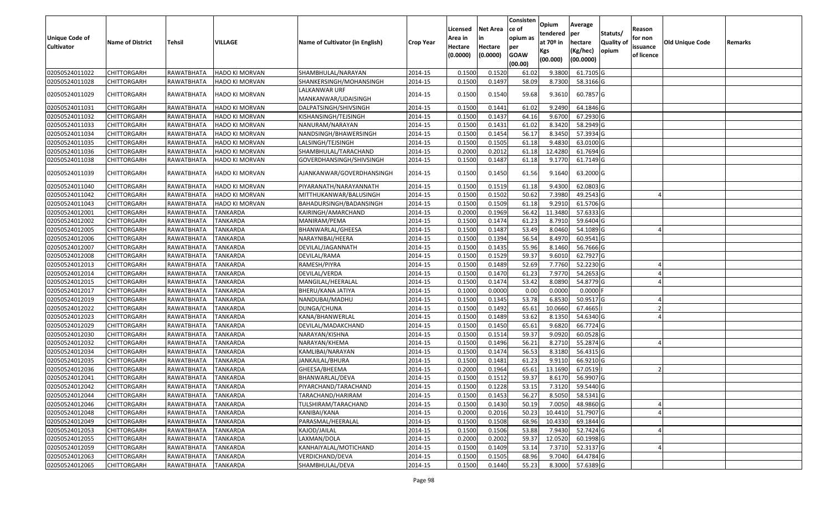|                   |                         |                   |                       |                                      |                  | Licensed | <b>Net Area</b> | Consisten<br>ce of | Opium                   | Average               |                  | Reason     |                 |         |
|-------------------|-------------------------|-------------------|-----------------------|--------------------------------------|------------------|----------|-----------------|--------------------|-------------------------|-----------------------|------------------|------------|-----------------|---------|
| Unique Code of    |                         |                   |                       |                                      |                  | Area in  | in              | opium as           | tendered<br>at $70°$ in | per                   | Statuts/         | for non    |                 |         |
| <b>Cultivator</b> | <b>Name of District</b> | <b>Tehsil</b>     | VILLAGE               | Name of Cultivator (in English)      | <b>Crop Year</b> | Hectare  | Hectare         | per                |                         | hectare               | <b>Quality o</b> | issuance   | Old Unique Code | Remarks |
|                   |                         |                   |                       |                                      |                  | (0.0000) | (0.0000)        | <b>GOAW</b>        | Kgs<br>(00.000)         | (Kg/hec)<br>(00.0000) | opium            | of licence |                 |         |
|                   |                         |                   |                       |                                      |                  |          |                 | (00.00)            |                         |                       |                  |            |                 |         |
| 02050524011022    | CHITTORGARH             | RAWATBHATA        | <b>HADO KI MORVAN</b> | SHAMBHULAL/NARAYAN                   | 2014-15          | 0.1500   | 0.1520          | 61.02              | 9.3800                  | 61.7105 G             |                  |            |                 |         |
| 02050524011028    | CHITTORGARH             | RAWATBHATA        | <b>HADO KI MORVAN</b> | SHANKERSINGH/MOHANSINGH              | 2014-15          | 0.1500   | 0.1497          | 58.09              | 8.7300                  | 58.3166 G             |                  |            |                 |         |
| 02050524011029    | CHITTORGARH             | RAWATBHATA        | HADO KI MORVAN        | LALKANWAR URF<br>MANKANWAR/UDAISINGH | 2014-15          | 0.1500   | 0.1540          | 59.68              | 9.3610                  | 60.7857 G             |                  |            |                 |         |
| 02050524011031    | <b>CHITTORGARH</b>      | RAWATBHATA        | HADO KI MORVAN        | DALPATSINGH/SHIVSINGH                | 2014-15          | 0.150    | 0.1441          | 61.02              | 9.2490                  | 64.1846 G             |                  |            |                 |         |
| 02050524011032    | CHITTORGARH             | RAWATBHATA        | HADO KI MORVAN        | KISHANSINGH/TEJSINGH                 | 2014-15          | 0.1500   | 0.1437          | 64.16              | 9.6700                  | 67.2930 G             |                  |            |                 |         |
| 02050524011033    | CHITTORGARH             | RAWATBHATA        | HADO KI MORVAN        | NANURAM/NARAYAN                      | 2014-15          | 0.1500   | 0.1431          | 61.02              | 8.3420                  | 58.2949 G             |                  |            |                 |         |
| 02050524011034    | <b>CHITTORGARH</b>      | RAWATBHATA        | <b>HADO KI MORVAN</b> | NANDSINGH/BHAWERSINGH                | 2014-15          | 0.1500   | 0.1454          | 56.17              | 8.3450                  | 57.3934 G             |                  |            |                 |         |
| 02050524011035    | <b>CHITTORGARH</b>      | RAWATBHATA        | HADO KI MORVAN        | LALSINGH/TEJSINGH                    | 2014-15          | 0.1500   | 0.1505          | 61.18              | 9.4830                  | 63.0100G              |                  |            |                 |         |
| 02050524011036    | CHITTORGARH             | RAWATBHATA        | HADO KI MORVAN        | SHAMBHULAL/TARACHAND                 | 2014-15          | 0.2000   | 0.2012          | 61.18              | 12.4280                 | 61.7694 G             |                  |            |                 |         |
| 02050524011038    | CHITTORGARH             | RAWATBHATA        | <b>HADO KI MORVAN</b> | GOVERDHANSINGH/SHIVSINGH             | 2014-15          | 0.1500   | 0.1487          | 61.18              | 9.1770                  | 61.7149 G             |                  |            |                 |         |
| 02050524011039    | CHITTORGARH             | RAWATBHATA        | <b>HADO KI MORVAN</b> | AJANKANWAR/GOVERDHANSINGH            | 2014-15          | 0.1500   | 0.1450          | 61.56              | 9.1640                  | 63.2000 G             |                  |            |                 |         |
| 02050524011040    | CHITTORGARH             | RAWATBHATA        | <b>HADO KI MORVAN</b> | PIYARANATH/NARAYANNATH               | 2014-15          | 0.150    | 0.1519          | 61.18              | 9.4300                  | 62.0803 G             |                  |            |                 |         |
| 02050524011042    | CHITTORGARH             | RAWATBHATA        | HADO KI MORVAN        | MITTHUKANWAR/BALUSINGH               | 2014-15          | 0.1500   | 0.1502          | 50.62              | 7.3980                  | 49.2543 G             |                  |            |                 |         |
| 02050524011043    | CHITTORGARH             | RAWATBHATA        | HADO KI MORVAN        | BAHADURSINGH/BADANSINGH              | 2014-15          | 0.1500   | 0.1509          | 61.18              | 9.2910                  | 61.5706 G             |                  |            |                 |         |
| 02050524012001    | CHITTORGARH             | RAWATBHATA        | <b>TANKARDA</b>       | KAIRINGH/AMARCHAND                   | 2014-15          | 0.2000   | 0.1969          | 56.42              | 11.3480                 | 57.6333 G             |                  |            |                 |         |
| 02050524012002    | CHITTORGARH             | RAWATBHATA        | <b>TANKARDA</b>       | MANIRAM/PEMA                         | 2014-15          | 0.150    | 0.1474          | 61.23              | 8.7910                  | 59.6404 G             |                  |            |                 |         |
| 02050524012005    | CHITTORGARH             | <b>RAWATBHATA</b> | <b>TANKARDA</b>       | BHANWARLAL/GHEESA                    | 2014-15          | 0.1500   | 0.1487          | 53.49              | 8.0460                  | 54.1089 G             |                  |            |                 |         |
| 02050524012006    | CHITTORGARH             | RAWATBHATA        | <b>TANKARDA</b>       | NARAYNIBAI/HEERA                     | 2014-15          | 0.1500   | 0.1394          | 56.54              | 8.4970                  | 60.9541 G             |                  |            |                 |         |
| 02050524012007    | <b>CHITTORGARH</b>      | RAWATBHATA        | <b>TANKARDA</b>       | DEVILAL/JAGANNATH                    | 2014-15          | 0.1500   | 0.1435          | 55.96              | 8.1460                  | 56.7666 G             |                  |            |                 |         |
| 02050524012008    | CHITTORGARH             | RAWATBHATA        | <b>TANKARDA</b>       | DEVILAL/RAMA                         | 2014-15          | 0.1500   | 0.1529          | 59.37              | 9.6010                  | 62.7927 G             |                  |            |                 |         |
| 02050524012013    | CHITTORGARH             | RAWATBHATA        | <b>TANKARDA</b>       | RAMESH/PIYRA                         | 2014-15          | 0.1500   | 0.1489          | 52.69              | 7.7760                  | 52.2230 G             |                  |            |                 |         |
| 02050524012014    | CHITTORGARH             | RAWATBHATA        | <b>TANKARDA</b>       | DEVILAL/VERDA                        | 2014-15          | 0.1500   | 0.1470          | 61.23              | 7.9770                  | 54.2653 G             |                  |            |                 |         |
| 02050524012015    | CHITTORGARH             | RAWATBHATA        | <b>TANKARDA</b>       | MANGILAL/HEERALAL                    | 2014-15          | 0.1500   | 0.1474          | 53.42              | 8.0890                  | 54.8779 G             |                  |            |                 |         |
| 02050524012017    | CHITTORGARH             | RAWATBHATA        | <b>TANKARDA</b>       | BHERU/KANA JATIYA                    | 2014-15          | 0.1000   | 0.0000          | 0.00               | 0.0000                  | $0.0000$ F            |                  |            |                 |         |
| 02050524012019    | CHITTORGARH             | RAWATBHATA        | <b>TANKARDA</b>       | NANDUBAI/MADHU                       | 2014-15          | 0.1500   | 0.1345          | 53.78              | 6.8530                  | 50.9517 G             |                  |            |                 |         |
| 02050524012022    | CHITTORGARH             | RAWATBHATA        | TANKARDA              | DUNGA/CHUNA                          | 2014-15          | 0.1500   | 0.1492          | 65.61              | 10.0660                 | 67.4665               |                  |            |                 |         |
| 02050524012023    | CHITTORGARH             | RAWATBHATA        | <b>TANKARDA</b>       | KANA/BHANWERLAL                      | 2014-15          | 0.1500   | 0.1489          | 53.62              | 8.1350                  | 54.6340 G             |                  |            |                 |         |
| 02050524012029    | CHITTORGARH             | RAWATBHATA        | <b>TANKARDA</b>       | DEVILAL/MADAKCHAND                   | 2014-15          | 0.1500   | 0.1450          | 65.61              | 9.6820                  | 66.7724 G             |                  |            |                 |         |
| 02050524012030    | CHITTORGARH             | RAWATBHATA        | TANKARDA              | NARAYAN/KISHNA                       | 2014-15          | 0.1500   | 0.1514          | 59.37              | 9.0920                  | 60.0528 G             |                  |            |                 |         |
| 02050524012032    | CHITTORGARH             | RAWATBHATA        | <b>TANKARDA</b>       | NARAYAN/KHEMA                        | 2014-15          | 0.1500   | 0.1496          | 56.21              | 8.2710                  | 55.2874 G             |                  |            |                 |         |
| 02050524012034    | <b>CHITTORGARH</b>      | RAWATBHATA        | <b>TANKARDA</b>       | KAMLIBAI/NARAYAN                     | 2014-15          | 0.1500   | 0.1474          | 56.53              | 8.3180                  | 56.4315 G             |                  |            |                 |         |
| 02050524012035    | <b>CHITTORGARH</b>      | RAWATBHATA        | <b>TANKARDA</b>       | JANKAILAL/BHURA                      | 2014-15          | 0.1500   | 0.1481          | 61.23              | 9.9110                  | 66.9210G              |                  |            |                 |         |
| 02050524012036    | CHITTORGARH             | RAWATBHATA        | <b>TANKARDA</b>       | GHEESA/BHEEMA                        | 2014-15          | 0.2000   | 0.1964          | 65.61              | 13.1690                 | 67.0519               |                  |            |                 |         |
| 02050524012041    | CHITTORGARH             | RAWATBHATA        | <b>TANKARDA</b>       | BHANWARLAL/DEVA                      | 2014-15          | 0.1500   | 0.1512          | 59.37              | 8.6170                  | 56.9907 G             |                  |            |                 |         |
| 02050524012042    | <b>CHITTORGARH</b>      | RAWATBHATA        | TANKARDA              | PIYARCHAND/TARACHAND                 | 2014-15          | 0.1500   | 0.1228          | 53.15              | 7.3120                  | 59.5440 G             |                  |            |                 |         |
| 02050524012044    | <b>CHITTORGARH</b>      | RAWATBHATA        | TANKARDA              | TARACHAND/HARIRAM                    | 2014-15          | 0.1500   | 0.1453          | 56.27              | 8.5050                  | 58.5341 G             |                  |            |                 |         |
| 02050524012046    | <b>CHITTORGARH</b>      | RAWATBHATA        | <b>TANKARDA</b>       | TULSHIRAM/TARACHAND                  | 2014-15          | 0.1500   | 0.1430          | 50.19              | 7.0050                  | 48.9860 G             |                  |            |                 |         |
| 02050524012048    | <b>CHITTORGARH</b>      | RAWATBHATA        | <b>TANKARDA</b>       | KANIBAI/KANA                         | 2014-15          | 0.2000   | 0.2016          | 50.23              | 10.4410                 | 51.7907 G             |                  |            |                 |         |
| 02050524012049    | <b>CHITTORGARH</b>      | RAWATBHATA        | <b>TANKARDA</b>       | PARASMAL/HEERALAL                    | 2014-15          | 0.1500   | 0.1508          | 68.96              | 10.4330                 | 69.1844 G             |                  |            |                 |         |
| 02050524012053    | <b>CHITTORGARH</b>      | RAWATBHATA        | <b>TANKARDA</b>       | KAJOD/JAILAL                         | 2014-15          | 0.1500   | 0.1506          | 53.88              | 7.9430                  | 52.7424 G             |                  |            |                 |         |
| 02050524012055    | <b>CHITTORGARH</b>      | RAWATBHATA        | <b>TANKARDA</b>       | LAXMAN/DOLA                          | 2014-15          | 0.2000   | 0.2002          | 59.37              | 12.0520                 | 60.1998 G             |                  |            |                 |         |
| 02050524012059    | <b>CHITTORGARH</b>      | RAWATBHATA        | TANKARDA              | KANHAIYALAL/MOTICHAND                | 2014-15          | 0.1500   | 0.1409          | 53.14              | 7.3710                  | 52.3137 G             |                  |            |                 |         |
| 02050524012063    | <b>CHITTORGARH</b>      | RAWATBHATA        | <b>TANKARDA</b>       | VERDICHAND/DEVA                      | 2014-15          | 0.1500   | 0.1505          | 68.96              | 9.7040                  | 64.4784 G             |                  |            |                 |         |
| 02050524012065    | <b>CHITTORGARH</b>      | RAWATBHATA        | <b>TANKARDA</b>       | SHAMBHULAL/DEVA                      | 2014-15          | 0.1500   | 0.1440          | 55.23              | 8.3000                  | 57.6389 G             |                  |            |                 |         |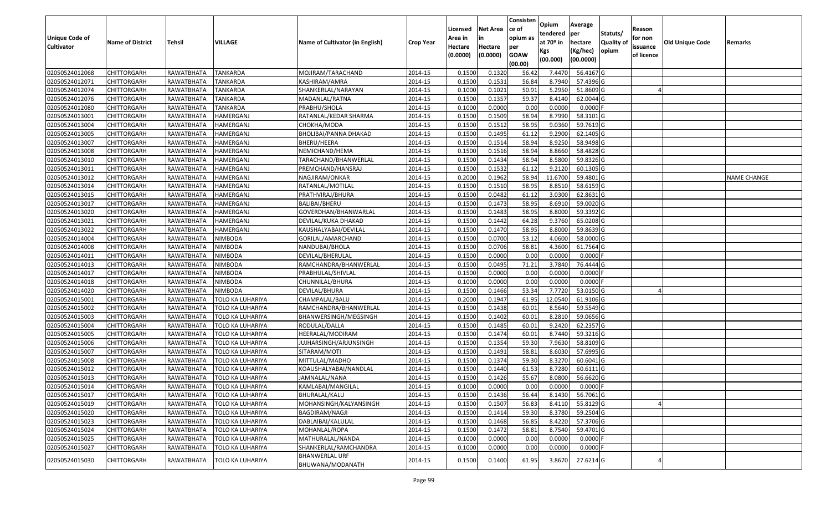| <b>Unique Code of</b><br><b>Cultivator</b> | <b>Name of District</b> | Tehsil     | VILLAGE                 | <b>Name of Cultivator (in English)</b>    | <b>Crop Year</b> | Licensed<br>Area in<br>Hectare<br>(0.0000) | <b>Net Area</b><br>in<br>Hectare<br>(0.0000) | Consisten<br>ce of<br>opium as<br>per<br><b>GOAW</b><br>(00.00) | Opium<br>tendered<br>at 70º in<br>Kgs<br>(00.000) | Average<br>per<br>hectare<br>(Kg/hec)<br>(00.0000) | Statuts/<br>Quality of<br>opium | Reason<br>for non<br>issuance<br>of licence | <b>Old Unique Code</b> | Remarks            |
|--------------------------------------------|-------------------------|------------|-------------------------|-------------------------------------------|------------------|--------------------------------------------|----------------------------------------------|-----------------------------------------------------------------|---------------------------------------------------|----------------------------------------------------|---------------------------------|---------------------------------------------|------------------------|--------------------|
| 02050524012068                             | <b>CHITTORGARH</b>      | RAWATBHATA | TANKARDA                | MOJIRAM/TARACHAND                         | 2014-15          | 0.1500                                     | 0.1320                                       | 56.42                                                           | 7.4470                                            | 56.4167 G                                          |                                 |                                             |                        |                    |
| 02050524012071                             | CHITTORGARH             | RAWATBHATA | <b>TANKARDA</b>         | KASHIRAM/AMRA                             | 2014-15          | 0.1500                                     | 0.1531                                       | 56.84                                                           | 8.7940                                            | 57.4396 G                                          |                                 |                                             |                        |                    |
| 02050524012074                             | CHITTORGARH             | RAWATBHATA | TANKARDA                | SHANKERLAL/NARAYAN                        | 2014-15          | 0.1000                                     | 0.1021                                       | 50.91                                                           | 5.2950                                            | 51.8609 G                                          |                                 |                                             |                        |                    |
| 02050524012076                             | <b>CHITTORGARH</b>      | RAWATBHATA | <b>TANKARDA</b>         | MADANLAL/RATNA                            | 2014-15          | 0.1500                                     | 0.1357                                       | 59.37                                                           | 8.4140                                            | 62.0044 G                                          |                                 |                                             |                        |                    |
| 02050524012080                             | <b>CHITTORGARH</b>      | RAWATBHATA | <b>TANKARDA</b>         | PRABHU/SHOLA                              | 2014-15          | 0.1000                                     | 0.0000                                       | 0.00                                                            | 0.0000                                            | 0.0000                                             |                                 |                                             |                        |                    |
| 02050524013001                             | <b>CHITTORGARH</b>      | RAWATBHATA | HAMERGANJ               | RATANLAL/KEDAR SHARMA                     | 2014-15          | 0.1500                                     | 0.1509                                       | 58.94                                                           | 8.7990                                            | 58.3101 G                                          |                                 |                                             |                        |                    |
| 02050524013004                             | CHITTORGARH             | RAWATBHATA | <b>HAMERGANJ</b>        | СНОКНА/МОDА                               | 2014-15          | 0.1500                                     | 0.1512                                       | 58.95                                                           | 9.0360                                            | 59.7619 G                                          |                                 |                                             |                        |                    |
| 02050524013005                             | <b>CHITTORGARH</b>      | RAWATBHATA | <b>HAMERGANJ</b>        | BHOLIBAI/PANNA DHAKAD                     | 2014-15          | 0.1500                                     | 0.1495                                       | 61.12                                                           | 9.2900                                            | 62.1405 G                                          |                                 |                                             |                        |                    |
| 02050524013007                             | <b>CHITTORGARH</b>      | RAWATBHATA | <b>HAMERGANJ</b>        | BHERU/HEERA                               | 2014-15          | 0.1500                                     | 0.1514                                       | 58.94                                                           | 8.9250                                            | 58.9498 G                                          |                                 |                                             |                        |                    |
| 02050524013008                             | <b>CHITTORGARH</b>      | RAWATBHATA | <b>HAMERGANJ</b>        | NEMICHAND/HEMA                            | 2014-15          | 0.1500                                     | 0.1516                                       | 58.94                                                           | 8.8660                                            | 58.4828 G                                          |                                 |                                             |                        |                    |
| 02050524013010                             | <b>CHITTORGARH</b>      | RAWATBHATA | <b>HAMERGANJ</b>        | TARACHAND/BHANWERLAL                      | 2014-15          | 0.1500                                     | 0.1434                                       | 58.94                                                           | 8.5800                                            | 59.8326 G                                          |                                 |                                             |                        |                    |
| 02050524013011                             | <b>CHITTORGARH</b>      | RAWATBHATA | HAMERGANJ               | PREMCHAND/HANSRAJ                         | 2014-15          | 0.1500                                     | 0.1532                                       | 61.12                                                           | 9.2120                                            | 60.1305 G                                          |                                 |                                             |                        |                    |
| 02050524013012                             | <b>CHITTORGARH</b>      | RAWATBHATA | <b>HAMERGANJ</b>        | NAGJIRAM/ONKAR                            | 2014-15          | 0.2000                                     | 0.1962                                       | 58.94                                                           | 11.6700                                           | 59.4801G                                           |                                 |                                             |                        | <b>NAME CHANGE</b> |
| 02050524013014                             | <b>CHITTORGARH</b>      | RAWATBHATA | HAMERGANJ               | RATANLAL/MOTILAL                          | 2014-15          | 0.1500                                     | 0.1510                                       | 58.9                                                            | 8.8510                                            | 58.6159 G                                          |                                 |                                             |                        |                    |
| 02050524013015                             | <b>CHITTORGARH</b>      | RAWATBHATA | <b>HAMERGANJ</b>        | PRATHVIRAJ/BHURA                          | 2014-15          | 0.1500                                     | 0.0482                                       | 61.12                                                           | 3.0300                                            | 62.8631 G                                          |                                 |                                             |                        |                    |
| 02050524013017                             | <b>CHITTORGARH</b>      | RAWATBHATA | HAMERGANJ               | BALIBAI/BHERU                             | 2014-15          | 0.1500                                     | 0.1473                                       | 58.95                                                           | 8.6910                                            | 59.0020 G                                          |                                 |                                             |                        |                    |
| 02050524013020                             | <b>CHITTORGARH</b>      | RAWATBHATA | <b>HAMERGANJ</b>        | GOVERDHAN/BHANWARLAL                      | 2014-15          | 0.1500                                     | 0.1483                                       | 58.95                                                           | 8.8000                                            | 59.3392 G                                          |                                 |                                             |                        |                    |
| 02050524013021                             | <b>CHITTORGARH</b>      | RAWATBHATA | <b>HAMERGANJ</b>        | DEVILAL/KUKA DHAKAD                       | 2014-15          | 0.1500                                     | 0.1442                                       | 64.28                                                           | 9.3760                                            | 65.0208 G                                          |                                 |                                             |                        |                    |
| 02050524013022                             | <b>CHITTORGARH</b>      | RAWATBHATA | HAMERGANJ               | KAUSHALYABAI/DEVILAL                      | 2014-15          | 0.1500                                     | 0.1470                                       | 58.95                                                           | 8.8000                                            | 59.8639 G                                          |                                 |                                             |                        |                    |
| 02050524014004                             | <b>CHITTORGARH</b>      | RAWATBHATA | NIMBODA                 | GORILAL/AMARCHAND                         | 2014-15          | 0.1500                                     | 0.0700                                       | 53.12                                                           | 4.0600                                            | 58.0000 G                                          |                                 |                                             |                        |                    |
| 02050524014008                             | <b>CHITTORGARH</b>      | RAWATBHATA | <b>NIMBODA</b>          | NANDUBAI/BHOLA                            | 2014-15          | 0.1500                                     | 0.0706                                       | 58.81                                                           | 4.3600                                            | 61.7564 G                                          |                                 |                                             |                        |                    |
| 02050524014011                             | <b>CHITTORGARH</b>      | RAWATBHATA | <b>NIMBODA</b>          | DEVILAL/BHERULAL                          | 2014-15          | 0.1500                                     | 0.0000                                       | 0.00                                                            | 0.0000                                            | 0.0000                                             |                                 |                                             |                        |                    |
| 02050524014013                             | <b>CHITTORGARH</b>      | RAWATBHATA | <b>NIMBODA</b>          | RAMCHANDRA/BHANWERLAL                     | 2014-15          | 0.1500                                     | 0.0495                                       | 71.21                                                           | 3.7840                                            | 76.4444 G                                          |                                 |                                             |                        |                    |
| 02050524014017                             | <b>CHITTORGARH</b>      | RAWATBHATA | <b>NIMBODA</b>          | PRABHULAL/SHIVLAL                         | 2014-15          | 0.1500                                     | 0.0000                                       | 0.00                                                            | 0.0000                                            | 0.0000                                             |                                 |                                             |                        |                    |
| 02050524014018                             | <b>CHITTORGARH</b>      | RAWATBHATA | <b>NIMBODA</b>          | CHUNNILAL/BHURA                           | 2014-15          | 0.1000                                     | 0.0000                                       | 0.00                                                            | 0.0000                                            | 0.0000                                             |                                 |                                             |                        |                    |
| 02050524014020                             | CHITTORGARH             | RAWATBHATA | <b>NIMBODA</b>          | DEVILAL/BHURA                             | 2014-15          | 0.1500                                     | 0.1466                                       | 53.34                                                           | 7.7720                                            | 53.0150 G                                          |                                 |                                             |                        |                    |
| 02050524015001                             | <b>CHITTORGARH</b>      | RAWATBHATA | TOLO KA LUHARIYA        | CHAMPALAL/BALU                            | 2014-15          | 0.2000                                     | 0.1947                                       | 61.95                                                           | 12.0540                                           | 61.9106 G                                          |                                 |                                             |                        |                    |
| 02050524015002                             | CHITTORGARH             | RAWATBHATA | TOLO KA LUHARIYA        | RAMCHANDRA/BHANWERLAL                     | 2014-15          | 0.1500                                     | 0.1438                                       | 60.01                                                           | 8.5640                                            | 59.5549 G                                          |                                 |                                             |                        |                    |
| 02050524015003                             | <b>CHITTORGARH</b>      | RAWATBHATA | TOLO KA LUHARIYA        | BHANWERSINGH/MEGSINGH                     | 2014-15          | 0.1500                                     | 0.1402                                       | 60.01                                                           | 8.2810                                            | 59.0656 G                                          |                                 |                                             |                        |                    |
| 02050524015004                             | <b>CHITTORGARH</b>      | RAWATBHATA | TOLO KA LUHARIYA        | RODULAL/DALLA                             | 2014-15          | 0.1500                                     | 0.1485                                       | 60.01                                                           | 9.2420                                            | 62.2357 G                                          |                                 |                                             |                        |                    |
| 02050524015005                             | <b>CHITTORGARH</b>      | RAWATBHATA | TOLO KA LUHARIYA        | HEERALAL/MODIRAM                          | 2014-15          | 0.1500                                     | 0.1474                                       | 60.01                                                           | 8.7440                                            | 59.3216 G                                          |                                 |                                             |                        |                    |
| 02050524015006                             | CHITTORGARH             | RAWATBHATA | TOLO KA LUHARIYA        | JUJHARSINGH/ARJUNSINGH                    | 2014-15          | 0.1500                                     | 0.1354                                       | 59.30                                                           | 7.9630                                            | 58.8109 G                                          |                                 |                                             |                        |                    |
| 02050524015007                             | <b>CHITTORGARH</b>      | RAWATBHATA | TOLO KA LUHARIYA        | SITARAM/MOTI                              | 2014-15          | 0.1500                                     | 0.1491                                       | 58.81                                                           | 8.6030                                            | 57.6995 G                                          |                                 |                                             |                        |                    |
| 02050524015008                             | <b>CHITTORGARH</b>      | RAWATBHATA | TOLO KA LUHARIYA        | MITTULAL/MADHO                            | 2014-15          | 0.1500                                     | 0.1374                                       | 59.30                                                           | 8.3270                                            | 60.6041 G                                          |                                 |                                             |                        |                    |
| 02050524015012                             | CHITTORGARH             | RAWATBHATA | TOLO KA LUHARIYA        | KOAUSHALYABAI/NANDLAL                     | 2014-15          | 0.150                                      | 0.1440                                       | 61.53                                                           | 8.7280                                            | 60.6111 G                                          |                                 |                                             |                        |                    |
| 02050524015013                             | <b>CHITTORGARH</b>      | RAWATBHATA | TOLO KA LUHARIYA        | JAMNALAL/NANA                             | 2014-15          | 0.1500                                     | 0.1426                                       | 55.67                                                           | 8.0800                                            | 56.6620 G                                          |                                 |                                             |                        |                    |
| 02050524015014                             | <b>CHITTORGARH</b>      | RAWATBHATA | <b>TOLO KA LUHARIYA</b> | KAMLABAI/MANGILAL                         | 2014-15          | 0.1000                                     | 0.0000                                       | 0.00                                                            | 0.0000                                            | $0.0000$ F                                         |                                 |                                             |                        |                    |
| 02050524015017                             | <b>CHITTORGARH</b>      | RAWATBHATA | TOLO KA LUHARIYA        | BHURALAL/KALU                             | 2014-15          | 0.1500                                     | 0.1436                                       | 56.44                                                           | 8.1430                                            | 56.7061G                                           |                                 |                                             |                        |                    |
| 02050524015019                             | <b>CHITTORGARH</b>      | RAWATBHATA | TOLO KA LUHARIYA        | MOHANSINGH/KALYANSINGH                    | 2014-15          | 0.1500                                     | 0.1507                                       | 56.83                                                           | 8.4110                                            | 55.8129 G                                          |                                 |                                             |                        |                    |
| 02050524015020                             | <b>CHITTORGARH</b>      | RAWATBHATA | TOLO KA LUHARIYA        | BAGDIRAM/NAGJI                            | 2014-15          | 0.1500                                     | 0.1414                                       | 59.30                                                           | 8.3780                                            | 59.2504 G                                          |                                 |                                             |                        |                    |
| 02050524015023                             | <b>CHITTORGARH</b>      | RAWATBHATA | TOLO KA LUHARIYA        | DABLAIBAI/KALULAL                         | 2014-15          | 0.1500                                     | 0.1468                                       | 56.85                                                           | 8.4220                                            | 57.3706 G                                          |                                 |                                             |                        |                    |
| 02050524015024                             | <b>CHITTORGARH</b>      | RAWATBHATA | TOLO KA LUHARIYA        | MOHANLAL/ROPA                             | 2014-15          | 0.1500                                     | 0.1472                                       | 58.81                                                           | 8.7540                                            | 59.4701 G                                          |                                 |                                             |                        |                    |
| 02050524015025                             | <b>CHITTORGARH</b>      | RAWATBHATA | TOLO KA LUHARIYA        | MATHURALAL/NANDA                          | 2014-15          | 0.1000                                     | 0.0000                                       | 0.00                                                            | 0.0000                                            | 0.0000                                             |                                 |                                             |                        |                    |
| 02050524015027                             | <b>CHITTORGARH</b>      | RAWATBHATA | TOLO KA LUHARIYA        | SHANKERLAL/RAMCHANDRA                     | 2014-15          | 0.1000                                     | 0.0000                                       | 0.00                                                            | 0.0000                                            | 0.0000                                             |                                 |                                             |                        |                    |
| 02050524015030                             | <b>CHITTORGARH</b>      | RAWATBHATA | TOLO KA LUHARIYA        | <b>BHANWERLAL URF</b><br>BHUWANA/MODANATH | 2014-15          | 0.1500                                     | 0.1400                                       | 61.95                                                           | 3.8670                                            | 27.6214 G                                          |                                 |                                             |                        |                    |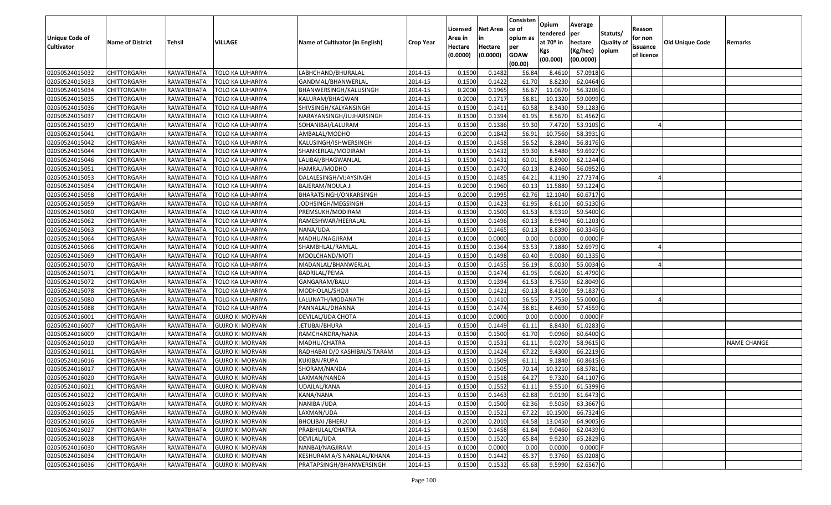| <b>Unique Code of</b> |                         |            |                        |                                        |                  | Licensed<br>Area in | <b>Net Area</b><br>in | Consisten<br>ce of<br>opium as | Opium<br>tendered              | Average<br>per                   | Statuts/                  | Reason<br>for non      |                 |                    |
|-----------------------|-------------------------|------------|------------------------|----------------------------------------|------------------|---------------------|-----------------------|--------------------------------|--------------------------------|----------------------------------|---------------------------|------------------------|-----------------|--------------------|
| <b>Cultivator</b>     | <b>Name of District</b> | Tehsil     | VILLAGE                | <b>Name of Cultivator (in English)</b> | <b>Crop Year</b> | Hectare<br>(0.0000) | Hectare<br>(0.0000)   | per<br><b>GOAW</b><br>(00.00)  | at $70°$ in<br>Kgs<br>(00.000) | hectare<br>(Kg/hec)<br>(00.0000) | <b>Quality o</b><br>opium | issuance<br>of licence | Old Unique Code | Remarks            |
| 02050524015032        | <b>CHITTORGARH</b>      | RAWATBHATA | TOLO KA LUHARIYA       | LABHCHAND/BHURALAL                     | 2014-15          | 0.1500              | 0.1482                | 56.84                          | 8.4610                         | 57.0918 G                        |                           |                        |                 |                    |
| 02050524015033        | <b>CHITTORGARH</b>      | RAWATBHATA | TOLO KA LUHARIYA       | GANDMAL/BHANWERLAL                     | 2014-15          | 0.1500              | 0.1422                | 61.70                          | 8.8230                         | 62.0464 G                        |                           |                        |                 |                    |
| 02050524015034        | <b>CHITTORGARH</b>      | RAWATBHATA | TOLO KA LUHARIYA       | BHANWERSINGH/KALUSINGH                 | 2014-15          | 0.2000              | 0.1965                | 56.67                          | 11.0670                        | 56.3206 G                        |                           |                        |                 |                    |
| 02050524015035        | <b>CHITTORGARH</b>      | RAWATBHATA | TOLO KA LUHARIYA       | KALURAM/BHAGWAN                        | 2014-15          | 0.2000              | 0.1717                | 58.81                          | 10.1320                        | 59.0099 G                        |                           |                        |                 |                    |
| 02050524015036        | <b>CHITTORGARH</b>      | RAWATBHATA | TOLO KA LUHARIYA       | SHIVSINGH/KALYANSINGH                  | 2014-15          | 0.1500              | 0.1411                | 60.58                          | 8.3430                         | 59.1283 G                        |                           |                        |                 |                    |
| 02050524015037        | <b>CHITTORGARH</b>      | RAWATBHATA | TOLO KA LUHARIYA       | NARAYANSINGH/JUJHARSINGH               | 2014-15          | 0.1500              | 0.1394                | 61.95                          | 8.5670                         | 61.4562 G                        |                           |                        |                 |                    |
| 02050524015039        | CHITTORGARH             | RAWATBHATA | TOLO KA LUHARIYA       | SOHANIBAI/LALURAM                      | 2014-15          | 0.1500              | 0.1386                | 59.30                          | 7.4720                         | 53.9105 G                        |                           |                        |                 |                    |
| 02050524015041        | <b>CHITTORGARH</b>      | RAWATBHATA | TOLO KA LUHARIYA       | AMBALAL/MODHO                          | 2014-15          | 0.2000              | 0.1842                | 56.91                          | 10.7560                        | 58.3931 G                        |                           |                        |                 |                    |
| 02050524015042        | <b>CHITTORGARH</b>      | RAWATBHATA | TOLO KA LUHARIYA       | KALUSINGH/ISHWERSINGH                  | 2014-15          | 0.1500              | 0.1458                | 56.52                          | 8.2840                         | 56.8176 G                        |                           |                        |                 |                    |
| 02050524015044        | <b>CHITTORGARH</b>      | RAWATBHATA | TOLO KA LUHARIYA       | SHANKERLAL/MODIRAM                     | 2014-15          | 0.1500              | 0.1432                | 59.30                          | 8.5480                         | 59.6927 G                        |                           |                        |                 |                    |
| 02050524015046        | <b>CHITTORGARH</b>      | RAWATBHATA | TOLO KA LUHARIYA       | LALIBAI/BHAGWANLAL                     | 2014-15          | 0.1500              | 0.1431                | 60.01                          | 8.8900                         | 62.1244 G                        |                           |                        |                 |                    |
| 02050524015051        | <b>CHITTORGARH</b>      | RAWATBHATA | TOLO KA LUHARIYA       | HAMRAJ/MODHO                           | 2014-15          | 0.1500              | 0.1470                | 60.13                          | 8.2460                         | 56.0952 G                        |                           |                        |                 |                    |
| 02050524015053        | <b>CHITTORGARH</b>      | RAWATBHATA | TOLO KA LUHARIYA       | DALALESINGH/VIJAYSINGH                 | 2014-15          | 0.1500              | 0.1485                | 64.21                          | 4.1190                         | 27.7374 G                        |                           |                        |                 |                    |
| 02050524015054        | <b>CHITTORGARH</b>      | RAWATBHATA | TOLO KA LUHARIYA       | BAJERAM/NOULA JI                       | 2014-15          | 0.2000              | 0.1960                | 60.13                          | 11.5880                        | 59.1224 G                        |                           |                        |                 |                    |
| 02050524015058        | CHITTORGARH             | RAWATBHATA | TOLO KA LUHARIYA       | BHARATSINGH/ONKARSINGH                 | 2014-15          | 0.2000              | 0.1995                | 62.76                          | 12.1040                        | 60.6717 G                        |                           |                        |                 |                    |
| 02050524015059        | <b>CHITTORGARH</b>      | RAWATBHATA | TOLO KA LUHARIYA       | JODHSINGH/MEGSINGH                     | 2014-15          | 0.1500              | 0.1423                | 61.95                          | 8.6110                         | 60.5130 G                        |                           |                        |                 |                    |
| 02050524015060        | <b>CHITTORGARH</b>      | RAWATBHATA | TOLO KA LUHARIYA       | PREMSUKH/MODIRAM                       | 2014-15          | 0.1500              | 0.1500                | 61.53                          | 8.9310                         | 59.5400 G                        |                           |                        |                 |                    |
| 02050524015062        | <b>CHITTORGARH</b>      | RAWATBHATA | TOLO KA LUHARIYA       | RAMESHWAR/HEERALAL                     | 2014-15          | 0.1500              | 0.1496                | 60.13                          | 8.9940                         | 60.1203 G                        |                           |                        |                 |                    |
| 02050524015063        | <b>CHITTORGARH</b>      | RAWATBHATA | TOLO KA LUHARIYA       | NANA/UDA                               | 2014-15          | 0.1500              | 0.1465                | 60.13                          | 8.8390                         | 60.3345 G                        |                           |                        |                 |                    |
| 02050524015064        | <b>CHITTORGARH</b>      | RAWATBHATA | TOLO KA LUHARIYA       | MADHU/NAGJIRAM                         | 2014-15          | 0.1000              | 0.0000                | 0.00                           | 0.0000                         | 0.0000                           |                           |                        |                 |                    |
| 02050524015066        | <b>CHITTORGARH</b>      | RAWATBHATA | TOLO KA LUHARIYA       | SHAMBHLAL/RAMLAL                       | 2014-15          | 0.1500              | 0.1364                | 53.53                          | 7.1880                         | 52.6979 G                        |                           |                        |                 |                    |
| 02050524015069        | <b>CHITTORGARH</b>      | RAWATBHATA | TOLO KA LUHARIYA       | MOOLCHAND/MOTI                         | 2014-15          | 0.1500              | 0.1498                | 60.40                          | 9.0080                         | 60.1335 G                        |                           |                        |                 |                    |
| 02050524015070        | <b>CHITTORGARH</b>      | RAWATBHATA | TOLO KA LUHARIYA       | MADANLAL/BHANWERLAL                    | 2014-15          | 0.1500              | 0.1455                | 56.19                          | 8.0030                         | 55.0034 G                        |                           |                        |                 |                    |
| 02050524015071        | <b>CHITTORGARH</b>      | RAWATBHATA | TOLO KA LUHARIYA       | BADRILAL/PEMA                          | 2014-15          | 0.1500              | 0.1474                | 61.95                          | 9.0620                         | 61.4790 G                        |                           |                        |                 |                    |
| 02050524015072        | <b>CHITTORGARH</b>      | RAWATBHATA | TOLO KA LUHARIYA       | GANGARAM/BALU                          | 2014-15          | 0.1500              | 0.1394                | 61.53                          | 8.7550                         | 62.8049 G                        |                           |                        |                 |                    |
| 02050524015078        | <b>CHITTORGARH</b>      | RAWATBHATA | TOLO KA LUHARIYA       | MODHOLAL/SHOJI                         | 2014-15          | 0.1500              | 0.1421                | 60.13                          | 8.4100                         | 59.1837 G                        |                           |                        |                 |                    |
| 02050524015080        | <b>CHITTORGARH</b>      | RAWATBHATA | TOLO KA LUHARIYA       | LALUNATH/MODANATH                      | 2014-15          | 0.1500              | 0.1410                | 56.55                          | 7.7550                         | 55.0000 G                        |                           |                        |                 |                    |
| 02050524015088        | <b>CHITTORGARH</b>      | RAWATBHATA | TOLO KA LUHARIYA       | PANNALAL/DHANNA                        | 2014-15          | 0.1500              | 0.1474                | 58.81                          | 8.4690                         | 57.4559 G                        |                           |                        |                 |                    |
| 02050524016001        | <b>CHITTORGARH</b>      | RAWATBHATA | <b>GUJRO KI MORVAN</b> | DEVILAL/UDA CHOTA                      | 2014-15          | 0.1000              | 0.0000                | 0.00                           | 0.0000                         | 0.0000                           |                           |                        |                 |                    |
| 02050524016007        | <b>CHITTORGARH</b>      | RAWATBHATA | <b>GUJRO KI MORVAN</b> | JETUBAI/BHURA                          | 2014-15          | 0.1500              | 0.1449                | 61.11                          | 8.8430                         | 61.0283 G                        |                           |                        |                 |                    |
| 02050524016009        | <b>CHITTORGARH</b>      | RAWATBHATA | GUJRO KI MORVAN        | RAMCHANDRA/NANA                        | 2014-15          | 0.1500              | 0.1500                | 61.70                          | 9.0960                         | 60.6400 G                        |                           |                        |                 |                    |
| 02050524016010        | CHITTORGARH             | RAWATBHATA | GUJRO KI MORVAN        | MADHU/CHATRA                           | 2014-15          | 0.1500              | 0.1531                | 61.11                          | 9.0270                         | 58.9615 G                        |                           |                        |                 | <b>NAME CHANGE</b> |
| 02050524016011        | <b>CHITTORGARH</b>      | RAWATBHATA | <b>GUJRO KI MORVAN</b> | RADHABAI D/0 KASHIBAI/SITARAM          | 2014-15          | 0.1500              | 0.1424                | 67.22                          | 9.4300                         | 66.2219 G                        |                           |                        |                 |                    |
| 02050524016016        | <b>CHITTORGARH</b>      | RAWATBHATA | <b>GUJRO KI MORVAN</b> | KUKIBAI/RUPA                           | 2014-15          | 0.1500              | 0.1509                | 61.11                          | 9.1840                         | 60.8615 G                        |                           |                        |                 |                    |
| 02050524016017        | CHITTORGARH             | RAWATBHATA | <b>GUJRO KI MORVAN</b> | SHORAM/NANDA                           | 2014-15          | 0.1500              | 0.1505                | 70.14                          | 10.3210                        | 68.5781 G                        |                           |                        |                 |                    |
| 02050524016020        | <b>CHITTORGARH</b>      | RAWATBHATA | <b>GUJRO KI MORVAN</b> | LAXMAN/NANDA                           | 2014-15          | 0.1500              | 0.1518                | 64.27                          | 9.7320                         | 64.1107 G                        |                           |                        |                 |                    |
| 02050524016021        | <b>CHITTORGARH</b>      | RAWATBHATA | <b>GUJRO KI MORVAN</b> | UDAILAL/KANA                           | 2014-15          | 0.1500              | 0.1552                | 61.11                          | 9.5510                         | 61.5399 G                        |                           |                        |                 |                    |
| 02050524016022        | <b>CHITTORGARH</b>      | RAWATBHATA | <b>GUJRO KI MORVAN</b> | KANA/NANA                              | 2014-15          | 0.1500              | 0.1463                | 62.88                          | 9.0190                         | 61.6473 G                        |                           |                        |                 |                    |
| 02050524016023        | <b>CHITTORGARH</b>      | RAWATBHATA | <b>GUJRO KI MORVAN</b> | NANIBAI/UDA                            | 2014-15          | 0.1500              | 0.1500                | 62.36                          | 9.5050                         | 63.3667 G                        |                           |                        |                 |                    |
| 02050524016025        | <b>CHITTORGARH</b>      | RAWATBHATA | <b>GUJRO KI MORVAN</b> | LAXMAN/UDA                             | 2014-15          | 0.1500              | 0.1521                | 67.22                          | 10.1500                        | 66.7324 G                        |                           |                        |                 |                    |
| 02050524016026        | <b>CHITTORGARH</b>      | RAWATBHATA | <b>GUJRO KI MORVAN</b> | <b>BHOLIBAI / BHERU</b>                | 2014-15          | 0.2000              | 0.2010                | 64.58                          | 13.0450                        | 64.9005 G                        |                           |                        |                 |                    |
| 02050524016027        | <b>CHITTORGARH</b>      | RAWATBHATA | <b>GUJRO KI MORVAN</b> | PRABHULAL/CHATRA                       | 2014-15          | 0.1500              | 0.1458                | 61.84                          | 9.0460                         | 62.0439 G                        |                           |                        |                 |                    |
| 02050524016028        | <b>CHITTORGARH</b>      | RAWATBHATA | <b>GUJRO KI MORVAN</b> | DEVILAL/UDA                            | 2014-15          | 0.1500              | 0.1520                | 65.84                          | 9.9230                         | 65.2829 G                        |                           |                        |                 |                    |
| 02050524016030        | <b>CHITTORGARH</b>      | RAWATBHATA | <b>GUJRO KI MORVAN</b> | NANBAI/NAGJIRAM                        | 2014-15          | 0.1000              | 0.0000                | 0.00                           | 0.0000                         | $0.0000$ F                       |                           |                        |                 |                    |
| 02050524016034        | <b>CHITTORGARH</b>      | RAWATBHATA | <b>GUJRO KI MORVAN</b> | KESHURAM A/S NANALAL/KHANA             | 2014-15          | 0.1500              | 0.1442                | 65.37                          | 9.3760                         | 65.0208 G                        |                           |                        |                 |                    |
| 02050524016036        | <b>CHITTORGARH</b>      | RAWATBHATA | <b>GUJRO KI MORVAN</b> | PRATAPSINGH/BHANWERSINGH               | 2014-15          | 0.1500              | 0.1532                | 65.68                          | 9.5990                         | 62.6567 G                        |                           |                        |                 |                    |